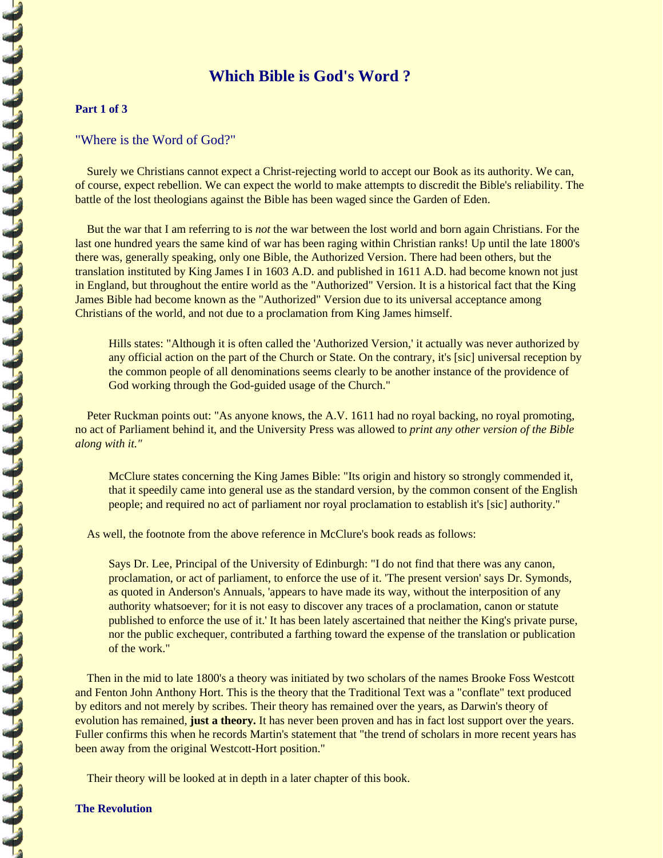# **Which Bible is God's Word ?**

# **Part 1 of 3**

"Where is the Word of God?"

 Surely we Christians cannot expect a Christ-rejecting world to accept our Book as its authority. We can, of course, expect rebellion. We can expect the world to make attempts to discredit the Bible's reliability. The battle of the lost theologians against the Bible has been waged since the Garden of Eden.

 But the war that I am referring to is *not* the war between the lost world and born again Christians. For the last one hundred years the same kind of war has been raging within Christian ranks! Up until the late 1800's there was, generally speaking, only one Bible, the Authorized Version. There had been others, but the translation instituted by King James I in 1603 A.D. and published in 1611 A.D. had become known not just in England, but throughout the entire world as the "Authorized" Version. It is a historical fact that the King James Bible had become known as the "Authorized" Version due to its universal acceptance among Christians of the world, and not due to a proclamation from King James himself.

Hills states: "Although it is often called the 'Authorized Version,' it actually was never authorized by any official action on the part of the Church or State. On the contrary, it's [sic] universal reception by the common people of all denominations seems clearly to be another instance of the providence of God working through the God-guided usage of the Church."

 Peter Ruckman points out: "As anyone knows, the A.V. 1611 had no royal backing, no royal promoting, no act of Parliament behind it, and the University Press was allowed to *print any other version of the Bible along with it."*

McClure states concerning the King James Bible: "Its origin and history so strongly commended it, that it speedily came into general use as the standard version, by the common consent of the English people; and required no act of parliament nor royal proclamation to establish it's [sic] authority."

As well, the footnote from the above reference in McClure's book reads as follows:

Says Dr. Lee, Principal of the University of Edinburgh: "I do not find that there was any canon, proclamation, or act of parliament, to enforce the use of it. 'The present version' says Dr. Symonds, as quoted in Anderson's Annuals, 'appears to have made its way, without the interposition of any authority whatsoever; for it is not easy to discover any traces of a proclamation, canon or statute published to enforce the use of it.' It has been lately ascertained that neither the King's private purse, nor the public exchequer, contributed a farthing toward the expense of the translation or publication of the work."

 Then in the mid to late 1800's a theory was initiated by two scholars of the names Brooke Foss Westcott and Fenton John Anthony Hort. This is the theory that the Traditional Text was a "conflate" text produced by editors and not merely by scribes. Their theory has remained over the years, as Darwin's theory of evolution has remained, **just a theory.** It has never been proven and has in fact lost support over the years. Fuller confirms this when he records Martin's statement that "the trend of scholars in more recent years has been away from the original Westcott-Hort position."

Their theory will be looked at in depth in a later chapter of this book.

**The Revolution**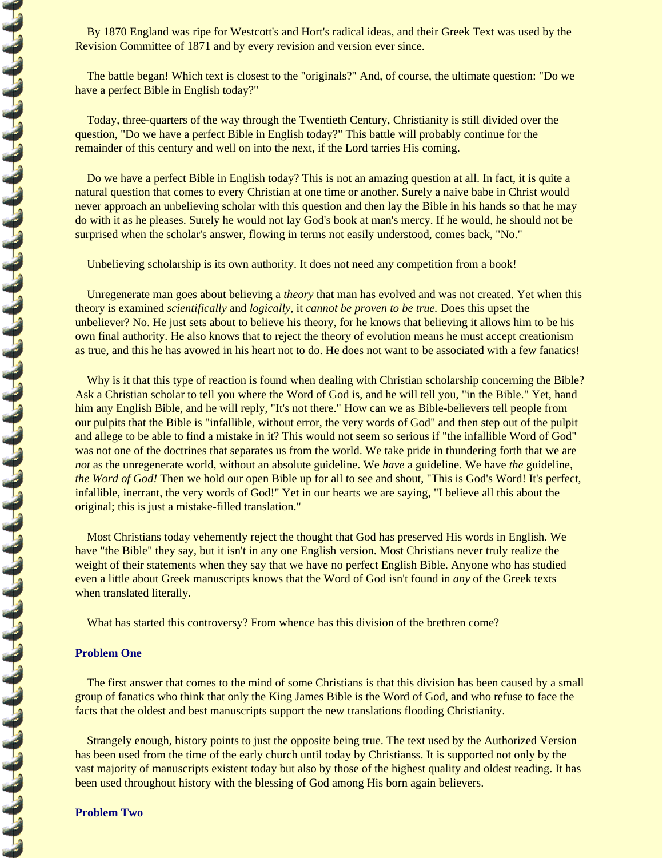By 1870 England was ripe for Westcott's and Hort's radical ideas, and their Greek Text was used by the Revision Committee of 1871 and by every revision and version ever since.

 The battle began! Which text is closest to the "originals?" And, of course, the ultimate question: "Do we have a perfect Bible in English today?"

 Today, three-quarters of the way through the Twentieth Century, Christianity is still divided over the question, "Do we have a perfect Bible in English today?" This battle will probably continue for the remainder of this century and well on into the next, if the Lord tarries His coming.

 Do we have a perfect Bible in English today? This is not an amazing question at all. In fact, it is quite a natural question that comes to every Christian at one time or another. Surely a naive babe in Christ would never approach an unbelieving scholar with this question and then lay the Bible in his hands so that he may do with it as he pleases. Surely he would not lay God's book at man's mercy. If he would, he should not be surprised when the scholar's answer, flowing in terms not easily understood, comes back, "No."

Unbelieving scholarship is its own authority. It does not need any competition from a book!

 Unregenerate man goes about believing a *theory* that man has evolved and was not created. Yet when this theory is examined *scientifically* and *logically,* it *cannot be proven to be true.* Does this upset the unbeliever? No. He just sets about to believe his theory, for he knows that believing it allows him to be his own final authority. He also knows that to reject the theory of evolution means he must accept creationism as true, and this he has avowed in his heart not to do. He does not want to be associated with a few fanatics!

Why is it that this type of reaction is found when dealing with Christian scholarship concerning the Bible? Ask a Christian scholar to tell you where the Word of God is, and he will tell you, "in the Bible." Yet, hand him any English Bible, and he will reply, "It's not there." How can we as Bible-believers tell people from our pulpits that the Bible is "infallible, without error, the very words of God" and then step out of the pulpit and allege to be able to find a mistake in it? This would not seem so serious if "the infallible Word of God" was not one of the doctrines that separates us from the world. We take pride in thundering forth that we are *not* as the unregenerate world, without an absolute guideline. We *have* a guideline. We have *the* guideline, *the Word of God!* Then we hold our open Bible up for all to see and shout, "This is God's Word! It's perfect, infallible, inerrant, the very words of God!" Yet in our hearts we are saying, "I believe all this about the original; this is just a mistake-filled translation."

 Most Christians today vehemently reject the thought that God has preserved His words in English. We have "the Bible" they say, but it isn't in any one English version. Most Christians never truly realize the weight of their statements when they say that we have no perfect English Bible. Anyone who has studied even a little about Greek manuscripts knows that the Word of God isn't found in *any* of the Greek texts when translated literally.

What has started this controversy? From whence has this division of the brethren come?

#### **Problem One**

 The first answer that comes to the mind of some Christians is that this division has been caused by a small group of fanatics who think that only the King James Bible is the Word of God, and who refuse to face the facts that the oldest and best manuscripts support the new translations flooding Christianity.

 Strangely enough, history points to just the opposite being true. The text used by the Authorized Version has been used from the time of the early church until today by Christianss. It is supported not only by the vast majority of manuscripts existent today but also by those of the highest quality and oldest reading. It has been used throughout history with the blessing of God among His born again believers.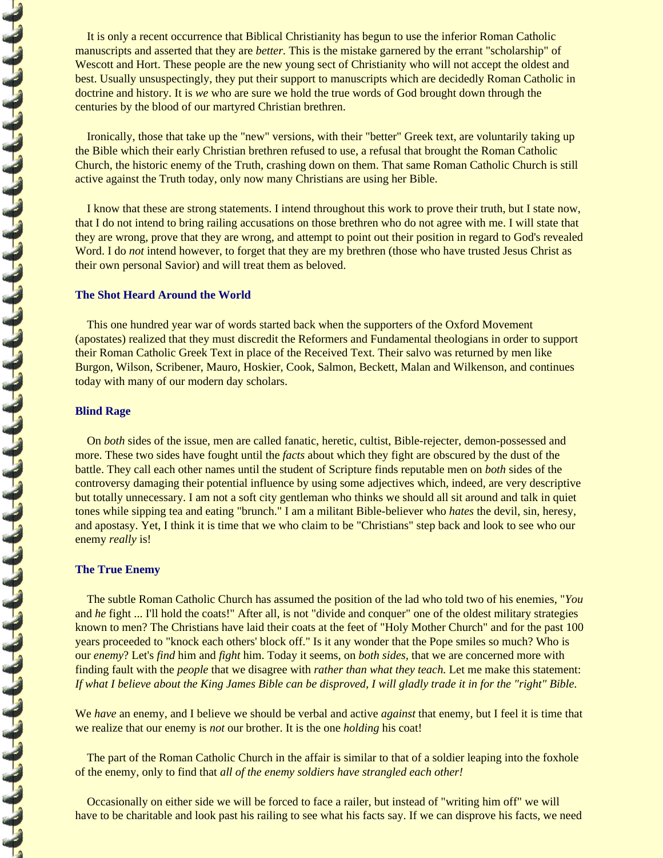It is only a recent occurrence that Biblical Christianity has begun to use the inferior Roman Catholic manuscripts and asserted that they are *better.* This is the mistake garnered by the errant "scholarship" of Wescott and Hort. These people are the new young sect of Christianity who will not accept the oldest and best. Usually unsuspectingly, they put their support to manuscripts which are decidedly Roman Catholic in doctrine and history. It is *we* who are sure we hold the true words of God brought down through the centuries by the blood of our martyred Christian brethren.

 Ironically, those that take up the "new" versions, with their "better" Greek text, are voluntarily taking up the Bible which their early Christian brethren refused to use, a refusal that brought the Roman Catholic Church, the historic enemy of the Truth, crashing down on them. That same Roman Catholic Church is still active against the Truth today, only now many Christians are using her Bible.

 I know that these are strong statements. I intend throughout this work to prove their truth, but I state now, that I do not intend to bring railing accusations on those brethren who do not agree with me. I will state that they are wrong, prove that they are wrong, and attempt to point out their position in regard to God's revealed Word. I do *not* intend however, to forget that they are my brethren (those who have trusted Jesus Christ as their own personal Savior) and will treat them as beloved.

### **The Shot Heard Around the World**

 This one hundred year war of words started back when the supporters of the Oxford Movement (apostates) realized that they must discredit the Reformers and Fundamental theologians in order to support their Roman Catholic Greek Text in place of the Received Text. Their salvo was returned by men like Burgon, Wilson, Scribener, Mauro, Hoskier, Cook, Salmon, Beckett, Malan and Wilkenson, and continues today with many of our modern day scholars.

#### **Blind Rage**

 On *both* sides of the issue, men are called fanatic, heretic, cultist, Bible-rejecter, demon-possessed and more. These two sides have fought until the *facts* about which they fight are obscured by the dust of the battle. They call each other names until the student of Scripture finds reputable men on *both* sides of the controversy damaging their potential influence by using some adjectives which, indeed, are very descriptive but totally unnecessary. I am not a soft city gentleman who thinks we should all sit around and talk in quiet tones while sipping tea and eating "brunch." I am a militant Bible-believer who *hates* the devil, sin, heresy, and apostasy. Yet, I think it is time that we who claim to be "Christians" step back and look to see who our enemy *really* is!

#### **The True Enemy**

 The subtle Roman Catholic Church has assumed the position of the lad who told two of his enemies, "*You* and *he* fight ... I'll hold the coats!" After all, is not "divide and conquer" one of the oldest military strategies known to men? The Christians have laid their coats at the feet of "Holy Mother Church" and for the past 100 years proceeded to "knock each others' block off." Is it any wonder that the Pope smiles so much? Who is our *enemy*? Let's *find* him and *fight* him. Today it seems, on *both sides,* that we are concerned more with finding fault with the *people* that we disagree with *rather than what they teach.* Let me make this statement: *If what I believe about the King James Bible can be disproved, I will gladly trade it in for the "right" Bible.*

We *have* an enemy, and I believe we should be verbal and active *against* that enemy, but I feel it is time that we realize that our enemy is *not* our brother. It is the one *holding* his coat!

 The part of the Roman Catholic Church in the affair is similar to that of a soldier leaping into the foxhole of the enemy, only to find that *all of the enemy soldiers have strangled each other!*

 Occasionally on either side we will be forced to face a railer, but instead of "writing him off" we will have to be charitable and look past his railing to see what his facts say. If we can disprove his facts, we need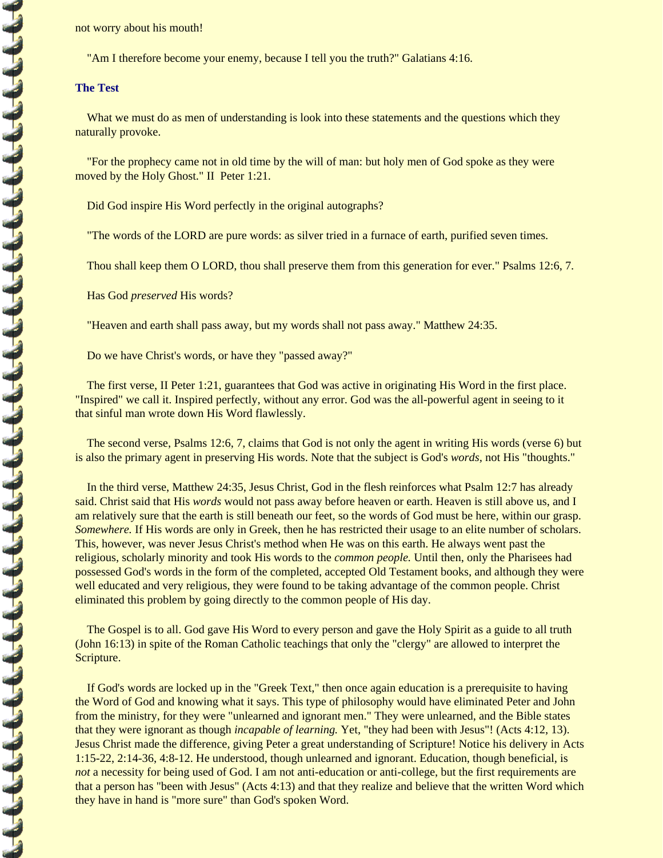not worry about his mouth!

"Am I therefore become your enemy, because I tell you the truth?" Galatians 4:16.

#### **The Test**

What we must do as men of understanding is look into these statements and the questions which they naturally provoke.

 "For the prophecy came not in old time by the will of man: but holy men of God spoke as they were moved by the Holy Ghost." II Peter 1:21.

Did God inspire His Word perfectly in the original autographs?

"The words of the LORD are pure words: as silver tried in a furnace of earth, purified seven times.

Thou shall keep them O LORD, thou shall preserve them from this generation for ever." Psalms 12:6, 7.

Has God *preserved* His words?

"Heaven and earth shall pass away, but my words shall not pass away." Matthew 24:35.

Do we have Christ's words, or have they "passed away?"

 The first verse, II Peter 1:21, guarantees that God was active in originating His Word in the first place. "Inspired" we call it. Inspired perfectly, without any error. God was the all-powerful agent in seeing to it that sinful man wrote down His Word flawlessly.

 The second verse, Psalms 12:6, 7, claims that God is not only the agent in writing His words (verse 6) but is also the primary agent in preserving His words. Note that the subject is God's *words,* not His "thoughts."

 In the third verse, Matthew 24:35, Jesus Christ, God in the flesh reinforces what Psalm 12:7 has already said. Christ said that His *words* would not pass away before heaven or earth. Heaven is still above us, and I am relatively sure that the earth is still beneath our feet, so the words of God must be here, within our grasp. *Somewhere.* If His words are only in Greek, then he has restricted their usage to an elite number of scholars. This, however, was never Jesus Christ's method when He was on this earth. He always went past the religious, scholarly minority and took His words to the *common people.* Until then, only the Pharisees had possessed God's words in the form of the completed, accepted Old Testament books, and although they were well educated and very religious, they were found to be taking advantage of the common people. Christ eliminated this problem by going directly to the common people of His day.

 The Gospel is to all. God gave His Word to every person and gave the Holy Spirit as a guide to all truth (John 16:13) in spite of the Roman Catholic teachings that only the "clergy" are allowed to interpret the Scripture.

 If God's words are locked up in the "Greek Text," then once again education is a prerequisite to having the Word of God and knowing what it says. This type of philosophy would have eliminated Peter and John from the ministry, for they were "unlearned and ignorant men." They were unlearned, and the Bible states that they were ignorant as though *incapable of learning.* Yet, "they had been with Jesus"! (Acts 4:12, 13). Jesus Christ made the difference, giving Peter a great understanding of Scripture! Notice his delivery in Acts 1:15-22, 2:14-36, 4:8-12. He understood, though unlearned and ignorant. Education, though beneficial, is *not* a necessity for being used of God. I am not anti-education or anti-college, but the first requirements are that a person has "been with Jesus" (Acts 4:13) and that they realize and believe that the written Word which they have in hand is "more sure" than God's spoken Word.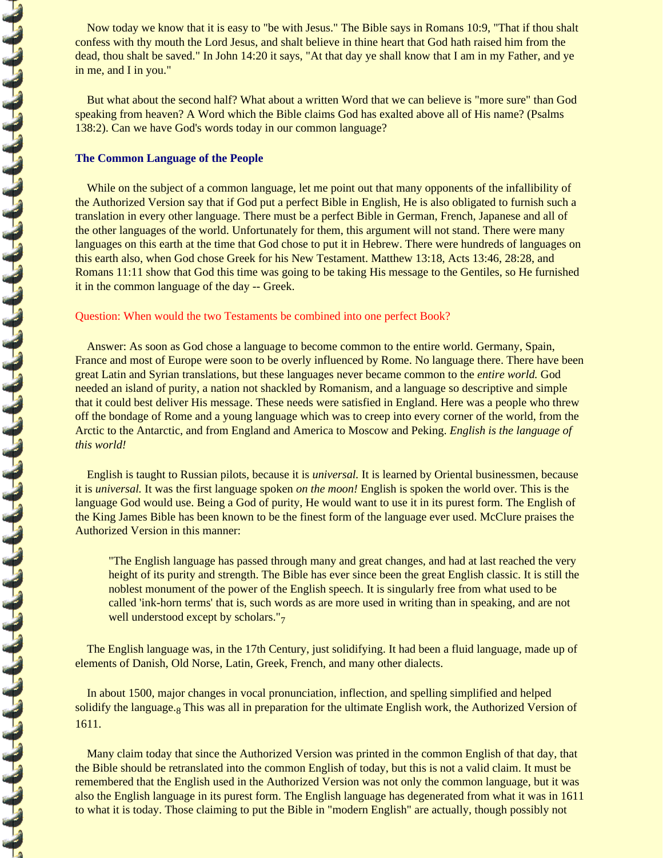Now today we know that it is easy to "be with Jesus." The Bible says in Romans 10:9, "That if thou shalt confess with thy mouth the Lord Jesus, and shalt believe in thine heart that God hath raised him from the dead, thou shalt be saved." In John 14:20 it says, "At that day ye shall know that I am in my Father, and ye in me, and I in you."

 But what about the second half? What about a written Word that we can believe is "more sure" than God speaking from heaven? A Word which the Bible claims God has exalted above all of His name? (Psalms 138:2). Can we have God's words today in our common language?

### **The Common Language of the People**

While on the subject of a common language, let me point out that many opponents of the infallibility of the Authorized Version say that if God put a perfect Bible in English, He is also obligated to furnish such a translation in every other language. There must be a perfect Bible in German, French, Japanese and all of the other languages of the world. Unfortunately for them, this argument will not stand. There were many languages on this earth at the time that God chose to put it in Hebrew. There were hundreds of languages on this earth also, when God chose Greek for his New Testament. Matthew 13:18, Acts 13:46, 28:28, and Romans 11:11 show that God this time was going to be taking His message to the Gentiles, so He furnished it in the common language of the day -- Greek.

### Question: When would the two Testaments be combined into one perfect Book?

 Answer: As soon as God chose a language to become common to the entire world. Germany, Spain, France and most of Europe were soon to be overly influenced by Rome. No language there. There have been great Latin and Syrian translations, but these languages never became common to the *entire world.* God needed an island of purity, a nation not shackled by Romanism, and a language so descriptive and simple that it could best deliver His message. These needs were satisfied in England. Here was a people who threw off the bondage of Rome and a young language which was to creep into every corner of the world, from the Arctic to the Antarctic, and from England and America to Moscow and Peking. *English is the language of this world!*

 English is taught to Russian pilots, because it is *universal.* It is learned by Oriental businessmen, because it is *universal.* It was the first language spoken *on the moon!* English is spoken the world over. This is the language God would use. Being a God of purity, He would want to use it in its purest form. The English of the King James Bible has been known to be the finest form of the language ever used. McClure praises the Authorized Version in this manner:

"The English language has passed through many and great changes, and had at last reached the very height of its purity and strength. The Bible has ever since been the great English classic. It is still the noblest monument of the power of the English speech. It is singularly free from what used to be called 'ink-horn terms' that is, such words as are more used in writing than in speaking, and are not well understood except by scholars."<sub>7</sub>

 The English language was, in the 17th Century, just solidifying. It had been a fluid language, made up of elements of Danish, Old Norse, Latin, Greek, French, and many other dialects.

 In about 1500, major changes in vocal pronunciation, inflection, and spelling simplified and helped solidify the language. $_8$  This was all in preparation for the ultimate English work, the Authorized Version of 1611.

 Many claim today that since the Authorized Version was printed in the common English of that day, that the Bible should be retranslated into the common English of today, but this is not a valid claim. It must be remembered that the English used in the Authorized Version was not only the common language, but it was also the English language in its purest form. The English language has degenerated from what it was in 1611 to what it is today. Those claiming to put the Bible in "modern English" are actually, though possibly not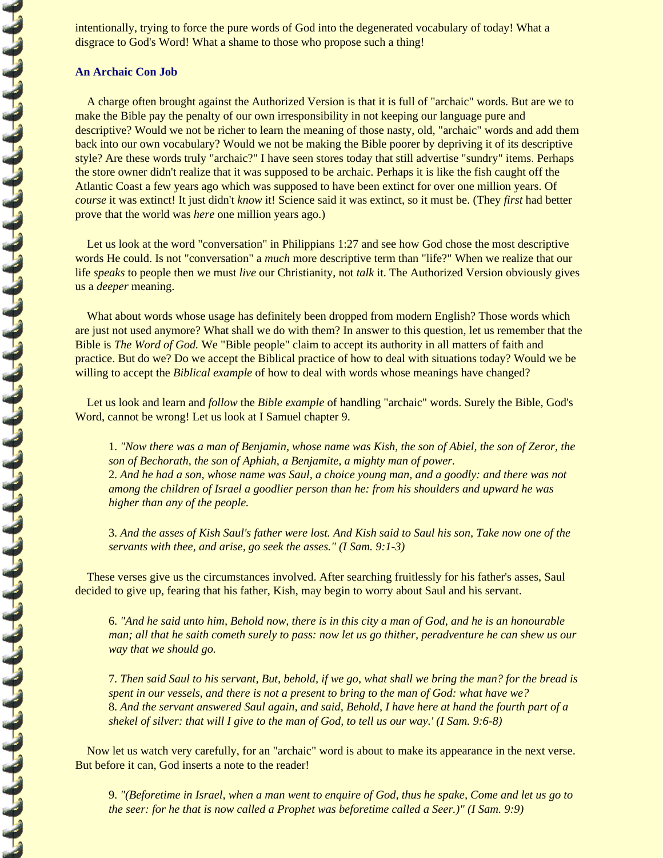intentionally, trying to force the pure words of God into the degenerated vocabulary of today! What a disgrace to God's Word! What a shame to those who propose such a thing!

## **An Archaic Con Job**

 A charge often brought against the Authorized Version is that it is full of "archaic" words. But are we to make the Bible pay the penalty of our own irresponsibility in not keeping our language pure and descriptive? Would we not be richer to learn the meaning of those nasty, old, "archaic" words and add them back into our own vocabulary? Would we not be making the Bible poorer by depriving it of its descriptive style? Are these words truly "archaic?" I have seen stores today that still advertise "sundry" items. Perhaps the store owner didn't realize that it was supposed to be archaic. Perhaps it is like the fish caught off the Atlantic Coast a few years ago which was supposed to have been extinct for over one million years. Of *course* it was extinct! It just didn't *know* it! Science said it was extinct, so it must be. (They *first* had better prove that the world was *here* one million years ago.)

 Let us look at the word "conversation" in Philippians 1:27 and see how God chose the most descriptive words He could. Is not "conversation" a *much* more descriptive term than "life?" When we realize that our life *speaks* to people then we must *live* our Christianity, not *talk* it. The Authorized Version obviously gives us a *deeper* meaning.

What about words whose usage has definitely been dropped from modern English? Those words which are just not used anymore? What shall we do with them? In answer to this question, let us remember that the Bible is *The Word of God.* We "Bible people" claim to accept its authority in all matters of faith and practice. But do we? Do we accept the Biblical practice of how to deal with situations today? Would we be willing to accept the *Biblical example* of how to deal with words whose meanings have changed?

 Let us look and learn and *follow* the *Bible example* of handling "archaic" words. Surely the Bible, God's Word, cannot be wrong! Let us look at I Samuel chapter 9.

1. *"Now there was a man of Benjamin, whose name was Kish, the son of Abiel, the son of Zeror, the son of Bechorath, the son of Aphiah, a Benjamite, a mighty man of power.* 2. *And he had a son, whose name was Saul, a choice young man, and a goodly: and there was not among the children of Israel a goodlier person than he: from his shoulders and upward he was higher than any of the people.*

3. *And the asses of Kish Saul's father were lost. And Kish said to Saul his son, Take now one of the servants with thee, and arise, go seek the asses." (I Sam. 9:1-3)*

 These verses give us the circumstances involved. After searching fruitlessly for his father's asses, Saul decided to give up, fearing that his father, Kish, may begin to worry about Saul and his servant.

6. *"And he said unto him, Behold now, there is in this city a man of God, and he is an honourable man; all that he saith cometh surely to pass: now let us go thither, peradventure he can shew us our way that we should go.*

7. *Then said Saul to his servant, But, behold, if we go, what shall we bring the man? for the bread is spent in our vessels, and there is not a present to bring to the man of God: what have we?* 8. *And the servant answered Saul again, and said, Behold, I have here at hand the fourth part of a shekel of silver: that will I give to the man of God, to tell us our way.' (I Sam. 9:6-8)*

 Now let us watch very carefully, for an "archaic" word is about to make its appearance in the next verse. But before it can, God inserts a note to the reader!

9. *"(Beforetime in Israel, when a man went to enquire of God, thus he spake, Come and let us go to the seer: for he that is now called a Prophet was beforetime called a Seer.)" (I Sam. 9:9)*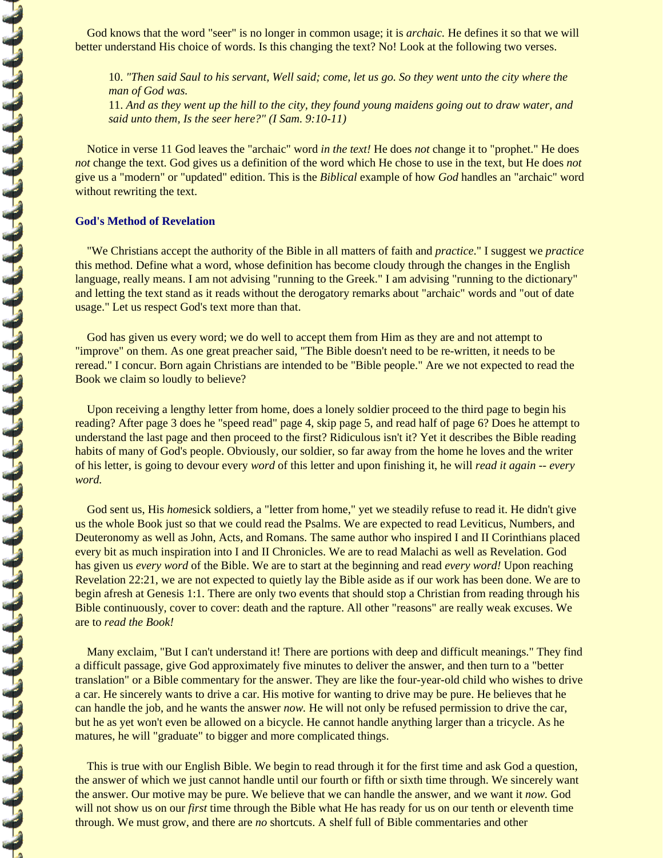God knows that the word "seer" is no longer in common usage; it is *archaic.* He defines it so that we will better understand His choice of words. Is this changing the text? No! Look at the following two verses.

10. *"Then said Saul to his servant, Well said; come, let us go. So they went unto the city where the man of God was.*

11. *And as they went up the hill to the city, they found young maidens going out to draw water, and said unto them, Is the seer here?" (I Sam. 9:10-11)*

 Notice in verse 11 God leaves the "archaic" word *in the text!* He does *not* change it to "prophet." He does *not* change the text. God gives us a definition of the word which He chose to use in the text, but He does *not* give us a "modern" or "updated" edition. This is the *Biblical* example of how *God* handles an "archaic" word without rewriting the text.

# **God's Method of Revelation**

 "We Christians accept the authority of the Bible in all matters of faith and *practice*." I suggest we *practice* this method. Define what a word, whose definition has become cloudy through the changes in the English language, really means. I am not advising "running to the Greek." I am advising "running to the dictionary" and letting the text stand as it reads without the derogatory remarks about "archaic" words and "out of date usage." Let us respect God's text more than that.

 God has given us every word; we do well to accept them from Him as they are and not attempt to "improve" on them. As one great preacher said, "The Bible doesn't need to be re-written, it needs to be reread." I concur. Born again Christians are intended to be "Bible people." Are we not expected to read the Book we claim so loudly to believe?

 Upon receiving a lengthy letter from home, does a lonely soldier proceed to the third page to begin his reading? After page 3 does he "speed read" page 4, skip page 5, and read half of page 6? Does he attempt to understand the last page and then proceed to the first? Ridiculous isn't it? Yet it describes the Bible reading habits of many of God's people. Obviously, our soldier, so far away from the home he loves and the writer of his letter, is going to devour every *word* of this letter and upon finishing it, he will *read it again -- every word.*

 God sent us, His *home*sick soldiers, a "letter from home," yet we steadily refuse to read it. He didn't give us the whole Book just so that we could read the Psalms. We are expected to read Leviticus, Numbers, and Deuteronomy as well as John, Acts, and Romans. The same author who inspired I and II Corinthians placed every bit as much inspiration into I and II Chronicles. We are to read Malachi as well as Revelation. God has given us *every word* of the Bible. We are to start at the beginning and read *every word!* Upon reaching Revelation 22:21, we are not expected to quietly lay the Bible aside as if our work has been done. We are to begin afresh at Genesis 1:1. There are only two events that should stop a Christian from reading through his Bible continuously, cover to cover: death and the rapture. All other "reasons" are really weak excuses. We are to *read the Book!*

 Many exclaim, "But I can't understand it! There are portions with deep and difficult meanings." They find a difficult passage, give God approximately five minutes to deliver the answer, and then turn to a "better translation" or a Bible commentary for the answer. They are like the four-year-old child who wishes to drive a car. He sincerely wants to drive a car. His motive for wanting to drive may be pure. He believes that he can handle the job, and he wants the answer *now.* He will not only be refused permission to drive the car, but he as yet won't even be allowed on a bicycle. He cannot handle anything larger than a tricycle. As he matures, he will "graduate" to bigger and more complicated things.

 This is true with our English Bible. We begin to read through it for the first time and ask God a question, the answer of which we just cannot handle until our fourth or fifth or sixth time through. We sincerely want the answer. Our motive may be pure. We believe that we can handle the answer, and we want it *now.* God will not show us on our *first* time through the Bible what He has ready for us on our tenth or eleventh time through. We must grow, and there are *no* shortcuts. A shelf full of Bible commentaries and other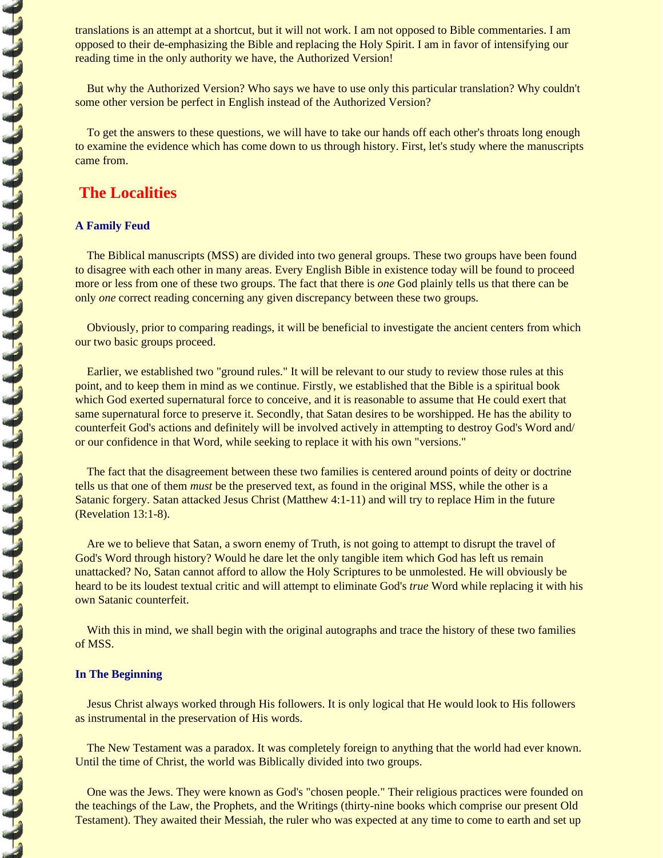translations is an attempt at a shortcut, but it will not work. I am not opposed to Bible commentaries. I am opposed to their de-emphasizing the Bible and replacing the Holy Spirit. I am in favor of intensifying our reading time in the only authority we have, the Authorized Version!

 But why the Authorized Version? Who says we have to use only this particular translation? Why couldn't some other version be perfect in English instead of the Authorized Version?

 To get the answers to these questions, we will have to take our hands off each other's throats long enough to examine the evidence which has come down to us through history. First, let's study where the manuscripts came from.

# **The Localities**

## **A Family Feud**

 The Biblical manuscripts (MSS) are divided into two general groups. These two groups have been found to disagree with each other in many areas. Every English Bible in existence today will be found to proceed more or less from one of these two groups. The fact that there is *one* God plainly tells us that there can be only *one* correct reading concerning any given discrepancy between these two groups.

 Obviously, prior to comparing readings, it will be beneficial to investigate the ancient centers from which our two basic groups proceed.

 Earlier, we established two "ground rules." It will be relevant to our study to review those rules at this point, and to keep them in mind as we continue. Firstly, we established that the Bible is a spiritual book which God exerted supernatural force to conceive, and it is reasonable to assume that He could exert that same supernatural force to preserve it. Secondly, that Satan desires to be worshipped. He has the ability to counterfeit God's actions and definitely will be involved actively in attempting to destroy God's Word and/ or our confidence in that Word, while seeking to replace it with his own "versions."

 The fact that the disagreement between these two families is centered around points of deity or doctrine tells us that one of them *must* be the preserved text, as found in the original MSS, while the other is a Satanic forgery. Satan attacked Jesus Christ (Matthew 4:1-11) and will try to replace Him in the future (Revelation 13:1-8).

 Are we to believe that Satan, a sworn enemy of Truth, is not going to attempt to disrupt the travel of God's Word through history? Would he dare let the only tangible item which God has left us remain unattacked? No, Satan cannot afford to allow the Holy Scriptures to be unmolested. He will obviously be heard to be its loudest textual critic and will attempt to eliminate God's *true* Word while replacing it with his own Satanic counterfeit.

With this in mind, we shall begin with the original autographs and trace the history of these two families of MSS.

## **In The Beginning**

 Jesus Christ always worked through His followers. It is only logical that He would look to His followers as instrumental in the preservation of His words.

 The New Testament was a paradox. It was completely foreign to anything that the world had ever known. Until the time of Christ, the world was Biblically divided into two groups.

 One was the Jews. They were known as God's "chosen people." Their religious practices were founded on the teachings of the Law, the Prophets, and the Writings (thirty-nine books which comprise our present Old Testament). They awaited their Messiah, the ruler who was expected at any time to come to earth and set up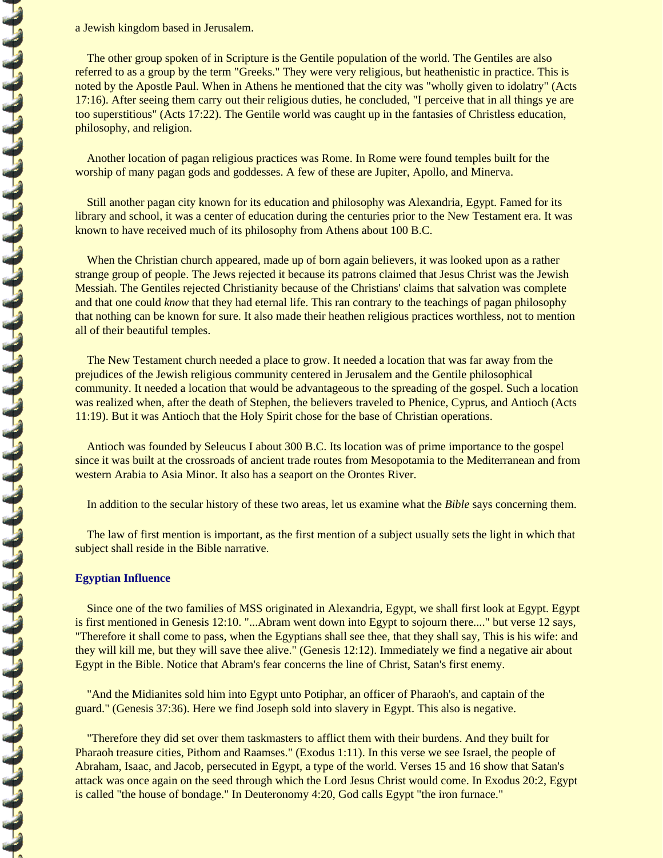a Jewish kingdom based in Jerusalem.

 The other group spoken of in Scripture is the Gentile population of the world. The Gentiles are also referred to as a group by the term "Greeks." They were very religious, but heathenistic in practice. This is noted by the Apostle Paul. When in Athens he mentioned that the city was "wholly given to idolatry" (Acts 17:16). After seeing them carry out their religious duties, he concluded, "I perceive that in all things ye are too superstitious" (Acts 17:22). The Gentile world was caught up in the fantasies of Christless education, philosophy, and religion.

 Another location of pagan religious practices was Rome. In Rome were found temples built for the worship of many pagan gods and goddesses. A few of these are Jupiter, Apollo, and Minerva.

 Still another pagan city known for its education and philosophy was Alexandria, Egypt. Famed for its library and school, it was a center of education during the centuries prior to the New Testament era. It was known to have received much of its philosophy from Athens about 100 B.C.

When the Christian church appeared, made up of born again believers, it was looked upon as a rather strange group of people. The Jews rejected it because its patrons claimed that Jesus Christ was the Jewish Messiah. The Gentiles rejected Christianity because of the Christians' claims that salvation was complete and that one could *know* that they had eternal life. This ran contrary to the teachings of pagan philosophy that nothing can be known for sure. It also made their heathen religious practices worthless, not to mention all of their beautiful temples.

 The New Testament church needed a place to grow. It needed a location that was far away from the prejudices of the Jewish religious community centered in Jerusalem and the Gentile philosophical community. It needed a location that would be advantageous to the spreading of the gospel. Such a location was realized when, after the death of Stephen, the believers traveled to Phenice, Cyprus, and Antioch (Acts 11:19). But it was Antioch that the Holy Spirit chose for the base of Christian operations.

 Antioch was founded by Seleucus I about 300 B.C. Its location was of prime importance to the gospel since it was built at the crossroads of ancient trade routes from Mesopotamia to the Mediterranean and from western Arabia to Asia Minor. It also has a seaport on the Orontes River.

In addition to the secular history of these two areas, let us examine what the *Bible* says concerning them.

 The law of first mention is important, as the first mention of a subject usually sets the light in which that subject shall reside in the Bible narrative.

## **Egyptian Influence**

 Since one of the two families of MSS originated in Alexandria, Egypt, we shall first look at Egypt. Egypt is first mentioned in Genesis 12:10. "...Abram went down into Egypt to sojourn there...." but verse 12 says, "Therefore it shall come to pass, when the Egyptians shall see thee, that they shall say, This is his wife: and they will kill me, but they will save thee alive." (Genesis 12:12). Immediately we find a negative air about Egypt in the Bible. Notice that Abram's fear concerns the line of Christ, Satan's first enemy.

 "And the Midianites sold him into Egypt unto Potiphar, an officer of Pharaoh's, and captain of the guard." (Genesis 37:36). Here we find Joseph sold into slavery in Egypt. This also is negative.

 "Therefore they did set over them taskmasters to afflict them with their burdens. And they built for Pharaoh treasure cities, Pithom and Raamses." (Exodus 1:11). In this verse we see Israel, the people of Abraham, Isaac, and Jacob, persecuted in Egypt, a type of the world. Verses 15 and 16 show that Satan's attack was once again on the seed through which the Lord Jesus Christ would come. In Exodus 20:2, Egypt is called "the house of bondage." In Deuteronomy 4:20, God calls Egypt "the iron furnace."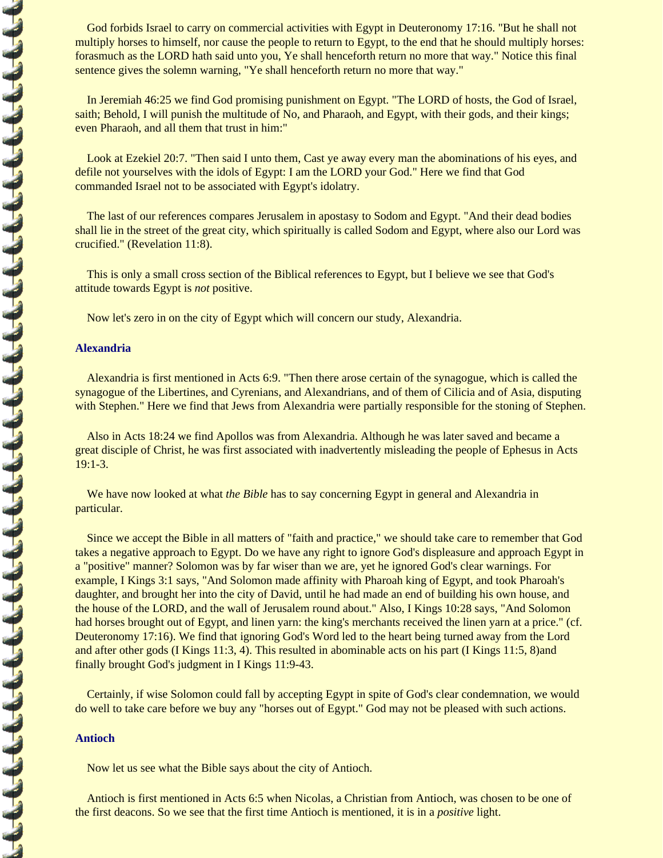God forbids Israel to carry on commercial activities with Egypt in Deuteronomy 17:16. "But he shall not multiply horses to himself, nor cause the people to return to Egypt, to the end that he should multiply horses: forasmuch as the LORD hath said unto you, Ye shall henceforth return no more that way." Notice this final sentence gives the solemn warning, "Ye shall henceforth return no more that way."

 In Jeremiah 46:25 we find God promising punishment on Egypt. "The LORD of hosts, the God of Israel, saith; Behold, I will punish the multitude of No, and Pharaoh, and Egypt, with their gods, and their kings; even Pharaoh, and all them that trust in him:"

 Look at Ezekiel 20:7. "Then said I unto them, Cast ye away every man the abominations of his eyes, and defile not yourselves with the idols of Egypt: I am the LORD your God." Here we find that God commanded Israel not to be associated with Egypt's idolatry.

 The last of our references compares Jerusalem in apostasy to Sodom and Egypt. "And their dead bodies shall lie in the street of the great city, which spiritually is called Sodom and Egypt, where also our Lord was crucified." (Revelation 11:8).

 This is only a small cross section of the Biblical references to Egypt, but I believe we see that God's attitude towards Egypt is *not* positive.

Now let's zero in on the city of Egypt which will concern our study, Alexandria.

### **Alexandria**

 Alexandria is first mentioned in Acts 6:9. "Then there arose certain of the synagogue, which is called the synagogue of the Libertines, and Cyrenians, and Alexandrians, and of them of Cilicia and of Asia, disputing with Stephen." Here we find that Jews from Alexandria were partially responsible for the stoning of Stephen.

 Also in Acts 18:24 we find Apollos was from Alexandria. Although he was later saved and became a great disciple of Christ, he was first associated with inadvertently misleading the people of Ephesus in Acts 19:1-3.

 We have now looked at what *the Bible* has to say concerning Egypt in general and Alexandria in particular.

 Since we accept the Bible in all matters of "faith and practice," we should take care to remember that God takes a negative approach to Egypt. Do we have any right to ignore God's displeasure and approach Egypt in a "positive" manner? Solomon was by far wiser than we are, yet he ignored God's clear warnings. For example, I Kings 3:1 says, "And Solomon made affinity with Pharoah king of Egypt, and took Pharoah's daughter, and brought her into the city of David, until he had made an end of building his own house, and the house of the LORD, and the wall of Jerusalem round about." Also, I Kings 10:28 says, "And Solomon had horses brought out of Egypt, and linen yarn: the king's merchants received the linen yarn at a price." (cf. Deuteronomy 17:16). We find that ignoring God's Word led to the heart being turned away from the Lord and after other gods (I Kings 11:3, 4). This resulted in abominable acts on his part (I Kings 11:5, 8)and finally brought God's judgment in I Kings 11:9-43.

 Certainly, if wise Solomon could fall by accepting Egypt in spite of God's clear condemnation, we would do well to take care before we buy any "horses out of Egypt." God may not be pleased with such actions.

# **Antioch**

Now let us see what the Bible says about the city of Antioch.

 Antioch is first mentioned in Acts 6:5 when Nicolas, a Christian from Antioch, was chosen to be one of the first deacons. So we see that the first time Antioch is mentioned, it is in a *positive* light.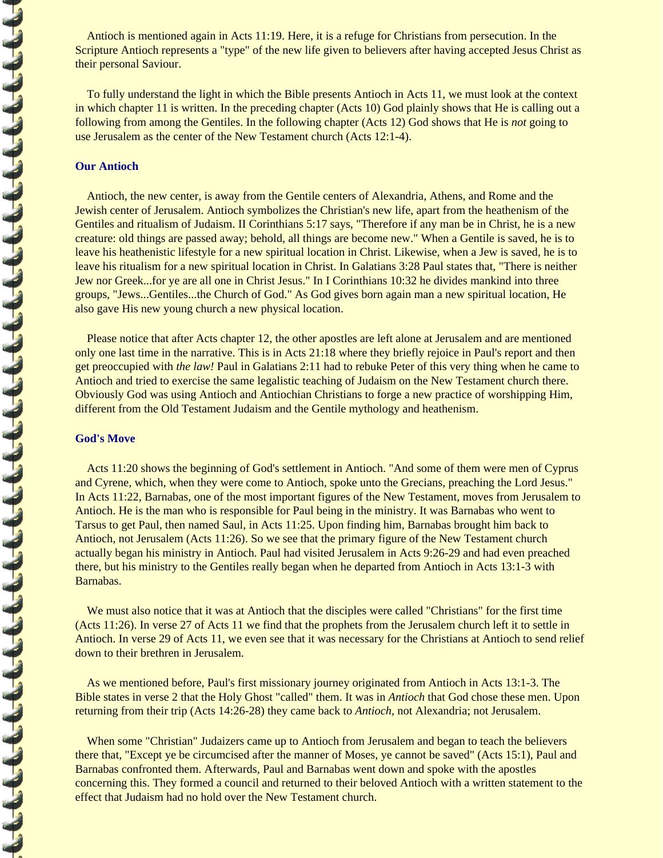Antioch is mentioned again in Acts 11:19. Here, it is a refuge for Christians from persecution. In the Scripture Antioch represents a "type" of the new life given to believers after having accepted Jesus Christ as their personal Saviour.

 To fully understand the light in which the Bible presents Antioch in Acts 11, we must look at the context in which chapter 11 is written. In the preceding chapter (Acts 10) God plainly shows that He is calling out a following from among the Gentiles. In the following chapter (Acts 12) God shows that He is *not* going to use Jerusalem as the center of the New Testament church (Acts 12:1-4).

## **Our Antioch**

 Antioch, the new center, is away from the Gentile centers of Alexandria, Athens, and Rome and the Jewish center of Jerusalem. Antioch symbolizes the Christian's new life, apart from the heathenism of the Gentiles and ritualism of Judaism. II Corinthians 5:17 says, "Therefore if any man be in Christ, he is a new creature: old things are passed away; behold, all things are become new." When a Gentile is saved, he is to leave his heathenistic lifestyle for a new spiritual location in Christ. Likewise, when a Jew is saved, he is to leave his ritualism for a new spiritual location in Christ. In Galatians 3:28 Paul states that, "There is neither Jew nor Greek...for ye are all one in Christ Jesus." In I Corinthians 10:32 he divides mankind into three groups, "Jews...Gentiles...the Church of God." As God gives born again man a new spiritual location, He also gave His new young church a new physical location.

 Please notice that after Acts chapter 12, the other apostles are left alone at Jerusalem and are mentioned only one last time in the narrative. This is in Acts 21:18 where they briefly rejoice in Paul's report and then get preoccupied with *the law!* Paul in Galatians 2:11 had to rebuke Peter of this very thing when he came to Antioch and tried to exercise the same legalistic teaching of Judaism on the New Testament church there. Obviously God was using Antioch and Antiochian Christians to forge a new practice of worshipping Him, different from the Old Testament Judaism and the Gentile mythology and heathenism.

### **God's Move**

 Acts 11:20 shows the beginning of God's settlement in Antioch. "And some of them were men of Cyprus and Cyrene, which, when they were come to Antioch, spoke unto the Grecians, preaching the Lord Jesus." In Acts 11:22, Barnabas, one of the most important figures of the New Testament, moves from Jerusalem to Antioch. He is the man who is responsible for Paul being in the ministry. It was Barnabas who went to Tarsus to get Paul, then named Saul, in Acts 11:25. Upon finding him, Barnabas brought him back to Antioch, not Jerusalem (Acts 11:26). So we see that the primary figure of the New Testament church actually began his ministry in Antioch. Paul had visited Jerusalem in Acts 9:26-29 and had even preached there, but his ministry to the Gentiles really began when he departed from Antioch in Acts 13:1-3 with Barnabas.

 We must also notice that it was at Antioch that the disciples were called "Christians" for the first time (Acts 11:26). In verse 27 of Acts 11 we find that the prophets from the Jerusalem church left it to settle in Antioch. In verse 29 of Acts 11, we even see that it was necessary for the Christians at Antioch to send relief down to their brethren in Jerusalem.

 As we mentioned before, Paul's first missionary journey originated from Antioch in Acts 13:1-3. The Bible states in verse 2 that the Holy Ghost "called" them. It was in *Antioch* that God chose these men. Upon returning from their trip (Acts 14:26-28) they came back to *Antioch,* not Alexandria; not Jerusalem.

When some "Christian" Judaizers came up to Antioch from Jerusalem and began to teach the believers there that, "Except ye be circumcised after the manner of Moses, ye cannot be saved" (Acts 15:1), Paul and Barnabas confronted them. Afterwards, Paul and Barnabas went down and spoke with the apostles concerning this. They formed a council and returned to their beloved Antioch with a written statement to the effect that Judaism had no hold over the New Testament church.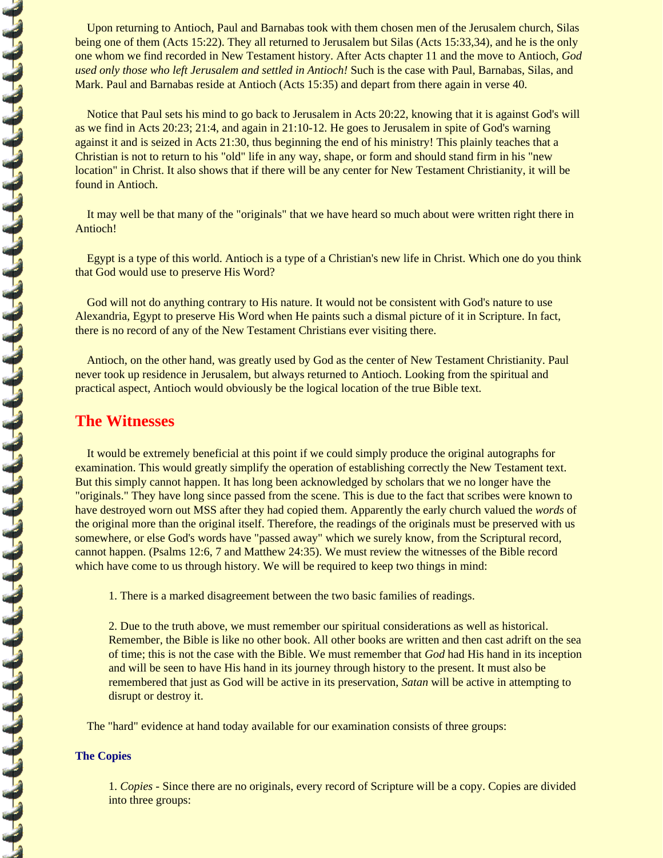Upon returning to Antioch, Paul and Barnabas took with them chosen men of the Jerusalem church, Silas being one of them (Acts 15:22). They all returned to Jerusalem but Silas (Acts 15:33,34), and he is the only one whom we find recorded in New Testament history. After Acts chapter 11 and the move to Antioch, *God used only those who left Jerusalem and settled in Antioch!* Such is the case with Paul, Barnabas, Silas, and Mark. Paul and Barnabas reside at Antioch (Acts 15:35) and depart from there again in verse 40.

 Notice that Paul sets his mind to go back to Jerusalem in Acts 20:22, knowing that it is against God's will as we find in Acts 20:23; 21:4, and again in 21:10-12. He goes to Jerusalem in spite of God's warning against it and is seized in Acts 21:30, thus beginning the end of his ministry! This plainly teaches that a Christian is not to return to his "old" life in any way, shape, or form and should stand firm in his "new location" in Christ. It also shows that if there will be any center for New Testament Christianity, it will be found in Antioch.

 It may well be that many of the "originals" that we have heard so much about were written right there in Antioch!

 Egypt is a type of this world. Antioch is a type of a Christian's new life in Christ. Which one do you think that God would use to preserve His Word?

 God will not do anything contrary to His nature. It would not be consistent with God's nature to use Alexandria, Egypt to preserve His Word when He paints such a dismal picture of it in Scripture. In fact, there is no record of any of the New Testament Christians ever visiting there.

 Antioch, on the other hand, was greatly used by God as the center of New Testament Christianity. Paul never took up residence in Jerusalem, but always returned to Antioch. Looking from the spiritual and practical aspect, Antioch would obviously be the logical location of the true Bible text.

# **The Witnesses**

 It would be extremely beneficial at this point if we could simply produce the original autographs for examination. This would greatly simplify the operation of establishing correctly the New Testament text. But this simply cannot happen. It has long been acknowledged by scholars that we no longer have the "originals." They have long since passed from the scene. This is due to the fact that scribes were known to have destroyed worn out MSS after they had copied them. Apparently the early church valued the *words* of the original more than the original itself. Therefore, the readings of the originals must be preserved with us somewhere, or else God's words have "passed away" which we surely know, from the Scriptural record, cannot happen. (Psalms 12:6, 7 and Matthew 24:35). We must review the witnesses of the Bible record which have come to us through history. We will be required to keep two things in mind:

1. There is a marked disagreement between the two basic families of readings.

2. Due to the truth above, we must remember our spiritual considerations as well as historical. Remember, the Bible is like no other book. All other books are written and then cast adrift on the sea of time; this is not the case with the Bible. We must remember that *God* had His hand in its inception and will be seen to have His hand in its journey through history to the present. It must also be remembered that just as God will be active in its preservation, *Satan* will be active in attempting to disrupt or destroy it.

The "hard" evidence at hand today available for our examination consists of three groups:

## **The Copies**

1. *Copies* - Since there are no originals, every record of Scripture will be a copy. Copies are divided into three groups: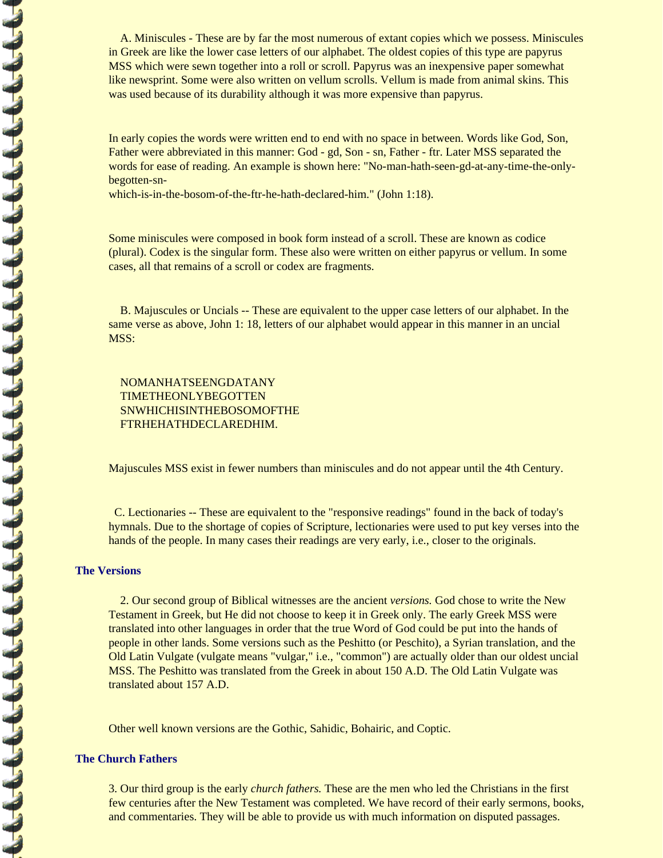A. Miniscules - These are by far the most numerous of extant copies which we possess. Miniscules in Greek are like the lower case letters of our alphabet. The oldest copies of this type are papyrus MSS which were sewn together into a roll or scroll. Papyrus was an inexpensive paper somewhat like newsprint. Some were also written on vellum scrolls. Vellum is made from animal skins. This was used because of its durability although it was more expensive than papyrus.

In early copies the words were written end to end with no space in between. Words like God, Son, Father were abbreviated in this manner: God - gd, Son - sn, Father - ftr. Later MSS separated the words for ease of reading. An example is shown here: "No-man-hath-seen-gd-at-any-time-the-onlybegotten-sn-

which-is-in-the-bosom-of-the-ftr-he-hath-declared-him." (John 1:18).

Some miniscules were composed in book form instead of a scroll. These are known as codice (plural). Codex is the singular form. These also were written on either papyrus or vellum. In some cases, all that remains of a scroll or codex are fragments.

 B. Majuscules or Uncials -- These are equivalent to the upper case letters of our alphabet. In the same verse as above, John 1: 18, letters of our alphabet would appear in this manner in an uncial MSS:

 NOMANHATSEENGDATANY TIMETHEONLYBEGOTTEN SNWHICHISINTHEBOSOMOFTHE FTRHEHATHDECLAREDHIM.

Majuscules MSS exist in fewer numbers than miniscules and do not appear until the 4th Century.

 C. Lectionaries -- These are equivalent to the "responsive readings" found in the back of today's hymnals. Due to the shortage of copies of Scripture, lectionaries were used to put key verses into the hands of the people. In many cases their readings are very early, i.e., closer to the originals.

#### **The Versions**

 2. Our second group of Biblical witnesses are the ancient *versions.* God chose to write the New Testament in Greek, but He did not choose to keep it in Greek only. The early Greek MSS were translated into other languages in order that the true Word of God could be put into the hands of people in other lands. Some versions such as the Peshitto (or Peschito), a Syrian translation, and the Old Latin Vulgate (vulgate means "vulgar," i.e., "common") are actually older than our oldest uncial MSS. The Peshitto was translated from the Greek in about 150 A.D. The Old Latin Vulgate was translated about 157 A.D.

Other well known versions are the Gothic, Sahidic, Bohairic, and Coptic.

## **The Church Fathers**

3. Our third group is the early *church fathers.* These are the men who led the Christians in the first few centuries after the New Testament was completed. We have record of their early sermons, books, and commentaries. They will be able to provide us with much information on disputed passages.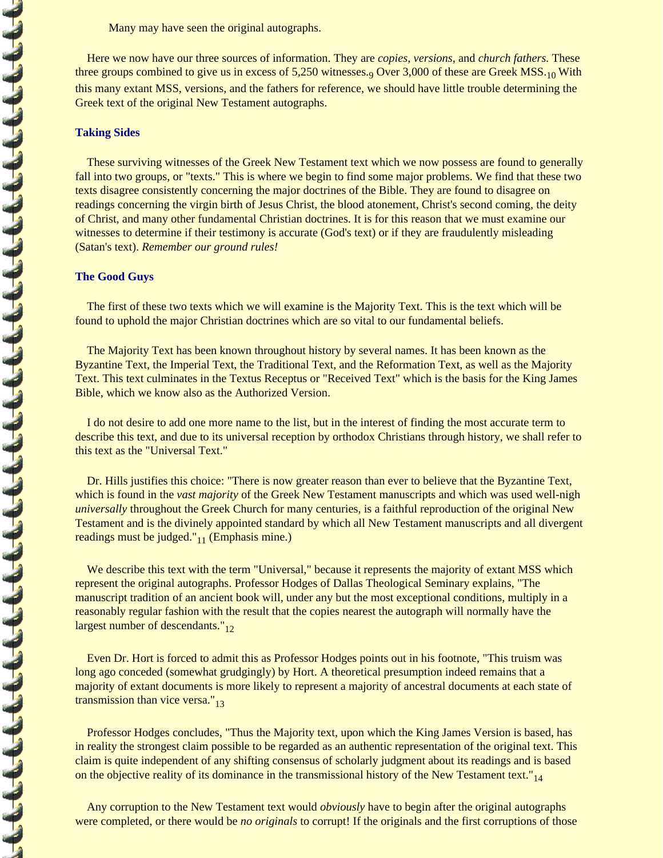Many may have seen the original autographs.

 Here we now have our three sources of information. They are *copies, versions,* and *church fathers.* These three groups combined to give us in excess of  $5,250$  witnesses.<sub>9</sub> Over 3,000 of these are Greek MSS.<sub>10</sub> With this many extant MSS, versions, and the fathers for reference, we should have little trouble determining the Greek text of the original New Testament autographs.

## **Taking Sides**

These surviving witnesses of the Greek New Testament text which we now possess are found to generally fall into two groups, or "texts." This is where we begin to find some major problems. We find that these two texts disagree consistently concerning the major doctrines of the Bible. They are found to disagree on readings concerning the virgin birth of Jesus Christ, the blood atonement, Christ's second coming, the deity of Christ, and many other fundamental Christian doctrines. It is for this reason that we must examine our witnesses to determine if their testimony is accurate (God's text) or if they are fraudulently misleading (Satan's text). *Remember our ground rules!*

#### **The Good Guys**

The first of these two texts which we will examine is the Majority Text. This is the text which will be found to uphold the major Christian doctrines which are so vital to our fundamental beliefs.

 The Majority Text has been known throughout history by several names. It has been known as the Byzantine Text, the Imperial Text, the Traditional Text, and the Reformation Text, as well as the Majority Text. This text culminates in the Textus Receptus or "Received Text" which is the basis for the King James Bible, which we know also as the Authorized Version.

I do not desire to add one more name to the list, but in the interest of finding the most accurate term to describe this text, and due to its universal reception by orthodox Christians through history, we shall refer to this text as the "Universal Text."

 Dr. Hills justifies this choice: "There is now greater reason than ever to believe that the Byzantine Text, which is found in the *vast majority* of the Greek New Testament manuscripts and which was used well-nigh *universally* throughout the Greek Church for many centuries, is a faithful reproduction of the original New Testament and is the divinely appointed standard by which all New Testament manuscripts and all divergent readings must be judged." $_{11}$  (Emphasis mine.)

We describe this text with the term "Universal," because it represents the majority of extant MSS which represent the original autographs. Professor Hodges of Dallas Theological Seminary explains, "The manuscript tradition of an ancient book will, under any but the most exceptional conditions, multiply in a reasonably regular fashion with the result that the copies nearest the autograph will normally have the largest number of descendants." $_{12}$ 

 Even Dr. Hort is forced to admit this as Professor Hodges points out in his footnote, "This truism was long ago conceded (somewhat grudgingly) by Hort. A theoretical presumption indeed remains that a majority of extant documents is more likely to represent a majority of ancestral documents at each state of transmission than vice versa." $_{13}$ 

 Professor Hodges concludes, "Thus the Majority text, upon which the King James Version is based, has in reality the strongest claim possible to be regarded as an authentic representation of the original text. This claim is quite independent of any shifting consensus of scholarly judgment about its readings and is based on the objective reality of its dominance in the transmissional history of the New Testament text." $_{14}$ 

 Any corruption to the New Testament text would *obviously* have to begin after the original autographs were completed, or there would be *no originals* to corrupt! If the originals and the first corruptions of those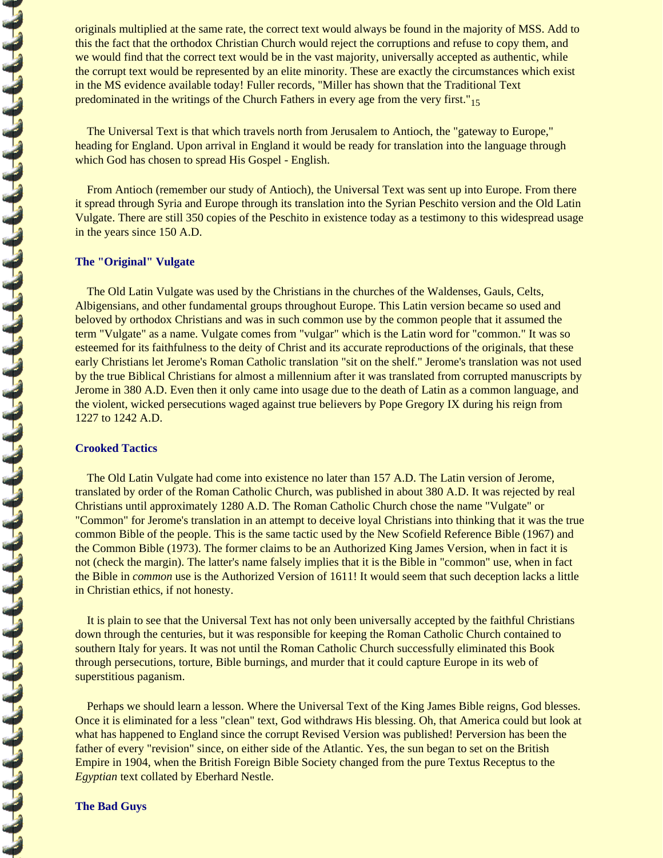originals multiplied at the same rate, the correct text would always be found in the majority of MSS. Add to this the fact that the orthodox Christian Church would reject the corruptions and refuse to copy them, and we would find that the correct text would be in the vast majority, universally accepted as authentic, while the corrupt text would be represented by an elite minority. These are exactly the circumstances which exist in the MS evidence available today! Fuller records, "Miller has shown that the Traditional Text predominated in the writings of the Church Fathers in every age from the very first." $_{15}$ 

 The Universal Text is that which travels north from Jerusalem to Antioch, the "gateway to Europe," heading for England. Upon arrival in England it would be ready for translation into the language through which God has chosen to spread His Gospel - English.

 From Antioch (remember our study of Antioch), the Universal Text was sent up into Europe. From there it spread through Syria and Europe through its translation into the Syrian Peschito version and the Old Latin Vulgate. There are still 350 copies of the Peschito in existence today as a testimony to this widespread usage in the years since 150 A.D.

## **The "Original" Vulgate**

 The Old Latin Vulgate was used by the Christians in the churches of the Waldenses, Gauls, Celts, Albigensians, and other fundamental groups throughout Europe. This Latin version became so used and beloved by orthodox Christians and was in such common use by the common people that it assumed the term "Vulgate" as a name. Vulgate comes from "vulgar" which is the Latin word for "common." It was so esteemed for its faithfulness to the deity of Christ and its accurate reproductions of the originals, that these early Christians let Jerome's Roman Catholic translation "sit on the shelf." Jerome's translation was not used by the true Biblical Christians for almost a millennium after it was translated from corrupted manuscripts by Jerome in 380 A.D. Even then it only came into usage due to the death of Latin as a common language, and the violent, wicked persecutions waged against true believers by Pope Gregory IX during his reign from 1227 to 1242 A.D.

#### **Crooked Tactics**

 The Old Latin Vulgate had come into existence no later than 157 A.D. The Latin version of Jerome, translated by order of the Roman Catholic Church, was published in about 380 A.D. It was rejected by real Christians until approximately 1280 A.D. The Roman Catholic Church chose the name "Vulgate" or "Common" for Jerome's translation in an attempt to deceive loyal Christians into thinking that it was the true common Bible of the people. This is the same tactic used by the New Scofield Reference Bible (1967) and the Common Bible (1973). The former claims to be an Authorized King James Version, when in fact it is not (check the margin). The latter's name falsely implies that it is the Bible in "common" use, when in fact the Bible in *common* use is the Authorized Version of 1611! It would seem that such deception lacks a little in Christian ethics, if not honesty.

 It is plain to see that the Universal Text has not only been universally accepted by the faithful Christians down through the centuries, but it was responsible for keeping the Roman Catholic Church contained to southern Italy for years. It was not until the Roman Catholic Church successfully eliminated this Book through persecutions, torture, Bible burnings, and murder that it could capture Europe in its web of superstitious paganism.

 Perhaps we should learn a lesson. Where the Universal Text of the King James Bible reigns, God blesses. Once it is eliminated for a less "clean" text, God withdraws His blessing. Oh, that America could but look at what has happened to England since the corrupt Revised Version was published! Perversion has been the father of every "revision" since, on either side of the Atlantic. Yes, the sun began to set on the British Empire in 1904, when the British Foreign Bible Society changed from the pure Textus Receptus to the *Egyptian* text collated by Eberhard Nestle.

**The Bad Guys**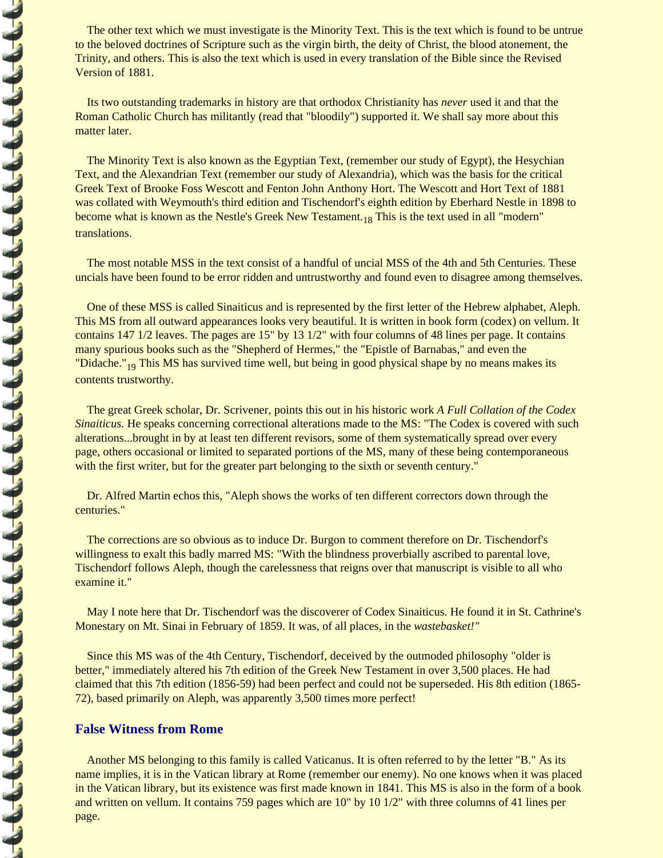The other text which we must investigate is the Minority Text. This is the text which is found to be untrue to the beloved doctrines of Scripture such as the virgin birth, the deity of Christ, the blood atonement, the Trinity, and others. This is also the text which is used in every translation of the Bible since the Revised Version of 1881.

 Its two outstanding trademarks in history are that orthodox Christianity has *never* used it and that the Roman Catholic Church has militantly (read that "bloodily") supported it. We shall say more about this matter later.

 The Minority Text is also known as the Egyptian Text, (remember our study of Egypt), the Hesychian Text, and the Alexandrian Text (remember our study of Alexandria), which was the basis for the critical Greek Text of Brooke Foss Wescott and Fenton John Anthony Hort. The Wescott and Hort Text of 1881 was collated with Weymouth's third edition and Tischendorf's eighth edition by Eberhard Nestle in 1898 to become what is known as the Nestle's Greek New Testament.<sub>18</sub> This is the text used in all "modern" translations.

 The most notable MSS in the text consist of a handful of uncial MSS of the 4th and 5th Centuries. These uncials have been found to be error ridden and untrustworthy and found even to disagree among themselves.

 One of these MSS is called Sinaiticus and is represented by the first letter of the Hebrew alphabet, Aleph. This MS from all outward appearances looks very beautiful. It is written in book form (codex) on vellum. It contains 147 1/2 leaves. The pages are 15" by 13 1/2" with four columns of 48 lines per page. It contains many spurious books such as the "Shepherd of Hermes," the "Epistle of Barnabas," and even the "Didache."<sub>19</sub> This MS has survived time well, but being in good physical shape by no means makes its contents trustworthy.

 The great Greek scholar, Dr. Scrivener, points this out in his historic work *A Full Collation of the Codex Sinaiticus.* He speaks concerning correctional alterations made to the MS: "The Codex is covered with such alterations...brought in by at least ten different revisors, some of them systematically spread over every page, others occasional or limited to separated portions of the MS, many of these being contemporaneous with the first writer, but for the greater part belonging to the sixth or seventh century."

 Dr. Alfred Martin echos this, "Aleph shows the works of ten different correctors down through the centuries."

 The corrections are so obvious as to induce Dr. Burgon to comment therefore on Dr. Tischendorf's willingness to exalt this badly marred MS: "With the blindness proverbially ascribed to parental love, Tischendorf follows Aleph, though the carelessness that reigns over that manuscript is visible to all who examine it."

May I note here that Dr. Tischendorf was the discoverer of Codex Sinaiticus. He found it in St. Cathrine's Monestary on Mt. Sinai in February of 1859. It was, of all places, in the *wastebasket!"*

 Since this MS was of the 4th Century, Tischendorf, deceived by the outmoded philosophy "older is better," immediately altered his 7th edition of the Greek New Testament in over 3,500 places. He had claimed that this 7th edition (1856-59) had been perfect and could not be superseded. His 8th edition (1865- 72), based primarily on Aleph, was apparently 3,500 times more perfect!

## **False Witness from Rome**

 Another MS belonging to this family is called Vaticanus. It is often referred to by the letter "B." As its name implies, it is in the Vatican library at Rome (remember our enemy). No one knows when it was placed in the Vatican library, but its existence was first made known in 1841. This MS is also in the form of a book and written on vellum. It contains 759 pages which are 10" by 10 1/2" with three columns of 41 lines per page.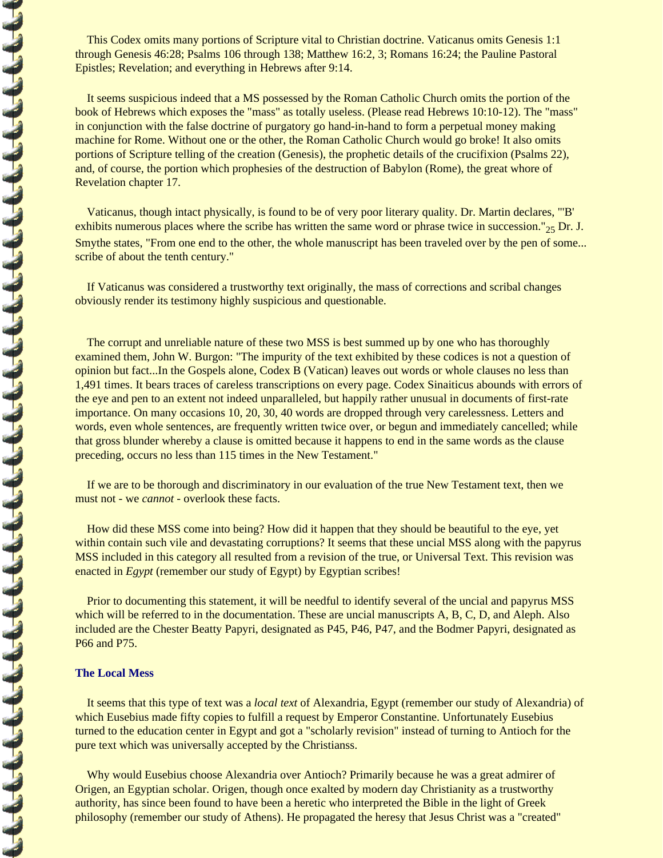This Codex omits many portions of Scripture vital to Christian doctrine. Vaticanus omits Genesis 1:1 through Genesis 46:28; Psalms 106 through 138; Matthew 16:2, 3; Romans 16:24; the Pauline Pastoral Epistles; Revelation; and everything in Hebrews after 9:14.

 It seems suspicious indeed that a MS possessed by the Roman Catholic Church omits the portion of the book of Hebrews which exposes the "mass" as totally useless. (Please read Hebrews 10:10-12). The "mass" in conjunction with the false doctrine of purgatory go hand-in-hand to form a perpetual money making machine for Rome. Without one or the other, the Roman Catholic Church would go broke! It also omits portions of Scripture telling of the creation (Genesis), the prophetic details of the crucifixion (Psalms 22), and, of course, the portion which prophesies of the destruction of Babylon (Rome), the great whore of Revelation chapter 17.

 Vaticanus, though intact physically, is found to be of very poor literary quality. Dr. Martin declares, "'B' exhibits numerous places where the scribe has written the same word or phrase twice in succession." $_{25}$  Dr. J. Smythe states, "From one end to the other, the whole manuscript has been traveled over by the pen of some... scribe of about the tenth century."

 If Vaticanus was considered a trustworthy text originally, the mass of corrections and scribal changes obviously render its testimony highly suspicious and questionable.

The corrupt and unreliable nature of these two MSS is best summed up by one who has thoroughly examined them, John W. Burgon: "The impurity of the text exhibited by these codices is not a question of opinion but fact...In the Gospels alone, Codex B (Vatican) leaves out words or whole clauses no less than 1,491 times. It bears traces of careless transcriptions on every page. Codex Sinaiticus abounds with errors of the eye and pen to an extent not indeed unparalleled, but happily rather unusual in documents of first-rate importance. On many occasions 10, 20, 30, 40 words are dropped through very carelessness. Letters and words, even whole sentences, are frequently written twice over, or begun and immediately cancelled; while that gross blunder whereby a clause is omitted because it happens to end in the same words as the clause preceding, occurs no less than 115 times in the New Testament."

 If we are to be thorough and discriminatory in our evaluation of the true New Testament text, then we must not - we *cannot* - overlook these facts.

 How did these MSS come into being? How did it happen that they should be beautiful to the eye, yet within contain such vile and devastating corruptions? It seems that these uncial MSS along with the papyrus MSS included in this category all resulted from a revision of the true, or Universal Text. This revision was enacted in *Egypt* (remember our study of Egypt) by Egyptian scribes!

 Prior to documenting this statement, it will be needful to identify several of the uncial and papyrus MSS which will be referred to in the documentation. These are uncial manuscripts A, B, C, D, and Aleph. Also included are the Chester Beatty Papyri, designated as P45, P46, P47, and the Bodmer Papyri, designated as P66 and P75.

## **The Local Mess**

 It seems that this type of text was a *local text* of Alexandria, Egypt (remember our study of Alexandria) of which Eusebius made fifty copies to fulfill a request by Emperor Constantine. Unfortunately Eusebius turned to the education center in Egypt and got a "scholarly revision" instead of turning to Antioch for the pure text which was universally accepted by the Christianss.

 Why would Eusebius choose Alexandria over Antioch? Primarily because he was a great admirer of Origen, an Egyptian scholar. Origen, though once exalted by modern day Christianity as a trustworthy authority, has since been found to have been a heretic who interpreted the Bible in the light of Greek philosophy (remember our study of Athens). He propagated the heresy that Jesus Christ was a "created"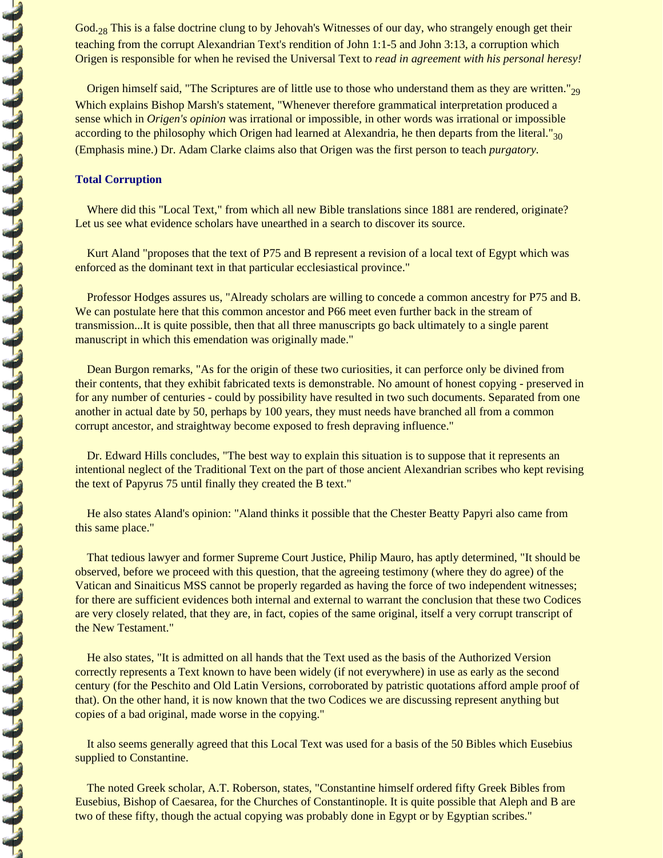God.<sub>28</sub> This is a false doctrine clung to by Jehovah's Witnesses of our day, who strangely enough get their teaching from the corrupt Alexandrian Text's rendition of John 1:1-5 and John 3:13, a corruption which Origen is responsible for when he revised the Universal Text to *read in agreement with his personal heresy!*

Origen himself said, "The Scriptures are of little use to those who understand them as they are written." $_{29}$ Which explains Bishop Marsh's statement, "Whenever therefore grammatical interpretation produced a sense which in *Origen's opinion* was irrational or impossible, in other words was irrational or impossible according to the philosophy which Origen had learned at Alexandria, he then departs from the literal." $_{30}$ (Emphasis mine.) Dr. Adam Clarke claims also that Origen was the first person to teach *purgatory.*

## **Total Corruption**

Where did this "Local Text," from which all new Bible translations since 1881 are rendered, originate? Let us see what evidence scholars have unearthed in a search to discover its source.

 Kurt Aland "proposes that the text of P75 and B represent a revision of a local text of Egypt which was enforced as the dominant text in that particular ecclesiastical province."

 Professor Hodges assures us, "Already scholars are willing to concede a common ancestry for P75 and B. We can postulate here that this common ancestor and P66 meet even further back in the stream of transmission...It is quite possible, then that all three manuscripts go back ultimately to a single parent manuscript in which this emendation was originally made."

 Dean Burgon remarks, "As for the origin of these two curiosities, it can perforce only be divined from their contents, that they exhibit fabricated texts is demonstrable. No amount of honest copying - preserved in for any number of centuries - could by possibility have resulted in two such documents. Separated from one another in actual date by 50, perhaps by 100 years, they must needs have branched all from a common corrupt ancestor, and straightway become exposed to fresh depraving influence."

 Dr. Edward Hills concludes, "The best way to explain this situation is to suppose that it represents an intentional neglect of the Traditional Text on the part of those ancient Alexandrian scribes who kept revising the text of Papyrus 75 until finally they created the B text."

 He also states Aland's opinion: "Aland thinks it possible that the Chester Beatty Papyri also came from this same place."

 That tedious lawyer and former Supreme Court Justice, Philip Mauro, has aptly determined, "It should be observed, before we proceed with this question, that the agreeing testimony (where they do agree) of the Vatican and Sinaiticus MSS cannot be properly regarded as having the force of two independent witnesses; for there are sufficient evidences both internal and external to warrant the conclusion that these two Codices are very closely related, that they are, in fact, copies of the same original, itself a very corrupt transcript of the New Testament."

 He also states, "It is admitted on all hands that the Text used as the basis of the Authorized Version correctly represents a Text known to have been widely (if not everywhere) in use as early as the second century (for the Peschito and Old Latin Versions, corroborated by patristic quotations afford ample proof of that). On the other hand, it is now known that the two Codices we are discussing represent anything but copies of a bad original, made worse in the copying."

 It also seems generally agreed that this Local Text was used for a basis of the 50 Bibles which Eusebius supplied to Constantine.

 The noted Greek scholar, A.T. Roberson, states, "Constantine himself ordered fifty Greek Bibles from Eusebius, Bishop of Caesarea, for the Churches of Constantinople. It is quite possible that Aleph and B are two of these fifty, though the actual copying was probably done in Egypt or by Egyptian scribes."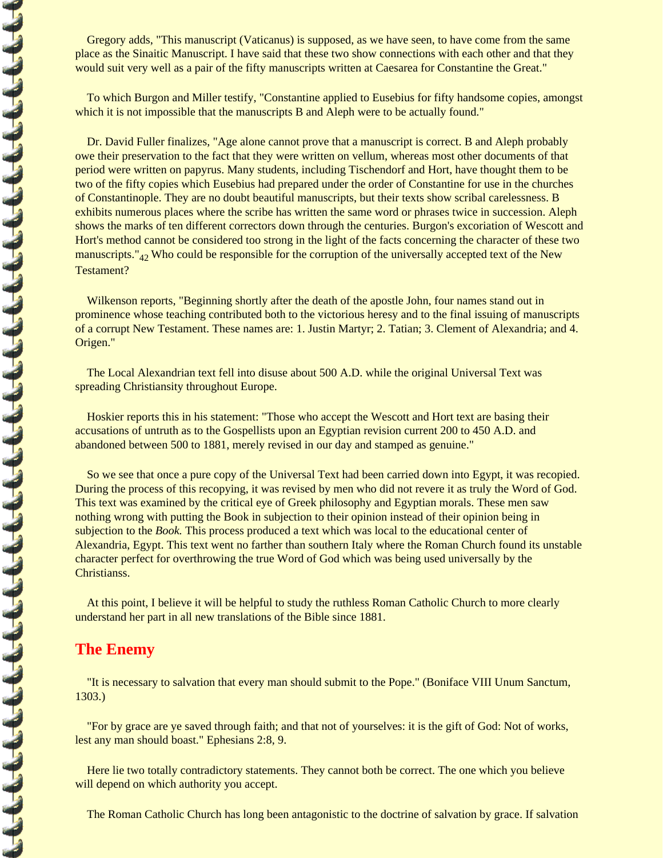Gregory adds, "This manuscript (Vaticanus) is supposed, as we have seen, to have come from the same place as the Sinaitic Manuscript. I have said that these two show connections with each other and that they would suit very well as a pair of the fifty manuscripts written at Caesarea for Constantine the Great."

 To which Burgon and Miller testify, "Constantine applied to Eusebius for fifty handsome copies, amongst which it is not impossible that the manuscripts **B** and Aleph were to be actually found."

 Dr. David Fuller finalizes, "Age alone cannot prove that a manuscript is correct. B and Aleph probably owe their preservation to the fact that they were written on vellum, whereas most other documents of that period were written on papyrus. Many students, including Tischendorf and Hort, have thought them to be two of the fifty copies which Eusebius had prepared under the order of Constantine for use in the churches of Constantinople. They are no doubt beautiful manuscripts, but their texts show scribal carelessness. B exhibits numerous places where the scribe has written the same word or phrases twice in succession. Aleph shows the marks of ten different correctors down through the centuries. Burgon's excoriation of Wescott and Hort's method cannot be considered too strong in the light of the facts concerning the character of these two manuscripts." $_{42}$  Who could be responsible for the corruption of the universally accepted text of the New Testament?

 Wilkenson reports, "Beginning shortly after the death of the apostle John, four names stand out in prominence whose teaching contributed both to the victorious heresy and to the final issuing of manuscripts of a corrupt New Testament. These names are: 1. Justin Martyr; 2. Tatian; 3. Clement of Alexandria; and 4. Origen."

 The Local Alexandrian text fell into disuse about 500 A.D. while the original Universal Text was spreading Christiansity throughout Europe.

 Hoskier reports this in his statement: "Those who accept the Wescott and Hort text are basing their accusations of untruth as to the Gospellists upon an Egyptian revision current 200 to 450 A.D. and abandoned between 500 to 1881, merely revised in our day and stamped as genuine."

 So we see that once a pure copy of the Universal Text had been carried down into Egypt, it was recopied. During the process of this recopying, it was revised by men who did not revere it as truly the Word of God. This text was examined by the critical eye of Greek philosophy and Egyptian morals. These men saw nothing wrong with putting the Book in subjection to their opinion instead of their opinion being in subjection to the *Book.* This process produced a text which was local to the educational center of Alexandria, Egypt. This text went no farther than southern Italy where the Roman Church found its unstable character perfect for overthrowing the true Word of God which was being used universally by the Christianss.

 At this point, I believe it will be helpful to study the ruthless Roman Catholic Church to more clearly understand her part in all new translations of the Bible since 1881.

# **The Enemy**

 "It is necessary to salvation that every man should submit to the Pope." (Boniface VIII Unum Sanctum, 1303.)

 "For by grace are ye saved through faith; and that not of yourselves: it is the gift of God: Not of works, lest any man should boast." Ephesians 2:8, 9.

 Here lie two totally contradictory statements. They cannot both be correct. The one which you believe will depend on which authority you accept.

The Roman Catholic Church has long been antagonistic to the doctrine of salvation by grace. If salvation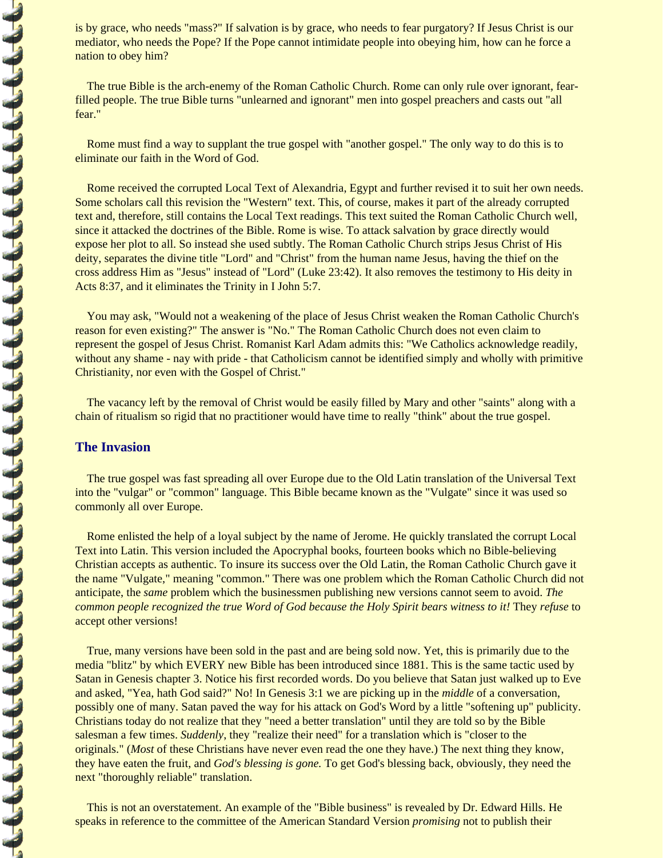is by grace, who needs "mass?" If salvation is by grace, who needs to fear purgatory? If Jesus Christ is our mediator, who needs the Pope? If the Pope cannot intimidate people into obeying him, how can he force a nation to obey him?

 The true Bible is the arch-enemy of the Roman Catholic Church. Rome can only rule over ignorant, fearfilled people. The true Bible turns "unlearned and ignorant" men into gospel preachers and casts out "all fear."

 Rome must find a way to supplant the true gospel with "another gospel." The only way to do this is to eliminate our faith in the Word of God.

 Rome received the corrupted Local Text of Alexandria, Egypt and further revised it to suit her own needs. Some scholars call this revision the "Western" text. This, of course, makes it part of the already corrupted text and, therefore, still contains the Local Text readings. This text suited the Roman Catholic Church well, since it attacked the doctrines of the Bible. Rome is wise. To attack salvation by grace directly would expose her plot to all. So instead she used subtly. The Roman Catholic Church strips Jesus Christ of His deity, separates the divine title "Lord" and "Christ" from the human name Jesus, having the thief on the cross address Him as "Jesus" instead of "Lord" (Luke 23:42). It also removes the testimony to His deity in Acts 8:37, and it eliminates the Trinity in I John 5:7.

 You may ask, "Would not a weakening of the place of Jesus Christ weaken the Roman Catholic Church's reason for even existing?" The answer is "No." The Roman Catholic Church does not even claim to represent the gospel of Jesus Christ. Romanist Karl Adam admits this: "We Catholics acknowledge readily, without any shame - nay with pride - that Catholicism cannot be identified simply and wholly with primitive Christianity, nor even with the Gospel of Christ."

 The vacancy left by the removal of Christ would be easily filled by Mary and other "saints" along with a chain of ritualism so rigid that no practitioner would have time to really "think" about the true gospel.

# **The Invasion**

 The true gospel was fast spreading all over Europe due to the Old Latin translation of the Universal Text into the "vulgar" or "common" language. This Bible became known as the "Vulgate" since it was used so commonly all over Europe.

 Rome enlisted the help of a loyal subject by the name of Jerome. He quickly translated the corrupt Local Text into Latin. This version included the Apocryphal books, fourteen books which no Bible-believing Christian accepts as authentic. To insure its success over the Old Latin, the Roman Catholic Church gave it the name "Vulgate," meaning "common." There was one problem which the Roman Catholic Church did not anticipate, the *same* problem which the businessmen publishing new versions cannot seem to avoid. *The common people recognized the true Word of God because the Holy Spirit bears witness to it!* They *refuse* to accept other versions!

 True, many versions have been sold in the past and are being sold now. Yet, this is primarily due to the media "blitz" by which EVERY new Bible has been introduced since 1881. This is the same tactic used by Satan in Genesis chapter 3. Notice his first recorded words. Do you believe that Satan just walked up to Eve and asked, "Yea, hath God said?" No! In Genesis 3:1 we are picking up in the *middle* of a conversation, possibly one of many. Satan paved the way for his attack on God's Word by a little "softening up" publicity. Christians today do not realize that they "need a better translation" until they are told so by the Bible salesman a few times. *Suddenly*, they "realize their need" for a translation which is "closer to the originals." (*Most* of these Christians have never even read the one they have.) The next thing they know, they have eaten the fruit, and *God's blessing is gone.* To get God's blessing back, obviously, they need the next "thoroughly reliable" translation.

 This is not an overstatement. An example of the "Bible business" is revealed by Dr. Edward Hills. He speaks in reference to the committee of the American Standard Version *promising* not to publish their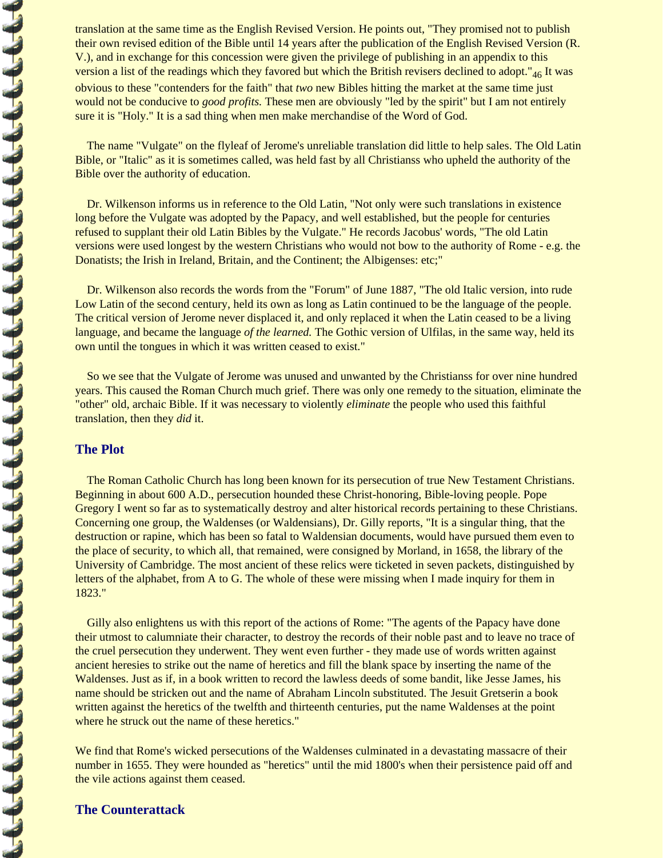translation at the same time as the English Revised Version. He points out, "They promised not to publish their own revised edition of the Bible until 14 years after the publication of the English Revised Version (R. V.), and in exchange for this concession were given the privilege of publishing in an appendix to this version a list of the readings which they favored but which the British revisers declined to adopt." $_{46}$  It was obvious to these "contenders for the faith" that *two* new Bibles hitting the market at the same time just would not be conducive to *good profits.* These men are obviously "led by the spirit" but I am not entirely sure it is "Holy." It is a sad thing when men make merchandise of the Word of God.

 The name "Vulgate" on the flyleaf of Jerome's unreliable translation did little to help sales. The Old Latin Bible, or "Italic" as it is sometimes called, was held fast by all Christianss who upheld the authority of the Bible over the authority of education.

 Dr. Wilkenson informs us in reference to the Old Latin, "Not only were such translations in existence long before the Vulgate was adopted by the Papacy, and well established, but the people for centuries refused to supplant their old Latin Bibles by the Vulgate." He records Jacobus' words, "The old Latin versions were used longest by the western Christians who would not bow to the authority of Rome - e.g. the Donatists; the Irish in Ireland, Britain, and the Continent; the Albigenses: etc;"

 Dr. Wilkenson also records the words from the "Forum" of June 1887, "The old Italic version, into rude Low Latin of the second century, held its own as long as Latin continued to be the language of the people. The critical version of Jerome never displaced it, and only replaced it when the Latin ceased to be a living language, and became the language *of the learned.* The Gothic version of Ulfilas, in the same way, held its own until the tongues in which it was written ceased to exist."

 So we see that the Vulgate of Jerome was unused and unwanted by the Christianss for over nine hundred years. This caused the Roman Church much grief. There was only one remedy to the situation, eliminate the "other" old, archaic Bible. If it was necessary to violently *eliminate* the people who used this faithful translation, then they *did* it.

## **The Plot**

 The Roman Catholic Church has long been known for its persecution of true New Testament Christians. Beginning in about 600 A.D., persecution hounded these Christ-honoring, Bible-loving people. Pope Gregory I went so far as to systematically destroy and alter historical records pertaining to these Christians. Concerning one group, the Waldenses (or Waldensians), Dr. Gilly reports, "It is a singular thing, that the destruction or rapine, which has been so fatal to Waldensian documents, would have pursued them even to the place of security, to which all, that remained, were consigned by Morland, in 1658, the library of the University of Cambridge. The most ancient of these relics were ticketed in seven packets, distinguished by letters of the alphabet, from A to G. The whole of these were missing when I made inquiry for them in 1823."

 Gilly also enlightens us with this report of the actions of Rome: "The agents of the Papacy have done their utmost to calumniate their character, to destroy the records of their noble past and to leave no trace of the cruel persecution they underwent. They went even further - they made use of words written against ancient heresies to strike out the name of heretics and fill the blank space by inserting the name of the Waldenses. Just as if, in a book written to record the lawless deeds of some bandit, like Jesse James, his name should be stricken out and the name of Abraham Lincoln substituted. The Jesuit Gretserin a book written against the heretics of the twelfth and thirteenth centuries, put the name Waldenses at the point where he struck out the name of these heretics."

We find that Rome's wicked persecutions of the Waldenses culminated in a devastating massacre of their number in 1655. They were hounded as "heretics" until the mid 1800's when their persistence paid off and the vile actions against them ceased.

## **The Counterattack**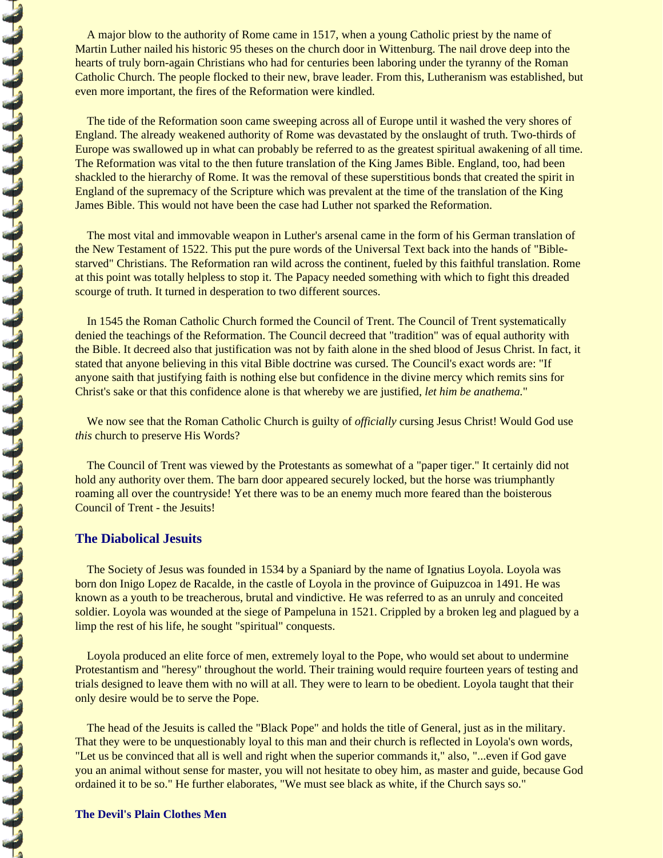A major blow to the authority of Rome came in 1517, when a young Catholic priest by the name of Martin Luther nailed his historic 95 theses on the church door in Wittenburg. The nail drove deep into the hearts of truly born-again Christians who had for centuries been laboring under the tyranny of the Roman Catholic Church. The people flocked to their new, brave leader. From this, Lutheranism was established, but even more important, the fires of the Reformation were kindled.

 The tide of the Reformation soon came sweeping across all of Europe until it washed the very shores of England. The already weakened authority of Rome was devastated by the onslaught of truth. Two-thirds of Europe was swallowed up in what can probably be referred to as the greatest spiritual awakening of all time. The Reformation was vital to the then future translation of the King James Bible. England, too, had been shackled to the hierarchy of Rome. It was the removal of these superstitious bonds that created the spirit in England of the supremacy of the Scripture which was prevalent at the time of the translation of the King James Bible. This would not have been the case had Luther not sparked the Reformation.

 The most vital and immovable weapon in Luther's arsenal came in the form of his German translation of the New Testament of 1522. This put the pure words of the Universal Text back into the hands of "Biblestarved" Christians. The Reformation ran wild across the continent, fueled by this faithful translation. Rome at this point was totally helpless to stop it. The Papacy needed something with which to fight this dreaded scourge of truth. It turned in desperation to two different sources.

 In 1545 the Roman Catholic Church formed the Council of Trent. The Council of Trent systematically denied the teachings of the Reformation. The Council decreed that "tradition" was of equal authority with the Bible. It decreed also that justification was not by faith alone in the shed blood of Jesus Christ. In fact, it stated that anyone believing in this vital Bible doctrine was cursed. The Council's exact words are: "If anyone saith that justifying faith is nothing else but confidence in the divine mercy which remits sins for Christ's sake or that this confidence alone is that whereby we are justified, *let him be anathema.*"

 We now see that the Roman Catholic Church is guilty of *officially* cursing Jesus Christ! Would God use *this* church to preserve His Words?

 The Council of Trent was viewed by the Protestants as somewhat of a "paper tiger." It certainly did not hold any authority over them. The barn door appeared securely locked, but the horse was triumphantly roaming all over the countryside! Yet there was to be an enemy much more feared than the boisterous Council of Trent - the Jesuits!

# **The Diabolical Jesuits**

 The Society of Jesus was founded in 1534 by a Spaniard by the name of Ignatius Loyola. Loyola was born don Inigo Lopez de Racalde, in the castle of Loyola in the province of Guipuzcoa in 1491. He was known as a youth to be treacherous, brutal and vindictive. He was referred to as an unruly and conceited soldier. Loyola was wounded at the siege of Pampeluna in 1521. Crippled by a broken leg and plagued by a limp the rest of his life, he sought "spiritual" conquests.

 Loyola produced an elite force of men, extremely loyal to the Pope, who would set about to undermine Protestantism and "heresy" throughout the world. Their training would require fourteen years of testing and trials designed to leave them with no will at all. They were to learn to be obedient. Loyola taught that their only desire would be to serve the Pope.

 The head of the Jesuits is called the "Black Pope" and holds the title of General, just as in the military. That they were to be unquestionably loyal to this man and their church is reflected in Loyola's own words, "Let us be convinced that all is well and right when the superior commands it," also, "...even if God gave you an animal without sense for master, you will not hesitate to obey him, as master and guide, because God ordained it to be so." He further elaborates, "We must see black as white, if the Church says so."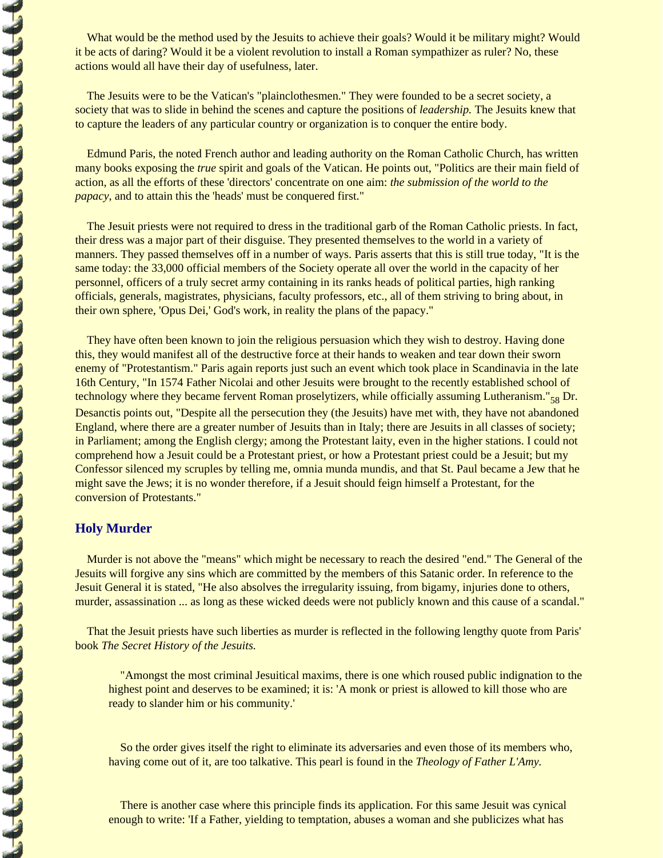What would be the method used by the Jesuits to achieve their goals? Would it be military might? Would it be acts of daring? Would it be a violent revolution to install a Roman sympathizer as ruler? No, these actions would all have their day of usefulness, later.

 The Jesuits were to be the Vatican's "plainclothesmen." They were founded to be a secret society, a society that was to slide in behind the scenes and capture the positions of *leadership.* The Jesuits knew that to capture the leaders of any particular country or organization is to conquer the entire body.

 Edmund Paris, the noted French author and leading authority on the Roman Catholic Church, has written many books exposing the *true* spirit and goals of the Vatican. He points out, "Politics are their main field of action, as all the efforts of these 'directors' concentrate on one aim: *the submission of the world to the papacy*, and to attain this the 'heads' must be conquered first."

 The Jesuit priests were not required to dress in the traditional garb of the Roman Catholic priests. In fact, their dress was a major part of their disguise. They presented themselves to the world in a variety of manners. They passed themselves off in a number of ways. Paris asserts that this is still true today, "It is the same today: the 33,000 official members of the Society operate all over the world in the capacity of her personnel, officers of a truly secret army containing in its ranks heads of political parties, high ranking officials, generals, magistrates, physicians, faculty professors, etc., all of them striving to bring about, in their own sphere, 'Opus Dei,' God's work, in reality the plans of the papacy."

 They have often been known to join the religious persuasion which they wish to destroy. Having done this, they would manifest all of the destructive force at their hands to weaken and tear down their sworn enemy of "Protestantism." Paris again reports just such an event which took place in Scandinavia in the late 16th Century, "In 1574 Father Nicolai and other Jesuits were brought to the recently established school of technology where they became fervent Roman proselytizers, while officially assuming Lutheranism."<sub>58</sub> Dr. Desanctis points out, "Despite all the persecution they (the Jesuits) have met with, they have not abandoned England, where there are a greater number of Jesuits than in Italy; there are Jesuits in all classes of society; in Parliament; among the English clergy; among the Protestant laity, even in the higher stations. I could not comprehend how a Jesuit could be a Protestant priest, or how a Protestant priest could be a Jesuit; but my Confessor silenced my scruples by telling me, omnia munda mundis, and that St. Paul became a Jew that he might save the Jews; it is no wonder therefore, if a Jesuit should feign himself a Protestant, for the conversion of Protestants."

## **Holy Murder**

 Murder is not above the "means" which might be necessary to reach the desired "end." The General of the Jesuits will forgive any sins which are committed by the members of this Satanic order. In reference to the Jesuit General it is stated, "He also absolves the irregularity issuing, from bigamy, injuries done to others, murder, assassination ... as long as these wicked deeds were not publicly known and this cause of a scandal."

 That the Jesuit priests have such liberties as murder is reflected in the following lengthy quote from Paris' book *The Secret History of the Jesuits.*

 "Amongst the most criminal Jesuitical maxims, there is one which roused public indignation to the highest point and deserves to be examined; it is: 'A monk or priest is allowed to kill those who are ready to slander him or his community.'

 So the order gives itself the right to eliminate its adversaries and even those of its members who, having come out of it, are too talkative. This pearl is found in the *Theology of Father L'Amy.*

 There is another case where this principle finds its application. For this same Jesuit was cynical enough to write: 'If a Father, yielding to temptation, abuses a woman and she publicizes what has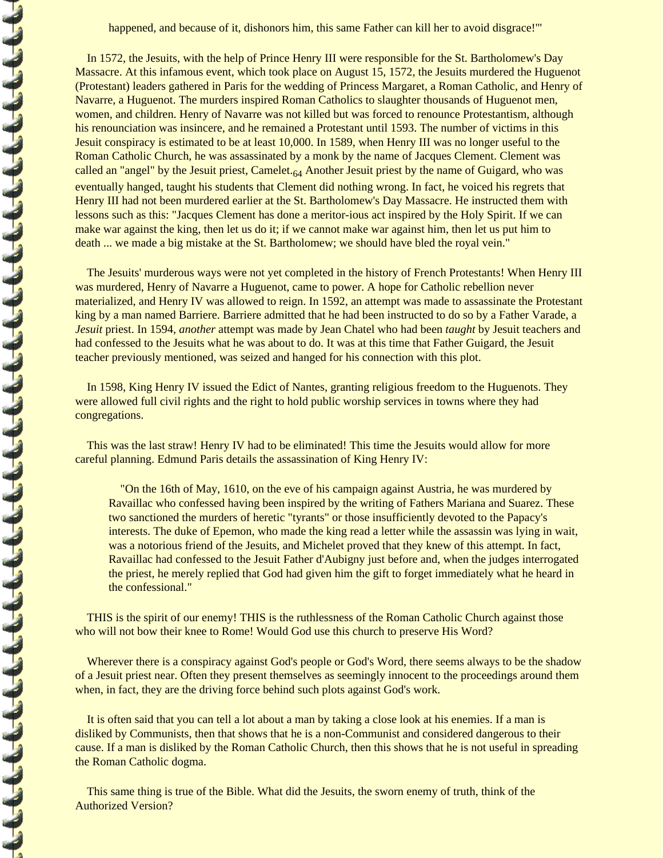#### happened, and because of it, dishonors him, this same Father can kill her to avoid disgrace!"

 In 1572, the Jesuits, with the help of Prince Henry III were responsible for the St. Bartholomew's Day Massacre. At this infamous event, which took place on August 15, 1572, the Jesuits murdered the Huguenot (Protestant) leaders gathered in Paris for the wedding of Princess Margaret, a Roman Catholic, and Henry of Navarre, a Huguenot. The murders inspired Roman Catholics to slaughter thousands of Huguenot men, women, and children. Henry of Navarre was not killed but was forced to renounce Protestantism, although his renounciation was insincere, and he remained a Protestant until 1593. The number of victims in this Jesuit conspiracy is estimated to be at least 10,000. In 1589, when Henry III was no longer useful to the Roman Catholic Church, he was assassinated by a monk by the name of Jacques Clement. Clement was called an "angel" by the Jesuit priest, Camelet. $64$  Another Jesuit priest by the name of Guigard, who was eventually hanged, taught his students that Clement did nothing wrong. In fact, he voiced his regrets that Henry III had not been murdered earlier at the St. Bartholomew's Day Massacre. He instructed them with lessons such as this: "Jacques Clement has done a meritor-ious act inspired by the Holy Spirit. If we can make war against the king, then let us do it; if we cannot make war against him, then let us put him to death ... we made a big mistake at the St. Bartholomew; we should have bled the royal vein."

 The Jesuits' murderous ways were not yet completed in the history of French Protestants! When Henry III was murdered, Henry of Navarre a Huguenot, came to power. A hope for Catholic rebellion never materialized, and Henry IV was allowed to reign. In 1592, an attempt was made to assassinate the Protestant king by a man named Barriere. Barriere admitted that he had been instructed to do so by a Father Varade, a *Jesuit* priest. In 1594, *another* attempt was made by Jean Chatel who had been *taught* by Jesuit teachers and had confessed to the Jesuits what he was about to do. It was at this time that Father Guigard, the Jesuit teacher previously mentioned, was seized and hanged for his connection with this plot.

 In 1598, King Henry IV issued the Edict of Nantes, granting religious freedom to the Huguenots. They were allowed full civil rights and the right to hold public worship services in towns where they had congregations.

This was the last straw! Henry IV had to be eliminated! This time the Jesuits would allow for more careful planning. Edmund Paris details the assassination of King Henry IV:

 "On the 16th of May, 1610, on the eve of his campaign against Austria, he was murdered by Ravaillac who confessed having been inspired by the writing of Fathers Mariana and Suarez. These two sanctioned the murders of heretic "tyrants" or those insufficiently devoted to the Papacy's interests. The duke of Epemon, who made the king read a letter while the assassin was lying in wait, was a notorious friend of the Jesuits, and Michelet proved that they knew of this attempt. In fact, Ravaillac had confessed to the Jesuit Father d'Aubigny just before and, when the judges interrogated the priest, he merely replied that God had given him the gift to forget immediately what he heard in the confessional."

 THIS is the spirit of our enemy! THIS is the ruthlessness of the Roman Catholic Church against those who will not bow their knee to Rome! Would God use this church to preserve His Word?

 Wherever there is a conspiracy against God's people or God's Word, there seems always to be the shadow of a Jesuit priest near. Often they present themselves as seemingly innocent to the proceedings around them when, in fact, they are the driving force behind such plots against God's work.

 It is often said that you can tell a lot about a man by taking a close look at his enemies. If a man is disliked by Communists, then that shows that he is a non-Communist and considered dangerous to their cause. If a man is disliked by the Roman Catholic Church, then this shows that he is not useful in spreading the Roman Catholic dogma.

 This same thing is true of the Bible. What did the Jesuits, the sworn enemy of truth, think of the Authorized Version?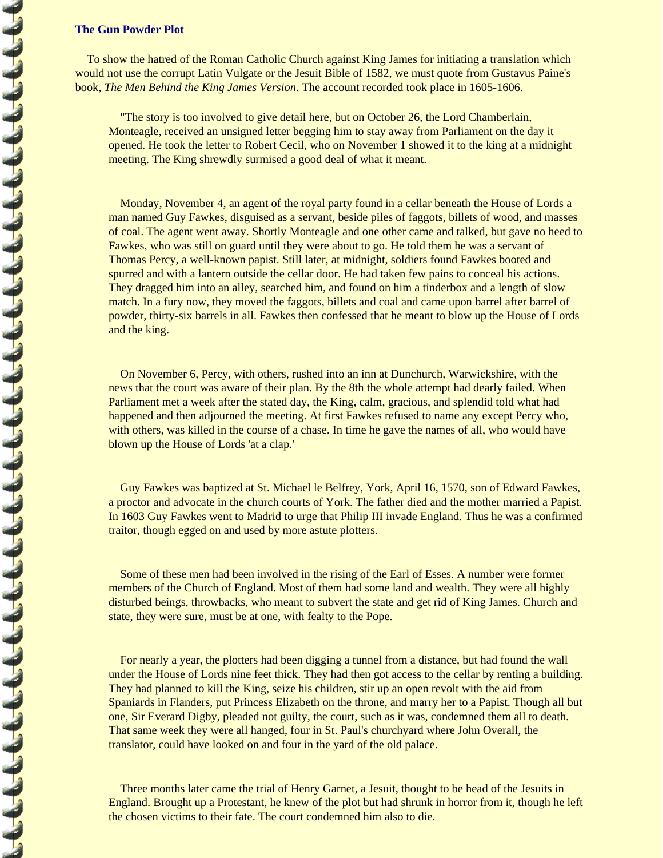### **The Gun Powder Plot**

 To show the hatred of the Roman Catholic Church against King James for initiating a translation which would not use the corrupt Latin Vulgate or the Jesuit Bible of 1582, we must quote from Gustavus Paine's book, *The Men Behind the King James Version.* The account recorded took place in 1605-1606.

 "The story is too involved to give detail here, but on October 26, the Lord Chamberlain, Monteagle, received an unsigned letter begging him to stay away from Parliament on the day it opened. He took the letter to Robert Cecil, who on November 1 showed it to the king at a midnight meeting. The King shrewdly surmised a good deal of what it meant.

 Monday, November 4, an agent of the royal party found in a cellar beneath the House of Lords a man named Guy Fawkes, disguised as a servant, beside piles of faggots, billets of wood, and masses of coal. The agent went away. Shortly Monteagle and one other came and talked, but gave no heed to Fawkes, who was still on guard until they were about to go. He told them he was a servant of Thomas Percy, a well-known papist. Still later, at midnight, soldiers found Fawkes booted and spurred and with a lantern outside the cellar door. He had taken few pains to conceal his actions. They dragged him into an alley, searched him, and found on him a tinderbox and a length of slow match. In a fury now, they moved the faggots, billets and coal and came upon barrel after barrel of powder, thirty-six barrels in all. Fawkes then confessed that he meant to blow up the House of Lords and the king.

 On November 6, Percy, with others, rushed into an inn at Dunchurch, Warwickshire, with the news that the court was aware of their plan. By the 8th the whole attempt had dearly failed. When Parliament met a week after the stated day, the King, calm, gracious, and splendid told what had happened and then adjourned the meeting. At first Fawkes refused to name any except Percy who, with others, was killed in the course of a chase. In time he gave the names of all, who would have blown up the House of Lords 'at a clap.'

 Guy Fawkes was baptized at St. Michael le Belfrey, York, April 16, 1570, son of Edward Fawkes, a proctor and advocate in the church courts of York. The father died and the mother married a Papist. In 1603 Guy Fawkes went to Madrid to urge that Philip III invade England. Thus he was a confirmed traitor, though egged on and used by more astute plotters.

 Some of these men had been involved in the rising of the Earl of Esses. A number were former members of the Church of England. Most of them had some land and wealth. They were all highly disturbed beings, throwbacks, who meant to subvert the state and get rid of King James. Church and state, they were sure, must be at one, with fealty to the Pope.

 For nearly a year, the plotters had been digging a tunnel from a distance, but had found the wall under the House of Lords nine feet thick. They had then got access to the cellar by renting a building. They had planned to kill the King, seize his children, stir up an open revolt with the aid from Spaniards in Flanders, put Princess Elizabeth on the throne, and marry her to a Papist. Though all but one, Sir Everard Digby, pleaded not guilty, the court, such as it was, condemned them all to death. That same week they were all hanged, four in St. Paul's churchyard where John Overall, the translator, could have looked on and four in the yard of the old palace.

 Three months later came the trial of Henry Garnet, a Jesuit, thought to be head of the Jesuits in England. Brought up a Protestant, he knew of the plot but had shrunk in horror from it, though he left the chosen victims to their fate. The court condemned him also to die.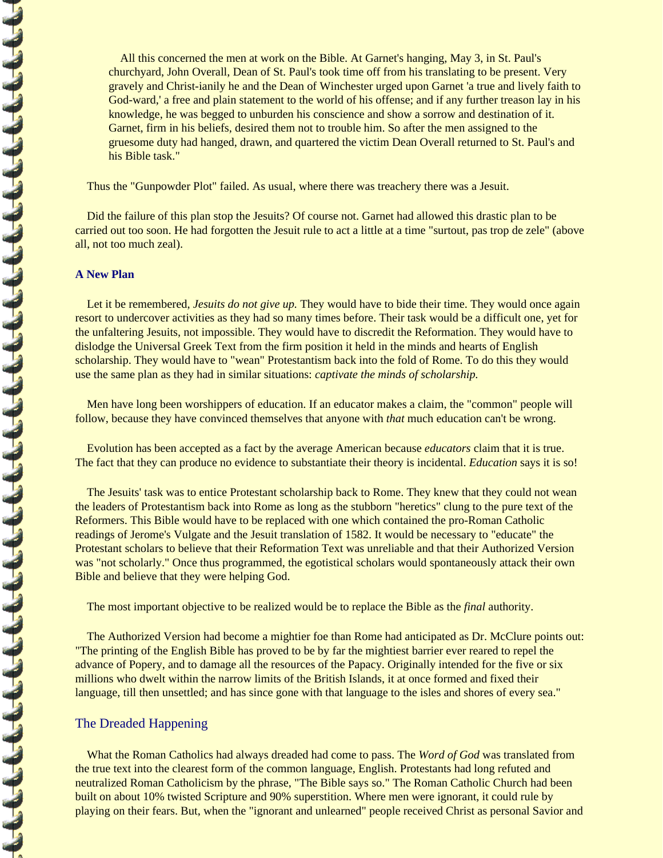All this concerned the men at work on the Bible. At Garnet's hanging, May 3, in St. Paul's churchyard, John Overall, Dean of St. Paul's took time off from his translating to be present. Very gravely and Christ-ianily he and the Dean of Winchester urged upon Garnet 'a true and lively faith to God-ward,' a free and plain statement to the world of his offense; and if any further treason lay in his knowledge, he was begged to unburden his conscience and show a sorrow and destination of it. Garnet, firm in his beliefs, desired them not to trouble him. So after the men assigned to the gruesome duty had hanged, drawn, and quartered the victim Dean Overall returned to St. Paul's and his Bible task."

Thus the "Gunpowder Plot" failed. As usual, where there was treachery there was a Jesuit.

 Did the failure of this plan stop the Jesuits? Of course not. Garnet had allowed this drastic plan to be carried out too soon. He had forgotten the Jesuit rule to act a little at a time "surtout, pas trop de zele" (above all, not too much zeal).

## **A New Plan**

 Let it be remembered, *Jesuits do not give up.* They would have to bide their time. They would once again resort to undercover activities as they had so many times before. Their task would be a difficult one, yet for the unfaltering Jesuits, not impossible. They would have to discredit the Reformation. They would have to dislodge the Universal Greek Text from the firm position it held in the minds and hearts of English scholarship. They would have to "wean" Protestantism back into the fold of Rome. To do this they would use the same plan as they had in similar situations: *captivate the minds of scholarship.*

 Men have long been worshippers of education. If an educator makes a claim, the "common" people will follow, because they have convinced themselves that anyone with *that* much education can't be wrong.

 Evolution has been accepted as a fact by the average American because *educators* claim that it is true. The fact that they can produce no evidence to substantiate their theory is incidental. *Education* says it is so!

 The Jesuits' task was to entice Protestant scholarship back to Rome. They knew that they could not wean the leaders of Protestantism back into Rome as long as the stubborn "heretics" clung to the pure text of the Reformers. This Bible would have to be replaced with one which contained the pro-Roman Catholic readings of Jerome's Vulgate and the Jesuit translation of 1582. It would be necessary to "educate" the Protestant scholars to believe that their Reformation Text was unreliable and that their Authorized Version was "not scholarly." Once thus programmed, the egotistical scholars would spontaneously attack their own Bible and believe that they were helping God.

The most important objective to be realized would be to replace the Bible as the *final* authority.

 The Authorized Version had become a mightier foe than Rome had anticipated as Dr. McClure points out: "The printing of the English Bible has proved to be by far the mightiest barrier ever reared to repel the advance of Popery, and to damage all the resources of the Papacy. Originally intended for the five or six millions who dwelt within the narrow limits of the British Islands, it at once formed and fixed their language, till then unsettled; and has since gone with that language to the isles and shores of every sea."

# The Dreaded Happening

 What the Roman Catholics had always dreaded had come to pass. The *Word of God* was translated from the true text into the clearest form of the common language, English. Protestants had long refuted and neutralized Roman Catholicism by the phrase, "The Bible says so." The Roman Catholic Church had been built on about 10% twisted Scripture and 90% superstition. Where men were ignorant, it could rule by playing on their fears. But, when the "ignorant and unlearned" people received Christ as personal Savior and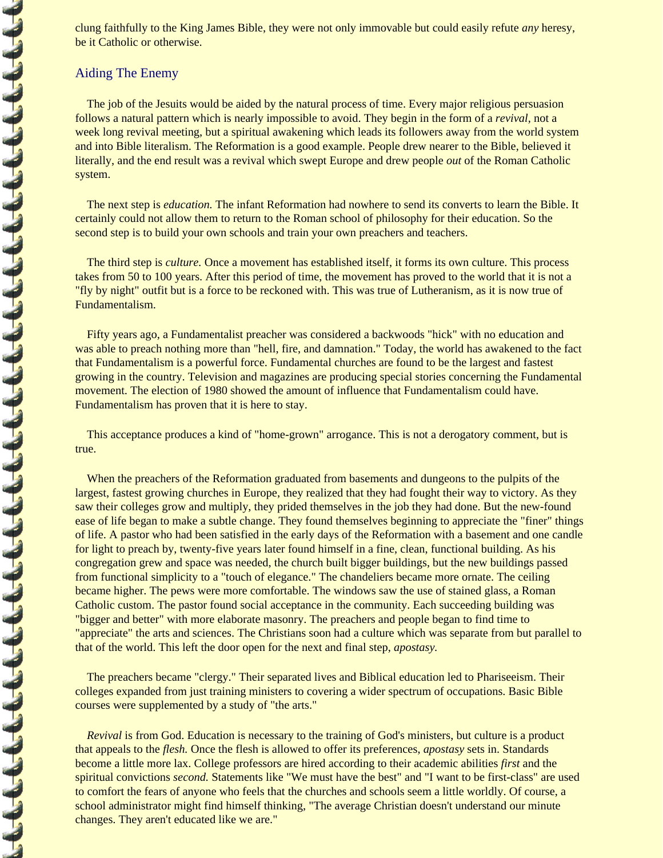clung faithfully to the King James Bible, they were not only immovable but could easily refute *any* heresy, be it Catholic or otherwise.

# Aiding The Enemy

 The job of the Jesuits would be aided by the natural process of time. Every major religious persuasion follows a natural pattern which is nearly impossible to avoid. They begin in the form of a *revival,* not a week long revival meeting, but a spiritual awakening which leads its followers away from the world system and into Bible literalism. The Reformation is a good example. People drew nearer to the Bible, believed it literally, and the end result was a revival which swept Europe and drew people *out* of the Roman Catholic system.

 The next step is *education.* The infant Reformation had nowhere to send its converts to learn the Bible. It certainly could not allow them to return to the Roman school of philosophy for their education. So the second step is to build your own schools and train your own preachers and teachers.

 The third step is *culture.* Once a movement has established itself, it forms its own culture. This process takes from 50 to 100 years. After this period of time, the movement has proved to the world that it is not a "fly by night" outfit but is a force to be reckoned with. This was true of Lutheranism, as it is now true of Fundamentalism.

 Fifty years ago, a Fundamentalist preacher was considered a backwoods "hick" with no education and was able to preach nothing more than "hell, fire, and damnation." Today, the world has awakened to the fact that Fundamentalism is a powerful force. Fundamental churches are found to be the largest and fastest growing in the country. Television and magazines are producing special stories concerning the Fundamental movement. The election of 1980 showed the amount of influence that Fundamentalism could have. Fundamentalism has proven that it is here to stay.

 This acceptance produces a kind of "home-grown" arrogance. This is not a derogatory comment, but is true.

 When the preachers of the Reformation graduated from basements and dungeons to the pulpits of the largest, fastest growing churches in Europe, they realized that they had fought their way to victory. As they saw their colleges grow and multiply, they prided themselves in the job they had done. But the new-found ease of life began to make a subtle change. They found themselves beginning to appreciate the "finer" things of life. A pastor who had been satisfied in the early days of the Reformation with a basement and one candle for light to preach by, twenty-five years later found himself in a fine, clean, functional building. As his congregation grew and space was needed, the church built bigger buildings, but the new buildings passed from functional simplicity to a "touch of elegance." The chandeliers became more ornate. The ceiling became higher. The pews were more comfortable. The windows saw the use of stained glass, a Roman Catholic custom. The pastor found social acceptance in the community. Each succeeding building was "bigger and better" with more elaborate masonry. The preachers and people began to find time to "appreciate" the arts and sciences. The Christians soon had a culture which was separate from but parallel to that of the world. This left the door open for the next and final step, *apostasy.*

 The preachers became "clergy." Their separated lives and Biblical education led to Phariseeism. Their colleges expanded from just training ministers to covering a wider spectrum of occupations. Basic Bible courses were supplemented by a study of "the arts."

 *Revival* is from God. Education is necessary to the training of God's ministers, but culture is a product that appeals to the *flesh.* Once the flesh is allowed to offer its preferences, *apostasy* sets in. Standards become a little more lax. College professors are hired according to their academic abilities *first* and the spiritual convictions *second.* Statements like "We must have the best" and "I want to be first-class" are used to comfort the fears of anyone who feels that the churches and schools seem a little worldly. Of course, a school administrator might find himself thinking, "The average Christian doesn't understand our minute changes. They aren't educated like we are."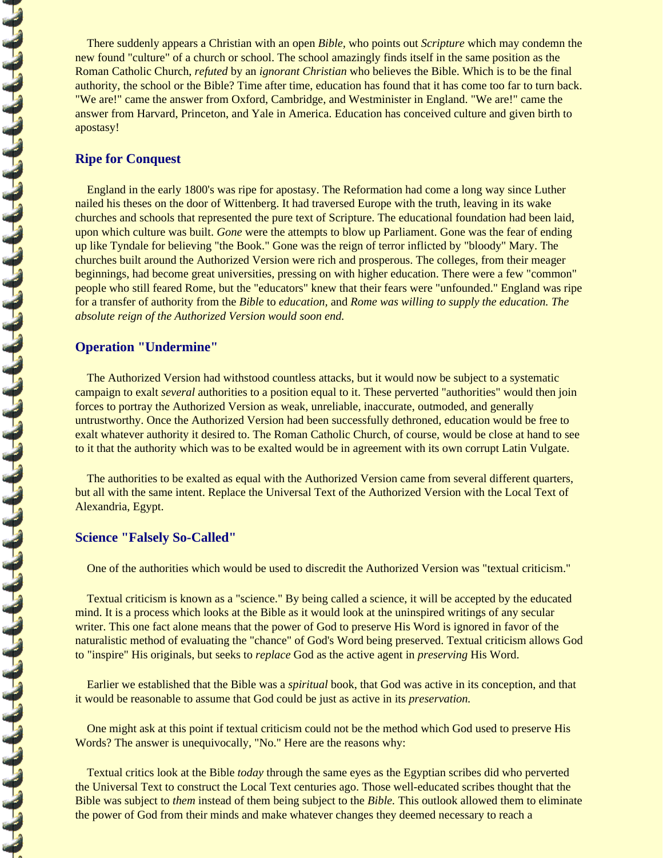There suddenly appears a Christian with an open *Bible,* who points out *Scripture* which may condemn the new found "culture" of a church or school. The school amazingly finds itself in the same position as the Roman Catholic Church, *refuted* by an *ignorant Christian* who believes the Bible. Which is to be the final authority, the school or the Bible? Time after time, education has found that it has come too far to turn back. "We are!" came the answer from Oxford, Cambridge, and Westminister in England. "We are!" came the answer from Harvard, Princeton, and Yale in America. Education has conceived culture and given birth to apostasy!

# **Ripe for Conquest**

 England in the early 1800's was ripe for apostasy. The Reformation had come a long way since Luther nailed his theses on the door of Wittenberg. It had traversed Europe with the truth, leaving in its wake churches and schools that represented the pure text of Scripture. The educational foundation had been laid, upon which culture was built. *Gone* were the attempts to blow up Parliament. Gone was the fear of ending up like Tyndale for believing "the Book." Gone was the reign of terror inflicted by "bloody" Mary. The churches built around the Authorized Version were rich and prosperous. The colleges, from their meager beginnings, had become great universities, pressing on with higher education. There were a few "common" people who still feared Rome, but the "educators" knew that their fears were "unfounded." England was ripe for a transfer of authority from the *Bible* to *education,* and *Rome was willing to supply the education. The absolute reign of the Authorized Version would soon end.*

# **Operation "Undermine"**

 The Authorized Version had withstood countless attacks, but it would now be subject to a systematic campaign to exalt *several* authorities to a position equal to it. These perverted "authorities" would then join forces to portray the Authorized Version as weak, unreliable, inaccurate, outmoded, and generally untrustworthy. Once the Authorized Version had been successfully dethroned, education would be free to exalt whatever authority it desired to. The Roman Catholic Church, of course, would be close at hand to see to it that the authority which was to be exalted would be in agreement with its own corrupt Latin Vulgate.

 The authorities to be exalted as equal with the Authorized Version came from several different quarters, but all with the same intent. Replace the Universal Text of the Authorized Version with the Local Text of Alexandria, Egypt.

# **Science "Falsely So-Called"**

One of the authorities which would be used to discredit the Authorized Version was "textual criticism."

 Textual criticism is known as a "science." By being called a science, it will be accepted by the educated mind. It is a process which looks at the Bible as it would look at the uninspired writings of any secular writer. This one fact alone means that the power of God to preserve His Word is ignored in favor of the naturalistic method of evaluating the "chance" of God's Word being preserved. Textual criticism allows God to "inspire" His originals, but seeks to *replace* God as the active agent in *preserving* His Word.

 Earlier we established that the Bible was a *spiritual* book, that God was active in its conception, and that it would be reasonable to assume that God could be just as active in its *preservation.*

 One might ask at this point if textual criticism could not be the method which God used to preserve His Words? The answer is unequivocally, "No." Here are the reasons why:

 Textual critics look at the Bible *today* through the same eyes as the Egyptian scribes did who perverted the Universal Text to construct the Local Text centuries ago. Those well-educated scribes thought that the Bible was subject to *them* instead of them being subject to the *Bible.* This outlook allowed them to eliminate the power of God from their minds and make whatever changes they deemed necessary to reach a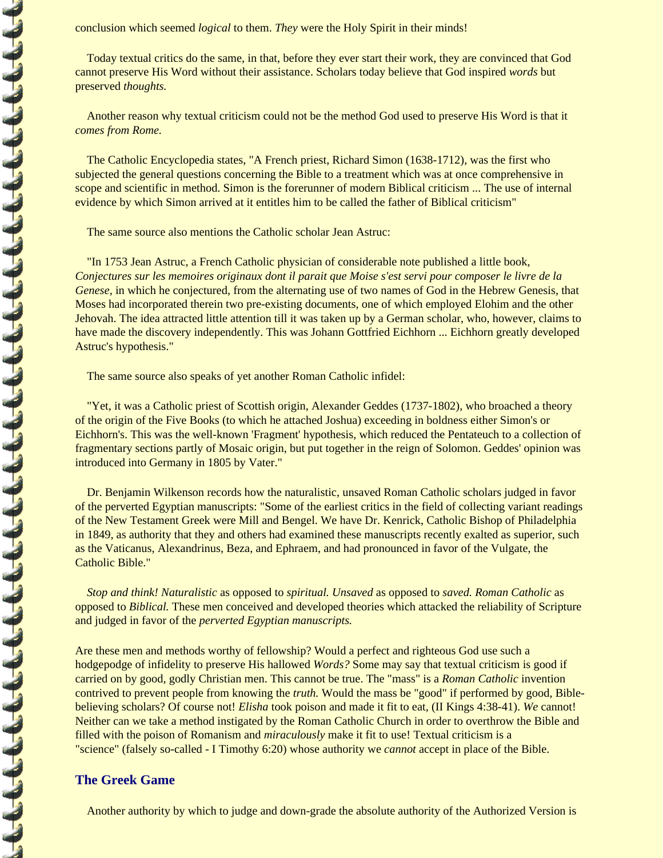conclusion which seemed *logical* to them. *They* were the Holy Spirit in their minds!

 Today textual critics do the same, in that, before they ever start their work, they are convinced that God cannot preserve His Word without their assistance. Scholars today believe that God inspired *words* but preserved *thoughts.*

 Another reason why textual criticism could not be the method God used to preserve His Word is that it *comes from Rome.*

 The Catholic Encyclopedia states, "A French priest, Richard Simon (1638-1712), was the first who subjected the general questions concerning the Bible to a treatment which was at once comprehensive in scope and scientific in method. Simon is the forerunner of modern Biblical criticism ... The use of internal evidence by which Simon arrived at it entitles him to be called the father of Biblical criticism"

The same source also mentions the Catholic scholar Jean Astruc:

 "In 1753 Jean Astruc, a French Catholic physician of considerable note published a little book, *Conjectures sur les memoires originaux dont il parait que Moise s'est servi pour composer le livre de la Genese*, in which he conjectured, from the alternating use of two names of God in the Hebrew Genesis, that Moses had incorporated therein two pre-existing documents, one of which employed Elohim and the other Jehovah. The idea attracted little attention till it was taken up by a German scholar, who, however, claims to have made the discovery independently. This was Johann Gottfried Eichhorn ... Eichhorn greatly developed Astruc's hypothesis."

The same source also speaks of yet another Roman Catholic infidel:

 "Yet, it was a Catholic priest of Scottish origin, Alexander Geddes (1737-1802), who broached a theory of the origin of the Five Books (to which he attached Joshua) exceeding in boldness either Simon's or Eichhorn's. This was the well-known 'Fragment' hypothesis, which reduced the Pentateuch to a collection of fragmentary sections partly of Mosaic origin, but put together in the reign of Solomon. Geddes' opinion was introduced into Germany in 1805 by Vater."

 Dr. Benjamin Wilkenson records how the naturalistic, unsaved Roman Catholic scholars judged in favor of the perverted Egyptian manuscripts: "Some of the earliest critics in the field of collecting variant readings of the New Testament Greek were Mill and Bengel. We have Dr. Kenrick, Catholic Bishop of Philadelphia in 1849, as authority that they and others had examined these manuscripts recently exalted as superior, such as the Vaticanus, Alexandrinus, Beza, and Ephraem, and had pronounced in favor of the Vulgate, the Catholic Bible."

 *Stop and think! Naturalistic* as opposed to *spiritual. Unsaved* as opposed to *saved. Roman Catholic* as opposed to *Biblical.* These men conceived and developed theories which attacked the reliability of Scripture and judged in favor of the *perverted Egyptian manuscripts.*

Are these men and methods worthy of fellowship? Would a perfect and righteous God use such a hodgepodge of infidelity to preserve His hallowed *Words?* Some may say that textual criticism is good if carried on by good, godly Christian men. This cannot be true. The "mass" is a *Roman Catholic* invention contrived to prevent people from knowing the *truth*. Would the mass be "good" if performed by good, Biblebelieving scholars? Of course not! *Elisha* took poison and made it fit to eat, (II Kings 4:38-41). *We* cannot! Neither can we take a method instigated by the Roman Catholic Church in order to overthrow the Bible and filled with the poison of Romanism and *miraculously* make it fit to use! Textual criticism is a "science" (falsely so-called - I Timothy 6:20) whose authority we *cannot* accept in place of the Bible.

# **The Greek Game**

Another authority by which to judge and down-grade the absolute authority of the Authorized Version is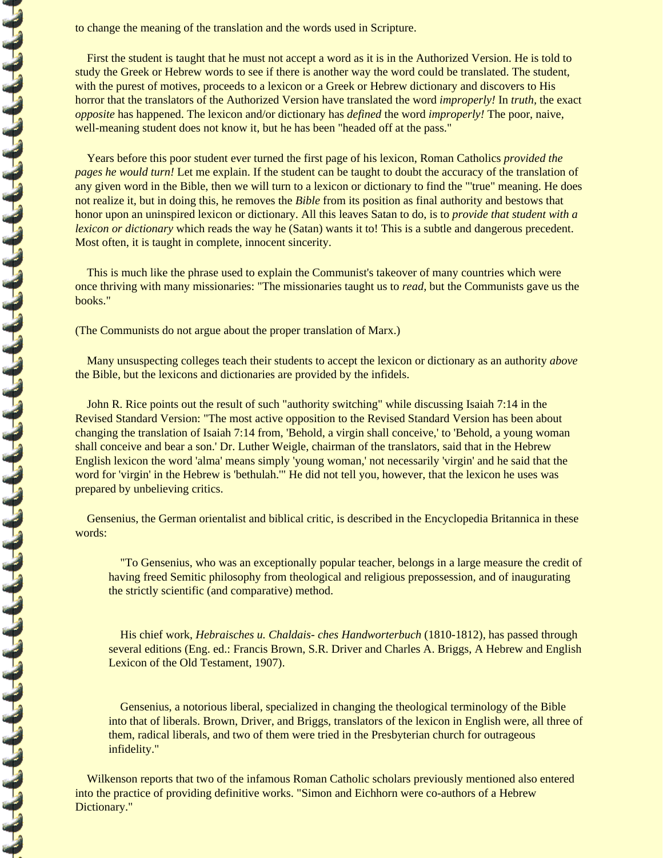to change the meaning of the translation and the words used in Scripture.

 First the student is taught that he must not accept a word as it is in the Authorized Version. He is told to study the Greek or Hebrew words to see if there is another way the word could be translated. The student, with the purest of motives, proceeds to a lexicon or a Greek or Hebrew dictionary and discovers to His horror that the translators of the Authorized Version have translated the word *improperly!* In *truth,* the exact *opposite* has happened. The lexicon and/or dictionary has *defined* the word *improperly!* The poor, naive, well-meaning student does not know it, but he has been "headed off at the pass."

 Years before this poor student ever turned the first page of his lexicon, Roman Catholics *provided the pages he would turn!* Let me explain. If the student can be taught to doubt the accuracy of the translation of any given word in the Bible, then we will turn to a lexicon or dictionary to find the "'true" meaning. He does not realize it, but in doing this, he removes the *Bible* from its position as final authority and bestows that honor upon an uninspired lexicon or dictionary. All this leaves Satan to do, is to *provide that student with a lexicon or dictionary* which reads the way he (Satan) wants it to! This is a subtle and dangerous precedent. Most often, it is taught in complete, innocent sincerity.

 This is much like the phrase used to explain the Communist's takeover of many countries which were once thriving with many missionaries: "The missionaries taught us to *read,* but the Communists gave us the books."

(The Communists do not argue about the proper translation of Marx.)

 Many unsuspecting colleges teach their students to accept the lexicon or dictionary as an authority *above* the Bible, but the lexicons and dictionaries are provided by the infidels.

 John R. Rice points out the result of such "authority switching" while discussing Isaiah 7:14 in the Revised Standard Version: "The most active opposition to the Revised Standard Version has been about changing the translation of Isaiah 7:14 from, 'Behold, a virgin shall conceive,' to 'Behold, a young woman shall conceive and bear a son.' Dr. Luther Weigle, chairman of the translators, said that in the Hebrew English lexicon the word 'alma' means simply 'young woman,' not necessarily 'virgin' and he said that the word for 'virgin' in the Hebrew is 'bethulah.'" He did not tell you, however, that the lexicon he uses was prepared by unbelieving critics.

 Gensenius, the German orientalist and biblical critic, is described in the Encyclopedia Britannica in these words:

 "To Gensenius, who was an exceptionally popular teacher, belongs in a large measure the credit of having freed Semitic philosophy from theological and religious prepossession, and of inaugurating the strictly scientific (and comparative) method.

 His chief work, *Hebraisches u. Chaldais- ches Handworterbuch* (1810-1812), has passed through several editions (Eng. ed.: Francis Brown, S.R. Driver and Charles A. Briggs, A Hebrew and English Lexicon of the Old Testament, 1907).

 Gensenius, a notorious liberal, specialized in changing the theological terminology of the Bible into that of liberals. Brown, Driver, and Briggs, translators of the lexicon in English were, all three of them, radical liberals, and two of them were tried in the Presbyterian church for outrageous infidelity."

 Wilkenson reports that two of the infamous Roman Catholic scholars previously mentioned also entered into the practice of providing definitive works. "Simon and Eichhorn were co-authors of a Hebrew Dictionary."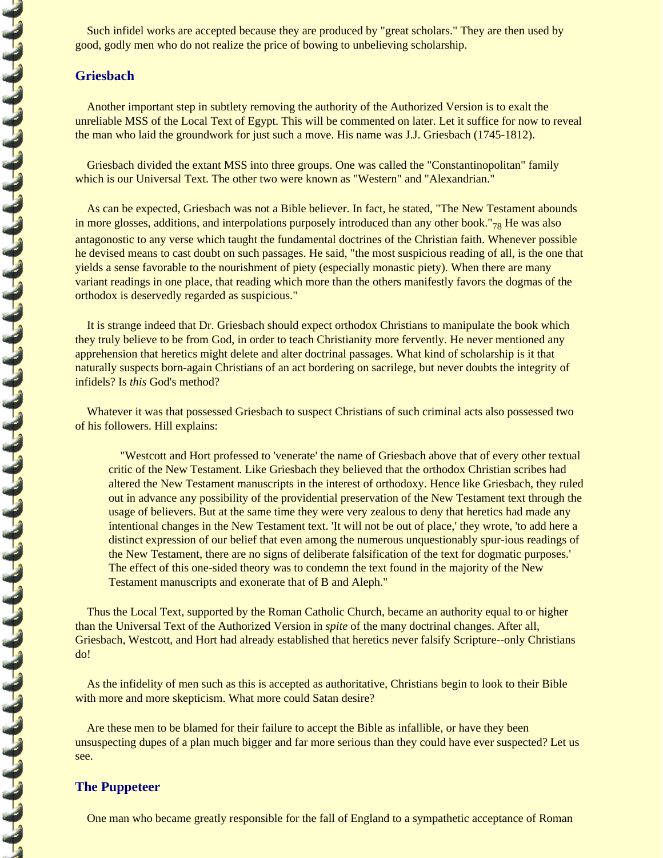Such infidel works are accepted because they are produced by "great scholars." They are then used by good, godly men who do not realize the price of bowing to unbelieving scholarship.

# **Griesbach**

 Another important step in subtlety removing the authority of the Authorized Version is to exalt the unreliable MSS of the Local Text of Egypt. This will be commented on later. Let it suffice for now to reveal the man who laid the groundwork for just such a move. His name was J.J. Griesbach (1745-1812).

 Griesbach divided the extant MSS into three groups. One was called the "Constantinopolitan" family which is our Universal Text. The other two were known as "Western" and "Alexandrian."

 As can be expected, Griesbach was not a Bible believer. In fact, he stated, "The New Testament abounds in more glosses, additions, and interpolations purposely introduced than any other book." $_{78}$  He was also antagonostic to any verse which taught the fundamental doctrines of the Christian faith. Whenever possible he devised means to cast doubt on such passages. He said, "the most suspicious reading of all, is the one that yields a sense favorable to the nourishment of piety (especially monastic piety). When there are many variant readings in one place, that reading which more than the others manifestly favors the dogmas of the orthodox is deservedly regarded as suspicious."

 It is strange indeed that Dr. Griesbach should expect orthodox Christians to manipulate the book which they truly believe to be from God, in order to teach Christianity more fervently. He never mentioned any apprehension that heretics might delete and alter doctrinal passages. What kind of scholarship is it that naturally suspects born-again Christians of an act bordering on sacrilege, but never doubts the integrity of infidels? Is *this* God's method?

 Whatever it was that possessed Griesbach to suspect Christians of such criminal acts also possessed two of his followers. Hill explains:

 "Westcott and Hort professed to 'venerate' the name of Griesbach above that of every other textual critic of the New Testament. Like Griesbach they believed that the orthodox Christian scribes had altered the New Testament manuscripts in the interest of orthodoxy. Hence like Griesbach, they ruled out in advance any possibility of the providential preservation of the New Testament text through the usage of believers. But at the same time they were very zealous to deny that heretics had made any intentional changes in the New Testament text. 'It will not be out of place,' they wrote, 'to add here a distinct expression of our belief that even among the numerous unquestionably spur-ious readings of the New Testament, there are no signs of deliberate falsification of the text for dogmatic purposes.' The effect of this one-sided theory was to condemn the text found in the majority of the New Testament manuscripts and exonerate that of B and Aleph."

 Thus the Local Text, supported by the Roman Catholic Church, became an authority equal to or higher than the Universal Text of the Authorized Version in *spite* of the many doctrinal changes. After all, Griesbach, Westcott, and Hort had already established that heretics never falsify Scripture--only Christians do!

 As the infidelity of men such as this is accepted as authoritative, Christians begin to look to their Bible with more and more skepticism. What more could Satan desire?

 Are these men to be blamed for their failure to accept the Bible as infallible, or have they been unsuspecting dupes of a plan much bigger and far more serious than they could have ever suspected? Let us see.

## **The Puppeteer**

One man who became greatly responsible for the fall of England to a sympathetic acceptance of Roman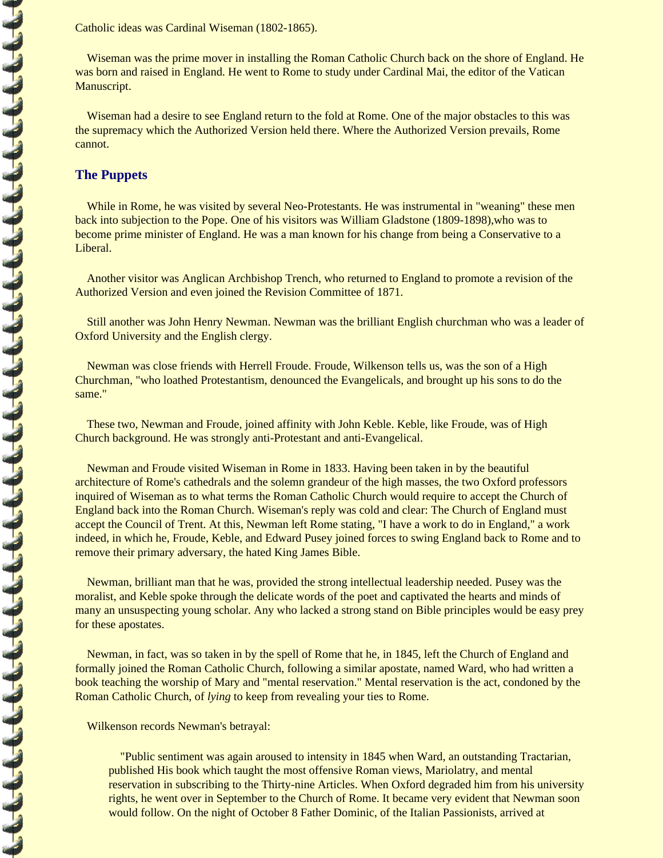Catholic ideas was Cardinal Wiseman (1802-1865).

 Wiseman was the prime mover in installing the Roman Catholic Church back on the shore of England. He was born and raised in England. He went to Rome to study under Cardinal Mai, the editor of the Vatican Manuscript.

 Wiseman had a desire to see England return to the fold at Rome. One of the major obstacles to this was the supremacy which the Authorized Version held there. Where the Authorized Version prevails, Rome cannot.

# **The Puppets**

While in Rome, he was visited by several Neo-Protestants. He was instrumental in "weaning" these men back into subjection to the Pope. One of his visitors was William Gladstone (1809-1898),who was to become prime minister of England. He was a man known for his change from being a Conservative to a Liberal.

 Another visitor was Anglican Archbishop Trench, who returned to England to promote a revision of the Authorized Version and even joined the Revision Committee of 1871.

 Still another was John Henry Newman. Newman was the brilliant English churchman who was a leader of Oxford University and the English clergy.

 Newman was close friends with Herrell Froude. Froude, Wilkenson tells us, was the son of a High Churchman, "who loathed Protestantism, denounced the Evangelicals, and brought up his sons to do the same."

 These two, Newman and Froude, joined affinity with John Keble. Keble, like Froude, was of High Church background. He was strongly anti-Protestant and anti-Evangelical.

 Newman and Froude visited Wiseman in Rome in 1833. Having been taken in by the beautiful architecture of Rome's cathedrals and the solemn grandeur of the high masses, the two Oxford professors inquired of Wiseman as to what terms the Roman Catholic Church would require to accept the Church of England back into the Roman Church. Wiseman's reply was cold and clear: The Church of England must accept the Council of Trent. At this, Newman left Rome stating, "I have a work to do in England," a work indeed, in which he, Froude, Keble, and Edward Pusey joined forces to swing England back to Rome and to remove their primary adversary, the hated King James Bible.

 Newman, brilliant man that he was, provided the strong intellectual leadership needed. Pusey was the moralist, and Keble spoke through the delicate words of the poet and captivated the hearts and minds of many an unsuspecting young scholar. Any who lacked a strong stand on Bible principles would be easy prey for these apostates.

 Newman, in fact, was so taken in by the spell of Rome that he, in 1845, left the Church of England and formally joined the Roman Catholic Church, following a similar apostate, named Ward, who had written a book teaching the worship of Mary and "mental reservation." Mental reservation is the act, condoned by the Roman Catholic Church, of *lying* to keep from revealing your ties to Rome.

Wilkenson records Newman's betrayal:

 "Public sentiment was again aroused to intensity in 1845 when Ward, an outstanding Tractarian, published His book which taught the most offensive Roman views, Mariolatry, and mental reservation in subscribing to the Thirty-nine Articles. When Oxford degraded him from his university rights, he went over in September to the Church of Rome. It became very evident that Newman soon would follow. On the night of October 8 Father Dominic, of the Italian Passionists, arrived at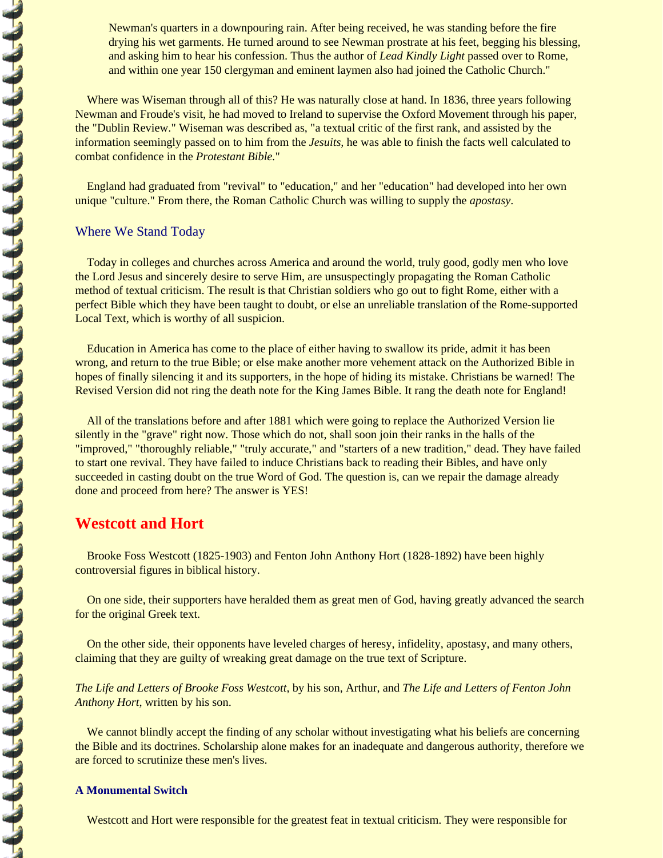Newman's quarters in a downpouring rain. After being received, he was standing before the fire drying his wet garments. He turned around to see Newman prostrate at his feet, begging his blessing, and asking him to hear his confession. Thus the author of *Lead Kindly Light* passed over to Rome, and within one year 150 clergyman and eminent laymen also had joined the Catholic Church."

Where was Wiseman through all of this? He was naturally close at hand. In 1836, three years following Newman and Froude's visit, he had moved to Ireland to supervise the Oxford Movement through his paper, the "Dublin Review." Wiseman was described as, "a textual critic of the first rank, and assisted by the information seemingly passed on to him from the *Jesuits,* he was able to finish the facts well calculated to combat confidence in the *Protestant Bible.*"

 England had graduated from "revival" to "education," and her "education" had developed into her own unique "culture." From there, the Roman Catholic Church was willing to supply the *apostasy*.

# Where We Stand Today

 Today in colleges and churches across America and around the world, truly good, godly men who love the Lord Jesus and sincerely desire to serve Him, are unsuspectingly propagating the Roman Catholic method of textual criticism. The result is that Christian soldiers who go out to fight Rome, either with a perfect Bible which they have been taught to doubt, or else an unreliable translation of the Rome-supported Local Text, which is worthy of all suspicion.

 Education in America has come to the place of either having to swallow its pride, admit it has been wrong, and return to the true Bible; or else make another more vehement attack on the Authorized Bible in hopes of finally silencing it and its supporters, in the hope of hiding its mistake. Christians be warned! The Revised Version did not ring the death note for the King James Bible. It rang the death note for England!

 All of the translations before and after 1881 which were going to replace the Authorized Version lie silently in the "grave" right now. Those which do not, shall soon join their ranks in the halls of the "improved," "thoroughly reliable," "truly accurate," and "starters of a new tradition," dead. They have failed to start one revival. They have failed to induce Christians back to reading their Bibles, and have only succeeded in casting doubt on the true Word of God. The question is, can we repair the damage already done and proceed from here? The answer is YES!

# **Westcott and Hort**

 Brooke Foss Westcott (1825-1903) and Fenton John Anthony Hort (1828-1892) have been highly controversial figures in biblical history.

 On one side, their supporters have heralded them as great men of God, having greatly advanced the search for the original Greek text.

 On the other side, their opponents have leveled charges of heresy, infidelity, apostasy, and many others, claiming that they are guilty of wreaking great damage on the true text of Scripture.

*The Life and Letters of Brooke Foss Westcott*, by his son, Arthur, and *The Life and Letters of Fenton John Anthony Hort*, written by his son.

We cannot blindly accept the finding of any scholar without investigating what his beliefs are concerning the Bible and its doctrines. Scholarship alone makes for an inadequate and dangerous authority, therefore we are forced to scrutinize these men's lives.

### **A Monumental Switch**

Westcott and Hort were responsible for the greatest feat in textual criticism. They were responsible for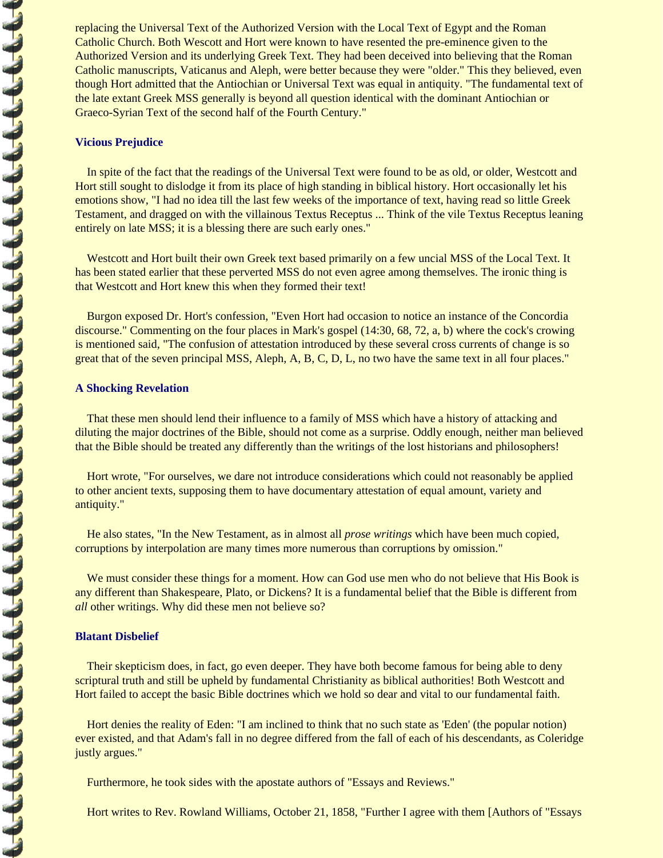replacing the Universal Text of the Authorized Version with the Local Text of Egypt and the Roman Catholic Church. Both Wescott and Hort were known to have resented the pre-eminence given to the Authorized Version and its underlying Greek Text. They had been deceived into believing that the Roman Catholic manuscripts, Vaticanus and Aleph, were better because they were "older." This they believed, even though Hort admitted that the Antiochian or Universal Text was equal in antiquity. "The fundamental text of the late extant Greek MSS generally is beyond all question identical with the dominant Antiochian or Graeco-Syrian Text of the second half of the Fourth Century."

#### **Vicious Prejudice**

 In spite of the fact that the readings of the Universal Text were found to be as old, or older, Westcott and Hort still sought to dislodge it from its place of high standing in biblical history. Hort occasionally let his emotions show, "I had no idea till the last few weeks of the importance of text, having read so little Greek Testament, and dragged on with the villainous Textus Receptus ... Think of the vile Textus Receptus leaning entirely on late MSS; it is a blessing there are such early ones."

Westcott and Hort built their own Greek text based primarily on a few uncial MSS of the Local Text. It has been stated earlier that these perverted MSS do not even agree among themselves. The ironic thing is that Westcott and Hort knew this when they formed their text!

 Burgon exposed Dr. Hort's confession, "Even Hort had occasion to notice an instance of the Concordia discourse." Commenting on the four places in Mark's gospel (14:30, 68, 72, a, b) where the cock's crowing is mentioned said, "The confusion of attestation introduced by these several cross currents of change is so great that of the seven principal MSS, Aleph, A, B, C, D, L, no two have the same text in all four places."

#### **A Shocking Revelation**

 That these men should lend their influence to a family of MSS which have a history of attacking and diluting the major doctrines of the Bible, should not come as a surprise. Oddly enough, neither man believed that the Bible should be treated any differently than the writings of the lost historians and philosophers!

 Hort wrote, "For ourselves, we dare not introduce considerations which could not reasonably be applied to other ancient texts, supposing them to have documentary attestation of equal amount, variety and antiquity."

 He also states, "In the New Testament, as in almost all *prose writings* which have been much copied, corruptions by interpolation are many times more numerous than corruptions by omission."

We must consider these things for a moment. How can God use men who do not believe that His Book is any different than Shakespeare, Plato, or Dickens? It is a fundamental belief that the Bible is different from *all* other writings. Why did these men not believe so?

#### **Blatant Disbelief**

 Their skepticism does, in fact, go even deeper. They have both become famous for being able to deny scriptural truth and still be upheld by fundamental Christianity as biblical authorities! Both Westcott and Hort failed to accept the basic Bible doctrines which we hold so dear and vital to our fundamental faith.

 Hort denies the reality of Eden: "I am inclined to think that no such state as 'Eden' (the popular notion) ever existed, and that Adam's fall in no degree differed from the fall of each of his descendants, as Coleridge justly argues."

Furthermore, he took sides with the apostate authors of "Essays and Reviews."

Hort writes to Rev. Rowland Williams, October 21, 1858, "Further I agree with them [Authors of "Essays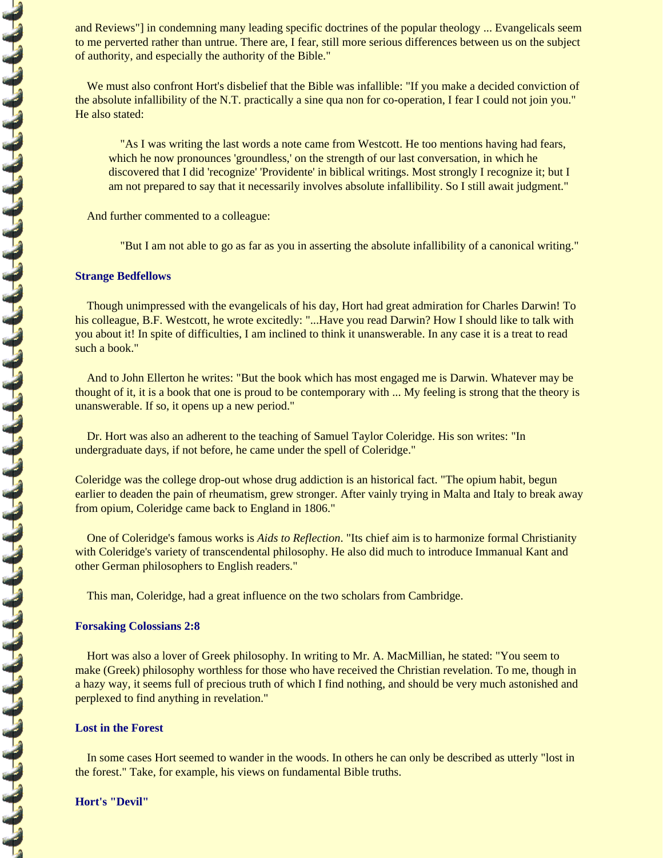and Reviews"] in condemning many leading specific doctrines of the popular theology ... Evangelicals seem to me perverted rather than untrue. There are, I fear, still more serious differences between us on the subject of authority, and especially the authority of the Bible."

We must also confront Hort's disbelief that the Bible was infallible: "If you make a decided conviction of the absolute infallibility of the N.T. practically a sine qua non for co-operation, I fear I could not join you." He also stated:

 "As I was writing the last words a note came from Westcott. He too mentions having had fears, which he now pronounces 'groundless,' on the strength of our last conversation, in which he discovered that I did 'recognize' 'Providente' in biblical writings. Most strongly I recognize it; but I am not prepared to say that it necessarily involves absolute infallibility. So I still await judgment."

And further commented to a colleague:

"But I am not able to go as far as you in asserting the absolute infallibility of a canonical writing."

#### **Strange Bedfellows**

 Though unimpressed with the evangelicals of his day, Hort had great admiration for Charles Darwin! To his colleague, B.F. Westcott, he wrote excitedly: "...Have you read Darwin? How I should like to talk with you about it! In spite of difficulties, I am inclined to think it unanswerable. In any case it is a treat to read such a book."

 And to John Ellerton he writes: "But the book which has most engaged me is Darwin. Whatever may be thought of it, it is a book that one is proud to be contemporary with ... My feeling is strong that the theory is unanswerable. If so, it opens up a new period."

 Dr. Hort was also an adherent to the teaching of Samuel Taylor Coleridge. His son writes: "In undergraduate days, if not before, he came under the spell of Coleridge."

Coleridge was the college drop-out whose drug addiction is an historical fact. "The opium habit, begun earlier to deaden the pain of rheumatism, grew stronger. After vainly trying in Malta and Italy to break away from opium, Coleridge came back to England in 1806."

 One of Coleridge's famous works is *Aids to Reflection*. "Its chief aim is to harmonize formal Christianity with Coleridge's variety of transcendental philosophy. He also did much to introduce Immanual Kant and other German philosophers to English readers."

This man, Coleridge, had a great influence on the two scholars from Cambridge.

#### **Forsaking Colossians 2:8**

 Hort was also a lover of Greek philosophy. In writing to Mr. A. MacMillian, he stated: "You seem to make (Greek) philosophy worthless for those who have received the Christian revelation. To me, though in a hazy way, it seems full of precious truth of which I find nothing, and should be very much astonished and perplexed to find anything in revelation."

#### **Lost in the Forest**

 In some cases Hort seemed to wander in the woods. In others he can only be described as utterly "lost in the forest." Take, for example, his views on fundamental Bible truths.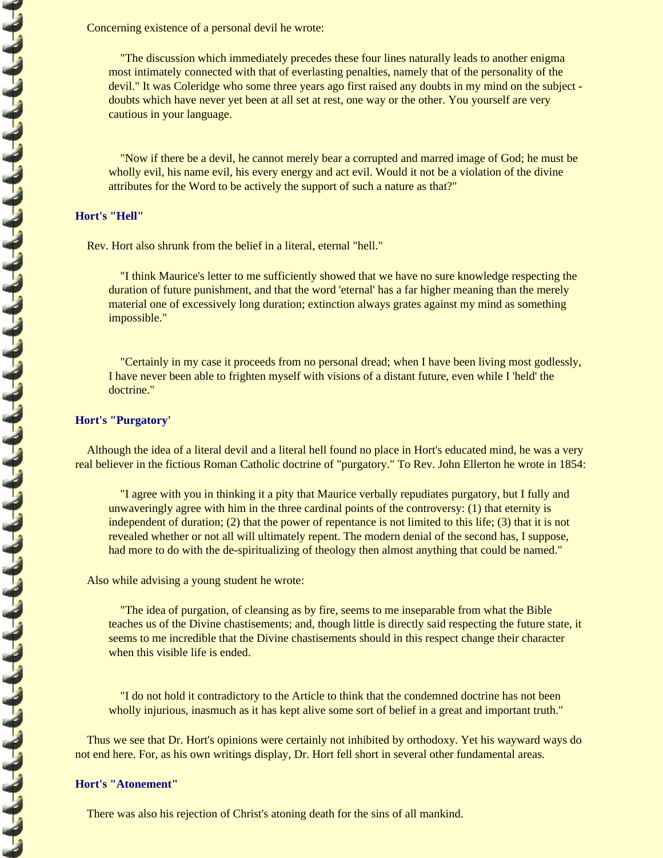Concerning existence of a personal devil he wrote:

 "The discussion which immediately precedes these four lines naturally leads to another enigma most intimately connected with that of everlasting penalties, namely that of the personality of the devil." It was Coleridge who some three years ago first raised any doubts in my mind on the subject doubts which have never yet been at all set at rest, one way or the other. You yourself are very cautious in your language.

 "Now if there be a devil, he cannot merely bear a corrupted and marred image of God; he must be wholly evil, his name evil, his every energy and act evil. Would it not be a violation of the divine attributes for the Word to be actively the support of such a nature as that?"

# **Hort's "Hell"**

Rev. Hort also shrunk from the belief in a literal, eternal "hell."

 "I think Maurice's letter to me sufficiently showed that we have no sure knowledge respecting the duration of future punishment, and that the word 'eternal' has a far higher meaning than the merely material one of excessively long duration; extinction always grates against my mind as something impossible."

 "Certainly in my case it proceeds from no personal dread; when I have been living most godlessly, I have never been able to frighten myself with visions of a distant future, even while I 'held' the doctrine."

### **Hort's "Purgatory'**

 Although the idea of a literal devil and a literal hell found no place in Hort's educated mind, he was a very real believer in the fictious Roman Catholic doctrine of "purgatory." To Rev. John Ellerton he wrote in 1854:

 "I agree with you in thinking it a pity that Maurice verbally repudiates purgatory, but I fully and unwaveringly agree with him in the three cardinal points of the controversy: (1) that eternity is independent of duration; (2) that the power of repentance is not limited to this life; (3) that it is not revealed whether or not all will ultimately repent. The modern denial of the second has, I suppose, had more to do with the de-spiritualizing of theology then almost anything that could be named."

Also while advising a young student he wrote:

 "The idea of purgation, of cleansing as by fire, seems to me inseparable from what the Bible teaches us of the Divine chastisements; and, though little is directly said respecting the future state, it seems to me incredible that the Divine chastisements should in this respect change their character when this visible life is ended.

 "I do not hold it contradictory to the Article to think that the condemned doctrine has not been wholly injurious, inasmuch as it has kept alive some sort of belief in a great and important truth."

 Thus we see that Dr. Hort's opinions were certainly not inhibited by orthodoxy. Yet his wayward ways do not end here. For, as his own writings display, Dr. Hort fell short in several other fundamental areas.

# **Hort's "Atonement"**

There was also his rejection of Christ's atoning death for the sins of all mankind.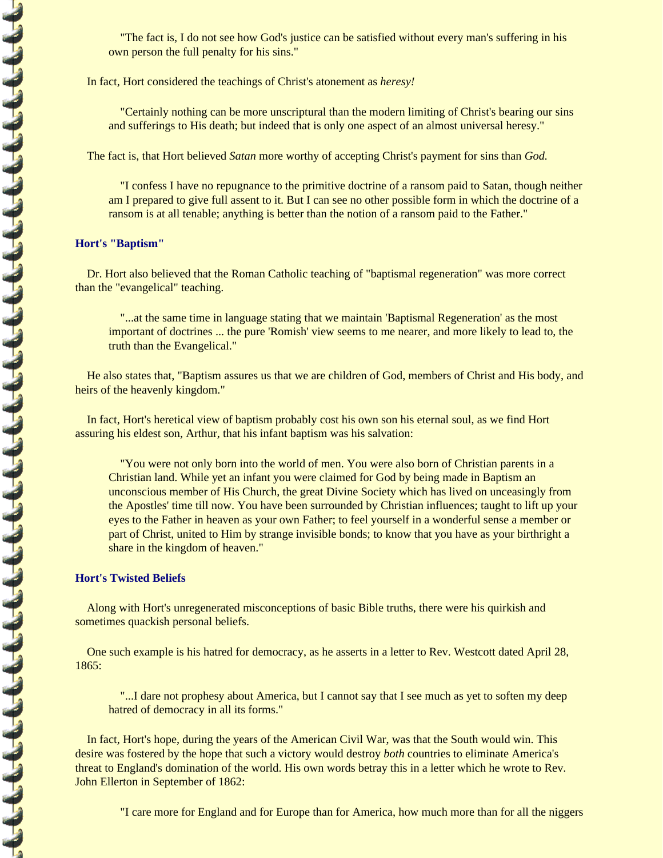"The fact is, I do not see how God's justice can be satisfied without every man's suffering in his own person the full penalty for his sins."

In fact, Hort considered the teachings of Christ's atonement as *heresy!*

 "Certainly nothing can be more unscriptural than the modern limiting of Christ's bearing our sins and sufferings to His death; but indeed that is only one aspect of an almost universal heresy."

The fact is, that Hort believed *Satan* more worthy of accepting Christ's payment for sins than *God.*

 "I confess I have no repugnance to the primitive doctrine of a ransom paid to Satan, though neither am I prepared to give full assent to it. But I can see no other possible form in which the doctrine of a ransom is at all tenable; anything is better than the notion of a ransom paid to the Father."

# **Hort's "Baptism"**

 Dr. Hort also believed that the Roman Catholic teaching of "baptismal regeneration" was more correct than the "evangelical" teaching.

 "...at the same time in language stating that we maintain 'Baptismal Regeneration' as the most important of doctrines ... the pure 'Romish' view seems to me nearer, and more likely to lead to, the truth than the Evangelical."

 He also states that, "Baptism assures us that we are children of God, members of Christ and His body, and heirs of the heavenly kingdom."

 In fact, Hort's heretical view of baptism probably cost his own son his eternal soul, as we find Hort assuring his eldest son, Arthur, that his infant baptism was his salvation:

 "You were not only born into the world of men. You were also born of Christian parents in a Christian land. While yet an infant you were claimed for God by being made in Baptism an unconscious member of His Church, the great Divine Society which has lived on unceasingly from the Apostles' time till now. You have been surrounded by Christian influences; taught to lift up your eyes to the Father in heaven as your own Father; to feel yourself in a wonderful sense a member or part of Christ, united to Him by strange invisible bonds; to know that you have as your birthright a share in the kingdom of heaven."

# **Hort's Twisted Beliefs**

 Along with Hort's unregenerated misconceptions of basic Bible truths, there were his quirkish and sometimes quackish personal beliefs.

 One such example is his hatred for democracy, as he asserts in a letter to Rev. Westcott dated April 28, 1865:

 "...I dare not prophesy about America, but I cannot say that I see much as yet to soften my deep hatred of democracy in all its forms."

 In fact, Hort's hope, during the years of the American Civil War, was that the South would win. This desire was fostered by the hope that such a victory would destroy *both* countries to eliminate America's threat to England's domination of the world. His own words betray this in a letter which he wrote to Rev. John Ellerton in September of 1862:

"I care more for England and for Europe than for America, how much more than for all the niggers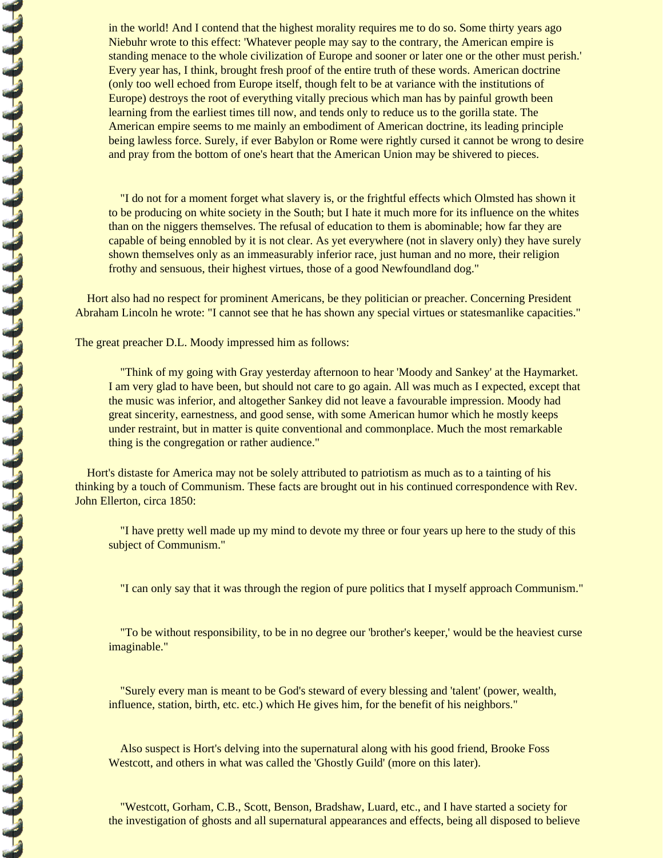imaginable."

in the world! And I contend that the highest morality requires me to do so. Some thirty years ago Niebuhr wrote to this effect: 'Whatever people may say to the contrary, the American empire is standing menace to the whole civilization of Europe and sooner or later one or the other must perish.' Every year has, I think, brought fresh proof of the entire truth of these words. American doctrine (only too well echoed from Europe itself, though felt to be at variance with the institutions of Europe) destroys the root of everything vitally precious which man has by painful growth been learning from the earliest times till now, and tends only to reduce us to the gorilla state. The American empire seems to me mainly an embodiment of American doctrine, its leading principle being lawless force. Surely, if ever Babylon or Rome were rightly cursed it cannot be wrong to desire and pray from the bottom of one's heart that the American Union may be shivered to pieces.

 "I do not for a moment forget what slavery is, or the frightful effects which Olmsted has shown it to be producing on white society in the South; but I hate it much more for its influence on the whites than on the niggers themselves. The refusal of education to them is abominable; how far they are capable of being ennobled by it is not clear. As yet everywhere (not in slavery only) they have surely shown themselves only as an immeasurably inferior race, just human and no more, their religion frothy and sensuous, their highest virtues, those of a good Newfoundland dog."

 Hort also had no respect for prominent Americans, be they politician or preacher. Concerning President Abraham Lincoln he wrote: "I cannot see that he has shown any special virtues or statesmanlike capacities."

The great preacher D.L. Moody impressed him as follows:

 "Think of my going with Gray yesterday afternoon to hear 'Moody and Sankey' at the Haymarket. I am very glad to have been, but should not care to go again. All was much as I expected, except that the music was inferior, and altogether Sankey did not leave a favourable impression. Moody had great sincerity, earnestness, and good sense, with some American humor which he mostly keeps under restraint, but in matter is quite conventional and commonplace. Much the most remarkable thing is the congregation or rather audience."

 Hort's distaste for America may not be solely attributed to patriotism as much as to a tainting of his thinking by a touch of Communism. These facts are brought out in his continued correspondence with Rev. John Ellerton, circa 1850:

 "I have pretty well made up my mind to devote my three or four years up here to the study of this subject of Communism."

"I can only say that it was through the region of pure politics that I myself approach Communism."

"To be without responsibility, to be in no degree our 'brother's keeper,' would be the heaviest curse

 "Surely every man is meant to be God's steward of every blessing and 'talent' (power, wealth, influence, station, birth, etc. etc.) which He gives him, for the benefit of his neighbors."

 Also suspect is Hort's delving into the supernatural along with his good friend, Brooke Foss Westcott, and others in what was called the 'Ghostly Guild' (more on this later).

 "Westcott, Gorham, C.B., Scott, Benson, Bradshaw, Luard, etc., and I have started a society for the investigation of ghosts and all supernatural appearances and effects, being all disposed to believe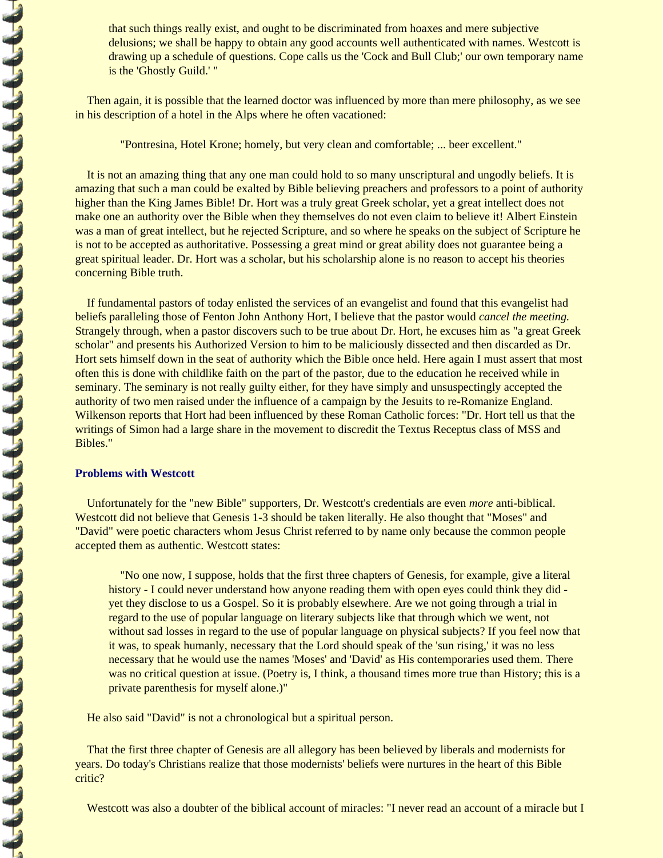that such things really exist, and ought to be discriminated from hoaxes and mere subjective delusions; we shall be happy to obtain any good accounts well authenticated with names. Westcott is drawing up a schedule of questions. Cope calls us the 'Cock and Bull Club;' our own temporary name is the 'Ghostly Guild.' "

 Then again, it is possible that the learned doctor was influenced by more than mere philosophy, as we see in his description of a hotel in the Alps where he often vacationed:

"Pontresina, Hotel Krone; homely, but very clean and comfortable; ... beer excellent."

 It is not an amazing thing that any one man could hold to so many unscriptural and ungodly beliefs. It is amazing that such a man could be exalted by Bible believing preachers and professors to a point of authority higher than the King James Bible! Dr. Hort was a truly great Greek scholar, yet a great intellect does not make one an authority over the Bible when they themselves do not even claim to believe it! Albert Einstein was a man of great intellect, but he rejected Scripture, and so where he speaks on the subject of Scripture he is not to be accepted as authoritative. Possessing a great mind or great ability does not guarantee being a great spiritual leader. Dr. Hort was a scholar, but his scholarship alone is no reason to accept his theories concerning Bible truth.

 If fundamental pastors of today enlisted the services of an evangelist and found that this evangelist had beliefs paralleling those of Fenton John Anthony Hort, I believe that the pastor would *cancel the meeting.*  Strangely through, when a pastor discovers such to be true about Dr. Hort, he excuses him as "a great Greek scholar" and presents his Authorized Version to him to be maliciously dissected and then discarded as Dr. Hort sets himself down in the seat of authority which the Bible once held. Here again I must assert that most often this is done with childlike faith on the part of the pastor, due to the education he received while in seminary. The seminary is not really guilty either, for they have simply and unsuspectingly accepted the authority of two men raised under the influence of a campaign by the Jesuits to re-Romanize England. Wilkenson reports that Hort had been influenced by these Roman Catholic forces: "Dr. Hort tell us that the writings of Simon had a large share in the movement to discredit the Textus Receptus class of MSS and Bibles."

# **Problems with Westcott**

 Unfortunately for the "new Bible" supporters, Dr. Westcott's credentials are even *more* anti-biblical. Westcott did not believe that Genesis 1-3 should be taken literally. He also thought that "Moses" and "David" were poetic characters whom Jesus Christ referred to by name only because the common people accepted them as authentic. Westcott states:

 "No one now, I suppose, holds that the first three chapters of Genesis, for example, give a literal history - I could never understand how anyone reading them with open eyes could think they did yet they disclose to us a Gospel. So it is probably elsewhere. Are we not going through a trial in regard to the use of popular language on literary subjects like that through which we went, not without sad losses in regard to the use of popular language on physical subjects? If you feel now that it was, to speak humanly, necessary that the Lord should speak of the 'sun rising,' it was no less necessary that he would use the names 'Moses' and 'David' as His contemporaries used them. There was no critical question at issue. (Poetry is, I think, a thousand times more true than History; this is a private parenthesis for myself alone.)"

He also said "David" is not a chronological but a spiritual person.

 That the first three chapter of Genesis are all allegory has been believed by liberals and modernists for years. Do today's Christians realize that those modernists' beliefs were nurtures in the heart of this Bible critic?

Westcott was also a doubter of the biblical account of miracles: "I never read an account of a miracle but I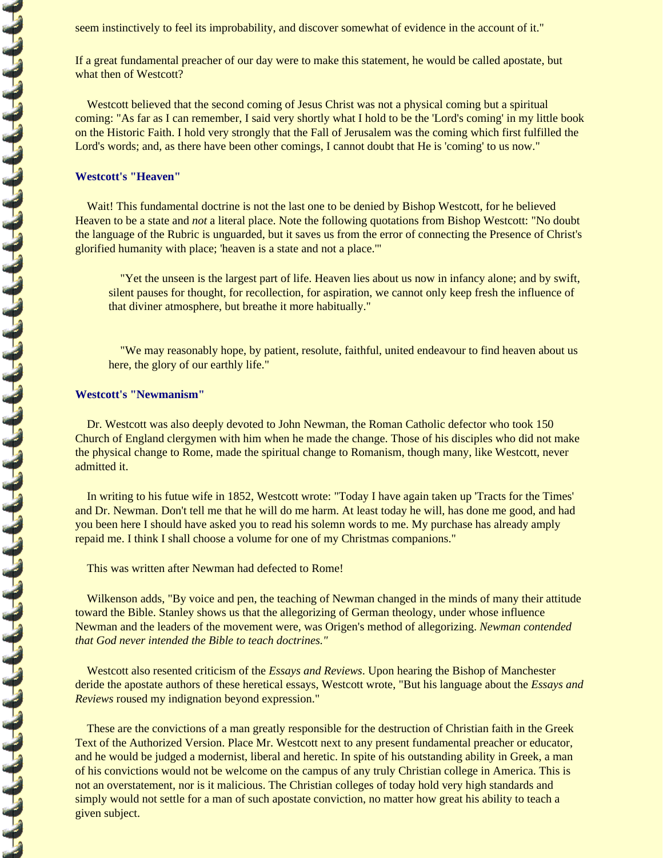seem instinctively to feel its improbability, and discover somewhat of evidence in the account of it."

If a great fundamental preacher of our day were to make this statement, he would be called apostate, but what then of Westcott?

Westcott believed that the second coming of Jesus Christ was not a physical coming but a spiritual coming: "As far as I can remember, I said very shortly what I hold to be the 'Lord's coming' in my little book on the Historic Faith. I hold very strongly that the Fall of Jerusalem was the coming which first fulfilled the Lord's words; and, as there have been other comings, I cannot doubt that He is 'coming' to us now."

# **Westcott's "Heaven"**

Wait! This fundamental doctrine is not the last one to be denied by Bishop Westcott, for he believed Heaven to be a state and *not* a literal place. Note the following quotations from Bishop Westcott: "No doubt the language of the Rubric is unguarded, but it saves us from the error of connecting the Presence of Christ's glorified humanity with place; 'heaven is a state and not a place.'"

 "Yet the unseen is the largest part of life. Heaven lies about us now in infancy alone; and by swift, silent pauses for thought, for recollection, for aspiration, we cannot only keep fresh the influence of that diviner atmosphere, but breathe it more habitually."

 "We may reasonably hope, by patient, resolute, faithful, united endeavour to find heaven about us here, the glory of our earthly life."

# **Westcott's "Newmanism"**

 Dr. Westcott was also deeply devoted to John Newman, the Roman Catholic defector who took 150 Church of England clergymen with him when he made the change. Those of his disciples who did not make the physical change to Rome, made the spiritual change to Romanism, though many, like Westcott, never admitted it.

 In writing to his futue wife in 1852, Westcott wrote: "Today I have again taken up 'Tracts for the Times' and Dr. Newman. Don't tell me that he will do me harm. At least today he will, has done me good, and had you been here I should have asked you to read his solemn words to me. My purchase has already amply repaid me. I think I shall choose a volume for one of my Christmas companions."

This was written after Newman had defected to Rome!

 Wilkenson adds, "By voice and pen, the teaching of Newman changed in the minds of many their attitude toward the Bible. Stanley shows us that the allegorizing of German theology, under whose influence Newman and the leaders of the movement were, was Origen's method of allegorizing. *Newman contended that God never intended the Bible to teach doctrines."*

 Westcott also resented criticism of the *Essays and Reviews*. Upon hearing the Bishop of Manchester deride the apostate authors of these heretical essays, Westcott wrote, "But his language about the *Essays and Reviews* roused my indignation beyond expression."

 These are the convictions of a man greatly responsible for the destruction of Christian faith in the Greek Text of the Authorized Version. Place Mr. Westcott next to any present fundamental preacher or educator, and he would be judged a modernist, liberal and heretic. In spite of his outstanding ability in Greek, a man of his convictions would not be welcome on the campus of any truly Christian college in America. This is not an overstatement, nor is it malicious. The Christian colleges of today hold very high standards and simply would not settle for a man of such apostate conviction, no matter how great his ability to teach a given subject.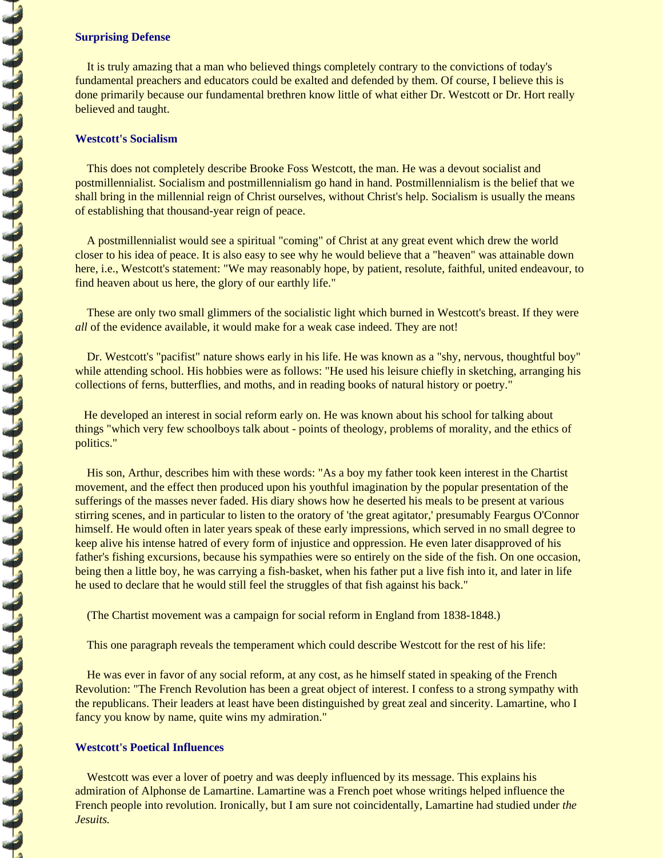# **Surprising Defense**

 It is truly amazing that a man who believed things completely contrary to the convictions of today's fundamental preachers and educators could be exalted and defended by them. Of course, I believe this is done primarily because our fundamental brethren know little of what either Dr. Westcott or Dr. Hort really believed and taught.

# **Westcott's Socialism**

 This does not completely describe Brooke Foss Westcott, the man. He was a devout socialist and postmillennialist. Socialism and postmillennialism go hand in hand. Postmillennialism is the belief that we shall bring in the millennial reign of Christ ourselves, without Christ's help. Socialism is usually the means of establishing that thousand-year reign of peace.

 A postmillennialist would see a spiritual "coming" of Christ at any great event which drew the world closer to his idea of peace. It is also easy to see why he would believe that a "heaven" was attainable down here, i.e., Westcott's statement: "We may reasonably hope, by patient, resolute, faithful, united endeavour, to find heaven about us here, the glory of our earthly life."

 These are only two small glimmers of the socialistic light which burned in Westcott's breast. If they were *all* of the evidence available, it would make for a weak case indeed. They are not!

 Dr. Westcott's "pacifist" nature shows early in his life. He was known as a "shy, nervous, thoughtful boy" while attending school. His hobbies were as follows: "He used his leisure chiefly in sketching, arranging his collections of ferns, butterflies, and moths, and in reading books of natural history or poetry."

 He developed an interest in social reform early on. He was known about his school for talking about things "which very few schoolboys talk about - points of theology, problems of morality, and the ethics of politics."

 His son, Arthur, describes him with these words: "As a boy my father took keen interest in the Chartist movement, and the effect then produced upon his youthful imagination by the popular presentation of the sufferings of the masses never faded. His diary shows how he deserted his meals to be present at various stirring scenes, and in particular to listen to the oratory of 'the great agitator,' presumably Feargus O'Connor himself. He would often in later years speak of these early impressions, which served in no small degree to keep alive his intense hatred of every form of injustice and oppression. He even later disapproved of his father's fishing excursions, because his sympathies were so entirely on the side of the fish. On one occasion, being then a little boy, he was carrying a fish-basket, when his father put a live fish into it, and later in life he used to declare that he would still feel the struggles of that fish against his back."

(The Chartist movement was a campaign for social reform in England from 1838-1848.)

This one paragraph reveals the temperament which could describe Westcott for the rest of his life:

 He was ever in favor of any social reform, at any cost, as he himself stated in speaking of the French Revolution: "The French Revolution has been a great object of interest. I confess to a strong sympathy with the republicans. Their leaders at least have been distinguished by great zeal and sincerity. Lamartine, who I fancy you know by name, quite wins my admiration."

### **Westcott's Poetical Influences**

Westcott was ever a lover of poetry and was deeply influenced by its message. This explains his admiration of Alphonse de Lamartine. Lamartine was a French poet whose writings helped influence the French people into revolution. Ironically, but I am sure not coincidentally, Lamartine had studied under *the Jesuits.*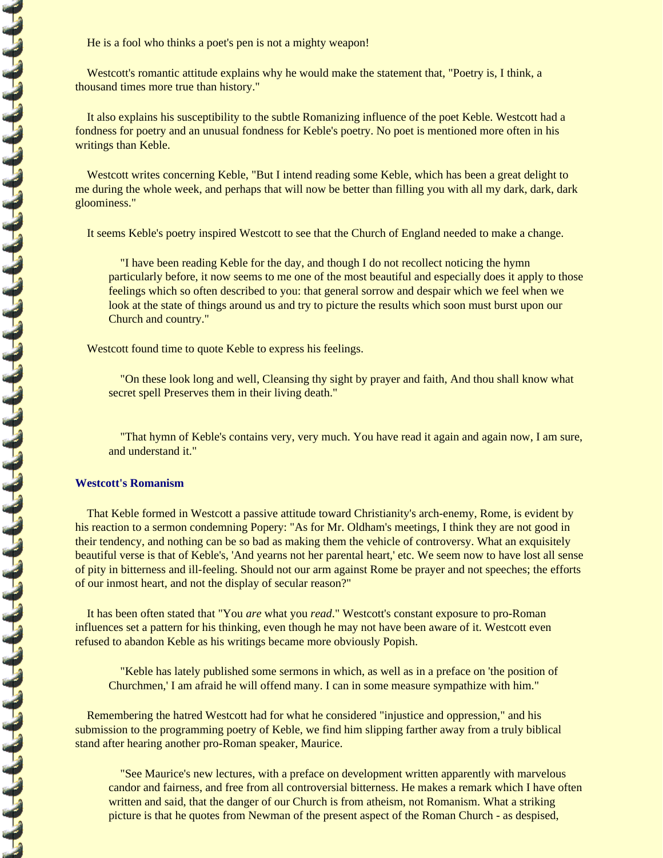He is a fool who thinks a poet's pen is not a mighty weapon!

Westcott's romantic attitude explains why he would make the statement that, "Poetry is, I think, a thousand times more true than history."

 It also explains his susceptibility to the subtle Romanizing influence of the poet Keble. Westcott had a fondness for poetry and an unusual fondness for Keble's poetry. No poet is mentioned more often in his writings than Keble.

Westcott writes concerning Keble, "But I intend reading some Keble, which has been a great delight to me during the whole week, and perhaps that will now be better than filling you with all my dark, dark, dark gloominess."

It seems Keble's poetry inspired Westcott to see that the Church of England needed to make a change.

 "I have been reading Keble for the day, and though I do not recollect noticing the hymn particularly before, it now seems to me one of the most beautiful and especially does it apply to those feelings which so often described to you: that general sorrow and despair which we feel when we look at the state of things around us and try to picture the results which soon must burst upon our Church and country."

Westcott found time to quote Keble to express his feelings.

 "On these look long and well, Cleansing thy sight by prayer and faith, And thou shall know what secret spell Preserves them in their living death."

 "That hymn of Keble's contains very, very much. You have read it again and again now, I am sure, and understand it."

# **Westcott's Romanism**

 That Keble formed in Westcott a passive attitude toward Christianity's arch-enemy, Rome, is evident by his reaction to a sermon condemning Popery: "As for Mr. Oldham's meetings, I think they are not good in their tendency, and nothing can be so bad as making them the vehicle of controversy. What an exquisitely beautiful verse is that of Keble's, 'And yearns not her parental heart,' etc. We seem now to have lost all sense of pity in bitterness and ill-feeling. Should not our arm against Rome be prayer and not speeches; the efforts of our inmost heart, and not the display of secular reason?"

 It has been often stated that "You *are* what you *read*." Westcott's constant exposure to pro-Roman influences set a pattern for his thinking, even though he may not have been aware of it. Westcott even refused to abandon Keble as his writings became more obviously Popish.

 "Keble has lately published some sermons in which, as well as in a preface on 'the position of Churchmen,' I am afraid he will offend many. I can in some measure sympathize with him."

 Remembering the hatred Westcott had for what he considered "injustice and oppression," and his submission to the programming poetry of Keble, we find him slipping farther away from a truly biblical stand after hearing another pro-Roman speaker, Maurice.

 "See Maurice's new lectures, with a preface on development written apparently with marvelous candor and fairness, and free from all controversial bitterness. He makes a remark which I have often written and said, that the danger of our Church is from atheism, not Romanism. What a striking picture is that he quotes from Newman of the present aspect of the Roman Church - as despised,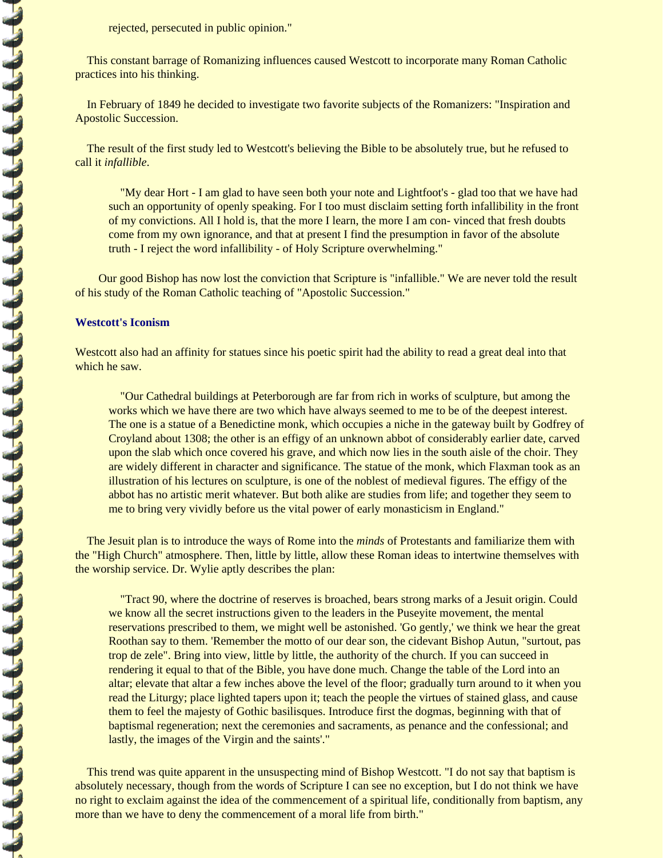rejected, persecuted in public opinion."

 This constant barrage of Romanizing influences caused Westcott to incorporate many Roman Catholic practices into his thinking.

 In February of 1849 he decided to investigate two favorite subjects of the Romanizers: "Inspiration and Apostolic Succession.

 The result of the first study led to Westcott's believing the Bible to be absolutely true, but he refused to call it *infallible*.

 "My dear Hort - I am glad to have seen both your note and Lightfoot's - glad too that we have had such an opportunity of openly speaking. For I too must disclaim setting forth infallibility in the front of my convictions. All I hold is, that the more I learn, the more I am con- vinced that fresh doubts come from my own ignorance, and that at present I find the presumption in favor of the absolute truth - I reject the word infallibility - of Holy Scripture overwhelming."

 Our good Bishop has now lost the conviction that Scripture is "infallible." We are never told the result of his study of the Roman Catholic teaching of "Apostolic Succession."

# **Westcott's Iconism**

Westcott also had an affinity for statues since his poetic spirit had the ability to read a great deal into that which he saw.

 "Our Cathedral buildings at Peterborough are far from rich in works of sculpture, but among the works which we have there are two which have always seemed to me to be of the deepest interest. The one is a statue of a Benedictine monk, which occupies a niche in the gateway built by Godfrey of Croyland about 1308; the other is an effigy of an unknown abbot of considerably earlier date, carved upon the slab which once covered his grave, and which now lies in the south aisle of the choir. They are widely different in character and significance. The statue of the monk, which Flaxman took as an illustration of his lectures on sculpture, is one of the noblest of medieval figures. The effigy of the abbot has no artistic merit whatever. But both alike are studies from life; and together they seem to me to bring very vividly before us the vital power of early monasticism in England."

 The Jesuit plan is to introduce the ways of Rome into the *minds* of Protestants and familiarize them with the "High Church" atmosphere. Then, little by little, allow these Roman ideas to intertwine themselves with the worship service. Dr. Wylie aptly describes the plan:

 "Tract 90, where the doctrine of reserves is broached, bears strong marks of a Jesuit origin. Could we know all the secret instructions given to the leaders in the Puseyite movement, the mental reservations prescribed to them, we might well be astonished. 'Go gently,' we think we hear the great Roothan say to them. 'Remember the motto of our dear son, the cidevant Bishop Autun, "surtout, pas trop de zele". Bring into view, little by little, the authority of the church. If you can succeed in rendering it equal to that of the Bible, you have done much. Change the table of the Lord into an altar; elevate that altar a few inches above the level of the floor; gradually turn around to it when you read the Liturgy; place lighted tapers upon it; teach the people the virtues of stained glass, and cause them to feel the majesty of Gothic basilisques. Introduce first the dogmas, beginning with that of baptismal regeneration; next the ceremonies and sacraments, as penance and the confessional; and lastly, the images of the Virgin and the saints'."

This trend was quite apparent in the unsuspecting mind of Bishop Westcott. "I do not say that baptism is absolutely necessary, though from the words of Scripture I can see no exception, but I do not think we have no right to exclaim against the idea of the commencement of a spiritual life, conditionally from baptism, any more than we have to deny the commencement of a moral life from birth."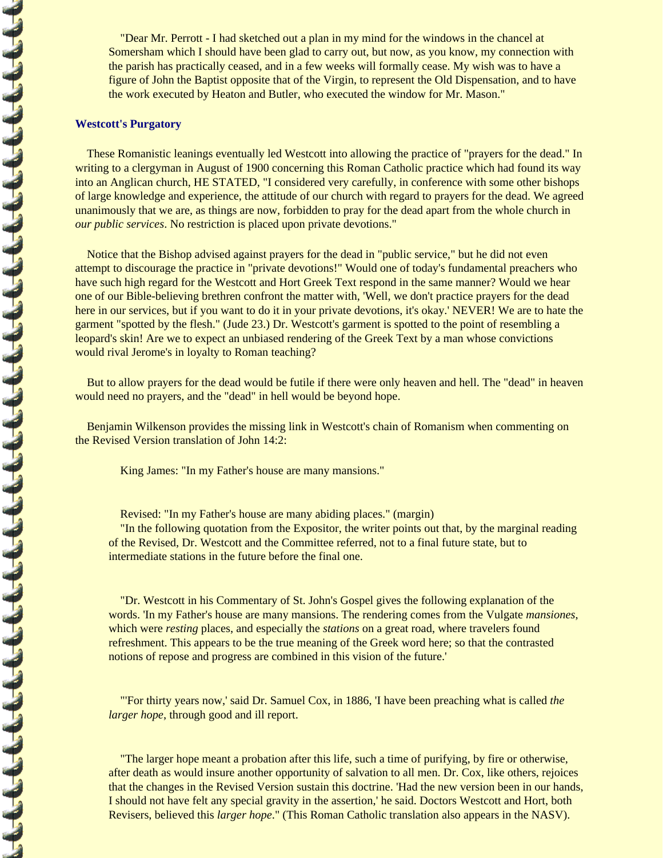"Dear Mr. Perrott - I had sketched out a plan in my mind for the windows in the chancel at Somersham which I should have been glad to carry out, but now, as you know, my connection with the parish has practically ceased, and in a few weeks will formally cease. My wish was to have a figure of John the Baptist opposite that of the Virgin, to represent the Old Dispensation, and to have the work executed by Heaton and Butler, who executed the window for Mr. Mason."

# **Westcott's Purgatory**

 These Romanistic leanings eventually led Westcott into allowing the practice of "prayers for the dead." In writing to a clergyman in August of 1900 concerning this Roman Catholic practice which had found its way into an Anglican church, HE STATED, "I considered very carefully, in conference with some other bishops of large knowledge and experience, the attitude of our church with regard to prayers for the dead. We agreed unanimously that we are, as things are now, forbidden to pray for the dead apart from the whole church in *our public services*. No restriction is placed upon private devotions."

 Notice that the Bishop advised against prayers for the dead in "public service," but he did not even attempt to discourage the practice in "private devotions!" Would one of today's fundamental preachers who have such high regard for the Westcott and Hort Greek Text respond in the same manner? Would we hear one of our Bible-believing brethren confront the matter with, 'Well, we don't practice prayers for the dead here in our services, but if you want to do it in your private devotions, it's okay.' NEVER! We are to hate the garment "spotted by the flesh." (Jude 23.) Dr. Westcott's garment is spotted to the point of resembling a leopard's skin! Are we to expect an unbiased rendering of the Greek Text by a man whose convictions would rival Jerome's in loyalty to Roman teaching?

 But to allow prayers for the dead would be futile if there were only heaven and hell. The "dead" in heaven would need no prayers, and the "dead" in hell would be beyond hope.

 Benjamin Wilkenson provides the missing link in Westcott's chain of Romanism when commenting on the Revised Version translation of John 14:2:

King James: "In my Father's house are many mansions."

Revised: "In my Father's house are many abiding places." (margin)

 "In the following quotation from the Expositor, the writer points out that, by the marginal reading of the Revised, Dr. Westcott and the Committee referred, not to a final future state, but to intermediate stations in the future before the final one.

 "Dr. Westcott in his Commentary of St. John's Gospel gives the following explanation of the words. 'In my Father's house are many mansions. The rendering comes from the Vulgate *mansiones*, which were *resting* places, and especially the *stations* on a great road, where travelers found refreshment. This appears to be the true meaning of the Greek word here; so that the contrasted notions of repose and progress are combined in this vision of the future.'

 "'For thirty years now,' said Dr. Samuel Cox, in 1886, 'I have been preaching what is called *the larger hope*, through good and ill report.

 "The larger hope meant a probation after this life, such a time of purifying, by fire or otherwise, after death as would insure another opportunity of salvation to all men. Dr. Cox, like others, rejoices that the changes in the Revised Version sustain this doctrine. 'Had the new version been in our hands, I should not have felt any special gravity in the assertion,' he said. Doctors Westcott and Hort, both Revisers, believed this *larger hope*." (This Roman Catholic translation also appears in the NASV).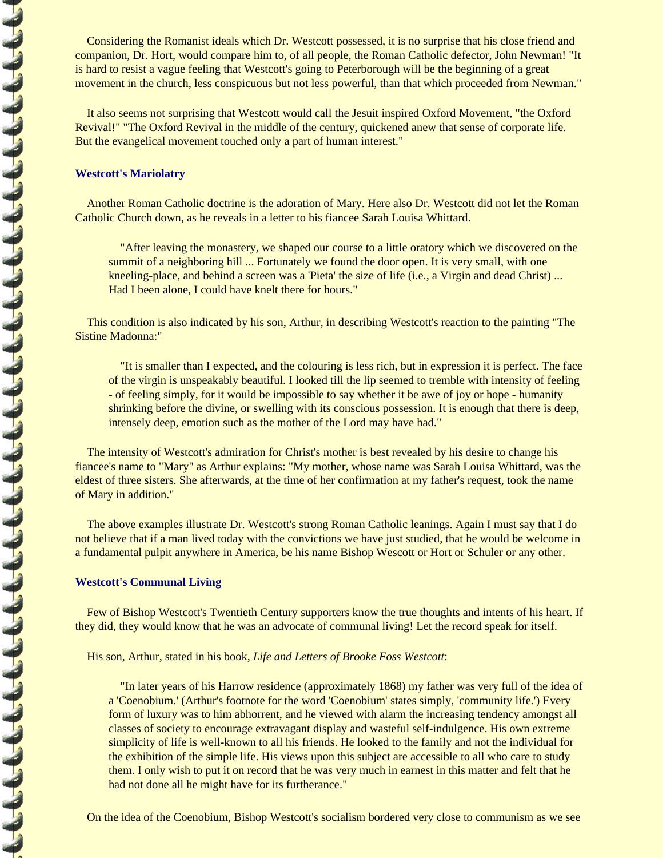Considering the Romanist ideals which Dr. Westcott possessed, it is no surprise that his close friend and companion, Dr. Hort, would compare him to, of all people, the Roman Catholic defector, John Newman! "It is hard to resist a vague feeling that Westcott's going to Peterborough will be the beginning of a great movement in the church, less conspicuous but not less powerful, than that which proceeded from Newman."

 It also seems not surprising that Westcott would call the Jesuit inspired Oxford Movement, "the Oxford Revival!" "The Oxford Revival in the middle of the century, quickened anew that sense of corporate life. But the evangelical movement touched only a part of human interest."

# **Westcott's Mariolatry**

 Another Roman Catholic doctrine is the adoration of Mary. Here also Dr. Westcott did not let the Roman Catholic Church down, as he reveals in a letter to his fiancee Sarah Louisa Whittard.

 "After leaving the monastery, we shaped our course to a little oratory which we discovered on the summit of a neighboring hill ... Fortunately we found the door open. It is very small, with one kneeling-place, and behind a screen was a 'Pieta' the size of life (i.e., a Virgin and dead Christ) ... Had I been alone, I could have knelt there for hours."

 This condition is also indicated by his son, Arthur, in describing Westcott's reaction to the painting "The Sistine Madonna:"

 "It is smaller than I expected, and the colouring is less rich, but in expression it is perfect. The face of the virgin is unspeakably beautiful. I looked till the lip seemed to tremble with intensity of feeling - of feeling simply, for it would be impossible to say whether it be awe of joy or hope - humanity shrinking before the divine, or swelling with its conscious possession. It is enough that there is deep, intensely deep, emotion such as the mother of the Lord may have had."

 The intensity of Westcott's admiration for Christ's mother is best revealed by his desire to change his fiancee's name to "Mary" as Arthur explains: "My mother, whose name was Sarah Louisa Whittard, was the eldest of three sisters. She afterwards, at the time of her confirmation at my father's request, took the name of Mary in addition."

 The above examples illustrate Dr. Westcott's strong Roman Catholic leanings. Again I must say that I do not believe that if a man lived today with the convictions we have just studied, that he would be welcome in a fundamental pulpit anywhere in America, be his name Bishop Wescott or Hort or Schuler or any other.

#### **Westcott's Communal Living**

 Few of Bishop Westcott's Twentieth Century supporters know the true thoughts and intents of his heart. If they did, they would know that he was an advocate of communal living! Let the record speak for itself.

His son, Arthur, stated in his book, *Life and Letters of Brooke Foss Westcott*:

 "In later years of his Harrow residence (approximately 1868) my father was very full of the idea of a 'Coenobium.' (Arthur's footnote for the word 'Coenobium' states simply, 'community life.') Every form of luxury was to him abhorrent, and he viewed with alarm the increasing tendency amongst all classes of society to encourage extravagant display and wasteful self-indulgence. His own extreme simplicity of life is well-known to all his friends. He looked to the family and not the individual for the exhibition of the simple life. His views upon this subject are accessible to all who care to study them. I only wish to put it on record that he was very much in earnest in this matter and felt that he had not done all he might have for its furtherance."

On the idea of the Coenobium, Bishop Westcott's socialism bordered very close to communism as we see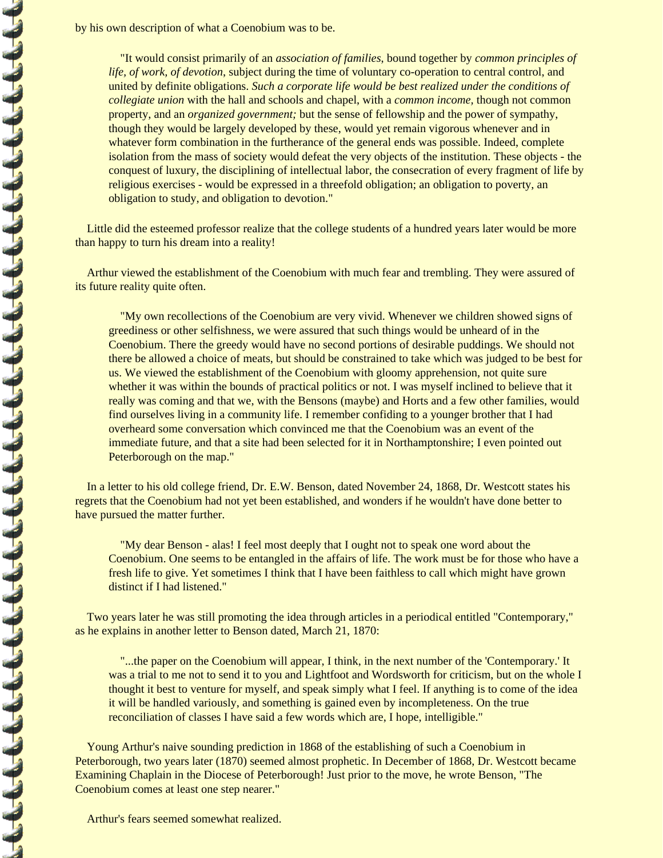by his own description of what a Coenobium was to be.

 "It would consist primarily of an *association of families*, bound together by *common principles of life, of work, of devotion*, subject during the time of voluntary co-operation to central control, and united by definite obligations. *Such a corporate life would be best realized under the conditions of collegiate union* with the hall and schools and chapel, with a *common income,* though not common property, and an *organized government;* but the sense of fellowship and the power of sympathy, though they would be largely developed by these, would yet remain vigorous whenever and in whatever form combination in the furtherance of the general ends was possible. Indeed, complete isolation from the mass of society would defeat the very objects of the institution. These objects - the conquest of luxury, the disciplining of intellectual labor, the consecration of every fragment of life by religious exercises - would be expressed in a threefold obligation; an obligation to poverty, an obligation to study, and obligation to devotion."

 Little did the esteemed professor realize that the college students of a hundred years later would be more than happy to turn his dream into a reality!

 Arthur viewed the establishment of the Coenobium with much fear and trembling. They were assured of its future reality quite often.

 "My own recollections of the Coenobium are very vivid. Whenever we children showed signs of greediness or other selfishness, we were assured that such things would be unheard of in the Coenobium. There the greedy would have no second portions of desirable puddings. We should not there be allowed a choice of meats, but should be constrained to take which was judged to be best for us. We viewed the establishment of the Coenobium with gloomy apprehension, not quite sure whether it was within the bounds of practical politics or not. I was myself inclined to believe that it really was coming and that we, with the Bensons (maybe) and Horts and a few other families, would find ourselves living in a community life. I remember confiding to a younger brother that I had overheard some conversation which convinced me that the Coenobium was an event of the immediate future, and that a site had been selected for it in Northamptonshire; I even pointed out Peterborough on the map."

 In a letter to his old college friend, Dr. E.W. Benson, dated November 24, 1868, Dr. Westcott states his regrets that the Coenobium had not yet been established, and wonders if he wouldn't have done better to have pursued the matter further.

 "My dear Benson - alas! I feel most deeply that I ought not to speak one word about the Coenobium. One seems to be entangled in the affairs of life. The work must be for those who have a fresh life to give. Yet sometimes I think that I have been faithless to call which might have grown distinct if I had listened."

 Two years later he was still promoting the idea through articles in a periodical entitled "Contemporary," as he explains in another letter to Benson dated, March 21, 1870:

 "...the paper on the Coenobium will appear, I think, in the next number of the 'Contemporary.' It was a trial to me not to send it to you and Lightfoot and Wordsworth for criticism, but on the whole I thought it best to venture for myself, and speak simply what I feel. If anything is to come of the idea it will be handled variously, and something is gained even by incompleteness. On the true reconciliation of classes I have said a few words which are, I hope, intelligible."

 Young Arthur's naive sounding prediction in 1868 of the establishing of such a Coenobium in Peterborough, two years later (1870) seemed almost prophetic. In December of 1868, Dr. Westcott became Examining Chaplain in the Diocese of Peterborough! Just prior to the move, he wrote Benson, "The Coenobium comes at least one step nearer."

Arthur's fears seemed somewhat realized.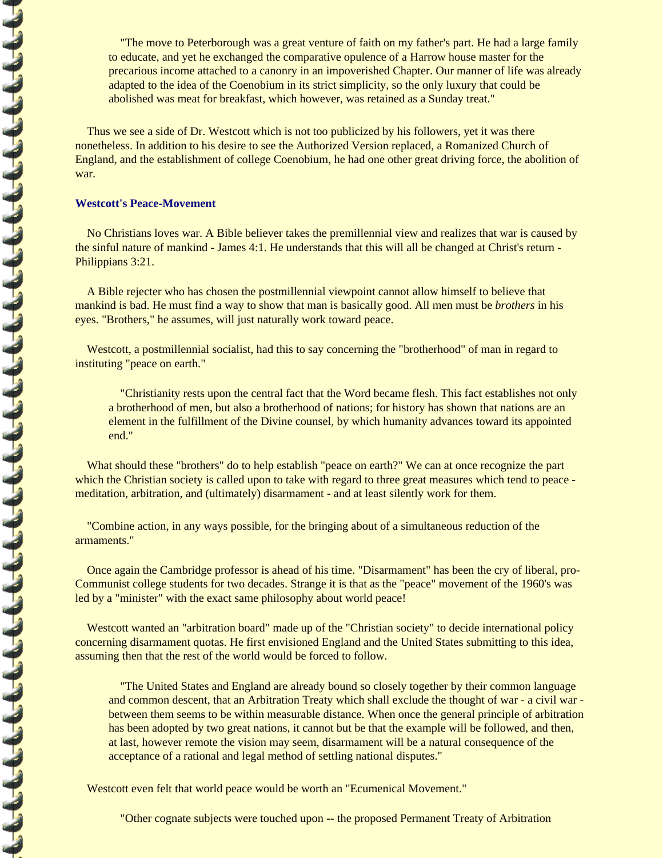"The move to Peterborough was a great venture of faith on my father's part. He had a large family to educate, and yet he exchanged the comparative opulence of a Harrow house master for the precarious income attached to a canonry in an impoverished Chapter. Our manner of life was already adapted to the idea of the Coenobium in its strict simplicity, so the only luxury that could be abolished was meat for breakfast, which however, was retained as a Sunday treat."

 Thus we see a side of Dr. Westcott which is not too publicized by his followers, yet it was there nonetheless. In addition to his desire to see the Authorized Version replaced, a Romanized Church of England, and the establishment of college Coenobium, he had one other great driving force, the abolition of war.

# **Westcott's Peace-Movement**

 No Christians loves war. A Bible believer takes the premillennial view and realizes that war is caused by the sinful nature of mankind - James 4:1. He understands that this will all be changed at Christ's return - Philippians 3:21.

 A Bible rejecter who has chosen the postmillennial viewpoint cannot allow himself to believe that mankind is bad. He must find a way to show that man is basically good. All men must be *brothers* in his eyes. "Brothers," he assumes, will just naturally work toward peace.

 Westcott, a postmillennial socialist, had this to say concerning the "brotherhood" of man in regard to instituting "peace on earth."

 "Christianity rests upon the central fact that the Word became flesh. This fact establishes not only a brotherhood of men, but also a brotherhood of nations; for history has shown that nations are an element in the fulfillment of the Divine counsel, by which humanity advances toward its appointed end."

What should these "brothers" do to help establish "peace on earth?" We can at once recognize the part which the Christian society is called upon to take with regard to three great measures which tend to peace meditation, arbitration, and (ultimately) disarmament - and at least silently work for them.

 "Combine action, in any ways possible, for the bringing about of a simultaneous reduction of the armaments."

 Once again the Cambridge professor is ahead of his time. "Disarmament" has been the cry of liberal, pro-Communist college students for two decades. Strange it is that as the "peace" movement of the 1960's was led by a "minister" with the exact same philosophy about world peace!

Westcott wanted an "arbitration board" made up of the "Christian society" to decide international policy concerning disarmament quotas. He first envisioned England and the United States submitting to this idea, assuming then that the rest of the world would be forced to follow.

 "The United States and England are already bound so closely together by their common language and common descent, that an Arbitration Treaty which shall exclude the thought of war - a civil war between them seems to be within measurable distance. When once the general principle of arbitration has been adopted by two great nations, it cannot but be that the example will be followed, and then, at last, however remote the vision may seem, disarmament will be a natural consequence of the acceptance of a rational and legal method of settling national disputes."

Westcott even felt that world peace would be worth an "Ecumenical Movement."

"Other cognate subjects were touched upon -- the proposed Permanent Treaty of Arbitration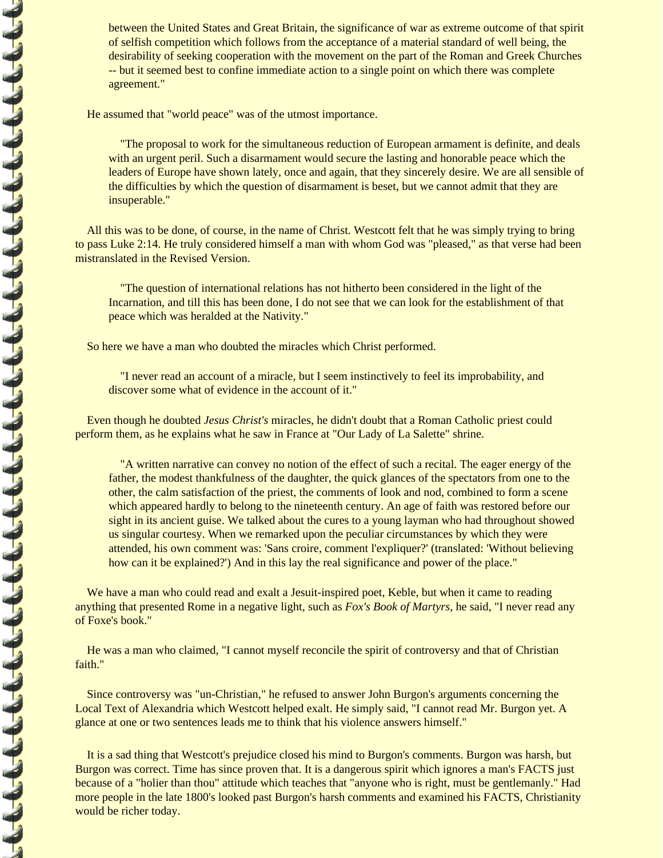between the United States and Great Britain, the significance of war as extreme outcome of that spirit of selfish competition which follows from the acceptance of a material standard of well being, the desirability of seeking cooperation with the movement on the part of the Roman and Greek Churches -- but it seemed best to confine immediate action to a single point on which there was complete agreement."

He assumed that "world peace" was of the utmost importance.

 "The proposal to work for the simultaneous reduction of European armament is definite, and deals with an urgent peril. Such a disarmament would secure the lasting and honorable peace which the leaders of Europe have shown lately, once and again, that they sincerely desire. We are all sensible of the difficulties by which the question of disarmament is beset, but we cannot admit that they are insuperable."

 All this was to be done, of course, in the name of Christ. Westcott felt that he was simply trying to bring to pass Luke 2:14. He truly considered himself a man with whom God was "pleased," as that verse had been mistranslated in the Revised Version.

 "The question of international relations has not hitherto been considered in the light of the Incarnation, and till this has been done, I do not see that we can look for the establishment of that peace which was heralded at the Nativity."

So here we have a man who doubted the miracles which Christ performed.

 "I never read an account of a miracle, but I seem instinctively to feel its improbability, and discover some what of evidence in the account of it."

 Even though he doubted *Jesus Christ's* miracles, he didn't doubt that a Roman Catholic priest could perform them, as he explains what he saw in France at "Our Lady of La Salette" shrine.

 "A written narrative can convey no notion of the effect of such a recital. The eager energy of the father, the modest thankfulness of the daughter, the quick glances of the spectators from one to the other, the calm satisfaction of the priest, the comments of look and nod, combined to form a scene which appeared hardly to belong to the nineteenth century. An age of faith was restored before our sight in its ancient guise. We talked about the cures to a young layman who had throughout showed us singular courtesy. When we remarked upon the peculiar circumstances by which they were attended, his own comment was: 'Sans croire, comment l'expliquer?' (translated: 'Without believing how can it be explained?') And in this lay the real significance and power of the place."

We have a man who could read and exalt a Jesuit-inspired poet, Keble, but when it came to reading anything that presented Rome in a negative light, such as *Fox's Book of Martyrs*, he said, "I never read any of Foxe's book."

 He was a man who claimed, "I cannot myself reconcile the spirit of controversy and that of Christian faith."

 Since controversy was "un-Christian," he refused to answer John Burgon's arguments concerning the Local Text of Alexandria which Westcott helped exalt. He simply said, "I cannot read Mr. Burgon yet. A glance at one or two sentences leads me to think that his violence answers himself."

 It is a sad thing that Westcott's prejudice closed his mind to Burgon's comments. Burgon was harsh, but Burgon was correct. Time has since proven that. It is a dangerous spirit which ignores a man's FACTS just because of a "holier than thou" attitude which teaches that "anyone who is right, must be gentlemanly." Had more people in the late 1800's looked past Burgon's harsh comments and examined his FACTS, Christianity would be richer today.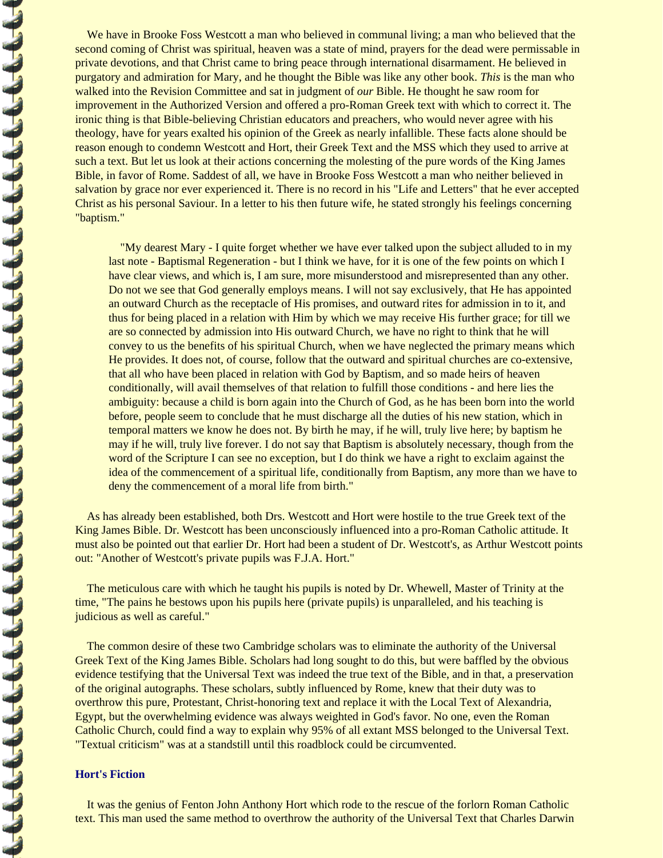"baptism." **Hort's Fiction** 

 We have in Brooke Foss Westcott a man who believed in communal living; a man who believed that the second coming of Christ was spiritual, heaven was a state of mind, prayers for the dead were permissable in private devotions, and that Christ came to bring peace through international disarmament. He believed in purgatory and admiration for Mary, and he thought the Bible was like any other book. *This* is the man who walked into the Revision Committee and sat in judgment of *our* Bible. He thought he saw room for improvement in the Authorized Version and offered a pro-Roman Greek text with which to correct it. The ironic thing is that Bible-believing Christian educators and preachers, who would never agree with his theology, have for years exalted his opinion of the Greek as nearly infallible. These facts alone should be reason enough to condemn Westcott and Hort, their Greek Text and the MSS which they used to arrive at such a text. But let us look at their actions concerning the molesting of the pure words of the King James Bible, in favor of Rome. Saddest of all, we have in Brooke Foss Westcott a man who neither believed in salvation by grace nor ever experienced it. There is no record in his "Life and Letters" that he ever accepted Christ as his personal Saviour. In a letter to his then future wife, he stated strongly his feelings concerning

 "My dearest Mary - I quite forget whether we have ever talked upon the subject alluded to in my last note - Baptismal Regeneration - but I think we have, for it is one of the few points on which I have clear views, and which is, I am sure, more misunderstood and misrepresented than any other. Do not we see that God generally employs means. I will not say exclusively, that He has appointed an outward Church as the receptacle of His promises, and outward rites for admission in to it, and thus for being placed in a relation with Him by which we may receive His further grace; for till we are so connected by admission into His outward Church, we have no right to think that he will convey to us the benefits of his spiritual Church, when we have neglected the primary means which He provides. It does not, of course, follow that the outward and spiritual churches are co-extensive, that all who have been placed in relation with God by Baptism, and so made heirs of heaven conditionally, will avail themselves of that relation to fulfill those conditions - and here lies the ambiguity: because a child is born again into the Church of God, as he has been born into the world before, people seem to conclude that he must discharge all the duties of his new station, which in temporal matters we know he does not. By birth he may, if he will, truly live here; by baptism he may if he will, truly live forever. I do not say that Baptism is absolutely necessary, though from the word of the Scripture I can see no exception, but I do think we have a right to exclaim against the idea of the commencement of a spiritual life, conditionally from Baptism, any more than we have to deny the commencement of a moral life from birth."

 As has already been established, both Drs. Westcott and Hort were hostile to the true Greek text of the King James Bible. Dr. Westcott has been unconsciously influenced into a pro-Roman Catholic attitude. It must also be pointed out that earlier Dr. Hort had been a student of Dr. Westcott's, as Arthur Westcott points out: "Another of Westcott's private pupils was F.J.A. Hort."

 The meticulous care with which he taught his pupils is noted by Dr. Whewell, Master of Trinity at the time, "The pains he bestows upon his pupils here (private pupils) is unparalleled, and his teaching is judicious as well as careful."

 The common desire of these two Cambridge scholars was to eliminate the authority of the Universal Greek Text of the King James Bible. Scholars had long sought to do this, but were baffled by the obvious evidence testifying that the Universal Text was indeed the true text of the Bible, and in that, a preservation of the original autographs. These scholars, subtly influenced by Rome, knew that their duty was to overthrow this pure, Protestant, Christ-honoring text and replace it with the Local Text of Alexandria, Egypt, but the overwhelming evidence was always weighted in God's favor. No one, even the Roman Catholic Church, could find a way to explain why 95% of all extant MSS belonged to the Universal Text. "Textual criticism" was at a standstill until this roadblock could be circumvented.

 It was the genius of Fenton John Anthony Hort which rode to the rescue of the forlorn Roman Catholic text. This man used the same method to overthrow the authority of the Universal Text that Charles Darwin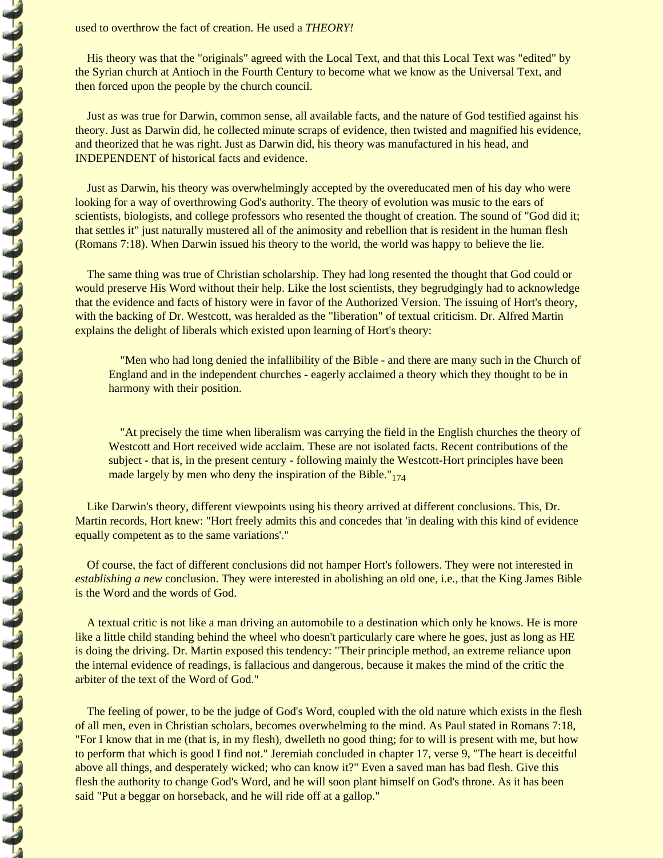His theory was that the "originals" agreed with the Local Text, and that this Local Text was "edited" by the Syrian church at Antioch in the Fourth Century to become what we know as the Universal Text, and then forced upon the people by the church council.

 Just as was true for Darwin, common sense, all available facts, and the nature of God testified against his theory. Just as Darwin did, he collected minute scraps of evidence, then twisted and magnified his evidence, and theorized that he was right. Just as Darwin did, his theory was manufactured in his head, and INDEPENDENT of historical facts and evidence.

 Just as Darwin, his theory was overwhelmingly accepted by the overeducated men of his day who were looking for a way of overthrowing God's authority. The theory of evolution was music to the ears of scientists, biologists, and college professors who resented the thought of creation. The sound of "God did it; that settles it" just naturally mustered all of the animosity and rebellion that is resident in the human flesh (Romans 7:18). When Darwin issued his theory to the world, the world was happy to believe the lie.

 The same thing was true of Christian scholarship. They had long resented the thought that God could or would preserve His Word without their help. Like the lost scientists, they begrudgingly had to acknowledge that the evidence and facts of history were in favor of the Authorized Version. The issuing of Hort's theory, with the backing of Dr. Westcott, was heralded as the "liberation" of textual criticism. Dr. Alfred Martin explains the delight of liberals which existed upon learning of Hort's theory:

 "Men who had long denied the infallibility of the Bible - and there are many such in the Church of England and in the independent churches - eagerly acclaimed a theory which they thought to be in harmony with their position.

 "At precisely the time when liberalism was carrying the field in the English churches the theory of Westcott and Hort received wide acclaim. These are not isolated facts. Recent contributions of the subject - that is, in the present century - following mainly the Westcott-Hort principles have been made largely by men who deny the inspiration of the Bible." $_{174}$ 

 Like Darwin's theory, different viewpoints using his theory arrived at different conclusions. This, Dr. Martin records, Hort knew: "Hort freely admits this and concedes that 'in dealing with this kind of evidence equally competent as to the same variations'."

 Of course, the fact of different conclusions did not hamper Hort's followers. They were not interested in *establishing a new* conclusion. They were interested in abolishing an old one, i.e., that the King James Bible is the Word and the words of God.

 A textual critic is not like a man driving an automobile to a destination which only he knows. He is more like a little child standing behind the wheel who doesn't particularly care where he goes, just as long as HE is doing the driving. Dr. Martin exposed this tendency: "Their principle method, an extreme reliance upon the internal evidence of readings, is fallacious and dangerous, because it makes the mind of the critic the arbiter of the text of the Word of God."

 The feeling of power, to be the judge of God's Word, coupled with the old nature which exists in the flesh of all men, even in Christian scholars, becomes overwhelming to the mind. As Paul stated in Romans 7:18, "For I know that in me (that is, in my flesh), dwelleth no good thing; for to will is present with me, but how to perform that which is good I find not." Jeremiah concluded in chapter 17, verse 9, "The heart is deceitful above all things, and desperately wicked; who can know it?" Even a saved man has bad flesh. Give this flesh the authority to change God's Word, and he will soon plant himself on God's throne. As it has been said "Put a beggar on horseback, and he will ride off at a gallop."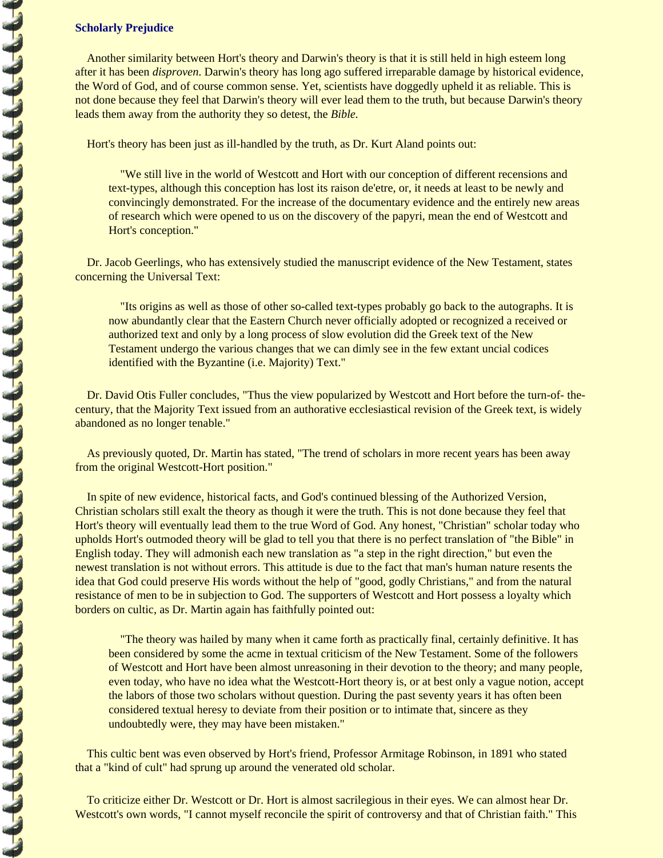#### **Scholarly Prejudice**

 Another similarity between Hort's theory and Darwin's theory is that it is still held in high esteem long after it has been *disproven*. Darwin's theory has long ago suffered irreparable damage by historical evidence, the Word of God, and of course common sense. Yet, scientists have doggedly upheld it as reliable. This is not done because they feel that Darwin's theory will ever lead them to the truth, but because Darwin's theory leads them away from the authority they so detest, the *Bible.*

Hort's theory has been just as ill-handled by the truth, as Dr. Kurt Aland points out:

 "We still live in the world of Westcott and Hort with our conception of different recensions and text-types, although this conception has lost its raison de'etre, or, it needs at least to be newly and convincingly demonstrated. For the increase of the documentary evidence and the entirely new areas of research which were opened to us on the discovery of the papyri, mean the end of Westcott and Hort's conception."

 Dr. Jacob Geerlings, who has extensively studied the manuscript evidence of the New Testament, states concerning the Universal Text:

 "Its origins as well as those of other so-called text-types probably go back to the autographs. It is now abundantly clear that the Eastern Church never officially adopted or recognized a received or authorized text and only by a long process of slow evolution did the Greek text of the New Testament undergo the various changes that we can dimly see in the few extant uncial codices identified with the Byzantine (i.e. Majority) Text."

 Dr. David Otis Fuller concludes, "Thus the view popularized by Westcott and Hort before the turn-of- thecentury, that the Majority Text issued from an authorative ecclesiastical revision of the Greek text, is widely abandoned as no longer tenable."

 As previously quoted, Dr. Martin has stated, "The trend of scholars in more recent years has been away from the original Westcott-Hort position."

 In spite of new evidence, historical facts, and God's continued blessing of the Authorized Version, Christian scholars still exalt the theory as though it were the truth. This is not done because they feel that Hort's theory will eventually lead them to the true Word of God. Any honest, "Christian" scholar today who upholds Hort's outmoded theory will be glad to tell you that there is no perfect translation of "the Bible" in English today. They will admonish each new translation as "a step in the right direction," but even the newest translation is not without errors. This attitude is due to the fact that man's human nature resents the idea that God could preserve His words without the help of "good, godly Christians," and from the natural resistance of men to be in subjection to God. The supporters of Westcott and Hort possess a loyalty which borders on cultic, as Dr. Martin again has faithfully pointed out:

 "The theory was hailed by many when it came forth as practically final, certainly definitive. It has been considered by some the acme in textual criticism of the New Testament. Some of the followers of Westcott and Hort have been almost unreasoning in their devotion to the theory; and many people, even today, who have no idea what the Westcott-Hort theory is, or at best only a vague notion, accept the labors of those two scholars without question. During the past seventy years it has often been considered textual heresy to deviate from their position or to intimate that, sincere as they undoubtedly were, they may have been mistaken."

 This cultic bent was even observed by Hort's friend, Professor Armitage Robinson, in 1891 who stated that a "kind of cult" had sprung up around the venerated old scholar.

 To criticize either Dr. Westcott or Dr. Hort is almost sacrilegious in their eyes. We can almost hear Dr. Westcott's own words, "I cannot myself reconcile the spirit of controversy and that of Christian faith." This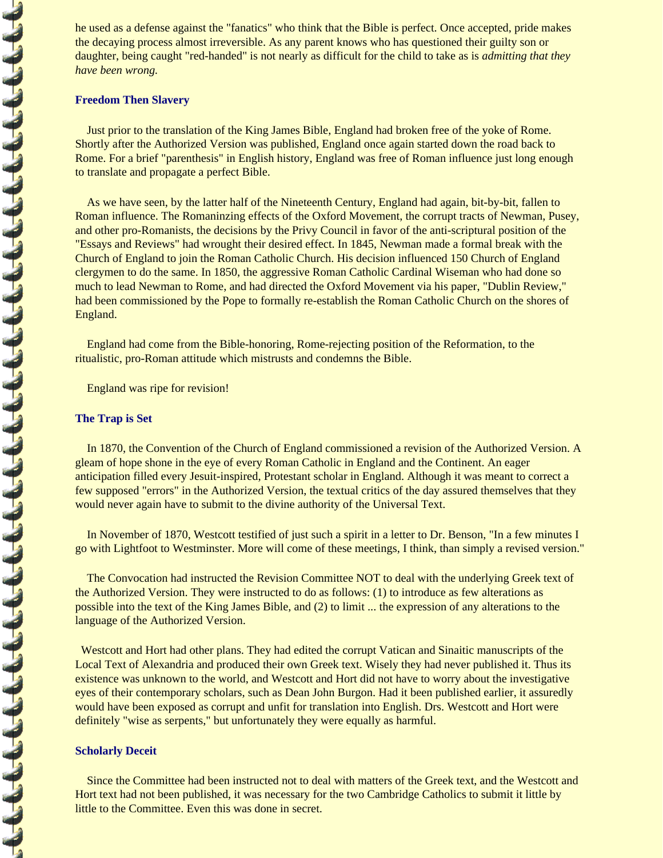he used as a defense against the "fanatics" who think that the Bible is perfect. Once accepted, pride makes the decaying process almost irreversible. As any parent knows who has questioned their guilty son or daughter, being caught "red-handed" is not nearly as difficult for the child to take as is *admitting that they have been wrong.* 

# **Freedom Then Slavery**

 Just prior to the translation of the King James Bible, England had broken free of the yoke of Rome. Shortly after the Authorized Version was published, England once again started down the road back to Rome. For a brief "parenthesis" in English history, England was free of Roman influence just long enough to translate and propagate a perfect Bible.

 As we have seen, by the latter half of the Nineteenth Century, England had again, bit-by-bit, fallen to Roman influence. The Romaninzing effects of the Oxford Movement, the corrupt tracts of Newman, Pusey, and other pro-Romanists, the decisions by the Privy Council in favor of the anti-scriptural position of the "Essays and Reviews" had wrought their desired effect. In 1845, Newman made a formal break with the Church of England to join the Roman Catholic Church. His decision influenced 150 Church of England clergymen to do the same. In 1850, the aggressive Roman Catholic Cardinal Wiseman who had done so much to lead Newman to Rome, and had directed the Oxford Movement via his paper, "Dublin Review," had been commissioned by the Pope to formally re-establish the Roman Catholic Church on the shores of England.

 England had come from the Bible-honoring, Rome-rejecting position of the Reformation, to the ritualistic, pro-Roman attitude which mistrusts and condemns the Bible.

England was ripe for revision!

#### **The Trap is Set**

 In 1870, the Convention of the Church of England commissioned a revision of the Authorized Version. A gleam of hope shone in the eye of every Roman Catholic in England and the Continent. An eager anticipation filled every Jesuit-inspired, Protestant scholar in England. Although it was meant to correct a few supposed "errors" in the Authorized Version, the textual critics of the day assured themselves that they would never again have to submit to the divine authority of the Universal Text.

 In November of 1870, Westcott testified of just such a spirit in a letter to Dr. Benson, "In a few minutes I go with Lightfoot to Westminster. More will come of these meetings, I think, than simply a revised version."

 The Convocation had instructed the Revision Committee NOT to deal with the underlying Greek text of the Authorized Version. They were instructed to do as follows: (1) to introduce as few alterations as possible into the text of the King James Bible, and (2) to limit ... the expression of any alterations to the language of the Authorized Version.

 Westcott and Hort had other plans. They had edited the corrupt Vatican and Sinaitic manuscripts of the Local Text of Alexandria and produced their own Greek text. Wisely they had never published it. Thus its existence was unknown to the world, and Westcott and Hort did not have to worry about the investigative eyes of their contemporary scholars, such as Dean John Burgon. Had it been published earlier, it assuredly would have been exposed as corrupt and unfit for translation into English. Drs. Westcott and Hort were definitely "wise as serpents," but unfortunately they were equally as harmful.

# **Scholarly Deceit**

 Since the Committee had been instructed not to deal with matters of the Greek text, and the Westcott and Hort text had not been published, it was necessary for the two Cambridge Catholics to submit it little by little to the Committee. Even this was done in secret.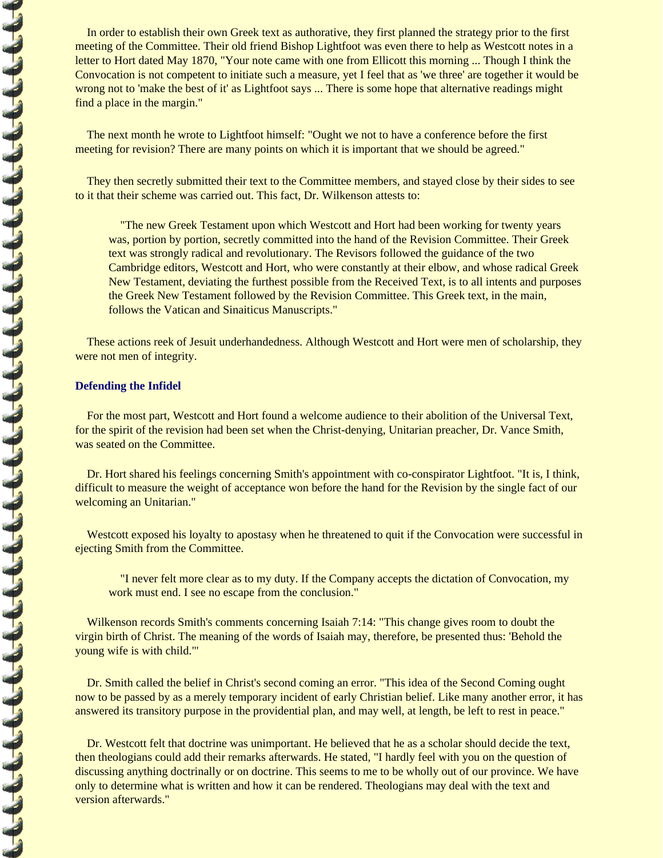In order to establish their own Greek text as authorative, they first planned the strategy prior to the first meeting of the Committee. Their old friend Bishop Lightfoot was even there to help as Westcott notes in a letter to Hort dated May 1870, "Your note came with one from Ellicott this morning ... Though I think the Convocation is not competent to initiate such a measure, yet I feel that as 'we three' are together it would be wrong not to 'make the best of it' as Lightfoot says ... There is some hope that alternative readings might find a place in the margin."

 The next month he wrote to Lightfoot himself: "Ought we not to have a conference before the first meeting for revision? There are many points on which it is important that we should be agreed."

 They then secretly submitted their text to the Committee members, and stayed close by their sides to see to it that their scheme was carried out. This fact, Dr. Wilkenson attests to:

 "The new Greek Testament upon which Westcott and Hort had been working for twenty years was, portion by portion, secretly committed into the hand of the Revision Committee. Their Greek text was strongly radical and revolutionary. The Revisors followed the guidance of the two Cambridge editors, Westcott and Hort, who were constantly at their elbow, and whose radical Greek New Testament, deviating the furthest possible from the Received Text, is to all intents and purposes the Greek New Testament followed by the Revision Committee. This Greek text, in the main, follows the Vatican and Sinaiticus Manuscripts."

 These actions reek of Jesuit underhandedness. Although Westcott and Hort were men of scholarship, they were not men of integrity.

#### **Defending the Infidel**

 For the most part, Westcott and Hort found a welcome audience to their abolition of the Universal Text, for the spirit of the revision had been set when the Christ-denying, Unitarian preacher, Dr. Vance Smith, was seated on the Committee.

 Dr. Hort shared his feelings concerning Smith's appointment with co-conspirator Lightfoot. "It is, I think, difficult to measure the weight of acceptance won before the hand for the Revision by the single fact of our welcoming an Unitarian."

Westcott exposed his loyalty to apostasy when he threatened to quit if the Convocation were successful in ejecting Smith from the Committee.

 "I never felt more clear as to my duty. If the Company accepts the dictation of Convocation, my work must end. I see no escape from the conclusion."

 Wilkenson records Smith's comments concerning Isaiah 7:14: "This change gives room to doubt the virgin birth of Christ. The meaning of the words of Isaiah may, therefore, be presented thus: 'Behold the young wife is with child."'

 Dr. Smith called the belief in Christ's second coming an error. "This idea of the Second Coming ought now to be passed by as a merely temporary incident of early Christian belief. Like many another error, it has answered its transitory purpose in the providential plan, and may well, at length, be left to rest in peace."

 Dr. Westcott felt that doctrine was unimportant. He believed that he as a scholar should decide the text, then theologians could add their remarks afterwards. He stated, "I hardly feel with you on the question of discussing anything doctrinally or on doctrine. This seems to me to be wholly out of our province. We have only to determine what is written and how it can be rendered. Theologians may deal with the text and version afterwards."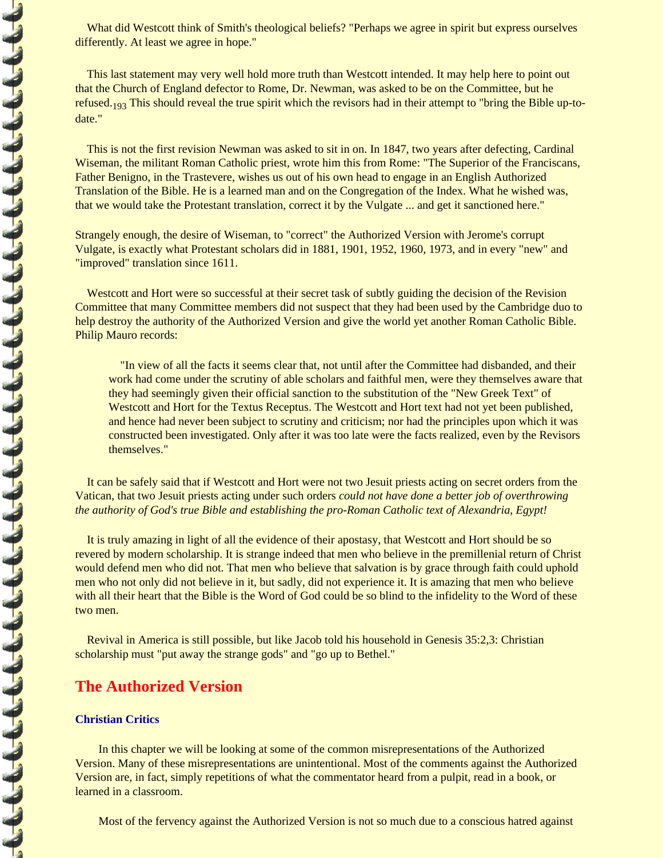What did Westcott think of Smith's theological beliefs? "Perhaps we agree in spirit but express ourselves differently. At least we agree in hope."

 This last statement may very well hold more truth than Westcott intended. It may help here to point out that the Church of England defector to Rome, Dr. Newman, was asked to be on the Committee, but he refused.<sub>193</sub> This should reveal the true spirit which the revisors had in their attempt to "bring the Bible up-todate."

 This is not the first revision Newman was asked to sit in on. In 1847, two years after defecting, Cardinal Wiseman, the militant Roman Catholic priest, wrote him this from Rome: "The Superior of the Franciscans, Father Benigno, in the Trastevere, wishes us out of his own head to engage in an English Authorized Translation of the Bible. He is a learned man and on the Congregation of the Index. What he wished was, that we would take the Protestant translation, correct it by the Vulgate ... and get it sanctioned here."

Strangely enough, the desire of Wiseman, to "correct" the Authorized Version with Jerome's corrupt Vulgate, is exactly what Protestant scholars did in 1881, 1901, 1952, 1960, 1973, and in every "new" and "improved" translation since 1611.

Westcott and Hort were so successful at their secret task of subtly guiding the decision of the Revision Committee that many Committee members did not suspect that they had been used by the Cambridge duo to help destroy the authority of the Authorized Version and give the world yet another Roman Catholic Bible. Philip Mauro records:

 "In view of all the facts it seems clear that, not until after the Committee had disbanded, and their work had come under the scrutiny of able scholars and faithful men, were they themselves aware that they had seemingly given their official sanction to the substitution of the "New Greek Text" of Westcott and Hort for the Textus Receptus. The Westcott and Hort text had not yet been published, and hence had never been subject to scrutiny and criticism; nor had the principles upon which it was constructed been investigated. Only after it was too late were the facts realized, even by the Revisors themselves."

 It can be safely said that if Westcott and Hort were not two Jesuit priests acting on secret orders from the Vatican, that two Jesuit priests acting under such orders *could not have done a better job of overthrowing the authority of God's true Bible and establishing the pro-Roman Catholic text of Alexandria, Egypt!* 

 It is truly amazing in light of all the evidence of their apostasy, that Westcott and Hort should be so revered by modern scholarship. It is strange indeed that men who believe in the premillenial return of Christ would defend men who did not. That men who believe that salvation is by grace through faith could uphold men who not only did not believe in it, but sadly, did not experience it. It is amazing that men who believe with all their heart that the Bible is the Word of God could be so blind to the infidelity to the Word of these two men.

 Revival in America is still possible, but like Jacob told his household in Genesis 35:2,3: Christian scholarship must "put away the strange gods" and "go up to Bethel."

# **The Authorized Version**

# **Christian Critics**

 In this chapter we will be looking at some of the common misrepresentations of the Authorized Version. Many of these misrepresentations are unintentional. Most of the comments against the Authorized Version are, in fact, simply repetitions of what the commentator heard from a pulpit, read in a book, or learned in a classroom.

Most of the fervency against the Authorized Version is not so much due to a conscious hatred against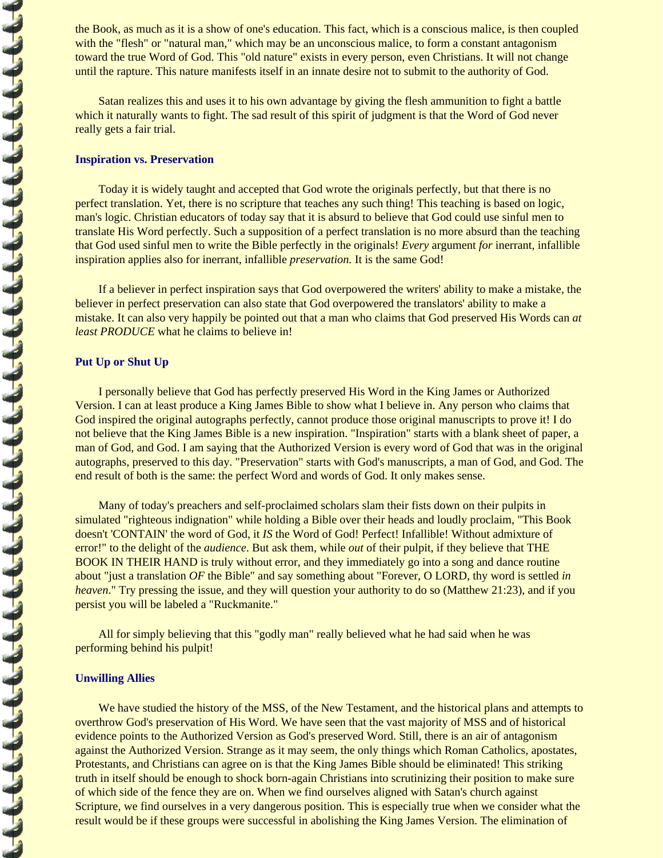the Book, as much as it is a show of one's education. This fact, which is a conscious malice, is then coupled with the "flesh" or "natural man," which may be an unconscious malice, to form a constant antagonism toward the true Word of God. This "old nature" exists in every person, even Christians. It will not change until the rapture. This nature manifests itself in an innate desire not to submit to the authority of God.

 Satan realizes this and uses it to his own advantage by giving the flesh ammunition to fight a battle which it naturally wants to fight. The sad result of this spirit of judgment is that the Word of God never really gets a fair trial.

# **Inspiration vs. Preservation**

 Today it is widely taught and accepted that God wrote the originals perfectly, but that there is no perfect translation. Yet, there is no scripture that teaches any such thing! This teaching is based on logic, man's logic. Christian educators of today say that it is absurd to believe that God could use sinful men to translate His Word perfectly. Such a supposition of a perfect translation is no more absurd than the teaching that God used sinful men to write the Bible perfectly in the originals! *Every* argument *for* inerrant, infallible inspiration applies also for inerrant, infallible *preservation.* It is the same God!

 If a believer in perfect inspiration says that God overpowered the writers' ability to make a mistake, the believer in perfect preservation can also state that God overpowered the translators' ability to make a mistake. It can also very happily be pointed out that a man who claims that God preserved His Words can *at least PRODUCE* what he claims to believe in!

# **Put Up or Shut Up**

 I personally believe that God has perfectly preserved His Word in the King James or Authorized Version. I can at least produce a King James Bible to show what I believe in. Any person who claims that God inspired the original autographs perfectly, cannot produce those original manuscripts to prove it! I do not believe that the King James Bible is a new inspiration. "Inspiration" starts with a blank sheet of paper, a man of God, and God. I am saying that the Authorized Version is every word of God that was in the original autographs, preserved to this day. "Preservation" starts with God's manuscripts, a man of God, and God. The end result of both is the same: the perfect Word and words of God. It only makes sense.

 Many of today's preachers and self-proclaimed scholars slam their fists down on their pulpits in simulated "righteous indignation" while holding a Bible over their heads and loudly proclaim, "This Book doesn't 'CONTAIN' the word of God, it *IS* the Word of God! Perfect! Infallible! Without admixture of error!" to the delight of the *audience*. But ask them, while *out* of their pulpit, if they believe that THE BOOK IN THEIR HAND is truly without error, and they immediately go into a song and dance routine about "just a translation *OF* the Bible" and say something about "Forever, O LORD, thy word is settled *in heaven*." Try pressing the issue, and they will question your authority to do so (Matthew 21:23), and if you persist you will be labeled a "Ruckmanite."

 All for simply believing that this "godly man" really believed what he had said when he was performing behind his pulpit!

#### **Unwilling Allies**

We have studied the history of the MSS, of the New Testament, and the historical plans and attempts to overthrow God's preservation of His Word. We have seen that the vast majority of MSS and of historical evidence points to the Authorized Version as God's preserved Word. Still, there is an air of antagonism against the Authorized Version. Strange as it may seem, the only things which Roman Catholics, apostates, Protestants, and Christians can agree on is that the King James Bible should be eliminated! This striking truth in itself should be enough to shock born-again Christians into scrutinizing their position to make sure of which side of the fence they are on. When we find ourselves aligned with Satan's church against Scripture, we find ourselves in a very dangerous position. This is especially true when we consider what the result would be if these groups were successful in abolishing the King James Version. The elimination of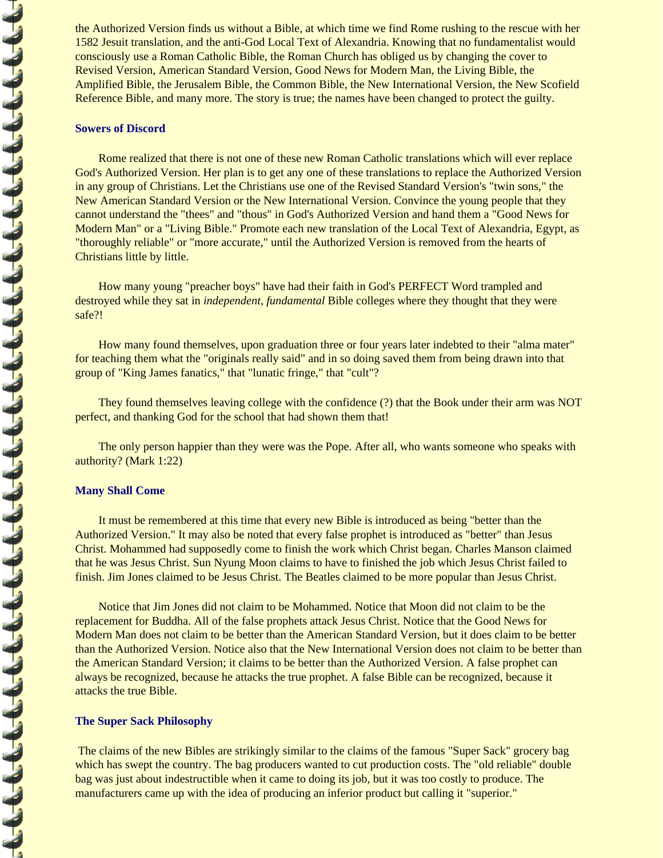the Authorized Version finds us without a Bible, at which time we find Rome rushing to the rescue with her 1582 Jesuit translation, and the anti-God Local Text of Alexandria. Knowing that no fundamentalist would consciously use a Roman Catholic Bible, the Roman Church has obliged us by changing the cover to Revised Version, American Standard Version, Good News for Modern Man, the Living Bible, the Amplified Bible, the Jerusalem Bible, the Common Bible, the New International Version, the New Scofield Reference Bible, and many more. The story is true; the names have been changed to protect the guilty.

# **Sowers of Discord**

 Rome realized that there is not one of these new Roman Catholic translations which will ever replace God's Authorized Version. Her plan is to get any one of these translations to replace the Authorized Version in any group of Christians. Let the Christians use one of the Revised Standard Version's "twin sons," the New American Standard Version or the New International Version. Convince the young people that they cannot understand the "thees" and "thous" in God's Authorized Version and hand them a "Good News for Modern Man" or a "Living Bible." Promote each new translation of the Local Text of Alexandria, Egypt, as "thoroughly reliable" or "more accurate," until the Authorized Version is removed from the hearts of Christians little by little.

 How many young "preacher boys" have had their faith in God's PERFECT Word trampled and destroyed while they sat in *independent, fundamental* Bible colleges where they thought that they were safe?!

 How many found themselves, upon graduation three or four years later indebted to their "alma mater" for teaching them what the "originals really said" and in so doing saved them from being drawn into that group of "King James fanatics," that "lunatic fringe," that "cult"?

 They found themselves leaving college with the confidence (?) that the Book under their arm was NOT perfect, and thanking God for the school that had shown them that!

 The only person happier than they were was the Pope. After all, who wants someone who speaks with authority? (Mark 1:22)

#### **Many Shall Come**

 It must be remembered at this time that every new Bible is introduced as being "better than the Authorized Version." It may also be noted that every false prophet is introduced as "better" than Jesus Christ. Mohammed had supposedly come to finish the work which Christ began. Charles Manson claimed that he was Jesus Christ. Sun Nyung Moon claims to have to finished the job which Jesus Christ failed to finish. Jim Jones claimed to be Jesus Christ. The Beatles claimed to be more popular than Jesus Christ.

 Notice that Jim Jones did not claim to be Mohammed. Notice that Moon did not claim to be the replacement for Buddha. All of the false prophets attack Jesus Christ. Notice that the Good News for Modern Man does not claim to be better than the American Standard Version, but it does claim to be better than the Authorized Version. Notice also that the New International Version does not claim to be better than the American Standard Version; it claims to be better than the Authorized Version. A false prophet can always be recognized, because he attacks the true prophet. A false Bible can be recognized, because it attacks the true Bible.

## **The Super Sack Philosophy**

 The claims of the new Bibles are strikingly similar to the claims of the famous "Super Sack" grocery bag which has swept the country. The bag producers wanted to cut production costs. The "old reliable" double bag was just about indestructible when it came to doing its job, but it was too costly to produce. The manufacturers came up with the idea of producing an inferior product but calling it "superior."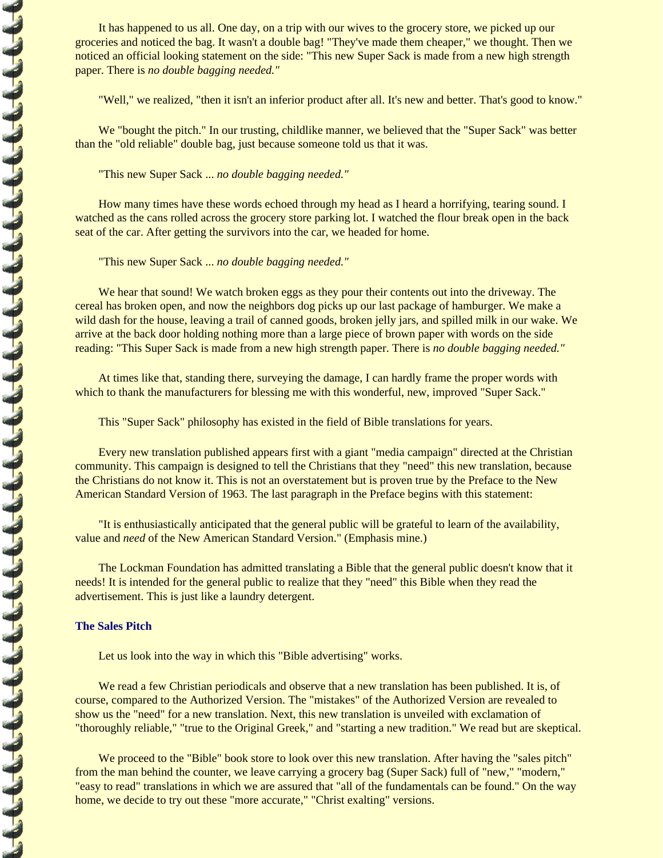It has happened to us all. One day, on a trip with our wives to the grocery store, we picked up our groceries and noticed the bag. It wasn't a double bag! "They've made them cheaper," we thought. Then we noticed an official looking statement on the side: "This new Super Sack is made from a new high strength paper. There is *no double bagging needed."*

"Well," we realized, "then it isn't an inferior product after all. It's new and better. That's good to know."

 We "bought the pitch." In our trusting, childlike manner, we believed that the "Super Sack" was better than the "old reliable" double bag, just because someone told us that it was.

"This new Super Sack ... *no double bagging needed."* 

 How many times have these words echoed through my head as I heard a horrifying, tearing sound. I watched as the cans rolled across the grocery store parking lot. I watched the flour break open in the back seat of the car. After getting the survivors into the car, we headed for home.

"This new Super Sack ... *no double bagging needed."* 

We hear that sound! We watch broken eggs as they pour their contents out into the driveway. The cereal has broken open, and now the neighbors dog picks up our last package of hamburger. We make a wild dash for the house, leaving a trail of canned goods, broken jelly jars, and spilled milk in our wake. We arrive at the back door holding nothing more than a large piece of brown paper with words on the side reading: "This Super Sack is made from a new high strength paper. There is *no double bagging needed."* 

 At times like that, standing there, surveying the damage, I can hardly frame the proper words with which to thank the manufacturers for blessing me with this wonderful, new, improved "Super Sack."

This "Super Sack" philosophy has existed in the field of Bible translations for years.

 Every new translation published appears first with a giant "media campaign" directed at the Christian community. This campaign is designed to tell the Christians that they "need" this new translation, because the Christians do not know it. This is not an overstatement but is proven true by the Preface to the New American Standard Version of 1963. The last paragraph in the Preface begins with this statement:

 "It is enthusiastically anticipated that the general public will be grateful to learn of the availability, value and *need* of the New American Standard Version." (Emphasis mine.)

 The Lockman Foundation has admitted translating a Bible that the general public doesn't know that it needs! It is intended for the general public to realize that they "need" this Bible when they read the advertisement. This is just like a laundry detergent.

#### **The Sales Pitch**

Let us look into the way in which this "Bible advertising" works.

We read a few Christian periodicals and observe that a new translation has been published. It is, of course, compared to the Authorized Version. The "mistakes" of the Authorized Version are revealed to show us the "need" for a new translation. Next, this new translation is unveiled with exclamation of "thoroughly reliable," "true to the Original Greek," and "starting a new tradition." We read but are skeptical.

We proceed to the "Bible" book store to look over this new translation. After having the "sales pitch" from the man behind the counter, we leave carrying a grocery bag (Super Sack) full of "new," "modern," "easy to read" translations in which we are assured that "all of the fundamentals can be found." On the way home, we decide to try out these "more accurate," "Christ exalting" versions.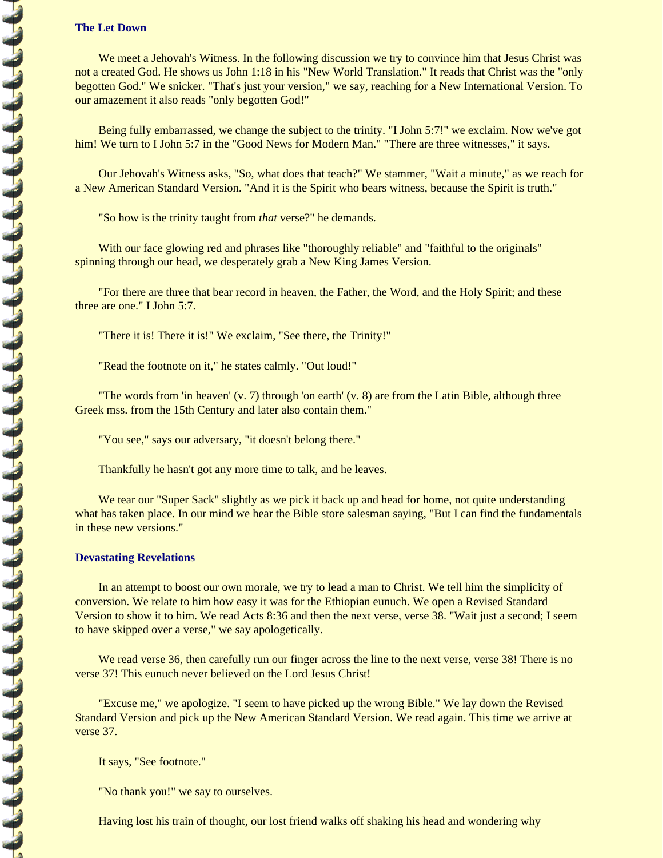#### **The Let Down**

We meet a Jehovah's Witness. In the following discussion we try to convince him that Jesus Christ was not a created God. He shows us John 1:18 in his "New World Translation." It reads that Christ was the "only begotten God." We snicker. "That's just your version," we say, reaching for a New International Version. To our amazement it also reads "only begotten God!"

 Being fully embarrassed, we change the subject to the trinity. "I John 5:7!" we exclaim. Now we've got him! We turn to I John 5:7 in the "Good News for Modern Man." "There are three witnesses," it says.

 Our Jehovah's Witness asks, "So, what does that teach?" We stammer, "Wait a minute," as we reach for a New American Standard Version. "And it is the Spirit who bears witness, because the Spirit is truth."

"So how is the trinity taught from *that* verse?" he demands.

With our face glowing red and phrases like "thoroughly reliable" and "faithful to the originals" spinning through our head, we desperately grab a New King James Version.

 "For there are three that bear record in heaven, the Father, the Word, and the Holy Spirit; and these three are one." I John 5:7.

"There it is! There it is!" We exclaim, "See there, the Trinity!"

"Read the footnote on it," he states calmly. "Out loud!"

 "The words from 'in heaven' (v. 7) through 'on earth' (v. 8) are from the Latin Bible, although three Greek mss. from the 15th Century and later also contain them."

"You see," says our adversary, "it doesn't belong there."

Thankfully he hasn't got any more time to talk, and he leaves.

We tear our "Super Sack" slightly as we pick it back up and head for home, not quite understanding what has taken place. In our mind we hear the Bible store salesman saying, "But I can find the fundamentals in these new versions."

#### **Devastating Revelations**

 In an attempt to boost our own morale, we try to lead a man to Christ. We tell him the simplicity of conversion. We relate to him how easy it was for the Ethiopian eunuch. We open a Revised Standard Version to show it to him. We read Acts 8:36 and then the next verse, verse 38. "Wait just a second; I seem to have skipped over a verse," we say apologetically.

We read verse 36, then carefully run our finger across the line to the next verse, verse 38! There is no verse 37! This eunuch never believed on the Lord Jesus Christ!

 "Excuse me," we apologize. "I seem to have picked up the wrong Bible." We lay down the Revised Standard Version and pick up the New American Standard Version. We read again. This time we arrive at verse 37.

It says, "See footnote."

"No thank you!" we say to ourselves.

Having lost his train of thought, our lost friend walks off shaking his head and wondering why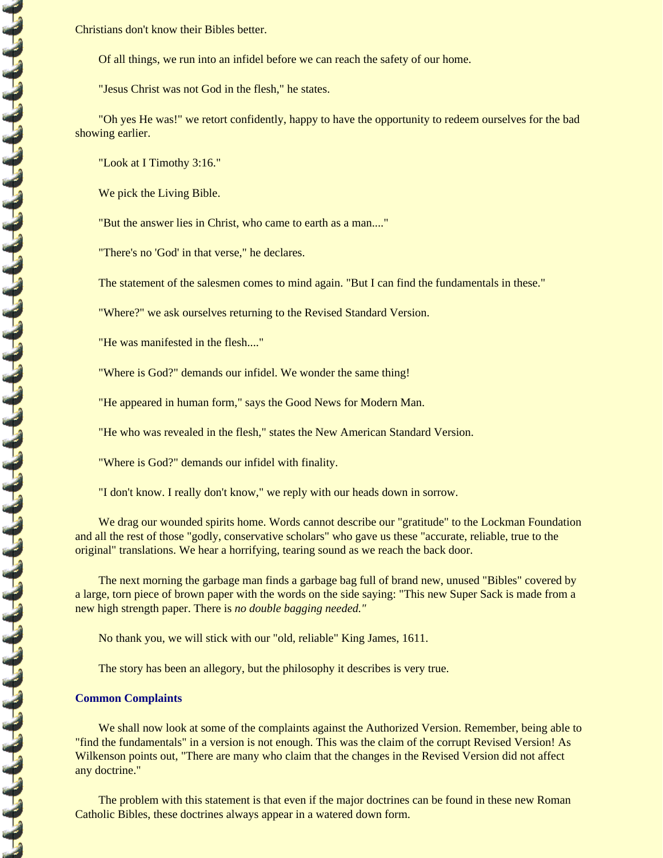Christians don't know their Bibles better.

Of all things, we run into an infidel before we can reach the safety of our home.

"Jesus Christ was not God in the flesh," he states.

 "Oh yes He was!" we retort confidently, happy to have the opportunity to redeem ourselves for the bad showing earlier.

"Look at I Timothy 3:16."

We pick the Living Bible.

"But the answer lies in Christ, who came to earth as a man...."

"There's no 'God' in that verse," he declares.

The statement of the salesmen comes to mind again. "But I can find the fundamentals in these."

"Where?" we ask ourselves returning to the Revised Standard Version.

"He was manifested in the flesh...."

"Where is God?" demands our infidel. We wonder the same thing!

"He appeared in human form," says the Good News for Modern Man.

"He who was revealed in the flesh," states the New American Standard Version.

"Where is God?" demands our infidel with finality.

"I don't know. I really don't know," we reply with our heads down in sorrow.

 We drag our wounded spirits home. Words cannot describe our "gratitude" to the Lockman Foundation and all the rest of those "godly, conservative scholars" who gave us these "accurate, reliable, true to the original" translations. We hear a horrifying, tearing sound as we reach the back door.

 The next morning the garbage man finds a garbage bag full of brand new, unused "Bibles" covered by a large, torn piece of brown paper with the words on the side saying: "This new Super Sack is made from a new high strength paper. There is *no double bagging needed."* 

No thank you, we will stick with our "old, reliable" King James, 1611.

The story has been an allegory, but the philosophy it describes is very true.

#### **Common Complaints**

We shall now look at some of the complaints against the Authorized Version. Remember, being able to "find the fundamentals" in a version is not enough. This was the claim of the corrupt Revised Version! As Wilkenson points out, "There are many who claim that the changes in the Revised Version did not affect any doctrine."

 The problem with this statement is that even if the major doctrines can be found in these new Roman Catholic Bibles, these doctrines always appear in a watered down form.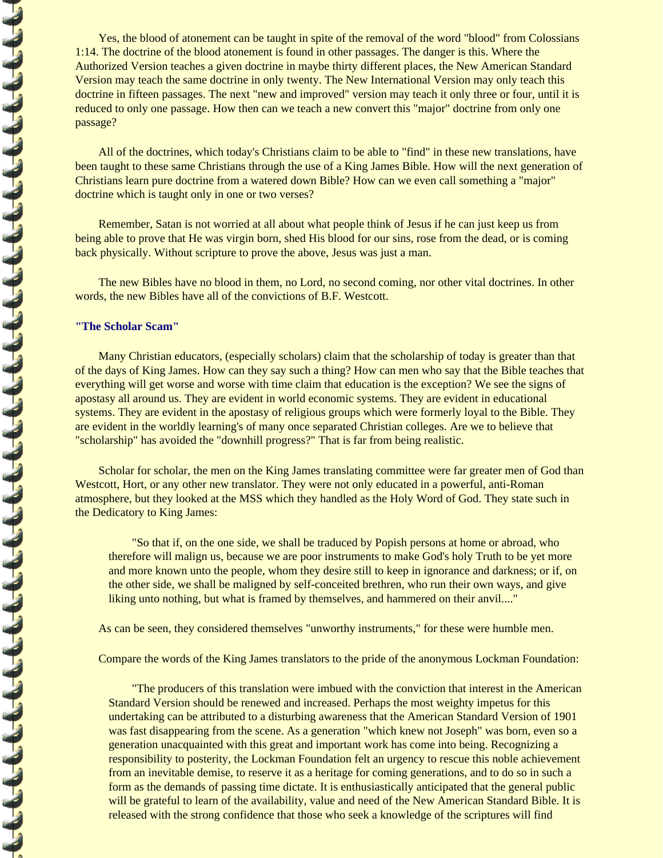Yes, the blood of atonement can be taught in spite of the removal of the word "blood" from Colossians 1:14. The doctrine of the blood atonement is found in other passages. The danger is this. Where the Authorized Version teaches a given doctrine in maybe thirty different places, the New American Standard Version may teach the same doctrine in only twenty. The New International Version may only teach this doctrine in fifteen passages. The next "new and improved" version may teach it only three or four, until it is reduced to only one passage. How then can we teach a new convert this "major" doctrine from only one passage?

 All of the doctrines, which today's Christians claim to be able to "find" in these new translations, have been taught to these same Christians through the use of a King James Bible. How will the next generation of Christians learn pure doctrine from a watered down Bible? How can we even call something a "major" doctrine which is taught only in one or two verses?

 Remember, Satan is not worried at all about what people think of Jesus if he can just keep us from being able to prove that He was virgin born, shed His blood for our sins, rose from the dead, or is coming back physically. Without scripture to prove the above, Jesus was just a man.

 The new Bibles have no blood in them, no Lord, no second coming, nor other vital doctrines. In other words, the new Bibles have all of the convictions of B.F. Westcott.

#### **"The Scholar Scam"**

 Many Christian educators, (especially scholars) claim that the scholarship of today is greater than that of the days of King James. How can they say such a thing? How can men who say that the Bible teaches that everything will get worse and worse with time claim that education is the exception? We see the signs of apostasy all around us. They are evident in world economic systems. They are evident in educational systems. They are evident in the apostasy of religious groups which were formerly loyal to the Bible. They are evident in the worldly learning's of many once separated Christian colleges. Are we to believe that "scholarship" has avoided the "downhill progress?" That is far from being realistic.

 Scholar for scholar, the men on the King James translating committee were far greater men of God than Westcott, Hort, or any other new translator. They were not only educated in a powerful, anti-Roman atmosphere, but they looked at the MSS which they handled as the Holy Word of God. They state such in the Dedicatory to King James:

 "So that if, on the one side, we shall be traduced by Popish persons at home or abroad, who therefore will malign us, because we are poor instruments to make God's holy Truth to be yet more and more known unto the people, whom they desire still to keep in ignorance and darkness; or if, on the other side, we shall be maligned by self-conceited brethren, who run their own ways, and give liking unto nothing, but what is framed by themselves, and hammered on their anvil...."

As can be seen, they considered themselves "unworthy instruments," for these were humble men.

Compare the words of the King James translators to the pride of the anonymous Lockman Foundation:

 "The producers of this translation were imbued with the conviction that interest in the American Standard Version should be renewed and increased. Perhaps the most weighty impetus for this undertaking can be attributed to a disturbing awareness that the American Standard Version of 1901 was fast disappearing from the scene. As a generation "which knew not Joseph" was born, even so a generation unacquainted with this great and important work has come into being. Recognizing a responsibility to posterity, the Lockman Foundation felt an urgency to rescue this noble achievement from an inevitable demise, to reserve it as a heritage for coming generations, and to do so in such a form as the demands of passing time dictate. It is enthusiastically anticipated that the general public will be grateful to learn of the availability, value and need of the New American Standard Bible. It is released with the strong confidence that those who seek a knowledge of the scriptures will find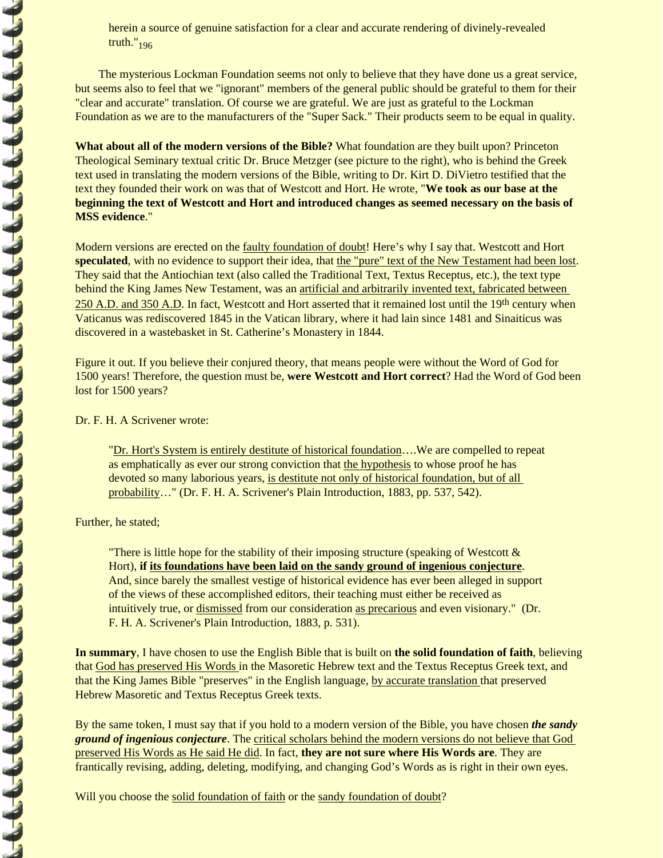herein a source of genuine satisfaction for a clear and accurate rendering of divinely-revealed truth." $_{196}$ 

 The mysterious Lockman Foundation seems not only to believe that they have done us a great service, but seems also to feel that we "ignorant" members of the general public should be grateful to them for their "clear and accurate" translation. Of course we are grateful. We are just as grateful to the Lockman Foundation as we are to the manufacturers of the "Super Sack." Their products seem to be equal in quality.

**What about all of the modern versions of the Bible?** What foundation are they built upon? Princeton Theological Seminary textual critic Dr. Bruce Metzger (see picture to the right), who is behind the Greek text used in translating the modern versions of the Bible, writing to Dr. Kirt D. DiVietro testified that the text they founded their work on was that of Westcott and Hort. He wrote, "**We took as our base at the beginning the text of Westcott and Hort and introduced changes as seemed necessary on the basis of MSS evidence**."

Modern versions are erected on the faulty foundation of doubt! Here's why I say that. Westcott and Hort **speculated**, with no evidence to support their idea, that the "pure" text of the New Testament had been lost. They said that the Antiochian text (also called the Traditional Text, Textus Receptus, etc.), the text type behind the King James New Testament, was an artificial and arbitrarily invented text, fabricated between 250 A.D. and 350 A.D. In fact, Westcott and Hort asserted that it remained lost until the 19th century when Vaticanus was rediscovered 1845 in the Vatican library, where it had lain since 1481 and Sinaiticus was discovered in a wastebasket in St. Catherine's Monastery in 1844.

Figure it out. If you believe their conjured theory, that means people were without the Word of God for 1500 years! Therefore, the question must be, **were Westcott and Hort correct**? Had the Word of God been lost for 1500 years?

Dr. F. H. A Scrivener wrote:

"Dr. Hort's System is entirely destitute of historical foundation….We are compelled to repeat as emphatically as ever our strong conviction that the hypothesis to whose proof he has devoted so many laborious years, is destitute not only of historical foundation, but of all probability…" (Dr. F. H. A. Scrivener's Plain Introduction, 1883, pp. 537, 542).

Further, he stated;

"There is little hope for the stability of their imposing structure (speaking of Westcott  $\&$ Hort), **if its foundations have been laid on the sandy ground of ingenious conjecture**. And, since barely the smallest vestige of historical evidence has ever been alleged in support of the views of these accomplished editors, their teaching must either be received as intuitively true, or dismissed from our consideration as precarious and even visionary." (Dr. F. H. A. Scrivener's Plain Introduction, 1883, p. 531).

**In summary**, I have chosen to use the English Bible that is built on **the solid foundation of faith**, believing that God has preserved His Words in the Masoretic Hebrew text and the Textus Receptus Greek text, and that the King James Bible "preserves" in the English language, by accurate translation that preserved Hebrew Masoretic and Textus Receptus Greek texts.

By the same token, I must say that if you hold to a modern version of the Bible, you have chosen *the sandy ground of ingenious conjecture*. The critical scholars behind the modern versions do not believe that God preserved His Words as He said He did. In fact, **they are not sure where His Words are**. They are frantically revising, adding, deleting, modifying, and changing God's Words as is right in their own eyes.

Will you choose the solid foundation of faith or the sandy foundation of doubt?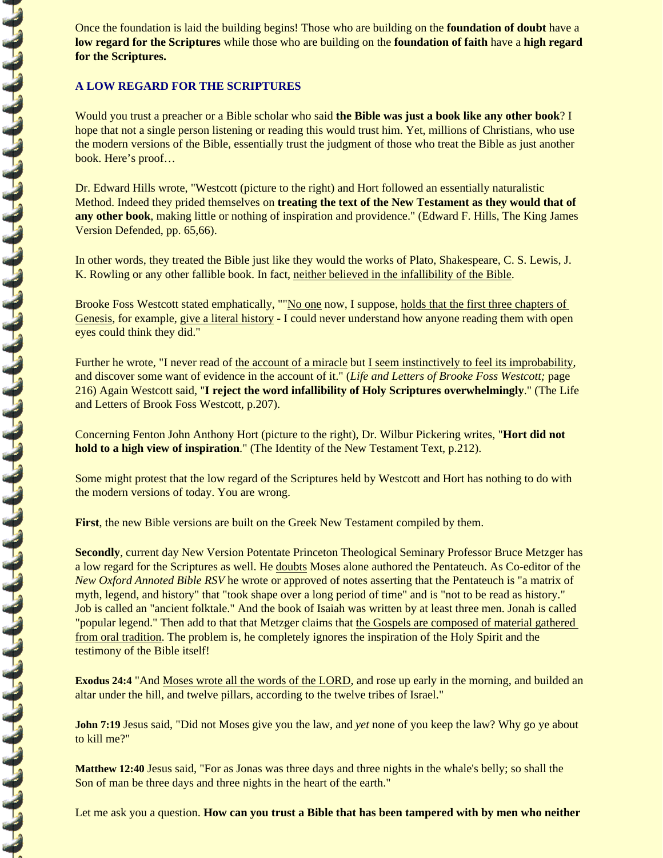Once the foundation is laid the building begins! Those who are building on the **foundation of doubt** have a **low regard for the Scriptures** while those who are building on the **foundation of faith** have a **high regard for the Scriptures.** 

# **A LOW REGARD FOR THE SCRIPTURES**

Would you trust a preacher or a Bible scholar who said **the Bible was just a book like any other book**? I hope that not a single person listening or reading this would trust him. Yet, millions of Christians, who use the modern versions of the Bible, essentially trust the judgment of those who treat the Bible as just another book. Here's proof…

Dr. Edward Hills wrote, "Westcott (picture to the right) and Hort followed an essentially naturalistic Method. Indeed they prided themselves on **treating the text of the New Testament as they would that of any other book**, making little or nothing of inspiration and providence." (Edward F. Hills, The King James Version Defended, pp. 65,66).

In other words, they treated the Bible just like they would the works of Plato, Shakespeare, C. S. Lewis, J. K. Rowling or any other fallible book. In fact, neither believed in the infallibility of the Bible.

Brooke Foss Westcott stated emphatically, ""No one now, I suppose, holds that the first three chapters of Genesis, for example, give a literal history - I could never understand how anyone reading them with open eyes could think they did."

Further he wrote, "I never read of the account of a miracle but I seem instinctively to feel its improbability, and discover some want of evidence in the account of it." (*Life and Letters of Brooke Foss Westcott;* page 216) Again Westcott said, "**I reject the word infallibility of Holy Scriptures overwhelmingly**." (The Life and Letters of Brook Foss Westcott, p.207).

Concerning Fenton John Anthony Hort (picture to the right), Dr. Wilbur Pickering writes, "**Hort did not hold to a high view of inspiration**." (The Identity of the New Testament Text, p.212).

Some might protest that the low regard of the Scriptures held by Westcott and Hort has nothing to do with the modern versions of today. You are wrong.

**First**, the new Bible versions are built on the Greek New Testament compiled by them.

**Secondly**, current day New Version Potentate Princeton Theological Seminary Professor Bruce Metzger has a low regard for the Scriptures as well. He doubts Moses alone authored the Pentateuch. As Co-editor of the *New Oxford Annoted Bible RSV* he wrote or approved of notes asserting that the Pentateuch is "a matrix of myth, legend, and history" that "took shape over a long period of time" and is "not to be read as history." Job is called an "ancient folktale." And the book of Isaiah was written by at least three men. Jonah is called "popular legend." Then add to that that Metzger claims that the Gospels are composed of material gathered from oral tradition. The problem is, he completely ignores the inspiration of the Holy Spirit and the testimony of the Bible itself!

**Exodus 24:4** "And Moses wrote all the words of the LORD, and rose up early in the morning, and builded an altar under the hill, and twelve pillars, according to the twelve tribes of Israel."

**John 7:19** Jesus said, "Did not Moses give you the law, and *yet* none of you keep the law? Why go ye about to kill me?"

**Matthew 12:40** Jesus said, "For as Jonas was three days and three nights in the whale's belly; so shall the Son of man be three days and three nights in the heart of the earth."

Let me ask you a question. **How can you trust a Bible that has been tampered with by men who neither**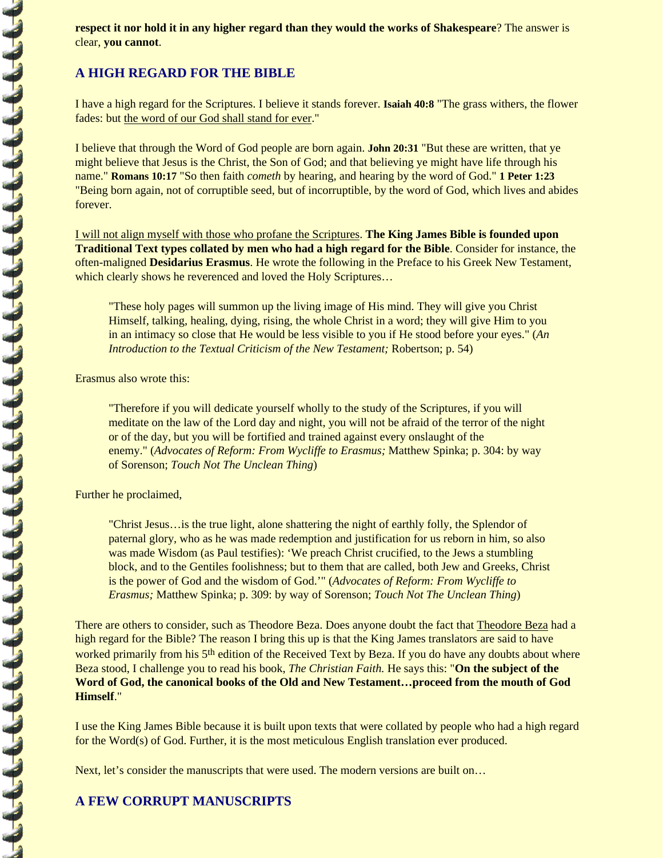**respect it nor hold it in any higher regard than they would the works of Shakespeare**? The answer is clear, **you cannot**.

# **A HIGH REGARD FOR THE BIBLE**

I have a high regard for the Scriptures. I believe it stands forever. **Isaiah 40:8** "The grass withers, the flower fades: but the word of our God shall stand for ever."

I believe that through the Word of God people are born again. **John 20:31** "But these are written, that ye might believe that Jesus is the Christ, the Son of God; and that believing ye might have life through his name." **Romans 10:17** "So then faith *cometh* by hearing, and hearing by the word of God." **1 Peter 1:23** "Being born again, not of corruptible seed, but of incorruptible, by the word of God, which lives and abides forever.

I will not align myself with those who profane the Scriptures. **The King James Bible is founded upon Traditional Text types collated by men who had a high regard for the Bible**. Consider for instance, the often-maligned **Desidarius Erasmus**. He wrote the following in the Preface to his Greek New Testament, which clearly shows he reverenced and loved the Holy Scriptures...

"These holy pages will summon up the living image of His mind. They will give you Christ Himself, talking, healing, dying, rising, the whole Christ in a word; they will give Him to you in an intimacy so close that He would be less visible to you if He stood before your eyes." (*An Introduction to the Textual Criticism of the New Testament; Robertson; p. 54)* 

Erasmus also wrote this:

"Therefore if you will dedicate yourself wholly to the study of the Scriptures, if you will meditate on the law of the Lord day and night, you will not be afraid of the terror of the night or of the day, but you will be fortified and trained against every onslaught of the enemy." (*Advocates of Reform: From Wycliffe to Erasmus;* Matthew Spinka; p. 304: by way of Sorenson; *Touch Not The Unclean Thing*)

Further he proclaimed,

"Christ Jesus…is the true light, alone shattering the night of earthly folly, the Splendor of paternal glory, who as he was made redemption and justification for us reborn in him, so also was made Wisdom (as Paul testifies): 'We preach Christ crucified, to the Jews a stumbling block, and to the Gentiles foolishness; but to them that are called, both Jew and Greeks, Christ is the power of God and the wisdom of God.'" (*Advocates of Reform: From Wycliffe to Erasmus;* Matthew Spinka; p. 309: by way of Sorenson; *Touch Not The Unclean Thing*)

There are others to consider, such as Theodore Beza. Does anyone doubt the fact that Theodore Beza had a high regard for the Bible? The reason I bring this up is that the King James translators are said to have worked primarily from his 5<sup>th</sup> edition of the Received Text by Beza. If you do have any doubts about where Beza stood, I challenge you to read his book, *The Christian Faith.* He says this: "**On the subject of the Word of God, the canonical books of the Old and New Testament…proceed from the mouth of God Himself**."

I use the King James Bible because it is built upon texts that were collated by people who had a high regard for the Word(s) of God. Further, it is the most meticulous English translation ever produced.

Next, let's consider the manuscripts that were used. The modern versions are built on...

# **A FEW CORRUPT MANUSCRIPTS**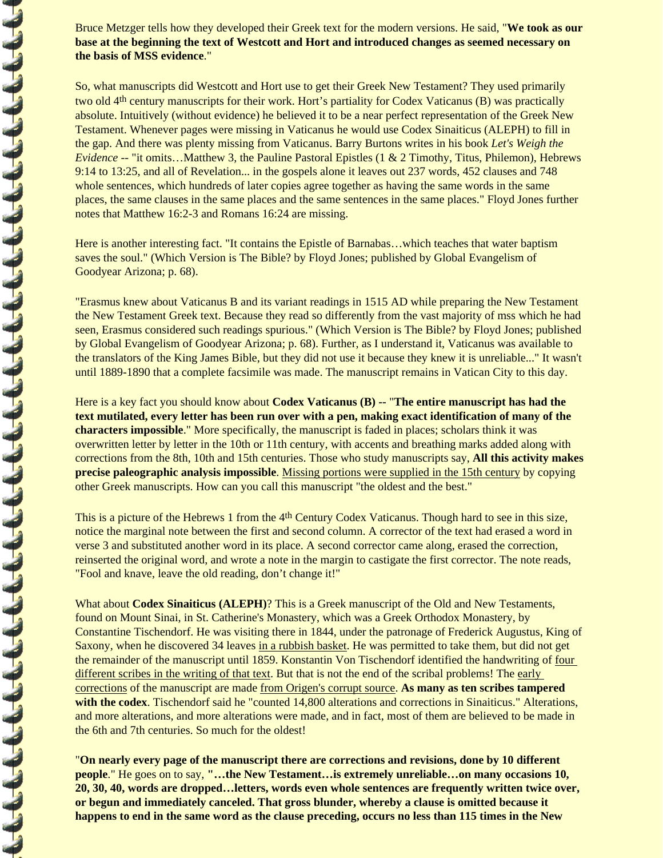Bruce Metzger tells how they developed their Greek text for the modern versions. He said, "**We took as our base at the beginning the text of Westcott and Hort and introduced changes as seemed necessary on the basis of MSS evidence**."

So, what manuscripts did Westcott and Hort use to get their Greek New Testament? They used primarily two old 4<sup>th</sup> century manuscripts for their work. Hort's partiality for Codex Vaticanus (B) was practically absolute. Intuitively (without evidence) he believed it to be a near perfect representation of the Greek New Testament. Whenever pages were missing in Vaticanus he would use Codex Sinaiticus (ALEPH) to fill in the gap. And there was plenty missing from Vaticanus. Barry Burtons writes in his book *Let's Weigh the Evidence* -- "it omits…Matthew 3, the Pauline Pastoral Epistles (1 & 2 Timothy, Titus, Philemon), Hebrews 9:14 to 13:25, and all of Revelation... in the gospels alone it leaves out 237 words, 452 clauses and 748 whole sentences, which hundreds of later copies agree together as having the same words in the same places, the same clauses in the same places and the same sentences in the same places." Floyd Jones further notes that Matthew 16:2-3 and Romans 16:24 are missing.

Here is another interesting fact. "It contains the Epistle of Barnabas...which teaches that water baptism saves the soul." (Which Version is The Bible? by Floyd Jones; published by Global Evangelism of Goodyear Arizona; p. 68).

"Erasmus knew about Vaticanus B and its variant readings in 1515 AD while preparing the New Testament the New Testament Greek text. Because they read so differently from the vast majority of mss which he had seen, Erasmus considered such readings spurious." (Which Version is The Bible? by Floyd Jones; published by Global Evangelism of Goodyear Arizona; p. 68). Further, as I understand it, Vaticanus was available to the translators of the King James Bible, but they did not use it because they knew it is unreliable..." It wasn't until 1889-1890 that a complete facsimile was made. The manuscript remains in Vatican City to this day.

Here is a key fact you should know about **Codex Vaticanus (B) --** "**The entire manuscript has had the text mutilated, every letter has been run over with a pen, making exact identification of many of the characters impossible**." More specifically, the manuscript is faded in places; scholars think it was overwritten letter by letter in the 10th or 11th century, with accents and breathing marks added along with corrections from the 8th, 10th and 15th centuries. Those who study manuscripts say, **All this activity makes precise paleographic analysis impossible**. Missing portions were supplied in the 15th century by copying other Greek manuscripts. How can you call this manuscript "the oldest and the best."

This is a picture of the Hebrews 1 from the 4<sup>th</sup> Century Codex Vaticanus. Though hard to see in this size, notice the marginal note between the first and second column. A corrector of the text had erased a word in verse 3 and substituted another word in its place. A second corrector came along, erased the correction, reinserted the original word, and wrote a note in the margin to castigate the first corrector. The note reads, "Fool and knave, leave the old reading, don't change it!"

What about **Codex Sinaiticus (ALEPH)**? This is a Greek manuscript of the Old and New Testaments, found on Mount Sinai, in St. Catherine's Monastery, which was a Greek Orthodox Monastery, by Constantine Tischendorf. He was visiting there in 1844, under the patronage of Frederick Augustus, King of Saxony, when he discovered 34 leaves in a rubbish basket. He was permitted to take them, but did not get the remainder of the manuscript until 1859. Konstantin Von Tischendorf identified the handwriting of four different scribes in the writing of that text. But that is not the end of the scribal problems! The early corrections of the manuscript are made from Origen's corrupt source. **As many as ten scribes tampered**  with the codex. Tischendorf said he "counted 14,800 alterations and corrections in Sinaiticus." Alterations, and more alterations, and more alterations were made, and in fact, most of them are believed to be made in the 6th and 7th centuries. So much for the oldest!

"**On nearly every page of the manuscript there are corrections and revisions, done by 10 different people**." He goes on to say, **"…the New Testament…is extremely unreliable…on many occasions 10, 20, 30, 40, words are dropped…letters, words even whole sentences are frequently written twice over, or begun and immediately canceled. That gross blunder, whereby a clause is omitted because it happens to end in the same word as the clause preceding, occurs no less than 115 times in the New**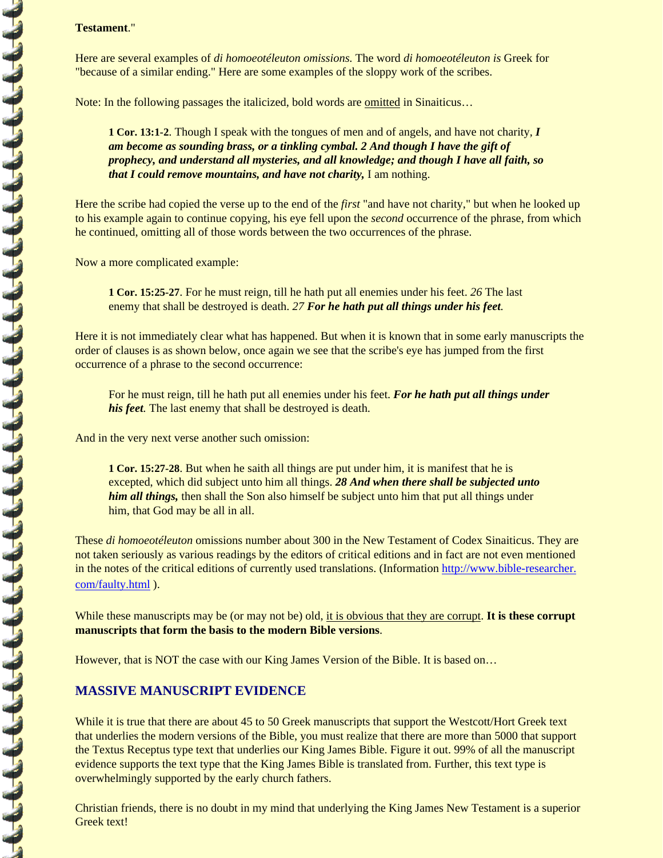# **Testament**."

Here are several examples of *di homoeotéleuton omissions.* The word *di homoeotéleuton is* Greek for "because of a similar ending." Here are some examples of the sloppy work of the scribes.

Note: In the following passages the italicized, bold words are omitted in Sinaiticus…

**1 Cor. 13:1-2**. Though I speak with the tongues of men and of angels, and have not charity*, I am become as sounding brass, or a tinkling cymbal. 2 And though I have the gift of prophecy, and understand all mysteries, and all knowledge; and though I have all faith, so that I could remove mountains, and have not charity,* I am nothing.

Here the scribe had copied the verse up to the end of the *first* "and have not charity," but when he looked up to his example again to continue copying, his eye fell upon the *second* occurrence of the phrase, from which he continued, omitting all of those words between the two occurrences of the phrase.

Now a more complicated example:

**1 Cor. 15:25-27**. For he must reign, till he hath put all enemies under his feet. *26* The last enemy that shall be destroyed is death. *27 For he hath put all things under his feet.*

Here it is not immediately clear what has happened. But when it is known that in some early manuscripts the order of clauses is as shown below, once again we see that the scribe's eye has jumped from the first occurrence of a phrase to the second occurrence:

For he must reign, till he hath put all enemies under his feet. *For he hath put all things under his feet.* The last enemy that shall be destroyed is death.

And in the very next verse another such omission:

**1 Cor. 15:27-28**. But when he saith all things are put under him, it is manifest that he is excepted, which did subject unto him all things. *28 And when there shall be subjected unto him all things,* then shall the Son also himself be subject unto him that put all things under him, that God may be all in all.

These *di homoeotéleuton* omissions number about 300 in the New Testament of Codex Sinaiticus. They are not taken seriously as various readings by the editors of critical editions and in fact are not even mentioned in the notes of the critical editions of currently used translations. (Information [http://www.bible-researcher.](http://www.bible-researcher.com/faulty.html) [com/faulty.html](http://www.bible-researcher.com/faulty.html) ).

While these manuscripts may be (or may not be) old, it is obvious that they are corrupt. It is these corrupt **manuscripts that form the basis to the modern Bible versions**.

However, that is NOT the case with our King James Version of the Bible. It is based on…

# **MASSIVE MANUSCRIPT EVIDENCE**

While it is true that there are about 45 to 50 Greek manuscripts that support the Westcott/Hort Greek text that underlies the modern versions of the Bible, you must realize that there are more than 5000 that support the Textus Receptus type text that underlies our King James Bible. Figure it out. 99% of all the manuscript evidence supports the text type that the King James Bible is translated from. Further, this text type is overwhelmingly supported by the early church fathers.

Christian friends, there is no doubt in my mind that underlying the King James New Testament is a superior Greek text!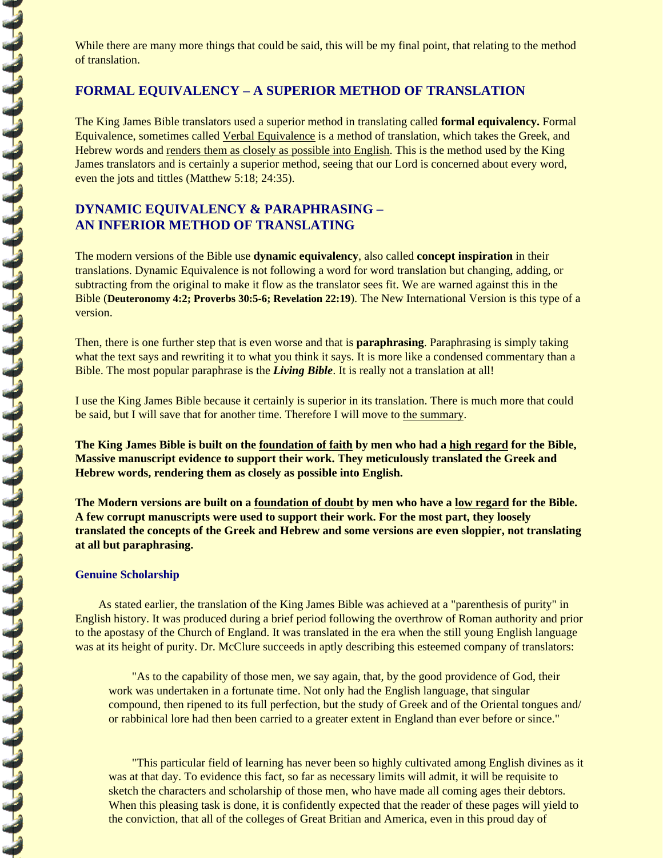While there are many more things that could be said, this will be my final point, that relating to the method of translation.

# **FORMAL EQUIVALENCY – A SUPERIOR METHOD OF TRANSLATION**

The King James Bible translators used a superior method in translating called **formal equivalency.** Formal Equivalence, sometimes called Verbal Equivalence is a method of translation, which takes the Greek, and Hebrew words and renders them as closely as possible into English. This is the method used by the King James translators and is certainly a superior method, seeing that our Lord is concerned about every word, even the jots and tittles (Matthew 5:18; 24:35).

# **DYNAMIC EQUIVALENCY & PARAPHRASING – AN INFERIOR METHOD OF TRANSLATING**

The modern versions of the Bible use **dynamic equivalency**, also called **concept inspiration** in their translations. Dynamic Equivalence is not following a word for word translation but changing, adding, or subtracting from the original to make it flow as the translator sees fit. We are warned against this in the Bible (**Deuteronomy 4:2; Proverbs 30:5-6; Revelation 22:19**). The New International Version is this type of a version.

Then, there is one further step that is even worse and that is **paraphrasing**. Paraphrasing is simply taking what the text says and rewriting it to what you think it says. It is more like a condensed commentary than a Bible. The most popular paraphrase is the *Living Bible*. It is really not a translation at all!

I use the King James Bible because it certainly is superior in its translation. There is much more that could be said, but I will save that for another time. Therefore I will move to the summary.

**The King James Bible is built on the foundation of faith by men who had a high regard for the Bible, Massive manuscript evidence to support their work. They meticulously translated the Greek and Hebrew words, rendering them as closely as possible into English.**

**The Modern versions are built on a foundation of doubt by men who have a low regard for the Bible. A few corrupt manuscripts were used to support their work. For the most part, they loosely translated the concepts of the Greek and Hebrew and some versions are even sloppier, not translating at all but paraphrasing.**

# **Genuine Scholarship**

 As stated earlier, the translation of the King James Bible was achieved at a "parenthesis of purity" in English history. It was produced during a brief period following the overthrow of Roman authority and prior to the apostasy of the Church of England. It was translated in the era when the still young English language was at its height of purity. Dr. McClure succeeds in aptly describing this esteemed company of translators:

 "As to the capability of those men, we say again, that, by the good providence of God, their work was undertaken in a fortunate time. Not only had the English language, that singular compound, then ripened to its full perfection, but the study of Greek and of the Oriental tongues and/ or rabbinical lore had then been carried to a greater extent in England than ever before or since."

 "This particular field of learning has never been so highly cultivated among English divines as it was at that day. To evidence this fact, so far as necessary limits will admit, it will be requisite to sketch the characters and scholarship of those men, who have made all coming ages their debtors. When this pleasing task is done, it is confidently expected that the reader of these pages will yield to the conviction, that all of the colleges of Great Britian and America, even in this proud day of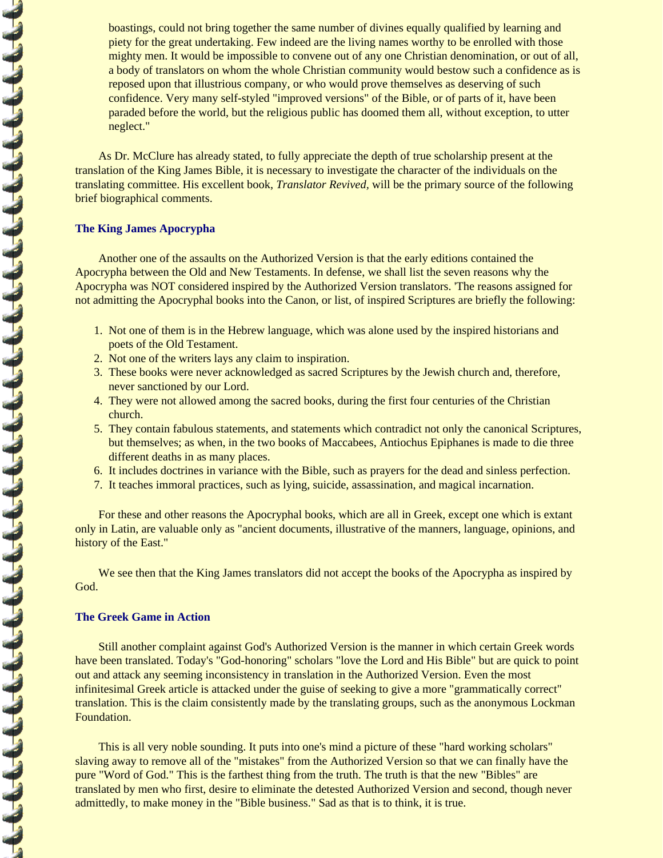boastings, could not bring together the same number of divines equally qualified by learning and piety for the great undertaking. Few indeed are the living names worthy to be enrolled with those mighty men. It would be impossible to convene out of any one Christian denomination, or out of all, a body of translators on whom the whole Christian community would bestow such a confidence as is reposed upon that illustrious company, or who would prove themselves as deserving of such confidence. Very many self-styled "improved versions" of the Bible, or of parts of it, have been paraded before the world, but the religious public has doomed them all, without exception, to utter neglect."

 As Dr. McClure has already stated, to fully appreciate the depth of true scholarship present at the translation of the King James Bible, it is necessary to investigate the character of the individuals on the translating committee. His excellent book, *Translator Revived,* will be the primary source of the following brief biographical comments.

# **The King James Apocrypha**

 Another one of the assaults on the Authorized Version is that the early editions contained the Apocrypha between the Old and New Testaments. In defense, we shall list the seven reasons why the Apocrypha was NOT considered inspired by the Authorized Version translators. 'The reasons assigned for not admitting the Apocryphal books into the Canon, or list, of inspired Scriptures are briefly the following:

- 1. Not one of them is in the Hebrew language, which was alone used by the inspired historians and poets of the Old Testament.
- 2. Not one of the writers lays any claim to inspiration.
- 3. These books were never acknowledged as sacred Scriptures by the Jewish church and, therefore, never sanctioned by our Lord.
- 4. They were not allowed among the sacred books, during the first four centuries of the Christian church.
- 5. They contain fabulous statements, and statements which contradict not only the canonical Scriptures, but themselves; as when, in the two books of Maccabees, Antiochus Epiphanes is made to die three different deaths in as many places.
- 6. It includes doctrines in variance with the Bible, such as prayers for the dead and sinless perfection.
- 7. It teaches immoral practices, such as lying, suicide, assassination, and magical incarnation.

 For these and other reasons the Apocryphal books, which are all in Greek, except one which is extant only in Latin, are valuable only as "ancient documents, illustrative of the manners, language, opinions, and history of the East."

We see then that the King James translators did not accept the books of the Apocrypha as inspired by God.

# **The Greek Game in Action**

 Still another complaint against God's Authorized Version is the manner in which certain Greek words have been translated. Today's "God-honoring" scholars "love the Lord and His Bible" but are quick to point out and attack any seeming inconsistency in translation in the Authorized Version. Even the most infinitesimal Greek article is attacked under the guise of seeking to give a more "grammatically correct" translation. This is the claim consistently made by the translating groups, such as the anonymous Lockman Foundation.

 This is all very noble sounding. It puts into one's mind a picture of these "hard working scholars" slaving away to remove all of the "mistakes" from the Authorized Version so that we can finally have the pure "Word of God." This is the farthest thing from the truth. The truth is that the new "Bibles" are translated by men who first, desire to eliminate the detested Authorized Version and second, though never admittedly, to make money in the "Bible business." Sad as that is to think, it is true.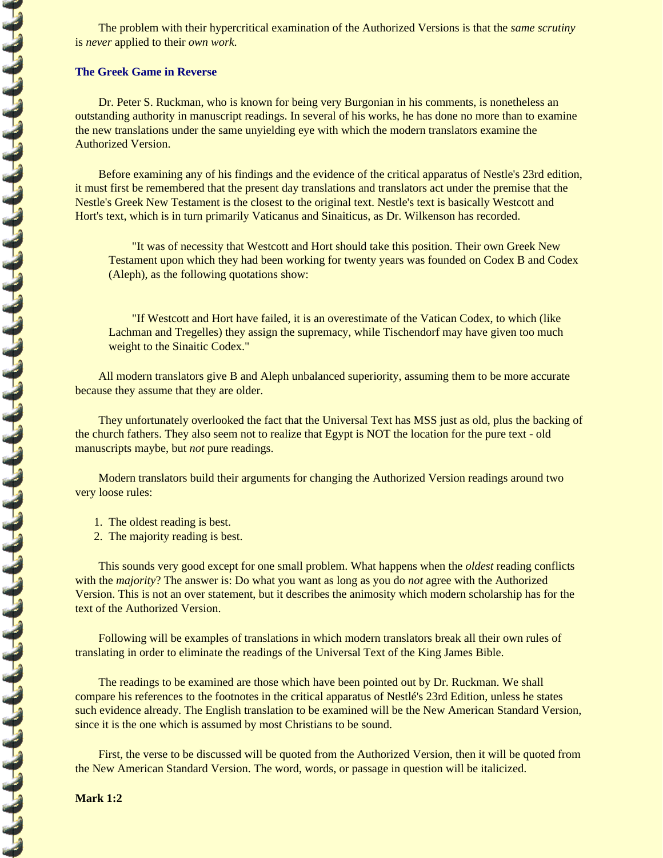The problem with their hypercritical examination of the Authorized Versions is that the *same scrutiny* is *never* applied to their *own work.* 

# **The Greek Game in Reverse**

 Dr. Peter S. Ruckman, who is known for being very Burgonian in his comments, is nonetheless an outstanding authority in manuscript readings. In several of his works, he has done no more than to examine the new translations under the same unyielding eye with which the modern translators examine the Authorized Version.

 Before examining any of his findings and the evidence of the critical apparatus of Nestle's 23rd edition, it must first be remembered that the present day translations and translators act under the premise that the Nestle's Greek New Testament is the closest to the original text. Nestle's text is basically Westcott and Hort's text, which is in turn primarily Vaticanus and Sinaiticus, as Dr. Wilkenson has recorded.

 "It was of necessity that Westcott and Hort should take this position. Their own Greek New Testament upon which they had been working for twenty years was founded on Codex B and Codex (Aleph), as the following quotations show:

 "If Westcott and Hort have failed, it is an overestimate of the Vatican Codex, to which (like Lachman and Tregelles) they assign the supremacy, while Tischendorf may have given too much weight to the Sinaitic Codex."

 All modern translators give B and Aleph unbalanced superiority, assuming them to be more accurate because they assume that they are older.

 They unfortunately overlooked the fact that the Universal Text has MSS just as old, plus the backing of the church fathers. They also seem not to realize that Egypt is NOT the location for the pure text - old manuscripts maybe, but *not* pure readings.

 Modern translators build their arguments for changing the Authorized Version readings around two very loose rules:

- 1. The oldest reading is best.
- 2. The majority reading is best.

 This sounds very good except for one small problem. What happens when the *oldest* reading conflicts with the *majority*? The answer is: Do what you want as long as you do *not* agree with the Authorized Version. This is not an over statement, but it describes the animosity which modern scholarship has for the text of the Authorized Version.

 Following will be examples of translations in which modern translators break all their own rules of translating in order to eliminate the readings of the Universal Text of the King James Bible.

 The readings to be examined are those which have been pointed out by Dr. Ruckman. We shall compare his references to the footnotes in the critical apparatus of Nestlé's 23rd Edition, unless he states such evidence already. The English translation to be examined will be the New American Standard Version, since it is the one which is assumed by most Christians to be sound.

 First, the verse to be discussed will be quoted from the Authorized Version, then it will be quoted from the New American Standard Version. The word, words, or passage in question will be italicized.

**Mark 1:2**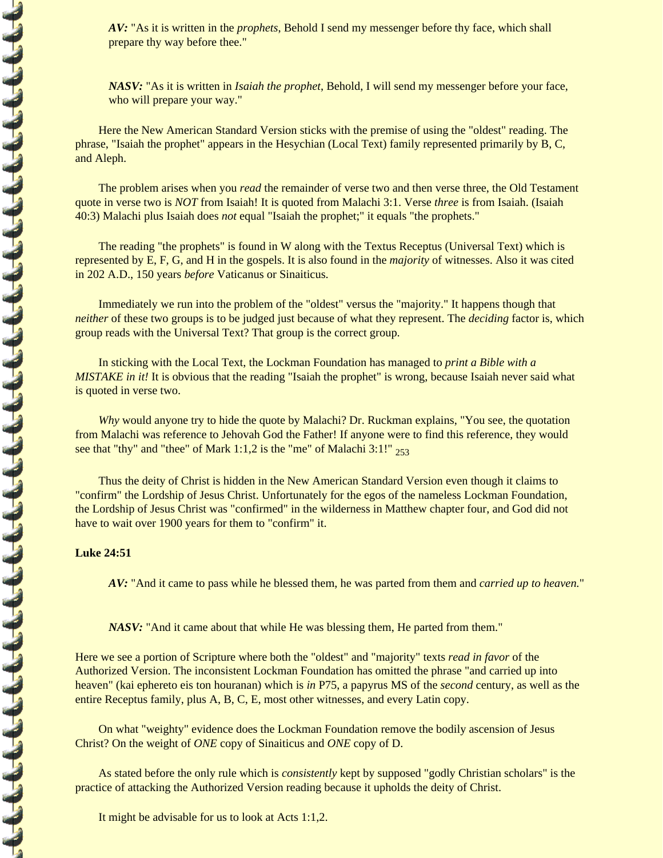*AV:* "As it is written in the *prophets*, Behold I send my messenger before thy face, which shall prepare thy way before thee."

*NASV:* "As it is written in *Isaiah the prophet*, Behold, I will send my messenger before your face, who will prepare your way."

 Here the New American Standard Version sticks with the premise of using the "oldest" reading. The phrase, "Isaiah the prophet" appears in the Hesychian (Local Text) family represented primarily by B, C, and Aleph.

 The problem arises when you *read* the remainder of verse two and then verse three, the Old Testament quote in verse two is *NOT* from Isaiah! It is quoted from Malachi 3:1. Verse *three* is from Isaiah. (Isaiah 40:3) Malachi plus Isaiah does *not* equal "Isaiah the prophet;" it equals "the prophets."

 The reading "the prophets" is found in W along with the Textus Receptus (Universal Text) which is represented by E, F, G, and H in the gospels. It is also found in the *majority* of witnesses. Also it was cited in 202 A.D., 150 years *before* Vaticanus or Sinaiticus.

 Immediately we run into the problem of the "oldest" versus the "majority." It happens though that *neither* of these two groups is to be judged just because of what they represent. The *deciding* factor is, which group reads with the Universal Text? That group is the correct group.

 In sticking with the Local Text, the Lockman Foundation has managed to *print a Bible with a MISTAKE in it!* It is obvious that the reading "Isaiah the prophet" is wrong, because Isaiah never said what is quoted in verse two.

*Why* would anyone try to hide the quote by Malachi? Dr. Ruckman explains, "You see, the quotation from Malachi was reference to Jehovah God the Father! If anyone were to find this reference, they would see that "thy" and "thee" of Mark 1:1,2 is the "me" of Malachi 3:1!"  $_{253}$ 

 Thus the deity of Christ is hidden in the New American Standard Version even though it claims to "confirm" the Lordship of Jesus Christ. Unfortunately for the egos of the nameless Lockman Foundation, the Lordship of Jesus Christ was "confirmed" in the wilderness in Matthew chapter four, and God did not have to wait over 1900 years for them to "confirm" it.

# **Luke 24:51**

*AV:* "And it came to pass while he blessed them, he was parted from them and *carried up to heaven.*"

*NASV*: "And it came about that while He was blessing them, He parted from them."

Here we see a portion of Scripture where both the "oldest" and "majority" texts *read in favor* of the Authorized Version. The inconsistent Lockman Foundation has omitted the phrase "and carried up into heaven" (kai ephereto eis ton houranan) which is *in* P75, a papyrus MS of the *second* century, as well as the entire Receptus family, plus A, B, C, E, most other witnesses, and every Latin copy.

 On what "weighty" evidence does the Lockman Foundation remove the bodily ascension of Jesus Christ? On the weight of *ONE* copy of Sinaiticus and *ONE* copy of D.

 As stated before the only rule which is *consistently* kept by supposed "godly Christian scholars" is the practice of attacking the Authorized Version reading because it upholds the deity of Christ.

It might be advisable for us to look at Acts 1:1,2.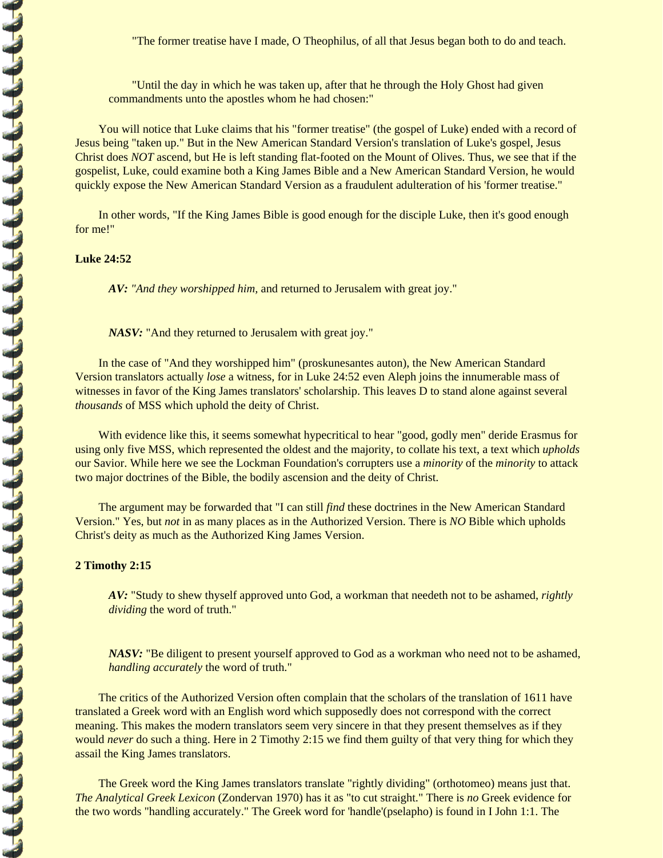"Until the day in which he was taken up, after that he through the Holy Ghost had given commandments unto the apostles whom he had chosen:"

 You will notice that Luke claims that his "former treatise" (the gospel of Luke) ended with a record of Jesus being "taken up." But in the New American Standard Version's translation of Luke's gospel, Jesus Christ does *NOT* ascend, but He is left standing flat-footed on the Mount of Olives. Thus, we see that if the gospelist, Luke, could examine both a King James Bible and a New American Standard Version, he would quickly expose the New American Standard Version as a fraudulent adulteration of his 'former treatise."

 In other words, "If the King James Bible is good enough for the disciple Luke, then it's good enough for me!"

# **Luke 24:52**

*AV: "And they worshipped him,* and returned to Jerusalem with great joy."

*NASV:* "And they returned to Jerusalem with great joy."

 In the case of "And they worshipped him" (proskunesantes auton), the New American Standard Version translators actually *lose* a witness, for in Luke 24:52 even Aleph joins the innumerable mass of witnesses in favor of the King James translators' scholarship. This leaves D to stand alone against several *thousands* of MSS which uphold the deity of Christ.

 With evidence like this, it seems somewhat hypecritical to hear "good, godly men" deride Erasmus for using only five MSS, which represented the oldest and the majority, to collate his text, a text which *upholds* our Savior. While here we see the Lockman Foundation's corrupters use a *minority* of the *minority* to attack two major doctrines of the Bible, the bodily ascension and the deity of Christ.

 The argument may be forwarded that "I can still *find* these doctrines in the New American Standard Version." Yes, but *not* in as many places as in the Authorized Version. There is *NO* Bible which upholds Christ's deity as much as the Authorized King James Version.

#### **2 Timothy 2:15**

*AV:* "Study to shew thyself approved unto God, a workman that needeth not to be ashamed, *rightly dividing* the word of truth."

*NASV*: "Be diligent to present yourself approved to God as a workman who need not to be ashamed, *handling accurately* the word of truth."

 The critics of the Authorized Version often complain that the scholars of the translation of 1611 have translated a Greek word with an English word which supposedly does not correspond with the correct meaning. This makes the modern translators seem very sincere in that they present themselves as if they would *never* do such a thing. Here in 2 Timothy 2:15 we find them guilty of that very thing for which they assail the King James translators.

 The Greek word the King James translators translate "rightly dividing" (orthotomeo) means just that. *The Analytical Greek Lexicon* (Zondervan 1970) has it as "to cut straight." There is *no* Greek evidence for the two words "handling accurately." The Greek word for 'handle'(pselapho) is found in I John 1:1. The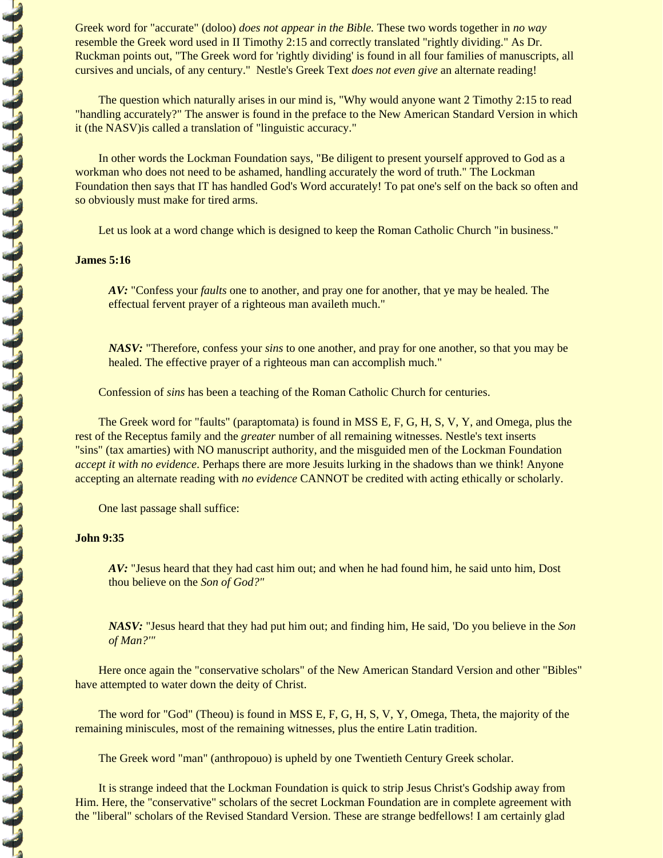Greek word for "accurate" (doloo) *does not appear in the Bible.* These two words together in *no way* resemble the Greek word used in II Timothy 2:15 and correctly translated "rightly dividing." As Dr. Ruckman points out, "The Greek word for 'rightly dividing' is found in all four families of manuscripts, all cursives and uncials, of any century." Nestle's Greek Text *does not even give* an alternate reading!

 The question which naturally arises in our mind is, "Why would anyone want 2 Timothy 2:15 to read "handling accurately?" The answer is found in the preface to the New American Standard Version in which it (the NASV)is called a translation of "linguistic accuracy."

 In other words the Lockman Foundation says, "Be diligent to present yourself approved to God as a workman who does not need to be ashamed, handling accurately the word of truth." The Lockman Foundation then says that IT has handled God's Word accurately! To pat one's self on the back so often and so obviously must make for tired arms.

Let us look at a word change which is designed to keep the Roman Catholic Church "in business."

# **James 5:16**

*AV:* "Confess your *faults* one to another, and pray one for another, that ye may be healed. The effectual fervent prayer of a righteous man availeth much."

*NASV:* "Therefore, confess your *sins* to one another, and pray for one another, so that you may be healed. The effective prayer of a righteous man can accomplish much."

Confession of *sins* has been a teaching of the Roman Catholic Church for centuries.

 The Greek word for "faults" (paraptomata) is found in MSS E, F, G, H, S, V, Y, and Omega, plus the rest of the Receptus family and the *greater* number of all remaining witnesses. Nestle's text inserts "sins" (tax amarties) with NO manuscript authority, and the misguided men of the Lockman Foundation *accept it with no evidence*. Perhaps there are more Jesuits lurking in the shadows than we think! Anyone accepting an alternate reading with *no evidence* CANNOT be credited with acting ethically or scholarly.

One last passage shall suffice:

#### **John 9:35**

*AV:* "Jesus heard that they had cast him out; and when he had found him, he said unto him, Dost thou believe on the *Son of God?"* 

*NASV:* "Jesus heard that they had put him out; and finding him, He said, 'Do you believe in the *Son of Man?'"*

 Here once again the "conservative scholars" of the New American Standard Version and other "Bibles" have attempted to water down the deity of Christ.

 The word for "God" (Theou) is found in MSS E, F, G, H, S, V, Y, Omega, Theta, the majority of the remaining miniscules, most of the remaining witnesses, plus the entire Latin tradition.

The Greek word "man" (anthropouo) is upheld by one Twentieth Century Greek scholar.

 It is strange indeed that the Lockman Foundation is quick to strip Jesus Christ's Godship away from Him. Here, the "conservative" scholars of the secret Lockman Foundation are in complete agreement with the "liberal" scholars of the Revised Standard Version. These are strange bedfellows! I am certainly glad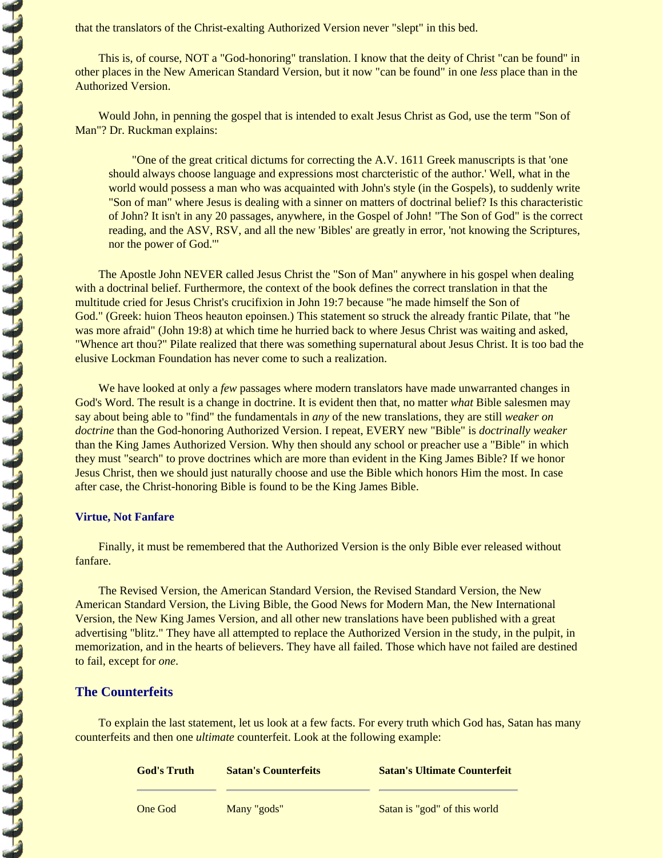that the translators of the Christ-exalting Authorized Version never "slept" in this bed.

 This is, of course, NOT a "God-honoring" translation. I know that the deity of Christ "can be found" in other places in the New American Standard Version, but it now "can be found" in one *less* place than in the Authorized Version.

 Would John, in penning the gospel that is intended to exalt Jesus Christ as God, use the term "Son of Man"? Dr. Ruckman explains:

 "One of the great critical dictums for correcting the A.V. 1611 Greek manuscripts is that 'one should always choose language and expressions most charcteristic of the author.' Well, what in the world would possess a man who was acquainted with John's style (in the Gospels), to suddenly write "Son of man" where Jesus is dealing with a sinner on matters of doctrinal belief? Is this characteristic of John? It isn't in any 20 passages, anywhere, in the Gospel of John! "The Son of God" is the correct reading, and the ASV, RSV, and all the new 'Bibles' are greatly in error, 'not knowing the Scriptures, nor the power of God.'"

 The Apostle John NEVER called Jesus Christ the "Son of Man" anywhere in his gospel when dealing with a doctrinal belief. Furthermore, the context of the book defines the correct translation in that the multitude cried for Jesus Christ's crucifixion in John 19:7 because "he made himself the Son of God." (Greek: huion Theos heauton epoinsen.) This statement so struck the already frantic Pilate, that "he was more afraid" (John 19:8) at which time he hurried back to where Jesus Christ was waiting and asked, "Whence art thou?" Pilate realized that there was something supernatural about Jesus Christ. It is too bad the elusive Lockman Foundation has never come to such a realization.

 We have looked at only a *few* passages where modern translators have made unwarranted changes in God's Word. The result is a change in doctrine. It is evident then that, no matter *what* Bible salesmen may say about being able to "find" the fundamentals in *any* of the new translations, they are still *weaker on doctrine* than the God-honoring Authorized Version. I repeat, EVERY new "Bible" is *doctrinally weaker* than the King James Authorized Version. Why then should any school or preacher use a "Bible" in which they must "search" to prove doctrines which are more than evident in the King James Bible? If we honor Jesus Christ, then we should just naturally choose and use the Bible which honors Him the most. In case after case, the Christ-honoring Bible is found to be the King James Bible.

# **Virtue, Not Fanfare**

 Finally, it must be remembered that the Authorized Version is the only Bible ever released without fanfare.

 The Revised Version, the American Standard Version, the Revised Standard Version, the New American Standard Version, the Living Bible, the Good News for Modern Man, the New International Version, the New King James Version, and all other new translations have been published with a great advertising "blitz." They have all attempted to replace the Authorized Version in the study, in the pulpit, in memorization, and in the hearts of believers. They have all failed. Those which have not failed are destined to fail, except for *one*.

# **The Counterfeits**

 To explain the last statement, let us look at a few facts. For every truth which God has, Satan has many counterfeits and then one *ultimate* counterfeit. Look at the following example:

| <b>God's Truth</b> | <b>Satan's Counterfeits</b> | <b>Satan's Ultimate Counterfeit</b> |
|--------------------|-----------------------------|-------------------------------------|
|                    |                             |                                     |
| One God            | Many "gods"                 | Satan is "god" of this world        |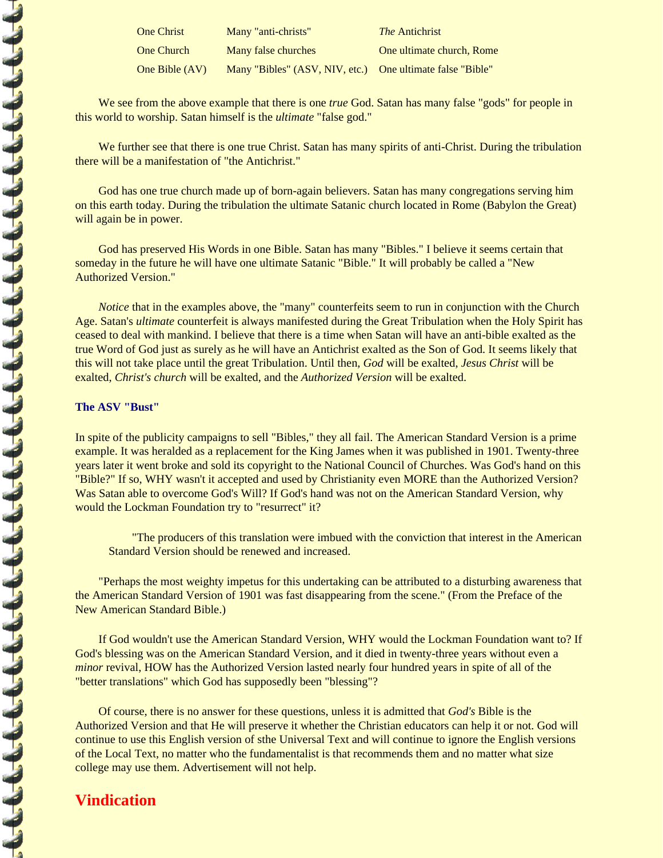| <b>One Christ</b> | Many "anti-christs"                                       | <i>The Antichrist</i>     |
|-------------------|-----------------------------------------------------------|---------------------------|
| One Church        | Many false churches                                       | One ultimate church, Rome |
| One Bible (AV)    | Many "Bibles" (ASV, NIV, etc.) One ultimate false "Bible" |                           |

We see from the above example that there is one *true* God. Satan has many false "gods" for people in this world to worship. Satan himself is the *ultimate* "false god."

We further see that there is one true Christ. Satan has many spirits of anti-Christ. During the tribulation there will be a manifestation of "the Antichrist."

 God has one true church made up of born-again believers. Satan has many congregations serving him on this earth today. During the tribulation the ultimate Satanic church located in Rome (Babylon the Great) will again be in power.

 God has preserved His Words in one Bible. Satan has many "Bibles." I believe it seems certain that someday in the future he will have one ultimate Satanic "Bible." It will probably be called a "New Authorized Version."

*Notice* that in the examples above, the "many" counterfeits seem to run in conjunction with the Church Age. Satan's *ultimate* counterfeit is always manifested during the Great Tribulation when the Holy Spirit has ceased to deal with mankind. I believe that there is a time when Satan will have an anti-bible exalted as the true Word of God just as surely as he will have an Antichrist exalted as the Son of God. It seems likely that this will not take place until the great Tribulation. Until then, *God* will be exalted, *Jesus Christ* will be exalted, *Christ's church* will be exalted, and the *Authorized Version* will be exalted.

### **The ASV "Bust"**

In spite of the publicity campaigns to sell "Bibles," they all fail. The American Standard Version is a prime example. It was heralded as a replacement for the King James when it was published in 1901. Twenty-three years later it went broke and sold its copyright to the National Council of Churches. Was God's hand on this "Bible?" If so, WHY wasn't it accepted and used by Christianity even MORE than the Authorized Version? Was Satan able to overcome God's Will? If God's hand was not on the American Standard Version, why would the Lockman Foundation try to "resurrect" it?

 "The producers of this translation were imbued with the conviction that interest in the American Standard Version should be renewed and increased.

 "Perhaps the most weighty impetus for this undertaking can be attributed to a disturbing awareness that the American Standard Version of 1901 was fast disappearing from the scene." (From the Preface of the New American Standard Bible.)

 If God wouldn't use the American Standard Version, WHY would the Lockman Foundation want to? If God's blessing was on the American Standard Version, and it died in twenty-three years without even a *minor* revival, HOW has the Authorized Version lasted nearly four hundred years in spite of all of the "better translations" which God has supposedly been "blessing"?

 Of course, there is no answer for these questions, unless it is admitted that *God's* Bible is the Authorized Version and that He will preserve it whether the Christian educators can help it or not. God will continue to use this English version of sthe Universal Text and will continue to ignore the English versions of the Local Text, no matter who the fundamentalist is that recommends them and no matter what size college may use them. Advertisement will not help.

# **Vindication**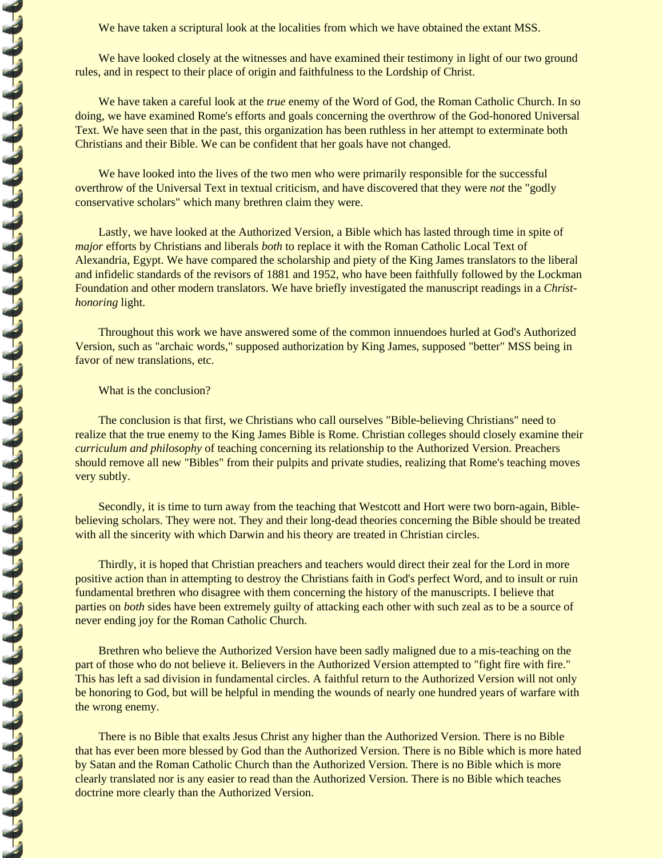We have taken a scriptural look at the localities from which we have obtained the extant MSS.

We have looked closely at the witnesses and have examined their testimony in light of our two ground rules, and in respect to their place of origin and faithfulness to the Lordship of Christ.

 We have taken a careful look at the *true* enemy of the Word of God, the Roman Catholic Church. In so doing, we have examined Rome's efforts and goals concerning the overthrow of the God-honored Universal Text. We have seen that in the past, this organization has been ruthless in her attempt to exterminate both Christians and their Bible. We can be confident that her goals have not changed.

We have looked into the lives of the two men who were primarily responsible for the successful overthrow of the Universal Text in textual criticism, and have discovered that they were *not* the "godly conservative scholars" which many brethren claim they were.

 Lastly, we have looked at the Authorized Version, a Bible which has lasted through time in spite of *major* efforts by Christians and liberals *both* to replace it with the Roman Catholic Local Text of Alexandria, Egypt. We have compared the scholarship and piety of the King James translators to the liberal and infidelic standards of the revisors of 1881 and 1952, who have been faithfully followed by the Lockman Foundation and other modern translators. We have briefly investigated the manuscript readings in a *Christhonoring* light.

 Throughout this work we have answered some of the common innuendoes hurled at God's Authorized Version, such as "archaic words," supposed authorization by King James, supposed "better" MSS being in favor of new translations, etc.

What is the conclusion?

 The conclusion is that first, we Christians who call ourselves "Bible-believing Christians" need to realize that the true enemy to the King James Bible is Rome. Christian colleges should closely examine their *curriculum and philosophy* of teaching concerning its relationship to the Authorized Version. Preachers should remove all new "Bibles" from their pulpits and private studies, realizing that Rome's teaching moves very subtly.

 Secondly, it is time to turn away from the teaching that Westcott and Hort were two born-again, Biblebelieving scholars. They were not. They and their long-dead theories concerning the Bible should be treated with all the sincerity with which Darwin and his theory are treated in Christian circles.

 Thirdly, it is hoped that Christian preachers and teachers would direct their zeal for the Lord in more positive action than in attempting to destroy the Christians faith in God's perfect Word, and to insult or ruin fundamental brethren who disagree with them concerning the history of the manuscripts. I believe that parties on *both* sides have been extremely guilty of attacking each other with such zeal as to be a source of never ending joy for the Roman Catholic Church.

 Brethren who believe the Authorized Version have been sadly maligned due to a mis-teaching on the part of those who do not believe it. Believers in the Authorized Version attempted to "fight fire with fire." This has left a sad division in fundamental circles. A faithful return to the Authorized Version will not only be honoring to God, but will be helpful in mending the wounds of nearly one hundred years of warfare with the wrong enemy.

 There is no Bible that exalts Jesus Christ any higher than the Authorized Version. There is no Bible that has ever been more blessed by God than the Authorized Version. There is no Bible which is more hated by Satan and the Roman Catholic Church than the Authorized Version. There is no Bible which is more clearly translated nor is any easier to read than the Authorized Version. There is no Bible which teaches doctrine more clearly than the Authorized Version.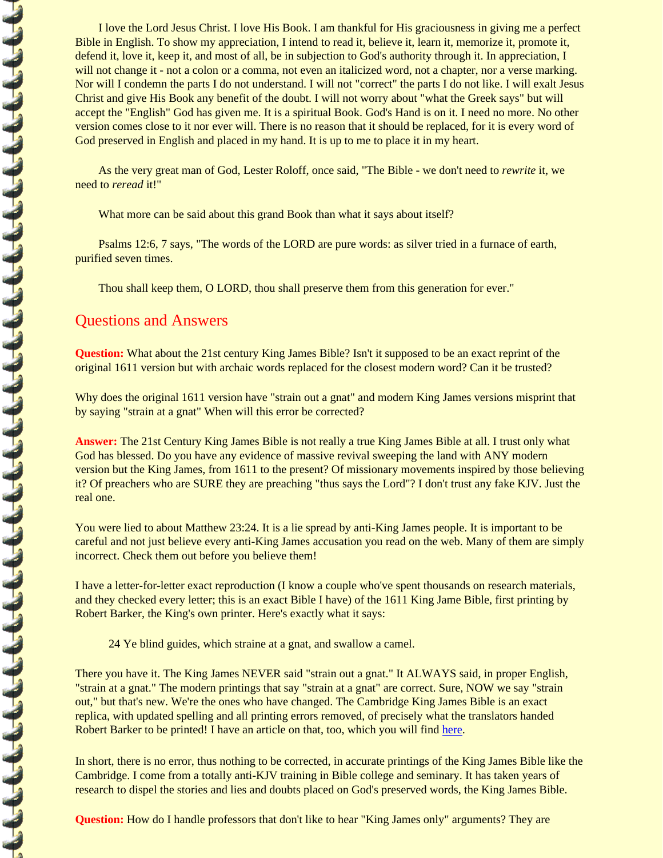I love the Lord Jesus Christ. I love His Book. I am thankful for His graciousness in giving me a perfect Bible in English. To show my appreciation, I intend to read it, believe it, learn it, memorize it, promote it, defend it, love it, keep it, and most of all, be in subjection to God's authority through it. In appreciation, I will not change it - not a colon or a comma, not even an italicized word, not a chapter, nor a verse marking. Nor will I condemn the parts I do not understand. I will not "correct" the parts I do not like. I will exalt Jesus Christ and give His Book any benefit of the doubt. I will not worry about "what the Greek says" but will accept the "English" God has given me. It is a spiritual Book. God's Hand is on it. I need no more. No other version comes close to it nor ever will. There is no reason that it should be replaced, for it is every word of God preserved in English and placed in my hand. It is up to me to place it in my heart.

 As the very great man of God, Lester Roloff, once said, "The Bible - we don't need to *rewrite* it, we need to *reread* it!"

What more can be said about this grand Book than what it says about itself?

 Psalms 12:6, 7 says, "The words of the LORD are pure words: as silver tried in a furnace of earth, purified seven times.

Thou shall keep them, O LORD, thou shall preserve them from this generation for ever."

# Questions and Answers

**Question:** What about the 21st century King James Bible? Isn't it supposed to be an exact reprint of the original 1611 version but with archaic words replaced for the closest modern word? Can it be trusted?

Why does the original 1611 version have "strain out a gnat" and modern King James versions misprint that by saying "strain at a gnat" When will this error be corrected?

**Answer:** The 21st Century King James Bible is not really a true King James Bible at all. I trust only what God has blessed. Do you have any evidence of massive revival sweeping the land with ANY modern version but the King James, from 1611 to the present? Of missionary movements inspired by those believing it? Of preachers who are SURE they are preaching "thus says the Lord"? I don't trust any fake KJV. Just the real one.

You were lied to about Matthew 23:24. It is a lie spread by anti-King James people. It is important to be careful and not just believe every anti-King James accusation you read on the web. Many of them are simply incorrect. Check them out before you believe them!

I have a letter-for-letter exact reproduction (I know a couple who've spent thousands on research materials, and they checked every letter; this is an exact Bible I have) of the 1611 King Jame Bible, first printing by Robert Barker, the King's own printer. Here's exactly what it says:

24 Ye blind guides, which straine at a gnat, and swallow a camel.

There you have it. The King James NEVER said "strain out a gnat." It ALWAYS said, in proper English, "strain at a gnat." The modern printings that say "strain at a gnat" are correct. Sure, NOW we say "strain out," but that's new. We're the ones who have changed. The Cambridge King James Bible is an exact replica, with updated spelling and all printing errors removed, of precisely what the translators handed Robert Barker to be printed! I have an article on that, too, which you will find [here](http://www.chick.com/ask/articles/kjvchange.asp).

In short, there is no error, thus nothing to be corrected, in accurate printings of the King James Bible like the Cambridge. I come from a totally anti-KJV training in Bible college and seminary. It has taken years of research to dispel the stories and lies and doubts placed on God's preserved words, the King James Bible.

**Question:** How do I handle professors that don't like to hear "King James only" arguments? They are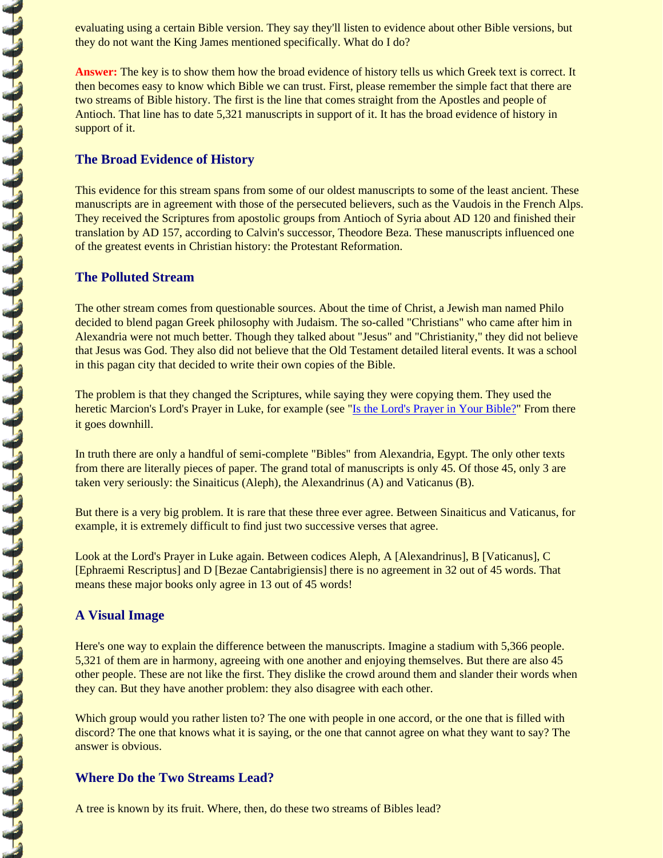evaluating using a certain Bible version. They say they'll listen to evidence about other Bible versions, but they do not want the King James mentioned specifically. What do I do?

**Answer:** The key is to show them how the broad evidence of history tells us which Greek text is correct. It then becomes easy to know which Bible we can trust. First, please remember the simple fact that there are two streams of Bible history. The first is the line that comes straight from the Apostles and people of Antioch. That line has to date 5,321 manuscripts in support of it. It has the broad evidence of history in support of it.

## **The Broad Evidence of History**

This evidence for this stream spans from some of our oldest manuscripts to some of the least ancient. These manuscripts are in agreement with those of the persecuted believers, such as the Vaudois in the French Alps. They received the Scriptures from apostolic groups from Antioch of Syria about AD 120 and finished their translation by AD 157, according to Calvin's successor, Theodore Beza. These manuscripts influenced one of the greatest events in Christian history: the Protestant Reformation.

## **The Polluted Stream**

The other stream comes from questionable sources. About the time of Christ, a Jewish man named Philo decided to blend pagan Greek philosophy with Judaism. The so-called "Christians" who came after him in Alexandria were not much better. Though they talked about "Jesus" and "Christianity," they did not believe that Jesus was God. They also did not believe that the Old Testament detailed literal events. It was a school in this pagan city that decided to write their own copies of the Bible.

The problem is that they changed the Scriptures, while saying they were copying them. They used the heretic Marcion's Lord's Prayer in Luke, for example (see "[Is the Lord's Prayer in Your Bible?"](http://www.chick.com/bc/2000/prayer.asp) From there it goes downhill.

In truth there are only a handful of semi-complete "Bibles" from Alexandria, Egypt. The only other texts from there are literally pieces of paper. The grand total of manuscripts is only 45. Of those 45, only 3 are taken very seriously: the Sinaiticus (Aleph), the Alexandrinus (A) and Vaticanus (B).

But there is a very big problem. It is rare that these three ever agree. Between Sinaiticus and Vaticanus, for example, it is extremely difficult to find just two successive verses that agree.

Look at the Lord's Prayer in Luke again. Between codices Aleph, A [Alexandrinus], B [Vaticanus], C [Ephraemi Rescriptus] and D [Bezae Cantabrigiensis] there is no agreement in 32 out of 45 words. That means these major books only agree in 13 out of 45 words!

## **A Visual Image**

Here's one way to explain the difference between the manuscripts. Imagine a stadium with 5,366 people. 5,321 of them are in harmony, agreeing with one another and enjoying themselves. But there are also 45 other people. These are not like the first. They dislike the crowd around them and slander their words when they can. But they have another problem: they also disagree with each other.

Which group would you rather listen to? The one with people in one accord, or the one that is filled with discord? The one that knows what it is saying, or the one that cannot agree on what they want to say? The answer is obvious.

## **Where Do the Two Streams Lead?**

A tree is known by its fruit. Where, then, do these two streams of Bibles lead?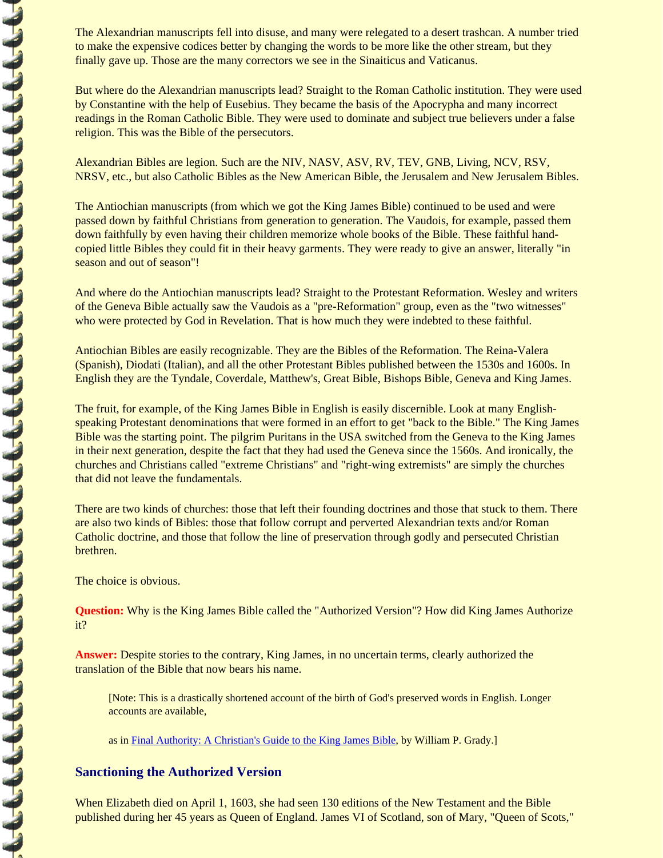The Alexandrian manuscripts fell into disuse, and many were relegated to a desert trashcan. A number tried to make the expensive codices better by changing the words to be more like the other stream, but they finally gave up. Those are the many correctors we see in the Sinaiticus and Vaticanus.

But where do the Alexandrian manuscripts lead? Straight to the Roman Catholic institution. They were used by Constantine with the help of Eusebius. They became the basis of the Apocrypha and many incorrect readings in the Roman Catholic Bible. They were used to dominate and subject true believers under a false religion. This was the Bible of the persecutors.

Alexandrian Bibles are legion. Such are the NIV, NASV, ASV, RV, TEV, GNB, Living, NCV, RSV, NRSV, etc., but also Catholic Bibles as the New American Bible, the Jerusalem and New Jerusalem Bibles.

The Antiochian manuscripts (from which we got the King James Bible) continued to be used and were passed down by faithful Christians from generation to generation. The Vaudois, for example, passed them down faithfully by even having their children memorize whole books of the Bible. These faithful handcopied little Bibles they could fit in their heavy garments. They were ready to give an answer, literally "in season and out of season"!

And where do the Antiochian manuscripts lead? Straight to the Protestant Reformation. Wesley and writers of the Geneva Bible actually saw the Vaudois as a "pre-Reformation" group, even as the "two witnesses" who were protected by God in Revelation. That is how much they were indebted to these faithful.

Antiochian Bibles are easily recognizable. They are the Bibles of the Reformation. The Reina-Valera (Spanish), Diodati (Italian), and all the other Protestant Bibles published between the 1530s and 1600s. In English they are the Tyndale, Coverdale, Matthew's, Great Bible, Bishops Bible, Geneva and King James.

The fruit, for example, of the King James Bible in English is easily discernible. Look at many Englishspeaking Protestant denominations that were formed in an effort to get "back to the Bible." The King James Bible was the starting point. The pilgrim Puritans in the USA switched from the Geneva to the King James in their next generation, despite the fact that they had used the Geneva since the 1560s. And ironically, the churches and Christians called "extreme Christians" and "right-wing extremists" are simply the churches that did not leave the fundamentals.

There are two kinds of churches: those that left their founding doctrines and those that stuck to them. There are also two kinds of Bibles: those that follow corrupt and perverted Alexandrian texts and/or Roman Catholic doctrine, and those that follow the line of preservation through godly and persecuted Christian brethren.

The choice is obvious.

**Question:** Why is the King James Bible called the "Authorized Version"? How did King James Authorize it?

**Answer:** Despite stories to the contrary, King James, in no uncertain terms, clearly authorized the translation of the Bible that now bears his name.

[Note: This is a drastically shortened account of the birth of God's preserved words in English. Longer accounts are available,

as in [Final Authority: A Christian's Guide to the King James Bible,](http://www.chick.com/catalog/books/0168.asp) by William P. Grady.]

## **Sanctioning the Authorized Version**

When Elizabeth died on April 1, 1603, she had seen 130 editions of the New Testament and the Bible published during her 45 years as Queen of England. James VI of Scotland, son of Mary, "Queen of Scots,"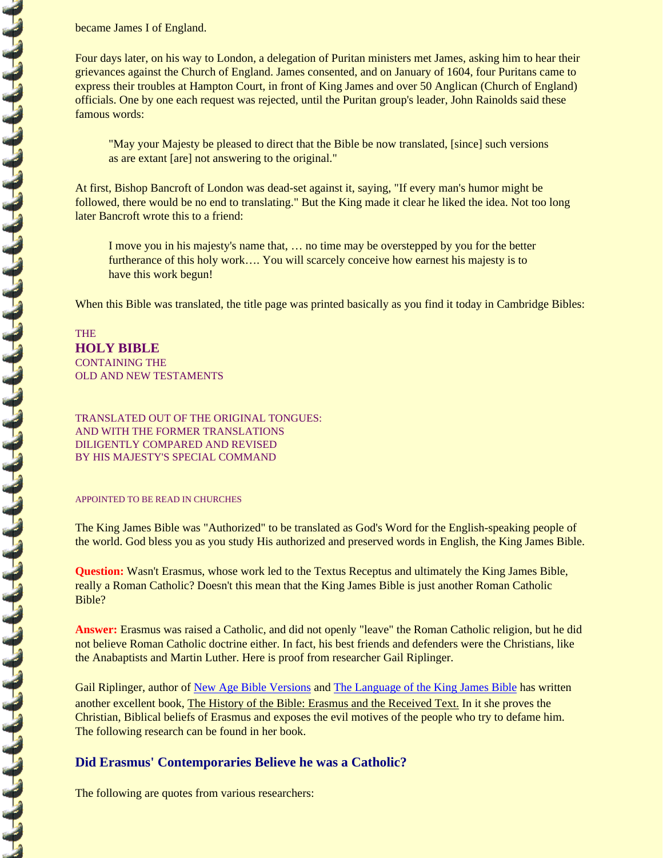became James I of England.

Four days later, on his way to London, a delegation of Puritan ministers met James, asking him to hear their grievances against the Church of England. James consented, and on January of 1604, four Puritans came to express their troubles at Hampton Court, in front of King James and over 50 Anglican (Church of England) officials. One by one each request was rejected, until the Puritan group's leader, John Rainolds said these famous words:

"May your Majesty be pleased to direct that the Bible be now translated, [since] such versions as are extant [are] not answering to the original."

At first, Bishop Bancroft of London was dead-set against it, saying, "If every man's humor might be followed, there would be no end to translating." But the King made it clear he liked the idea. Not too long later Bancroft wrote this to a friend:

I move you in his majesty's name that, … no time may be overstepped by you for the better furtherance of this holy work…. You will scarcely conceive how earnest his majesty is to have this work begun!

When this Bible was translated, the title page was printed basically as you find it today in Cambridge Bibles:

## THE **HOLY BIBLE** CONTAINING THE OLD AND NEW TESTAMENTS

TRANSLATED OUT OF THE ORIGINAL TONGUES: AND WITH THE FORMER TRANSLATIONS DILIGENTLY COMPARED AND REVISED BY HIS MAJESTY'S SPECIAL COMMAND

#### APPOINTED TO BE READ IN CHURCHES

The King James Bible was "Authorized" to be translated as God's Word for the English-speaking people of the world. God bless you as you study His authorized and preserved words in English, the King James Bible.

**Question:** Wasn't Erasmus, whose work led to the Textus Receptus and ultimately the King James Bible, really a Roman Catholic? Doesn't this mean that the King James Bible is just another Roman Catholic Bible?

**Answer:** Erasmus was raised a Catholic, and did not openly "leave" the Roman Catholic religion, but he did not believe Roman Catholic doctrine either. In fact, his best friends and defenders were the Christians, like the Anabaptists and Martin Luther. Here is proof from researcher Gail Riplinger.

Gail Riplinger, author of [New Age Bible Versions](http://www.chick.com/catalog/books/0170.asp) and [The Language of the King James Bible](http://www.chick.com/catalog/books/0133.asp) has written another excellent book, The History of the Bible: Erasmus and the Received Text. In it she proves the Christian, Biblical beliefs of Erasmus and exposes the evil motives of the people who try to defame him. The following research can be found in her book.

## **Did Erasmus' Contemporaries Believe he was a Catholic?**

The following are quotes from various researchers: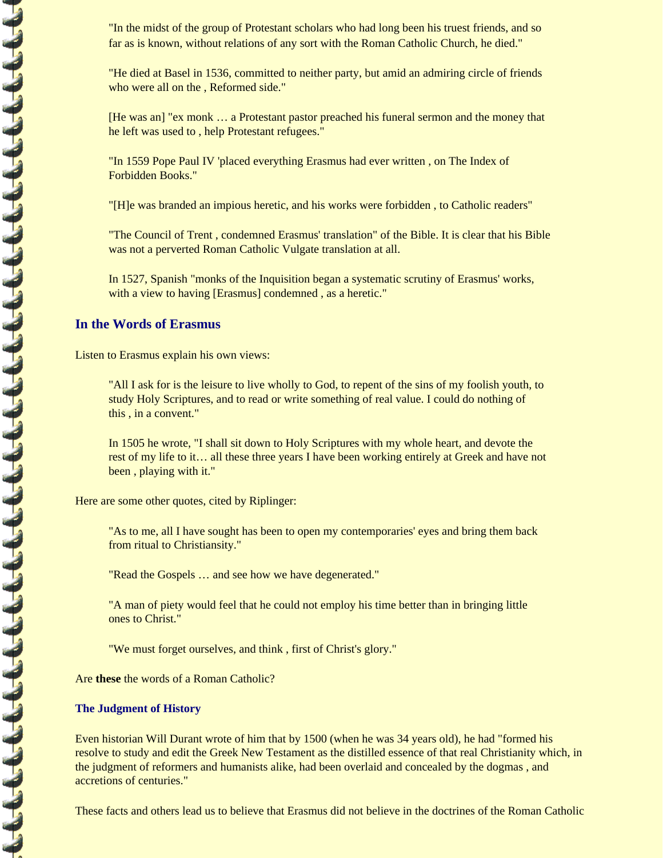"In the midst of the group of Protestant scholars who had long been his truest friends, and so far as is known, without relations of any sort with the Roman Catholic Church, he died."

"He died at Basel in 1536, committed to neither party, but amid an admiring circle of friends who were all on the , Reformed side."

[He was an] "ex monk … a Protestant pastor preached his funeral sermon and the money that he left was used to , help Protestant refugees."

"In 1559 Pope Paul IV 'placed everything Erasmus had ever written , on The Index of Forbidden Books."

"[H]e was branded an impious heretic, and his works were forbidden , to Catholic readers"

"The Council of Trent , condemned Erasmus' translation" of the Bible. It is clear that his Bible was not a perverted Roman Catholic Vulgate translation at all.

In 1527, Spanish "monks of the Inquisition began a systematic scrutiny of Erasmus' works, with a view to having [Erasmus] condemned, as a heretic."

## **In the Words of Erasmus**

Listen to Erasmus explain his own views:

"All I ask for is the leisure to live wholly to God, to repent of the sins of my foolish youth, to study Holy Scriptures, and to read or write something of real value. I could do nothing of this , in a convent."

In 1505 he wrote, "I shall sit down to Holy Scriptures with my whole heart, and devote the rest of my life to it… all these three years I have been working entirely at Greek and have not been , playing with it."

Here are some other quotes, cited by Riplinger:

"As to me, all I have sought has been to open my contemporaries' eyes and bring them back from ritual to Christiansity."

"Read the Gospels … and see how we have degenerated."

"A man of piety would feel that he could not employ his time better than in bringing little ones to Christ."

"We must forget ourselves, and think , first of Christ's glory."

Are **these** the words of a Roman Catholic?

### **The Judgment of History**

Even historian Will Durant wrote of him that by 1500 (when he was 34 years old), he had "formed his resolve to study and edit the Greek New Testament as the distilled essence of that real Christianity which, in the judgment of reformers and humanists alike, had been overlaid and concealed by the dogmas , and accretions of centuries."

These facts and others lead us to believe that Erasmus did not believe in the doctrines of the Roman Catholic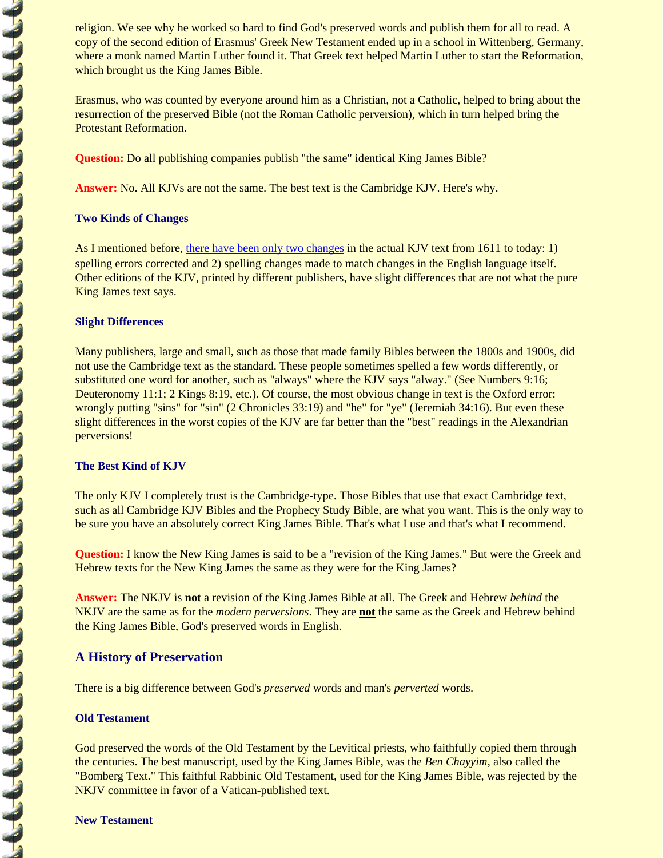religion. We see why he worked so hard to find God's preserved words and publish them for all to read. A copy of the second edition of Erasmus' Greek New Testament ended up in a school in Wittenberg, Germany, where a monk named Martin Luther found it. That Greek text helped Martin Luther to start the Reformation, which brought us the King James Bible.

Erasmus, who was counted by everyone around him as a Christian, not a Catholic, helped to bring about the resurrection of the preserved Bible (not the Roman Catholic perversion), which in turn helped bring the Protestant Reformation.

**Question:** Do all publishing companies publish "the same" identical King James Bible?

**Answer:** No. All KJVs are not the same. The best text is the Cambridge KJV. Here's why.

### **Two Kinds of Changes**

As I mentioned before, [there have been only two changes](http://www.chick.com/ask/articles/kjvchange.asp) in the actual KJV text from 1611 to today: 1) spelling errors corrected and 2) spelling changes made to match changes in the English language itself. Other editions of the KJV, printed by different publishers, have slight differences that are not what the pure King James text says.

### **Slight Differences**

Many publishers, large and small, such as those that made family Bibles between the 1800s and 1900s, did not use the Cambridge text as the standard. These people sometimes spelled a few words differently, or substituted one word for another, such as "always" where the KJV says "alway." (See Numbers 9:16; Deuteronomy 11:1; 2 Kings 8:19, etc.). Of course, the most obvious change in text is the Oxford error: wrongly putting "sins" for "sin" (2 Chronicles 33:19) and "he" for "ye" (Jeremiah 34:16). But even these slight differences in the worst copies of the KJV are far better than the "best" readings in the Alexandrian perversions!

#### **The Best Kind of KJV**

The only KJV I completely trust is the Cambridge-type. Those Bibles that use that exact Cambridge text, such as all Cambridge KJV Bibles and the Prophecy Study Bible, are what you want. This is the only way to be sure you have an absolutely correct King James Bible. That's what I use and that's what I recommend.

**Question:** I know the New King James is said to be a "revision of the King James." But were the Greek and Hebrew texts for the New King James the same as they were for the King James?

**Answer:** The NKJV is **not** a revision of the King James Bible at all. The Greek and Hebrew *behind* the NKJV are the same as for the *modern perversions*. They are **not** the same as the Greek and Hebrew behind the King James Bible, God's preserved words in English.

## **A History of Preservation**

There is a big difference between God's *preserved* words and man's *perverted* words.

#### **Old Testament**

God preserved the words of the Old Testament by the Levitical priests, who faithfully copied them through the centuries. The best manuscript, used by the King James Bible, was the *Ben Chayyim*, also called the "Bomberg Text." This faithful Rabbinic Old Testament, used for the King James Bible, was rejected by the NKJV committee in favor of a Vatican-published text.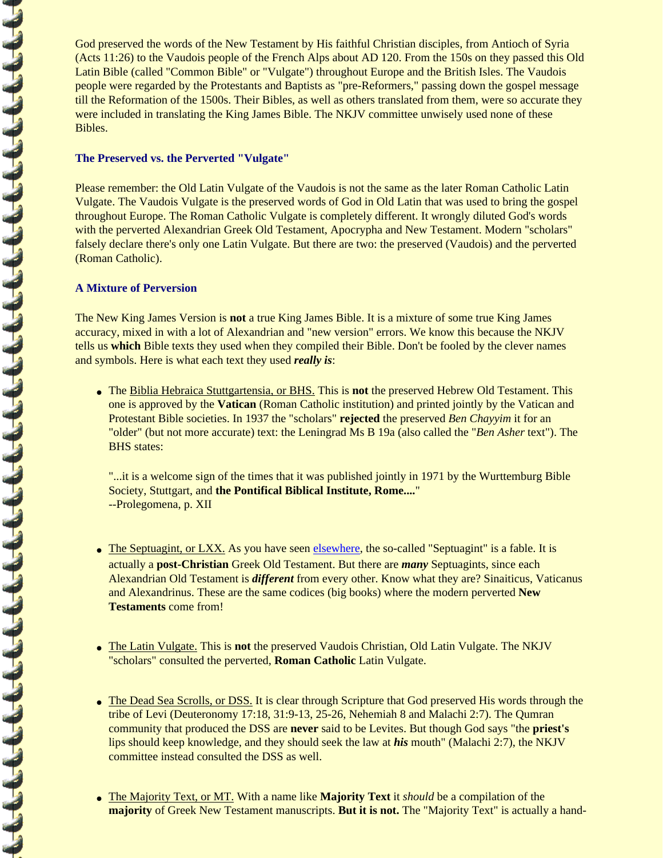God preserved the words of the New Testament by His faithful Christian disciples, from Antioch of Syria (Acts 11:26) to the Vaudois people of the French Alps about AD 120. From the 150s on they passed this Old Latin Bible (called "Common Bible" or "Vulgate") throughout Europe and the British Isles. The Vaudois people were regarded by the Protestants and Baptists as "pre-Reformers," passing down the gospel message till the Reformation of the 1500s. Their Bibles, as well as others translated from them, were so accurate they were included in translating the King James Bible. The NKJV committee unwisely used none of these Bibles.

## **The Preserved vs. the Perverted "Vulgate"**

Please remember: the Old Latin Vulgate of the Vaudois is not the same as the later Roman Catholic Latin Vulgate. The Vaudois Vulgate is the preserved words of God in Old Latin that was used to bring the gospel throughout Europe. The Roman Catholic Vulgate is completely different. It wrongly diluted God's words with the perverted Alexandrian Greek Old Testament, Apocrypha and New Testament. Modern "scholars" falsely declare there's only one Latin Vulgate. But there are two: the preserved (Vaudois) and the perverted (Roman Catholic).

## **A Mixture of Perversion**

The New King James Version is **not** a true King James Bible. It is a mixture of some true King James accuracy, mixed in with a lot of Alexandrian and "new version" errors. We know this because the NKJV tells us **which** Bible texts they used when they compiled their Bible. Don't be fooled by the clever names and symbols. Here is what each text they used *really is*:

● The Biblia Hebraica Stuttgartensia, or BHS. This is **not** the preserved Hebrew Old Testament. This one is approved by the **Vatican** (Roman Catholic institution) and printed jointly by the Vatican and Protestant Bible societies. In 1937 the "scholars" **rejected** the preserved *Ben Chayyim* it for an "older" (but not more accurate) text: the Leningrad Ms B 19a (also called the "*Ben Asher* text"). The **BHS** states:

"...it is a welcome sign of the times that it was published jointly in 1971 by the Wurttemburg Bible Society, Stuttgart, and **the Pontifical Biblical Institute, Rome....**" --Prolegomena, p. XII

- The Septuagint, or LXX. As you have seen [elsewhere,](http://www.chick.com/information/bibleversions/articles/septuagint.asp) the so-called "Septuagint" is a fable. It is actually a **post-Christian** Greek Old Testament. But there are *many* Septuagints, since each Alexandrian Old Testament is *different* from every other. Know what they are? Sinaiticus, Vaticanus and Alexandrinus. These are the same codices (big books) where the modern perverted **New Testaments** come from!
- The Latin Vulgate. This is **not** the preserved Vaudois Christian, Old Latin Vulgate. The NKJV "scholars" consulted the perverted, **Roman Catholic** Latin Vulgate.
- The Dead Sea Scrolls, or DSS. It is clear through Scripture that God preserved His words through the tribe of Levi (Deuteronomy 17:18, 31:9-13, 25-26, Nehemiah 8 and Malachi 2:7). The Qumran community that produced the DSS are **never** said to be Levites. But though God says "the **priest's** lips should keep knowledge, and they should seek the law at *his* mouth" (Malachi 2:7), the NKJV committee instead consulted the DSS as well.
- The Majority Text, or MT. With a name like **Majority Text** it *should* be a compilation of the **majority** of Greek New Testament manuscripts. **But it is not.** The "Majority Text" is actually a hand-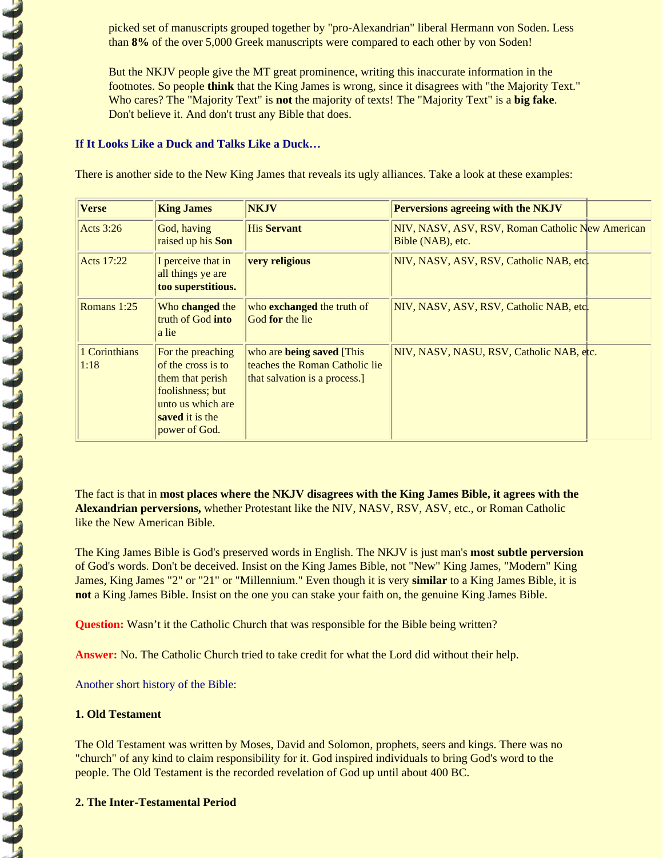picked set of manuscripts grouped together by "pro-Alexandrian" liberal Hermann von Soden. Less than **8%** of the over 5,000 Greek manuscripts were compared to each other by von Soden!

But the NKJV people give the MT great prominence, writing this inaccurate information in the footnotes. So people **think** that the King James is wrong, since it disagrees with "the Majority Text." Who cares? The "Majority Text" is **not** the majority of texts! The "Majority Text" is a **big fake**. Don't believe it. And don't trust any Bible that does.

### **If It Looks Like a Duck and Talks Like a Duck…**

There is another side to the New King James that reveals its ugly alliances. Take a look at these examples:

| <b>Verse</b>          | <b>King James</b>                                                                                                                        | <b>NKJV</b>                                                                                  | Perversions agreeing with the NKJV                                    |
|-----------------------|------------------------------------------------------------------------------------------------------------------------------------------|----------------------------------------------------------------------------------------------|-----------------------------------------------------------------------|
| Acts 3:26             | God, having<br>raised up his Son                                                                                                         | <b>His Servant</b>                                                                           | NIV, NASV, ASV, RSV, Roman Catholic New American<br>Bible (NAB), etc. |
| Acts 17:22            | I perceive that in<br>all things ye are<br>too superstitious.                                                                            | very religious                                                                               | NIV, NASV, ASV, RSV, Catholic NAB, etc.                               |
| Romans $1:25$         | Who changed the<br>truth of God <b>into</b><br>a lie                                                                                     | who <b>exchanged</b> the truth of<br>God for the lie                                         | NIV, NASV, ASV, RSV, Catholic NAB, etc.                               |
| 1 Corinthians<br>1:18 | For the preaching<br>of the cross is to<br>them that perish<br>foolishness; but<br>unto us which are<br>saved it is the<br>power of God. | who are being saved [This<br>teaches the Roman Catholic lie<br>that salvation is a process.] | NIV, NASV, NASU, RSV, Catholic NAB, etc.                              |

The fact is that in **most places where the NKJV disagrees with the King James Bible, it agrees with the Alexandrian perversions,** whether Protestant like the NIV, NASV, RSV, ASV, etc., or Roman Catholic like the New American Bible.

The King James Bible is God's preserved words in English. The NKJV is just man's **most subtle perversion** of God's words. Don't be deceived. Insist on the King James Bible, not "New" King James, "Modern" King James, King James "2" or "21" or "Millennium." Even though it is very **similar** to a King James Bible, it is **not** a King James Bible. Insist on the one you can stake your faith on, the genuine King James Bible.

**Question:** Wasn't it the Catholic Church that was responsible for the Bible being written?

**Answer:** No. The Catholic Church tried to take credit for what the Lord did without their help.

Another short history of the Bible:

## **1. Old Testament**

The Old Testament was written by Moses, David and Solomon, prophets, seers and kings. There was no "church" of any kind to claim responsibility for it. God inspired individuals to bring God's word to the people. The Old Testament is the recorded revelation of God up until about 400 BC.

## **2. The Inter-Testamental Period**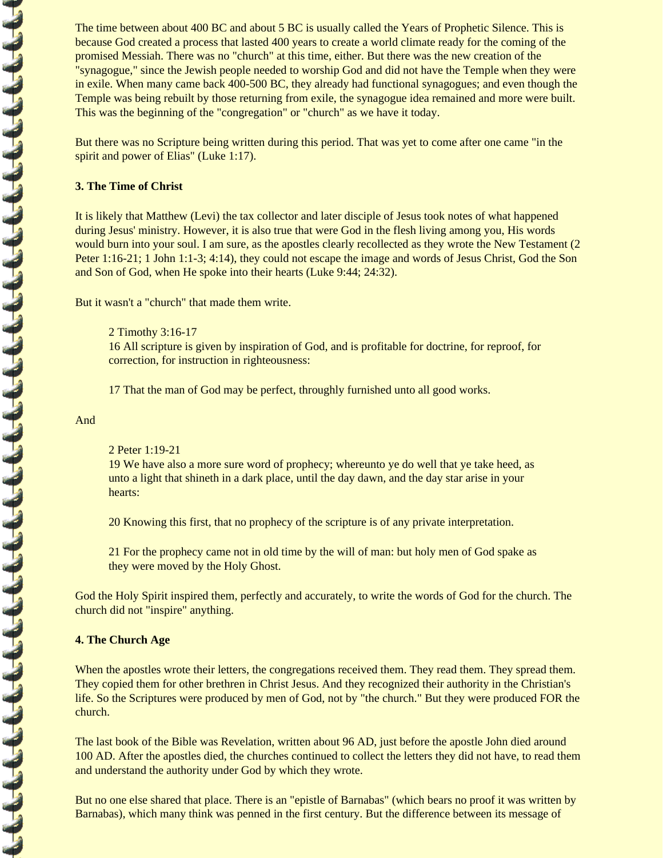The time between about 400 BC and about 5 BC is usually called the Years of Prophetic Silence. This is because God created a process that lasted 400 years to create a world climate ready for the coming of the promised Messiah. There was no "church" at this time, either. But there was the new creation of the "synagogue," since the Jewish people needed to worship God and did not have the Temple when they were in exile. When many came back 400-500 BC, they already had functional synagogues; and even though the Temple was being rebuilt by those returning from exile, the synagogue idea remained and more were built. This was the beginning of the "congregation" or "church" as we have it today.

But there was no Scripture being written during this period. That was yet to come after one came "in the spirit and power of Elias" (Luke 1:17).

## **3. The Time of Christ**

It is likely that Matthew (Levi) the tax collector and later disciple of Jesus took notes of what happened during Jesus' ministry. However, it is also true that were God in the flesh living among you, His words would burn into your soul. I am sure, as the apostles clearly recollected as they wrote the New Testament (2) Peter 1:16-21; 1 John 1:1-3; 4:14), they could not escape the image and words of Jesus Christ, God the Son and Son of God, when He spoke into their hearts (Luke 9:44; 24:32).

But it wasn't a "church" that made them write.

2 Timothy 3:16-17 16 All scripture is given by inspiration of God, and is profitable for doctrine, for reproof, for correction, for instruction in righteousness:

17 That the man of God may be perfect, throughly furnished unto all good works.

And

2 Peter 1:19-21

19 We have also a more sure word of prophecy; whereunto ye do well that ye take heed, as unto a light that shineth in a dark place, until the day dawn, and the day star arise in your hearts:

20 Knowing this first, that no prophecy of the scripture is of any private interpretation.

21 For the prophecy came not in old time by the will of man: but holy men of God spake as they were moved by the Holy Ghost.

God the Holy Spirit inspired them, perfectly and accurately, to write the words of God for the church. The church did not "inspire" anything.

#### **4. The Church Age**

When the apostles wrote their letters, the congregations received them. They read them. They spread them. They copied them for other brethren in Christ Jesus. And they recognized their authority in the Christian's life. So the Scriptures were produced by men of God, not by "the church." But they were produced FOR the church.

The last book of the Bible was Revelation, written about 96 AD, just before the apostle John died around 100 AD. After the apostles died, the churches continued to collect the letters they did not have, to read them and understand the authority under God by which they wrote.

But no one else shared that place. There is an "epistle of Barnabas" (which bears no proof it was written by Barnabas), which many think was penned in the first century. But the difference between its message of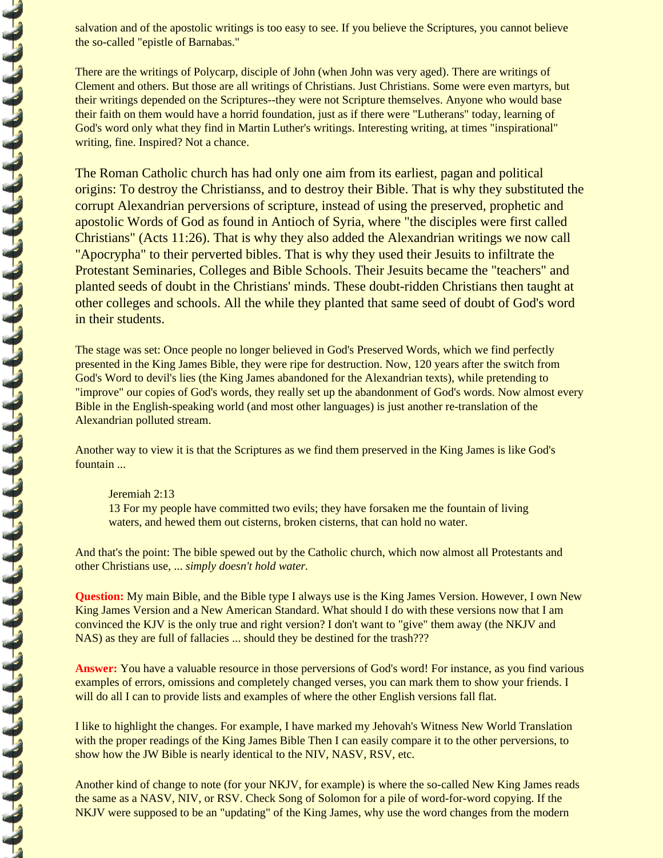salvation and of the apostolic writings is too easy to see. If you believe the Scriptures, you cannot believe the so-called "epistle of Barnabas."

There are the writings of Polycarp, disciple of John (when John was very aged). There are writings of Clement and others. But those are all writings of Christians. Just Christians. Some were even martyrs, but their writings depended on the Scriptures--they were not Scripture themselves. Anyone who would base their faith on them would have a horrid foundation, just as if there were "Lutherans" today, learning of God's word only what they find in Martin Luther's writings. Interesting writing, at times "inspirational" writing, fine. Inspired? Not a chance.

The Roman Catholic church has had only one aim from its earliest, pagan and political origins: To destroy the Christianss, and to destroy their Bible. That is why they substituted the corrupt Alexandrian perversions of scripture, instead of using the preserved, prophetic and apostolic Words of God as found in Antioch of Syria, where "the disciples were first called Christians" (Acts 11:26). That is why they also added the Alexandrian writings we now call "Apocrypha" to their perverted bibles. That is why they used their Jesuits to infiltrate the Protestant Seminaries, Colleges and Bible Schools. Their Jesuits became the "teachers" and planted seeds of doubt in the Christians' minds. These doubt-ridden Christians then taught at other colleges and schools. All the while they planted that same seed of doubt of God's word in their students.

The stage was set: Once people no longer believed in God's Preserved Words, which we find perfectly presented in the King James Bible, they were ripe for destruction. Now, 120 years after the switch from God's Word to devil's lies (the King James abandoned for the Alexandrian texts), while pretending to "improve" our copies of God's words, they really set up the abandonment of God's words. Now almost every Bible in the English-speaking world (and most other languages) is just another re-translation of the Alexandrian polluted stream.

Another way to view it is that the Scriptures as we find them preserved in the King James is like God's fountain ...

### Jeremiah 2:13

13 For my people have committed two evils; they have forsaken me the fountain of living waters, and hewed them out cisterns, broken cisterns, that can hold no water.

And that's the point: The bible spewed out by the Catholic church, which now almost all Protestants and other Christians use, ... *simply doesn't hold water.*

**Question:** My main Bible, and the Bible type I always use is the King James Version. However, I own New King James Version and a New American Standard. What should I do with these versions now that I am convinced the KJV is the only true and right version? I don't want to "give" them away (the NKJV and NAS) as they are full of fallacies ... should they be destined for the trash???

**Answer:** You have a valuable resource in those perversions of God's word! For instance, as you find various examples of errors, omissions and completely changed verses, you can mark them to show your friends. I will do all I can to provide lists and examples of where the other English versions fall flat.

I like to highlight the changes. For example, I have marked my Jehovah's Witness New World Translation with the proper readings of the King James Bible Then I can easily compare it to the other perversions, to show how the JW Bible is nearly identical to the NIV, NASV, RSV, etc.

Another kind of change to note (for your NKJV, for example) is where the so-called New King James reads the same as a NASV, NIV, or RSV. Check Song of Solomon for a pile of word-for-word copying. If the NKJV were supposed to be an "updating" of the King James, why use the word changes from the modern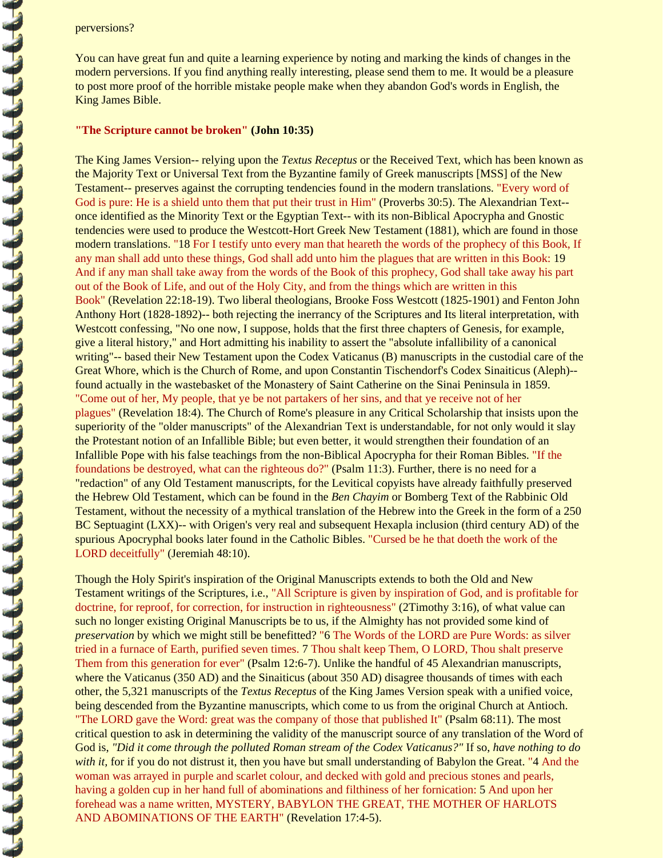#### perversions?

You can have great fun and quite a learning experience by noting and marking the kinds of changes in the modern perversions. If you find anything really interesting, please send them to me. It would be a pleasure to post more proof of the horrible mistake people make when they abandon God's words in English, the King James Bible.

#### **"The Scripture cannot be broken" (John 10:35)**

The King James Version-- relying upon the *Textus Receptus* or the Received Text, which has been known as the Majority Text or Universal Text from the Byzantine family of Greek manuscripts [MSS] of the New Testament-- preserves against the corrupting tendencies found in the modern translations. "Every word of God is pure: He is a shield unto them that put their trust in Him" (Proverbs 30:5). The Alexandrian Text--once identified as the Minority Text or the Egyptian Text-- with its non-Biblical Apocrypha and Gnostic tendencies were used to produce the Westcott-Hort Greek New Testament (1881), which are found in those modern translations. "18 For I testify unto every man that heareth the words of the prophecy of this Book, If any man shall add unto these things, God shall add unto him the plagues that are written in this Book: 19 And if any man shall take away from the words of the Book of this prophecy, God shall take away his part out of the Book of Life, and out of the Holy City, and from the things which are written in this Book" (Revelation 22:18-19). Two liberal theologians, Brooke Foss Westcott (1825-1901) and Fenton John Anthony Hort (1828-1892)-- both rejecting the inerrancy of the Scriptures and Its literal interpretation, with Westcott confessing, "No one now, I suppose, holds that the first three chapters of Genesis, for example, give a literal history," and Hort admitting his inability to assert the "absolute infallibility of a canonical writing"-- based their New Testament upon the Codex Vaticanus (B) manuscripts in the custodial care of the Great Whore, which is the Church of Rome, and upon Constantin Tischendorf's Codex Sinaiticus (Aleph)- found actually in the wastebasket of the Monastery of Saint Catherine on the Sinai Peninsula in 1859. "Come out of her, My people, that ye be not partakers of her sins, and that ye receive not of her plagues" (Revelation 18:4). The Church of Rome's pleasure in any Critical Scholarship that insists upon the superiority of the "older manuscripts" of the Alexandrian Text is understandable, for not only would it slay the Protestant notion of an Infallible Bible; but even better, it would strengthen their foundation of an Infallible Pope with his false teachings from the non-Biblical Apocrypha for their Roman Bibles. "If the foundations be destroyed, what can the righteous do?" (Psalm 11:3). Further, there is no need for a "redaction" of any Old Testament manuscripts, for the Levitical copyists have already faithfully preserved the Hebrew Old Testament, which can be found in the *Ben Chayim* or Bomberg Text of the Rabbinic Old Testament, without the necessity of a mythical translation of the Hebrew into the Greek in the form of a 250 BC Septuagint (LXX)-- with Origen's very real and subsequent Hexapla inclusion (third century AD) of the spurious Apocryphal books later found in the Catholic Bibles. "Cursed be he that doeth the work of the LORD deceitfully" (Jeremiah 48:10).

Though the Holy Spirit's inspiration of the Original Manuscripts extends to both the Old and New Testament writings of the Scriptures, i.e., "All Scripture is given by inspiration of God, and is profitable for doctrine, for reproof, for correction, for instruction in righteousness" (2Timothy 3:16), of what value can such no longer existing Original Manuscripts be to us, if the Almighty has not provided some kind of *preservation* by which we might still be benefitted? "6 The Words of the LORD are Pure Words: as silver tried in a furnace of Earth, purified seven times. 7 Thou shalt keep Them, O LORD, Thou shalt preserve Them from this generation for ever" (Psalm 12:6-7). Unlike the handful of 45 Alexandrian manuscripts, where the Vaticanus (350 AD) and the Sinaiticus (about 350 AD) disagree thousands of times with each other, the 5,321 manuscripts of the *Textus Receptus* of the King James Version speak with a unified voice, being descended from the Byzantine manuscripts, which come to us from the original Church at Antioch. "The LORD gave the Word: great was the company of those that published It" (Psalm 68:11). The most critical question to ask in determining the validity of the manuscript source of any translation of the Word of God is, *"Did it come through the polluted Roman stream of the Codex Vaticanus?"* If so, *have nothing to do with it,* for if you do not distrust it, then you have but small understanding of Babylon the Great. "4 And the woman was arrayed in purple and scarlet colour, and decked with gold and precious stones and pearls, having a golden cup in her hand full of abominations and filthiness of her fornication: 5 And upon her forehead was a name written, MYSTERY, BABYLON THE GREAT, THE MOTHER OF HARLOTS AND ABOMINATIONS OF THE EARTH" (Revelation 17:4-5).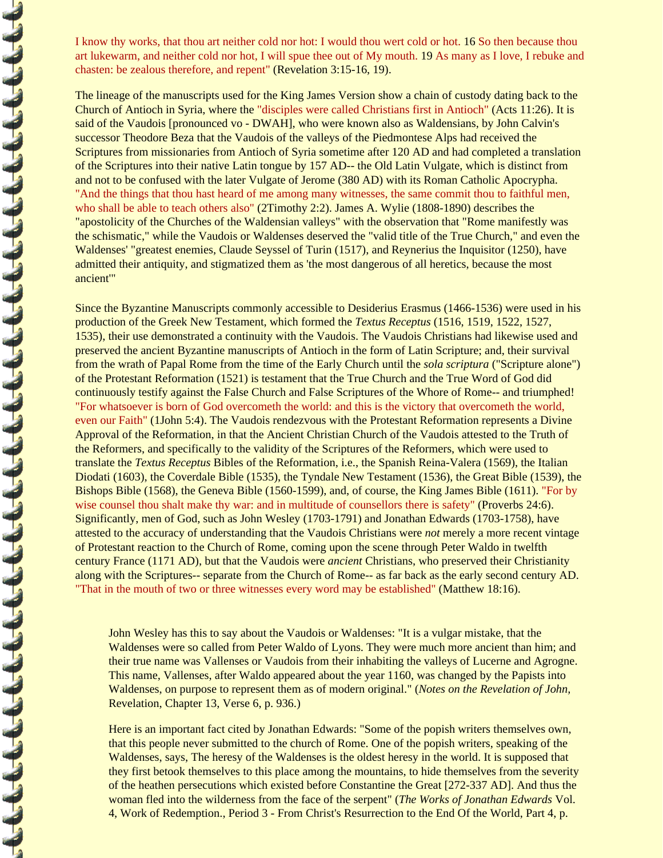I know thy works, that thou art neither cold nor hot: I would thou wert cold or hot. 16 So then because thou art lukewarm, and neither cold nor hot, I will spue thee out of My mouth. 19 As many as I love, I rebuke and chasten: be zealous therefore, and repent" (Revelation 3:15-16, 19).

The lineage of the manuscripts used for the King James Version show a chain of custody dating back to the Church of Antioch in Syria, where the "disciples were called Christians first in Antioch" (Acts 11:26). It is said of the Vaudois [pronounced vo - DWAH], who were known also as Waldensians, by John Calvin's successor Theodore Beza that the Vaudois of the valleys of the Piedmontese Alps had received the Scriptures from missionaries from Antioch of Syria sometime after 120 AD and had completed a translation of the Scriptures into their native Latin tongue by 157 AD-- the Old Latin Vulgate, which is distinct from and not to be confused with the later Vulgate of Jerome (380 AD) with its Roman Catholic Apocrypha. "And the things that thou hast heard of me among many witnesses, the same commit thou to faithful men, who shall be able to teach others also" (2Timothy 2:2). James A. Wylie (1808-1890) describes the "apostolicity of the Churches of the Waldensian valleys" with the observation that "Rome manifestly was the schismatic," while the Vaudois or Waldenses deserved the "valid title of the True Church," and even the Waldenses' "greatest enemies, Claude Seyssel of Turin (1517), and Reynerius the Inquisitor (1250), have admitted their antiquity, and stigmatized them as 'the most dangerous of all heretics, because the most ancient'"

Since the Byzantine Manuscripts commonly accessible to Desiderius Erasmus (1466-1536) were used in his production of the Greek New Testament, which formed the *Textus Receptus* (1516, 1519, 1522, 1527, 1535), their use demonstrated a continuity with the Vaudois. The Vaudois Christians had likewise used and preserved the ancient Byzantine manuscripts of Antioch in the form of Latin Scripture; and, their survival from the wrath of Papal Rome from the time of the Early Church until the *sola scriptura* ("Scripture alone") of the Protestant Reformation (1521) is testament that the True Church and the True Word of God did continuously testify against the False Church and False Scriptures of the Whore of Rome-- and triumphed! "For whatsoever is born of God overcometh the world: and this is the victory that overcometh the world, even our Faith" (1John 5:4). The Vaudois rendezvous with the Protestant Reformation represents a Divine Approval of the Reformation, in that the Ancient Christian Church of the Vaudois attested to the Truth of the Reformers, and specifically to the validity of the Scriptures of the Reformers, which were used to translate the *Textus Receptus* Bibles of the Reformation, i.e., the Spanish Reina-Valera (1569), the Italian Diodati (1603), the Coverdale Bible (1535), the Tyndale New Testament (1536), the Great Bible (1539), the Bishops Bible (1568), the Geneva Bible (1560-1599), and, of course, the King James Bible (1611). "For by wise counsel thou shalt make thy war: and in multitude of counsellors there is safety" (Proverbs 24:6). Significantly, men of God, such as John Wesley (1703-1791) and Jonathan Edwards (1703-1758), have attested to the accuracy of understanding that the Vaudois Christians were *not* merely a more recent vintage of Protestant reaction to the Church of Rome, coming upon the scene through Peter Waldo in twelfth century France (1171 AD), but that the Vaudois were *ancient* Christians, who preserved their Christianity along with the Scriptures-- separate from the Church of Rome-- as far back as the early second century AD. "That in the mouth of two or three witnesses every word may be established" (Matthew 18:16).

John Wesley has this to say about the Vaudois or Waldenses: "It is a vulgar mistake, that the Waldenses were so called from Peter Waldo of Lyons. They were much more ancient than him; and their true name was Vallenses or Vaudois from their inhabiting the valleys of Lucerne and Agrogne. This name, Vallenses, after Waldo appeared about the year 1160, was changed by the Papists into Waldenses, on purpose to represent them as of modern original." (*Notes on the Revelation of John,* Revelation, Chapter 13, Verse 6, p. 936.)

Here is an important fact cited by Jonathan Edwards: "Some of the popish writers themselves own, that this people never submitted to the church of Rome. One of the popish writers, speaking of the Waldenses, says, The heresy of the Waldenses is the oldest heresy in the world. It is supposed that they first betook themselves to this place among the mountains, to hide themselves from the severity of the heathen persecutions which existed before Constantine the Great [272-337 AD]. And thus the woman fled into the wilderness from the face of the serpent" (*The Works of Jonathan Edwards* Vol. 4, Work of Redemption., Period 3 - From Christ's Resurrection to the End Of the World, Part 4, p.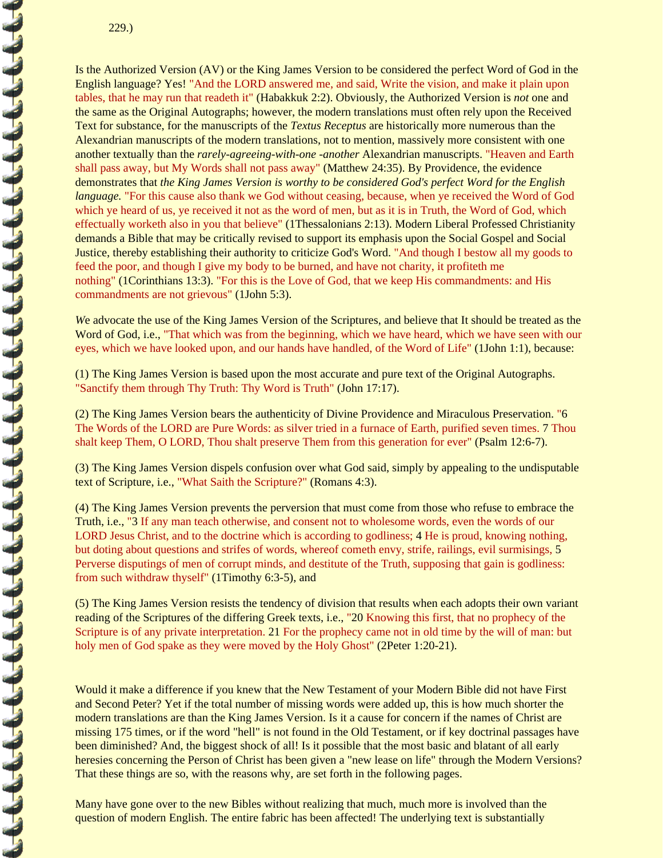Is the Authorized Version (AV) or the King James Version to be considered the perfect Word of God in the English language? Yes! "And the LORD answered me, and said, Write the vision, and make it plain upon tables, that he may run that readeth it" (Habakkuk 2:2). Obviously, the Authorized Version is *not* one and the same as the Original Autographs; however, the modern translations must often rely upon the Received Text for substance, for the manuscripts of the *Textus Receptus* are historically more numerous than the Alexandrian manuscripts of the modern translations, not to mention, massively more consistent with one another textually than the *rarely-agreeing-with-one -another* Alexandrian manuscripts. "Heaven and Earth shall pass away, but My Words shall not pass away" (Matthew 24:35). By Providence, the evidence demonstrates that *the King James Version is worthy to be considered God's perfect Word for the English language.* "For this cause also thank we God without ceasing, because, when ye received the Word of God which ye heard of us, ye received it not as the word of men, but as it is in Truth, the Word of God, which effectually worketh also in you that believe" (1Thessalonians 2:13). Modern Liberal Professed Christianity demands a Bible that may be critically revised to support its emphasis upon the Social Gospel and Social Justice, thereby establishing their authority to criticize God's Word. "And though I bestow all my goods to feed the poor, and though I give my body to be burned, and have not charity, it profiteth me nothing" (1Corinthians 13:3). "For this is the Love of God, that we keep His commandments: and His commandments are not grievous" (1John 5:3).

*W*e advocate the use of the King James Version of the Scriptures, and believe that It should be treated as the Word of God, i.e., "That which was from the beginning, which we have heard, which we have seen with our eyes, which we have looked upon, and our hands have handled, of the Word of Life" (1John 1:1), because:

(1) The King James Version is based upon the most accurate and pure text of the Original Autographs. "Sanctify them through Thy Truth: Thy Word is Truth" (John 17:17).

(2) The King James Version bears the authenticity of Divine Providence and Miraculous Preservation. "6 The Words of the LORD are Pure Words: as silver tried in a furnace of Earth, purified seven times. 7 Thou shalt keep Them, O LORD, Thou shalt preserve Them from this generation for ever" (Psalm 12:6-7).

(3) The King James Version dispels confusion over what God said, simply by appealing to the undisputable text of Scripture, i.e., "What Saith the Scripture?" (Romans 4:3).

(4) The King James Version prevents the perversion that must come from those who refuse to embrace the Truth, i.e., "3 If any man teach otherwise, and consent not to wholesome words, even the words of our LORD Jesus Christ, and to the doctrine which is according to godliness; 4 He is proud, knowing nothing, but doting about questions and strifes of words, whereof cometh envy, strife, railings, evil surmisings, 5 Perverse disputings of men of corrupt minds, and destitute of the Truth, supposing that gain is godliness: from such withdraw thyself" (1Timothy 6:3-5), and

(5) The King James Version resists the tendency of division that results when each adopts their own variant reading of the Scriptures of the differing Greek texts, i.e., "20 Knowing this first, that no prophecy of the Scripture is of any private interpretation. 21 For the prophecy came not in old time by the will of man: but holy men of God spake as they were moved by the Holy Ghost" (2Peter 1:20-21).

Would it make a difference if you knew that the New Testament of your Modern Bible did not have First and Second Peter? Yet if the total number of missing words were added up, this is how much shorter the modern translations are than the King James Version. Is it a cause for concern if the names of Christ are missing 175 times, or if the word "hell" is not found in the Old Testament, or if key doctrinal passages have been diminished? And, the biggest shock of all! Is it possible that the most basic and blatant of all early heresies concerning the Person of Christ has been given a "new lease on life" through the Modern Versions? That these things are so, with the reasons why, are set forth in the following pages.

Many have gone over to the new Bibles without realizing that much, much more is involved than the question of modern English. The entire fabric has been affected! The underlying text is substantially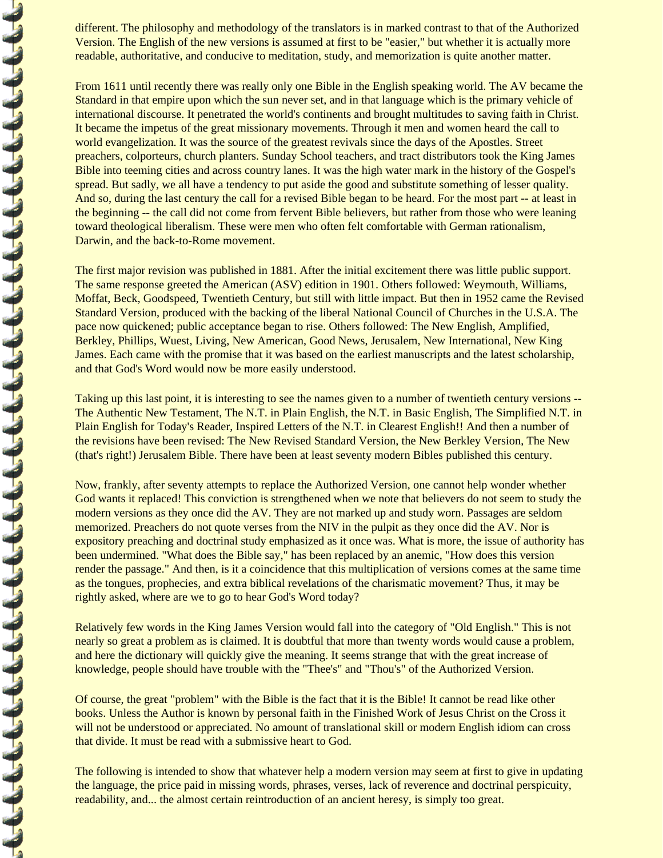different. The philosophy and methodology of the translators is in marked contrast to that of the Authorized Version. The English of the new versions is assumed at first to be "easier," but whether it is actually more readable, authoritative, and conducive to meditation, study, and memorization is quite another matter.

From 1611 until recently there was really only one Bible in the English speaking world. The AV became the Standard in that empire upon which the sun never set, and in that language which is the primary vehicle of international discourse. It penetrated the world's continents and brought multitudes to saving faith in Christ. It became the impetus of the great missionary movements. Through it men and women heard the call to world evangelization. It was the source of the greatest revivals since the days of the Apostles. Street preachers, colporteurs, church planters. Sunday School teachers, and tract distributors took the King James Bible into teeming cities and across country lanes. It was the high water mark in the history of the Gospel's spread. But sadly, we all have a tendency to put aside the good and substitute something of lesser quality. And so, during the last century the call for a revised Bible began to be heard. For the most part -- at least in the beginning -- the call did not come from fervent Bible believers, but rather from those who were leaning toward theological liberalism. These were men who often felt comfortable with German rationalism, Darwin, and the back-to-Rome movement.

The first major revision was published in 1881. After the initial excitement there was little public support. The same response greeted the American (ASV) edition in 1901. Others followed: Weymouth, Williams, Moffat, Beck, Goodspeed, Twentieth Century, but still with little impact. But then in 1952 came the Revised Standard Version, produced with the backing of the liberal National Council of Churches in the U.S.A. The pace now quickened; public acceptance began to rise. Others followed: The New English, Amplified, Berkley, Phillips, Wuest, Living, New American, Good News, Jerusalem, New International, New King James. Each came with the promise that it was based on the earliest manuscripts and the latest scholarship, and that God's Word would now be more easily understood.

Taking up this last point, it is interesting to see the names given to a number of twentieth century versions -- The Authentic New Testament, The N.T. in Plain English, the N.T. in Basic English, The Simplified N.T. in Plain English for Today's Reader, Inspired Letters of the N.T. in Clearest English!! And then a number of the revisions have been revised: The New Revised Standard Version, the New Berkley Version, The New (that's right!) Jerusalem Bible. There have been at least seventy modern Bibles published this century.

Now, frankly, after seventy attempts to replace the Authorized Version, one cannot help wonder whether God wants it replaced! This conviction is strengthened when we note that believers do not seem to study the modern versions as they once did the AV. They are not marked up and study worn. Passages are seldom memorized. Preachers do not quote verses from the NIV in the pulpit as they once did the AV. Nor is expository preaching and doctrinal study emphasized as it once was. What is more, the issue of authority has been undermined. "What does the Bible say," has been replaced by an anemic, "How does this version render the passage." And then, is it a coincidence that this multiplication of versions comes at the same time as the tongues, prophecies, and extra biblical revelations of the charismatic movement? Thus, it may be rightly asked, where are we to go to hear God's Word today?

Relatively few words in the King James Version would fall into the category of "Old English." This is not nearly so great a problem as is claimed. It is doubtful that more than twenty words would cause a problem, and here the dictionary will quickly give the meaning. It seems strange that with the great increase of knowledge, people should have trouble with the "Thee's" and "Thou's" of the Authorized Version.

Of course, the great "problem" with the Bible is the fact that it is the Bible! It cannot be read like other books. Unless the Author is known by personal faith in the Finished Work of Jesus Christ on the Cross it will not be understood or appreciated. No amount of translational skill or modern English idiom can cross that divide. It must be read with a submissive heart to God.

The following is intended to show that whatever help a modern version may seem at first to give in updating the language, the price paid in missing words, phrases, verses, lack of reverence and doctrinal perspicuity, readability, and... the almost certain reintroduction of an ancient heresy, is simply too great.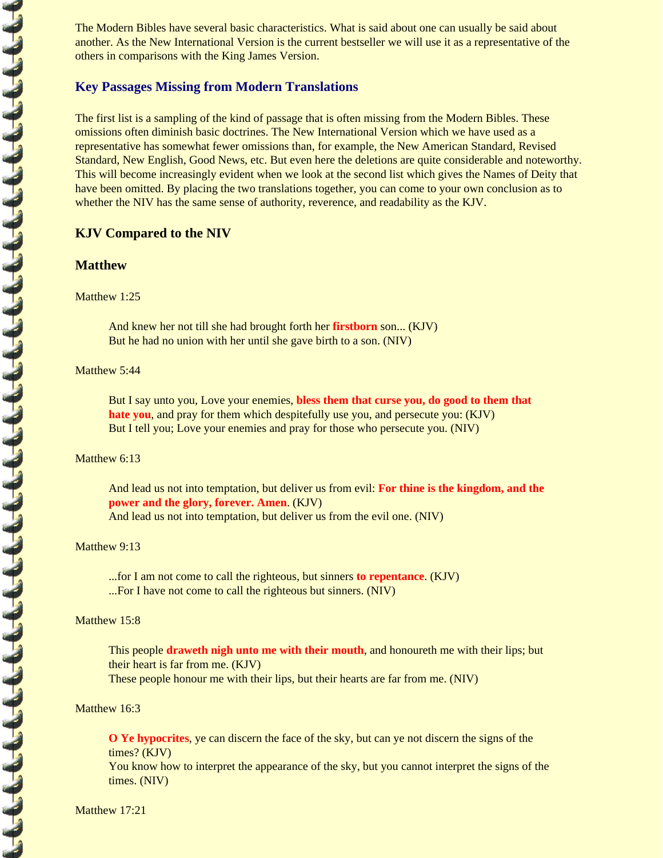The Modern Bibles have several basic characteristics. What is said about one can usually be said about another. As the New International Version is the current bestseller we will use it as a representative of the others in comparisons with the King James Version.

## **Key Passages Missing from Modern Translations**

The first list is a sampling of the kind of passage that is often missing from the Modern Bibles. These omissions often diminish basic doctrines. The New International Version which we have used as a representative has somewhat fewer omissions than, for example, the New American Standard, Revised Standard, New English, Good News, etc. But even here the deletions are quite considerable and noteworthy. This will become increasingly evident when we look at the second list which gives the Names of Deity that have been omitted. By placing the two translations together, you can come to your own conclusion as to whether the NIV has the same sense of authority, reverence, and readability as the KJV.

### **KJV Compared to the NIV**

#### **Matthew**

#### Matthew 1:25

And knew her not till she had brought forth her **firstborn** son... (KJV) But he had no union with her until she gave birth to a son. (NIV)

#### Matthew 5:44

But I say unto you, Love your enemies, **bless them that curse you, do good to them that hate you**, and pray for them which despitefully use you, and persecute you: (KJV) But I tell you; Love your enemies and pray for those who persecute you. (NIV)

## Matthew 6:13

And lead us not into temptation, but deliver us from evil: **For thine is the kingdom, and the power and the glory, forever. Amen**. (KJV) And lead us not into temptation, but deliver us from the evil one. (NIV)

#### Matthew 9:13

...for I am not come to call the righteous, but sinners **to repentance**. (KJV) ...For I have not come to call the righteous but sinners. (NIV)

#### Matthew 15:8

This people **draweth nigh unto me with their mouth**, and honoureth me with their lips; but their heart is far from me. (KJV) These people honour me with their lips, but their hearts are far from me. (NIV)

#### Matthew 16:3

**O Ye hypocrites**, ye can discern the face of the sky, but can ye not discern the signs of the times? (KJV)

You know how to interpret the appearance of the sky, but you cannot interpret the signs of the times. (NIV)

Matthew 17:21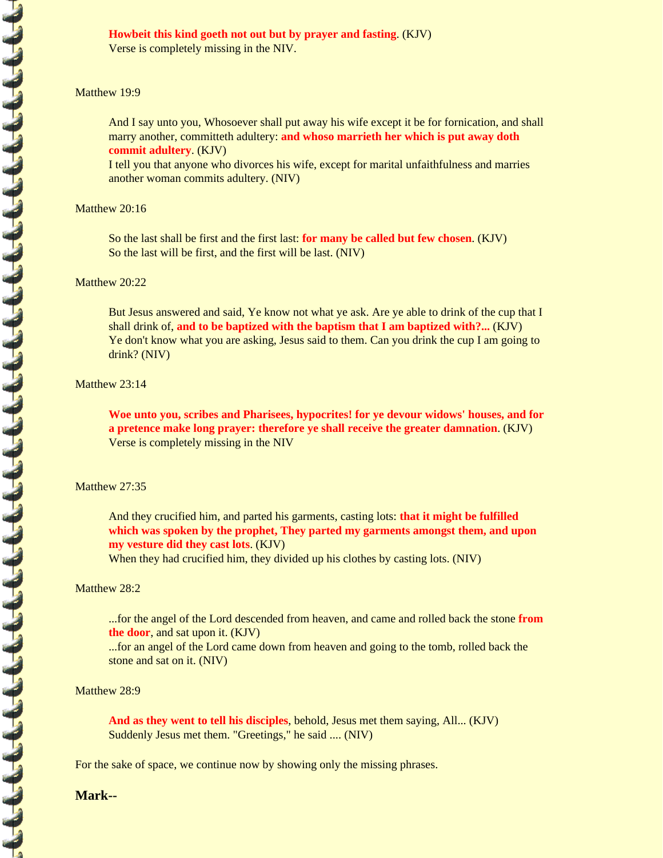### **Howbeit this kind goeth not out but by prayer and fasting**. (KJV) Verse is completely missing in the NIV.

#### Matthew 19:9

And I say unto you, Whosoever shall put away his wife except it be for fornication, and shall marry another, committeth adultery: **and whoso marrieth her which is put away doth commit adultery**. (KJV)

I tell you that anyone who divorces his wife, except for marital unfaithfulness and marries another woman commits adultery. (NIV)

#### Matthew 20:16

So the last shall be first and the first last: **for many be called but few chosen**. (KJV) So the last will be first, and the first will be last. (NIV)

#### Matthew 20:22

But Jesus answered and said, Ye know not what ye ask. Are ye able to drink of the cup that I shall drink of, **and to be baptized with the baptism that I am baptized with?...** (KJV) Ye don't know what you are asking, Jesus said to them. Can you drink the cup I am going to drink? (NIV)

#### Matthew 23:14

**Woe unto you, scribes and Pharisees, hypocrites! for ye devour widows' houses, and for a pretence make long prayer: therefore ye shall receive the greater damnation**. (KJV) Verse is completely missing in the NIV

#### Matthew 27:35

And they crucified him, and parted his garments, casting lots: **that it might be fulfilled which was spoken by the prophet, They parted my garments amongst them, and upon my vesture did they cast lots**. (KJV)

When they had crucified him, they divided up his clothes by casting lots. (NIV)

#### Matthew 28:2

...for the angel of the Lord descended from heaven, and came and rolled back the stone **from the door**, and sat upon it. (KJV)

...for an angel of the Lord came down from heaven and going to the tomb, rolled back the stone and sat on it. (NIV)

## Matthew 28:9

**And as they went to tell his disciples**, behold, Jesus met them saying, All... (KJV) Suddenly Jesus met them. "Greetings," he said .... (NIV)

For the sake of space, we continue now by showing only the missing phrases.

#### **Mark--**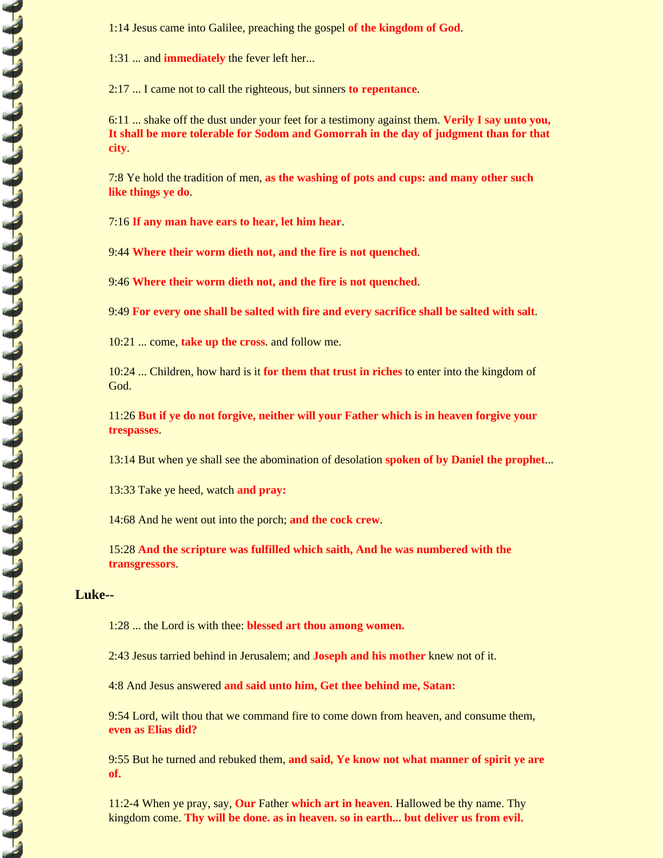1:14 Jesus came into Galilee, preaching the gospel **of the kingdom of God**.

1:31 ... and **immediately** the fever left her...

2:17 ... I came not to call the righteous, but sinners **to repentance**.

6:11 ... shake off the dust under your feet for a testimony against them. **Verily I say unto you, It shall be more tolerable for Sodom and Gomorrah in the day of judgment than for that city**.

7:8 Ye hold the tradition of men, **as the washing of pots and cups: and many other such like things ye do**.

7:16 **If any man have ears to hear, let him hear**.

9:44 **Where their worm dieth not, and the fire is not quenched**.

9:46 **Where their worm dieth not, and the fire is not quenched**.

9:49 **For every one shall be salted with fire and every sacrifice shall be salted with salt**.

10:21 ... come, **take up the cross**. and follow me.

10:24 ... Children, how hard is it **for them that trust in riches** to enter into the kingdom of God.

11:26 **But if ye do not forgive, neither will your Father which is in heaven forgive your trespasses**.

13:14 But when ye shall see the abomination of desolation **spoken of by Daniel the prophet**...

13:33 Take ye heed, watch **and pray:**

14:68 And he went out into the porch; **and the cock crew**.

15:28 **And the scripture was fulfilled which saith, And he was numbered with the transgressors**.

### **Luke--**

1:28 ... the Lord is with thee: **blessed art thou among women.**

2:43 Jesus tarried behind in Jerusalem; and **Joseph and his mother** knew not of it.

4:8 And Jesus answered **and said unto him, Get thee behind me, Satan:**

9:54 Lord, wilt thou that we command fire to come down from heaven, and consume them, **even as Elias did?**

9:55 But he turned and rebuked them, **and said, Ye know not what manner of spirit ye are of.**

11:2-4 When ye pray, say, **Our** Father **which art in heaven**. Hallowed be thy name. Thy kingdom come. **Thy will be done. as in heaven. so in earth... but deliver us from evil.**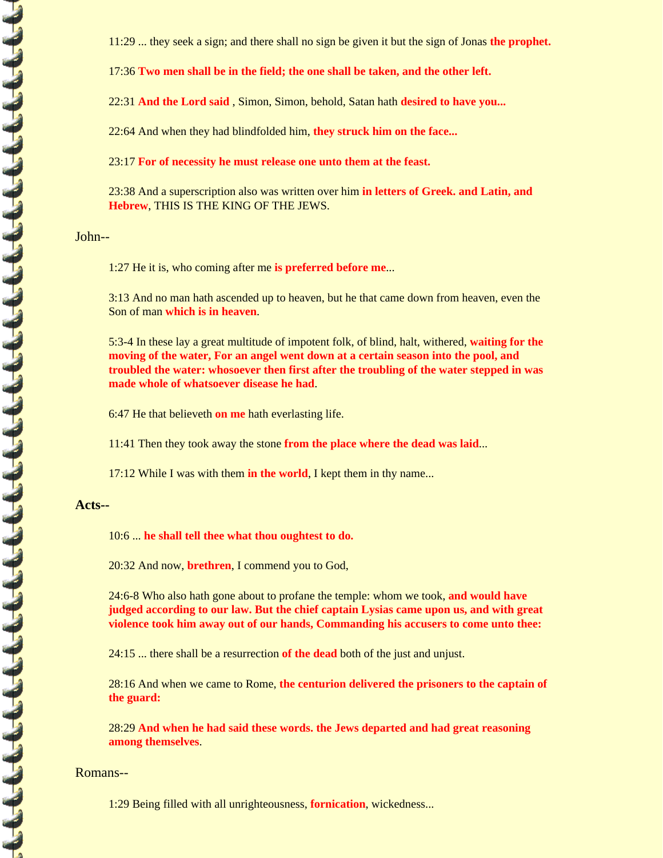11:29 ... they seek a sign; and there shall no sign be given it but the sign of Jonas **the prophet.**

17:36 **Two men shall be in the field; the one shall be taken, and the other left.**

22:31 **And the Lord said** , Simon, Simon, behold, Satan hath **desired to have you...**

22:64 And when they had blindfolded him, **they struck him on the face...**

23:17 **For of necessity he must release one unto them at the feast.**

23:38 And a superscription also was written over him **in letters of Greek. and Latin, and Hebrew**, THIS IS THE KING OF THE JEWS.

John--

1:27 He it is, who coming after me **is preferred before me**...

3:13 And no man hath ascended up to heaven, but he that came down from heaven, even the Son of man **which is in heaven**.

5:3-4 In these lay a great multitude of impotent folk, of blind, halt, withered, **waiting for the moving of the water, For an angel went down at a certain season into the pool, and troubled the water: whosoever then first after the troubling of the water stepped in was made whole of whatsoever disease he had**.

6:47 He that believeth **on me** hath everlasting life.

11:41 Then they took away the stone **from the place where the dead was laid**...

17:12 While I was with them **in the world**, I kept them in thy name...

### **Acts--**

10:6 ... **he shall tell thee what thou oughtest to do.**

20:32 And now, **brethren**, I commend you to God,

24:6-8 Who also hath gone about to profane the temple: whom we took, **and would have judged according to our law. But the chief captain Lysias came upon us, and with great violence took him away out of our hands, Commanding his accusers to come unto thee:**

24:15 ... there shall be a resurrection **of the dead** both of the just and unjust.

28:16 And when we came to Rome, **the centurion delivered the prisoners to the captain of the guard:**

28:29 **And when he had said these words. the Jews departed and had great reasoning among themselves**.

#### Romans--

1:29 Being filled with all unrighteousness, **fornication**, wickedness...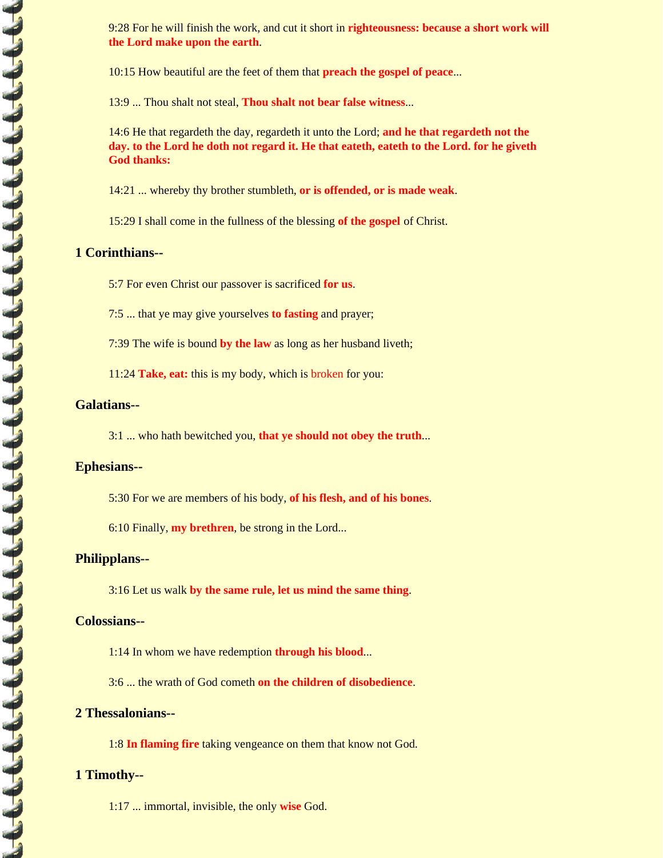9:28 For he will finish the work, and cut it short in **righteousness: because a short work will the Lord make upon the earth**.

10:15 How beautiful are the feet of them that **preach the gospel of peace**...

13:9 ... Thou shalt not steal, **Thou shalt not bear false witness**...

14:6 He that regardeth the day, regardeth it unto the Lord; **and he that regardeth not the day. to the Lord he doth not regard it. He that eateth, eateth to the Lord. for he giveth God thanks:**

14:21 ... whereby thy brother stumbleth, **or is offended, or is made weak**.

15:29 I shall come in the fullness of the blessing **of the gospel** of Christ.

## **1 Corinthians--**

5:7 For even Christ our passover is sacrificed **for us**.

7:5 ... that ye may give yourselves **to fasting** and prayer;

7:39 The wife is bound **by the law** as long as her husband liveth;

11:24 **Take, eat:** this is my body, which is broken for you:

## **Galatians--**

3:1 ... who hath bewitched you, **that ye should not obey the truth**...

### **Ephesians--**

5:30 For we are members of his body, **of his flesh, and of his bones**.

6:10 Finally, **my brethren**, be strong in the Lord...

### **Philipplans--**

3:16 Let us walk **by the same rule, let us mind the same thing**.

## **Colossians--**

1:14 In whom we have redemption **through his blood**...

3:6 ... the wrath of God cometh **on the children of disobedience**.

## **2 Thessalonians--**

1:8 **In flaming fire** taking vengeance on them that know not God.

## **1 Timothy--**

1:17 ... immortal, invisible, the only **wise** God.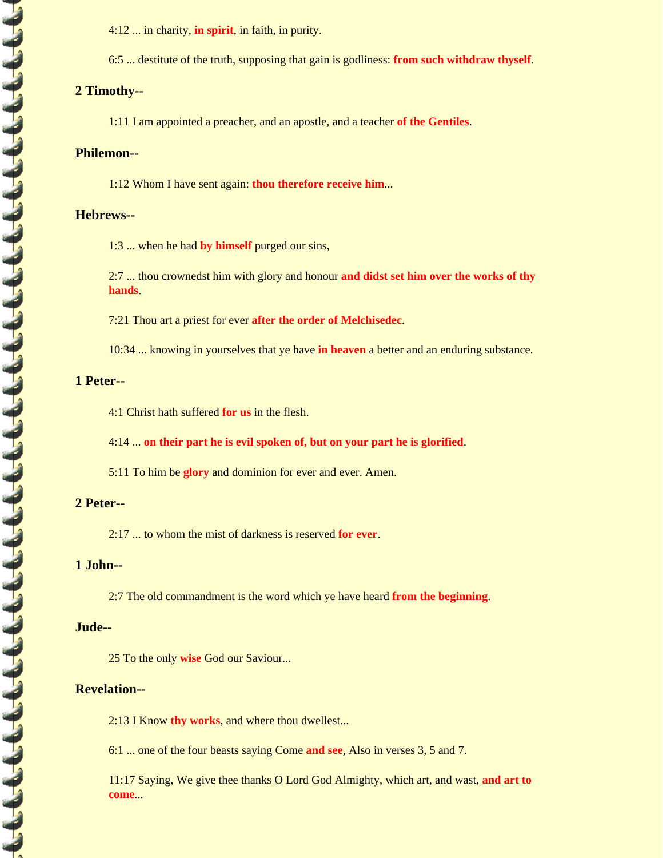4:12 ... in charity, **in spirit**, in faith, in purity.

6:5 ... destitute of the truth, supposing that gain is godliness: **from such withdraw thyself**.

## **2 Timothy--**

1:11 I am appointed a preacher, and an apostle, and a teacher **of the Gentiles**.

## **Philemon--**

1:12 Whom I have sent again: **thou therefore receive him**...

### **Hebrews--**

1:3 ... when he had **by himself** purged our sins,

2:7 ... thou crownedst him with glory and honour **and didst set him over the works of thy hands**.

7:21 Thou art a priest for ever **after the order of Melchisedec**.

10:34 ... knowing in yourselves that ye have **in heaven** a better and an enduring substance.

## **1 Peter--**

4:1 Christ hath suffered **for us** in the flesh.

4:14 ... **on their part he is evil spoken of, but on your part he is glorified**.

5:11 To him be **glory** and dominion for ever and ever. Amen.

#### **2 Peter--**

2:17 ... to whom the mist of darkness is reserved **for ever**.

### **1 John--**

2:7 The old commandment is the word which ye have heard **from the beginning**.

### **Jude--**

25 To the only **wise** God our Saviour...

#### **Revelation--**

2:13 I Know **thy works**, and where thou dwellest...

6:1 ... one of the four beasts saying Come **and see**, Also in verses 3, 5 and 7.

11:17 Saying, We give thee thanks O Lord God Almighty, which art, and wast, **and art to come**...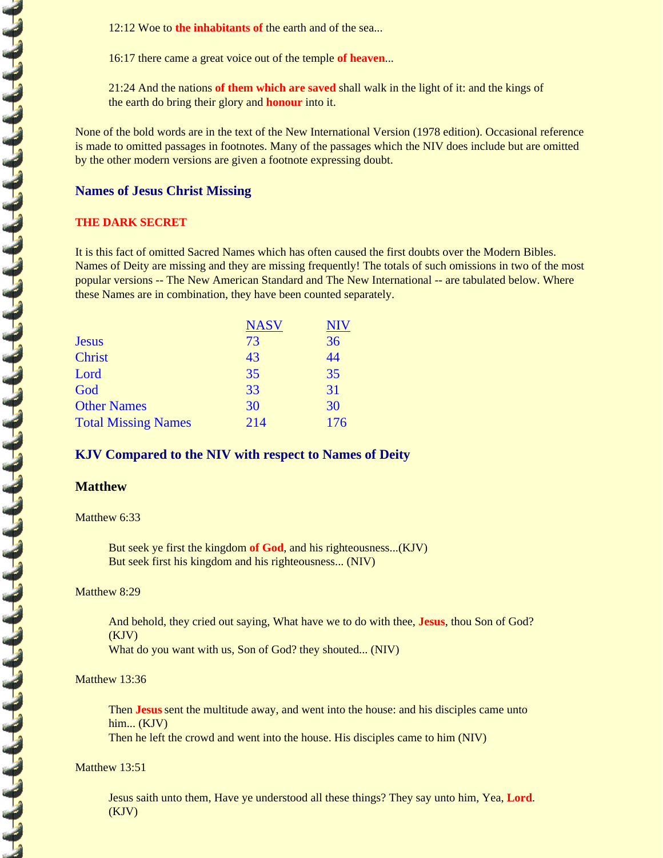12:12 Woe to **the inhabitants of** the earth and of the sea...

16:17 there came a great voice out of the temple **of heaven**...

21:24 And the nations **of them which are saved** shall walk in the light of it: and the kings of the earth do bring their glory and **honour** into it.

None of the bold words are in the text of the New International Version (1978 edition). Occasional reference is made to omitted passages in footnotes. Many of the passages which the NIV does include but are omitted by the other modern versions are given a footnote expressing doubt.

## **Names of Jesus Christ Missing**

### **THE DARK SECRET**

It is this fact of omitted Sacred Names which has often caused the first doubts over the Modern Bibles. Names of Deity are missing and they are missing frequently! The totals of such omissions in two of the most popular versions -- The New American Standard and The New International -- are tabulated below. Where these Names are in combination, they have been counted separately.

|                            | <b>NASV</b> | NIV |
|----------------------------|-------------|-----|
| Jesus                      | 73          | 36  |
| <b>Christ</b>              | 43          | 44  |
| Lord                       | 35          | 35  |
| God                        | 33          | 31  |
| <b>Other Names</b>         | 30          | 30  |
| <b>Total Missing Names</b> | 214         | 176 |
|                            |             |     |

## **KJV Compared to the NIV with respect to Names of Deity**

#### **Matthew**

#### Matthew 6:33

But seek ye first the kingdom **of God**, and his righteousness...(KJV) But seek first his kingdom and his righteousness... (NIV)

#### Matthew 8:29

And behold, they cried out saying, What have we to do with thee, **Jesus**, thou Son of God? (KJV)

What do you want with us, Son of God? they shouted... (NIV)

#### Matthew 13:36

Then **Jesus**sent the multitude away, and went into the house: and his disciples came unto him... (KJV)

Then he left the crowd and went into the house. His disciples came to him (NIV)

#### Matthew 13:51

Jesus saith unto them, Have ye understood all these things? They say unto him, Yea, **Lord**. (KJV)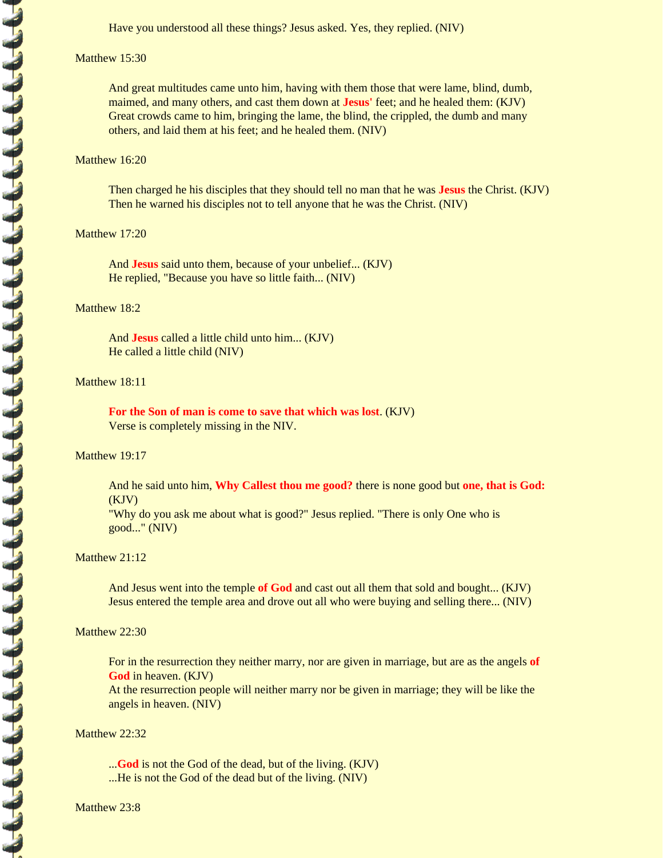Have you understood all these things? Jesus asked. Yes, they replied. (NIV)

#### Matthew 15:30

And great multitudes came unto him, having with them those that were lame, blind, dumb, maimed, and many others, and cast them down at **Jesus'** feet; and he healed them: (KJV) Great crowds came to him, bringing the lame, the blind, the crippled, the dumb and many others, and laid them at his feet; and he healed them. (NIV)

#### Matthew 16:20

Then charged he his disciples that they should tell no man that he was **Jesus** the Christ. (KJV) Then he warned his disciples not to tell anyone that he was the Christ. (NIV)

#### Matthew 17:20

And **Jesus** said unto them, because of your unbelief... (KJV) He replied, "Because you have so little faith... (NIV)

#### Matthew 18:2

And **Jesus** called a little child unto him... (KJV) He called a little child (NIV)

### Matthew 18:11

**For the Son of man is come to save that which was lost**. (KJV) Verse is completely missing in the NIV.

#### Matthew 19:17

And he said unto him, **Why Callest thou me good?** there is none good but **one, that is God:** (KJV)

"Why do you ask me about what is good?" Jesus replied. "There is only One who is good..." (NIV)

#### Matthew 21:12

And Jesus went into the temple **of God** and cast out all them that sold and bought... (KJV) Jesus entered the temple area and drove out all who were buying and selling there... (NIV)

## Matthew 22:30

For in the resurrection they neither marry, nor are given in marriage, but are as the angels **of God** in heaven. (KJV)

At the resurrection people will neither marry nor be given in marriage; they will be like the angels in heaven. (NIV)

#### Matthew 22:32

...**God** is not the God of the dead, but of the living. (KJV) ...He is not the God of the dead but of the living. (NIV)

Matthew 23:8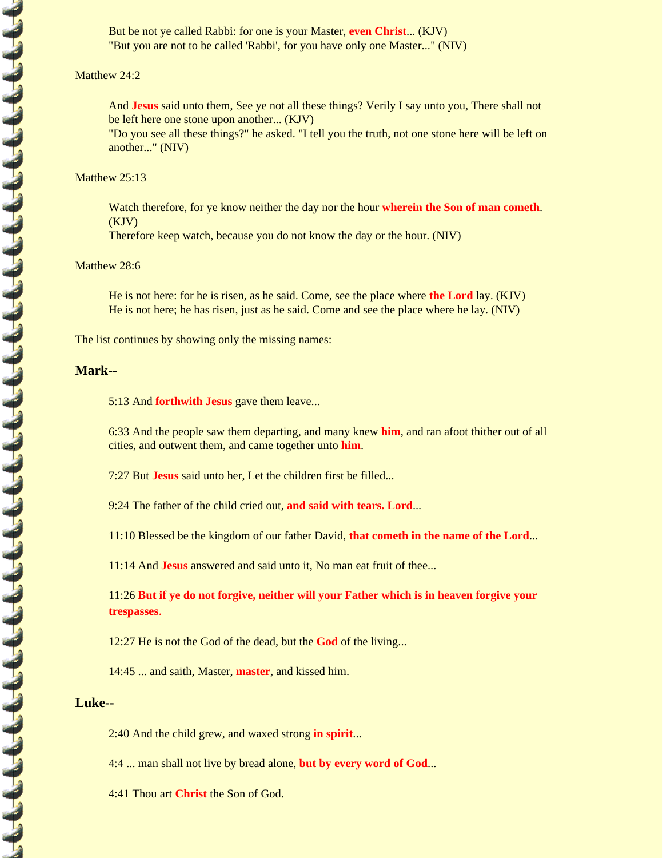But be not ye called Rabbi: for one is your Master, **even Christ**... (KJV) "But you are not to be called 'Rabbi', for you have only one Master..." (NIV)

#### Matthew 24:2

And **Jesus** said unto them, See ye not all these things? Verily I say unto you, There shall not be left here one stone upon another... (KJV)

"Do you see all these things?" he asked. "I tell you the truth, not one stone here will be left on another..." (NIV)

#### Matthew 25:13

Watch therefore, for ye know neither the day nor the hour **wherein the Son of man cometh**. (KJV)

Therefore keep watch, because you do not know the day or the hour. (NIV)

#### Matthew 28:6

He is not here: for he is risen, as he said. Come, see the place where **the Lord** lay. (KJV) He is not here; he has risen, just as he said. Come and see the place where he lay. (NIV)

The list continues by showing only the missing names:

### **Mark--**

5:13 And **forthwith Jesus** gave them leave...

6:33 And the people saw them departing, and many knew **him**, and ran afoot thither out of all cities, and outwent them, and came together unto **him**.

7:27 But **Jesus** said unto her, Let the children first be filled...

9:24 The father of the child cried out, **and said with tears. Lord**...

11:10 Blessed be the kingdom of our father David, **that cometh in the name of the Lord**...

11:14 And **Jesus** answered and said unto it, No man eat fruit of thee...

11:26 **But if ye do not forgive, neither will your Father which is in heaven forgive your trespasses**.

12:27 He is not the God of the dead, but the **God** of the living...

14:45 ... and saith, Master, **master**, and kissed him.

## **Luke--**

2:40 And the child grew, and waxed strong **in spirit**...

4:4 ... man shall not live by bread alone, **but by every word of God**...

4:41 Thou art **Christ** the Son of God.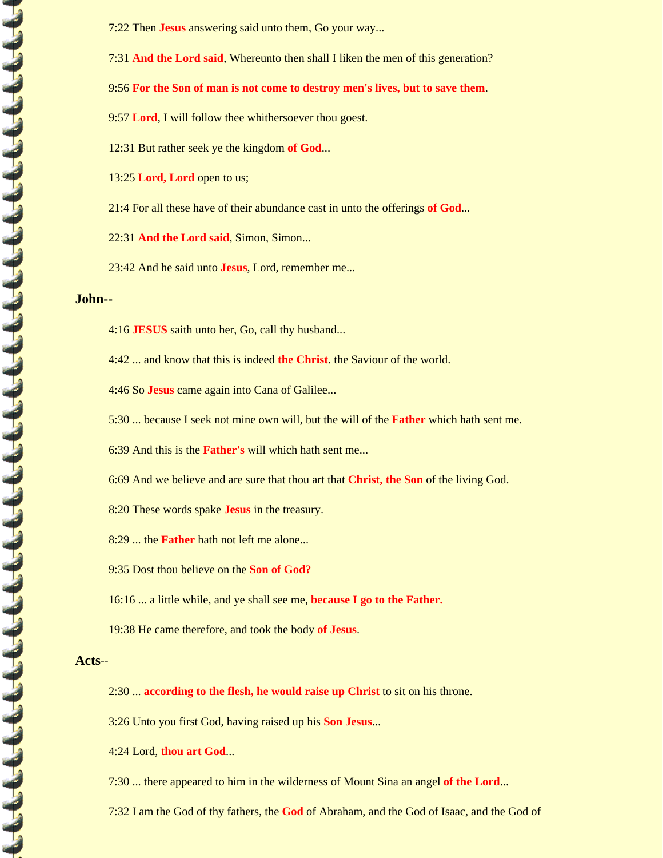7:22 Then **Jesus** answering said unto them, Go your way...

7:31 **And the Lord said**, Whereunto then shall I liken the men of this generation?

9:56 **For the Son of man is not come to destroy men's lives, but to save them**.

9:57 **Lord**, I will follow thee whithersoever thou goest.

12:31 But rather seek ye the kingdom **of God**...

13:25 **Lord, Lord** open to us;

21:4 For all these have of their abundance cast in unto the offerings **of God**...

22:31 **And the Lord said**, Simon, Simon...

23:42 And he said unto **Jesus**, Lord, remember me...

### **John--**

4:16 **JESUS** saith unto her, Go, call thy husband...

4:42 ... and know that this is indeed **the Christ**. the Saviour of the world.

4:46 So **Jesus** came again into Cana of Galilee...

5:30 ... because I seek not mine own will, but the will of the **Father** which hath sent me.

6:39 And this is the **Father's** will which hath sent me...

6:69 And we believe and are sure that thou art that **Christ, the Son** of the living God.

8:20 These words spake **Jesus** in the treasury.

8:29 ... the **Father** hath not left me alone...

9:35 Dost thou believe on the **Son of God?**

16:16 ... a little while, and ye shall see me, **because I go to the Father.**

19:38 He came therefore, and took the body **of Jesus**.

## **Acts**--

2:30 ... **according to the flesh, he would raise up Christ** to sit on his throne.

3:26 Unto you first God, having raised up his **Son Jesus**...

4:24 Lord, **thou art God**...

7:30 ... there appeared to him in the wilderness of Mount Sina an angel **of the Lord**...

7:32 I am the God of thy fathers, the **God** of Abraham, and the God of Isaac, and the God of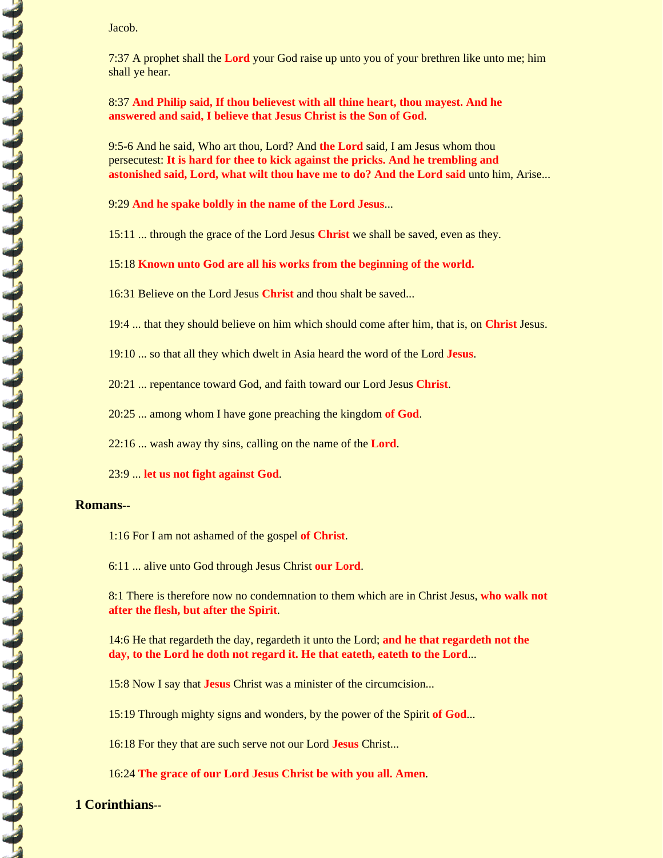Jacob.

7:37 A prophet shall the **Lord** your God raise up unto you of your brethren like unto me; him shall ye hear.

8:37 **And Philip said, If thou believest with all thine heart, thou mayest. And he answered and said, I believe that Jesus Christ is the Son of God**.

9:5-6 And he said, Who art thou, Lord? And **the Lord** said, I am Jesus whom thou persecutest: **It is hard for thee to kick against the pricks. And he trembling and astonished said, Lord, what wilt thou have me to do? And the Lord said** unto him, Arise...

9:29 **And he spake boldly in the name of the Lord Jesus**...

15:11 ... through the grace of the Lord Jesus **Christ** we shall be saved, even as they.

15:18 **Known unto God are all his works from the beginning of the world.**

16:31 Believe on the Lord Jesus **Christ** and thou shalt be saved...

19:4 ... that they should believe on him which should come after him, that is, on **Christ** Jesus.

19:10 ... so that all they which dwelt in Asia heard the word of the Lord **Jesus**.

20:21 ... repentance toward God, and faith toward our Lord Jesus **Christ**.

20:25 ... among whom I have gone preaching the kingdom **of God**.

22:16 ... wash away thy sins, calling on the name of the **Lord**.

23:9 ... **let us not fight against God**.

#### **Romans**--

1:16 For I am not ashamed of the gospel **of Christ**.

6:11 ... alive unto God through Jesus Christ **our Lord**.

8:1 There is therefore now no condemnation to them which are in Christ Jesus, **who walk not after the flesh, but after the Spirit**.

14:6 He that regardeth the day, regardeth it unto the Lord; **and he that regardeth not the day, to the Lord he doth not regard it. He that eateth, eateth to the Lord**...

15:8 Now I say that **Jesus** Christ was a minister of the circumcision...

15:19 Through mighty signs and wonders, by the power of the Spirit **of God**...

16:18 For they that are such serve not our Lord **Jesus** Christ...

16:24 **The grace of our Lord Jesus Christ be with you all. Amen**.

**1 Corinthians**--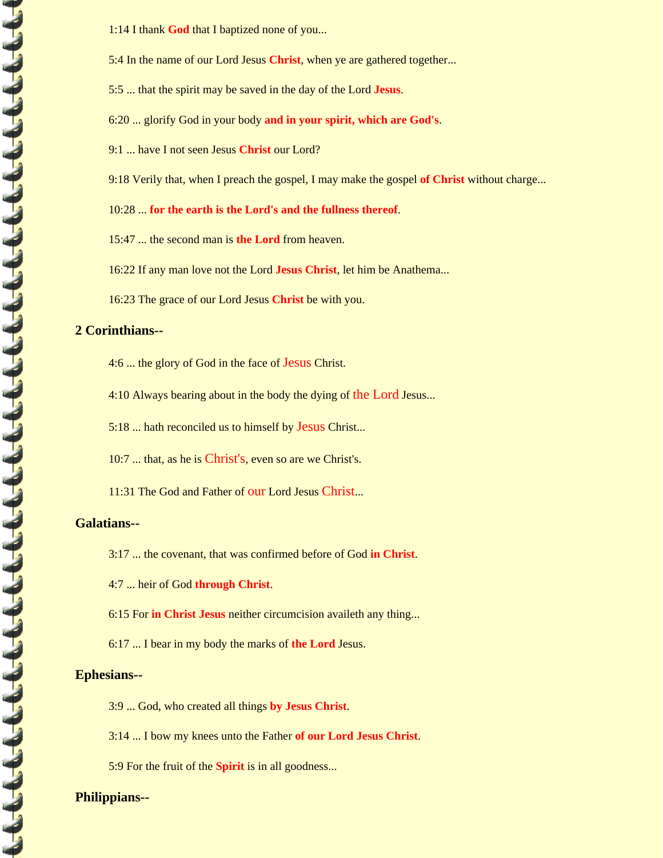1:14 I thank **God** that I baptized none of you...

5:4 In the name of our Lord Jesus **Christ**, when ye are gathered together...

5:5 ... that the spirit may be saved in the day of the Lord **Jesus**.

6:20 ... glorify God in your body **and in your spirit, which are God's**.

9:1 ... have I not seen Jesus **Christ** our Lord?

9:18 Verily that, when I preach the gospel, I may make the gospel **of Christ** without charge...

10:28 ... **for the earth is the Lord's and the fullness thereof**.

15:47 ... the second man is **the Lord** from heaven.

16:22 If any man love not the Lord **Jesus Christ**, let him be Anathema...

16:23 The grace of our Lord Jesus **Christ** be with you.

## **2 Corinthians--**

4:6 ... the glory of God in the face of Jesus Christ.

4:10 Always bearing about in the body the dying of the Lord Jesus...

5:18 ... hath reconciled us to himself by Jesus Christ...

10:7 ... that, as he is Christ's, even so are we Christ's.

11:31 The God and Father of our Lord Jesus Christ...

### **Galatians--**

3:17 ... the covenant, that was confirmed before of God **in Christ**.

4:7 ... heir of God **through Christ**.

6:15 For **in Christ Jesus** neither circumcision availeth any thing...

6:17 ... I bear in my body the marks of **the Lord** Jesus.

#### **Ephesians--**

3:9 ... God, who created all things **by Jesus Christ**.

3:14 ... I bow my knees unto the Father **of our Lord Jesus Christ**.

5:9 For the fruit of the **Spirit** is in all goodness...

#### **Philippians--**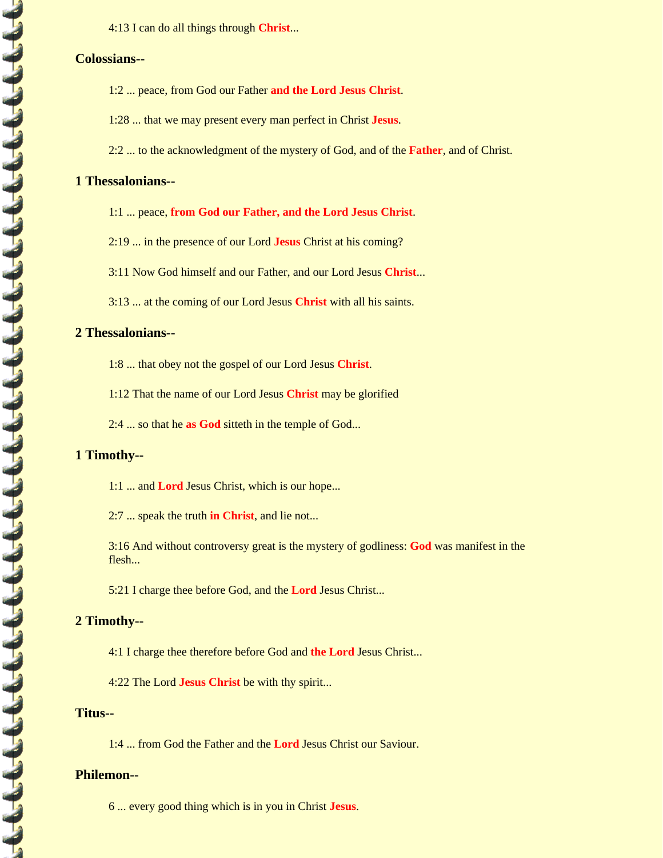4:13 I can do all things through **Christ**...

## **Colossians--**

- 1:2 ... peace, from God our Father **and the Lord Jesus Christ**.
- 1:28 ... that we may present every man perfect in Christ **Jesus**.
- 2:2 ... to the acknowledgment of the mystery of God, and of the **Father**, and of Christ.

### **1 Thessalonians--**

- 1:1 ... peace, **from God our Father, and the Lord Jesus Christ**.
- 2:19 ... in the presence of our Lord **Jesus** Christ at his coming?
- 3:11 Now God himself and our Father, and our Lord Jesus **Christ**...
- 3:13 ... at the coming of our Lord Jesus **Christ** with all his saints.

## **2 Thessalonians--**

- 1:8 ... that obey not the gospel of our Lord Jesus **Christ**.
- 1:12 That the name of our Lord Jesus **Christ** may be glorified
- 2:4 ... so that he **as God** sitteth in the temple of God...

### **1 Timothy--**

- 1:1 ... and **Lord** Jesus Christ, which is our hope...
- 2:7 ... speak the truth **in Christ**, and lie not...
- 3:16 And without controversy great is the mystery of godliness: **God** was manifest in the flesh...
- 5:21 I charge thee before God, and the **Lord** Jesus Christ...

### **2 Timothy--**

- 4:1 I charge thee therefore before God and **the Lord** Jesus Christ...
- 4:22 The Lord **Jesus Christ** be with thy spirit...

## **Titus--**

1:4 ... from God the Father and the **Lord** Jesus Christ our Saviour.

### **Philemon--**

6 ... every good thing which is in you in Christ **Jesus**.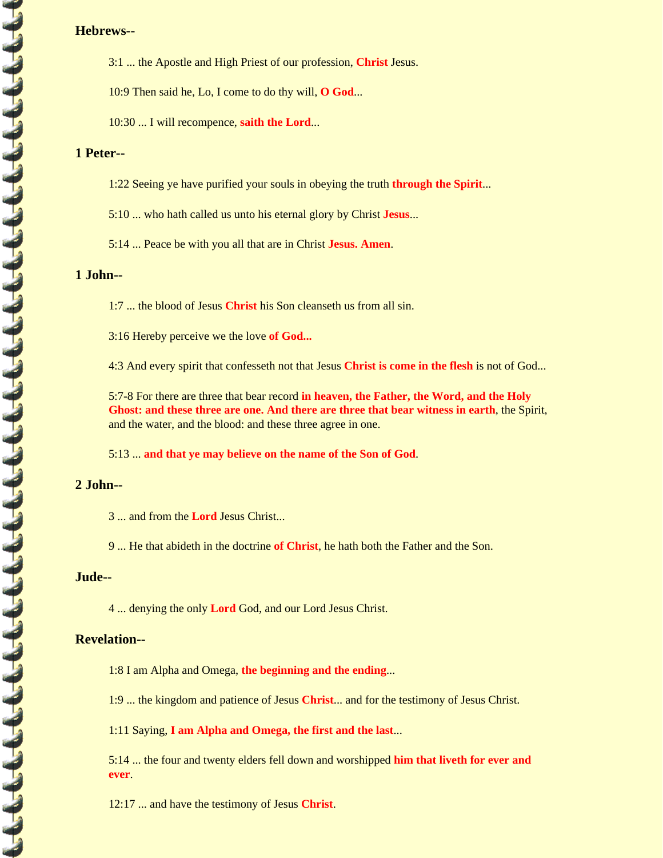## **Hebrews--**

- 3:1 ... the Apostle and High Priest of our profession, **Christ** Jesus.
- 10:9 Then said he, Lo, I come to do thy will, **O God**...
- 10:30 ... I will recompence, **saith the Lord**...

### **1 Peter--**

- 1:22 Seeing ye have purified your souls in obeying the truth **through the Spirit**...
- 5:10 ... who hath called us unto his eternal glory by Christ **Jesus**...
- 5:14 ... Peace be with you all that are in Christ **Jesus. Amen**.

### **1 John--**

- 1:7 ... the blood of Jesus **Christ** his Son cleanseth us from all sin.
- 3:16 Hereby perceive we the love **of God...**
- 4:3 And every spirit that confesseth not that Jesus **Christ is come in the flesh** is not of God...
- 5:7-8 For there are three that bear record **in heaven, the Father, the Word, and the Holy Ghost: and these three are one. And there are three that bear witness in earth**, the Spirit, and the water, and the blood: and these three agree in one.
- 5:13 ... **and that ye may believe on the name of the Son of God**.

## **2 John--**

- 3 ... and from the **Lord** Jesus Christ...
- 9 ... He that abideth in the doctrine **of Christ**, he hath both the Father and the Son.

### **Jude--**

4 ... denying the only **Lord** God, and our Lord Jesus Christ.

## **Revelation--**

- 1:8 I am Alpha and Omega, **the beginning and the ending**...
- 1:9 ... the kingdom and patience of Jesus **Christ**... and for the testimony of Jesus Christ.
- 1:11 Saying, **I am Alpha and Omega, the first and the last**...
- 5:14 ... the four and twenty elders fell down and worshipped **him that liveth for ever and ever**.
- 12:17 ... and have the testimony of Jesus **Christ**.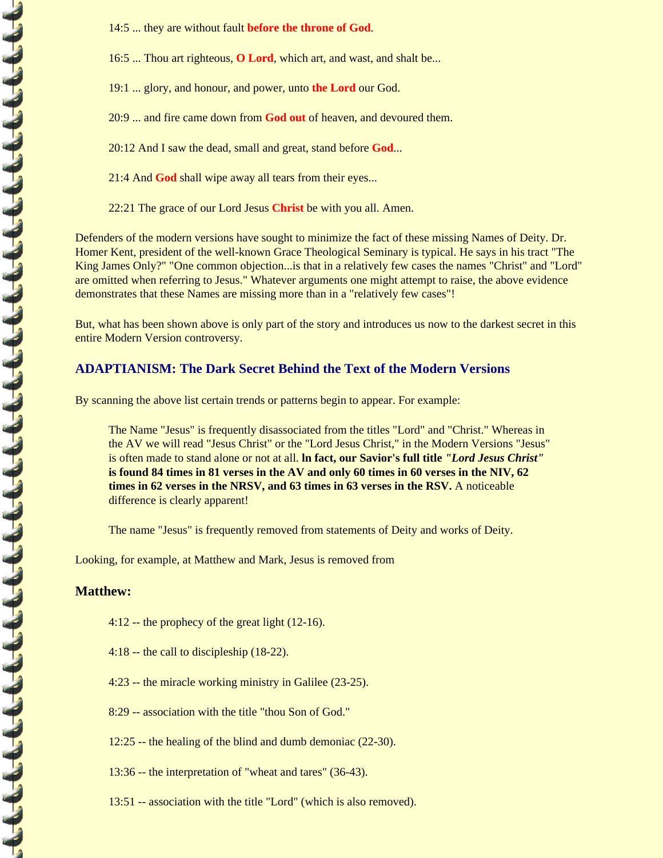14:5 ... they are without fault **before the throne of God**.

16:5 ... Thou art righteous, **O Lord**, which art, and wast, and shalt be...

19:1 ... glory, and honour, and power, unto **the Lord** our God.

20:9 ... and fire came down from **God out** of heaven, and devoured them.

20:12 And I saw the dead, small and great, stand before **God**...

21:4 And **God** shall wipe away all tears from their eyes...

22:21 The grace of our Lord Jesus **Christ** be with you all. Amen.

Defenders of the modern versions have sought to minimize the fact of these missing Names of Deity. Dr. Homer Kent, president of the well-known Grace Theological Seminary is typical. He says in his tract "The King James Only?" "One common objection...is that in a relatively few cases the names "Christ" and "Lord" are omitted when referring to Jesus." Whatever arguments one might attempt to raise, the above evidence demonstrates that these Names are missing more than in a "relatively few cases"!

But, what has been shown above is only part of the story and introduces us now to the darkest secret in this entire Modern Version controversy.

## **ADAPTIANISM: The Dark Secret Behind the Text of the Modern Versions**

By scanning the above list certain trends or patterns begin to appear. For example:

The Name "Jesus" is frequently disassociated from the titles "Lord" and "Christ." Whereas in the AV we will read "Jesus Christ" or the "Lord Jesus Christ," in the Modern Versions "Jesus" is often made to stand alone or not at all. **ln fact, our Savior's full title** *"Lord Jesus Christ"* **is found 84 times in 81 verses in the AV and only 60 times in 60 verses in the NIV, 62 times in 62 verses in the NRSV, and 63 times in 63 verses in the RSV.** A noticeable difference is clearly apparent!

The name "Jesus" is frequently removed from statements of Deity and works of Deity.

Looking, for example, at Matthew and Mark, Jesus is removed from

### **Matthew:**

- 4:12 -- the prophecy of the great light (12-16).
- 4:18 -- the call to discipleship (18-22).
- 4:23 -- the miracle working ministry in Galilee (23-25).
- 8:29 -- association with the title "thou Son of God."
- 12:25 -- the healing of the blind and dumb demoniac (22-30).
- 13:36 -- the interpretation of "wheat and tares" (36-43).
- 13:51 -- association with the title "Lord" (which is also removed).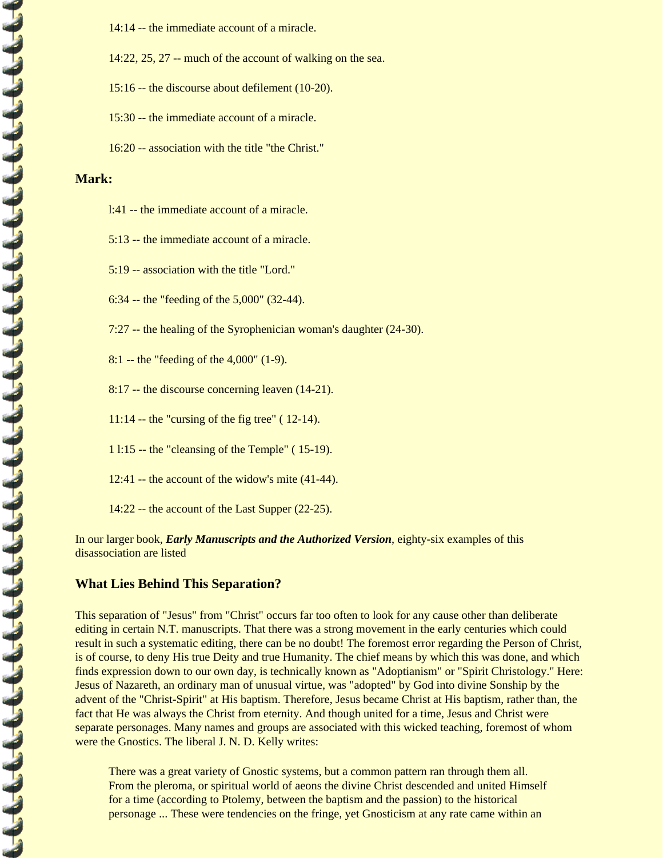14:14 -- the immediate account of a miracle.

14:22, 25, 27 -- much of the account of walking on the sea.

15:16 -- the discourse about defilement (10-20).

15:30 -- the immediate account of a miracle.

16:20 -- association with the title "the Christ."

## **Mark:**

l:41 -- the immediate account of a miracle.

5:13 -- the immediate account of a miracle.

5:19 -- association with the title "Lord."

6:34 -- the "feeding of the 5,000" (32-44).

7:27 -- the healing of the Syrophenician woman's daughter (24-30).

8:1 -- the "feeding of the 4,000" (1-9).

8:17 -- the discourse concerning leaven (14-21).

11:14 -- the "cursing of the fig tree" ( 12-14).

1 l:15 -- the "cleansing of the Temple" ( 15-19).

12:41 -- the account of the widow's mite (41-44).

14:22 -- the account of the Last Supper (22-25).

In our larger book, *Early Manuscripts and the Authorized Version*, eighty-six examples of this disassociation are listed

### **What Lies Behind This Separation?**

This separation of "Jesus" from "Christ" occurs far too often to look for any cause other than deliberate editing in certain N.T. manuscripts. That there was a strong movement in the early centuries which could result in such a systematic editing, there can be no doubt! The foremost error regarding the Person of Christ, is of course, to deny His true Deity and true Humanity. The chief means by which this was done, and which finds expression down to our own day, is technically known as "Adoptianism" or "Spirit Christology." Here: Jesus of Nazareth, an ordinary man of unusual virtue, was "adopted" by God into divine Sonship by the advent of the "Christ-Spirit" at His baptism. Therefore, Jesus became Christ at His baptism, rather than, the fact that He was always the Christ from eternity. And though united for a time, Jesus and Christ were separate personages. Many names and groups are associated with this wicked teaching, foremost of whom were the Gnostics. The liberal J. N. D. Kelly writes:

There was a great variety of Gnostic systems, but a common pattern ran through them all. From the pleroma, or spiritual world of aeons the divine Christ descended and united Himself for a time (according to Ptolemy, between the baptism and the passion) to the historical personage ... These were tendencies on the fringe, yet Gnosticism at any rate came within an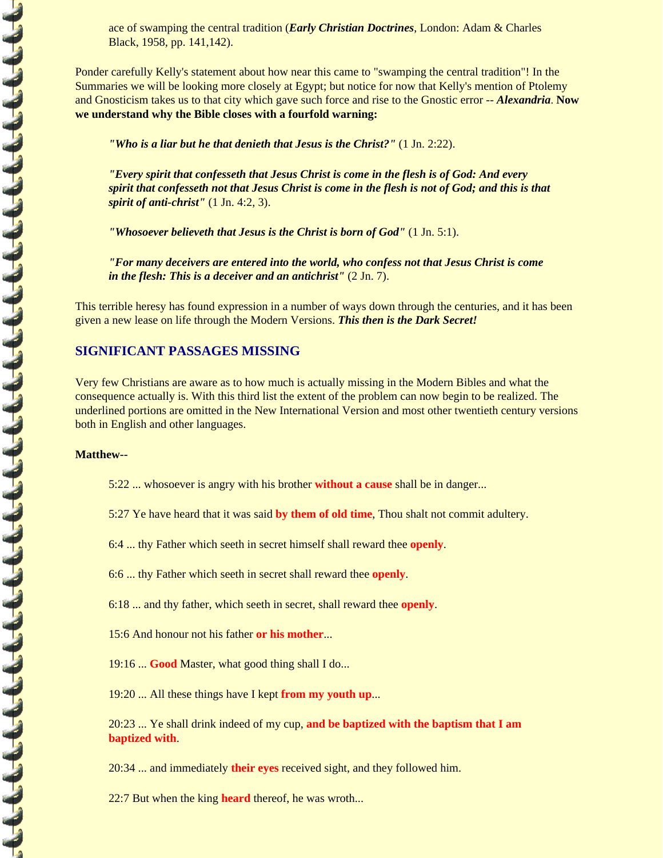ace of swamping the central tradition (*Early Christian Doctrines*, London: Adam & Charles Black, 1958, pp. 141,142).

Ponder carefully Kelly's statement about how near this came to "swamping the central tradition"! In the Summaries we will be looking more closely at Egypt; but notice for now that Kelly's mention of Ptolemy and Gnosticism takes us to that city which gave such force and rise to the Gnostic error -- *Alexandria*. **Now we understand why the Bible closes with a fourfold warning:**

*"Who is a liar but he that denieth that Jesus is the Christ?"* (1 Jn. 2:22).

*"Every spirit that confesseth that Jesus Christ is come in the flesh is of God: And every spirit that confesseth not that Jesus Christ is come in the flesh is not of God; and this is that spirit of anti-christ"* (1 Jn. 4:2, 3).

*"Whosoever believeth that Jesus is the Christ is born of God"* (1 Jn. 5:1).

*"For many deceivers are entered into the world, who confess not that Jesus Christ is come in the flesh: This is a deceiver and an antichrist"* (2 Jn. 7).

This terrible heresy has found expression in a number of ways down through the centuries, and it has been given a new lease on life through the Modern Versions. *This then is the Dark Secret!*

## **SIGNIFICANT PASSAGES MISSING**

Very few Christians are aware as to how much is actually missing in the Modern Bibles and what the consequence actually is. With this third list the extent of the problem can now begin to be realized. The underlined portions are omitted in the New International Version and most other twentieth century versions both in English and other languages.

#### **Matthew--**

5:22 ... whosoever is angry with his brother **without a cause** shall be in danger...

5:27 Ye have heard that it was said **by them of old time**, Thou shalt not commit adultery.

6:4 ... thy Father which seeth in secret himself shall reward thee **openly**.

6:6 ... thy Father which seeth in secret shall reward thee **openly**.

6:18 ... and thy father, which seeth in secret, shall reward thee **openly**.

15:6 And honour not his father **or his mother**...

19:16 ... **Good** Master, what good thing shall I do...

19:20 ... All these things have I kept **from my youth up**...

20:23 ... Ye shall drink indeed of my cup, **and be baptized with the baptism that I am baptized with**.

20:34 ... and immediately **their eyes** received sight, and they followed him.

22:7 But when the king **heard** thereof, he was wroth...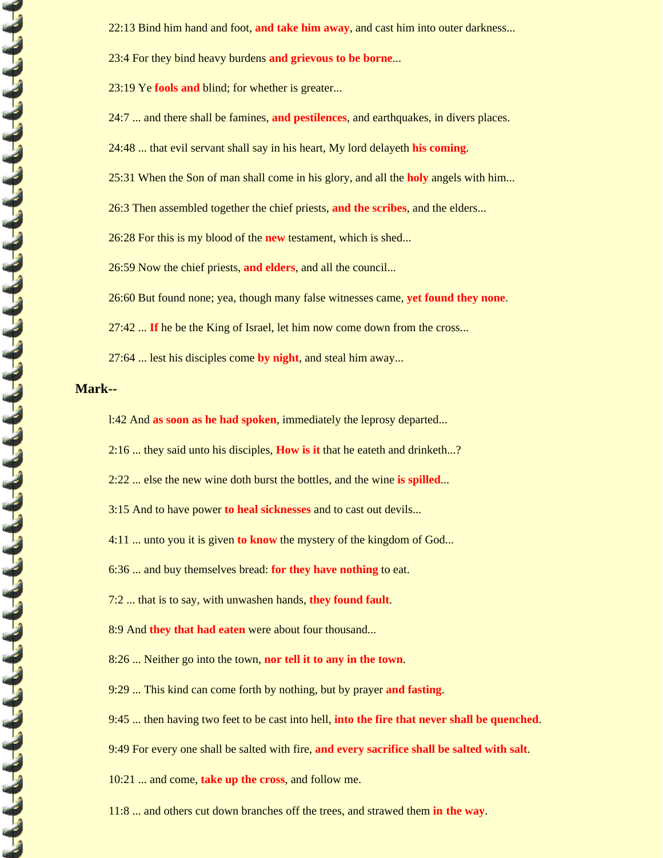22:13 Bind him hand and foot, **and take him away**, and cast him into outer darkness...

23:4 For they bind heavy burdens **and grievous to be borne**...

23:19 Ye **fools and** blind; for whether is greater...

24:7 ... and there shall be famines, **and pestilences**, and earthquakes, in divers places.

24:48 ... that evil servant shall say in his heart, My lord delayeth **his coming**.

25:31 When the Son of man shall come in his glory, and all the **holy** angels with him...

26:3 Then assembled together the chief priests, **and the scribes**, and the elders...

26:28 For this is my blood of the **new** testament, which is shed...

26:59 Now the chief priests, **and elders**, and all the council...

26:60 But found none; yea, though many false witnesses came, **yet found they none**.

27:42 ... **If** he be the King of Israel, let him now come down from the cross...

27:64 ... lest his disciples come **by night**, and steal him away...

## **Mark--**

l:42 And **as soon as he had spoken**, immediately the leprosy departed...

2:16 ... they said unto his disciples, **How is it** that he eateth and drinketh...?

2:22 ... else the new wine doth burst the bottles, and the wine **is spilled**...

3:15 And to have power **to heal sicknesses** and to cast out devils...

4:11 ... unto you it is given **to know** the mystery of the kingdom of God...

6:36 ... and buy themselves bread: **for they have nothing** to eat.

7:2 ... that is to say, with unwashen hands, **they found fault**.

8:9 And **they that had eaten** were about four thousand...

8:26 ... Neither go into the town, **nor tell it to any in the town**.

9:29 ... This kind can come forth by nothing, but by prayer **and fasting**.

9:45 ... then having two feet to be cast into hell, **into the fire that never shall be quenched**.

9:49 For every one shall be salted with fire, **and every sacrifice shall be salted with salt**.

10:21 ... and come, **take up the cross**, and follow me.

11:8 ... and others cut down branches off the trees, and strawed them **in the way**.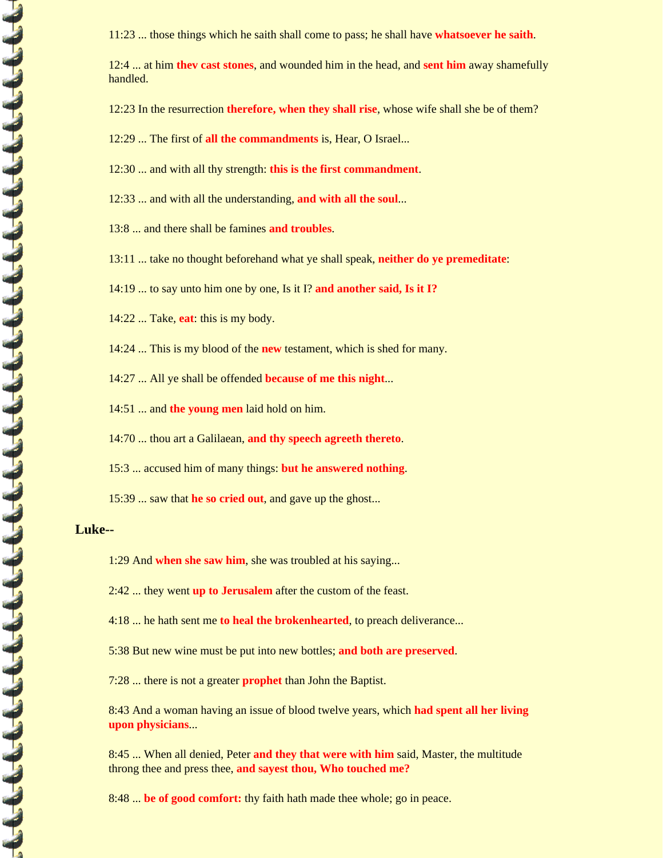11:23 ... those things which he saith shall come to pass; he shall have **whatsoever he saith**.

12:4 ... at him **thev cast stones**, and wounded him in the head, and **sent him** away shamefully handled.

12:23 In the resurrection **therefore, when they shall rise**, whose wife shall she be of them?

12:29 ... The first of **all the commandments** is, Hear, O Israel...

12:30 ... and with all thy strength: **this is the first commandment**.

12:33 ... and with all the understanding, **and with all the soul**...

13:8 ... and there shall be famines **and troubles**.

13:11 ... take no thought beforehand what ye shall speak, **neither do ye premeditate**:

14:19 ... to say unto him one by one, Is it I? **and another said, Is it I?**

14:22 ... Take, **eat**: this is my body.

14:24 ... This is my blood of the **new** testament, which is shed for many.

14:27 ... All ye shall be offended **because of me this night**...

14:51 ... and **the young men** laid hold on him.

14:70 ... thou art a Galilaean, **and thy speech agreeth thereto**.

15:3 ... accused him of many things: **but he answered nothing**.

15:39 ... saw that **he so cried out**, and gave up the ghost...

#### **Luke--**

1:29 And **when she saw him**, she was troubled at his saying...

2:42 ... they went **up to Jerusalem** after the custom of the feast.

4:18 ... he hath sent me **to heal the brokenhearted**, to preach deliverance...

5:38 But new wine must be put into new bottles; **and both are preserved**.

7:28 ... there is not a greater **prophet** than John the Baptist.

8:43 And a woman having an issue of blood twelve years, which **had spent all her living upon physicians**...

8:45 ... When all denied, Peter **and they that were with him** said, Master, the multitude throng thee and press thee, **and sayest thou, Who touched me?**

8:48 ... **be of good comfort:** thy faith hath made thee whole; go in peace.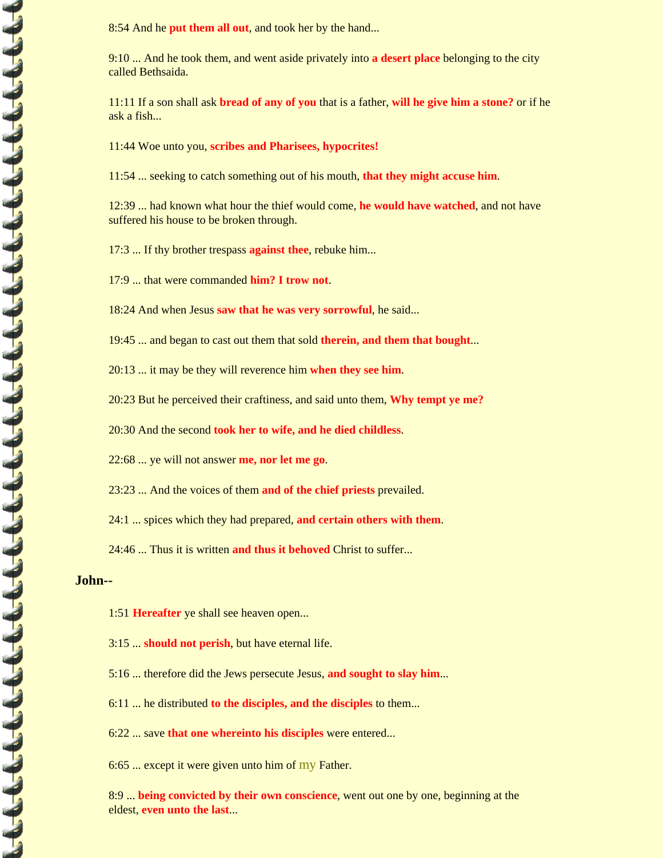8:54 And he **put them all out**, and took her by the hand...

9:10 ... And he took them, and went aside privately into **a desert place** belonging to the city called Bethsaida.

11:11 If a son shall ask **bread of any of you** that is a father, **will he give him a stone?** or if he ask a fish...

11:44 Woe unto you, **scribes and Pharisees, hypocrites!**

11:54 ... seeking to catch something out of his mouth, **that they might accuse him**.

12:39 ... had known what hour the thief would come, **he would have watched**, and not have suffered his house to be broken through.

17:3 ... If thy brother trespass **against thee**, rebuke him...

17:9 ... that were commanded **him? I trow not**.

18:24 And when Jesus **saw that he was very sorrowful**, he said...

19:45 ... and began to cast out them that sold **therein, and them that bought**...

20:13 ... it may be they will reverence him **when they see him**.

20:23 But he perceived their craftiness, and said unto them, **Why tempt ye me?**

20:30 And the second **took her to wife, and he died childless**.

22:68 ... ye will not answer **me, nor let me go**.

23:23 ... And the voices of them **and of the chief priests** prevailed.

24:1 ... spices which they had prepared, **and certain others with them**.

24:46 ... Thus it is written **and thus it behoved** Christ to suffer...

### **John--**

1:51 **Hereafter** ye shall see heaven open...

3:15 ... **should not perish**, but have eternal life.

5:16 ... therefore did the Jews persecute Jesus, **and sought to slay him**...

6:11 ... he distributed **to the disciples, and the disciples** to them...

6:22 ... save **that one whereinto his disciples** were entered...

6:65 ... except it were given unto him of my Father.

8:9 ... **being convicted by their own conscience**, went out one by one, beginning at the eldest, **even unto the last**...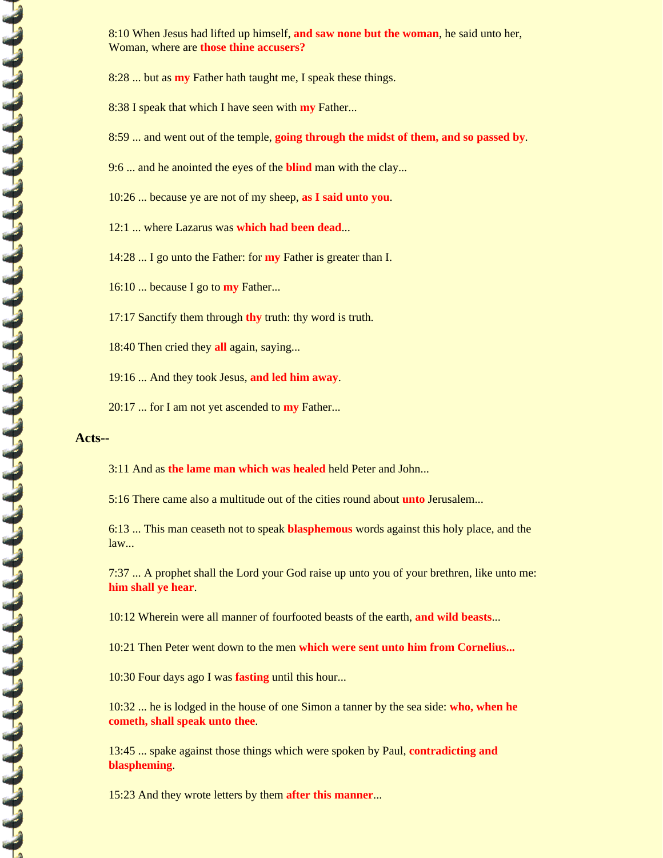8:28 ... but as **my** Father hath taught me, I speak these things.

8:38 I speak that which I have seen with **my** Father...

8:59 ... and went out of the temple, **going through the midst of them, and so passed by**.

9:6 ... and he anointed the eyes of the **blind** man with the clay...

10:26 ... because ye are not of my sheep, **as I said unto you**.

12:1 ... where Lazarus was **which had been dead**...

14:28 ... I go unto the Father: for **my** Father is greater than I.

16:10 ... because I go to **my** Father...

17:17 Sanctify them through **thy** truth: thy word is truth.

18:40 Then cried they **all** again, saying...

19:16 ... And they took Jesus, **and led him away**.

20:17 ... for I am not yet ascended to **my** Father...

#### **Acts--**

3:11 And as **the lame man which was healed** held Peter and John...

5:16 There came also a multitude out of the cities round about **unto** Jerusalem...

6:13 ... This man ceaseth not to speak **blasphemous** words against this holy place, and the law...

7:37 ... A prophet shall the Lord your God raise up unto you of your brethren, like unto me: **him shall ye hear**.

10:12 Wherein were all manner of fourfooted beasts of the earth, **and wild beasts**...

10:21 Then Peter went down to the men **which were sent unto him from Cornelius...**

10:30 Four days ago I was **fasting** until this hour...

10:32 ... he is lodged in the house of one Simon a tanner by the sea side: **who, when he cometh, shall speak unto thee**.

13:45 ... spake against those things which were spoken by Paul, **contradicting and blaspheming**.

15:23 And they wrote letters by them **after this manner**...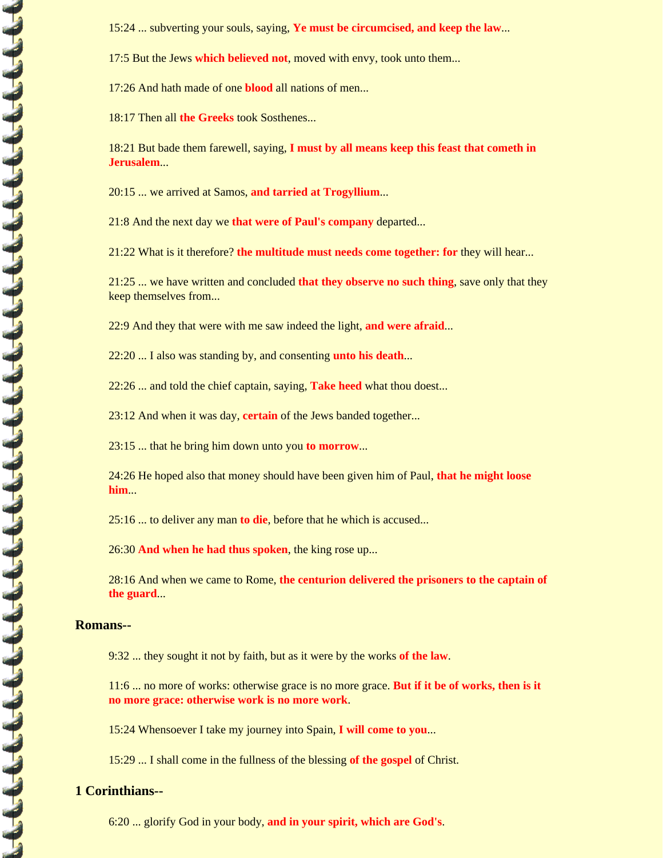15:24 ... subverting your souls, saying, **Ye must be circumcised, and keep the law**...

17:5 But the Jews **which believed not**, moved with envy, took unto them...

17:26 And hath made of one **blood** all nations of men...

18:17 Then all **the Greeks** took Sosthenes...

18:21 But bade them farewell, saying, **I must by all means keep this feast that cometh in Jerusalem**...

20:15 ... we arrived at Samos, **and tarried at Trogyllium**...

21:8 And the next day we **that were of Paul's company** departed...

21:22 What is it therefore? **the multitude must needs come together: for** they will hear...

21:25 ... we have written and concluded **that they observe no such thing**, save only that they keep themselves from...

22:9 And they that were with me saw indeed the light, **and were afraid**...

22:20 ... I also was standing by, and consenting **unto his death**...

22:26 ... and told the chief captain, saying, **Take heed** what thou doest...

23:12 And when it was day, **certain** of the Jews banded together...

23:15 ... that he bring him down unto you **to morrow**...

24:26 He hoped also that money should have been given him of Paul, **that he might loose him**...

25:16 ... to deliver any man **to die**, before that he which is accused...

26:30 **And when he had thus spoken**, the king rose up...

28:16 And when we came to Rome, **the centurion delivered the prisoners to the captain of the guard**...

#### **Romans--**

9:32 ... they sought it not by faith, but as it were by the works **of the law**.

11:6 ... no more of works: otherwise grace is no more grace. **But if it be of works, then is it no more grace: otherwise work is no more work**.

15:24 Whensoever I take my journey into Spain, **I will come to you**...

15:29 ... I shall come in the fullness of the blessing **of the gospel** of Christ.

#### **1 Corinthians--**

6:20 ... glorify God in your body, **and in your spirit, which are God's**.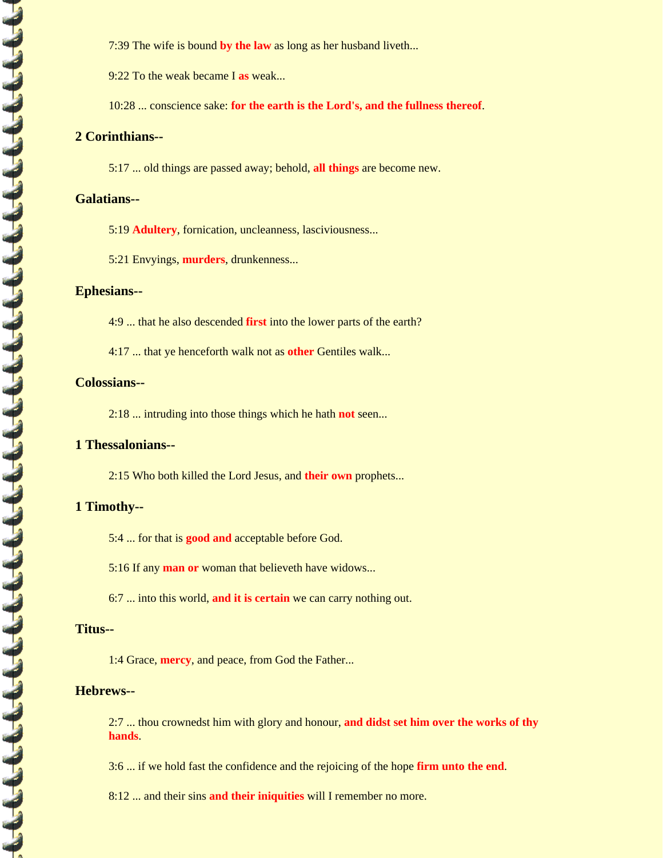7:39 The wife is bound **by the law** as long as her husband liveth...

9:22 To the weak became I **as** weak...

10:28 ... conscience sake: **for the earth is the Lord's, and the fullness thereof**.

#### **2 Corinthians--**

5:17 ... old things are passed away; behold, **all things** are become new.

### **Galatians--**

5:19 **Adultery**, fornication, uncleanness, lasciviousness...

5:21 Envyings, **murders**, drunkenness...

#### **Ephesians--**

4:9 ... that he also descended **first** into the lower parts of the earth?

4:17 ... that ye henceforth walk not as **other** Gentiles walk...

### **Colossians--**

2:18 ... intruding into those things which he hath **not** seen...

#### **1 Thessalonians--**

2:15 Who both killed the Lord Jesus, and **their own** prophets...

#### **1 Timothy--**

5:4 ... for that is **good and** acceptable before God.

5:16 If any **man or** woman that believeth have widows...

6:7 ... into this world, **and it is certain** we can carry nothing out.

#### **Titus--**

1:4 Grace, **mercy**, and peace, from God the Father...

### **Hebrews--**

2:7 ... thou crownedst him with glory and honour, **and didst set him over the works of thy hands**.

3:6 ... if we hold fast the confidence and the rejoicing of the hope **firm unto the end**.

8:12 ... and their sins **and their iniquities** will I remember no more.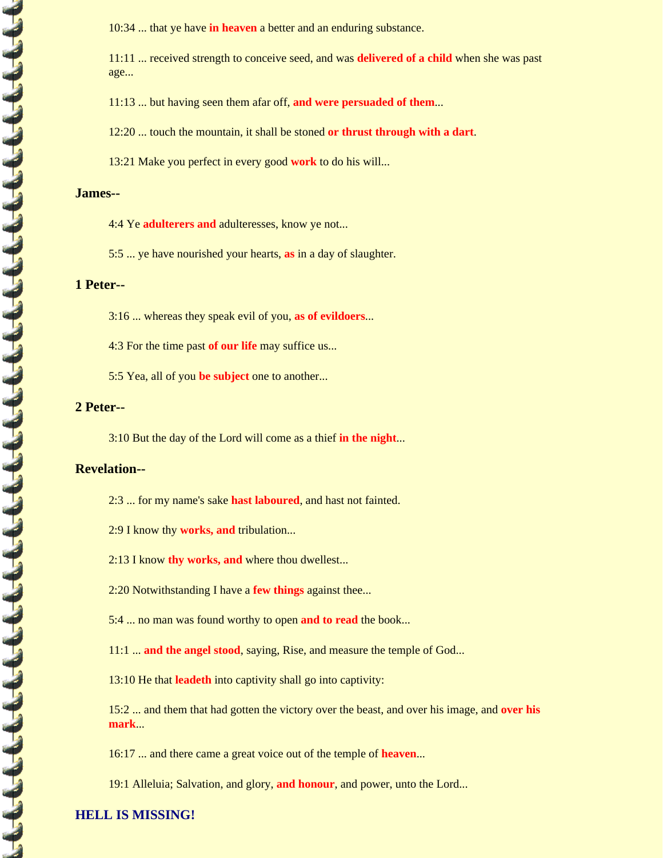10:34 ... that ye have **in heaven** a better and an enduring substance.

11:11 ... received strength to conceive seed, and was **delivered of a child** when she was past age...

11:13 ... but having seen them afar off, **and were persuaded of them**...

12:20 ... touch the mountain, it shall be stoned **or thrust through with a dart**.

13:21 Make you perfect in every good **work** to do his will...

#### **James--**

4:4 Ye **adulterers and** adulteresses, know ye not...

5:5 ... ye have nourished your hearts, **as** in a day of slaughter.

#### **1 Peter--**

3:16 ... whereas they speak evil of you, **as of evildoers**...

4:3 For the time past **of our life** may suffice us...

5:5 Yea, all of you **be subject** one to another...

#### **2 Peter--**

3:10 But the day of the Lord will come as a thief **in the night**...

#### **Revelation--**

2:3 ... for my name's sake **hast laboured**, and hast not fainted.

2:9 I know thy **works, and** tribulation...

2:13 I know **thy works, and** where thou dwellest...

2:20 Notwithstanding I have a **few things** against thee...

5:4 ... no man was found worthy to open **and to read** the book...

11:1 ... **and the angel stood**, saying, Rise, and measure the temple of God...

13:10 He that **leadeth** into captivity shall go into captivity:

15:2 ... and them that had gotten the victory over the beast, and over his image, and **over his mark**...

16:17 ... and there came a great voice out of the temple of **heaven**...

19:1 Alleluia; Salvation, and glory, **and honour**, and power, unto the Lord...

#### **HELL IS MISSING!**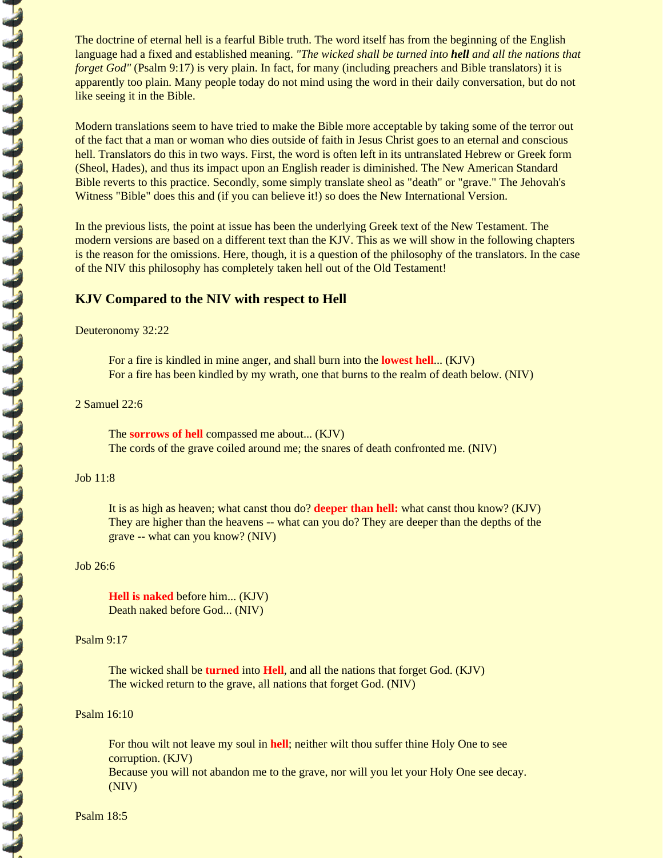The doctrine of eternal hell is a fearful Bible truth. The word itself has from the beginning of the English language had a fixed and established meaning. *"The wicked shall be turned into hell and all the nations that forget God"* (Psalm 9:17) is very plain. In fact, for many (including preachers and Bible translators) it is apparently too plain. Many people today do not mind using the word in their daily conversation, but do not like seeing it in the Bible.

Modern translations seem to have tried to make the Bible more acceptable by taking some of the terror out of the fact that a man or woman who dies outside of faith in Jesus Christ goes to an eternal and conscious hell. Translators do this in two ways. First, the word is often left in its untranslated Hebrew or Greek form (Sheol, Hades), and thus its impact upon an English reader is diminished. The New American Standard Bible reverts to this practice. Secondly, some simply translate sheol as "death" or "grave." The Jehovah's Witness "Bible" does this and (if you can believe it!) so does the New International Version.

In the previous lists, the point at issue has been the underlying Greek text of the New Testament. The modern versions are based on a different text than the KJV. This as we will show in the following chapters is the reason for the omissions. Here, though, it is a question of the philosophy of the translators. In the case of the NIV this philosophy has completely taken hell out of the Old Testament!

#### **KJV Compared to the NIV with respect to Hell**

#### Deuteronomy 32:22

For a fire is kindled in mine anger, and shall burn into the **lowest hell**... (KJV) For a fire has been kindled by my wrath, one that burns to the realm of death below. (NIV)

#### 2 Samuel 22:6

The **sorrows of hell** compassed me about... (KJV) The cords of the grave coiled around me; the snares of death confronted me. (NIV)

#### Job 11:8

It is as high as heaven; what canst thou do? **deeper than hell:** what canst thou know? (KJV) They are higher than the heavens -- what can you do? They are deeper than the depths of the grave -- what can you know? (NIV)

#### Job 26:6

**Hell is naked** before him... (KJV) Death naked before God... (NIV)

#### Psalm 9:17

The wicked shall be **turned** into **Hell**, and all the nations that forget God. (KJV) The wicked return to the grave, all nations that forget God. (NIV)

### Psalm 16:10

For thou wilt not leave my soul in **hell**; neither wilt thou suffer thine Holy One to see corruption. (KJV)

Because you will not abandon me to the grave, nor will you let your Holy One see decay. (NIV)

Psalm 18:5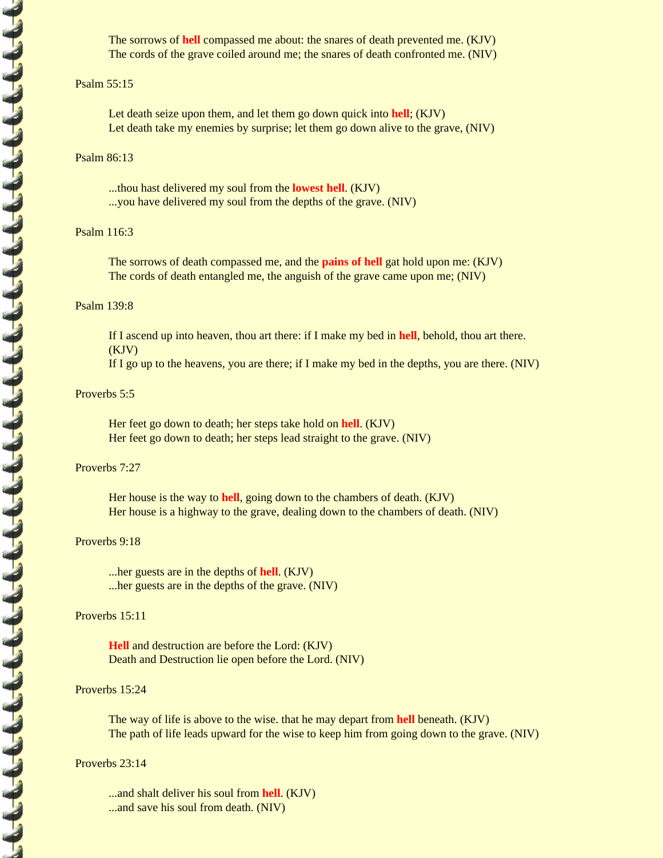The sorrows of **hell** compassed me about: the snares of death prevented me. (KJV) The cords of the grave coiled around me; the snares of death confronted me. (NIV)

#### Psalm 55:15

Let death seize upon them, and let them go down quick into **hell**; (KJV) Let death take my enemies by surprise; let them go down alive to the grave, (NIV)

#### Psalm 86:13

...thou hast delivered my soul from the **lowest hell**. (KJV) ...you have delivered my soul from the depths of the grave. (NIV)

#### Psalm 116:3

The sorrows of death compassed me, and the **pains of hell** gat hold upon me: (KJV) The cords of death entangled me, the anguish of the grave came upon me; (NIV)

#### Psalm 139:8

If I ascend up into heaven, thou art there: if I make my bed in **hell**, behold, thou art there. (KJV)

If I go up to the heavens, you are there; if I make my bed in the depths, you are there. (NIV)

#### Proverbs 5:5

Her feet go down to death; her steps take hold on **hell**. (KJV) Her feet go down to death; her steps lead straight to the grave. (NIV)

#### Proverbs 7:27

Her house is the way to **hell**, going down to the chambers of death. (KJV) Her house is a highway to the grave, dealing down to the chambers of death. (NIV)

#### Proverbs 9:18

...her guests are in the depths of **hell**. (KJV) ...her guests are in the depths of the grave. (NIV)

#### Proverbs 15:11

**Hell** and destruction are before the Lord: (KJV) Death and Destruction lie open before the Lord. (NIV)

#### Proverbs 15:24

The way of life is above to the wise. that he may depart from **hell** beneath. (KJV) The path of life leads upward for the wise to keep him from going down to the grave. (NIV)

#### Proverbs 23:14

...and shalt deliver his soul from **hell**. (KJV) ...and save his soul from death. (NIV)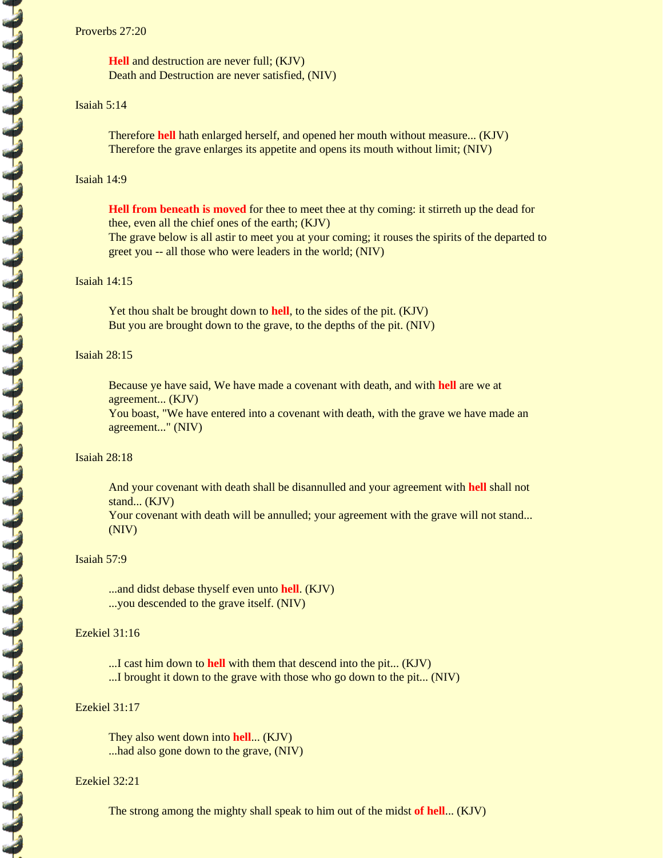#### Proverbs 27:20

**Hell** and destruction are never full; (KJV) Death and Destruction are never satisfied, (NIV)

#### Isaiah 5:14

Therefore **hell** hath enlarged herself, and opened her mouth without measure... (KJV) Therefore the grave enlarges its appetite and opens its mouth without limit; (NIV)

#### Isaiah 14:9

**Hell from beneath is moved** for thee to meet thee at thy coming: it stirreth up the dead for thee, even all the chief ones of the earth; (KJV) The grave below is all astir to meet you at your coming; it rouses the spirits of the departed to greet you -- all those who were leaders in the world; (NIV)

#### Isaiah 14:15

Yet thou shalt be brought down to **hell**, to the sides of the pit. (KJV) But you are brought down to the grave, to the depths of the pit. (NIV)

#### Isaiah 28:15

Because ye have said, We have made a covenant with death, and with **hell** are we at agreement... (KJV)

You boast, "We have entered into a covenant with death, with the grave we have made an agreement..." (NIV)

#### Isaiah 28:18

And your covenant with death shall be disannulled and your agreement with **hell** shall not stand... (KJV) Your covenant with death will be annulled; your agreement with the grave will not stand...

(NIV)

#### Isaiah 57:9

...and didst debase thyself even unto **hell**. (KJV) ...you descended to the grave itself. (NIV)

#### Ezekiel 31:16

...I cast him down to **hell** with them that descend into the pit... (KJV)

...I brought it down to the grave with those who go down to the pit... (NIV)

#### Ezekiel 31:17

They also went down into **hell**... (KJV) ...had also gone down to the grave, (NIV)

#### Ezekiel 32:21

The strong among the mighty shall speak to him out of the midst **of hell**... (KJV)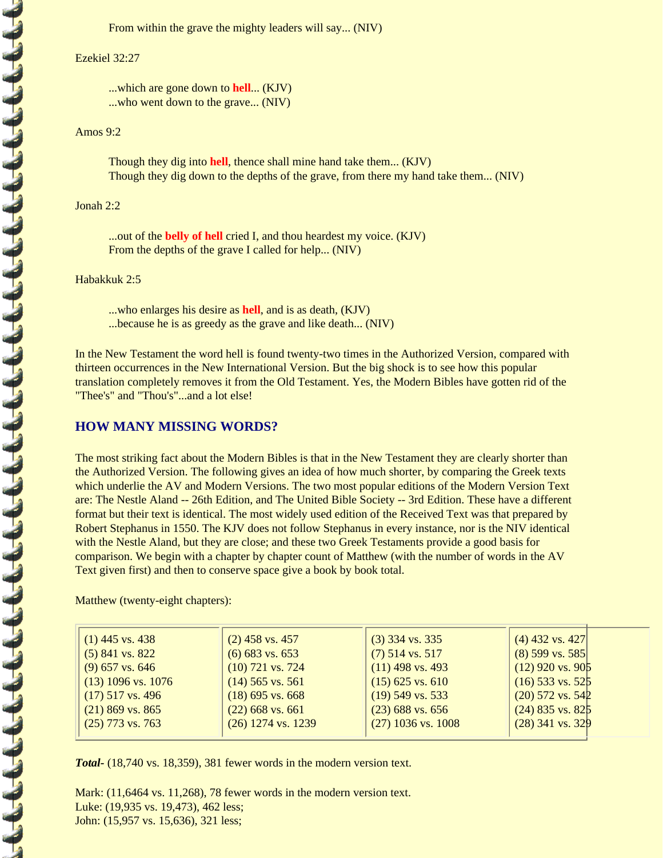From within the grave the mighty leaders will say... (NIV)

#### Ezekiel 32:27

...which are gone down to **hell**... (KJV) ...who went down to the grave... (NIV)

#### Amos 9:2

Though they dig into **hell**, thence shall mine hand take them... (KJV) Though they dig down to the depths of the grave, from there my hand take them... (NIV)

#### Jonah 2:2

...out of the **belly of hell** cried I, and thou heardest my voice. (KJV) From the depths of the grave I called for help... (NIV)

Habakkuk 2:5

...who enlarges his desire as **hell**, and is as death, (KJV) ...because he is as greedy as the grave and like death... (NIV)

In the New Testament the word hell is found twenty-two times in the Authorized Version, compared with thirteen occurrences in the New International Version. But the big shock is to see how this popular translation completely removes it from the Old Testament. Yes, the Modern Bibles have gotten rid of the "Thee's" and "Thou's"...and a lot else!

#### **HOW MANY MISSING WORDS?**

The most striking fact about the Modern Bibles is that in the New Testament they are clearly shorter than the Authorized Version. The following gives an idea of how much shorter, by comparing the Greek texts which underlie the AV and Modern Versions. The two most popular editions of the Modern Version Text are: The Nestle Aland -- 26th Edition, and The United Bible Society -- 3rd Edition. These have a different format but their text is identical. The most widely used edition of the Received Text was that prepared by Robert Stephanus in 1550. The KJV does not follow Stephanus in every instance, nor is the NIV identical with the Nestle Aland, but they are close; and these two Greek Testaments provide a good basis for comparison. We begin with a chapter by chapter count of Matthew (with the number of words in the AV Text given first) and then to conserve space give a book by book total.

Matthew (twenty-eight chapters):

| $(1)$ 445 vs. 438    | $(2)$ 458 vs. 457    | $(3)$ 334 vs. 335    | $(4)$ 432 vs. 427  |
|----------------------|----------------------|----------------------|--------------------|
| $(5)$ 841 vs. 822    | $(6)$ 683 vs. 653    | $(7)$ 514 vs. 517    | $(8)$ 599 vs. 585  |
| $(9)$ 657 vs. 646    | $(10)$ 721 vs. 724   | $(11)$ 498 vs. 493   | $(12)$ 920 vs. 905 |
| $(13)$ 1096 vs. 1076 | $(14)$ 565 vs. 561   | $(15)$ 625 vs. 610   | $(16)$ 533 vs. 525 |
| $(17)$ 517 vs. 496   | $(18)$ 695 vs. 668   | $(19)$ 549 vs. 533   | $(20)$ 572 vs. 542 |
| $(21)$ 869 vs. 865   | $(22)$ 668 vs. 661   | $(23)$ 688 vs. 656   | $(24)$ 835 vs. 825 |
| $(25)$ 773 vs. 763   | $(26)$ 1274 vs. 1239 | $(27)$ 1036 vs. 1008 | $(28)$ 341 vs. 329 |

*Total-* (18,740 vs. 18,359), 381 fewer words in the modern version text.

Mark: (11,6464 vs. 11,268), 78 fewer words in the modern version text. Luke: (19,935 vs. 19,473), 462 less; John: (15,957 vs. 15,636), 321 less;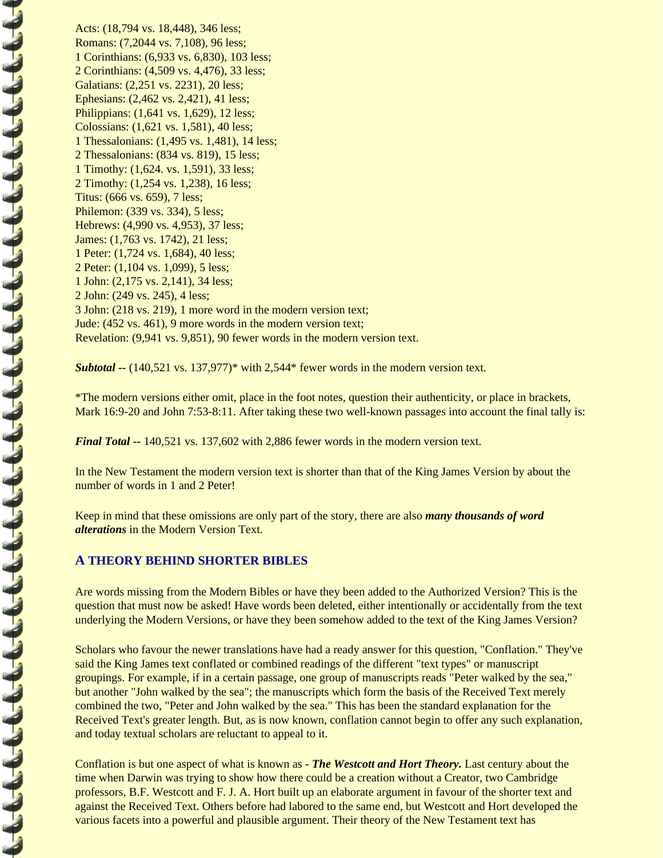Acts: (18,794 vs. 18,448), 346 less; Romans: (7,2044 vs. 7,108), 96 less; 1 Corinthians: (6,933 vs. 6,830), 103 less; 2 Corinthians: (4,509 vs. 4,476), 33 less; Galatians: (2,251 vs. 2231), 20 less; Ephesians: (2,462 vs. 2,421), 41 less; Philippians: (1,641 vs. 1,629), 12 less; Colossians: (1,621 vs. 1,581), 40 less; 1 Thessalonians: (1,495 vs. 1,481), 14 less; 2 Thessalonians: (834 vs. 819), 15 less; 1 Timothy: (1,624. vs. 1,591), 33 less; 2 Timothy: (1,254 vs. 1,238), 16 less; Titus: (666 vs. 659), 7 less; Philemon: (339 vs. 334), 5 less; Hebrews: (4,990 vs. 4,953), 37 less; James: (1,763 vs. 1742), 21 less; 1 Peter: (1,724 vs. 1,684), 40 less; 2 Peter: (1,104 vs. 1,099), 5 less; 1 John: (2,175 vs. 2,141), 34 less; 2 John: (249 vs. 245), 4 less; 3 John: (218 vs. 219), 1 more word in the modern version text; Jude: (452 vs. 461), 9 more words in the modern version text; Revelation: (9,941 vs. 9,851), 90 fewer words in the modern version text.

*Subtotal --* (140,521 vs. 137,977)\* with 2,544\* fewer words in the modern version text.

\*The modern versions either omit, place in the foot notes, question their authenticity, or place in brackets, Mark 16:9-20 and John 7:53-8:11. After taking these two well-known passages into account the final tally is:

*Final Total --* 140,521 vs. 137,602 with 2,886 fewer words in the modern version text.

In the New Testament the modern version text is shorter than that of the King James Version by about the number of words in 1 and 2 Peter!

Keep in mind that these omissions are only part of the story, there are also *many thousands of word alterations* in the Modern Version Text.

#### **A THEORY BEHIND SHORTER BIBLES**

Are words missing from the Modern Bibles or have they been added to the Authorized Version? This is the question that must now be asked! Have words been deleted, either intentionally or accidentally from the text underlying the Modern Versions, or have they been somehow added to the text of the King James Version?

Scholars who favour the newer translations have had a ready answer for this question, "Conflation." They've said the King James text conflated or combined readings of the different "text types" or manuscript groupings. For example, if in a certain passage, one group of manuscripts reads "Peter walked by the sea," but another "John walked by the sea"; the manuscripts which form the basis of the Received Text merely combined the two, "Peter and John walked by the sea." This has been the standard explanation for the Received Text's greater length. But, as is now known, conflation cannot begin to offer any such explanation, and today textual scholars are reluctant to appeal to it.

Conflation is but one aspect of what is known as *- The Westcott and Hort Theory.* Last century about the time when Darwin was trying to show how there could be a creation without a Creator, two Cambridge professors, B.F. Westcott and F. J. A. Hort built up an elaborate argument in favour of the shorter text and against the Received Text. Others before had labored to the same end, but Westcott and Hort developed the various facets into a powerful and plausible argument. Their theory of the New Testament text has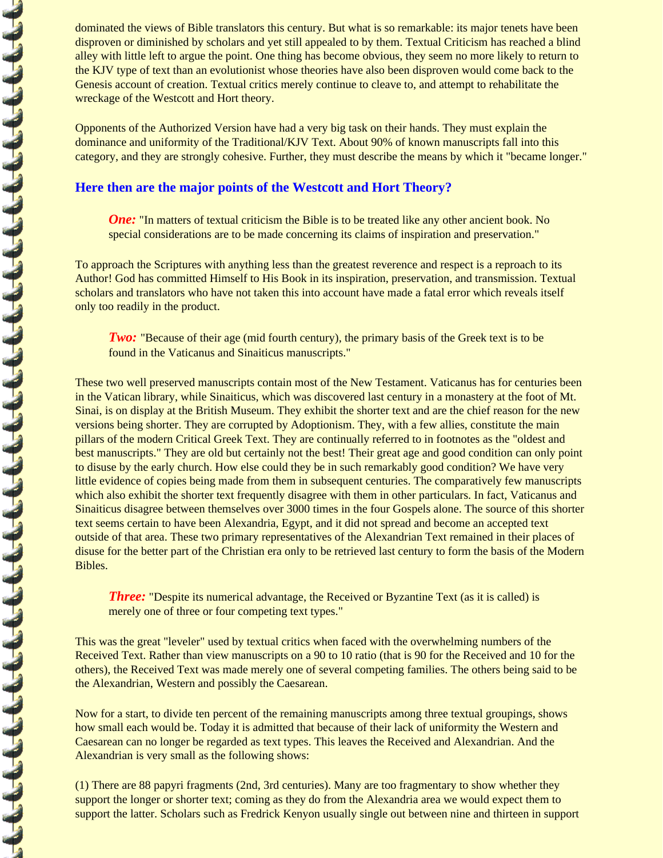dominated the views of Bible translators this century. But what is so remarkable: its major tenets have been disproven or diminished by scholars and yet still appealed to by them. Textual Criticism has reached a blind alley with little left to argue the point. One thing has become obvious, they seem no more likely to return to the KJV type of text than an evolutionist whose theories have also been disproven would come back to the Genesis account of creation. Textual critics merely continue to cleave to, and attempt to rehabilitate the wreckage of the Westcott and Hort theory.

Opponents of the Authorized Version have had a very big task on their hands. They must explain the dominance and uniformity of the Traditional/KJV Text. About 90% of known manuscripts fall into this category, and they are strongly cohesive. Further, they must describe the means by which it "became longer."

## **Here then are the major points of the Westcott and Hort Theory?**

*One:* "In matters of textual criticism the Bible is to be treated like any other ancient book. No special considerations are to be made concerning its claims of inspiration and preservation."

To approach the Scriptures with anything less than the greatest reverence and respect is a reproach to its Author! God has committed Himself to His Book in its inspiration, preservation, and transmission. Textual scholars and translators who have not taken this into account have made a fatal error which reveals itself only too readily in the product.

*Two:* "Because of their age (mid fourth century), the primary basis of the Greek text is to be found in the Vaticanus and Sinaiticus manuscripts."

These two well preserved manuscripts contain most of the New Testament. Vaticanus has for centuries been in the Vatican library, while Sinaiticus, which was discovered last century in a monastery at the foot of Mt. Sinai, is on display at the British Museum. They exhibit the shorter text and are the chief reason for the new versions being shorter. They are corrupted by Adoptionism. They, with a few allies, constitute the main pillars of the modern Critical Greek Text. They are continually referred to in footnotes as the "oldest and best manuscripts." They are old but certainly not the best! Their great age and good condition can only point to disuse by the early church. How else could they be in such remarkably good condition? We have very little evidence of copies being made from them in subsequent centuries. The comparatively few manuscripts which also exhibit the shorter text frequently disagree with them in other particulars. In fact, Vaticanus and Sinaiticus disagree between themselves over 3000 times in the four Gospels alone. The source of this shorter text seems certain to have been Alexandria, Egypt, and it did not spread and become an accepted text outside of that area. These two primary representatives of the Alexandrian Text remained in their places of disuse for the better part of the Christian era only to be retrieved last century to form the basis of the Modern Bibles.

**Three:** "Despite its numerical advantage, the Received or Byzantine Text (as it is called) is merely one of three or four competing text types."

This was the great "leveler" used by textual critics when faced with the overwhelming numbers of the Received Text. Rather than view manuscripts on a 90 to 10 ratio (that is 90 for the Received and 10 for the others), the Received Text was made merely one of several competing families. The others being said to be the Alexandrian, Western and possibly the Caesarean.

Now for a start, to divide ten percent of the remaining manuscripts among three textual groupings, shows how small each would be. Today it is admitted that because of their lack of uniformity the Western and Caesarean can no longer be regarded as text types. This leaves the Received and Alexandrian. And the Alexandrian is very small as the following shows:

(1) There are 88 papyri fragments (2nd, 3rd centuries). Many are too fragmentary to show whether they support the longer or shorter text; coming as they do from the Alexandria area we would expect them to support the latter. Scholars such as Fredrick Kenyon usually single out between nine and thirteen in support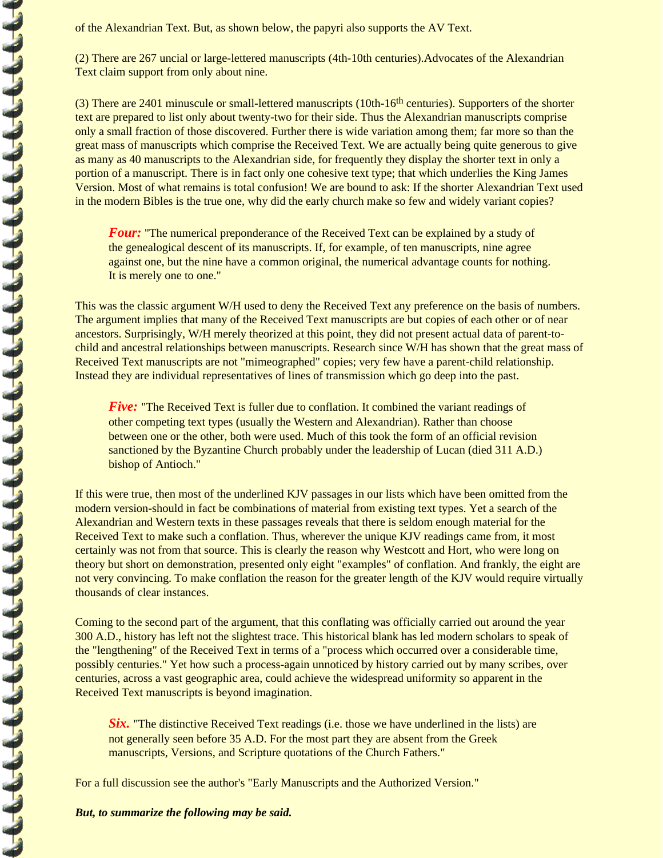of the Alexandrian Text. But, as shown below, the papyri also supports the AV Text.

(2) There are 267 uncial or large-lettered manuscripts (4th-10th centuries).Advocates of the Alexandrian Text claim support from only about nine.

(3) There are 2401 minuscule or small-lettered manuscripts (10th-16th centuries). Supporters of the shorter text are prepared to list only about twenty-two for their side. Thus the Alexandrian manuscripts comprise only a small fraction of those discovered. Further there is wide variation among them; far more so than the great mass of manuscripts which comprise the Received Text. We are actually being quite generous to give as many as 40 manuscripts to the Alexandrian side, for frequently they display the shorter text in only a portion of a manuscript. There is in fact only one cohesive text type; that which underlies the King James Version. Most of what remains is total confusion! We are bound to ask: If the shorter Alexandrian Text used in the modern Bibles is the true one, why did the early church make so few and widely variant copies?

*Four:* "The numerical preponderance of the Received Text can be explained by a study of the genealogical descent of its manuscripts. If, for example, of ten manuscripts, nine agree against one, but the nine have a common original, the numerical advantage counts for nothing. It is merely one to one."

This was the classic argument W/H used to deny the Received Text any preference on the basis of numbers. The argument implies that many of the Received Text manuscripts are but copies of each other or of near ancestors. Surprisingly, W/H merely theorized at this point, they did not present actual data of parent-tochild and ancestral relationships between manuscripts. Research since W/H has shown that the great mass of Received Text manuscripts are not "mimeographed" copies; very few have a parent-child relationship. Instead they are individual representatives of lines of transmission which go deep into the past.

**Five:** "The Received Text is fuller due to conflation. It combined the variant readings of other competing text types (usually the Western and Alexandrian). Rather than choose between one or the other, both were used. Much of this took the form of an official revision sanctioned by the Byzantine Church probably under the leadership of Lucan (died 311 A.D.) bishop of Antioch."

If this were true, then most of the underlined KJV passages in our lists which have been omitted from the modern version-should in fact be combinations of material from existing text types. Yet a search of the Alexandrian and Western texts in these passages reveals that there is seldom enough material for the Received Text to make such a conflation. Thus, wherever the unique KJV readings came from, it most certainly was not from that source. This is clearly the reason why Westcott and Hort, who were long on theory but short on demonstration, presented only eight "examples" of conflation. And frankly, the eight are not very convincing. To make conflation the reason for the greater length of the KJV would require virtually thousands of clear instances.

Coming to the second part of the argument, that this conflating was officially carried out around the year 300 A.D., history has left not the slightest trace. This historical blank has led modern scholars to speak of the "lengthening" of the Received Text in terms of a "process which occurred over a considerable time, possibly centuries." Yet how such a process-again unnoticed by history carried out by many scribes, over centuries, across a vast geographic area, could achieve the widespread uniformity so apparent in the Received Text manuscripts is beyond imagination.

*Six.* "The distinctive Received Text readings (i.e. those we have underlined in the lists) are not generally seen before 35 A.D. For the most part they are absent from the Greek manuscripts, Versions, and Scripture quotations of the Church Fathers."

For a full discussion see the author's "Early Manuscripts and the Authorized Version."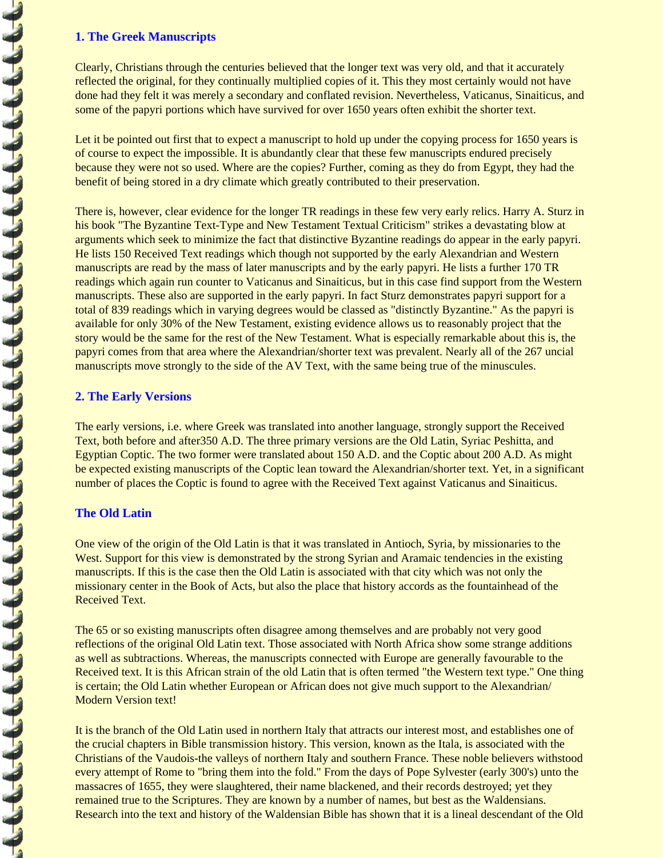### **1. The Greek Manuscripts**

Clearly, Christians through the centuries believed that the longer text was very old, and that it accurately reflected the original, for they continually multiplied copies of it. This they most certainly would not have done had they felt it was merely a secondary and conflated revision. Nevertheless, Vaticanus, Sinaiticus, and some of the papyri portions which have survived for over 1650 years often exhibit the shorter text.

Let it be pointed out first that to expect a manuscript to hold up under the copying process for 1650 years is of course to expect the impossible. It is abundantly clear that these few manuscripts endured precisely because they were not so used. Where are the copies? Further, coming as they do from Egypt, they had the benefit of being stored in a dry climate which greatly contributed to their preservation.

There is, however, clear evidence for the longer TR readings in these few very early relics. Harry A. Sturz in his book "The Byzantine Text-Type and New Testament Textual Criticism" strikes a devastating blow at arguments which seek to minimize the fact that distinctive Byzantine readings do appear in the early papyri. He lists 150 Received Text readings which though not supported by the early Alexandrian and Western manuscripts are read by the mass of later manuscripts and by the early papyri. He lists a further 170 TR readings which again run counter to Vaticanus and Sinaiticus, but in this case find support from the Western manuscripts. These also are supported in the early papyri. In fact Sturz demonstrates papyri support for a total of 839 readings which in varying degrees would be classed as "distinctly Byzantine." As the papyri is available for only 30% of the New Testament, existing evidence allows us to reasonably project that the story would be the same for the rest of the New Testament. What is especially remarkable about this is, the papyri comes from that area where the Alexandrian/shorter text was prevalent. Nearly all of the 267 uncial manuscripts move strongly to the side of the AV Text, with the same being true of the minuscules.

### **2. The Early Versions**

The early versions, i.e. where Greek was translated into another language, strongly support the Received Text, both before and after350 A.D. The three primary versions are the Old Latin, Syriac Peshitta, and Egyptian Coptic. The two former were translated about 150 A.D. and the Coptic about 200 A.D. As might be expected existing manuscripts of the Coptic lean toward the Alexandrian/shorter text. Yet, in a significant number of places the Coptic is found to agree with the Received Text against Vaticanus and Sinaiticus.

### **The Old Latin**

One view of the origin of the Old Latin is that it was translated in Antioch, Syria, by missionaries to the West. Support for this view is demonstrated by the strong Syrian and Aramaic tendencies in the existing manuscripts. If this is the case then the Old Latin is associated with that city which was not only the missionary center in the Book of Acts, but also the place that history accords as the fountainhead of the Received Text.

The 65 or so existing manuscripts often disagree among themselves and are probably not very good reflections of the original Old Latin text. Those associated with North Africa show some strange additions as well as subtractions. Whereas, the manuscripts connected with Europe are generally favourable to the Received text. It is this African strain of the old Latin that is often termed "the Western text type." One thing is certain; the Old Latin whether European or African does not give much support to the Alexandrian/ Modern Version text!

It is the branch of the Old Latin used in northern Italy that attracts our interest most, and establishes one of the crucial chapters in Bible transmission history. This version, known as the Itala, is associated with the Christians of the Vaudois-the valleys of northern Italy and southern France. These noble believers withstood every attempt of Rome to "bring them into the fold." From the days of Pope Sylvester (early 300's) unto the massacres of 1655, they were slaughtered, their name blackened, and their records destroyed; yet they remained true to the Scriptures. They are known by a number of names, but best as the Waldensians. Research into the text and history of the Waldensian Bible has shown that it is a lineal descendant of the Old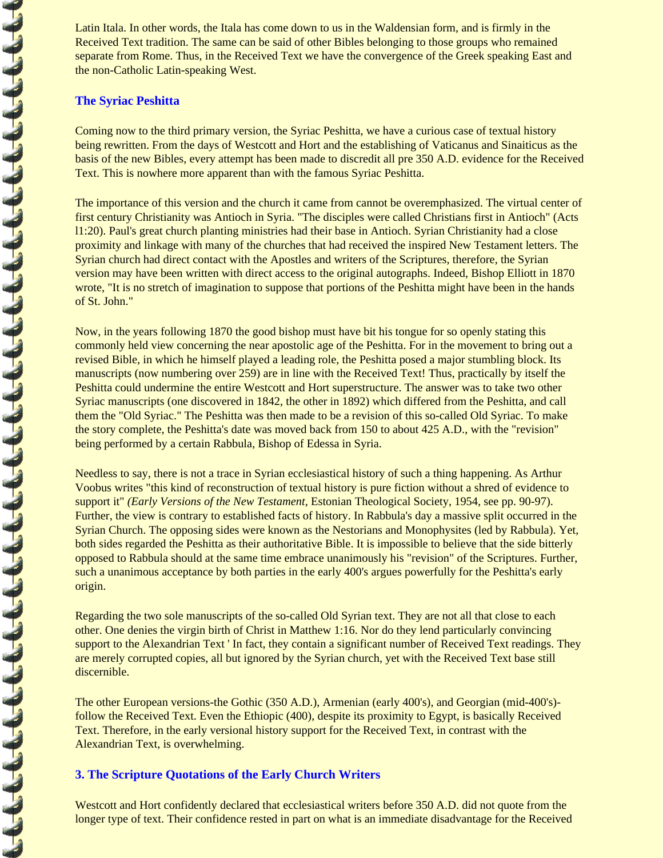Latin Itala. In other words, the Itala has come down to us in the Waldensian form, and is firmly in the Received Text tradition. The same can be said of other Bibles belonging to those groups who remained separate from Rome. Thus, in the Received Text we have the convergence of the Greek speaking East and the non-Catholic Latin-speaking West.

### **The Syriac Peshitta**

Coming now to the third primary version, the Syriac Peshitta, we have a curious case of textual history being rewritten. From the days of Westcott and Hort and the establishing of Vaticanus and Sinaiticus as the basis of the new Bibles, every attempt has been made to discredit all pre 350 A.D. evidence for the Received Text. This is nowhere more apparent than with the famous Syriac Peshitta.

The importance of this version and the church it came from cannot be overemphasized. The virtual center of first century Christianity was Antioch in Syria. "The disciples were called Christians first in Antioch" (Acts l1:20). Paul's great church planting ministries had their base in Antioch. Syrian Christianity had a close proximity and linkage with many of the churches that had received the inspired New Testament letters. The Syrian church had direct contact with the Apostles and writers of the Scriptures, therefore, the Syrian version may have been written with direct access to the original autographs. Indeed, Bishop Elliott in 1870 wrote, "It is no stretch of imagination to suppose that portions of the Peshitta might have been in the hands of St. John."

Now, in the years following 1870 the good bishop must have bit his tongue for so openly stating this commonly held view concerning the near apostolic age of the Peshitta. For in the movement to bring out a revised Bible, in which he himself played a leading role, the Peshitta posed a major stumbling block. Its manuscripts (now numbering over 259) are in line with the Received Text! Thus, practically by itself the Peshitta could undermine the entire Westcott and Hort superstructure. The answer was to take two other Syriac manuscripts (one discovered in 1842, the other in 1892) which differed from the Peshitta, and call them the "Old Syriac." The Peshitta was then made to be a revision of this so-called Old Syriac. To make the story complete, the Peshitta's date was moved back from 150 to about 425 A.D., with the "revision" being performed by a certain Rabbula, Bishop of Edessa in Syria.

Needless to say, there is not a trace in Syrian ecclesiastical history of such a thing happening. As Arthur Voobus writes "this kind of reconstruction of textual history is pure fiction without a shred of evidence to support it" *(Early Versions of the New Testament,* Estonian Theological Society, 1954, see pp. 90-97). Further, the view is contrary to established facts of history. In Rabbula's day a massive split occurred in the Syrian Church. The opposing sides were known as the Nestorians and Monophysites (led by Rabbula). Yet, both sides regarded the Peshitta as their authoritative Bible. It is impossible to believe that the side bitterly opposed to Rabbula should at the same time embrace unanimously his "revision" of the Scriptures. Further, such a unanimous acceptance by both parties in the early 400's argues powerfully for the Peshitta's early origin.

Regarding the two sole manuscripts of the so-called Old Syrian text. They are not all that close to each other. One denies the virgin birth of Christ in Matthew 1:16. Nor do they lend particularly convincing support to the Alexandrian Text 'In fact, they contain a significant number of Received Text readings. They are merely corrupted copies, all but ignored by the Syrian church, yet with the Received Text base still discernible.

The other European versions-the Gothic (350 A.D.), Armenian (early 400's), and Georgian (mid-400's) follow the Received Text. Even the Ethiopic (400), despite its proximity to Egypt, is basically Received Text. Therefore, in the early versional history support for the Received Text, in contrast with the Alexandrian Text, is overwhelming.

### **3. The Scripture Quotations of the Early Church Writers**

Westcott and Hort confidently declared that ecclesiastical writers before 350 A.D. did not quote from the longer type of text. Their confidence rested in part on what is an immediate disadvantage for the Received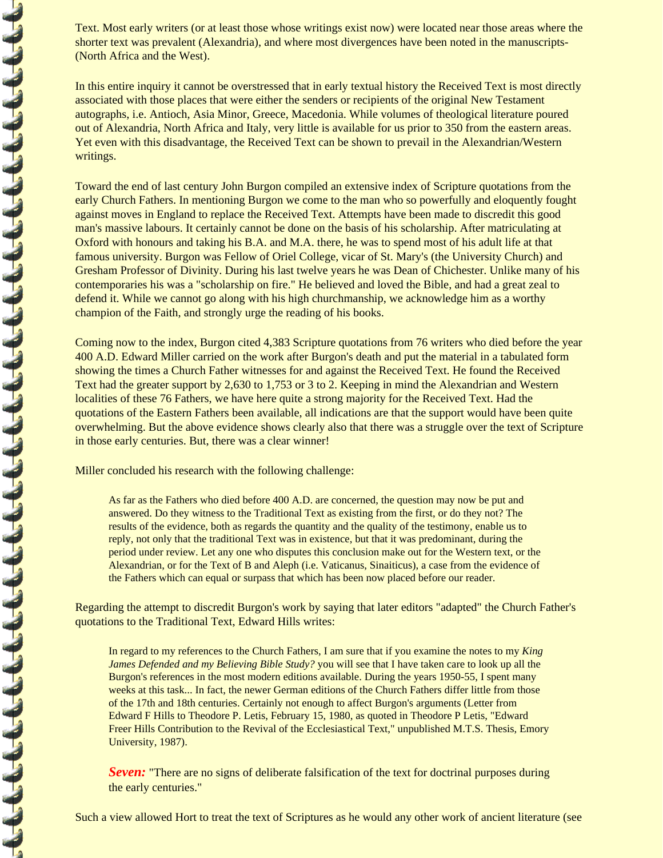Text. Most early writers (or at least those whose writings exist now) were located near those areas where the shorter text was prevalent (Alexandria), and where most divergences have been noted in the manuscripts- (North Africa and the West).

In this entire inquiry it cannot be overstressed that in early textual history the Received Text is most directly associated with those places that were either the senders or recipients of the original New Testament autographs, i.e. Antioch, Asia Minor, Greece, Macedonia. While volumes of theological literature poured out of Alexandria, North Africa and Italy, very little is available for us prior to 350 from the eastern areas. Yet even with this disadvantage, the Received Text can be shown to prevail in the Alexandrian/Western writings.

Toward the end of last century John Burgon compiled an extensive index of Scripture quotations from the early Church Fathers. In mentioning Burgon we come to the man who so powerfully and eloquently fought against moves in England to replace the Received Text. Attempts have been made to discredit this good man's massive labours. It certainly cannot be done on the basis of his scholarship. After matriculating at Oxford with honours and taking his B.A. and M.A. there, he was to spend most of his adult life at that famous university. Burgon was Fellow of Oriel College, vicar of St. Mary's (the University Church) and Gresham Professor of Divinity. During his last twelve years he was Dean of Chichester. Unlike many of his contemporaries his was a "scholarship on fire." He believed and loved the Bible, and had a great zeal to defend it. While we cannot go along with his high churchmanship, we acknowledge him as a worthy champion of the Faith, and strongly urge the reading of his books.

Coming now to the index, Burgon cited 4,383 Scripture quotations from 76 writers who died before the year 400 A.D. Edward Miller carried on the work after Burgon's death and put the material in a tabulated form showing the times a Church Father witnesses for and against the Received Text. He found the Received Text had the greater support by 2,630 to 1,753 or 3 to 2. Keeping in mind the Alexandrian and Western localities of these 76 Fathers, we have here quite a strong majority for the Received Text. Had the quotations of the Eastern Fathers been available, all indications are that the support would have been quite overwhelming. But the above evidence shows clearly also that there was a struggle over the text of Scripture in those early centuries. But, there was a clear winner!

Miller concluded his research with the following challenge:

As far as the Fathers who died before 400 A.D. are concerned, the question may now be put and answered. Do they witness to the Traditional Text as existing from the first, or do they not? The results of the evidence, both as regards the quantity and the quality of the testimony, enable us to reply, not only that the traditional Text was in existence, but that it was predominant, during the period under review. Let any one who disputes this conclusion make out for the Western text, or the Alexandrian, or for the Text of B and Aleph (i.e. Vaticanus, Sinaiticus), a case from the evidence of the Fathers which can equal or surpass that which has been now placed before our reader.

Regarding the attempt to discredit Burgon's work by saying that later editors "adapted" the Church Father's quotations to the Traditional Text, Edward Hills writes:

In regard to my references to the Church Fathers, I am sure that if you examine the notes to my *King James Defended and my Believing Bible Study?* you will see that I have taken care to look up all the Burgon's references in the most modern editions available. During the years 1950-55, I spent many weeks at this task... In fact, the newer German editions of the Church Fathers differ little from those of the 17th and 18th centuries. Certainly not enough to affect Burgon's arguments (Letter from Edward F Hills to Theodore P. Letis, February 15, 1980, as quoted in Theodore P Letis, "Edward Freer Hills Contribution to the Revival of the Ecclesiastical Text," unpublished M.T.S. Thesis, Emory University, 1987).

*Seven:* "There are no signs of deliberate falsification of the text for doctrinal purposes during the early centuries."

Such a view allowed Hort to treat the text of Scriptures as he would any other work of ancient literature (see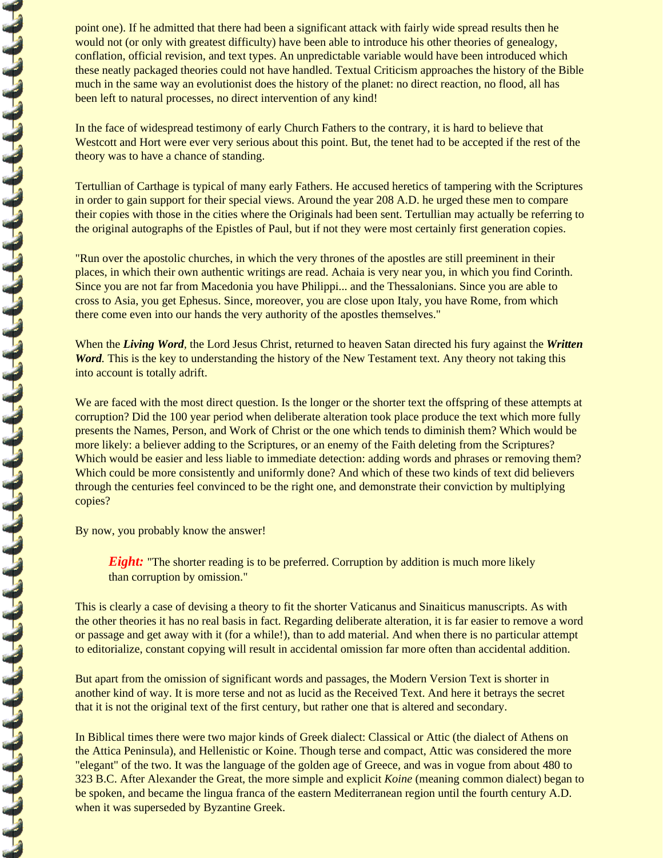point one). If he admitted that there had been a significant attack with fairly wide spread results then he would not (or only with greatest difficulty) have been able to introduce his other theories of genealogy, conflation, official revision, and text types. An unpredictable variable would have been introduced which these neatly packaged theories could not have handled. Textual Criticism approaches the history of the Bible much in the same way an evolutionist does the history of the planet: no direct reaction, no flood, all has been left to natural processes, no direct intervention of any kind!

In the face of widespread testimony of early Church Fathers to the contrary, it is hard to believe that Westcott and Hort were ever very serious about this point. But, the tenet had to be accepted if the rest of the theory was to have a chance of standing.

Tertullian of Carthage is typical of many early Fathers. He accused heretics of tampering with the Scriptures in order to gain support for their special views. Around the year 208 A.D. he urged these men to compare their copies with those in the cities where the Originals had been sent. Tertullian may actually be referring to the original autographs of the Epistles of Paul, but if not they were most certainly first generation copies.

"Run over the apostolic churches, in which the very thrones of the apostles are still preeminent in their places, in which their own authentic writings are read. Achaia is very near you, in which you find Corinth. Since you are not far from Macedonia you have Philippi... and the Thessalonians. Since you are able to cross to Asia, you get Ephesus. Since, moreover, you are close upon Italy, you have Rome, from which there come even into our hands the very authority of the apostles themselves."

When the *Living Word,* the Lord Jesus Christ, returned to heaven Satan directed his fury against the *Written Word*. This is the key to understanding the history of the New Testament text. Any theory not taking this into account is totally adrift.

We are faced with the most direct question. Is the longer or the shorter text the offspring of these attempts at corruption? Did the 100 year period when deliberate alteration took place produce the text which more fully presents the Names, Person, and Work of Christ or the one which tends to diminish them? Which would be more likely: a believer adding to the Scriptures, or an enemy of the Faith deleting from the Scriptures? Which would be easier and less liable to immediate detection: adding words and phrases or removing them? Which could be more consistently and uniformly done? And which of these two kinds of text did believers through the centuries feel convinced to be the right one, and demonstrate their conviction by multiplying copies?

By now, you probably know the answer!

*Eight:* "The shorter reading is to be preferred. Corruption by addition is much more likely than corruption by omission."

This is clearly a case of devising a theory to fit the shorter Vaticanus and Sinaiticus manuscripts. As with the other theories it has no real basis in fact. Regarding deliberate alteration, it is far easier to remove a word or passage and get away with it (for a while!), than to add material. And when there is no particular attempt to editorialize, constant copying will result in accidental omission far more often than accidental addition.

But apart from the omission of significant words and passages, the Modern Version Text is shorter in another kind of way. It is more terse and not as lucid as the Received Text. And here it betrays the secret that it is not the original text of the first century, but rather one that is altered and secondary.

In Biblical times there were two major kinds of Greek dialect: Classical or Attic (the dialect of Athens on the Attica Peninsula), and Hellenistic or Koine. Though terse and compact, Attic was considered the more "elegant" of the two. It was the language of the golden age of Greece, and was in vogue from about 480 to 323 B.C. After Alexander the Great, the more simple and explicit *Koine* (meaning common dialect) began to be spoken, and became the lingua franca of the eastern Mediterranean region until the fourth century A.D. when it was superseded by Byzantine Greek.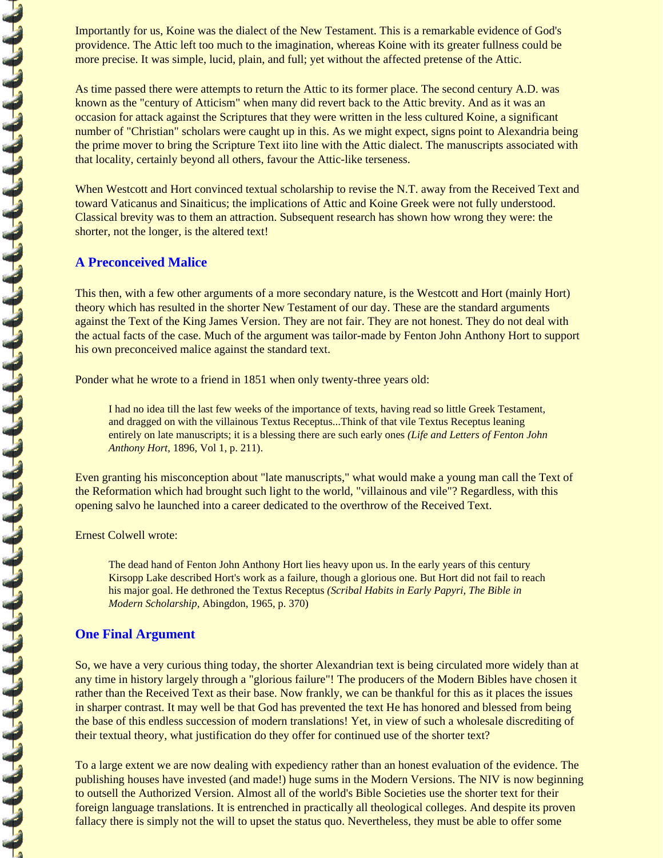Importantly for us, Koine was the dialect of the New Testament. This is a remarkable evidence of God's providence. The Attic left too much to the imagination, whereas Koine with its greater fullness could be more precise. It was simple, lucid, plain, and full; yet without the affected pretense of the Attic.

As time passed there were attempts to return the Attic to its former place. The second century A.D. was known as the "century of Atticism" when many did revert back to the Attic brevity. And as it was an occasion for attack against the Scriptures that they were written in the less cultured Koine, a significant number of "Christian" scholars were caught up in this. As we might expect, signs point to Alexandria being the prime mover to bring the Scripture Text iito line with the Attic dialect. The manuscripts associated with that locality, certainly beyond all others, favour the Attic-like terseness.

When Westcott and Hort convinced textual scholarship to revise the N.T. away from the Received Text and toward Vaticanus and Sinaiticus; the implications of Attic and Koine Greek were not fully understood. Classical brevity was to them an attraction. Subsequent research has shown how wrong they were: the shorter, not the longer, is the altered text!

## **A Preconceived Malice**

This then, with a few other arguments of a more secondary nature, is the Westcott and Hort (mainly Hort) theory which has resulted in the shorter New Testament of our day. These are the standard arguments against the Text of the King James Version. They are not fair. They are not honest. They do not deal with the actual facts of the case. Much of the argument was tailor-made by Fenton John Anthony Hort to support his own preconceived malice against the standard text.

Ponder what he wrote to a friend in 1851 when only twenty-three years old:

I had no idea till the last few weeks of the importance of texts, having read so little Greek Testament, and dragged on with the villainous Textus Receptus...Think of that vile Textus Receptus leaning entirely on late manuscripts; it is a blessing there are such early ones *(Life and Letters of Fenton John Anthony Hort,* 1896, Vol 1, p. 211).

Even granting his misconception about "late manuscripts," what would make a young man call the Text of the Reformation which had brought such light to the world, "villainous and vile"? Regardless, with this opening salvo he launched into a career dedicated to the overthrow of the Received Text.

Ernest Colwell wrote:

The dead hand of Fenton John Anthony Hort lies heavy upon us. In the early years of this century Kirsopp Lake described Hort's work as a failure, though a glorious one. But Hort did not fail to reach his major goal. He dethroned the Textus Receptus *(Scribal Habits in Early Papyri, The Bible in Modern Scholarship,* Abingdon, 1965, p. 370)

### **One Final Argument**

So, we have a very curious thing today, the shorter Alexandrian text is being circulated more widely than at any time in history largely through a "glorious failure"! The producers of the Modern Bibles have chosen it rather than the Received Text as their base. Now frankly, we can be thankful for this as it places the issues in sharper contrast. It may well be that God has prevented the text He has honored and blessed from being the base of this endless succession of modern translations! Yet, in view of such a wholesale discrediting of their textual theory, what justification do they offer for continued use of the shorter text?

To a large extent we are now dealing with expediency rather than an honest evaluation of the evidence. The publishing houses have invested (and made!) huge sums in the Modern Versions. The NIV is now beginning to outsell the Authorized Version. Almost all of the world's Bible Societies use the shorter text for their foreign language translations. It is entrenched in practically all theological colleges. And despite its proven fallacy there is simply not the will to upset the status quo. Nevertheless, they must be able to offer some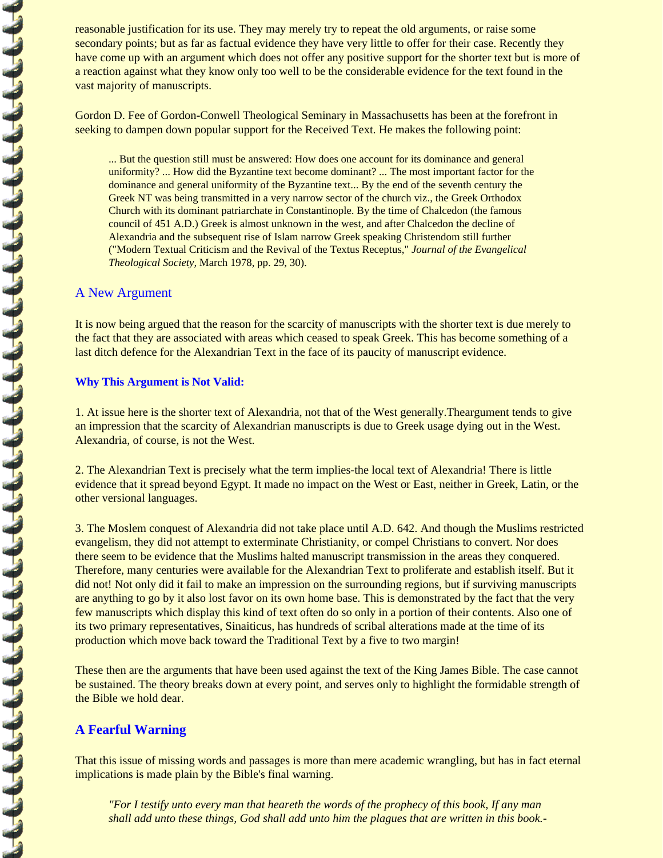reasonable justification for its use. They may merely try to repeat the old arguments, or raise some secondary points; but as far as factual evidence they have very little to offer for their case. Recently they have come up with an argument which does not offer any positive support for the shorter text but is more of a reaction against what they know only too well to be the considerable evidence for the text found in the vast majority of manuscripts.

Gordon D. Fee of Gordon-Conwell Theological Seminary in Massachusetts has been at the forefront in seeking to dampen down popular support for the Received Text. He makes the following point:

... But the question still must be answered: How does one account for its dominance and general uniformity? ... How did the Byzantine text become dominant? ... The most important factor for the dominance and general uniformity of the Byzantine text... By the end of the seventh century the Greek NT was being transmitted in a very narrow sector of the church viz., the Greek Orthodox Church with its dominant patriarchate in Constantinople. By the time of Chalcedon (the famous council of 451 A.D.) Greek is almost unknown in the west, and after Chalcedon the decline of Alexandria and the subsequent rise of Islam narrow Greek speaking Christendom still further ("Modern Textual Criticism and the Revival of the Textus Receptus," *Journal of the Evangelical Theological Society,* March 1978, pp. 29, 30).

#### A New Argument

It is now being argued that the reason for the scarcity of manuscripts with the shorter text is due merely to the fact that they are associated with areas which ceased to speak Greek. This has become something of a last ditch defence for the Alexandrian Text in the face of its paucity of manuscript evidence.

#### **Why This Argument is Not Valid:**

1. At issue here is the shorter text of Alexandria, not that of the West generally.Theargument tends to give an impression that the scarcity of Alexandrian manuscripts is due to Greek usage dying out in the West. Alexandria, of course, is not the West.

2. The Alexandrian Text is precisely what the term implies-the local text of Alexandria! There is little evidence that it spread beyond Egypt. It made no impact on the West or East, neither in Greek, Latin, or the other versional languages.

3. The Moslem conquest of Alexandria did not take place until A.D. 642. And though the Muslims restricted evangelism, they did not attempt to exterminate Christianity, or compel Christians to convert. Nor does there seem to be evidence that the Muslims halted manuscript transmission in the areas they conquered. Therefore, many centuries were available for the Alexandrian Text to proliferate and establish itself. But it did not! Not only did it fail to make an impression on the surrounding regions, but if surviving manuscripts are anything to go by it also lost favor on its own home base. This is demonstrated by the fact that the very few manuscripts which display this kind of text often do so only in a portion of their contents. Also one of its two primary representatives, Sinaiticus, has hundreds of scribal alterations made at the time of its production which move back toward the Traditional Text by a five to two margin!

These then are the arguments that have been used against the text of the King James Bible. The case cannot be sustained. The theory breaks down at every point, and serves only to highlight the formidable strength of the Bible we hold dear.

## **A Fearful Warning**

That this issue of missing words and passages is more than mere academic wrangling, but has in fact eternal implications is made plain by the Bible's final warning.

*"For I testify unto every man that heareth the words of the prophecy of this book, If any man shall add unto these things, God shall add unto him the plagues that are written in this book.-*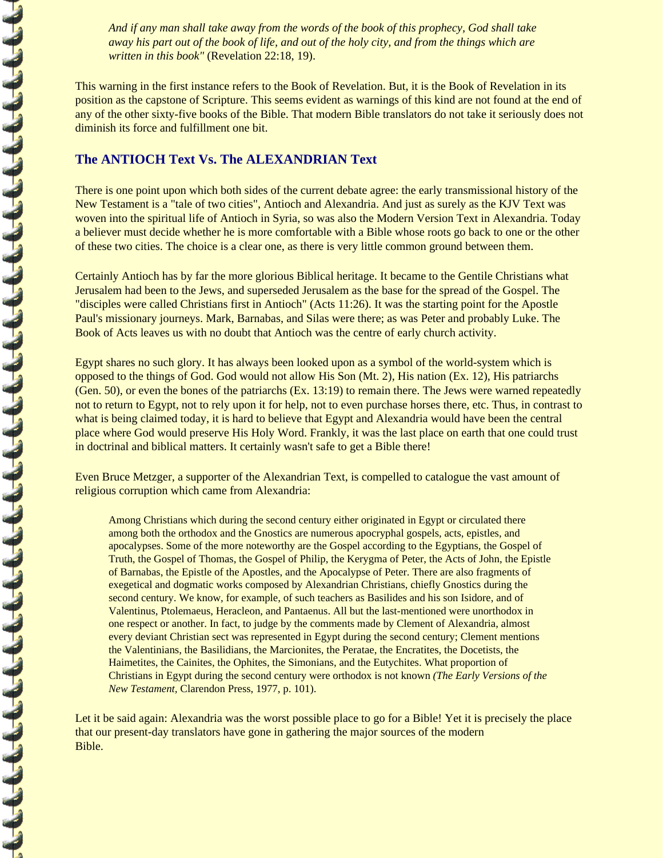*And if any man shall take away from the words of the book of this prophecy, God shall take away his part out of the book of life, and out of the holy city, and from the things which are written in this book"* (Revelation 22:18, 19).

This warning in the first instance refers to the Book of Revelation. But, it is the Book of Revelation in its position as the capstone of Scripture. This seems evident as warnings of this kind are not found at the end of any of the other sixty-five books of the Bible. That modern Bible translators do not take it seriously does not diminish its force and fulfillment one bit.

### **The ANTIOCH Text Vs. The ALEXANDRIAN Text**

There is one point upon which both sides of the current debate agree: the early transmissional history of the New Testament is a "tale of two cities", Antioch and Alexandria. And just as surely as the KJV Text was woven into the spiritual life of Antioch in Syria, so was also the Modern Version Text in Alexandria. Today a believer must decide whether he is more comfortable with a Bible whose roots go back to one or the other of these two cities. The choice is a clear one, as there is very little common ground between them.

Certainly Antioch has by far the more glorious Biblical heritage. It became to the Gentile Christians what Jerusalem had been to the Jews, and superseded Jerusalem as the base for the spread of the Gospel. The "disciples were called Christians first in Antioch" (Acts 11:26). It was the starting point for the Apostle Paul's missionary journeys. Mark, Barnabas, and Silas were there; as was Peter and probably Luke. The Book of Acts leaves us with no doubt that Antioch was the centre of early church activity.

Egypt shares no such glory. It has always been looked upon as a symbol of the world-system which is opposed to the things of God. God would not allow His Son (Mt. 2), His nation (Ex. 12), His patriarchs (Gen. 50), or even the bones of the patriarchs (Ex. 13:19) to remain there. The Jews were warned repeatedly not to return to Egypt, not to rely upon it for help, not to even purchase horses there, etc. Thus, in contrast to what is being claimed today, it is hard to believe that Egypt and Alexandria would have been the central place where God would preserve His Holy Word. Frankly, it was the last place on earth that one could trust in doctrinal and biblical matters. It certainly wasn't safe to get a Bible there!

Even Bruce Metzger, a supporter of the Alexandrian Text, is compelled to catalogue the vast amount of religious corruption which came from Alexandria:

Among Christians which during the second century either originated in Egypt or circulated there among both the orthodox and the Gnostics are numerous apocryphal gospels, acts, epistles, and apocalypses. Some of the more noteworthy are the Gospel according to the Egyptians, the Gospel of Truth, the Gospel of Thomas, the Gospel of Philip, the Kerygma of Peter, the Acts of John, the Epistle of Barnabas, the Epistle of the Apostles, and the Apocalypse of Peter. There are also fragments of exegetical and dogmatic works composed by Alexandrian Christians, chiefly Gnostics during the second century. We know, for example, of such teachers as Basilides and his son Isidore, and of Valentinus, Ptolemaeus, Heracleon, and Pantaenus. All but the last-mentioned were unorthodox in one respect or another. In fact, to judge by the comments made by Clement of Alexandria, almost every deviant Christian sect was represented in Egypt during the second century; Clement mentions the Valentinians, the Basilidians, the Marcionites, the Peratae, the Encratites, the Docetists, the Haimetites, the Cainites, the Ophites, the Simonians, and the Eutychites. What proportion of Christians in Egypt during the second century were orthodox is not known *(The Early Versions of the New Testament,* Clarendon Press, 1977, p. 101).

Let it be said again: Alexandria was the worst possible place to go for a Bible! Yet it is precisely the place that our present-day translators have gone in gathering the major sources of the modern Bible.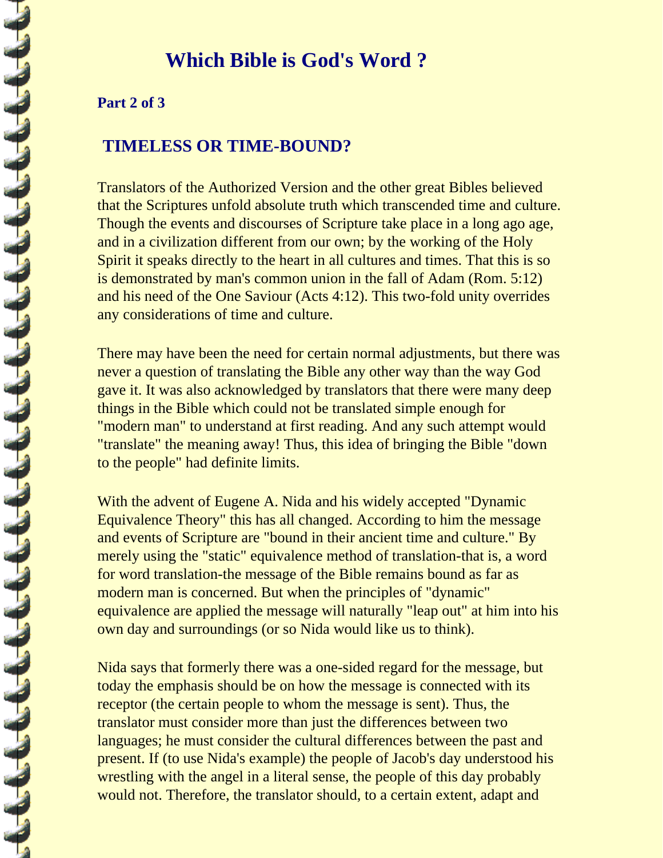# **Which Bible is God's Word ?**

**Part 2 of 3**

# **TIMELESS OR TIME-BOUND?**

Translators of the Authorized Version and the other great Bibles believed that the Scriptures unfold absolute truth which transcended time and culture. Though the events and discourses of Scripture take place in a long ago age, and in a civilization different from our own; by the working of the Holy Spirit it speaks directly to the heart in all cultures and times. That this is so is demonstrated by man's common union in the fall of Adam (Rom. 5:12) and his need of the One Saviour (Acts 4:12). This two-fold unity overrides any considerations of time and culture.

There may have been the need for certain normal adjustments, but there was never a question of translating the Bible any other way than the way God gave it. It was also acknowledged by translators that there were many deep things in the Bible which could not be translated simple enough for "modern man" to understand at first reading. And any such attempt would "translate" the meaning away! Thus, this idea of bringing the Bible "down to the people" had definite limits.

With the advent of Eugene A. Nida and his widely accepted "Dynamic Equivalence Theory" this has all changed. According to him the message and events of Scripture are "bound in their ancient time and culture." By merely using the "static" equivalence method of translation-that is, a word for word translation-the message of the Bible remains bound as far as modern man is concerned. But when the principles of "dynamic" equivalence are applied the message will naturally "leap out" at him into his own day and surroundings (or so Nida would like us to think).

Nida says that formerly there was a one-sided regard for the message, but today the emphasis should be on how the message is connected with its receptor (the certain people to whom the message is sent). Thus, the translator must consider more than just the differences between two languages; he must consider the cultural differences between the past and present. If (to use Nida's example) the people of Jacob's day understood his wrestling with the angel in a literal sense, the people of this day probably would not. Therefore, the translator should, to a certain extent, adapt and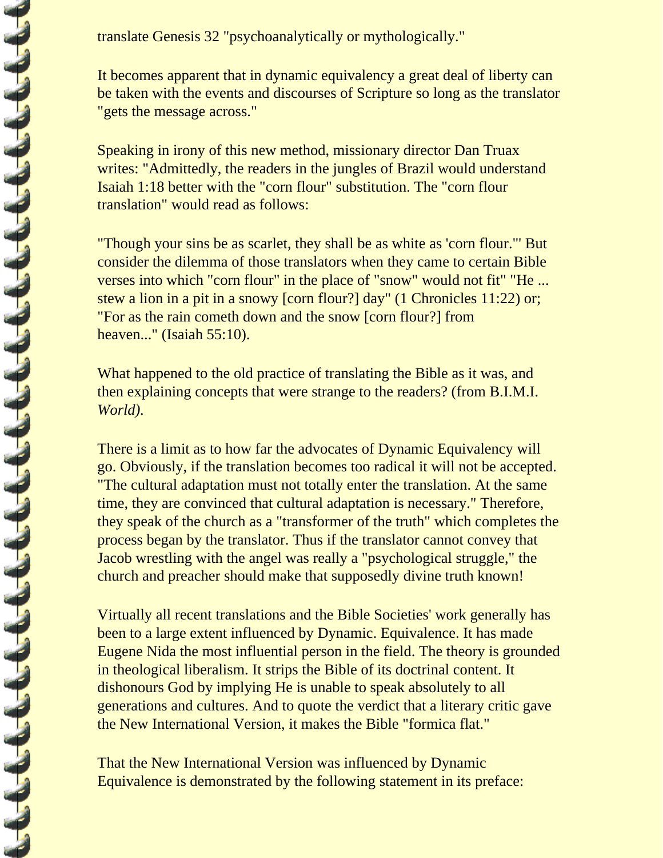translate Genesis 32 "psychoanalytically or mythologically."

It becomes apparent that in dynamic equivalency a great deal of liberty can be taken with the events and discourses of Scripture so long as the translator "gets the message across."

Speaking in irony of this new method, missionary director Dan Truax writes: "Admittedly, the readers in the jungles of Brazil would understand Isaiah 1:18 better with the "corn flour" substitution. The "corn flour translation" would read as follows:

"Though your sins be as scarlet, they shall be as white as 'corn flour."' But consider the dilemma of those translators when they came to certain Bible verses into which "corn flour" in the place of "snow" would not fit" "He ... stew a lion in a pit in a snowy [corn flour?] day" (1 Chronicles 11:22) or; "For as the rain cometh down and the snow [corn flour?] from heaven..." (Isaiah 55:10).

What happened to the old practice of translating the Bible as it was, and then explaining concepts that were strange to the readers? (from B.I.M.I. *World).*

There is a limit as to how far the advocates of Dynamic Equivalency will go. Obviously, if the translation becomes too radical it will not be accepted. "The cultural adaptation must not totally enter the translation. At the same time, they are convinced that cultural adaptation is necessary." Therefore, they speak of the church as a "transformer of the truth" which completes the process began by the translator. Thus if the translator cannot convey that Jacob wrestling with the angel was really a "psychological struggle," the church and preacher should make that supposedly divine truth known!

Virtually all recent translations and the Bible Societies' work generally has been to a large extent influenced by Dynamic. Equivalence. It has made Eugene Nida the most influential person in the field. The theory is grounded in theological liberalism. It strips the Bible of its doctrinal content. It dishonours God by implying He is unable to speak absolutely to all generations and cultures. And to quote the verdict that a literary critic gave the New International Version, it makes the Bible "formica flat."

That the New International Version was influenced by Dynamic Equivalence is demonstrated by the following statement in its preface: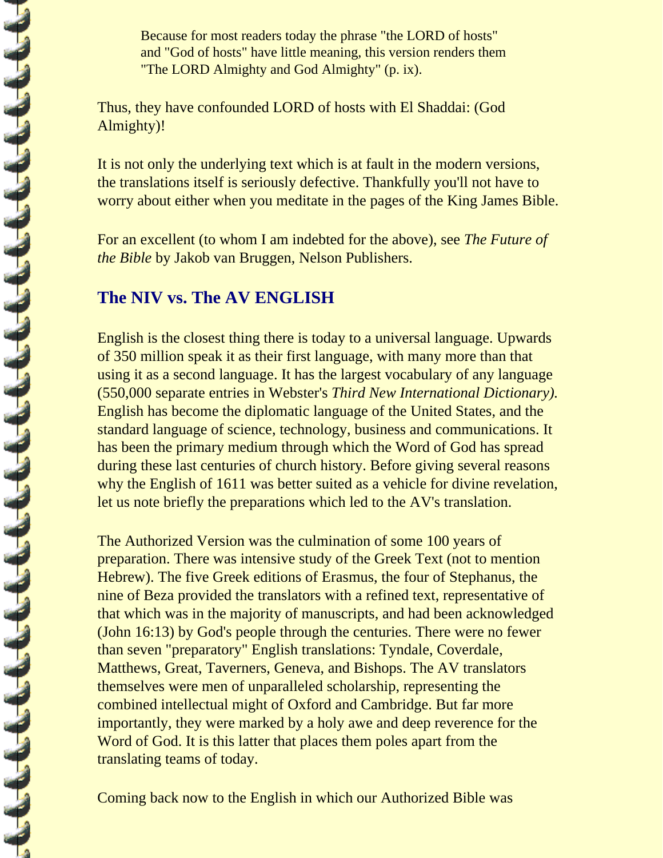Because for most readers today the phrase "the LORD of hosts" and "God of hosts" have little meaning, this version renders them "The LORD Almighty and God Almighty" (p. ix).

Thus, they have confounded LORD of hosts with El Shaddai: (God Almighty)!

It is not only the underlying text which is at fault in the modern versions, the translations itself is seriously defective. Thankfully you'll not have to worry about either when you meditate in the pages of the King James Bible.

For an excellent (to whom I am indebted for the above), see *The Future of the Bible* by Jakob van Bruggen, Nelson Publishers.

# **The NIV vs. The AV ENGLISH**

English is the closest thing there is today to a universal language. Upwards of 350 million speak it as their first language, with many more than that using it as a second language. It has the largest vocabulary of any language (550,000 separate entries in Webster's *Third New International Dictionary).*  English has become the diplomatic language of the United States, and the standard language of science, technology, business and communications. It has been the primary medium through which the Word of God has spread during these last centuries of church history. Before giving several reasons why the English of 1611 was better suited as a vehicle for divine revelation, let us note briefly the preparations which led to the AV's translation.

The Authorized Version was the culmination of some 100 years of preparation. There was intensive study of the Greek Text (not to mention Hebrew). The five Greek editions of Erasmus, the four of Stephanus, the nine of Beza provided the translators with a refined text, representative of that which was in the majority of manuscripts, and had been acknowledged (John 16:13) by God's people through the centuries. There were no fewer than seven "preparatory" English translations: Tyndale, Coverdale, Matthews, Great, Taverners, Geneva, and Bishops. The AV translators themselves were men of unparalleled scholarship, representing the combined intellectual might of Oxford and Cambridge. But far more importantly, they were marked by a holy awe and deep reverence for the Word of God. It is this latter that places them poles apart from the translating teams of today.

Coming back now to the English in which our Authorized Bible was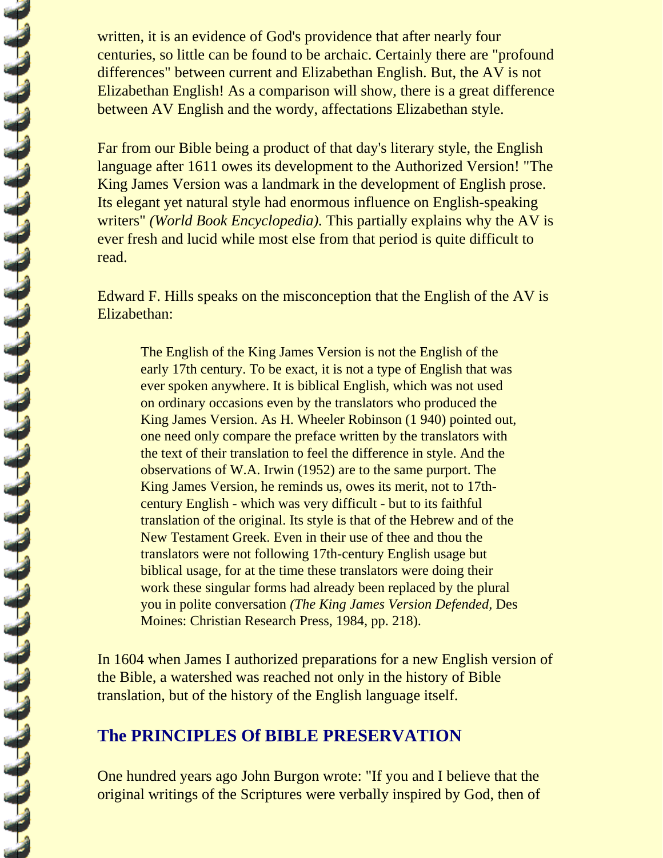written, it is an evidence of God's providence that after nearly four centuries, so little can be found to be archaic. Certainly there are "profound differences" between current and Elizabethan English. But, the AV is not Elizabethan English! As a comparison will show, there is a great difference between AV English and the wordy, affectations Elizabethan style.

Far from our Bible being a product of that day's literary style, the English language after 1611 owes its development to the Authorized Version! "The King James Version was a landmark in the development of English prose. Its elegant yet natural style had enormous influence on English-speaking writers" *(World Book Encyclopedia).* This partially explains why the AV is ever fresh and lucid while most else from that period is quite difficult to read.

Edward F. Hills speaks on the misconception that the English of the AV is Elizabethan:

The English of the King James Version is not the English of the early 17th century. To be exact, it is not a type of English that was ever spoken anywhere. It is biblical English, which was not used on ordinary occasions even by the translators who produced the King James Version. As H. Wheeler Robinson (1 940) pointed out, one need only compare the preface written by the translators with the text of their translation to feel the difference in style. And the observations of W.A. Irwin (1952) are to the same purport. The King James Version, he reminds us, owes its merit, not to 17thcentury English - which was very difficult - but to its faithful translation of the original. Its style is that of the Hebrew and of the New Testament Greek. Even in their use of thee and thou the translators were not following 17th-century English usage but biblical usage, for at the time these translators were doing their work these singular forms had already been replaced by the plural you in polite conversation *(The King James Version Defended,* Des Moines: Christian Research Press, 1984, pp. 218).

In 1604 when James I authorized preparations for a new English version of the Bible, a watershed was reached not only in the history of Bible translation, but of the history of the English language itself.

# **The PRINCIPLES Of BIBLE PRESERVATION**

One hundred years ago John Burgon wrote: "If you and I believe that the original writings of the Scriptures were verbally inspired by God, then of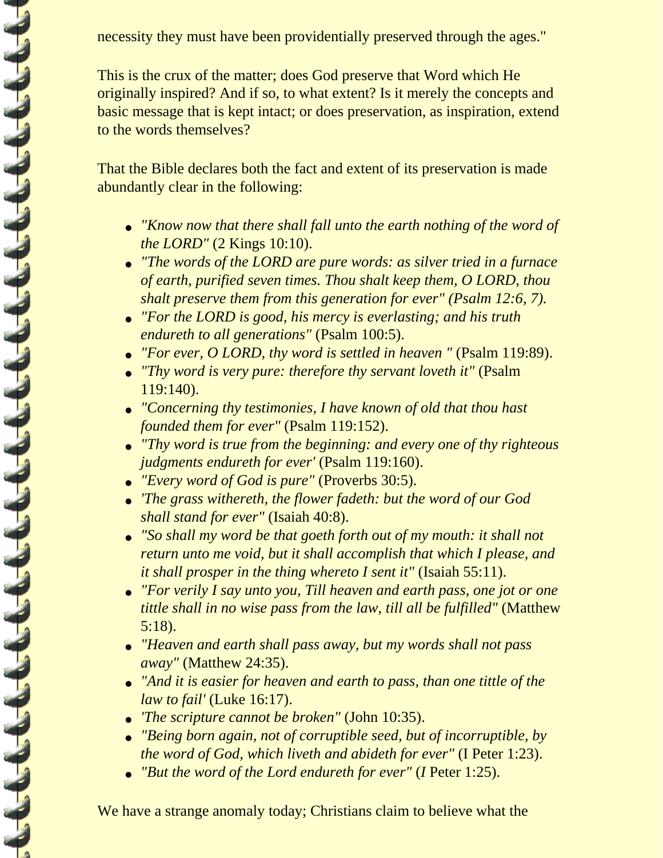necessity they must have been providentially preserved through the ages."

This is the crux of the matter; does God preserve that Word which He originally inspired? And if so, to what extent? Is it merely the concepts and basic message that is kept intact; or does preservation, as inspiration, extend to the words themselves?

That the Bible declares both the fact and extent of its preservation is made abundantly clear in the following:

- *"Know now that there shall fall unto the earth nothing of the word of the LORD"* (2 Kings 10:10).
- *"The words of the LORD are pure words: as silver tried in a furnace of earth, purified seven times. Thou shalt keep them, O LORD, thou shalt preserve them from this generation for ever" (Psalm 12:6, 7).*
- *"For the LORD is good, his mercy is everlasting; and his truth endureth to all generations"* (Psalm 100:5).
- *"For ever, O LORD, thy word is settled in heaven"* (Psalm 119:89).
- *"Thy word is very pure: therefore thy servant loveth it"* (Psalm 119:140).
- *"Concerning thy testimonies, I have known of old that thou hast founded them for ever"* (Psalm 119:152).
- *"Thy word is true from the beginning: and every one of thy righteous judgments endureth for ever'* (Psalm 119:160).
- *"Every word of God is pure"* (Proverbs 30:5).

- *'The grass withereth, the flower fadeth: but the word of our God shall stand for ever"* (Isaiah 40:8).
- *"So shall my word be that goeth forth out of my mouth: it shall not return unto me void, but it shall accomplish that which I please, and it shall prosper in the thing whereto I sent it"* (Isaiah 55:11).
- *"For verily I say unto you, Till heaven and earth pass, one jot or one tittle shall in no wise pass from the law, till all be fulfilled"* (Matthew 5:18).
- *"Heaven and earth shall pass away, but my words shall not pass away"* (Matthew 24:35).
- *"And it is easier for heaven and earth to pass, than one tittle of the law to fail'* (Luke 16:17).
- *'The scripture cannot be broken"* (John 10:35).
- *"Being born again, not of corruptible seed, but of incorruptible, by the word of God, which liveth and abideth for ever"* (I Peter 1:23).
- *"But the word of the Lord endureth for ever"* (*I* Peter 1:25).

We have a strange anomaly today; Christians claim to believe what the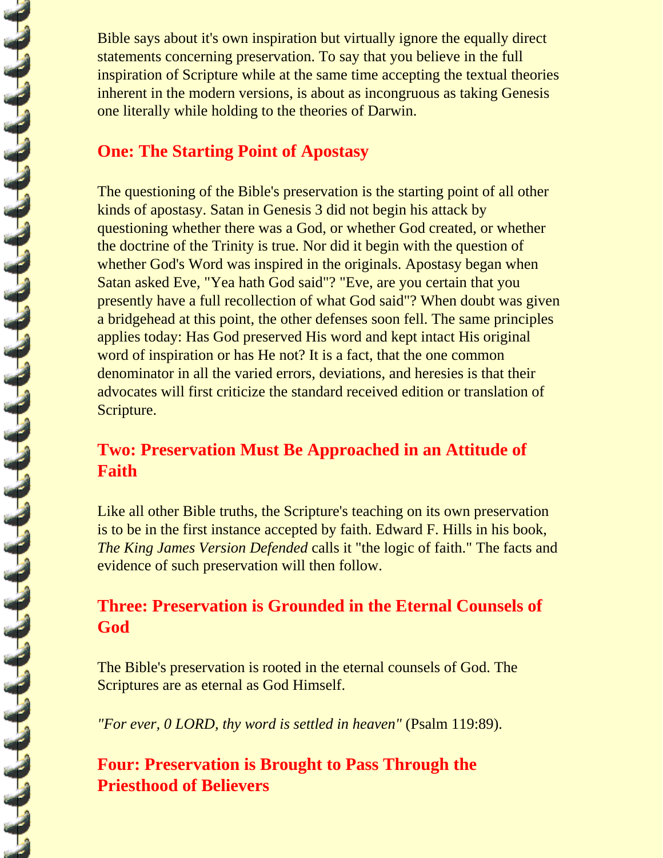Bible says about it's own inspiration but virtually ignore the equally direct statements concerning preservation. To say that you believe in the full inspiration of Scripture while at the same time accepting the textual theories inherent in the modern versions, is about as incongruous as taking Genesis one literally while holding to the theories of Darwin.

# **One: The Starting Point of Apostasy**

The questioning of the Bible's preservation is the starting point of all other kinds of apostasy. Satan in Genesis 3 did not begin his attack by questioning whether there was a God, or whether God created, or whether the doctrine of the Trinity is true. Nor did it begin with the question of whether God's Word was inspired in the originals. Apostasy began when Satan asked Eve, "Yea hath God said"? "Eve, are you certain that you presently have a full recollection of what God said"? When doubt was given a bridgehead at this point, the other defenses soon fell. The same principles applies today: Has God preserved His word and kept intact His original word of inspiration or has He not? It is a fact, that the one common denominator in all the varied errors, deviations, and heresies is that their advocates will first criticize the standard received edition or translation of Scripture.

# **Two: Preservation Must Be Approached in an Attitude of Faith**

Like all other Bible truths, the Scripture's teaching on its own preservation is to be in the first instance accepted by faith. Edward F. Hills in his book, *The King James Version Defended* calls it "the logic of faith." The facts and evidence of such preservation will then follow.

# **Three: Preservation is Grounded in the Eternal Counsels of God**

The Bible's preservation is rooted in the eternal counsels of God. The Scriptures are as eternal as God Himself.

*"For ever, 0 LORD, thy word is settled in heaven"* (Psalm 119:89).

# **Four: Preservation is Brought to Pass Through the Priesthood of Believers**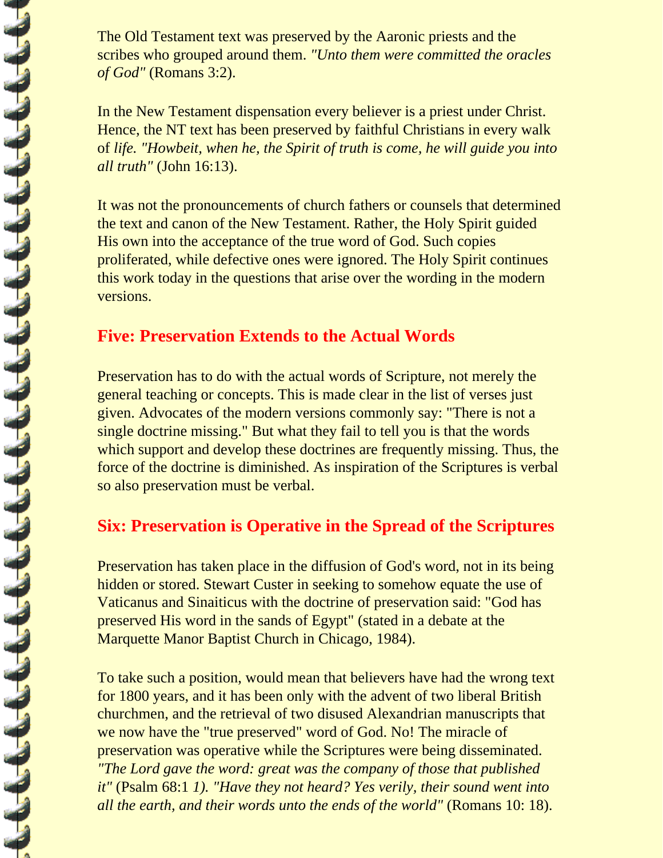The Old Testament text was preserved by the Aaronic priests and the scribes who grouped around them. *"Unto them were committed the oracles of God"* (Romans 3:2).

In the New Testament dispensation every believer is a priest under Christ. Hence, the NT text has been preserved by faithful Christians in every walk of *life. "Howbeit, when he, the Spirit of truth is come, he will guide you into all truth"* (John 16:13).

It was not the pronouncements of church fathers or counsels that determined the text and canon of the New Testament. Rather, the Holy Spirit guided His own into the acceptance of the true word of God. Such copies proliferated, while defective ones were ignored. The Holy Spirit continues this work today in the questions that arise over the wording in the modern versions.

# **Five: Preservation Extends to the Actual Words**

Preservation has to do with the actual words of Scripture, not merely the general teaching or concepts. This is made clear in the list of verses just given. Advocates of the modern versions commonly say: "There is not a single doctrine missing." But what they fail to tell you is that the words which support and develop these doctrines are frequently missing. Thus, the force of the doctrine is diminished. As inspiration of the Scriptures is verbal so also preservation must be verbal.

# **Six: Preservation is Operative in the Spread of the Scriptures**

Preservation has taken place in the diffusion of God's word, not in its being hidden or stored. Stewart Custer in seeking to somehow equate the use of Vaticanus and Sinaiticus with the doctrine of preservation said: "God has preserved His word in the sands of Egypt" (stated in a debate at the Marquette Manor Baptist Church in Chicago, 1984).

To take such a position, would mean that believers have had the wrong text for 1800 years, and it has been only with the advent of two liberal British churchmen, and the retrieval of two disused Alexandrian manuscripts that we now have the "true preserved" word of God. No! The miracle of preservation was operative while the Scriptures were being disseminated. *"The Lord gave the word: great was the company of those that published it"* (Psalm 68:1 *1). "Have they not heard? Yes verily, their sound went into all the earth, and their words unto the ends of the world"* (Romans 10: 18).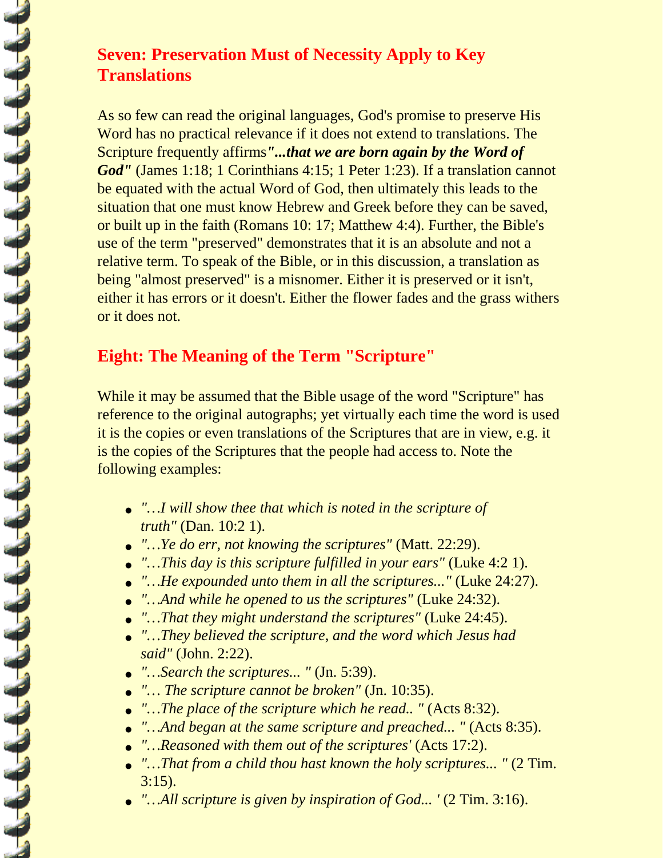# **Seven: Preservation Must of Necessity Apply to Key Translations**

As so few can read the original languages, God's promise to preserve His Word has no practical relevance if it does not extend to translations. The Scripture frequently affirms*"...that we are born again by the Word of God"* (James 1:18; 1 Corinthians 4:15; 1 Peter 1:23). If a translation cannot be equated with the actual Word of God, then ultimately this leads to the situation that one must know Hebrew and Greek before they can be saved, or built up in the faith (Romans 10: 17; Matthew 4:4). Further, the Bible's use of the term "preserved" demonstrates that it is an absolute and not a relative term. To speak of the Bible, or in this discussion, a translation as being "almost preserved" is a misnomer. Either it is preserved or it isn't, either it has errors or it doesn't. Either the flower fades and the grass withers or it does not.

# **Eight: The Meaning of the Term "Scripture"**

While it may be assumed that the Bible usage of the word "Scripture" has reference to the original autographs; yet virtually each time the word is used it is the copies or even translations of the Scriptures that are in view, e.g. it is the copies of the Scriptures that the people had access to. Note the following examples:

- *"…I will show thee that which is noted in the scripture of truth*" (Dan. 10:2 1).
- *"…Ye do err, not knowing the scriptures"* (Matt. 22:29).
- *"…This day is this scripture fulfilled in your ears"* (Luke 4:2 1).
- *"…He expounded unto them in all the scriptures..."* (Luke 24:27).
- *"…And while he opened to us the scriptures"* (Luke 24:32).
- *"…That they might understand the scriptures"* (Luke 24:45).
- *"…They believed the scripture, and the word which Jesus had said"* (John. 2:22).
- *"…Search the scriptures... "* (Jn. 5:39).
- *"… The scripture cannot be broken"* (Jn. 10:35).
- "... The place of the scripture which he read.. " (Acts 8:32).
- "...And began at the same scripture and preached..." (Acts 8:35).
- *"…Reasoned with them out of the scriptures'* (Acts 17:2).
- "... That from a child thou hast known the holy scriptures..." (2 Tim. 3:15).
- "...All scripture is given by inspiration of God... ' (2 Tim. 3:16).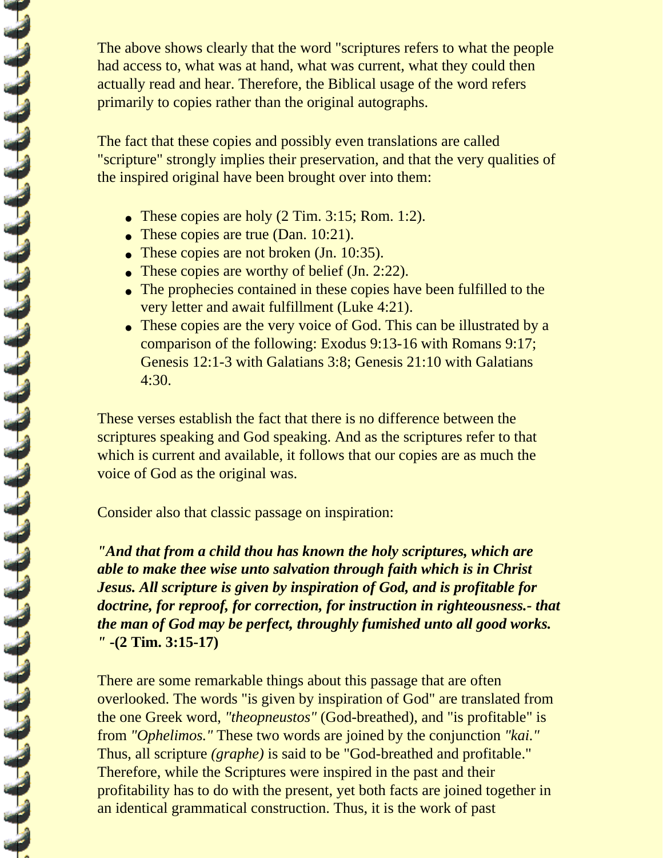The above shows clearly that the word "scriptures refers to what the people had access to, what was at hand, what was current, what they could then actually read and hear. Therefore, the Biblical usage of the word refers primarily to copies rather than the original autographs.

The fact that these copies and possibly even translations are called "scripture" strongly implies their preservation, and that the very qualities of the inspired original have been brought over into them:

- These copies are holy  $(2 \text{ Tim. } 3:15; \text{Rom. } 1:2)$ .
- These copies are true  $(Dan. 10:21)$ .
- These copies are not broken  $(In. 10:35)$ .
- These copies are worthy of belief  $Jn. 2:22$ ).
- The prophecies contained in these copies have been fulfilled to the very letter and await fulfillment (Luke 4:21).
- These copies are the very voice of God. This can be illustrated by a comparison of the following: Exodus 9:13-16 with Romans 9:17; Genesis 12:1-3 with Galatians 3:8; Genesis 21:10 with Galatians 4:30.

These verses establish the fact that there is no difference between the scriptures speaking and God speaking. And as the scriptures refer to that which is current and available, it follows that our copies are as much the voice of God as the original was.

Consider also that classic passage on inspiration:

*"And that from a child thou has known the holy scriptures, which are able to make thee wise unto salvation through faith which is in Christ Jesus. All scripture is given by inspiration of God, and is profitable for doctrine, for reproof, for correction, for instruction in righteousness.- that the man of God may be perfect, throughly fumished unto all good works. "* **-(2 Tim. 3:15-17)**

There are some remarkable things about this passage that are often overlooked. The words "is given by inspiration of God" are translated from the one Greek word, *"theopneustos"* (God-breathed), and "is profitable" is from *"Ophelimos."* These two words are joined by the conjunction *"kai."*  Thus, all scripture *(graphe)* is said to be "God-breathed and profitable." Therefore, while the Scriptures were inspired in the past and their profitability has to do with the present, yet both facts are joined together in an identical grammatical construction. Thus, it is the work of past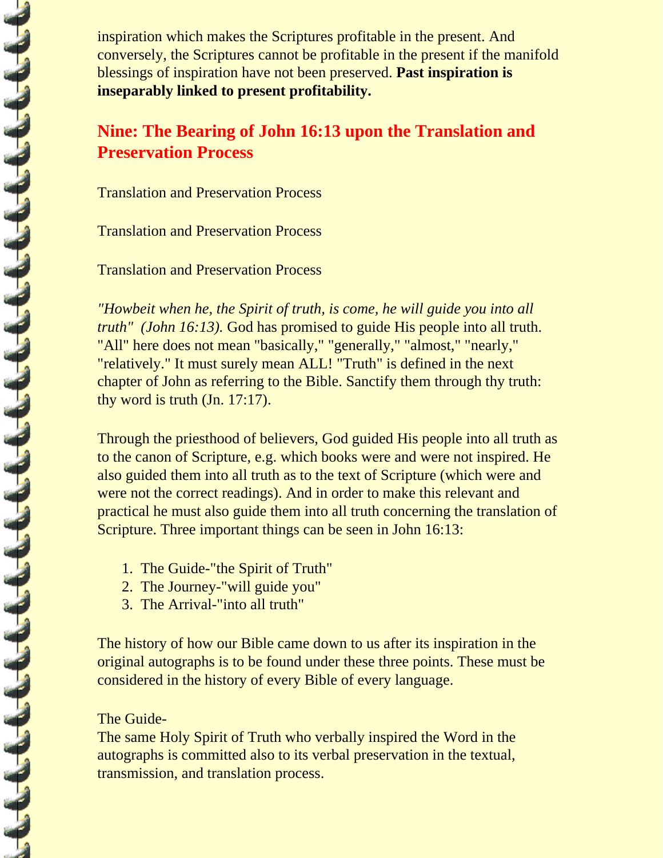inspiration which makes the Scriptures profitable in the present. And conversely, the Scriptures cannot be profitable in the present if the manifold blessings of inspiration have not been preserved. **Past inspiration is inseparably linked to present profitability.**

# **Nine: The Bearing of John 16:13 upon the Translation and Preservation Process**

Translation and Preservation Process

Translation and Preservation Process

Translation and Preservation Process

*"Howbeit when he, the Spirit of truth, is come, he will guide you into all truth" (John 16:13).* God has promised to guide His people into all truth. "All" here does not mean "basically," "generally," "almost," "nearly," "relatively." It must surely mean ALL! "Truth" is defined in the next chapter of John as referring to the Bible. Sanctify them through thy truth: thy word is truth (Jn. 17:17).

Through the priesthood of believers, God guided His people into all truth as to the canon of Scripture, e.g. which books were and were not inspired. He also guided them into all truth as to the text of Scripture (which were and were not the correct readings). And in order to make this relevant and practical he must also guide them into all truth concerning the translation of Scripture. Three important things can be seen in John 16:13:

- 1. The Guide-"the Spirit of Truth"
- 2. The Journey-"will guide you"
- 3. The Arrival-"into all truth"

The history of how our Bible came down to us after its inspiration in the original autographs is to be found under these three points. These must be considered in the history of every Bible of every language.

# The Guide-

The same Holy Spirit of Truth who verbally inspired the Word in the autographs is committed also to its verbal preservation in the textual, transmission, and translation process.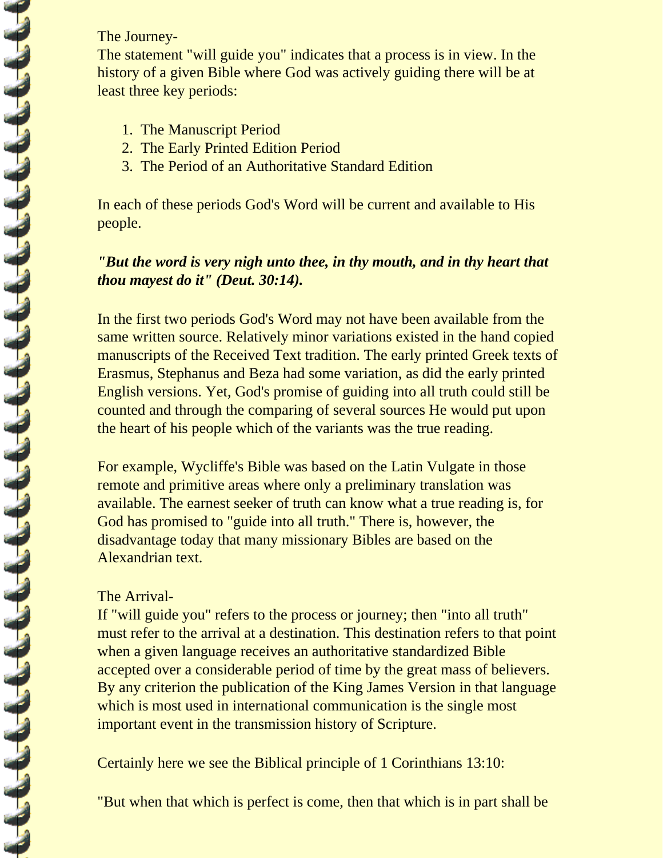The Journey-

The statement "will guide you" indicates that a process is in view. In the history of a given Bible where God was actively guiding there will be at least three key periods:

- 1. The Manuscript Period
- 2. The Early Printed Edition Period
- 3. The Period of an Authoritative Standard Edition

In each of these periods God's Word will be current and available to His people.

# *"But the word is very nigh unto thee, in thy mouth, and in thy heart that thou mayest do it" (Deut. 30:14).*

In the first two periods God's Word may not have been available from the same written source. Relatively minor variations existed in the hand copied manuscripts of the Received Text tradition. The early printed Greek texts of Erasmus, Stephanus and Beza had some variation, as did the early printed English versions. Yet, God's promise of guiding into all truth could still be counted and through the comparing of several sources He would put upon the heart of his people which of the variants was the true reading.

For example, Wycliffe's Bible was based on the Latin Vulgate in those remote and primitive areas where only a preliminary translation was available. The earnest seeker of truth can know what a true reading is, for God has promised to "guide into all truth." There is, however, the disadvantage today that many missionary Bibles are based on the Alexandrian text.

# The Arrival-

If "will guide you" refers to the process or journey; then "into all truth" must refer to the arrival at a destination. This destination refers to that point when a given language receives an authoritative standardized Bible accepted over a considerable period of time by the great mass of believers. By any criterion the publication of the King James Version in that language which is most used in international communication is the single most important event in the transmission history of Scripture.

Certainly here we see the Biblical principle of 1 Corinthians 13:10:

"But when that which is perfect is come, then that which is in part shall be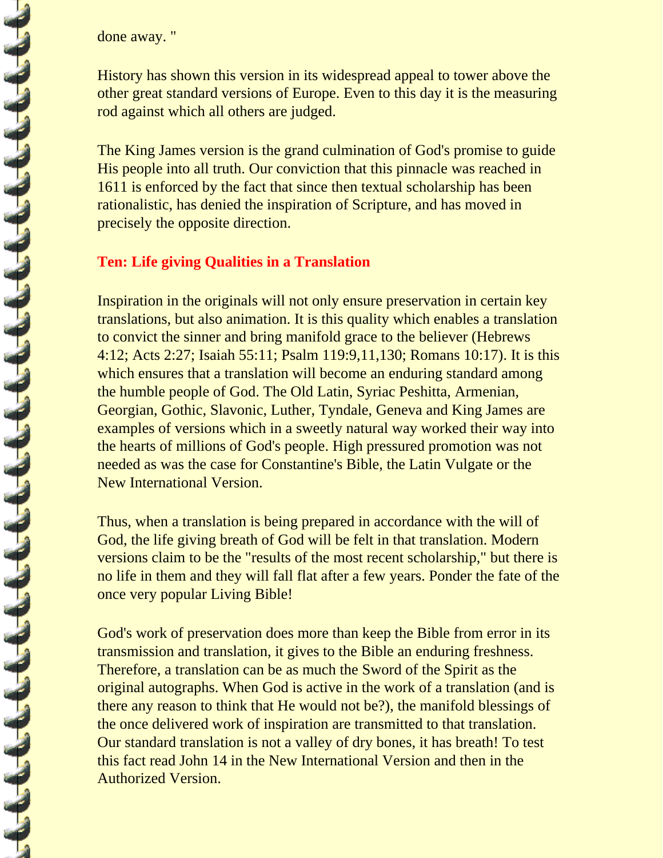done away. "

History has shown this version in its widespread appeal to tower above the other great standard versions of Europe. Even to this day it is the measuring rod against which all others are judged.

The King James version is the grand culmination of God's promise to guide His people into all truth. Our conviction that this pinnacle was reached in 1611 is enforced by the fact that since then textual scholarship has been rationalistic, has denied the inspiration of Scripture, and has moved in precisely the opposite direction.

## **Ten: Life giving Qualities in a Translation**

Inspiration in the originals will not only ensure preservation in certain key translations, but also animation. It is this quality which enables a translation to convict the sinner and bring manifold grace to the believer (Hebrews 4:12; Acts 2:27; Isaiah 55:11; Psalm 119:9,11,130; Romans 10:17). It is this which ensures that a translation will become an enduring standard among the humble people of God. The Old Latin, Syriac Peshitta, Armenian, Georgian, Gothic, Slavonic, Luther, Tyndale, Geneva and King James are examples of versions which in a sweetly natural way worked their way into the hearts of millions of God's people. High pressured promotion was not needed as was the case for Constantine's Bible, the Latin Vulgate or the New International Version.

Thus, when a translation is being prepared in accordance with the will of God, the life giving breath of God will be felt in that translation. Modern versions claim to be the "results of the most recent scholarship," but there is no life in them and they will fall flat after a few years. Ponder the fate of the once very popular Living Bible!

God's work of preservation does more than keep the Bible from error in its transmission and translation, it gives to the Bible an enduring freshness. Therefore, a translation can be as much the Sword of the Spirit as the original autographs. When God is active in the work of a translation (and is there any reason to think that He would not be?), the manifold blessings of the once delivered work of inspiration are transmitted to that translation. Our standard translation is not a valley of dry bones, it has breath! To test this fact read John 14 in the New International Version and then in the Authorized Version.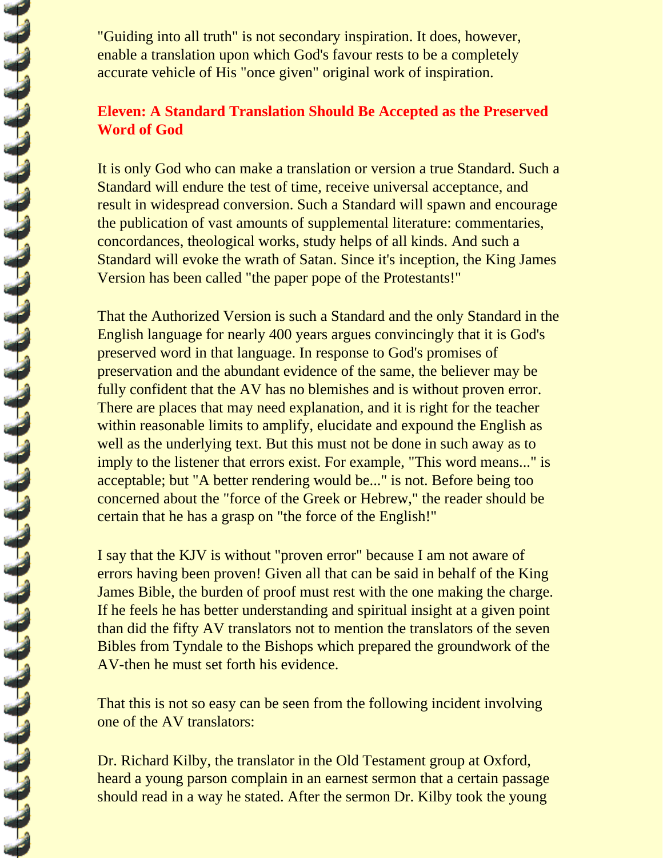"Guiding into all truth" is not secondary inspiration. It does, however, enable a translation upon which God's favour rests to be a completely accurate vehicle of His "once given" original work of inspiration.

# **Eleven: A Standard Translation Should Be Accepted as the Preserved Word of God**

It is only God who can make a translation or version a true Standard. Such a Standard will endure the test of time, receive universal acceptance, and result in widespread conversion. Such a Standard will spawn and encourage the publication of vast amounts of supplemental literature: commentaries, concordances, theological works, study helps of all kinds. And such a Standard will evoke the wrath of Satan. Since it's inception, the King James Version has been called "the paper pope of the Protestants!"

That the Authorized Version is such a Standard and the only Standard in the English language for nearly 400 years argues convincingly that it is God's preserved word in that language. In response to God's promises of preservation and the abundant evidence of the same, the believer may be fully confident that the AV has no blemishes and is without proven error. There are places that may need explanation, and it is right for the teacher within reasonable limits to amplify, elucidate and expound the English as well as the underlying text. But this must not be done in such away as to imply to the listener that errors exist. For example, "This word means..." is acceptable; but "A better rendering would be..." is not. Before being too concerned about the "force of the Greek or Hebrew," the reader should be certain that he has a grasp on "the force of the English!"

I say that the KJV is without "proven error" because I am not aware of errors having been proven! Given all that can be said in behalf of the King James Bible, the burden of proof must rest with the one making the charge. If he feels he has better understanding and spiritual insight at a given point than did the fifty AV translators not to mention the translators of the seven Bibles from Tyndale to the Bishops which prepared the groundwork of the AV-then he must set forth his evidence.

That this is not so easy can be seen from the following incident involving one of the AV translators:

Dr. Richard Kilby, the translator in the Old Testament group at Oxford, heard a young parson complain in an earnest sermon that a certain passage should read in a way he stated. After the sermon Dr. Kilby took the young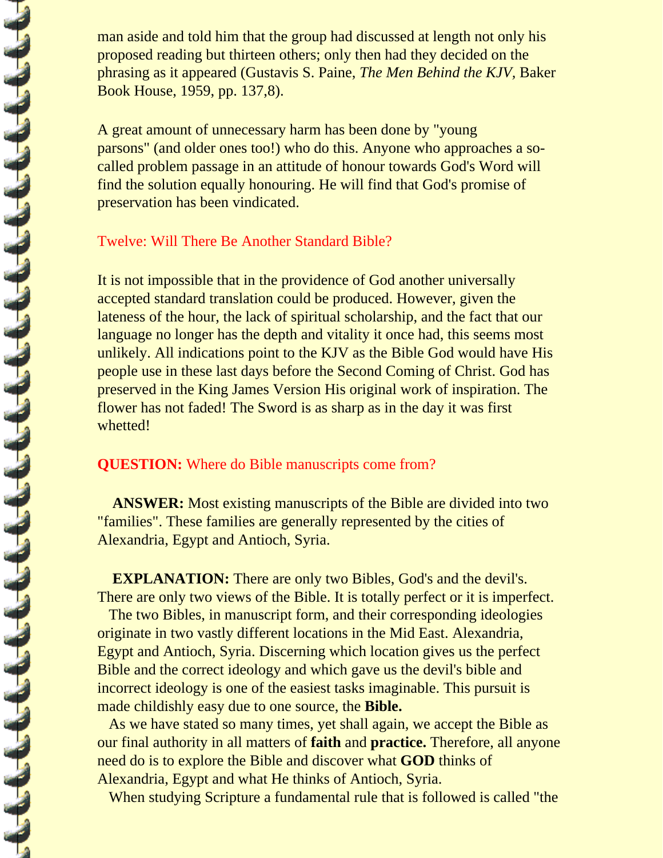man aside and told him that the group had discussed at length not only his proposed reading but thirteen others; only then had they decided on the phrasing as it appeared (Gustavis S. Paine, *The Men Behind the KJV,* Baker Book House, 1959, pp. 137,8).

A great amount of unnecessary harm has been done by "young parsons" (and older ones too!) who do this. Anyone who approaches a socalled problem passage in an attitude of honour towards God's Word will find the solution equally honouring. He will find that God's promise of preservation has been vindicated.

## Twelve: Will There Be Another Standard Bible?

It is not impossible that in the providence of God another universally accepted standard translation could be produced. However, given the lateness of the hour, the lack of spiritual scholarship, and the fact that our language no longer has the depth and vitality it once had, this seems most unlikely. All indications point to the KJV as the Bible God would have His people use in these last days before the Second Coming of Christ. God has preserved in the King James Version His original work of inspiration. The flower has not faded! The Sword is as sharp as in the day it was first whetted!

## **QUESTION:** Where do Bible manuscripts come from?

 **ANSWER:** Most existing manuscripts of the Bible are divided into two "families". These families are generally represented by the cities of Alexandria, Egypt and Antioch, Syria.

**EXPLANATION:** There are only two Bibles, God's and the devil's. There are only two views of the Bible. It is totally perfect or it is imperfect.

 The two Bibles, in manuscript form, and their corresponding ideologies originate in two vastly different locations in the Mid East. Alexandria, Egypt and Antioch, Syria. Discerning which location gives us the perfect Bible and the correct ideology and which gave us the devil's bible and incorrect ideology is one of the easiest tasks imaginable. This pursuit is made childishly easy due to one source, the **Bible.**

 As we have stated so many times, yet shall again, we accept the Bible as our final authority in all matters of **faith** and **practice.** Therefore, all anyone need do is to explore the Bible and discover what **GOD** thinks of Alexandria, Egypt and what He thinks of Antioch, Syria.

When studying Scripture a fundamental rule that is followed is called "the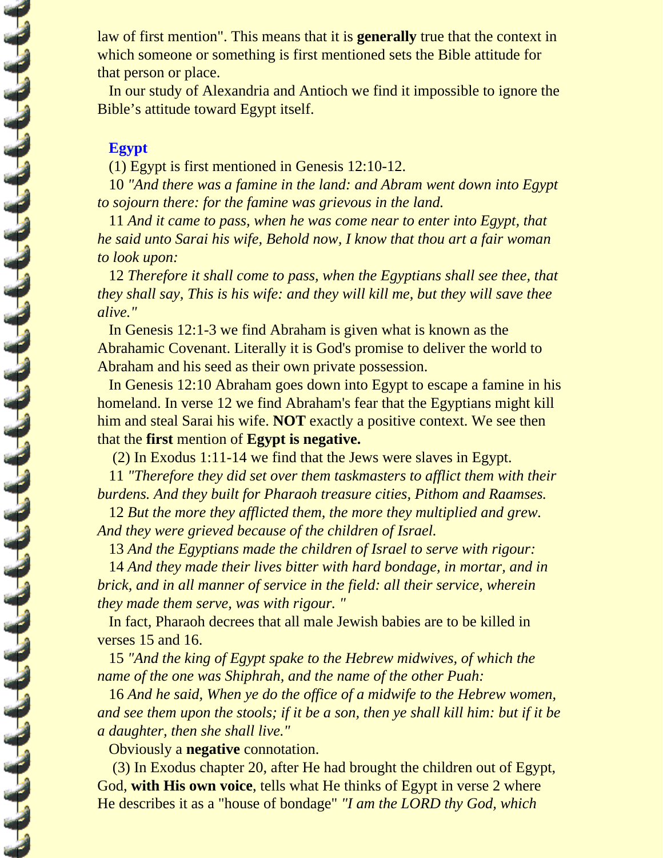law of first mention". This means that it is **generally** true that the context in which someone or something is first mentioned sets the Bible attitude for that person or place.

 In our study of Alexandria and Antioch we find it impossible to ignore the Bible's attitude toward Egypt itself.

## **Egypt**

(1) Egypt is first mentioned in Genesis 12:10-12.

 10 *"And there was a famine in the land: and Abram went down into Egypt to sojourn there: for the famine was grievous in the land.*

11 *And it came to pass, when he was come near to enter into Egypt, that he said unto Sarai his wife, Behold now, I know that thou art a fair woman to look upon:*

12 *Therefore it shall come to pass, when the Egyptians shall see thee, that they shall say, This is his wife: and they will kill me, but they will save thee alive."*

 In Genesis 12:1-3 we find Abraham is given what is known as the Abrahamic Covenant. Literally it is God's promise to deliver the world to Abraham and his seed as their own private possession.

 In Genesis 12:10 Abraham goes down into Egypt to escape a famine in his homeland. In verse 12 we find Abraham's fear that the Egyptians might kill him and steal Sarai his wife. **NOT** exactly a positive context. We see then that the **first** mention of **Egypt is negative.**

(2) In Exodus 1:11-14 we find that the Jews were slaves in Egypt.

 11 *"Therefore they did set over them taskmasters to afflict them with their burdens. And they built for Pharaoh treasure cities, Pithom and Raamses.*

12 *But the more they afflicted them, the more they multiplied and grew. And they were grieved because of the children of Israel.*

13 *And the Egyptians made the children of Israel to serve with rigour:*

14 *And they made their lives bitter with hard bondage, in mortar, and in brick, and in all manner of service in the field: all their service, wherein they made them serve, was with rigour. "*

 In fact, Pharaoh decrees that all male Jewish babies are to be killed in verses 15 and 16.

 15 *"And the king of Egypt spake to the Hebrew midwives, of which the name of the one was Shiphrah, and the name of the other Puah:*

16 *And he said, When ye do the office of a midwife to the Hebrew women, and see them upon the stools; if it be a son, then ye shall kill him: but if it be a daughter, then she shall live."*

Obviously a **negative** connotation.

 (3) In Exodus chapter 20, after He had brought the children out of Egypt, God, **with His own voice**, tells what He thinks of Egypt in verse 2 where He describes it as a "house of bondage" *"I am the LORD thy God, which*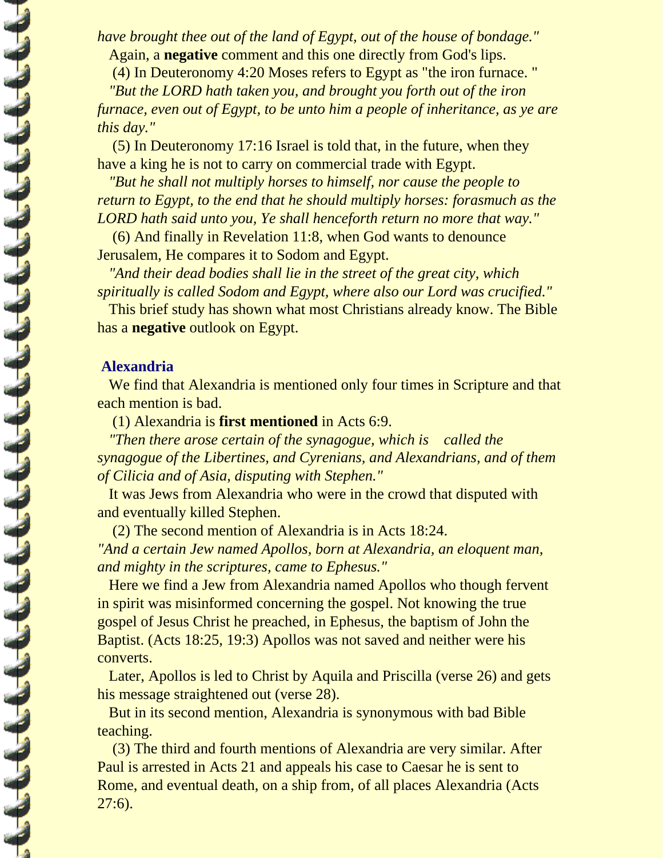*have brought thee out of the land of Egypt, out of the house of bondage."* Again, a **negative** comment and this one directly from God's lips.

 (4) In Deuteronomy 4:20 Moses refers to Egypt as "the iron furnace. " *"But the LORD hath taken you, and brought you forth out of the iron furnace, even out of Egypt, to be unto him a people of inheritance, as ye are this day."*

 (5) In Deuteronomy 17:16 Israel is told that, in the future, when they have a king he is not to carry on commercial trade with Egypt.

 *"But he shall not multiply horses to himself, nor cause the people to return to Egypt, to the end that he should multiply horses: forasmuch as the LORD hath said unto you, Ye shall henceforth return no more that way."*

 (6) And finally in Revelation 11:8, when God wants to denounce Jerusalem, He compares it to Sodom and Egypt.

 *"And their dead bodies shall lie in the street of the great city, which spiritually is called Sodom and Egypt, where also our Lord was crucified."*

 This brief study has shown what most Christians already know. The Bible has a **negative** outlook on Egypt.

## **Alexandria**

 We find that Alexandria is mentioned only four times in Scripture and that each mention is bad.

(1) Alexandria is **first mentioned** in Acts 6:9.

 *"Then there arose certain of the synagogue, which is called the synagogue of the Libertines, and Cyrenians, and Alexandrians, and of them of Cilicia and of Asia, disputing with Stephen."*

 It was Jews from Alexandria who were in the crowd that disputed with and eventually killed Stephen.

 (2) The second mention of Alexandria is in Acts 18:24. *"And a certain Jew named Apollos, born at Alexandria, an eloquent man, and mighty in the scriptures, came to Ephesus."*

 Here we find a Jew from Alexandria named Apollos who though fervent in spirit was misinformed concerning the gospel. Not knowing the true gospel of Jesus Christ he preached, in Ephesus, the baptism of John the Baptist. (Acts 18:25, 19:3) Apollos was not saved and neither were his converts.

 Later, Apollos is led to Christ by Aquila and Priscilla (verse 26) and gets his message straightened out (verse 28).

 But in its second mention, Alexandria is synonymous with bad Bible teaching.

 (3) The third and fourth mentions of Alexandria are very similar. After Paul is arrested in Acts 21 and appeals his case to Caesar he is sent to Rome, and eventual death, on a ship from, of all places Alexandria (Acts 27:6).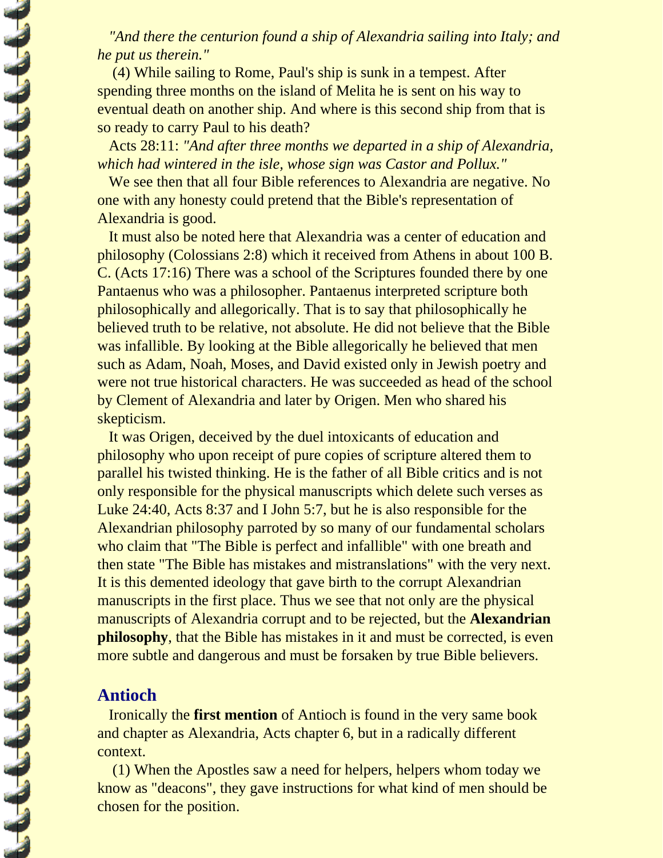*"And there the centurion found a ship of Alexandria sailing into Italy; and he put us therein."*

 (4) While sailing to Rome, Paul's ship is sunk in a tempest. After spending three months on the island of Melita he is sent on his way to eventual death on another ship. And where is this second ship from that is so ready to carry Paul to his death?

 Acts 28:11: *"And after three months we departed in a ship of Alexandria, which had wintered in the isle, whose sign was Castor and Pollux."*

 We see then that all four Bible references to Alexandria are negative. No one with any honesty could pretend that the Bible's representation of Alexandria is good.

 It must also be noted here that Alexandria was a center of education and philosophy (Colossians 2:8) which it received from Athens in about 100 B. C. (Acts 17:16) There was a school of the Scriptures founded there by one Pantaenus who was a philosopher. Pantaenus interpreted scripture both philosophically and allegorically. That is to say that philosophically he believed truth to be relative, not absolute. He did not believe that the Bible was infallible. By looking at the Bible allegorically he believed that men such as Adam, Noah, Moses, and David existed only in Jewish poetry and were not true historical characters. He was succeeded as head of the school by Clement of Alexandria and later by Origen. Men who shared his skepticism.

 It was Origen, deceived by the duel intoxicants of education and philosophy who upon receipt of pure copies of scripture altered them to parallel his twisted thinking. He is the father of all Bible critics and is not only responsible for the physical manuscripts which delete such verses as Luke 24:40, Acts 8:37 and I John 5:7, but he is also responsible for the Alexandrian philosophy parroted by so many of our fundamental scholars who claim that "The Bible is perfect and infallible" with one breath and then state "The Bible has mistakes and mistranslations" with the very next. It is this demented ideology that gave birth to the corrupt Alexandrian manuscripts in the first place. Thus we see that not only are the physical manuscripts of Alexandria corrupt and to be rejected, but the **Alexandrian philosophy**, that the Bible has mistakes in it and must be corrected, is even more subtle and dangerous and must be forsaken by true Bible believers.

# **Antioch**

 Ironically the **first mention** of Antioch is found in the very same book and chapter as Alexandria, Acts chapter 6, but in a radically different context.

 (1) When the Apostles saw a need for helpers, helpers whom today we know as "deacons", they gave instructions for what kind of men should be chosen for the position.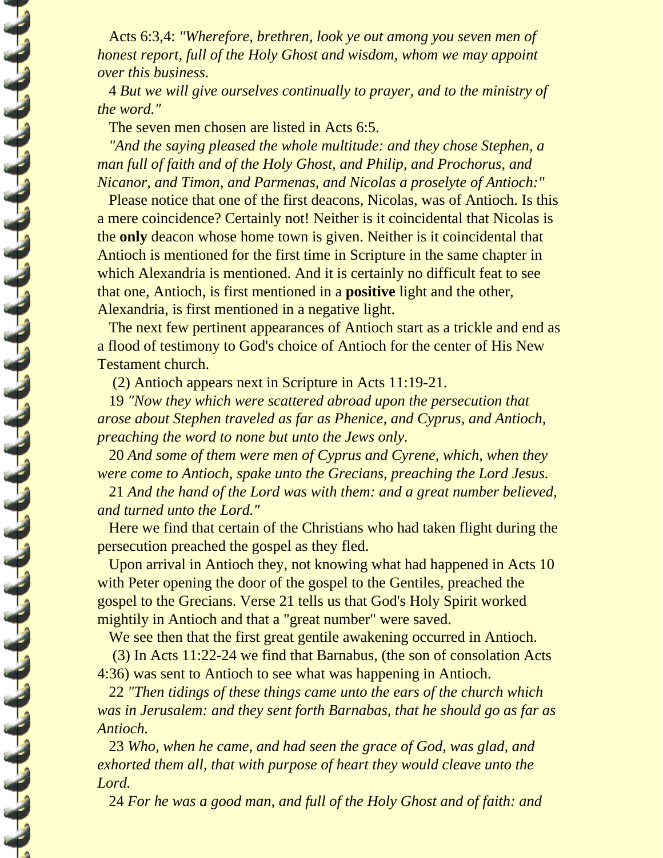Acts 6:3,4: *"Wherefore, brethren, look ye out among you seven men of honest report, full of the Holy Ghost and wisdom, whom we may appoint over this business.*

4 *But we will give ourselves continually to prayer, and to the ministry of the word."*

The seven men chosen are listed in Acts 6:5.

 *"And the saying pleased the whole multitude: and they chose Stephen, a man full of faith and of the Holy Ghost, and Philip, and Prochorus, and Nicanor, and Timon, and Parmenas, and Nicolas a proselyte of Antioch:"*

 Please notice that one of the first deacons, Nicolas, was of Antioch. Is this a mere coincidence? Certainly not! Neither is it coincidental that Nicolas is the **only** deacon whose home town is given. Neither is it coincidental that Antioch is mentioned for the first time in Scripture in the same chapter in which Alexandria is mentioned. And it is certainly no difficult feat to see that one, Antioch, is first mentioned in a **positive** light and the other, Alexandria, is first mentioned in a negative light.

 The next few pertinent appearances of Antioch start as a trickle and end as a flood of testimony to God's choice of Antioch for the center of His New Testament church.

(2) Antioch appears next in Scripture in Acts 11:19-21.

 19 *"Now they which were scattered abroad upon the persecution that arose about Stephen traveled as far as Phenice, and Cyprus, and Antioch, preaching the word to none but unto the Jews only.*

20 *And some of them were men of Cyprus and Cyrene, which, when they were come to Antioch, spake unto the Grecians, preaching the Lord Jesus.*

21 *And the hand of the Lord was with them: and a great number believed, and turned unto the Lord."*

 Here we find that certain of the Christians who had taken flight during the persecution preached the gospel as they fled.

 Upon arrival in Antioch they, not knowing what had happened in Acts 10 with Peter opening the door of the gospel to the Gentiles, preached the gospel to the Grecians. Verse 21 tells us that God's Holy Spirit worked mightily in Antioch and that a "great number" were saved.

We see then that the first great gentile awakening occurred in Antioch.

 (3) In Acts 11:22-24 we find that Barnabus, (the son of consolation Acts 4:36) was sent to Antioch to see what was happening in Antioch.

 22 *"Then tidings of these things came unto the ears of the church which was in Jerusalem: and they sent forth Barnabas, that he should go as far as Antioch.*

23 *Who, when he came, and had seen the grace of God, was glad, and exhorted them all, that with purpose of heart they would cleave unto the Lord.*

24 *For he was a good man, and full of the Holy Ghost and of faith: and*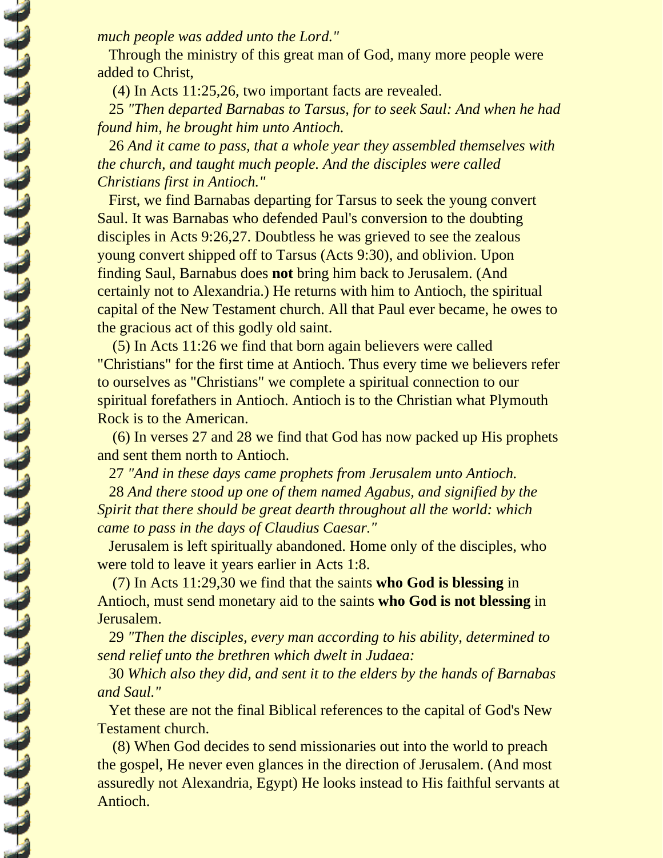*much people was added unto the Lord."*

 Through the ministry of this great man of God, many more people were added to Christ,

(4) In Acts 11:25,26, two important facts are revealed.

 25 *"Then departed Barnabas to Tarsus, for to seek Saul: And when he had found him, he brought him unto Antioch.*

26 *And it came to pass, that a whole year they assembled themselves with the church, and taught much people. And the disciples were called Christians first in Antioch."*

 First, we find Barnabas departing for Tarsus to seek the young convert Saul. It was Barnabas who defended Paul's conversion to the doubting disciples in Acts 9:26,27. Doubtless he was grieved to see the zealous young convert shipped off to Tarsus (Acts 9:30), and oblivion. Upon finding Saul, Barnabus does **not** bring him back to Jerusalem. (And certainly not to Alexandria.) He returns with him to Antioch, the spiritual capital of the New Testament church. All that Paul ever became, he owes to the gracious act of this godly old saint.

 (5) In Acts 11:26 we find that born again believers were called "Christians" for the first time at Antioch. Thus every time we believers refer to ourselves as "Christians" we complete a spiritual connection to our spiritual forefathers in Antioch. Antioch is to the Christian what Plymouth Rock is to the American.

 (6) In verses 27 and 28 we find that God has now packed up His prophets and sent them north to Antioch.

 27 *"And in these days came prophets from Jerusalem unto Antioch.* 28 *And there stood up one of them named Agabus, and signified by the Spirit that there should be great dearth throughout all the world: which came to pass in the days of Claudius Caesar."*

 Jerusalem is left spiritually abandoned. Home only of the disciples, who were told to leave it years earlier in Acts 1:8.

 (7) In Acts 11:29,30 we find that the saints **who God is blessing** in Antioch, must send monetary aid to the saints **who God is not blessing** in Jerusalem.

 29 *"Then the disciples, every man according to his ability, determined to send relief unto the brethren which dwelt in Judaea:*

30 *Which also they did, and sent it to the elders by the hands of Barnabas and Saul."*

 Yet these are not the final Biblical references to the capital of God's New Testament church.

 (8) When God decides to send missionaries out into the world to preach the gospel, He never even glances in the direction of Jerusalem. (And most assuredly not Alexandria, Egypt) He looks instead to His faithful servants at Antioch.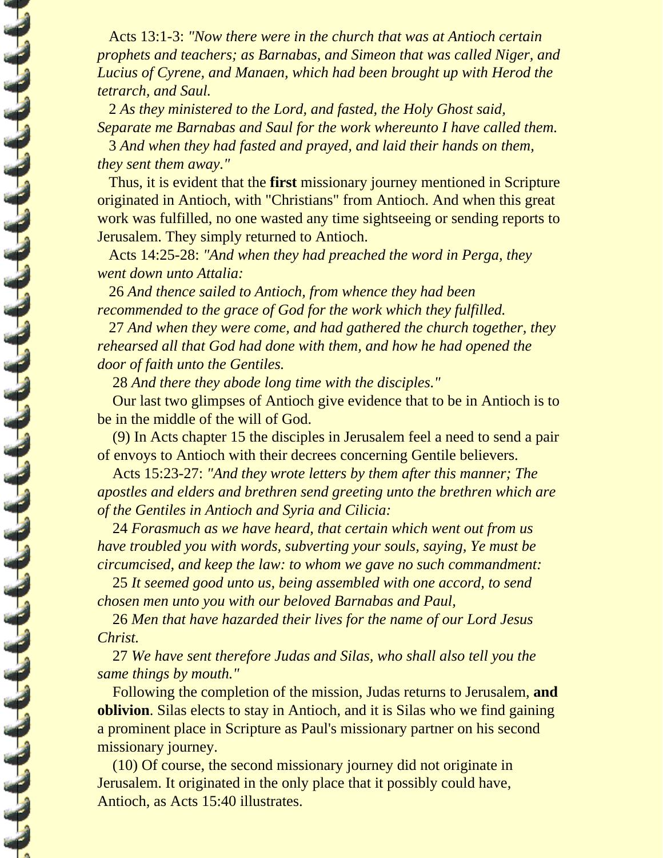Acts 13:1-3: *"Now there were in the church that was at Antioch certain prophets and teachers; as Barnabas, and Simeon that was called Niger, and Lucius of Cyrene, and Manaen, which had been brought up with Herod the tetrarch, and Saul.*

2 *As they ministered to the Lord, and fasted, the Holy Ghost said, Separate me Barnabas and Saul for the work whereunto I have called them.*

3 *And when they had fasted and prayed, and laid their hands on them, they sent them away."*

 Thus, it is evident that the **first** missionary journey mentioned in Scripture originated in Antioch, with "Christians" from Antioch. And when this great work was fulfilled, no one wasted any time sightseeing or sending reports to Jerusalem. They simply returned to Antioch.

 Acts 14:25-28: *"And when they had preached the word in Perga, they went down unto Attalia:*

26 *And thence sailed to Antioch, from whence they had been recommended to the grace of God for the work which they fulfilled.*

27 *And when they were come, and had gathered the church together, they rehearsed all that God had done with them, and how he had opened the door of faith unto the Gentiles.* 

28 *And there they abode long time with the disciples."*

 Our last two glimpses of Antioch give evidence that to be in Antioch is to be in the middle of the will of God.

 (9) In Acts chapter 15 the disciples in Jerusalem feel a need to send a pair of envoys to Antioch with their decrees concerning Gentile believers.

 Acts 15:23-27: *"And they wrote letters by them after this manner; The apostles and elders and brethren send greeting unto the brethren which are of the Gentiles in Antioch and Syria and Cilicia:*

24 *Forasmuch as we have heard, that certain which went out from us have troubled you with words, subverting your souls, saying, Ye must be circumcised, and keep the law: to whom we gave no such commandment:*

25 *It seemed good unto us, being assembled with one accord, to send chosen men unto you with our beloved Barnabas and Paul,*

26 *Men that have hazarded their lives for the name of our Lord Jesus Christ.*

27 *We have sent therefore Judas and Silas, who shall also tell you the same things by mouth."*

 Following the completion of the mission, Judas returns to Jerusalem, **and oblivion**. Silas elects to stay in Antioch, and it is Silas who we find gaining a prominent place in Scripture as Paul's missionary partner on his second missionary journey.

 (10) Of course, the second missionary journey did not originate in Jerusalem. It originated in the only place that it possibly could have, Antioch, as Acts 15:40 illustrates.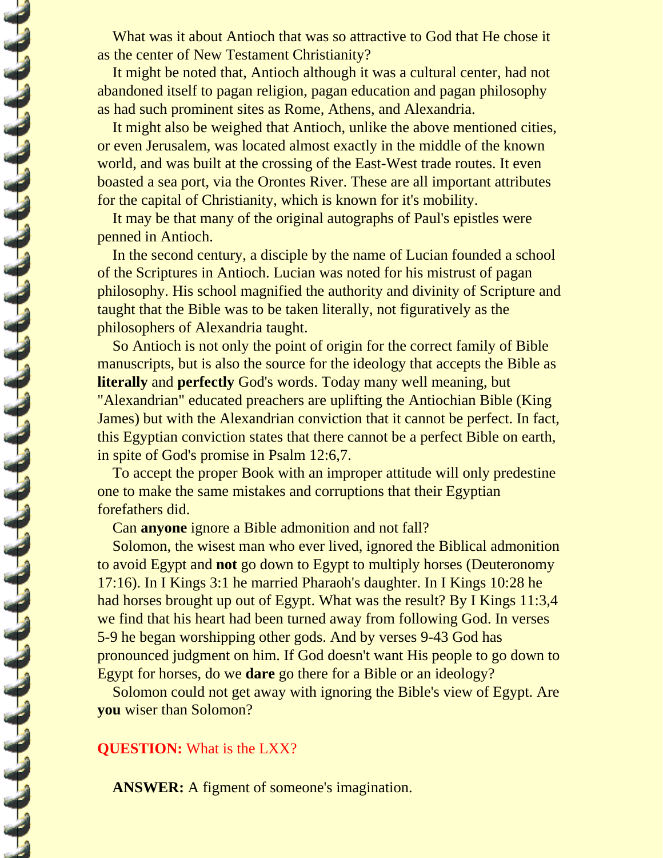What was it about Antioch that was so attractive to God that He chose it as the center of New Testament Christianity?

 It might be noted that, Antioch although it was a cultural center, had not abandoned itself to pagan religion, pagan education and pagan philosophy as had such prominent sites as Rome, Athens, and Alexandria.

 It might also be weighed that Antioch, unlike the above mentioned cities, or even Jerusalem, was located almost exactly in the middle of the known world, and was built at the crossing of the East-West trade routes. It even boasted a sea port, via the Orontes River. These are all important attributes for the capital of Christianity, which is known for it's mobility.

 It may be that many of the original autographs of Paul's epistles were penned in Antioch.

 In the second century, a disciple by the name of Lucian founded a school of the Scriptures in Antioch. Lucian was noted for his mistrust of pagan philosophy. His school magnified the authority and divinity of Scripture and taught that the Bible was to be taken literally, not figuratively as the philosophers of Alexandria taught.

 So Antioch is not only the point of origin for the correct family of Bible manuscripts, but is also the source for the ideology that accepts the Bible as **literally** and **perfectly** God's words. Today many well meaning, but "Alexandrian" educated preachers are uplifting the Antiochian Bible (King James) but with the Alexandrian conviction that it cannot be perfect. In fact, this Egyptian conviction states that there cannot be a perfect Bible on earth, in spite of God's promise in Psalm 12:6,7.

 To accept the proper Book with an improper attitude will only predestine one to make the same mistakes and corruptions that their Egyptian forefathers did.

Can **anyone** ignore a Bible admonition and not fall?

 Solomon, the wisest man who ever lived, ignored the Biblical admonition to avoid Egypt and **not** go down to Egypt to multiply horses (Deuteronomy 17:16). In I Kings 3:1 he married Pharaoh's daughter. In I Kings 10:28 he had horses brought up out of Egypt. What was the result? By I Kings 11:3,4 we find that his heart had been turned away from following God. In verses 5-9 he began worshipping other gods. And by verses 9-43 God has pronounced judgment on him. If God doesn't want His people to go down to Egypt for horses, do we **dare** go there for a Bible or an ideology?

 Solomon could not get away with ignoring the Bible's view of Egypt. Are **you** wiser than Solomon?

## **QUESTION:** What is the LXX?

**ANSWER:** A figment of someone's imagination.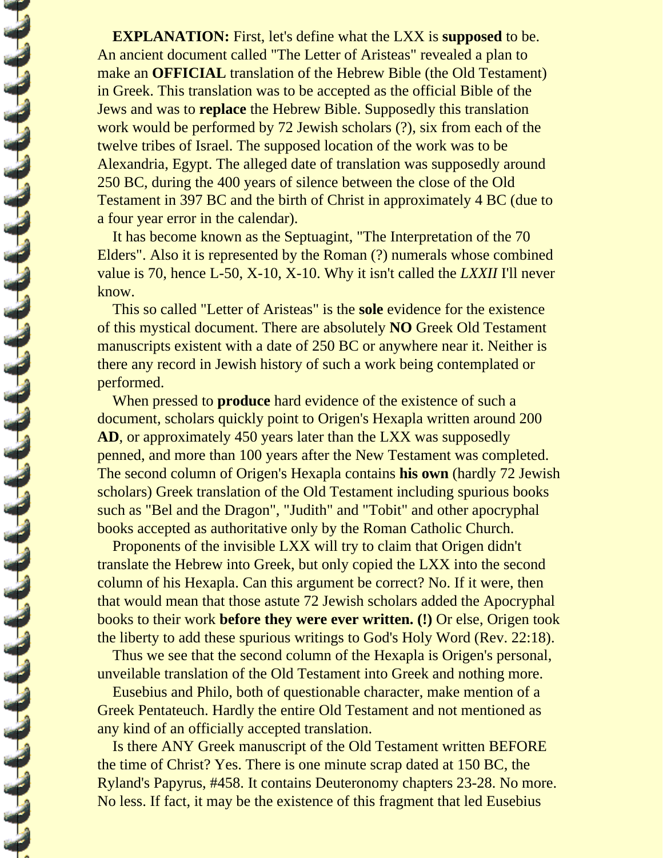**EXPLANATION:** First, let's define what the LXX is **supposed** to be. An ancient document called "The Letter of Aristeas" revealed a plan to make an **OFFICIAL** translation of the Hebrew Bible (the Old Testament) in Greek. This translation was to be accepted as the official Bible of the Jews and was to **replace** the Hebrew Bible. Supposedly this translation work would be performed by 72 Jewish scholars (?), six from each of the twelve tribes of Israel. The supposed location of the work was to be Alexandria, Egypt. The alleged date of translation was supposedly around 250 BC, during the 400 years of silence between the close of the Old Testament in 397 BC and the birth of Christ in approximately 4 BC (due to a four year error in the calendar).

 It has become known as the Septuagint, "The Interpretation of the 70 Elders". Also it is represented by the Roman (?) numerals whose combined value is 70, hence L-50, X-10, X-10. Why it isn't called the *LXXII* I'll never know.

 This so called "Letter of Aristeas" is the **sole** evidence for the existence of this mystical document. There are absolutely **NO** Greek Old Testament manuscripts existent with a date of 250 BC or anywhere near it. Neither is there any record in Jewish history of such a work being contemplated or performed.

 When pressed to **produce** hard evidence of the existence of such a document, scholars quickly point to Origen's Hexapla written around 200 **AD**, or approximately 450 years later than the LXX was supposedly penned, and more than 100 years after the New Testament was completed. The second column of Origen's Hexapla contains **his own** (hardly 72 Jewish scholars) Greek translation of the Old Testament including spurious books such as "Bel and the Dragon", "Judith" and "Tobit" and other apocryphal books accepted as authoritative only by the Roman Catholic Church.

 Proponents of the invisible LXX will try to claim that Origen didn't translate the Hebrew into Greek, but only copied the LXX into the second column of his Hexapla. Can this argument be correct? No. If it were, then that would mean that those astute 72 Jewish scholars added the Apocryphal books to their work **before they were ever written. (!)** Or else, Origen took the liberty to add these spurious writings to God's Holy Word (Rev. 22:18).

 Thus we see that the second column of the Hexapla is Origen's personal, unveilable translation of the Old Testament into Greek and nothing more.

 Eusebius and Philo, both of questionable character, make mention of a Greek Pentateuch. Hardly the entire Old Testament and not mentioned as any kind of an officially accepted translation.

 Is there ANY Greek manuscript of the Old Testament written BEFORE the time of Christ? Yes. There is one minute scrap dated at 150 BC, the Ryland's Papyrus, #458. It contains Deuteronomy chapters 23-28. No more. No less. If fact, it may be the existence of this fragment that led Eusebius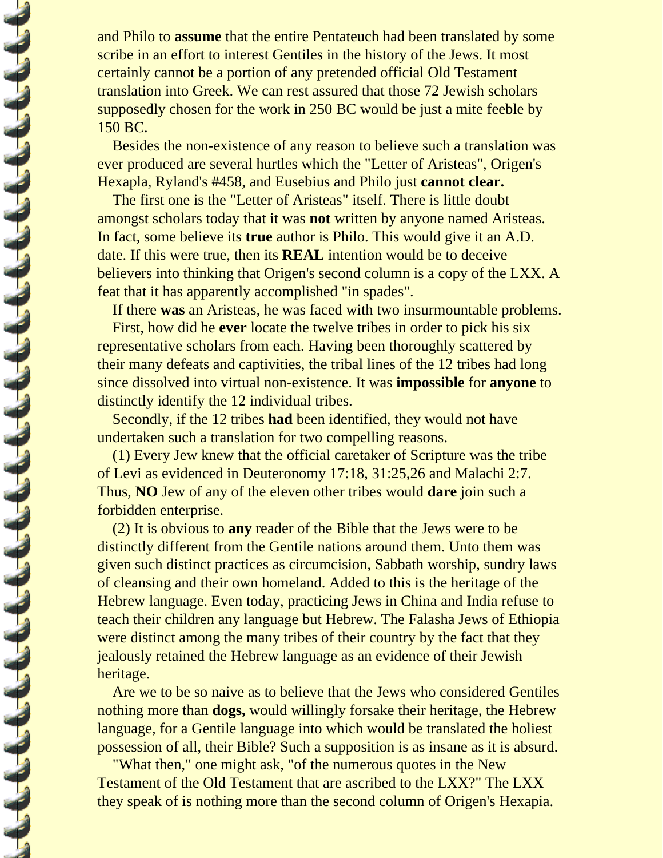and Philo to **assume** that the entire Pentateuch had been translated by some scribe in an effort to interest Gentiles in the history of the Jews. It most certainly cannot be a portion of any pretended official Old Testament translation into Greek. We can rest assured that those 72 Jewish scholars supposedly chosen for the work in 250 BC would be just a mite feeble by 150 BC.

 Besides the non-existence of any reason to believe such a translation was ever produced are several hurtles which the "Letter of Aristeas", Origen's Hexapla, Ryland's #458, and Eusebius and Philo just **cannot clear.**

 The first one is the "Letter of Aristeas" itself. There is little doubt amongst scholars today that it was **not** written by anyone named Aristeas. In fact, some believe its **true** author is Philo. This would give it an A.D. date. If this were true, then its **REAL** intention would be to deceive believers into thinking that Origen's second column is a copy of the LXX. A feat that it has apparently accomplished "in spades".

If there **was** an Aristeas, he was faced with two insurmountable problems.

 First, how did he **ever** locate the twelve tribes in order to pick his six representative scholars from each. Having been thoroughly scattered by their many defeats and captivities, the tribal lines of the 12 tribes had long since dissolved into virtual non-existence. It was **impossible** for **anyone** to distinctly identify the 12 individual tribes.

 Secondly, if the 12 tribes **had** been identified, they would not have undertaken such a translation for two compelling reasons.

 (1) Every Jew knew that the official caretaker of Scripture was the tribe of Levi as evidenced in Deuteronomy 17:18, 31:25,26 and Malachi 2:7. Thus, **NO** Jew of any of the eleven other tribes would **dare** join such a forbidden enterprise.

 (2) It is obvious to **any** reader of the Bible that the Jews were to be distinctly different from the Gentile nations around them. Unto them was given such distinct practices as circumcision, Sabbath worship, sundry laws of cleansing and their own homeland. Added to this is the heritage of the Hebrew language. Even today, practicing Jews in China and India refuse to teach their children any language but Hebrew. The Falasha Jews of Ethiopia were distinct among the many tribes of their country by the fact that they jealously retained the Hebrew language as an evidence of their Jewish heritage.

 Are we to be so naive as to believe that the Jews who considered Gentiles nothing more than **dogs,** would willingly forsake their heritage, the Hebrew language, for a Gentile language into which would be translated the holiest possession of all, their Bible? Such a supposition is as insane as it is absurd.

 "What then," one might ask, "of the numerous quotes in the New Testament of the Old Testament that are ascribed to the LXX?" The LXX they speak of is nothing more than the second column of Origen's Hexapia.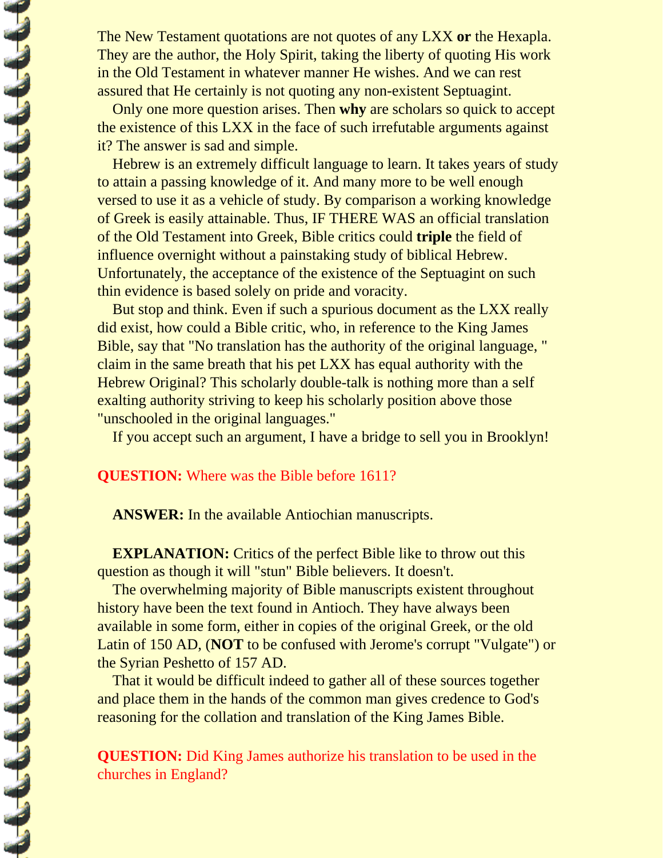The New Testament quotations are not quotes of any LXX **or** the Hexapla. They are the author, the Holy Spirit, taking the liberty of quoting His work in the Old Testament in whatever manner He wishes. And we can rest assured that He certainly is not quoting any non-existent Septuagint.

 Only one more question arises. Then **why** are scholars so quick to accept the existence of this LXX in the face of such irrefutable arguments against it? The answer is sad and simple.

 Hebrew is an extremely difficult language to learn. It takes years of study to attain a passing knowledge of it. And many more to be well enough versed to use it as a vehicle of study. By comparison a working knowledge of Greek is easily attainable. Thus, IF THERE WAS an official translation of the Old Testament into Greek, Bible critics could **triple** the field of influence overnight without a painstaking study of biblical Hebrew. Unfortunately, the acceptance of the existence of the Septuagint on such thin evidence is based solely on pride and voracity.

 But stop and think. Even if such a spurious document as the LXX really did exist, how could a Bible critic, who, in reference to the King James Bible, say that "No translation has the authority of the original language, " claim in the same breath that his pet LXX has equal authority with the Hebrew Original? This scholarly double-talk is nothing more than a self exalting authority striving to keep his scholarly position above those "unschooled in the original languages."

If you accept such an argument, I have a bridge to sell you in Brooklyn!

#### **QUESTION:** Where was the Bible before 1611?

**ANSWER:** In the available Antiochian manuscripts.

**EXPLANATION:** Critics of the perfect Bible like to throw out this question as though it will "stun" Bible believers. It doesn't.

 The overwhelming majority of Bible manuscripts existent throughout history have been the text found in Antioch. They have always been available in some form, either in copies of the original Greek, or the old Latin of 150 AD, (**NOT** to be confused with Jerome's corrupt "Vulgate") or the Syrian Peshetto of 157 AD.

 That it would be difficult indeed to gather all of these sources together and place them in the hands of the common man gives credence to God's reasoning for the collation and translation of the King James Bible.

**QUESTION:** Did King James authorize his translation to be used in the churches in England?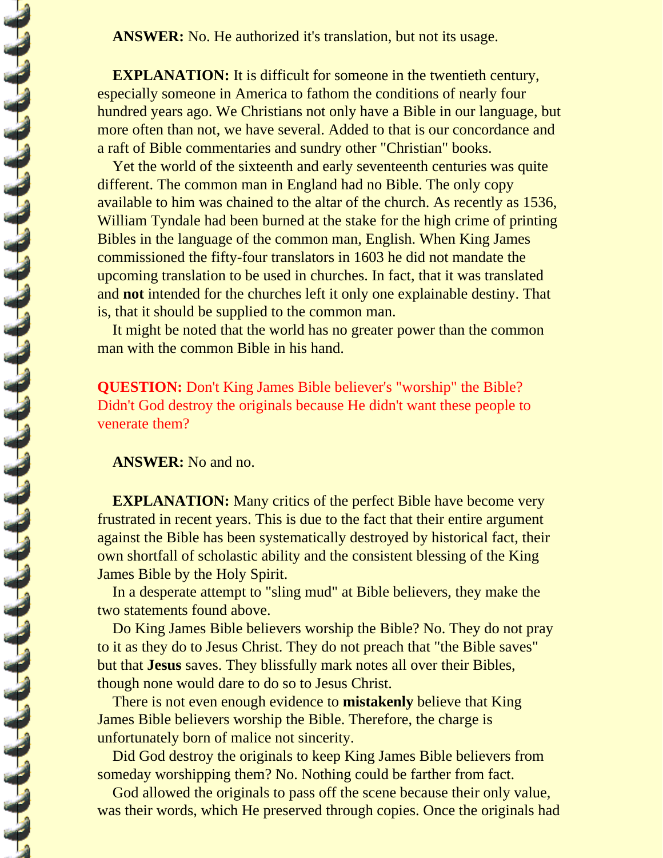**ANSWER:** No. He authorized it's translation, but not its usage.

**EXPLANATION:** It is difficult for someone in the twentieth century, especially someone in America to fathom the conditions of nearly four hundred years ago. We Christians not only have a Bible in our language, but more often than not, we have several. Added to that is our concordance and a raft of Bible commentaries and sundry other "Christian" books.

 Yet the world of the sixteenth and early seventeenth centuries was quite different. The common man in England had no Bible. The only copy available to him was chained to the altar of the church. As recently as 1536, William Tyndale had been burned at the stake for the high crime of printing Bibles in the language of the common man, English. When King James commissioned the fifty-four translators in 1603 he did not mandate the upcoming translation to be used in churches. In fact, that it was translated and **not** intended for the churches left it only one explainable destiny. That is, that it should be supplied to the common man.

 It might be noted that the world has no greater power than the common man with the common Bible in his hand.

**QUESTION:** Don't King James Bible believer's "worship" the Bible? Didn't God destroy the originals because He didn't want these people to venerate them?

**ANSWER:** No and no.

 **EXPLANATION:** Many critics of the perfect Bible have become very frustrated in recent years. This is due to the fact that their entire argument against the Bible has been systematically destroyed by historical fact, their own shortfall of scholastic ability and the consistent blessing of the King James Bible by the Holy Spirit.

 In a desperate attempt to "sling mud" at Bible believers, they make the two statements found above.

 Do King James Bible believers worship the Bible? No. They do not pray to it as they do to Jesus Christ. They do not preach that "the Bible saves" but that **Jesus** saves. They blissfully mark notes all over their Bibles, though none would dare to do so to Jesus Christ.

 There is not even enough evidence to **mistakenly** believe that King James Bible believers worship the Bible. Therefore, the charge is unfortunately born of malice not sincerity.

 Did God destroy the originals to keep King James Bible believers from someday worshipping them? No. Nothing could be farther from fact.

 God allowed the originals to pass off the scene because their only value, was their words, which He preserved through copies. Once the originals had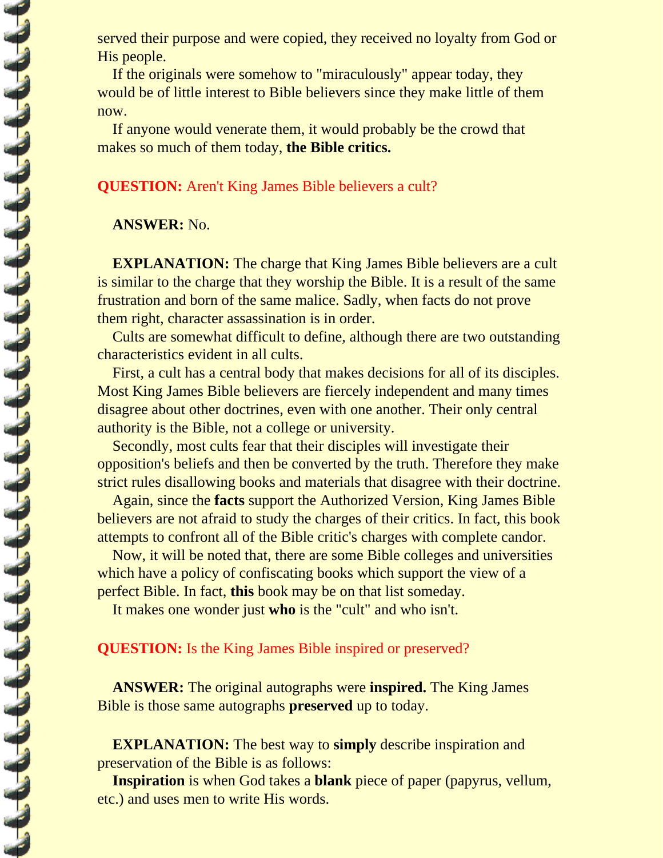served their purpose and were copied, they received no loyalty from God or His people.

 If the originals were somehow to "miraculously" appear today, they would be of little interest to Bible believers since they make little of them now.

 If anyone would venerate them, it would probably be the crowd that makes so much of them today, **the Bible critics.**

#### **QUESTION:** Aren't King James Bible believers a cult?

#### **ANSWER:** No.

**EXPLANATION:** The charge that King James Bible believers are a cult is similar to the charge that they worship the Bible. It is a result of the same frustration and born of the same malice. Sadly, when facts do not prove them right, character assassination is in order.

 Cults are somewhat difficult to define, although there are two outstanding characteristics evident in all cults.

 First, a cult has a central body that makes decisions for all of its disciples. Most King James Bible believers are fiercely independent and many times disagree about other doctrines, even with one another. Their only central authority is the Bible, not a college or university.

 Secondly, most cults fear that their disciples will investigate their opposition's beliefs and then be converted by the truth. Therefore they make strict rules disallowing books and materials that disagree with their doctrine.

 Again, since the **facts** support the Authorized Version, King James Bible believers are not afraid to study the charges of their critics. In fact, this book attempts to confront all of the Bible critic's charges with complete candor.

 Now, it will be noted that, there are some Bible colleges and universities which have a policy of confiscating books which support the view of a perfect Bible. In fact, **this** book may be on that list someday.

It makes one wonder just **who** is the "cult" and who isn't.

## **QUESTION:** Is the King James Bible inspired or preserved?

 **ANSWER:** The original autographs were **inspired.** The King James Bible is those same autographs **preserved** up to today.

 **EXPLANATION:** The best way to **simply** describe inspiration and preservation of the Bible is as follows:

 **Inspiration** is when God takes a **blank** piece of paper (papyrus, vellum, etc.) and uses men to write His words.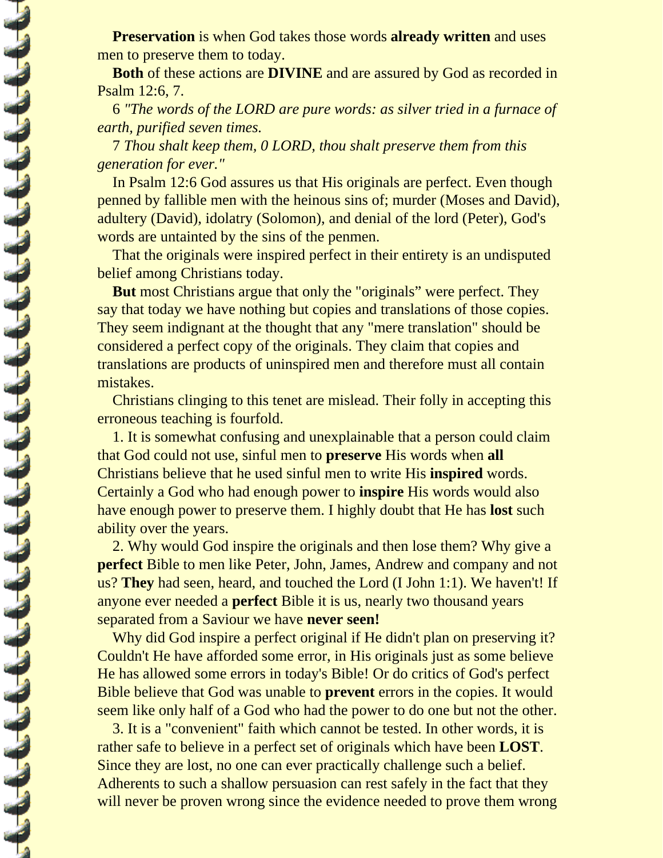**Preservation** is when God takes those words **already written** and uses men to preserve them to today.

 **Both** of these actions are **DIVINE** and are assured by God as recorded in Psalm 12:6, 7.

 6 *"The words of the LORD are pure words: as silver tried in a furnace of earth, purified seven times.*

7 *Thou shalt keep them, 0 LORD, thou shalt preserve them from this generation for ever."*

 In Psalm 12:6 God assures us that His originals are perfect. Even though penned by fallible men with the heinous sins of; murder (Moses and David), adultery (David), idolatry (Solomon), and denial of the lord (Peter), God's words are untainted by the sins of the penmen.

 That the originals were inspired perfect in their entirety is an undisputed belief among Christians today.

 **But** most Christians argue that only the "originals" were perfect. They say that today we have nothing but copies and translations of those copies. They seem indignant at the thought that any "mere translation" should be considered a perfect copy of the originals. They claim that copies and translations are products of uninspired men and therefore must all contain mistakes.

 Christians clinging to this tenet are mislead. Their folly in accepting this erroneous teaching is fourfold.

 1. It is somewhat confusing and unexplainable that a person could claim that God could not use, sinful men to **preserve** His words when **all**  Christians believe that he used sinful men to write His **inspired** words. Certainly a God who had enough power to **inspire** His words would also have enough power to preserve them. I highly doubt that He has **lost** such ability over the years.

 2. Why would God inspire the originals and then lose them? Why give a **perfect** Bible to men like Peter, John, James, Andrew and company and not us? **They** had seen, heard, and touched the Lord (I John 1:1). We haven't! If anyone ever needed a **perfect** Bible it is us, nearly two thousand years separated from a Saviour we have **never seen!**

 Why did God inspire a perfect original if He didn't plan on preserving it? Couldn't He have afforded some error, in His originals just as some believe He has allowed some errors in today's Bible! Or do critics of God's perfect Bible believe that God was unable to **prevent** errors in the copies. It would seem like only half of a God who had the power to do one but not the other.

 3. It is a "convenient" faith which cannot be tested. In other words, it is rather safe to believe in a perfect set of originals which have been **LOST**. Since they are lost, no one can ever practically challenge such a belief. Adherents to such a shallow persuasion can rest safely in the fact that they will never be proven wrong since the evidence needed to prove them wrong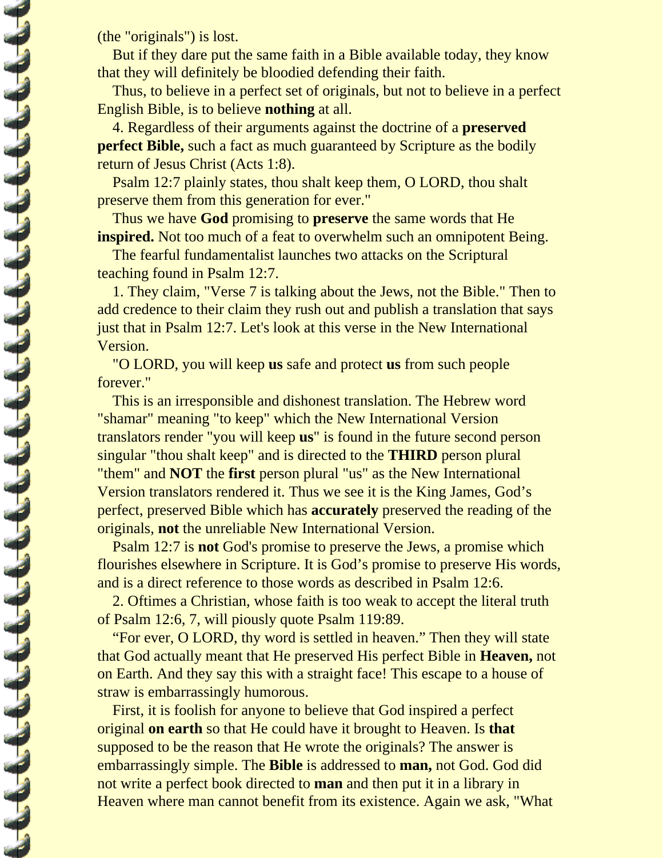(the "originals") is lost.

 But if they dare put the same faith in a Bible available today, they know that they will definitely be bloodied defending their faith.

 Thus, to believe in a perfect set of originals, but not to believe in a perfect English Bible, is to believe **nothing** at all.

 4. Regardless of their arguments against the doctrine of a **preserved perfect Bible,** such a fact as much guaranteed by Scripture as the bodily return of Jesus Christ (Acts 1:8).

 Psalm 12:7 plainly states, thou shalt keep them, O LORD, thou shalt preserve them from this generation for ever."

 Thus we have **God** promising to **preserve** the same words that He **inspired.** Not too much of a feat to overwhelm such an omnipotent Being.

 The fearful fundamentalist launches two attacks on the Scriptural teaching found in Psalm 12:7.

 1. They claim, "Verse 7 is talking about the Jews, not the Bible." Then to add credence to their claim they rush out and publish a translation that says just that in Psalm 12:7. Let's look at this verse in the New International Version.

 "O LORD, you will keep **us** safe and protect **us** from such people forever."

 This is an irresponsible and dishonest translation. The Hebrew word "shamar" meaning "to keep" which the New International Version translators render "you will keep **us**" is found in the future second person singular "thou shalt keep" and is directed to the **THIRD** person plural "them" and **NOT** the **first** person plural "us" as the New International Version translators rendered it. Thus we see it is the King James, God's perfect, preserved Bible which has **accurately** preserved the reading of the originals, **not** the unreliable New International Version.

 Psalm 12:7 is **not** God's promise to preserve the Jews, a promise which flourishes elsewhere in Scripture. It is God's promise to preserve His words, and is a direct reference to those words as described in Psalm 12:6.

 2. Oftimes a Christian, whose faith is too weak to accept the literal truth of Psalm 12:6, 7, will piously quote Psalm 119:89.

 "For ever, O LORD, thy word is settled in heaven." Then they will state that God actually meant that He preserved His perfect Bible in **Heaven,** not on Earth. And they say this with a straight face! This escape to a house of straw is embarrassingly humorous.

 First, it is foolish for anyone to believe that God inspired a perfect original **on earth** so that He could have it brought to Heaven. Is **that** supposed to be the reason that He wrote the originals? The answer is embarrassingly simple. The **Bible** is addressed to **man,** not God. God did not write a perfect book directed to **man** and then put it in a library in Heaven where man cannot benefit from its existence. Again we ask, "What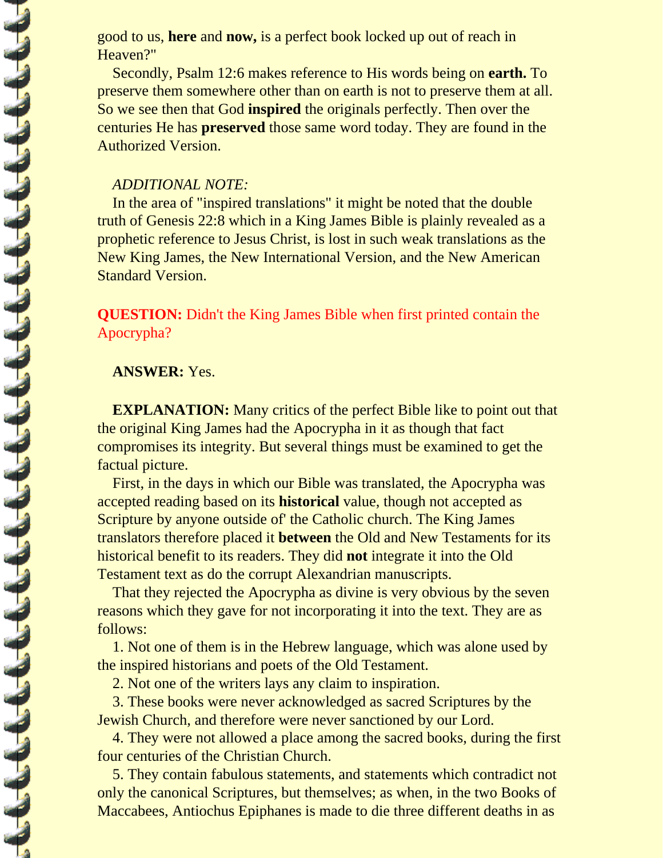good to us, **here** and **now,** is a perfect book locked up out of reach in Heaven?"

 Secondly, Psalm 12:6 makes reference to His words being on **earth.** To preserve them somewhere other than on earth is not to preserve them at all. So we see then that God **inspired** the originals perfectly. Then over the centuries He has **preserved** those same word today. They are found in the Authorized Version.

#### *ADDITIONAL NOTE:*

 In the area of "inspired translations" it might be noted that the double truth of Genesis 22:8 which in a King James Bible is plainly revealed as a prophetic reference to Jesus Christ, is lost in such weak translations as the New King James, the New International Version, and the New American Standard Version.

**QUESTION:** Didn't the King James Bible when first printed contain the Apocrypha?

#### **ANSWER:** Yes.

**EXPLANATION:** Many critics of the perfect Bible like to point out that the original King James had the Apocrypha in it as though that fact compromises its integrity. But several things must be examined to get the factual picture.

 First, in the days in which our Bible was translated, the Apocrypha was accepted reading based on its **historical** value, though not accepted as Scripture by anyone outside of' the Catholic church. The King James translators therefore placed it **between** the Old and New Testaments for its historical benefit to its readers. They did **not** integrate it into the Old Testament text as do the corrupt Alexandrian manuscripts.

 That they rejected the Apocrypha as divine is very obvious by the seven reasons which they gave for not incorporating it into the text. They are as follows:

 1. Not one of them is in the Hebrew language, which was alone used by the inspired historians and poets of the Old Testament.

2. Not one of the writers lays any claim to inspiration.

 3. These books were never acknowledged as sacred Scriptures by the Jewish Church, and therefore were never sanctioned by our Lord.

 4. They were not allowed a place among the sacred books, during the first four centuries of the Christian Church.

 5. They contain fabulous statements, and statements which contradict not only the canonical Scriptures, but themselves; as when, in the two Books of Maccabees, Antiochus Epiphanes is made to die three different deaths in as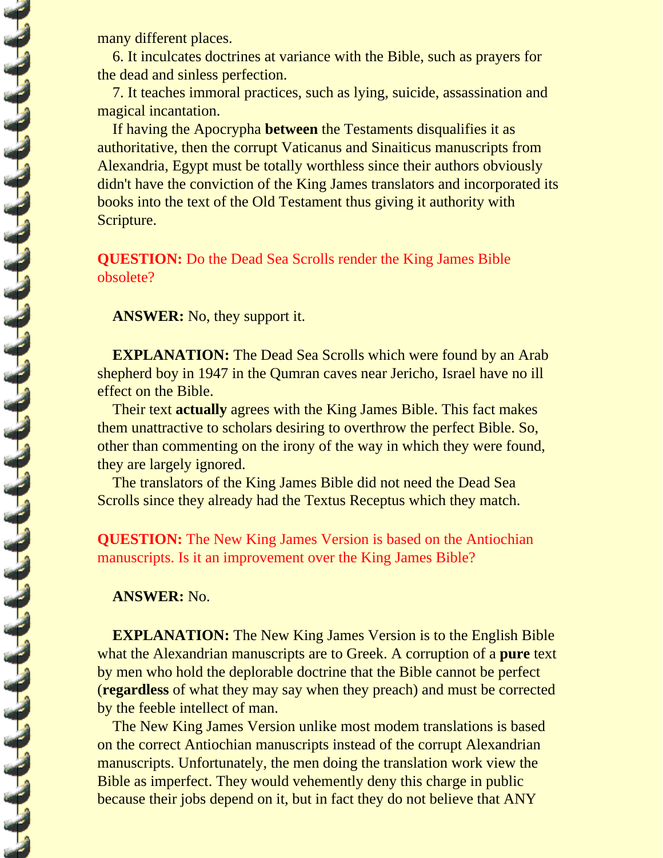many different places.

 6. It inculcates doctrines at variance with the Bible, such as prayers for the dead and sinless perfection.

 7. It teaches immoral practices, such as lying, suicide, assassination and magical incantation.

 If having the Apocrypha **between** the Testaments disqualifies it as authoritative, then the corrupt Vaticanus and Sinaiticus manuscripts from Alexandria, Egypt must be totally worthless since their authors obviously didn't have the conviction of the King James translators and incorporated its books into the text of the Old Testament thus giving it authority with Scripture.

## **QUESTION:** Do the Dead Sea Scrolls render the King James Bible obsolete?

**ANSWER:** No, they support it.

 **EXPLANATION:** The Dead Sea Scrolls which were found by an Arab shepherd boy in 1947 in the Qumran caves near Jericho, Israel have no ill effect on the Bible.

 Their text **actually** agrees with the King James Bible. This fact makes them unattractive to scholars desiring to overthrow the perfect Bible. So, other than commenting on the irony of the way in which they were found, they are largely ignored.

 The translators of the King James Bible did not need the Dead Sea Scrolls since they already had the Textus Receptus which they match.

**QUESTION:** The New King James Version is based on the Antiochian manuscripts. Is it an improvement over the King James Bible?

**ANSWER:** No.

 **EXPLANATION:** The New King James Version is to the English Bible what the Alexandrian manuscripts are to Greek. A corruption of a **pure** text by men who hold the deplorable doctrine that the Bible cannot be perfect (**regardless** of what they may say when they preach) and must be corrected by the feeble intellect of man.

 The New King James Version unlike most modem translations is based on the correct Antiochian manuscripts instead of the corrupt Alexandrian manuscripts. Unfortunately, the men doing the translation work view the Bible as imperfect. They would vehemently deny this charge in public because their jobs depend on it, but in fact they do not believe that ANY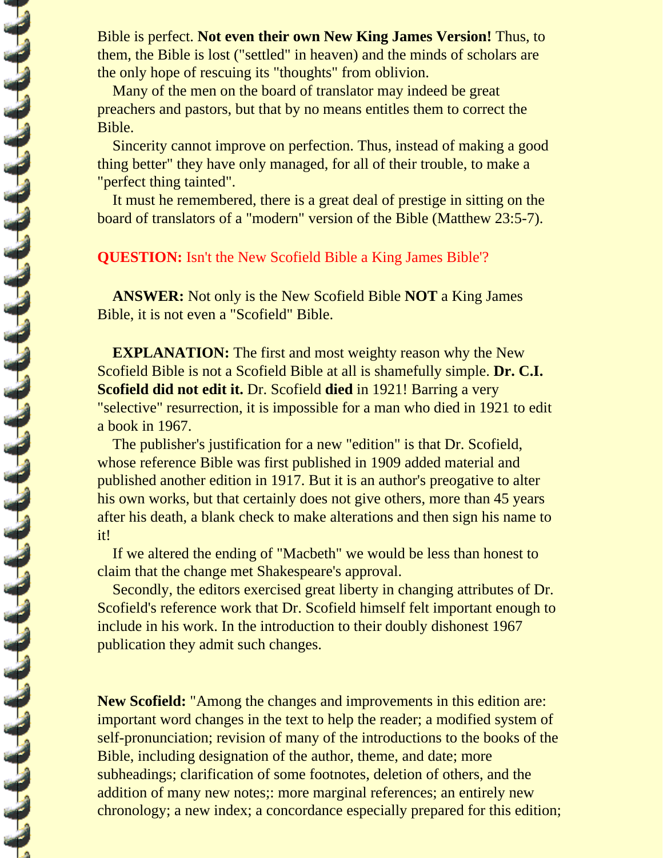Bible is perfect. **Not even their own New King James Version!** Thus, to them, the Bible is lost ("settled" in heaven) and the minds of scholars are the only hope of rescuing its "thoughts" from oblivion.

 Many of the men on the board of translator may indeed be great preachers and pastors, but that by no means entitles them to correct the Bible.

 Sincerity cannot improve on perfection. Thus, instead of making a good thing better" they have only managed, for all of their trouble, to make a "perfect thing tainted".

 It must he remembered, there is a great deal of prestige in sitting on the board of translators of a "modern" version of the Bible (Matthew 23:5-7).

## **QUESTION:** Isn't the New Scofield Bible a King James Bible'?

 **ANSWER:** Not only is the New Scofield Bible **NOT** a King James Bible, it is not even a "Scofield" Bible.

**EXPLANATION:** The first and most weighty reason why the New Scofield Bible is not a Scofield Bible at all is shamefully simple. **Dr. C.I. Scofield did not edit it.** Dr. Scofield **died** in 1921! Barring a very "selective" resurrection, it is impossible for a man who died in 1921 to edit a book in 1967.

 The publisher's justification for a new "edition" is that Dr. Scofield, whose reference Bible was first published in 1909 added material and published another edition in 1917. But it is an author's preogative to alter his own works, but that certainly does not give others, more than 45 years after his death, a blank check to make alterations and then sign his name to it!

 If we altered the ending of "Macbeth" we would be less than honest to claim that the change met Shakespeare's approval.

 Secondly, the editors exercised great liberty in changing attributes of Dr. Scofield's reference work that Dr. Scofield himself felt important enough to include in his work. In the introduction to their doubly dishonest 1967 publication they admit such changes.

**New Scofield:** "Among the changes and improvements in this edition are: important word changes in the text to help the reader; a modified system of self-pronunciation; revision of many of the introductions to the books of the Bible, including designation of the author, theme, and date; more subheadings; clarification of some footnotes, deletion of others, and the addition of many new notes;: more marginal references; an entirely new chronology; a new index; a concordance especially prepared for this edition;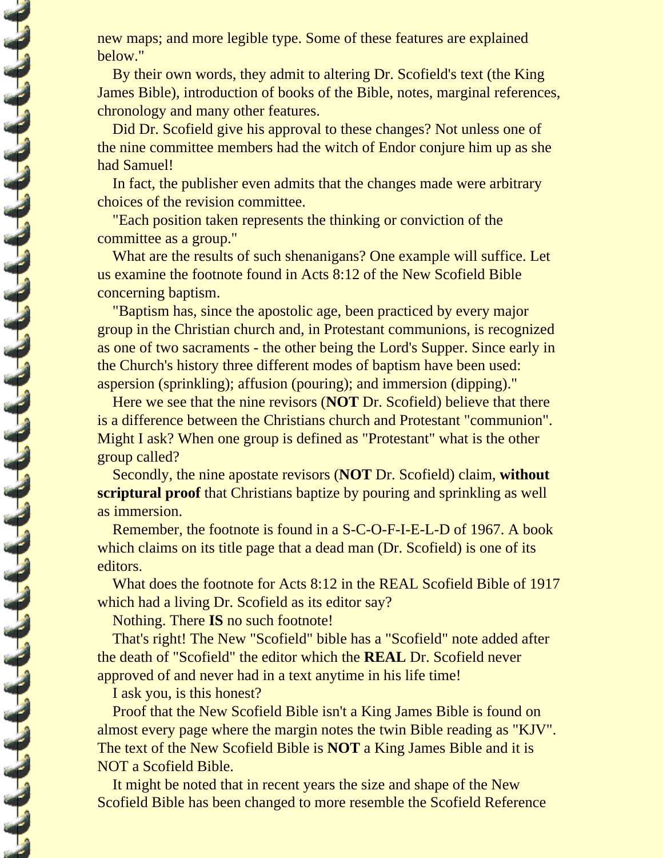new maps; and more legible type. Some of these features are explained below."

 By their own words, they admit to altering Dr. Scofield's text (the King James Bible), introduction of books of the Bible, notes, marginal references, chronology and many other features.

 Did Dr. Scofield give his approval to these changes? Not unless one of the nine committee members had the witch of Endor conjure him up as she had Samuel!

 In fact, the publisher even admits that the changes made were arbitrary choices of the revision committee.

 "Each position taken represents the thinking or conviction of the committee as a group."

 What are the results of such shenanigans? One example will suffice. Let us examine the footnote found in Acts 8:12 of the New Scofield Bible concerning baptism.

 "Baptism has, since the apostolic age, been practiced by every major group in the Christian church and, in Protestant communions, is recognized as one of two sacraments - the other being the Lord's Supper. Since early in the Church's history three different modes of baptism have been used: aspersion (sprinkling); affusion (pouring); and immersion (dipping)."

 Here we see that the nine revisors (**NOT** Dr. Scofield) believe that there is a difference between the Christians church and Protestant "communion". Might I ask? When one group is defined as "Protestant" what is the other group called?

 Secondly, the nine apostate revisors (**NOT** Dr. Scofield) claim, **without scriptural proof** that Christians baptize by pouring and sprinkling as well as immersion.

 Remember, the footnote is found in a S-C-O-F-I-E-L-D of 1967. A book which claims on its title page that a dead man (Dr. Scofield) is one of its editors.

 What does the footnote for Acts 8:12 in the REAL Scofield Bible of 1917 which had a living Dr. Scofield as its editor say?

Nothing. There **IS** no such footnote!

 That's right! The New "Scofield" bible has a "Scofield" note added after the death of "Scofield" the editor which the **REAL** Dr. Scofield never approved of and never had in a text anytime in his life time!

I ask you, is this honest?

 Proof that the New Scofield Bible isn't a King James Bible is found on almost every page where the margin notes the twin Bible reading as "KJV". The text of the New Scofield Bible is **NOT** a King James Bible and it is NOT a Scofield Bible.

 It might be noted that in recent years the size and shape of the New Scofield Bible has been changed to more resemble the Scofield Reference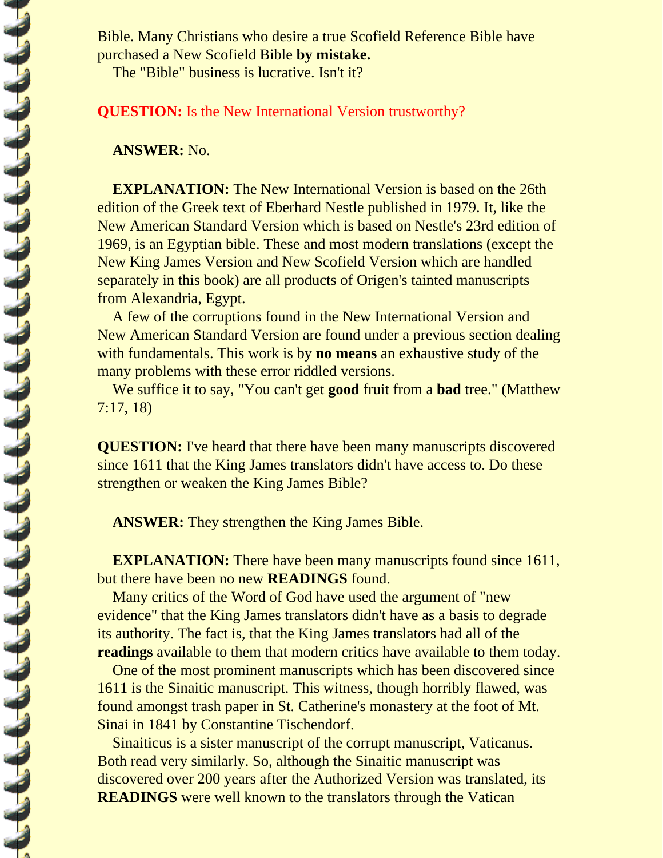Bible. Many Christians who desire a true Scofield Reference Bible have purchased a New Scofield Bible **by mistake.**

The "Bible" business is lucrative. Isn't it?

**QUESTION:** Is the New International Version trustworthy?

**ANSWER:** No.

**EXPLANATION:** The New International Version is based on the 26th edition of the Greek text of Eberhard Nestle published in 1979. It, like the New American Standard Version which is based on Nestle's 23rd edition of 1969, is an Egyptian bible. These and most modern translations (except the New King James Version and New Scofield Version which are handled separately in this book) are all products of Origen's tainted manuscripts from Alexandria, Egypt.

 A few of the corruptions found in the New International Version and New American Standard Version are found under a previous section dealing with fundamentals. This work is by **no means** an exhaustive study of the many problems with these error riddled versions.

 We suffice it to say, "You can't get **good** fruit from a **bad** tree." (Matthew 7:17, 18)

**QUESTION:** I've heard that there have been many manuscripts discovered since 1611 that the King James translators didn't have access to. Do these strengthen or weaken the King James Bible?

**ANSWER:** They strengthen the King James Bible.

**EXPLANATION:** There have been many manuscripts found since 1611, but there have been no new **READINGS** found.

 Many critics of the Word of God have used the argument of "new evidence" that the King James translators didn't have as a basis to degrade its authority. The fact is, that the King James translators had all of the **readings** available to them that modern critics have available to them today.

 One of the most prominent manuscripts which has been discovered since 1611 is the Sinaitic manuscript. This witness, though horribly flawed, was found amongst trash paper in St. Catherine's monastery at the foot of Mt. Sinai in 1841 by Constantine Tischendorf.

 Sinaiticus is a sister manuscript of the corrupt manuscript, Vaticanus. Both read very similarly. So, although the Sinaitic manuscript was discovered over 200 years after the Authorized Version was translated, its **READINGS** were well known to the translators through the Vatican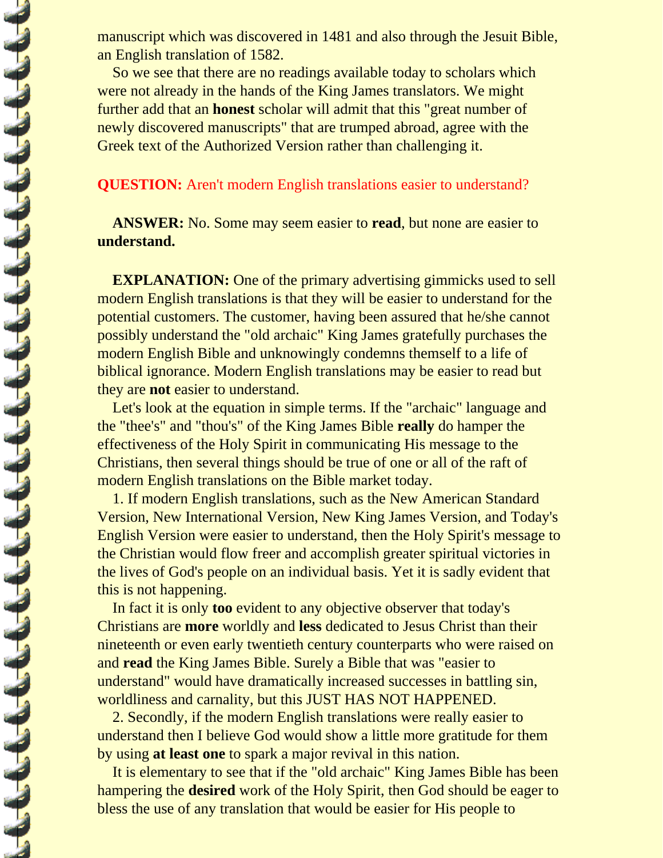manuscript which was discovered in 1481 and also through the Jesuit Bible, an English translation of 1582.

 So we see that there are no readings available today to scholars which were not already in the hands of the King James translators. We might further add that an **honest** scholar will admit that this "great number of newly discovered manuscripts" that are trumped abroad, agree with the Greek text of the Authorized Version rather than challenging it.

**QUESTION:** Aren't modern English translations easier to understand?

 **ANSWER:** No. Some may seem easier to **read**, but none are easier to **understand.**

**EXPLANATION:** One of the primary advertising gimmicks used to sell modern English translations is that they will be easier to understand for the potential customers. The customer, having been assured that he/she cannot possibly understand the "old archaic" King James gratefully purchases the modern English Bible and unknowingly condemns themself to a life of biblical ignorance. Modern English translations may be easier to read but they are **not** easier to understand.

 Let's look at the equation in simple terms. If the "archaic" language and the "thee's" and "thou's" of the King James Bible **really** do hamper the effectiveness of the Holy Spirit in communicating His message to the Christians, then several things should be true of one or all of the raft of modern English translations on the Bible market today.

 1. If modern English translations, such as the New American Standard Version, New International Version, New King James Version, and Today's English Version were easier to understand, then the Holy Spirit's message to the Christian would flow freer and accomplish greater spiritual victories in the lives of God's people on an individual basis. Yet it is sadly evident that this is not happening.

 In fact it is only **too** evident to any objective observer that today's Christians are **more** worldly and **less** dedicated to Jesus Christ than their nineteenth or even early twentieth century counterparts who were raised on and **read** the King James Bible. Surely a Bible that was "easier to understand" would have dramatically increased successes in battling sin, worldliness and carnality, but this JUST HAS NOT HAPPENED.

 2. Secondly, if the modern English translations were really easier to understand then I believe God would show a little more gratitude for them by using **at least one** to spark a major revival in this nation.

 It is elementary to see that if the "old archaic" King James Bible has been hampering the **desired** work of the Holy Spirit, then God should be eager to bless the use of any translation that would be easier for His people to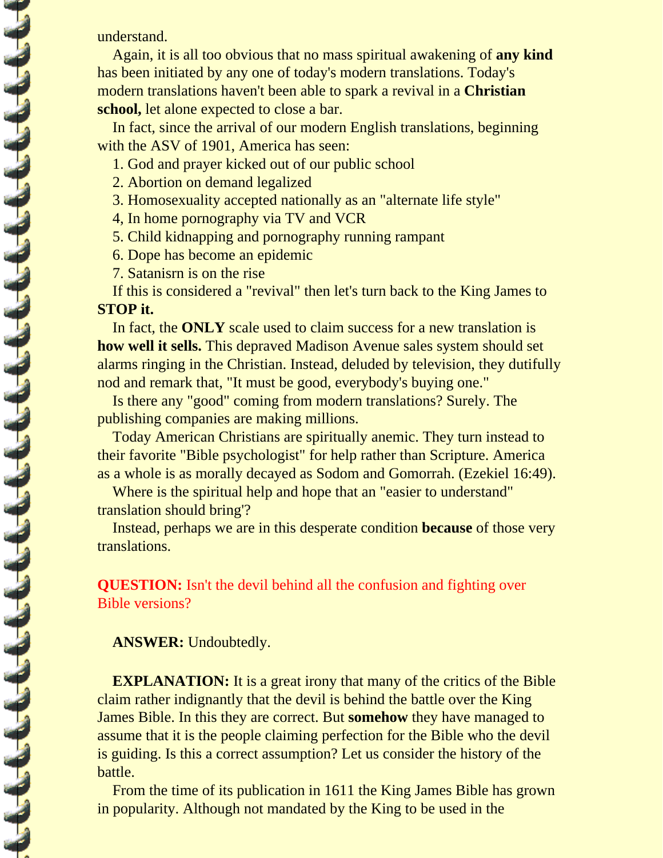understand.

 Again, it is all too obvious that no mass spiritual awakening of **any kind** has been initiated by any one of today's modern translations. Today's modern translations haven't been able to spark a revival in a **Christian school,** let alone expected to close a bar.

 In fact, since the arrival of our modern English translations, beginning with the ASV of 1901, America has seen:

- 1. God and prayer kicked out of our public school
- 2. Abortion on demand legalized
- 3. Homosexuality accepted nationally as an "alternate life style"
- 4, In home pornography via TV and VCR
- 5. Child kidnapping and pornography running rampant
- 6. Dope has become an epidemic
- 7. Satanisrn is on the rise

 If this is considered a "revival" then let's turn back to the King James to **STOP it.**

 In fact, the **ONLY** scale used to claim success for a new translation is **how well it sells.** This depraved Madison Avenue sales system should set alarms ringing in the Christian. Instead, deluded by television, they dutifully nod and remark that, "It must be good, everybody's buying one."

 Is there any "good" coming from modern translations? Surely. The publishing companies are making millions.

 Today American Christians are spiritually anemic. They turn instead to their favorite "Bible psychologist" for help rather than Scripture. America as a whole is as morally decayed as Sodom and Gomorrah. (Ezekiel 16:49).

 Where is the spiritual help and hope that an "easier to understand" translation should bring'?

 Instead, perhaps we are in this desperate condition **because** of those very translations.

**QUESTION:** Isn't the devil behind all the confusion and fighting over Bible versions?

**ANSWER:** Undoubtedly.

**EXPLANATION:** It is a great irony that many of the critics of the Bible claim rather indignantly that the devil is behind the battle over the King James Bible. In this they are correct. But **somehow** they have managed to assume that it is the people claiming perfection for the Bible who the devil is guiding. Is this a correct assumption? Let us consider the history of the battle.

 From the time of its publication in 1611 the King James Bible has grown in popularity. Although not mandated by the King to be used in the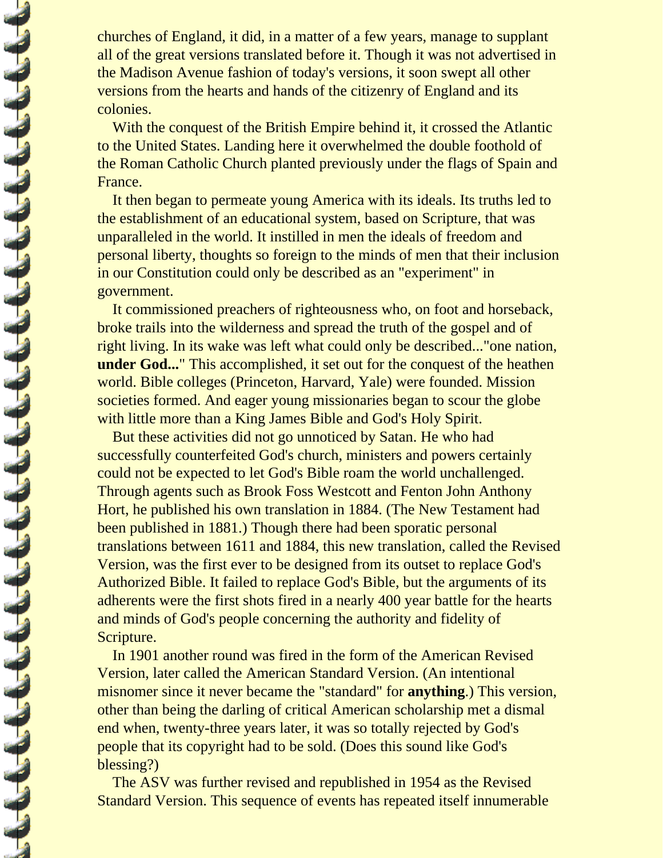churches of England, it did, in a matter of a few years, manage to supplant all of the great versions translated before it. Though it was not advertised in the Madison Avenue fashion of today's versions, it soon swept all other versions from the hearts and hands of the citizenry of England and its colonies.

 With the conquest of the British Empire behind it, it crossed the Atlantic to the United States. Landing here it overwhelmed the double foothold of the Roman Catholic Church planted previously under the flags of Spain and France.

 It then began to permeate young America with its ideals. Its truths led to the establishment of an educational system, based on Scripture, that was unparalleled in the world. It instilled in men the ideals of freedom and personal liberty, thoughts so foreign to the minds of men that their inclusion in our Constitution could only be described as an "experiment" in government.

 It commissioned preachers of righteousness who, on foot and horseback, broke trails into the wilderness and spread the truth of the gospel and of right living. In its wake was left what could only be described..."one nation, **under God...**" This accomplished, it set out for the conquest of the heathen world. Bible colleges (Princeton, Harvard, Yale) were founded. Mission societies formed. And eager young missionaries began to scour the globe with little more than a King James Bible and God's Holy Spirit.

 But these activities did not go unnoticed by Satan. He who had successfully counterfeited God's church, ministers and powers certainly could not be expected to let God's Bible roam the world unchallenged. Through agents such as Brook Foss Westcott and Fenton John Anthony Hort, he published his own translation in 1884. (The New Testament had been published in 1881.) Though there had been sporatic personal translations between 1611 and 1884, this new translation, called the Revised Version, was the first ever to be designed from its outset to replace God's Authorized Bible. It failed to replace God's Bible, but the arguments of its adherents were the first shots fired in a nearly 400 year battle for the hearts and minds of God's people concerning the authority and fidelity of Scripture.

 In 1901 another round was fired in the form of the American Revised Version, later called the American Standard Version. (An intentional misnomer since it never became the "standard" for **anything**.) This version, other than being the darling of critical American scholarship met a dismal end when, twenty-three years later, it was so totally rejected by God's people that its copyright had to be sold. (Does this sound like God's blessing?)

 The ASV was further revised and republished in 1954 as the Revised Standard Version. This sequence of events has repeated itself innumerable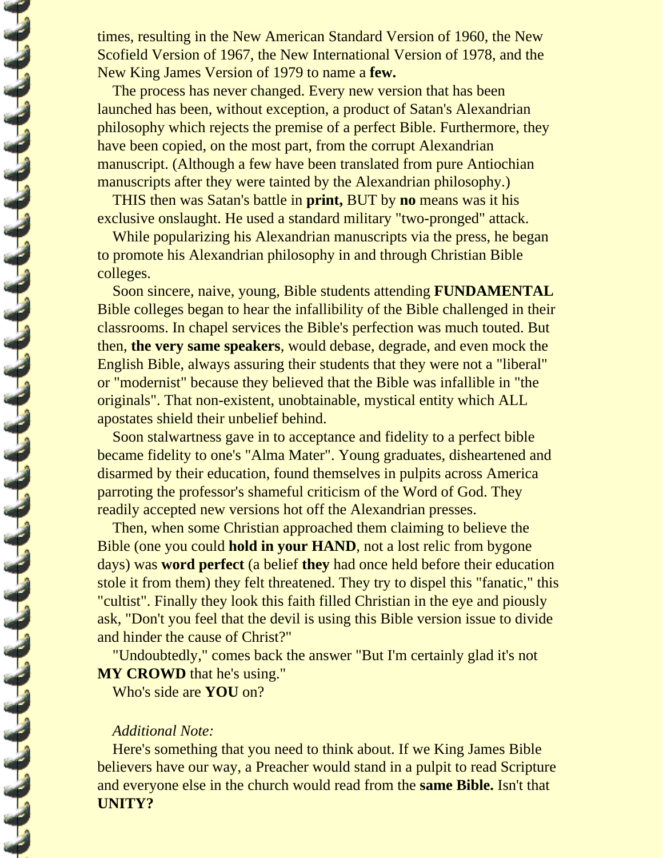times, resulting in the New American Standard Version of 1960, the New Scofield Version of 1967, the New International Version of 1978, and the New King James Version of 1979 to name a **few.**

 The process has never changed. Every new version that has been launched has been, without exception, a product of Satan's Alexandrian philosophy which rejects the premise of a perfect Bible. Furthermore, they have been copied, on the most part, from the corrupt Alexandrian manuscript. (Although a few have been translated from pure Antiochian manuscripts after they were tainted by the Alexandrian philosophy.)

 THIS then was Satan's battle in **print,** BUT by **no** means was it his exclusive onslaught. He used a standard military "two-pronged" attack.

 While popularizing his Alexandrian manuscripts via the press, he began to promote his Alexandrian philosophy in and through Christian Bible colleges.

 Soon sincere, naive, young, Bible students attending **FUNDAMENTAL** Bible colleges began to hear the infallibility of the Bible challenged in their classrooms. In chapel services the Bible's perfection was much touted. But then, **the very same speakers**, would debase, degrade, and even mock the English Bible, always assuring their students that they were not a "liberal" or "modernist" because they believed that the Bible was infallible in "the originals". That non-existent, unobtainable, mystical entity which ALL apostates shield their unbelief behind.

 Soon stalwartness gave in to acceptance and fidelity to a perfect bible became fidelity to one's "Alma Mater". Young graduates, disheartened and disarmed by their education, found themselves in pulpits across America parroting the professor's shameful criticism of the Word of God. They readily accepted new versions hot off the Alexandrian presses.

 Then, when some Christian approached them claiming to believe the Bible (one you could **hold in your HAND**, not a lost relic from bygone days) was **word perfect** (a belief **they** had once held before their education stole it from them) they felt threatened. They try to dispel this "fanatic," this "cultist". Finally they look this faith filled Christian in the eye and piously ask, "Don't you feel that the devil is using this Bible version issue to divide and hinder the cause of Christ?"

 "Undoubtedly," comes back the answer "But I'm certainly glad it's not **MY CROWD** that he's using."

Who's side are **YOU** on?

#### *Additional Note:*

 Here's something that you need to think about. If we King James Bible believers have our way, a Preacher would stand in a pulpit to read Scripture and everyone else in the church would read from the **same Bible.** Isn't that **UNITY?**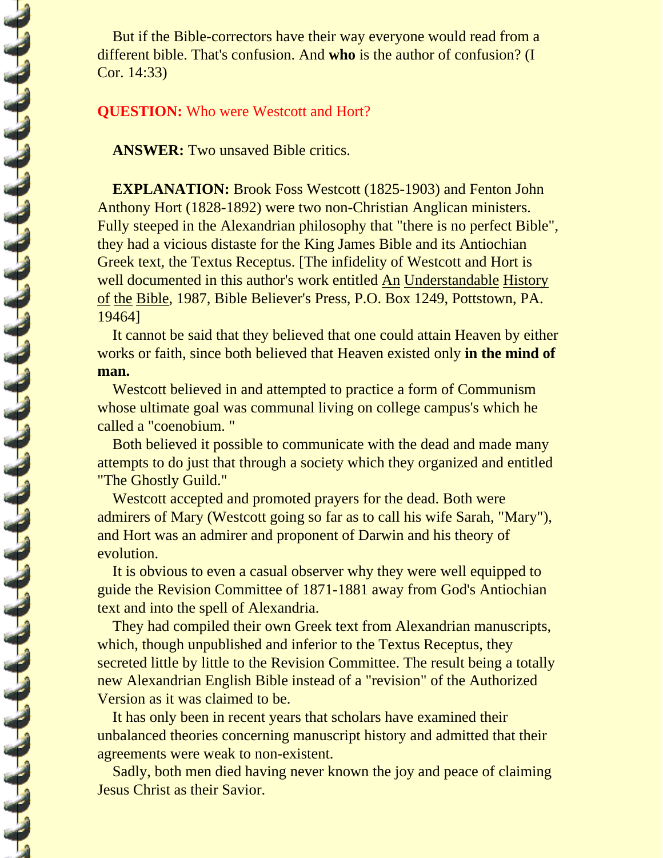But if the Bible-correctors have their way everyone would read from a different bible. That's confusion. And **who** is the author of confusion? (I Cor. 14:33)

#### **QUESTION:** Who were Westcott and Hort?

**ANSWER:** Two unsaved Bible critics.

 **EXPLANATION:** Brook Foss Westcott (1825-1903) and Fenton John Anthony Hort (1828-1892) were two non-Christian Anglican ministers. Fully steeped in the Alexandrian philosophy that "there is no perfect Bible", they had a vicious distaste for the King James Bible and its Antiochian Greek text, the Textus Receptus. [The infidelity of Westcott and Hort is well documented in this author's work entitled An Understandable History of the Bible, 1987, Bible Believer's Press, P.O. Box 1249, Pottstown, PA. 19464]

 It cannot be said that they believed that one could attain Heaven by either works or faith, since both believed that Heaven existed only **in the mind of man.**

 Westcott believed in and attempted to practice a form of Communism whose ultimate goal was communal living on college campus's which he called a "coenobium. "

 Both believed it possible to communicate with the dead and made many attempts to do just that through a society which they organized and entitled "The Ghostly Guild."

 Westcott accepted and promoted prayers for the dead. Both were admirers of Mary (Westcott going so far as to call his wife Sarah, "Mary"), and Hort was an admirer and proponent of Darwin and his theory of evolution.

 It is obvious to even a casual observer why they were well equipped to guide the Revision Committee of 1871-1881 away from God's Antiochian text and into the spell of Alexandria.

 They had compiled their own Greek text from Alexandrian manuscripts, which, though unpublished and inferior to the Textus Receptus, they secreted little by little to the Revision Committee. The result being a totally new Alexandrian English Bible instead of a "revision" of the Authorized Version as it was claimed to be.

 It has only been in recent years that scholars have examined their unbalanced theories concerning manuscript history and admitted that their agreements were weak to non-existent.

 Sadly, both men died having never known the joy and peace of claiming Jesus Christ as their Savior.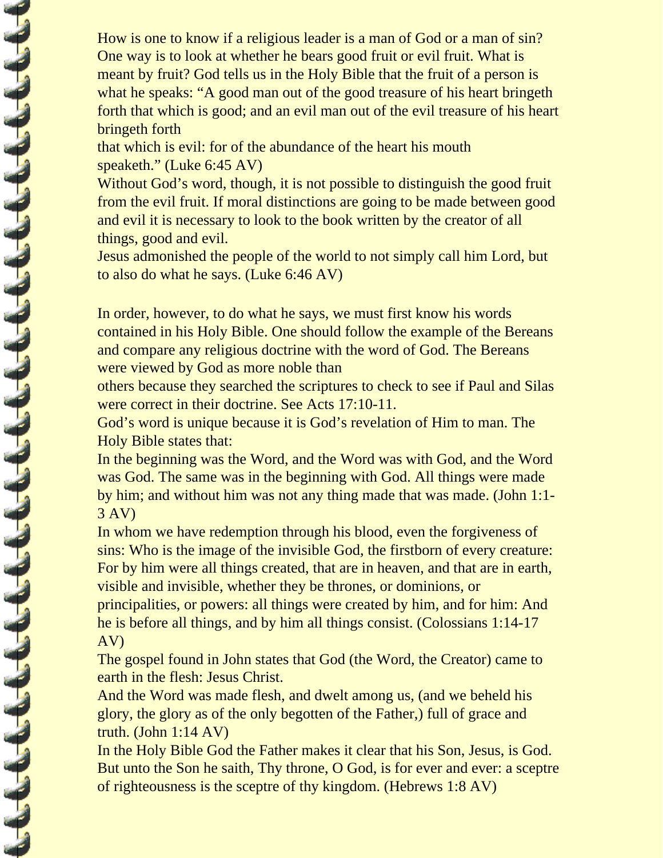How is one to know if a religious leader is a man of God or a man of sin? One way is to look at whether he bears good fruit or evil fruit. What is meant by fruit? God tells us in the Holy Bible that the fruit of a person is what he speaks: "A good man out of the good treasure of his heart bringeth forth that which is good; and an evil man out of the evil treasure of his heart bringeth forth

that which is evil: for of the abundance of the heart his mouth speaketh." (Luke 6:45 AV)

Without God's word, though, it is not possible to distinguish the good fruit from the evil fruit. If moral distinctions are going to be made between good and evil it is necessary to look to the book written by the creator of all things, good and evil.

Jesus admonished the people of the world to not simply call him Lord, but to also do what he says. (Luke 6:46 AV)

In order, however, to do what he says, we must first know his words contained in his Holy Bible. One should follow the example of the Bereans and compare any religious doctrine with the word of God. The Bereans were viewed by God as more noble than

others because they searched the scriptures to check to see if Paul and Silas were correct in their doctrine. See Acts 17:10-11.

God's word is unique because it is God's revelation of Him to man. The Holy Bible states that:

In the beginning was the Word, and the Word was with God, and the Word was God. The same was in the beginning with God. All things were made by him; and without him was not any thing made that was made. (John 1:1- 3 AV)

In whom we have redemption through his blood, even the forgiveness of sins: Who is the image of the invisible God, the firstborn of every creature: For by him were all things created, that are in heaven, and that are in earth, visible and invisible, whether they be thrones, or dominions, or

principalities, or powers: all things were created by him, and for him: And he is before all things, and by him all things consist. (Colossians 1:14-17 AV)

The gospel found in John states that God (the Word, the Creator) came to earth in the flesh: Jesus Christ.

And the Word was made flesh, and dwelt among us, (and we beheld his glory, the glory as of the only begotten of the Father,) full of grace and truth. (John 1:14 AV)

In the Holy Bible God the Father makes it clear that his Son, Jesus, is God. But unto the Son he saith, Thy throne, O God, is for ever and ever: a sceptre of righteousness is the sceptre of thy kingdom. (Hebrews 1:8 AV)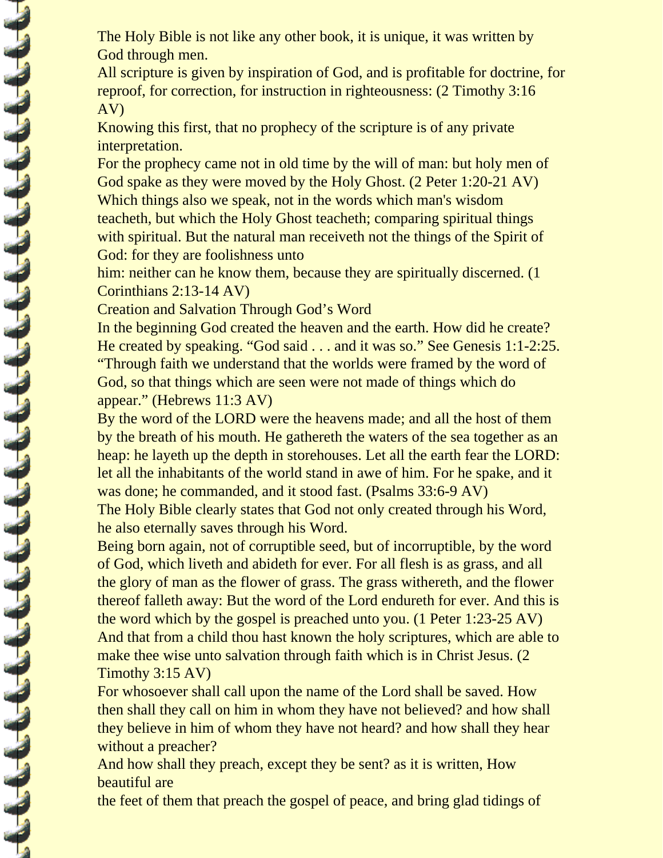The Holy Bible is not like any other book, it is unique, it was written by God through men.

All scripture is given by inspiration of God, and is profitable for doctrine, for reproof, for correction, for instruction in righteousness: (2 Timothy 3:16 AV)

Knowing this first, that no prophecy of the scripture is of any private interpretation.

For the prophecy came not in old time by the will of man: but holy men of God spake as they were moved by the Holy Ghost. (2 Peter 1:20-21 AV) Which things also we speak, not in the words which man's wisdom teacheth, but which the Holy Ghost teacheth; comparing spiritual things with spiritual. But the natural man receiveth not the things of the Spirit of God: for they are foolishness unto

him: neither can he know them, because they are spiritually discerned. (1) Corinthians 2:13-14 AV)

Creation and Salvation Through God's Word

In the beginning God created the heaven and the earth. How did he create? He created by speaking. "God said . . . and it was so." See Genesis 1:1-2:25. "Through faith we understand that the worlds were framed by the word of God, so that things which are seen were not made of things which do appear." (Hebrews 11:3 AV)

By the word of the LORD were the heavens made; and all the host of them by the breath of his mouth. He gathereth the waters of the sea together as an heap: he layeth up the depth in storehouses. Let all the earth fear the LORD: let all the inhabitants of the world stand in awe of him. For he spake, and it was done; he commanded, and it stood fast. (Psalms 33:6-9 AV)

The Holy Bible clearly states that God not only created through his Word, he also eternally saves through his Word.

Being born again, not of corruptible seed, but of incorruptible, by the word of God, which liveth and abideth for ever. For all flesh is as grass, and all the glory of man as the flower of grass. The grass withereth, and the flower thereof falleth away: But the word of the Lord endureth for ever. And this is the word which by the gospel is preached unto you. (1 Peter 1:23-25 AV) And that from a child thou hast known the holy scriptures, which are able to make thee wise unto salvation through faith which is in Christ Jesus. (2 Timothy 3:15 AV)

For whosoever shall call upon the name of the Lord shall be saved. How then shall they call on him in whom they have not believed? and how shall they believe in him of whom they have not heard? and how shall they hear without a preacher?

And how shall they preach, except they be sent? as it is written, How beautiful are

the feet of them that preach the gospel of peace, and bring glad tidings of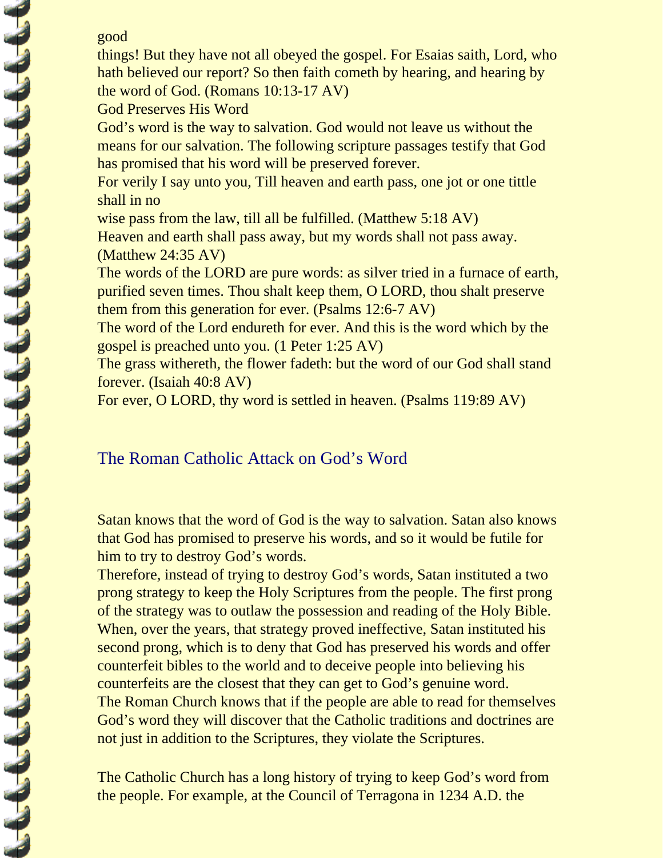good

things! But they have not all obeyed the gospel. For Esaias saith, Lord, who hath believed our report? So then faith cometh by hearing, and hearing by the word of God. (Romans 10:13-17 AV)

God Preserves His Word

God's word is the way to salvation. God would not leave us without the means for our salvation. The following scripture passages testify that God has promised that his word will be preserved forever.

For verily I say unto you, Till heaven and earth pass, one jot or one tittle shall in no

wise pass from the law, till all be fulfilled. (Matthew 5:18 AV)

Heaven and earth shall pass away, but my words shall not pass away. (Matthew 24:35 AV)

The words of the LORD are pure words: as silver tried in a furnace of earth, purified seven times. Thou shalt keep them, O LORD, thou shalt preserve them from this generation for ever. (Psalms 12:6-7 AV)

The word of the Lord endureth for ever. And this is the word which by the gospel is preached unto you. (1 Peter 1:25 AV)

The grass withereth, the flower fadeth: but the word of our God shall stand forever. (Isaiah 40:8 AV)

For ever, O LORD, thy word is settled in heaven. (Psalms 119:89 AV)

# The Roman Catholic Attack on God's Word

Satan knows that the word of God is the way to salvation. Satan also knows that God has promised to preserve his words, and so it would be futile for him to try to destroy God's words.

Therefore, instead of trying to destroy God's words, Satan instituted a two prong strategy to keep the Holy Scriptures from the people. The first prong of the strategy was to outlaw the possession and reading of the Holy Bible. When, over the years, that strategy proved ineffective, Satan instituted his second prong, which is to deny that God has preserved his words and offer counterfeit bibles to the world and to deceive people into believing his counterfeits are the closest that they can get to God's genuine word. The Roman Church knows that if the people are able to read for themselves God's word they will discover that the Catholic traditions and doctrines are not just in addition to the Scriptures, they violate the Scriptures.

The Catholic Church has a long history of trying to keep God's word from the people. For example, at the Council of Terragona in 1234 A.D. the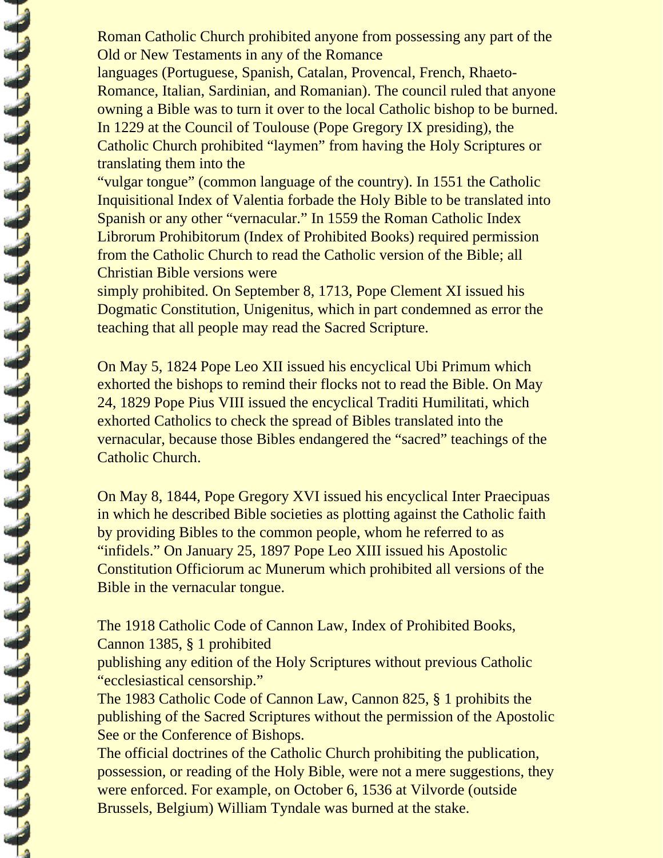Roman Catholic Church prohibited anyone from possessing any part of the Old or New Testaments in any of the Romance

languages (Portuguese, Spanish, Catalan, Provencal, French, Rhaeto-Romance, Italian, Sardinian, and Romanian). The council ruled that anyone owning a Bible was to turn it over to the local Catholic bishop to be burned. In 1229 at the Council of Toulouse (Pope Gregory IX presiding), the Catholic Church prohibited "laymen" from having the Holy Scriptures or translating them into the

"vulgar tongue" (common language of the country). In 1551 the Catholic Inquisitional Index of Valentia forbade the Holy Bible to be translated into Spanish or any other "vernacular." In 1559 the Roman Catholic Index Librorum Prohibitorum (Index of Prohibited Books) required permission from the Catholic Church to read the Catholic version of the Bible; all Christian Bible versions were

simply prohibited. On September 8, 1713, Pope Clement XI issued his Dogmatic Constitution, Unigenitus, which in part condemned as error the teaching that all people may read the Sacred Scripture.

On May 5, 1824 Pope Leo XII issued his encyclical Ubi Primum which exhorted the bishops to remind their flocks not to read the Bible. On May 24, 1829 Pope Pius VIII issued the encyclical Traditi Humilitati, which exhorted Catholics to check the spread of Bibles translated into the vernacular, because those Bibles endangered the "sacred" teachings of the Catholic Church.

On May 8, 1844, Pope Gregory XVI issued his encyclical Inter Praecipuas in which he described Bible societies as plotting against the Catholic faith by providing Bibles to the common people, whom he referred to as "infidels." On January 25, 1897 Pope Leo XIII issued his Apostolic Constitution Officiorum ac Munerum which prohibited all versions of the Bible in the vernacular tongue.

The 1918 Catholic Code of Cannon Law, Index of Prohibited Books, Cannon 1385, § 1 prohibited

publishing any edition of the Holy Scriptures without previous Catholic "ecclesiastical censorship."

The 1983 Catholic Code of Cannon Law, Cannon 825, § 1 prohibits the publishing of the Sacred Scriptures without the permission of the Apostolic See or the Conference of Bishops.

The official doctrines of the Catholic Church prohibiting the publication, possession, or reading of the Holy Bible, were not a mere suggestions, they were enforced. For example, on October 6, 1536 at Vilvorde (outside Brussels, Belgium) William Tyndale was burned at the stake.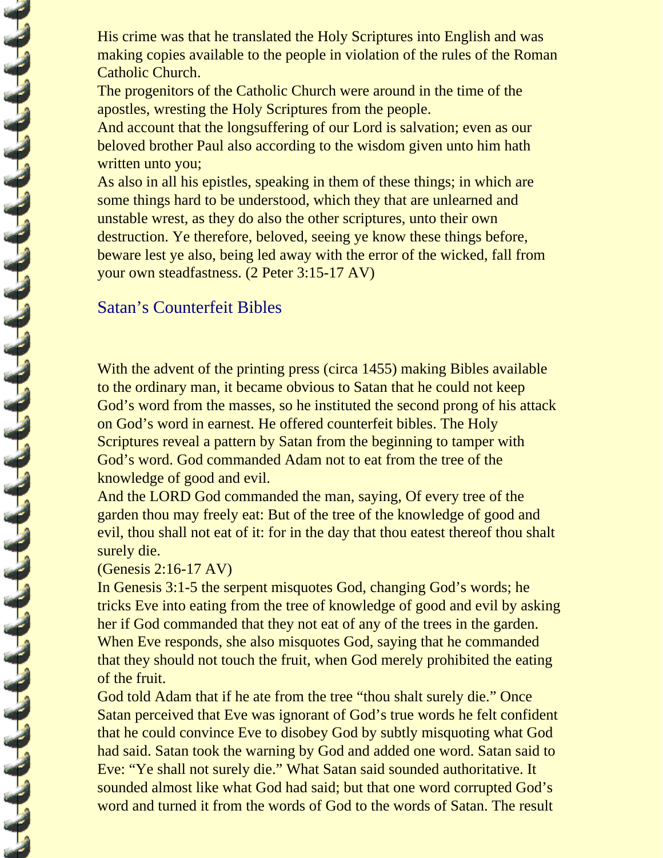His crime was that he translated the Holy Scriptures into English and was making copies available to the people in violation of the rules of the Roman Catholic Church.

The progenitors of the Catholic Church were around in the time of the apostles, wresting the Holy Scriptures from the people.

And account that the longsuffering of our Lord is salvation; even as our beloved brother Paul also according to the wisdom given unto him hath written unto you;

As also in all his epistles, speaking in them of these things; in which are some things hard to be understood, which they that are unlearned and unstable wrest, as they do also the other scriptures, unto their own destruction. Ye therefore, beloved, seeing ye know these things before, beware lest ye also, being led away with the error of the wicked, fall from your own steadfastness. (2 Peter 3:15-17 AV)

## Satan's Counterfeit Bibles

With the advent of the printing press (circa 1455) making Bibles available to the ordinary man, it became obvious to Satan that he could not keep God's word from the masses, so he instituted the second prong of his attack on God's word in earnest. He offered counterfeit bibles. The Holy Scriptures reveal a pattern by Satan from the beginning to tamper with God's word. God commanded Adam not to eat from the tree of the knowledge of good and evil.

And the LORD God commanded the man, saying, Of every tree of the garden thou may freely eat: But of the tree of the knowledge of good and evil, thou shall not eat of it: for in the day that thou eatest thereof thou shalt surely die.

(Genesis 2:16-17 AV)

In Genesis 3:1-5 the serpent misquotes God, changing God's words; he tricks Eve into eating from the tree of knowledge of good and evil by asking her if God commanded that they not eat of any of the trees in the garden. When Eve responds, she also misquotes God, saying that he commanded that they should not touch the fruit, when God merely prohibited the eating of the fruit.

God told Adam that if he ate from the tree "thou shalt surely die." Once Satan perceived that Eve was ignorant of God's true words he felt confident that he could convince Eve to disobey God by subtly misquoting what God had said. Satan took the warning by God and added one word. Satan said to Eve: "Ye shall not surely die." What Satan said sounded authoritative. It sounded almost like what God had said; but that one word corrupted God's word and turned it from the words of God to the words of Satan. The result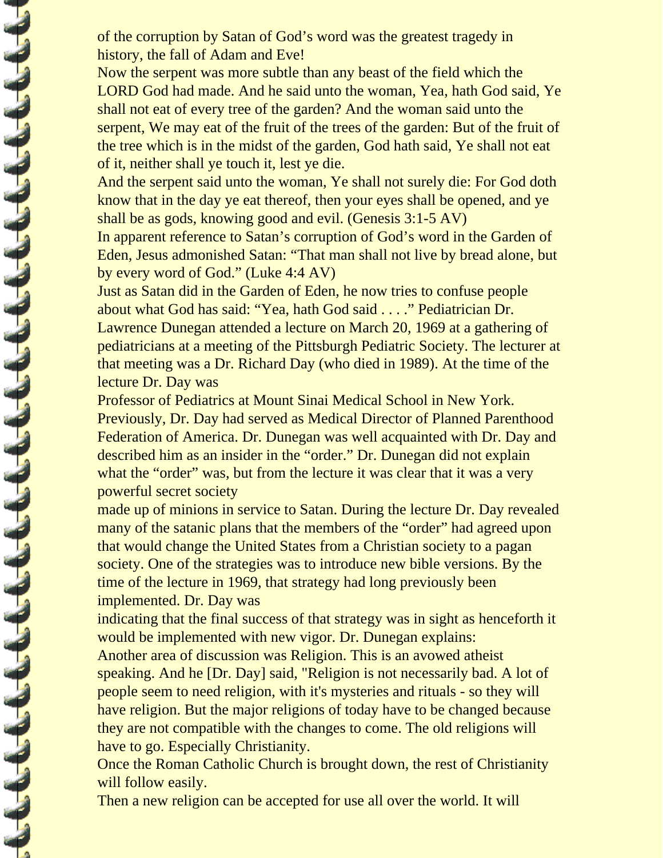of the corruption by Satan of God's word was the greatest tragedy in history, the fall of Adam and Eve!

Now the serpent was more subtle than any beast of the field which the LORD God had made. And he said unto the woman, Yea, hath God said, Ye shall not eat of every tree of the garden? And the woman said unto the serpent, We may eat of the fruit of the trees of the garden: But of the fruit of the tree which is in the midst of the garden, God hath said, Ye shall not eat of it, neither shall ye touch it, lest ye die.

And the serpent said unto the woman, Ye shall not surely die: For God doth know that in the day ye eat thereof, then your eyes shall be opened, and ye shall be as gods, knowing good and evil. (Genesis 3:1-5 AV)

In apparent reference to Satan's corruption of God's word in the Garden of Eden, Jesus admonished Satan: "That man shall not live by bread alone, but by every word of God." (Luke 4:4 AV)

Just as Satan did in the Garden of Eden, he now tries to confuse people about what God has said: "Yea, hath God said . . . ." Pediatrician Dr. Lawrence Dunegan attended a lecture on March 20, 1969 at a gathering of pediatricians at a meeting of the Pittsburgh Pediatric Society. The lecturer at that meeting was a Dr. Richard Day (who died in 1989). At the time of the lecture Dr. Day was

Professor of Pediatrics at Mount Sinai Medical School in New York. Previously, Dr. Day had served as Medical Director of Planned Parenthood Federation of America. Dr. Dunegan was well acquainted with Dr. Day and described him as an insider in the "order." Dr. Dunegan did not explain what the "order" was, but from the lecture it was clear that it was a very powerful secret society

made up of minions in service to Satan. During the lecture Dr. Day revealed many of the satanic plans that the members of the "order" had agreed upon that would change the United States from a Christian society to a pagan society. One of the strategies was to introduce new bible versions. By the time of the lecture in 1969, that strategy had long previously been implemented. Dr. Day was

indicating that the final success of that strategy was in sight as henceforth it would be implemented with new vigor. Dr. Dunegan explains:

Another area of discussion was Religion. This is an avowed atheist speaking. And he [Dr. Day] said, "Religion is not necessarily bad. A lot of people seem to need religion, with it's mysteries and rituals - so they will have religion. But the major religions of today have to be changed because they are not compatible with the changes to come. The old religions will have to go. Especially Christianity.

Once the Roman Catholic Church is brought down, the rest of Christianity will follow easily.

Then a new religion can be accepted for use all over the world. It will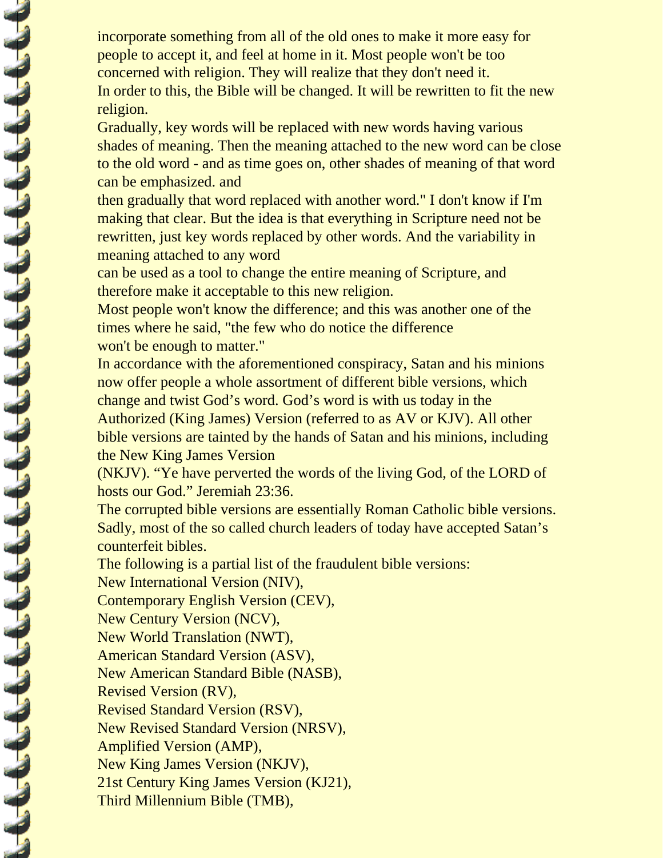incorporate something from all of the old ones to make it more easy for people to accept it, and feel at home in it. Most people won't be too concerned with religion. They will realize that they don't need it. In order to this, the Bible will be changed. It will be rewritten to fit the new religion.

Gradually, key words will be replaced with new words having various shades of meaning. Then the meaning attached to the new word can be close to the old word - and as time goes on, other shades of meaning of that word can be emphasized. and

then gradually that word replaced with another word." I don't know if I'm making that clear. But the idea is that everything in Scripture need not be rewritten, just key words replaced by other words. And the variability in meaning attached to any word

can be used as a tool to change the entire meaning of Scripture, and therefore make it acceptable to this new religion.

Most people won't know the difference; and this was another one of the times where he said, "the few who do notice the difference won't be enough to matter."

In accordance with the aforementioned conspiracy, Satan and his minions now offer people a whole assortment of different bible versions, which change and twist God's word. God's word is with us today in the Authorized (King James) Version (referred to as AV or KJV). All other bible versions are tainted by the hands of Satan and his minions, including the New King James Version

(NKJV). "Ye have perverted the words of the living God, of the LORD of hosts our God." Jeremiah 23:36.

The corrupted bible versions are essentially Roman Catholic bible versions. Sadly, most of the so called church leaders of today have accepted Satan's counterfeit bibles.

The following is a partial list of the fraudulent bible versions:

New International Version (NIV),

Contemporary English Version (CEV),

New Century Version (NCV),

New World Translation (NWT),

American Standard Version (ASV),

New American Standard Bible (NASB),

Revised Version (RV),

Revised Standard Version (RSV),

New Revised Standard Version (NRSV),

Amplified Version (AMP),

New King James Version (NKJV),

21st Century King James Version (KJ21),

Third Millennium Bible (TMB),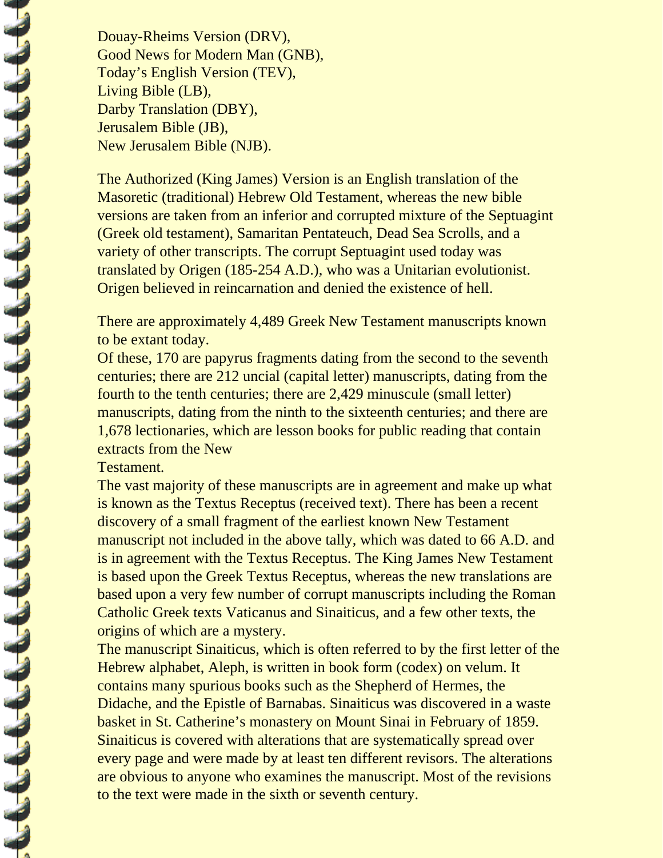Douay-Rheims Version (DRV), Good News for Modern Man (GNB), Today's English Version (TEV), Living Bible (LB), Darby Translation (DBY), Jerusalem Bible (JB), New Jerusalem Bible (NJB).

The Authorized (King James) Version is an English translation of the Masoretic (traditional) Hebrew Old Testament, whereas the new bible versions are taken from an inferior and corrupted mixture of the Septuagint (Greek old testament), Samaritan Pentateuch, Dead Sea Scrolls, and a variety of other transcripts. The corrupt Septuagint used today was translated by Origen (185-254 A.D.), who was a Unitarian evolutionist. Origen believed in reincarnation and denied the existence of hell.

There are approximately 4,489 Greek New Testament manuscripts known to be extant today.

Of these, 170 are papyrus fragments dating from the second to the seventh centuries; there are 212 uncial (capital letter) manuscripts, dating from the fourth to the tenth centuries; there are 2,429 minuscule (small letter) manuscripts, dating from the ninth to the sixteenth centuries; and there are 1,678 lectionaries, which are lesson books for public reading that contain extracts from the New

Testament.

The vast majority of these manuscripts are in agreement and make up what is known as the Textus Receptus (received text). There has been a recent discovery of a small fragment of the earliest known New Testament manuscript not included in the above tally, which was dated to 66 A.D. and is in agreement with the Textus Receptus. The King James New Testament is based upon the Greek Textus Receptus, whereas the new translations are based upon a very few number of corrupt manuscripts including the Roman Catholic Greek texts Vaticanus and Sinaiticus, and a few other texts, the origins of which are a mystery.

The manuscript Sinaiticus, which is often referred to by the first letter of the Hebrew alphabet, Aleph, is written in book form (codex) on velum. It contains many spurious books such as the Shepherd of Hermes, the Didache, and the Epistle of Barnabas. Sinaiticus was discovered in a waste basket in St. Catherine's monastery on Mount Sinai in February of 1859. Sinaiticus is covered with alterations that are systematically spread over every page and were made by at least ten different revisors. The alterations are obvious to anyone who examines the manuscript. Most of the revisions to the text were made in the sixth or seventh century.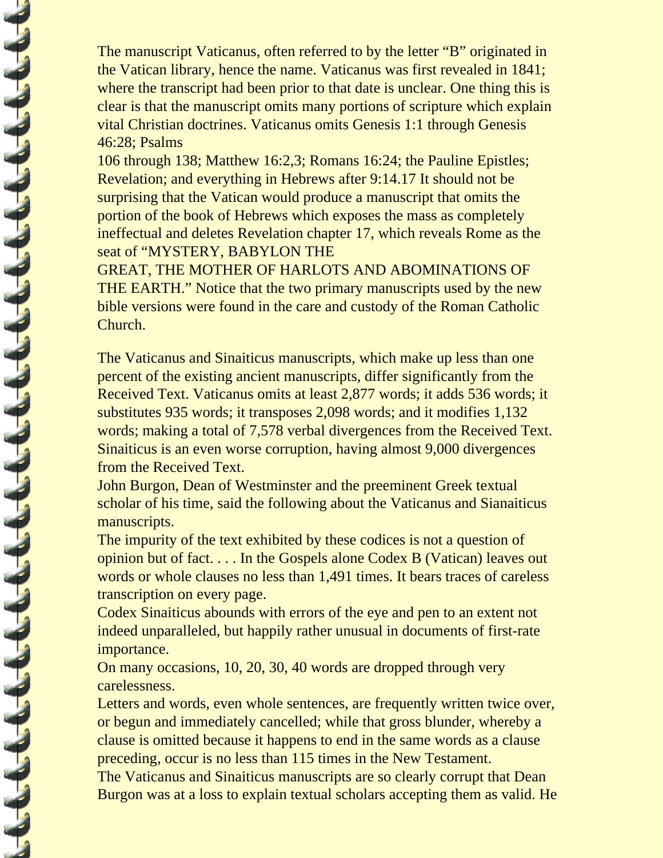The manuscript Vaticanus, often referred to by the letter "B" originated in the Vatican library, hence the name. Vaticanus was first revealed in 1841; where the transcript had been prior to that date is unclear. One thing this is clear is that the manuscript omits many portions of scripture which explain vital Christian doctrines. Vaticanus omits Genesis 1:1 through Genesis 46:28; Psalms

106 through 138; Matthew 16:2,3; Romans 16:24; the Pauline Epistles; Revelation; and everything in Hebrews after 9:14.17 It should not be surprising that the Vatican would produce a manuscript that omits the portion of the book of Hebrews which exposes the mass as completely ineffectual and deletes Revelation chapter 17, which reveals Rome as the seat of "MYSTERY, BABYLON THE

GREAT, THE MOTHER OF HARLOTS AND ABOMINATIONS OF THE EARTH." Notice that the two primary manuscripts used by the new bible versions were found in the care and custody of the Roman Catholic Church.

The Vaticanus and Sinaiticus manuscripts, which make up less than one percent of the existing ancient manuscripts, differ significantly from the Received Text. Vaticanus omits at least 2,877 words; it adds 536 words; it substitutes 935 words; it transposes 2,098 words; and it modifies 1,132 words; making a total of 7,578 verbal divergences from the Received Text. Sinaiticus is an even worse corruption, having almost 9,000 divergences from the Received Text.

John Burgon, Dean of Westminster and the preeminent Greek textual scholar of his time, said the following about the Vaticanus and Sianaiticus manuscripts.

The impurity of the text exhibited by these codices is not a question of opinion but of fact. . . . In the Gospels alone Codex B (Vatican) leaves out words or whole clauses no less than 1,491 times. It bears traces of careless transcription on every page.

Codex Sinaiticus abounds with errors of the eye and pen to an extent not indeed unparalleled, but happily rather unusual in documents of first-rate importance.

On many occasions, 10, 20, 30, 40 words are dropped through very carelessness.

Letters and words, even whole sentences, are frequently written twice over, or begun and immediately cancelled; while that gross blunder, whereby a clause is omitted because it happens to end in the same words as a clause preceding, occur is no less than 115 times in the New Testament.

The Vaticanus and Sinaiticus manuscripts are so clearly corrupt that Dean Burgon was at a loss to explain textual scholars accepting them as valid. He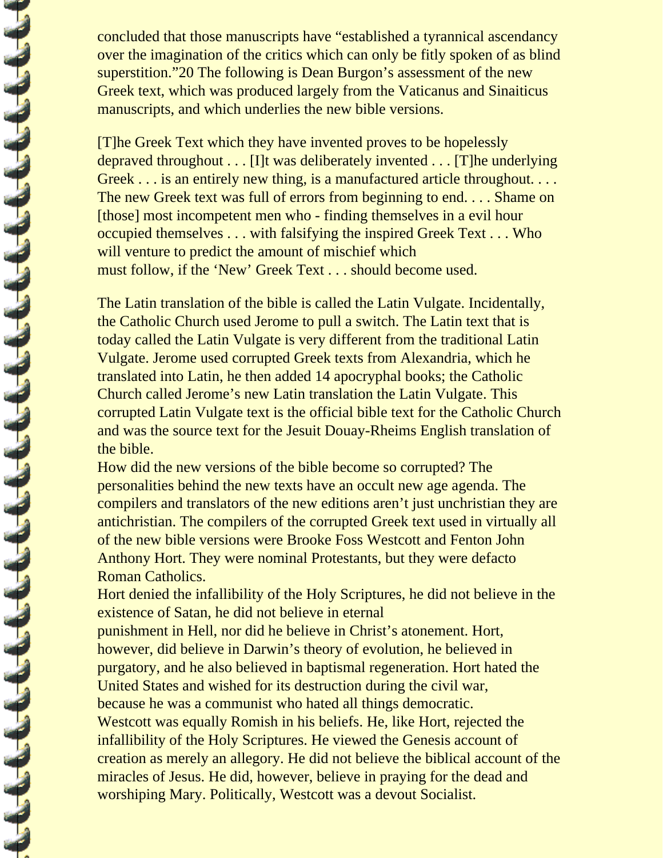concluded that those manuscripts have "established a tyrannical ascendancy over the imagination of the critics which can only be fitly spoken of as blind superstition."20 The following is Dean Burgon's assessment of the new Greek text, which was produced largely from the Vaticanus and Sinaiticus manuscripts, and which underlies the new bible versions.

[T]he Greek Text which they have invented proves to be hopelessly depraved throughout . . . [I]t was deliberately invented . . . [T]he underlying Greek . . . is an entirely new thing, is a manufactured article throughout. . . . The new Greek text was full of errors from beginning to end. . . . Shame on [those] most incompetent men who - finding themselves in a evil hour occupied themselves . . . with falsifying the inspired Greek Text . . . Who will venture to predict the amount of mischief which must follow, if the 'New' Greek Text . . . should become used.

The Latin translation of the bible is called the Latin Vulgate. Incidentally, the Catholic Church used Jerome to pull a switch. The Latin text that is today called the Latin Vulgate is very different from the traditional Latin Vulgate. Jerome used corrupted Greek texts from Alexandria, which he translated into Latin, he then added 14 apocryphal books; the Catholic Church called Jerome's new Latin translation the Latin Vulgate. This corrupted Latin Vulgate text is the official bible text for the Catholic Church and was the source text for the Jesuit Douay-Rheims English translation of the bible.

How did the new versions of the bible become so corrupted? The personalities behind the new texts have an occult new age agenda. The compilers and translators of the new editions aren't just unchristian they are antichristian. The compilers of the corrupted Greek text used in virtually all of the new bible versions were Brooke Foss Westcott and Fenton John Anthony Hort. They were nominal Protestants, but they were defacto Roman Catholics.

Hort denied the infallibility of the Holy Scriptures, he did not believe in the existence of Satan, he did not believe in eternal

punishment in Hell, nor did he believe in Christ's atonement. Hort, however, did believe in Darwin's theory of evolution, he believed in purgatory, and he also believed in baptismal regeneration. Hort hated the United States and wished for its destruction during the civil war, because he was a communist who hated all things democratic. Westcott was equally Romish in his beliefs. He, like Hort, rejected the

infallibility of the Holy Scriptures. He viewed the Genesis account of creation as merely an allegory. He did not believe the biblical account of the miracles of Jesus. He did, however, believe in praying for the dead and worshiping Mary. Politically, Westcott was a devout Socialist.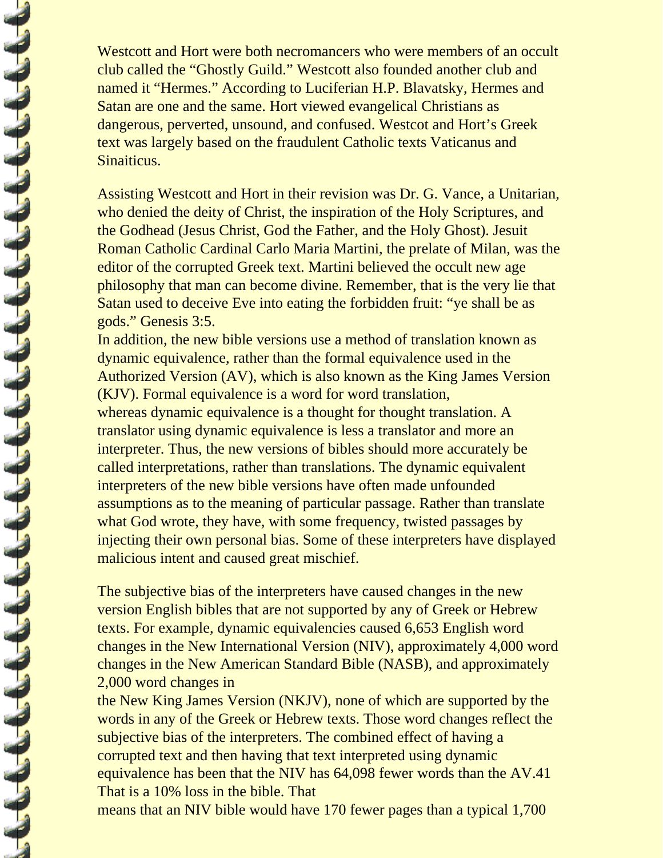Westcott and Hort were both necromancers who were members of an occult club called the "Ghostly Guild." Westcott also founded another club and named it "Hermes." According to Luciferian H.P. Blavatsky, Hermes and Satan are one and the same. Hort viewed evangelical Christians as dangerous, perverted, unsound, and confused. Westcot and Hort's Greek text was largely based on the fraudulent Catholic texts Vaticanus and Sinaiticus.

Assisting Westcott and Hort in their revision was Dr. G. Vance, a Unitarian, who denied the deity of Christ, the inspiration of the Holy Scriptures, and the Godhead (Jesus Christ, God the Father, and the Holy Ghost). Jesuit Roman Catholic Cardinal Carlo Maria Martini, the prelate of Milan, was the editor of the corrupted Greek text. Martini believed the occult new age philosophy that man can become divine. Remember, that is the very lie that Satan used to deceive Eve into eating the forbidden fruit: "ye shall be as gods." Genesis 3:5.

In addition, the new bible versions use a method of translation known as dynamic equivalence, rather than the formal equivalence used in the Authorized Version (AV), which is also known as the King James Version (KJV). Formal equivalence is a word for word translation, whereas dynamic equivalence is a thought for thought translation. A translator using dynamic equivalence is less a translator and more an interpreter. Thus, the new versions of bibles should more accurately be called interpretations, rather than translations. The dynamic equivalent interpreters of the new bible versions have often made unfounded assumptions as to the meaning of particular passage. Rather than translate what God wrote, they have, with some frequency, twisted passages by injecting their own personal bias. Some of these interpreters have displayed malicious intent and caused great mischief.

The subjective bias of the interpreters have caused changes in the new version English bibles that are not supported by any of Greek or Hebrew texts. For example, dynamic equivalencies caused 6,653 English word changes in the New International Version (NIV), approximately 4,000 word changes in the New American Standard Bible (NASB), and approximately 2,000 word changes in

the New King James Version (NKJV), none of which are supported by the words in any of the Greek or Hebrew texts. Those word changes reflect the subjective bias of the interpreters. The combined effect of having a corrupted text and then having that text interpreted using dynamic equivalence has been that the NIV has 64,098 fewer words than the AV.41 That is a 10% loss in the bible. That

means that an NIV bible would have 170 fewer pages than a typical 1,700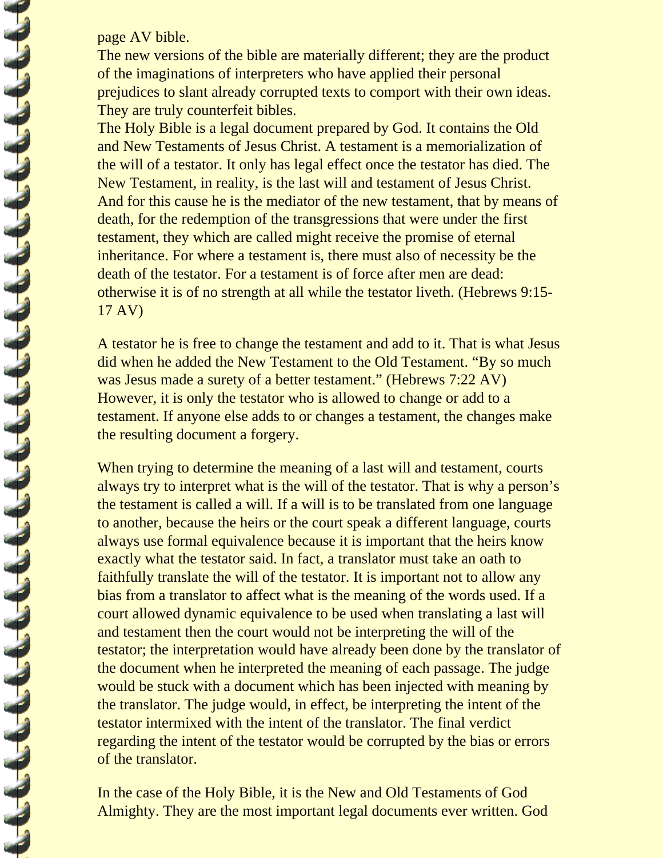page AV bible.

The new versions of the bible are materially different; they are the product of the imaginations of interpreters who have applied their personal prejudices to slant already corrupted texts to comport with their own ideas. They are truly counterfeit bibles.

The Holy Bible is a legal document prepared by God. It contains the Old and New Testaments of Jesus Christ. A testament is a memorialization of the will of a testator. It only has legal effect once the testator has died. The New Testament, in reality, is the last will and testament of Jesus Christ. And for this cause he is the mediator of the new testament, that by means of death, for the redemption of the transgressions that were under the first testament, they which are called might receive the promise of eternal inheritance. For where a testament is, there must also of necessity be the death of the testator. For a testament is of force after men are dead: otherwise it is of no strength at all while the testator liveth. (Hebrews 9:15- 17 AV)

A testator he is free to change the testament and add to it. That is what Jesus did when he added the New Testament to the Old Testament. "By so much was Jesus made a surety of a better testament." (Hebrews 7:22 AV) However, it is only the testator who is allowed to change or add to a testament. If anyone else adds to or changes a testament, the changes make the resulting document a forgery.

When trying to determine the meaning of a last will and testament, courts always try to interpret what is the will of the testator. That is why a person's the testament is called a will. If a will is to be translated from one language to another, because the heirs or the court speak a different language, courts always use formal equivalence because it is important that the heirs know exactly what the testator said. In fact, a translator must take an oath to faithfully translate the will of the testator. It is important not to allow any bias from a translator to affect what is the meaning of the words used. If a court allowed dynamic equivalence to be used when translating a last will and testament then the court would not be interpreting the will of the testator; the interpretation would have already been done by the translator of the document when he interpreted the meaning of each passage. The judge would be stuck with a document which has been injected with meaning by the translator. The judge would, in effect, be interpreting the intent of the testator intermixed with the intent of the translator. The final verdict regarding the intent of the testator would be corrupted by the bias or errors of the translator.

In the case of the Holy Bible, it is the New and Old Testaments of God Almighty. They are the most important legal documents ever written. God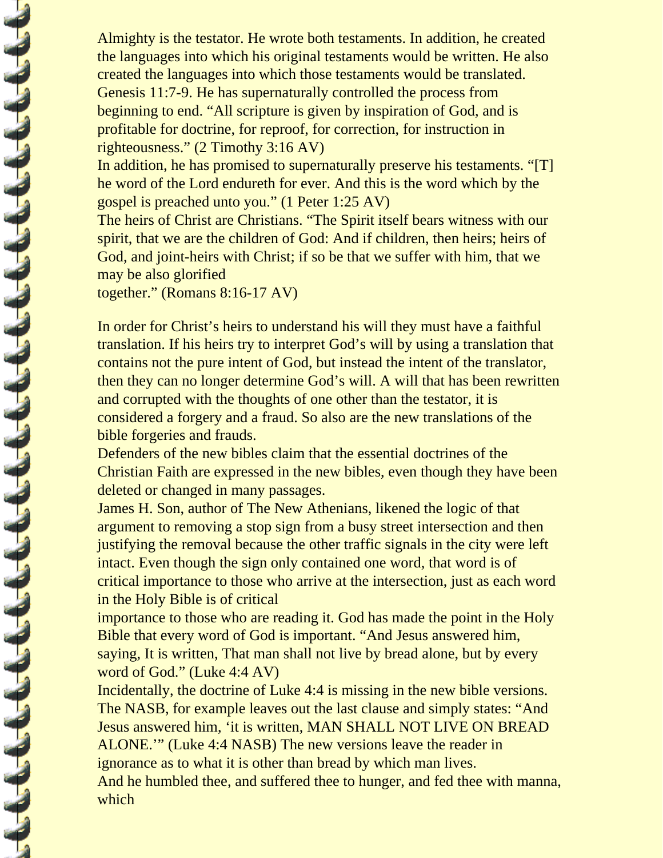Almighty is the testator. He wrote both testaments. In addition, he created the languages into which his original testaments would be written. He also created the languages into which those testaments would be translated. Genesis 11:7-9. He has supernaturally controlled the process from beginning to end. "All scripture is given by inspiration of God, and is profitable for doctrine, for reproof, for correction, for instruction in righteousness." (2 Timothy 3:16 AV)

In addition, he has promised to supernaturally preserve his testaments. "[T] he word of the Lord endureth for ever. And this is the word which by the gospel is preached unto you." (1 Peter 1:25 AV)

The heirs of Christ are Christians. "The Spirit itself bears witness with our spirit, that we are the children of God: And if children, then heirs; heirs of God, and joint-heirs with Christ; if so be that we suffer with him, that we may be also glorified

together." (Romans 8:16-17 AV)

In order for Christ's heirs to understand his will they must have a faithful translation. If his heirs try to interpret God's will by using a translation that contains not the pure intent of God, but instead the intent of the translator, then they can no longer determine God's will. A will that has been rewritten and corrupted with the thoughts of one other than the testator, it is considered a forgery and a fraud. So also are the new translations of the bible forgeries and frauds.

Defenders of the new bibles claim that the essential doctrines of the Christian Faith are expressed in the new bibles, even though they have been deleted or changed in many passages.

James H. Son, author of The New Athenians, likened the logic of that argument to removing a stop sign from a busy street intersection and then justifying the removal because the other traffic signals in the city were left intact. Even though the sign only contained one word, that word is of critical importance to those who arrive at the intersection, just as each word in the Holy Bible is of critical

importance to those who are reading it. God has made the point in the Holy Bible that every word of God is important. "And Jesus answered him, saying, It is written, That man shall not live by bread alone, but by every word of God." (Luke 4:4 AV)

Incidentally, the doctrine of Luke 4:4 is missing in the new bible versions. The NASB, for example leaves out the last clause and simply states: "And Jesus answered him, 'it is written, MAN SHALL NOT LIVE ON BREAD ALONE.'" (Luke 4:4 NASB) The new versions leave the reader in ignorance as to what it is other than bread by which man lives. And he humbled thee, and suffered thee to hunger, and fed thee with manna,

which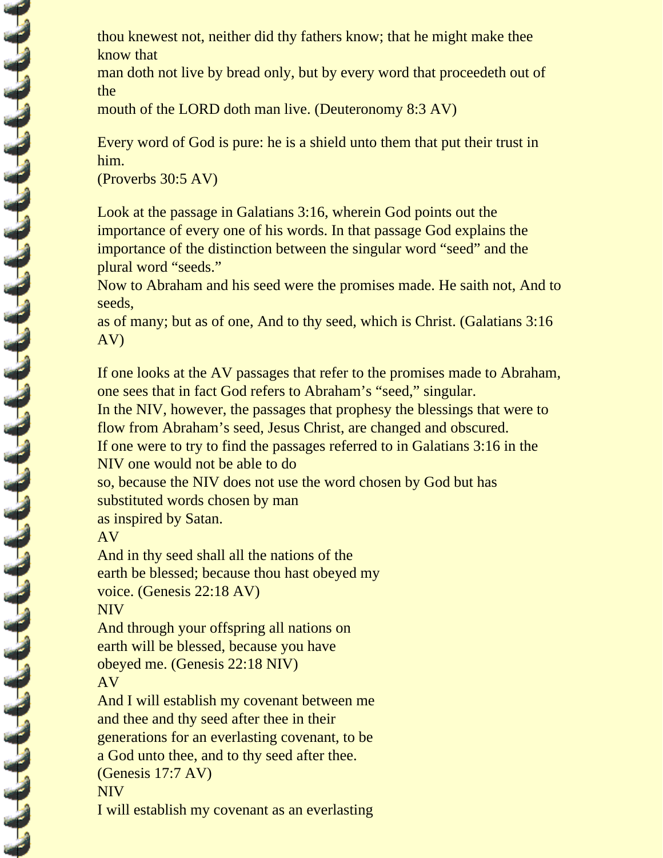thou knewest not, neither did thy fathers know; that he might make thee know that

man doth not live by bread only, but by every word that proceedeth out of the

mouth of the LORD doth man live. (Deuteronomy 8:3 AV)

Every word of God is pure: he is a shield unto them that put their trust in him.

(Proverbs 30:5 AV)

Look at the passage in Galatians 3:16, wherein God points out the importance of every one of his words. In that passage God explains the importance of the distinction between the singular word "seed" and the plural word "seeds."

Now to Abraham and his seed were the promises made. He saith not, And to seeds,

as of many; but as of one, And to thy seed, which is Christ. (Galatians 3:16 AV)

If one looks at the AV passages that refer to the promises made to Abraham, one sees that in fact God refers to Abraham's "seed," singular.

In the NIV, however, the passages that prophesy the blessings that were to flow from Abraham's seed, Jesus Christ, are changed and obscured.

If one were to try to find the passages referred to in Galatians 3:16 in the NIV one would not be able to do

so, because the NIV does not use the word chosen by God but has substituted words chosen by man

as inspired by Satan.

# AV

And in thy seed shall all the nations of the earth be blessed; because thou hast obeyed my voice. (Genesis 22:18 AV) NIV And through your offspring all nations on earth will be blessed, because you have obeyed me. (Genesis 22:18 NIV) AV

And I will establish my covenant between me and thee and thy seed after thee in their generations for an everlasting covenant, to be a God unto thee, and to thy seed after thee. (Genesis 17:7 AV) NIV

I will establish my covenant as an everlasting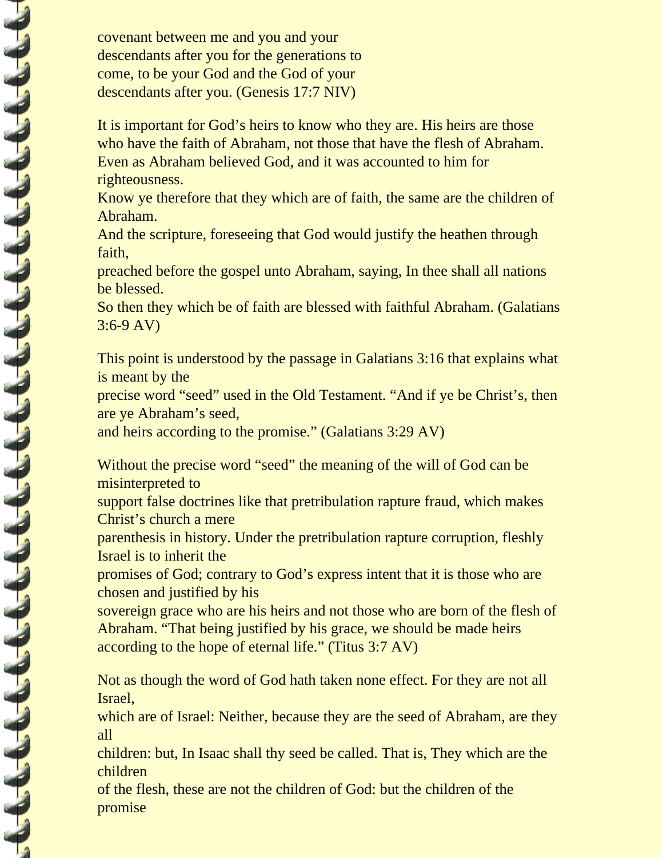covenant between me and you and your descendants after you for the generations to come, to be your God and the God of your descendants after you. (Genesis 17:7 NIV)

It is important for God's heirs to know who they are. His heirs are those who have the faith of Abraham, not those that have the flesh of Abraham. Even as Abraham believed God, and it was accounted to him for righteousness.

Know ye therefore that they which are of faith, the same are the children of Abraham.

And the scripture, foreseeing that God would justify the heathen through faith,

preached before the gospel unto Abraham, saying, In thee shall all nations be blessed.

So then they which be of faith are blessed with faithful Abraham. (Galatians 3:6-9 AV)

This point is understood by the passage in Galatians 3:16 that explains what is meant by the

precise word "seed" used in the Old Testament. "And if ye be Christ's, then are ye Abraham's seed,

and heirs according to the promise." (Galatians 3:29 AV)

Without the precise word "seed" the meaning of the will of God can be misinterpreted to

support false doctrines like that pretribulation rapture fraud, which makes Christ's church a mere

parenthesis in history. Under the pretribulation rapture corruption, fleshly Israel is to inherit the

promises of God; contrary to God's express intent that it is those who are chosen and justified by his

sovereign grace who are his heirs and not those who are born of the flesh of Abraham. "That being justified by his grace, we should be made heirs according to the hope of eternal life." (Titus 3:7 AV)

Not as though the word of God hath taken none effect. For they are not all Israel,

which are of Israel: Neither, because they are the seed of Abraham, are they all

children: but, In Isaac shall thy seed be called. That is, They which are the children

of the flesh, these are not the children of God: but the children of the promise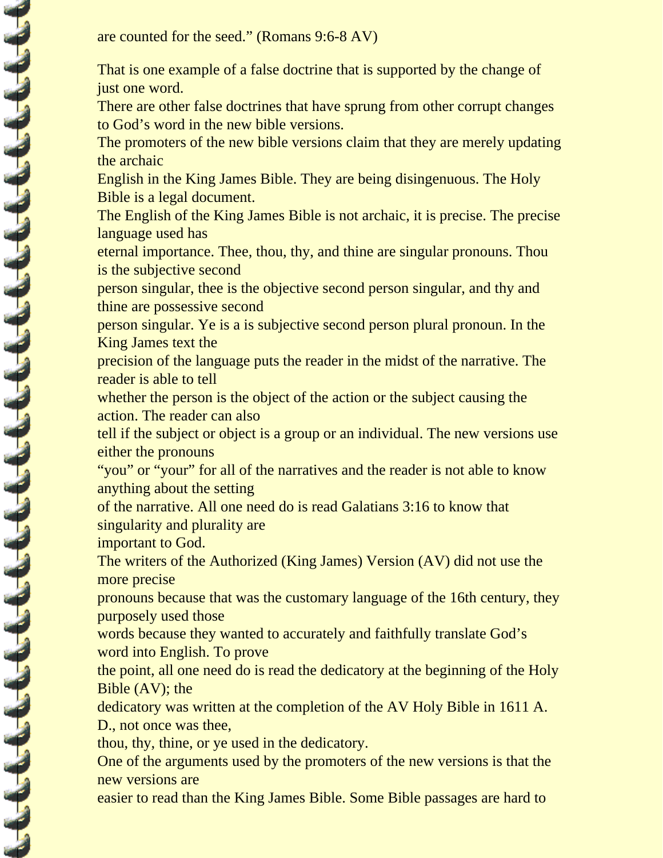are counted for the seed." (Romans 9:6-8 AV)

That is one example of a false doctrine that is supported by the change of just one word.

There are other false doctrines that have sprung from other corrupt changes to God's word in the new bible versions.

The promoters of the new bible versions claim that they are merely updating the archaic

English in the King James Bible. They are being disingenuous. The Holy Bible is a legal document.

The English of the King James Bible is not archaic, it is precise. The precise language used has

eternal importance. Thee, thou, thy, and thine are singular pronouns. Thou is the subjective second

person singular, thee is the objective second person singular, and thy and thine are possessive second

person singular. Ye is a is subjective second person plural pronoun. In the King James text the

precision of the language puts the reader in the midst of the narrative. The reader is able to tell

whether the person is the object of the action or the subject causing the action. The reader can also

tell if the subject or object is a group or an individual. The new versions use either the pronouns

"you" or "your" for all of the narratives and the reader is not able to know anything about the setting

of the narrative. All one need do is read Galatians 3:16 to know that singularity and plurality are

important to God.

The writers of the Authorized (King James) Version (AV) did not use the more precise

pronouns because that was the customary language of the 16th century, they purposely used those

words because they wanted to accurately and faithfully translate God's word into English. To prove

the point, all one need do is read the dedicatory at the beginning of the Holy Bible (AV); the

dedicatory was written at the completion of the AV Holy Bible in 1611 A. D., not once was thee,

thou, thy, thine, or ye used in the dedicatory.

One of the arguments used by the promoters of the new versions is that the new versions are

easier to read than the King James Bible. Some Bible passages are hard to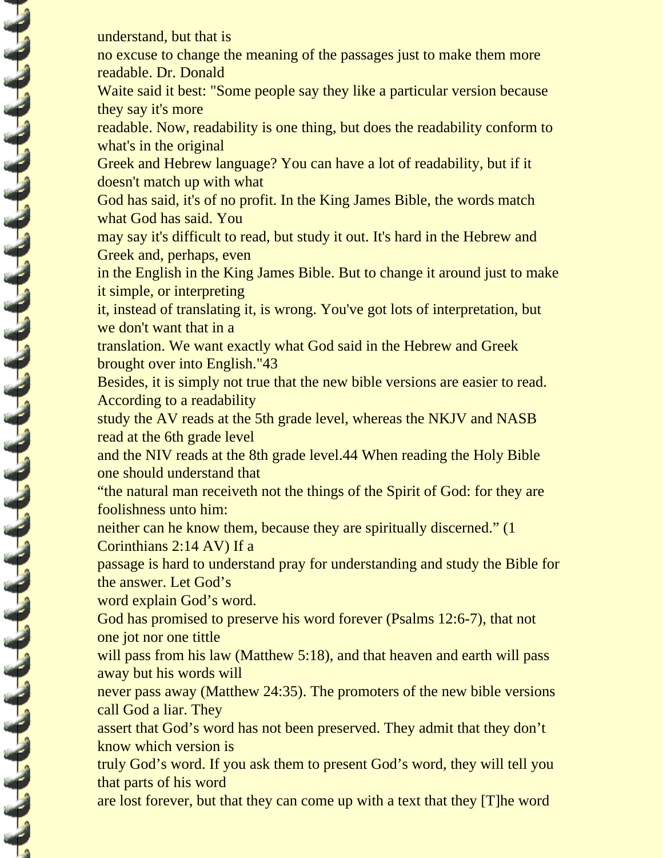understand, but that is no excuse to change the meaning of the passages just to make them more readable. Dr. Donald Waite said it best: "Some people say they like a particular version because they say it's more readable. Now, readability is one thing, but does the readability conform to what's in the original Greek and Hebrew language? You can have a lot of readability, but if it doesn't match up with what God has said, it's of no profit. In the King James Bible, the words match what God has said. You may say it's difficult to read, but study it out. It's hard in the Hebrew and Greek and, perhaps, even in the English in the King James Bible. But to change it around just to make it simple, or interpreting it, instead of translating it, is wrong. You've got lots of interpretation, but we don't want that in a translation. We want exactly what God said in the Hebrew and Greek brought over into English."43 Besides, it is simply not true that the new bible versions are easier to read. According to a readability study the AV reads at the 5th grade level, whereas the NKJV and NASB read at the 6th grade level and the NIV reads at the 8th grade level.44 When reading the Holy Bible one should understand that "the natural man receiveth not the things of the Spirit of God: for they are foolishness unto him: neither can he know them, because they are spiritually discerned." (1 Corinthians 2:14 AV) If a passage is hard to understand pray for understanding and study the Bible for the answer. Let God's word explain God's word. God has promised to preserve his word forever (Psalms 12:6-7), that not one jot nor one tittle will pass from his law (Matthew 5:18), and that heaven and earth will pass away but his words will never pass away (Matthew 24:35). The promoters of the new bible versions call God a liar. They assert that God's word has not been preserved. They admit that they don't know which version is truly God's word. If you ask them to present God's word, they will tell you that parts of his word are lost forever, but that they can come up with a text that they [T]he word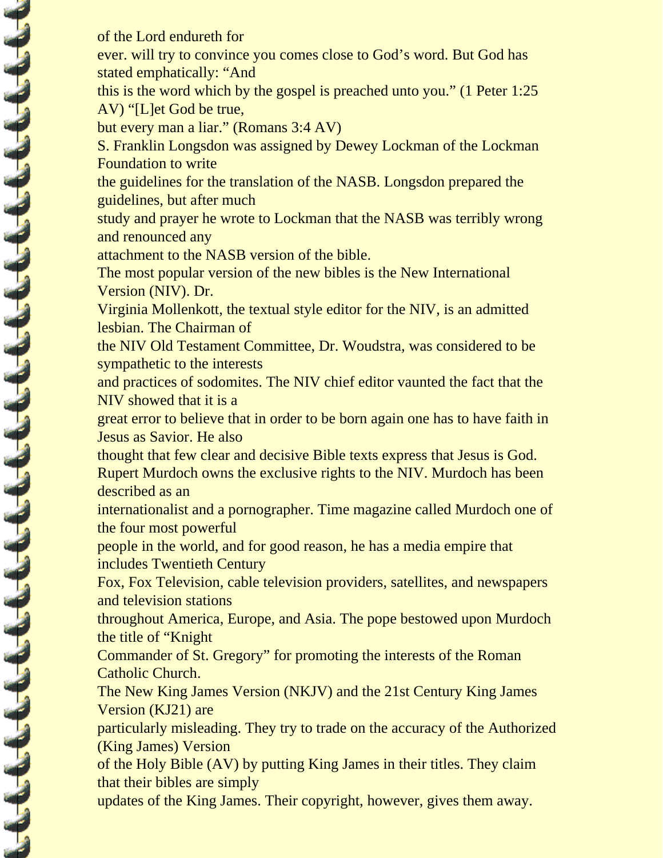of the Lord endureth for ever. will try to convince you comes close to God's word. But God has stated emphatically: "And this is the word which by the gospel is preached unto you." (1 Peter 1:25 AV) "[L]et God be true, but every man a liar." (Romans 3:4 AV) S. Franklin Longsdon was assigned by Dewey Lockman of the Lockman Foundation to write the guidelines for the translation of the NASB. Longsdon prepared the guidelines, but after much study and prayer he wrote to Lockman that the NASB was terribly wrong and renounced any attachment to the NASB version of the bible. The most popular version of the new bibles is the New International Version (NIV). Dr. Virginia Mollenkott, the textual style editor for the NIV, is an admitted lesbian. The Chairman of the NIV Old Testament Committee, Dr. Woudstra, was considered to be sympathetic to the interests and practices of sodomites. The NIV chief editor vaunted the fact that the NIV showed that it is a great error to believe that in order to be born again one has to have faith in Jesus as Savior. He also thought that few clear and decisive Bible texts express that Jesus is God. Rupert Murdoch owns the exclusive rights to the NIV. Murdoch has been described as an internationalist and a pornographer. Time magazine called Murdoch one of the four most powerful people in the world, and for good reason, he has a media empire that includes Twentieth Century Fox, Fox Television, cable television providers, satellites, and newspapers and television stations throughout America, Europe, and Asia. The pope bestowed upon Murdoch the title of "Knight Commander of St. Gregory" for promoting the interests of the Roman Catholic Church. The New King James Version (NKJV) and the 21st Century King James Version (KJ21) are particularly misleading. They try to trade on the accuracy of the Authorized (King James) Version of the Holy Bible (AV) by putting King James in their titles. They claim that their bibles are simply updates of the King James. Their copyright, however, gives them away.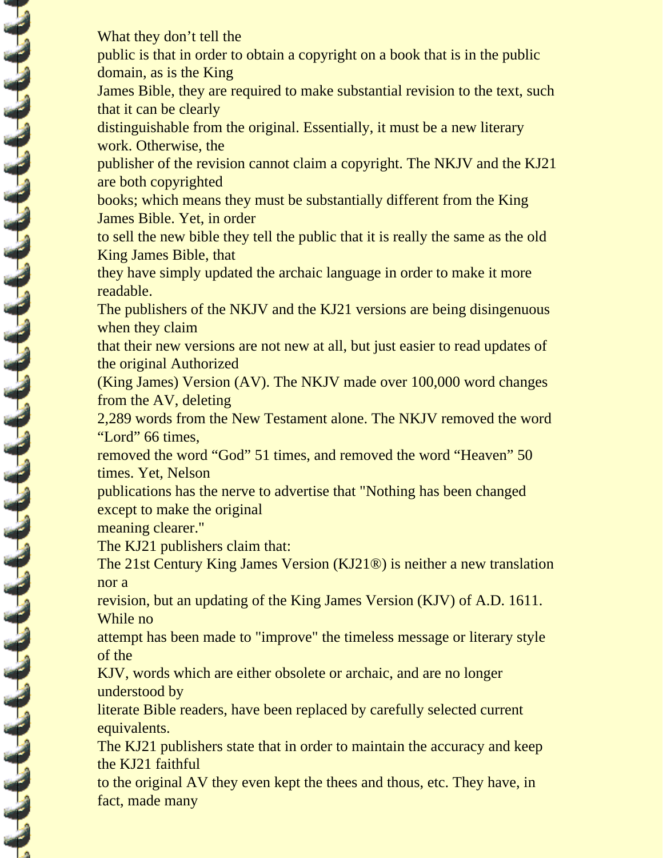What they don't tell the public is that in order to obtain a copyright on a book that is in the public domain, as is the King James Bible, they are required to make substantial revision to the text, such that it can be clearly distinguishable from the original. Essentially, it must be a new literary work. Otherwise, the publisher of the revision cannot claim a copyright. The NKJV and the KJ21 are both copyrighted books; which means they must be substantially different from the King James Bible. Yet, in order to sell the new bible they tell the public that it is really the same as the old King James Bible, that they have simply updated the archaic language in order to make it more readable. The publishers of the NKJV and the KJ21 versions are being disingenuous when they claim that their new versions are not new at all, but just easier to read updates of the original Authorized (King James) Version (AV). The NKJV made over 100,000 word changes from the AV, deleting 2,289 words from the New Testament alone. The NKJV removed the word "Lord" 66 times, removed the word "God" 51 times, and removed the word "Heaven" 50 times. Yet, Nelson publications has the nerve to advertise that "Nothing has been changed except to make the original meaning clearer." The KJ21 publishers claim that: The 21st Century King James Version (KJ21®) is neither a new translation nor a revision, but an updating of the King James Version (KJV) of A.D. 1611. While no attempt has been made to "improve" the timeless message or literary style of the KJV, words which are either obsolete or archaic, and are no longer understood by literate Bible readers, have been replaced by carefully selected current equivalents. The KJ21 publishers state that in order to maintain the accuracy and keep the KJ21 faithful to the original AV they even kept the thees and thous, etc. They have, in fact, made many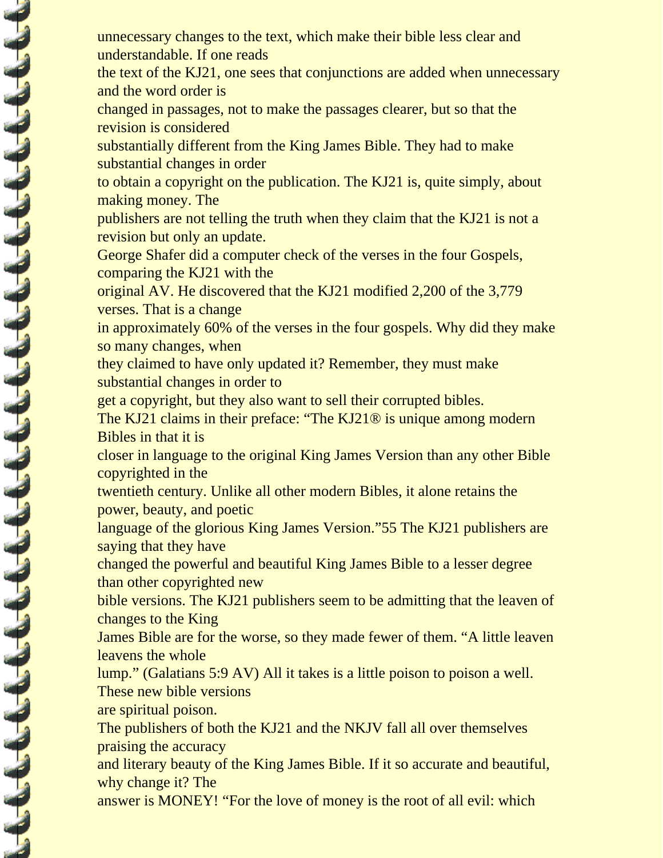unnecessary changes to the text, which make their bible less clear and understandable. If one reads the text of the KJ21, one sees that conjunctions are added when unnecessary and the word order is changed in passages, not to make the passages clearer, but so that the revision is considered substantially different from the King James Bible. They had to make substantial changes in order to obtain a copyright on the publication. The KJ21 is, quite simply, about making money. The publishers are not telling the truth when they claim that the KJ21 is not a revision but only an update. George Shafer did a computer check of the verses in the four Gospels, comparing the KJ21 with the original AV. He discovered that the KJ21 modified 2,200 of the 3,779 verses. That is a change in approximately 60% of the verses in the four gospels. Why did they make so many changes, when they claimed to have only updated it? Remember, they must make substantial changes in order to get a copyright, but they also want to sell their corrupted bibles. The KJ21 claims in their preface: "The KJ21<sup>®</sup> is unique among modern Bibles in that it is closer in language to the original King James Version than any other Bible copyrighted in the twentieth century. Unlike all other modern Bibles, it alone retains the power, beauty, and poetic language of the glorious King James Version."55 The KJ21 publishers are saying that they have changed the powerful and beautiful King James Bible to a lesser degree than other copyrighted new bible versions. The KJ21 publishers seem to be admitting that the leaven of changes to the King James Bible are for the worse, so they made fewer of them. "A little leaven leavens the whole lump." (Galatians 5:9 AV) All it takes is a little poison to poison a well. These new bible versions are spiritual poison. The publishers of both the KJ21 and the NKJV fall all over themselves praising the accuracy and literary beauty of the King James Bible. If it so accurate and beautiful, why change it? The answer is MONEY! "For the love of money is the root of all evil: which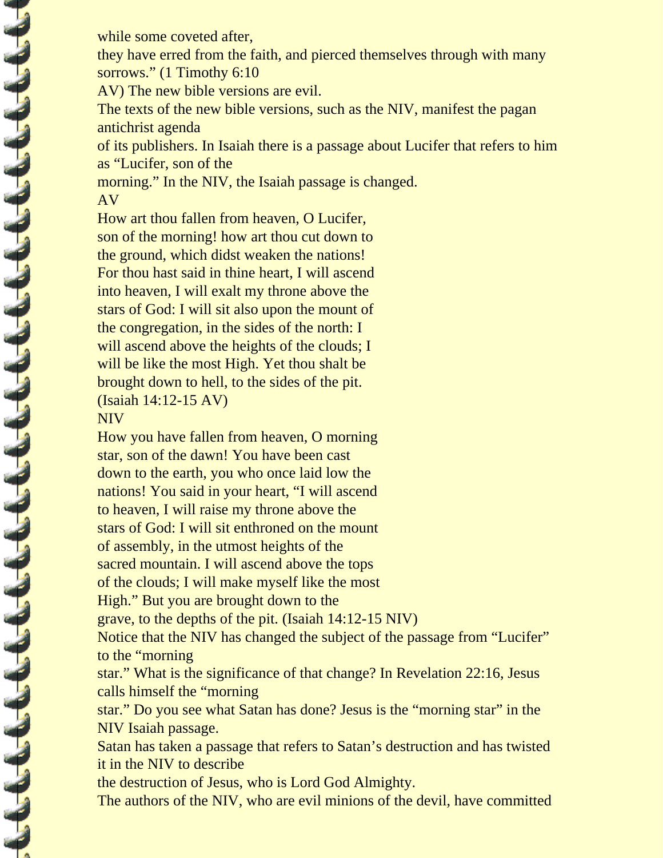while some coveted after,

they have erred from the faith, and pierced themselves through with many sorrows." (1 Timothy 6:10

AV) The new bible versions are evil.

The texts of the new bible versions, such as the NIV, manifest the pagan antichrist agenda

of its publishers. In Isaiah there is a passage about Lucifer that refers to him as "Lucifer, son of the

morning." In the NIV, the Isaiah passage is changed. AV

How art thou fallen from heaven, O Lucifer, son of the morning! how art thou cut down to the ground, which didst weaken the nations! For thou hast said in thine heart, I will ascend into heaven, I will exalt my throne above the stars of God: I will sit also upon the mount of the congregation, in the sides of the north: I will ascend above the heights of the clouds; I will be like the most High. Yet thou shalt be brought down to hell, to the sides of the pit. (Isaiah 14:12-15 AV)

#### NIV

How you have fallen from heaven, O morning star, son of the dawn! You have been cast down to the earth, you who once laid low the nations! You said in your heart, "I will ascend to heaven, I will raise my throne above the stars of God: I will sit enthroned on the mount of assembly, in the utmost heights of the sacred mountain. I will ascend above the tops of the clouds; I will make myself like the most High." But you are brought down to the grave, to the depths of the pit. (Isaiah 14:12-15 NIV) Notice that the NIV has changed the subject of the passage from "Lucifer" to the "morning star." What is the significance of that change? In Revelation 22:16, Jesus calls himself the "morning star." Do you see what Satan has done? Jesus is the "morning star" in the NIV Isaiah passage. Satan has taken a passage that refers to Satan's destruction and has twisted it in the NIV to describe the destruction of Jesus, who is Lord God Almighty.

The authors of the NIV, who are evil minions of the devil, have committed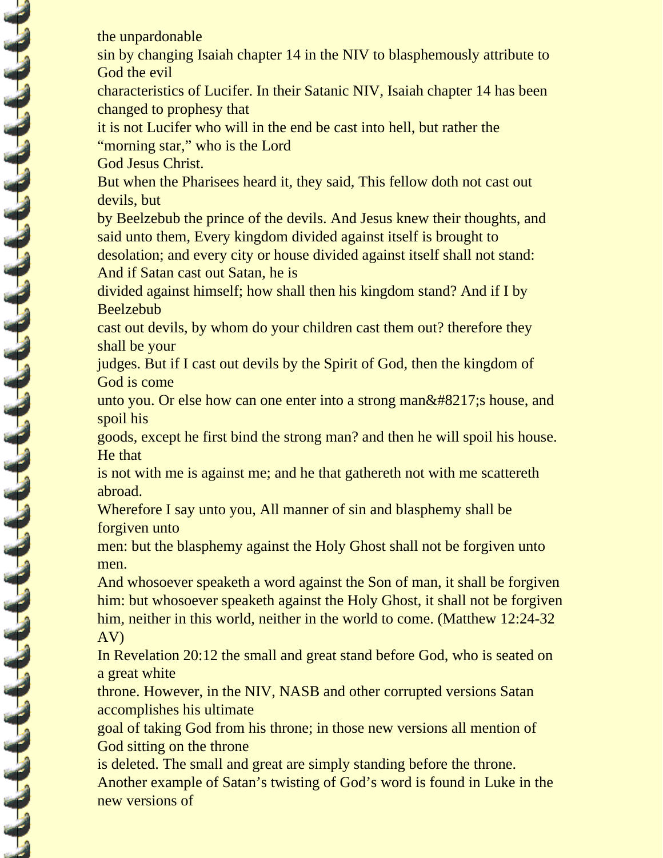the unpardonable sin by changing Isaiah chapter 14 in the NIV to blasphemously attribute to God the evil characteristics of Lucifer. In their Satanic NIV, Isaiah chapter 14 has been changed to prophesy that it is not Lucifer who will in the end be cast into hell, but rather the "morning star," who is the Lord God Jesus Christ. But when the Pharisees heard it, they said, This fellow doth not cast out devils, but by Beelzebub the prince of the devils. And Jesus knew their thoughts, and said unto them, Every kingdom divided against itself is brought to desolation; and every city or house divided against itself shall not stand: And if Satan cast out Satan, he is divided against himself; how shall then his kingdom stand? And if I by Beelzebub cast out devils, by whom do your children cast them out? therefore they shall be your judges. But if I cast out devils by the Spirit of God, then the kingdom of God is come unto you. Or else how can one enter into a strong man  $&\#8217$ ; s house, and spoil his goods, except he first bind the strong man? and then he will spoil his house. He that is not with me is against me; and he that gathereth not with me scattereth abroad. Wherefore I say unto you, All manner of sin and blasphemy shall be forgiven unto men: but the blasphemy against the Holy Ghost shall not be forgiven unto men. And whosoever speaketh a word against the Son of man, it shall be forgiven him: but whosoever speaketh against the Holy Ghost, it shall not be forgiven him, neither in this world, neither in the world to come. (Matthew 12:24-32) AV) In Revelation 20:12 the small and great stand before God, who is seated on a great white throne. However, in the NIV, NASB and other corrupted versions Satan accomplishes his ultimate

goal of taking God from his throne; in those new versions all mention of God sitting on the throne

is deleted. The small and great are simply standing before the throne. Another example of Satan's twisting of God's word is found in Luke in the new versions of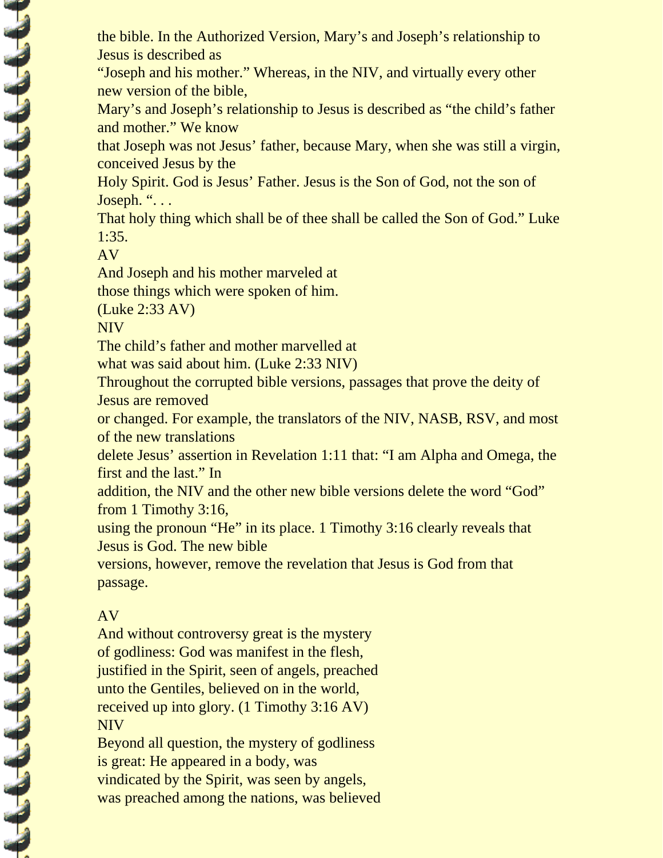the bible. In the Authorized Version, Mary's and Joseph's relationship to Jesus is described as

"Joseph and his mother." Whereas, in the NIV, and virtually every other new version of the bible,

Mary's and Joseph's relationship to Jesus is described as "the child's father and mother." We know

that Joseph was not Jesus' father, because Mary, when she was still a virgin, conceived Jesus by the

Holy Spirit. God is Jesus' Father. Jesus is the Son of God, not the son of Joseph. " $\ldots$ 

That holy thing which shall be of thee shall be called the Son of God." Luke 1:35.

AV

And Joseph and his mother marveled at

those things which were spoken of him.

(Luke 2:33 AV)

NIV

The child's father and mother marvelled at

what was said about him. (Luke 2:33 NIV)

Throughout the corrupted bible versions, passages that prove the deity of Jesus are removed

or changed. For example, the translators of the NIV, NASB, RSV, and most of the new translations

delete Jesus' assertion in Revelation 1:11 that: "I am Alpha and Omega, the first and the last." In

addition, the NIV and the other new bible versions delete the word "God" from 1 Timothy 3:16,

using the pronoun "He" in its place. 1 Timothy 3:16 clearly reveals that Jesus is God. The new bible

versions, however, remove the revelation that Jesus is God from that passage.

# AV

And without controversy great is the mystery of godliness: God was manifest in the flesh, justified in the Spirit, seen of angels, preached unto the Gentiles, believed on in the world, received up into glory. (1 Timothy 3:16 AV) NIV Beyond all question, the mystery of godliness

is great: He appeared in a body, was

vindicated by the Spirit, was seen by angels, was preached among the nations, was believed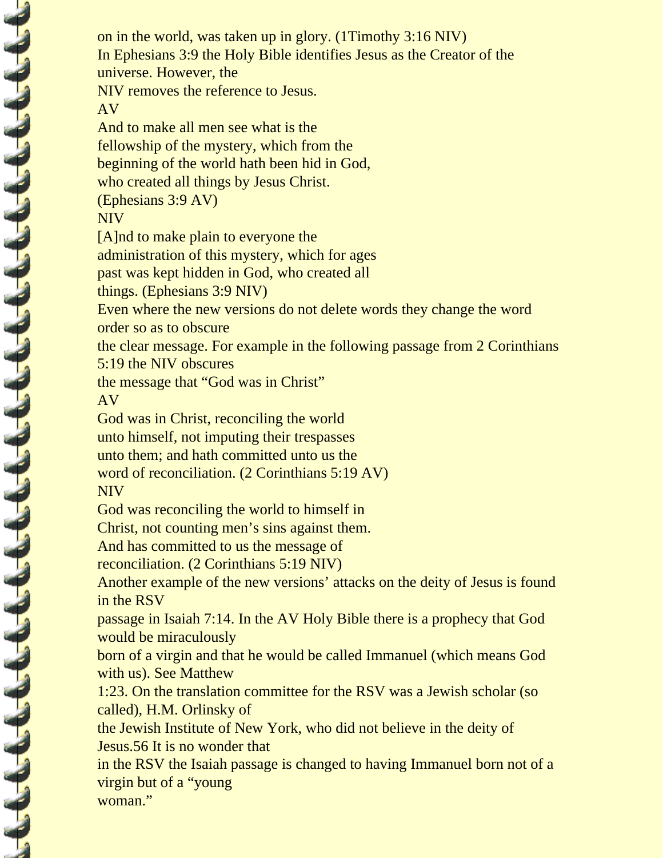on in the world, was taken up in glory. (1Timothy 3:16 NIV) In Ephesians 3:9 the Holy Bible identifies Jesus as the Creator of the universe. However, the NIV removes the reference to Jesus. AV And to make all men see what is the fellowship of the mystery, which from the beginning of the world hath been hid in God, who created all things by Jesus Christ. (Ephesians 3:9 AV) NIV [A]nd to make plain to everyone the administration of this mystery, which for ages past was kept hidden in God, who created all things. (Ephesians 3:9 NIV) Even where the new versions do not delete words they change the word order so as to obscure the clear message. For example in the following passage from 2 Corinthians 5:19 the NIV obscures the message that "God was in Christ" AV God was in Christ, reconciling the world unto himself, not imputing their trespasses unto them; and hath committed unto us the word of reconciliation. (2 Corinthians 5:19 AV) NIV God was reconciling the world to himself in Christ, not counting men's sins against them. And has committed to us the message of reconciliation. (2 Corinthians 5:19 NIV) Another example of the new versions' attacks on the deity of Jesus is found in the RSV passage in Isaiah 7:14. In the AV Holy Bible there is a prophecy that God would be miraculously born of a virgin and that he would be called Immanuel (which means God with us). See Matthew 1:23. On the translation committee for the RSV was a Jewish scholar (so called), H.M. Orlinsky of the Jewish Institute of New York, who did not believe in the deity of Jesus.56 It is no wonder that in the RSV the Isaiah passage is changed to having Immanuel born not of a virgin but of a "young woman."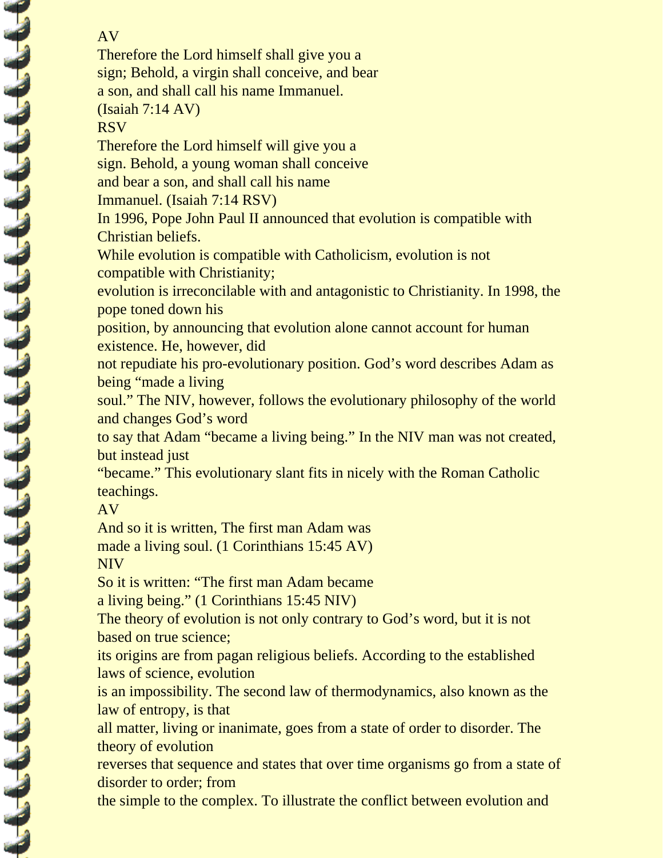### AV

Therefore the Lord himself shall give you a sign; Behold, a virgin shall conceive, and bear a son, and shall call his name Immanuel. (Isaiah 7:14 AV) RSV Therefore the Lord himself will give you a sign. Behold, a young woman shall conceive and bear a son, and shall call his name Immanuel. (Isaiah 7:14 RSV) In 1996, Pope John Paul II announced that evolution is compatible with Christian beliefs. While evolution is compatible with Catholicism, evolution is not compatible with Christianity; evolution is irreconcilable with and antagonistic to Christianity. In 1998, the pope toned down his position, by announcing that evolution alone cannot account for human existence. He, however, did not repudiate his pro-evolutionary position. God's word describes Adam as being "made a living soul." The NIV, however, follows the evolutionary philosophy of the world and changes God's word to say that Adam "became a living being." In the NIV man was not created, but instead just "became." This evolutionary slant fits in nicely with the Roman Catholic teachings. AV And so it is written, The first man Adam was made a living soul. (1 Corinthians 15:45 AV) NIV So it is written: "The first man Adam became a living being." (1 Corinthians 15:45 NIV) The theory of evolution is not only contrary to God's word, but it is not based on true science; its origins are from pagan religious beliefs. According to the established laws of science, evolution is an impossibility. The second law of thermodynamics, also known as the law of entropy, is that all matter, living or inanimate, goes from a state of order to disorder. The theory of evolution reverses that sequence and states that over time organisms go from a state of disorder to order; from the simple to the complex. To illustrate the conflict between evolution and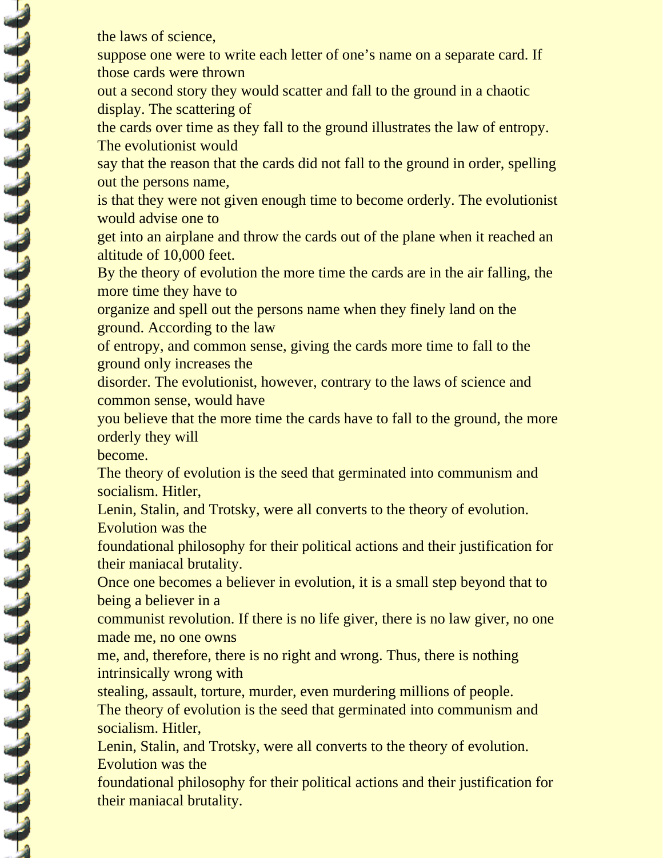the laws of science,

suppose one were to write each letter of one's name on a separate card. If those cards were thrown

out a second story they would scatter and fall to the ground in a chaotic display. The scattering of

the cards over time as they fall to the ground illustrates the law of entropy. The evolutionist would

say that the reason that the cards did not fall to the ground in order, spelling out the persons name,

is that they were not given enough time to become orderly. The evolutionist would advise one to

get into an airplane and throw the cards out of the plane when it reached an altitude of 10,000 feet.

By the theory of evolution the more time the cards are in the air falling, the more time they have to

organize and spell out the persons name when they finely land on the ground. According to the law

of entropy, and common sense, giving the cards more time to fall to the ground only increases the

disorder. The evolutionist, however, contrary to the laws of science and common sense, would have

you believe that the more time the cards have to fall to the ground, the more orderly they will

become.

The theory of evolution is the seed that germinated into communism and socialism. Hitler,

Lenin, Stalin, and Trotsky, were all converts to the theory of evolution. Evolution was the

foundational philosophy for their political actions and their justification for their maniacal brutality.

Once one becomes a believer in evolution, it is a small step beyond that to being a believer in a

communist revolution. If there is no life giver, there is no law giver, no one made me, no one owns

me, and, therefore, there is no right and wrong. Thus, there is nothing intrinsically wrong with

stealing, assault, torture, murder, even murdering millions of people. The theory of evolution is the seed that germinated into communism and socialism. Hitler,

Lenin, Stalin, and Trotsky, were all converts to the theory of evolution. Evolution was the

foundational philosophy for their political actions and their justification for their maniacal brutality.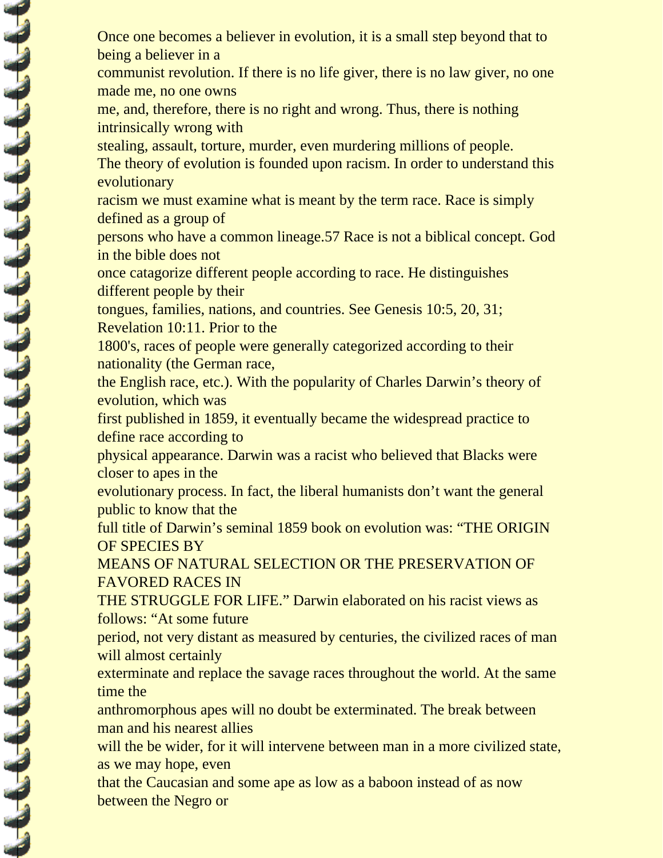Once one becomes a believer in evolution, it is a small step beyond that to being a believer in a communist revolution. If there is no life giver, there is no law giver, no one made me, no one owns me, and, therefore, there is no right and wrong. Thus, there is nothing intrinsically wrong with stealing, assault, torture, murder, even murdering millions of people. The theory of evolution is founded upon racism. In order to understand this evolutionary racism we must examine what is meant by the term race. Race is simply defined as a group of persons who have a common lineage.57 Race is not a biblical concept. God in the bible does not once catagorize different people according to race. He distinguishes different people by their tongues, families, nations, and countries. See Genesis 10:5, 20, 31; Revelation 10:11. Prior to the 1800's, races of people were generally categorized according to their nationality (the German race, the English race, etc.). With the popularity of Charles Darwin's theory of evolution, which was first published in 1859, it eventually became the widespread practice to define race according to physical appearance. Darwin was a racist who believed that Blacks were closer to apes in the evolutionary process. In fact, the liberal humanists don't want the general public to know that the full title of Darwin's seminal 1859 book on evolution was: "THE ORIGIN OF SPECIES BY MEANS OF NATURAL SELECTION OR THE PRESERVATION OF FAVORED RACES IN THE STRUGGLE FOR LIFE." Darwin elaborated on his racist views as follows: "At some future period, not very distant as measured by centuries, the civilized races of man will almost certainly exterminate and replace the savage races throughout the world. At the same time the anthromorphous apes will no doubt be exterminated. The break between man and his nearest allies will the be wider, for it will intervene between man in a more civilized state, as we may hope, even that the Caucasian and some ape as low as a baboon instead of as now between the Negro or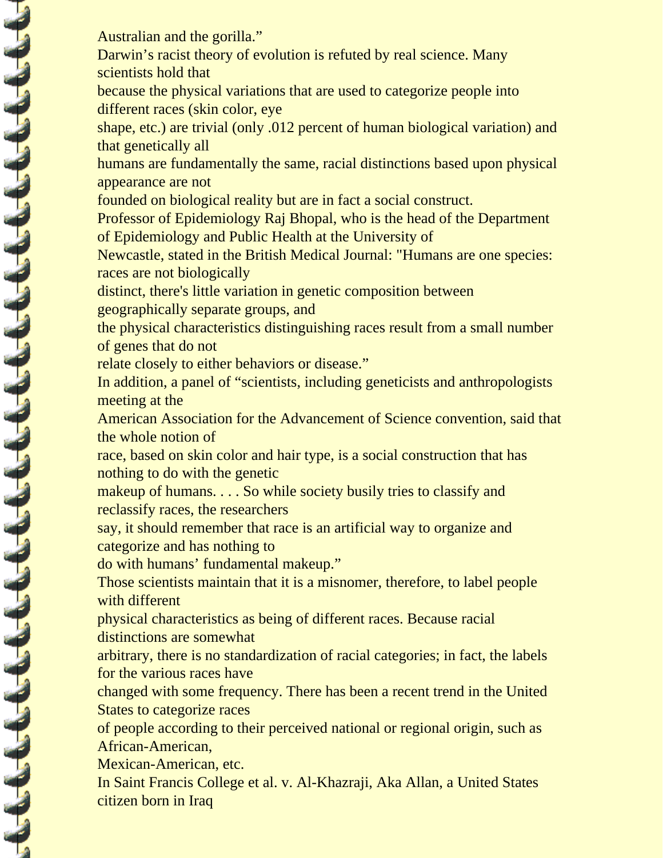Australian and the gorilla." Darwin's racist theory of evolution is refuted by real science. Many scientists hold that because the physical variations that are used to categorize people into different races (skin color, eye shape, etc.) are trivial (only .012 percent of human biological variation) and that genetically all humans are fundamentally the same, racial distinctions based upon physical appearance are not founded on biological reality but are in fact a social construct. Professor of Epidemiology Raj Bhopal, who is the head of the Department of Epidemiology and Public Health at the University of Newcastle, stated in the British Medical Journal: "Humans are one species: races are not biologically distinct, there's little variation in genetic composition between geographically separate groups, and the physical characteristics distinguishing races result from a small number of genes that do not relate closely to either behaviors or disease." In addition, a panel of "scientists, including geneticists and anthropologists meeting at the American Association for the Advancement of Science convention, said that the whole notion of race, based on skin color and hair type, is a social construction that has nothing to do with the genetic makeup of humans. . . . So while society busily tries to classify and reclassify races, the researchers say, it should remember that race is an artificial way to organize and categorize and has nothing to do with humans' fundamental makeup." Those scientists maintain that it is a misnomer, therefore, to label people with different physical characteristics as being of different races. Because racial distinctions are somewhat arbitrary, there is no standardization of racial categories; in fact, the labels for the various races have changed with some frequency. There has been a recent trend in the United States to categorize races of people according to their perceived national or regional origin, such as African-American, Mexican-American, etc. In Saint Francis College et al. v. Al-Khazraji, Aka Allan, a United States citizen born in Iraq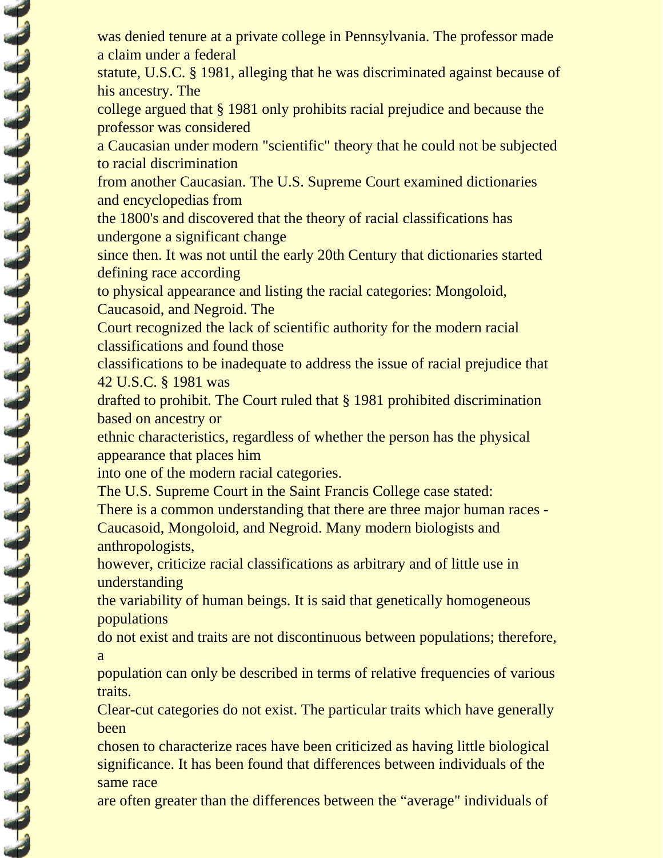was denied tenure at a private college in Pennsylvania. The professor made a claim under a federal statute, U.S.C. § 1981, alleging that he was discriminated against because of his ancestry. The college argued that § 1981 only prohibits racial prejudice and because the professor was considered a Caucasian under modern "scientific" theory that he could not be subjected to racial discrimination from another Caucasian. The U.S. Supreme Court examined dictionaries and encyclopedias from the 1800's and discovered that the theory of racial classifications has undergone a significant change since then. It was not until the early 20th Century that dictionaries started defining race according to physical appearance and listing the racial categories: Mongoloid, Caucasoid, and Negroid. The Court recognized the lack of scientific authority for the modern racial classifications and found those classifications to be inadequate to address the issue of racial prejudice that 42 U.S.C. § 1981 was drafted to prohibit. The Court ruled that § 1981 prohibited discrimination based on ancestry or ethnic characteristics, regardless of whether the person has the physical appearance that places him into one of the modern racial categories. The U.S. Supreme Court in the Saint Francis College case stated: There is a common understanding that there are three major human races - Caucasoid, Mongoloid, and Negroid. Many modern biologists and anthropologists, however, criticize racial classifications as arbitrary and of little use in understanding the variability of human beings. It is said that genetically homogeneous populations do not exist and traits are not discontinuous between populations; therefore, a population can only be described in terms of relative frequencies of various traits. Clear-cut categories do not exist. The particular traits which have generally been chosen to characterize races have been criticized as having little biological significance. It has been found that differences between individuals of the same race

are often greater than the differences between the "average" individuals of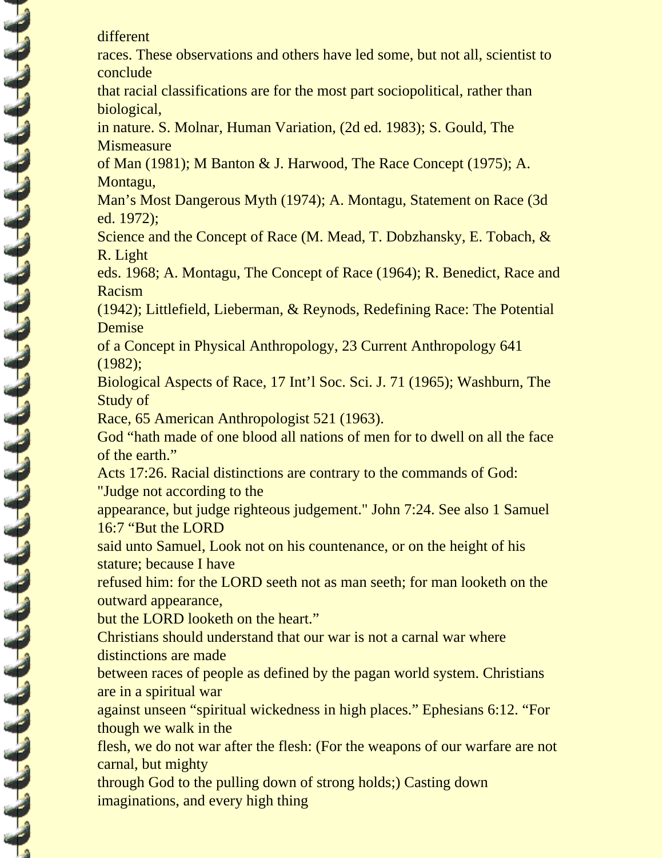different

races. These observations and others have led some, but not all, scientist to conclude

that racial classifications are for the most part sociopolitical, rather than biological,

in nature. S. Molnar, Human Variation, (2d ed. 1983); S. Gould, The **Mismeasure** 

of Man (1981); M Banton & J. Harwood, The Race Concept (1975); A. Montagu,

Man's Most Dangerous Myth (1974); A. Montagu, Statement on Race (3d ed. 1972);

Science and the Concept of Race (M. Mead, T. Dobzhansky, E. Tobach, & R. Light

eds. 1968; A. Montagu, The Concept of Race (1964); R. Benedict, Race and Racism

(1942); Littlefield, Lieberman, & Reynods, Redefining Race: The Potential **Demise** 

of a Concept in Physical Anthropology, 23 Current Anthropology 641 (1982);

Biological Aspects of Race, 17 Int'l Soc. Sci. J. 71 (1965); Washburn, The Study of

Race, 65 American Anthropologist 521 (1963).

God "hath made of one blood all nations of men for to dwell on all the face of the earth."

Acts 17:26. Racial distinctions are contrary to the commands of God: "Judge not according to the

appearance, but judge righteous judgement." John 7:24. See also 1 Samuel 16:7 "But the LORD

said unto Samuel, Look not on his countenance, or on the height of his stature; because I have

refused him: for the LORD seeth not as man seeth; for man looketh on the outward appearance,

but the LORD looketh on the heart."

Christians should understand that our war is not a carnal war where distinctions are made

between races of people as defined by the pagan world system. Christians are in a spiritual war

against unseen "spiritual wickedness in high places." Ephesians 6:12. "For though we walk in the

flesh, we do not war after the flesh: (For the weapons of our warfare are not carnal, but mighty

through God to the pulling down of strong holds;) Casting down imaginations, and every high thing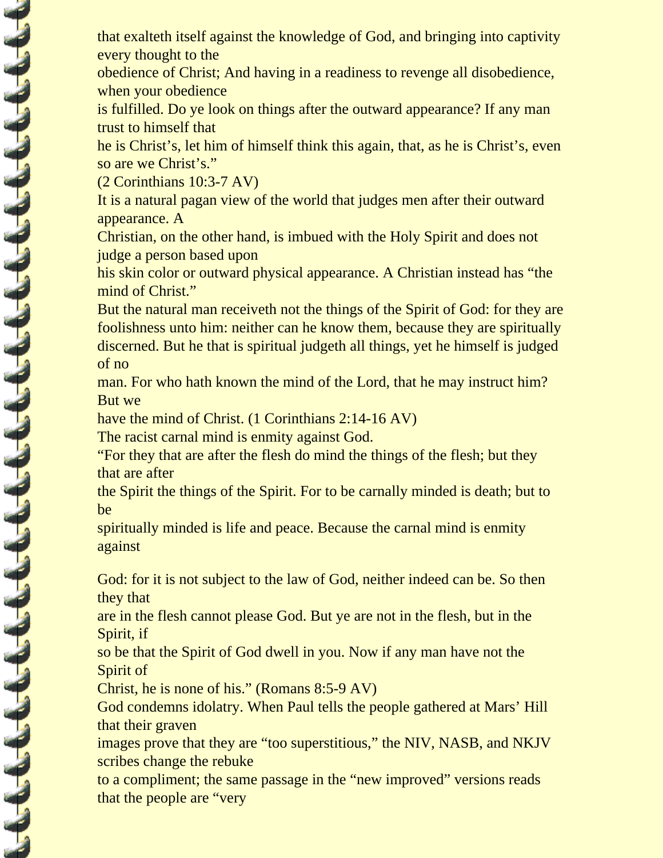that exalteth itself against the knowledge of God, and bringing into captivity every thought to the

obedience of Christ; And having in a readiness to revenge all disobedience, when your obedience

is fulfilled. Do ye look on things after the outward appearance? If any man trust to himself that

he is Christ's, let him of himself think this again, that, as he is Christ's, even so are we Christ's."

(2 Corinthians 10:3-7 AV)

It is a natural pagan view of the world that judges men after their outward appearance. A

Christian, on the other hand, is imbued with the Holy Spirit and does not judge a person based upon

his skin color or outward physical appearance. A Christian instead has "the mind of Christ."

But the natural man receiveth not the things of the Spirit of God: for they are foolishness unto him: neither can he know them, because they are spiritually discerned. But he that is spiritual judgeth all things, yet he himself is judged of no

man. For who hath known the mind of the Lord, that he may instruct him? But we

have the mind of Christ. (1 Corinthians 2:14-16 AV)

The racist carnal mind is enmity against God.

"For they that are after the flesh do mind the things of the flesh; but they that are after

the Spirit the things of the Spirit. For to be carnally minded is death; but to be

spiritually minded is life and peace. Because the carnal mind is enmity against

God: for it is not subject to the law of God, neither indeed can be. So then they that

are in the flesh cannot please God. But ye are not in the flesh, but in the Spirit, if

so be that the Spirit of God dwell in you. Now if any man have not the Spirit of

Christ, he is none of his." (Romans 8:5-9 AV)

God condemns idolatry. When Paul tells the people gathered at Mars' Hill that their graven

images prove that they are "too superstitious," the NIV, NASB, and NKJV scribes change the rebuke

to a compliment; the same passage in the "new improved" versions reads that the people are "very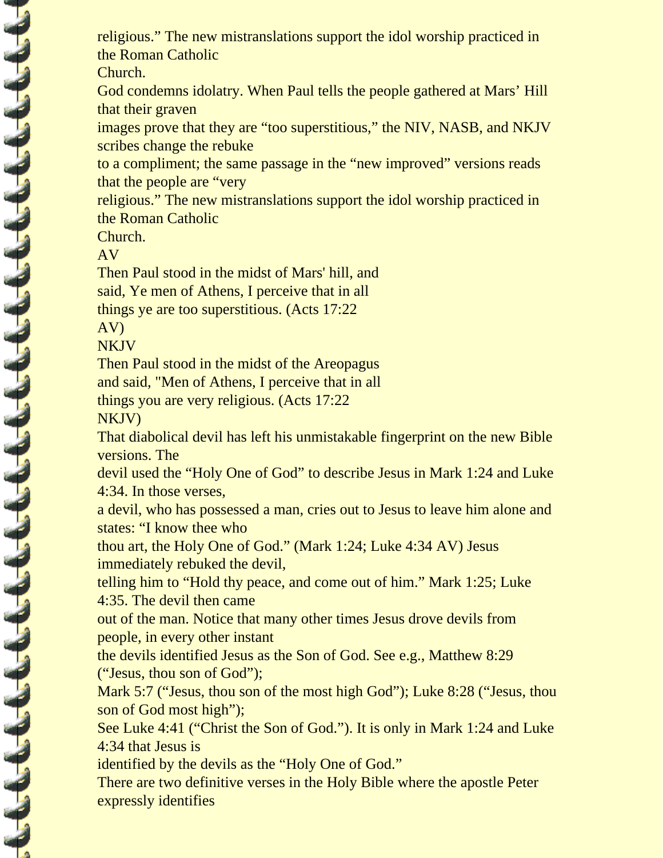religious." The new mistranslations support the idol worship practiced in the Roman Catholic

Church.

God condemns idolatry. When Paul tells the people gathered at Mars' Hill that their graven

images prove that they are "too superstitious," the NIV, NASB, and NKJV scribes change the rebuke

to a compliment; the same passage in the "new improved" versions reads that the people are "very

religious." The new mistranslations support the idol worship practiced in the Roman Catholic

Church.

### AV

Then Paul stood in the midst of Mars' hill, and said, Ye men of Athens, I perceive that in all

things ye are too superstitious. (Acts 17:22

AV)

**NKJV** 

Then Paul stood in the midst of the Areopagus

and said, "Men of Athens, I perceive that in all

things you are very religious. (Acts 17:22

NKJV)

That diabolical devil has left his unmistakable fingerprint on the new Bible versions. The

devil used the "Holy One of God" to describe Jesus in Mark 1:24 and Luke 4:34. In those verses,

a devil, who has possessed a man, cries out to Jesus to leave him alone and states: "I know thee who

thou art, the Holy One of God." (Mark 1:24; Luke 4:34 AV) Jesus immediately rebuked the devil,

telling him to "Hold thy peace, and come out of him." Mark 1:25; Luke 4:35. The devil then came

out of the man. Notice that many other times Jesus drove devils from people, in every other instant

the devils identified Jesus as the Son of God. See e.g., Matthew 8:29 ("Jesus, thou son of God");

Mark 5:7 ("Jesus, thou son of the most high God"); Luke 8:28 ("Jesus, thou son of God most high");

See Luke 4:41 ("Christ the Son of God."). It is only in Mark 1:24 and Luke 4:34 that Jesus is

identified by the devils as the "Holy One of God."

There are two definitive verses in the Holy Bible where the apostle Peter expressly identifies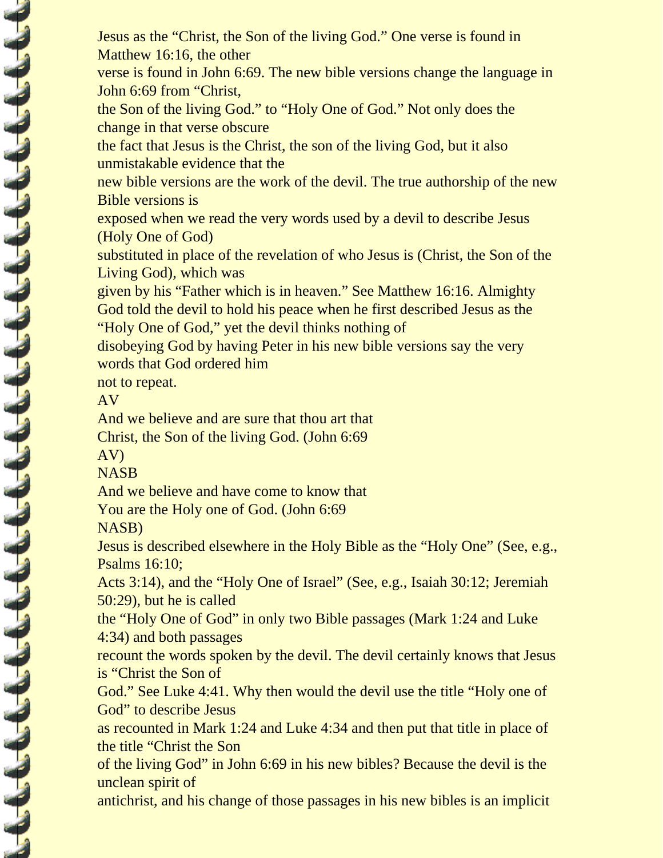Jesus as the "Christ, the Son of the living God." One verse is found in Matthew 16:16, the other verse is found in John 6:69. The new bible versions change the language in John 6:69 from "Christ, the Son of the living God." to "Holy One of God." Not only does the change in that verse obscure the fact that Jesus is the Christ, the son of the living God, but it also unmistakable evidence that the new bible versions are the work of the devil. The true authorship of the new Bible versions is exposed when we read the very words used by a devil to describe Jesus (Holy One of God) substituted in place of the revelation of who Jesus is (Christ, the Son of the Living God), which was given by his "Father which is in heaven." See Matthew 16:16. Almighty God told the devil to hold his peace when he first described Jesus as the "Holy One of God," yet the devil thinks nothing of disobeying God by having Peter in his new bible versions say the very words that God ordered him not to repeat. AV And we believe and are sure that thou art that Christ, the Son of the living God. (John 6:69 AV) **NASB** And we believe and have come to know that You are the Holy one of God. (John 6:69) NASB) Jesus is described elsewhere in the Holy Bible as the "Holy One" (See, e.g., Psalms 16:10; Acts 3:14), and the "Holy One of Israel" (See, e.g., Isaiah 30:12; Jeremiah 50:29), but he is called the "Holy One of God" in only two Bible passages (Mark 1:24 and Luke 4:34) and both passages recount the words spoken by the devil. The devil certainly knows that Jesus is "Christ the Son of God." See Luke 4:41. Why then would the devil use the title "Holy one of God" to describe Jesus as recounted in Mark 1:24 and Luke 4:34 and then put that title in place of the title "Christ the Son of the living God" in John 6:69 in his new bibles? Because the devil is the unclean spirit of antichrist, and his change of those passages in his new bibles is an implicit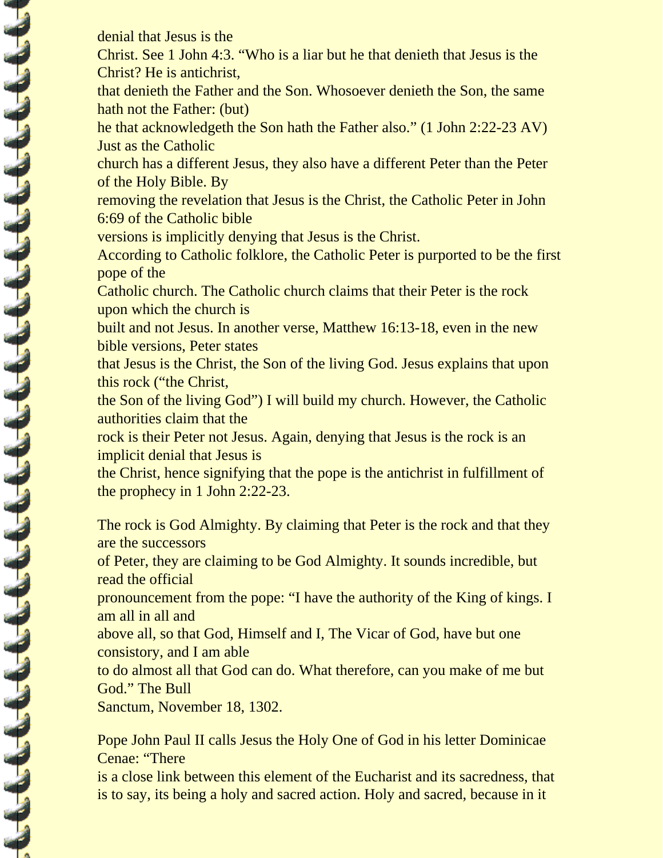denial that Jesus is the Christ. See 1 John 4:3. "Who is a liar but he that denieth that Jesus is the Christ? He is antichrist, that denieth the Father and the Son. Whosoever denieth the Son, the same hath not the Father: (but) he that acknowledgeth the Son hath the Father also." (1 John 2:22-23 AV) Just as the Catholic church has a different Jesus, they also have a different Peter than the Peter of the Holy Bible. By removing the revelation that Jesus is the Christ, the Catholic Peter in John 6:69 of the Catholic bible versions is implicitly denying that Jesus is the Christ. According to Catholic folklore, the Catholic Peter is purported to be the first pope of the Catholic church. The Catholic church claims that their Peter is the rock upon which the church is built and not Jesus. In another verse, Matthew 16:13-18, even in the new bible versions, Peter states that Jesus is the Christ, the Son of the living God. Jesus explains that upon this rock ("the Christ, the Son of the living God") I will build my church. However, the Catholic authorities claim that the rock is their Peter not Jesus. Again, denying that Jesus is the rock is an implicit denial that Jesus is the Christ, hence signifying that the pope is the antichrist in fulfillment of the prophecy in 1 John 2:22-23. The rock is God Almighty. By claiming that Peter is the rock and that they are the successors of Peter, they are claiming to be God Almighty. It sounds incredible, but read the official pronouncement from the pope: "I have the authority of the King of kings. I am all in all and above all, so that God, Himself and I, The Vicar of God, have but one consistory, and I am able to do almost all that God can do. What therefore, can you make of me but God." The Bull Sanctum, November 18, 1302.

Pope John Paul II calls Jesus the Holy One of God in his letter Dominicae Cenae: "There

is a close link between this element of the Eucharist and its sacredness, that is to say, its being a holy and sacred action. Holy and sacred, because in it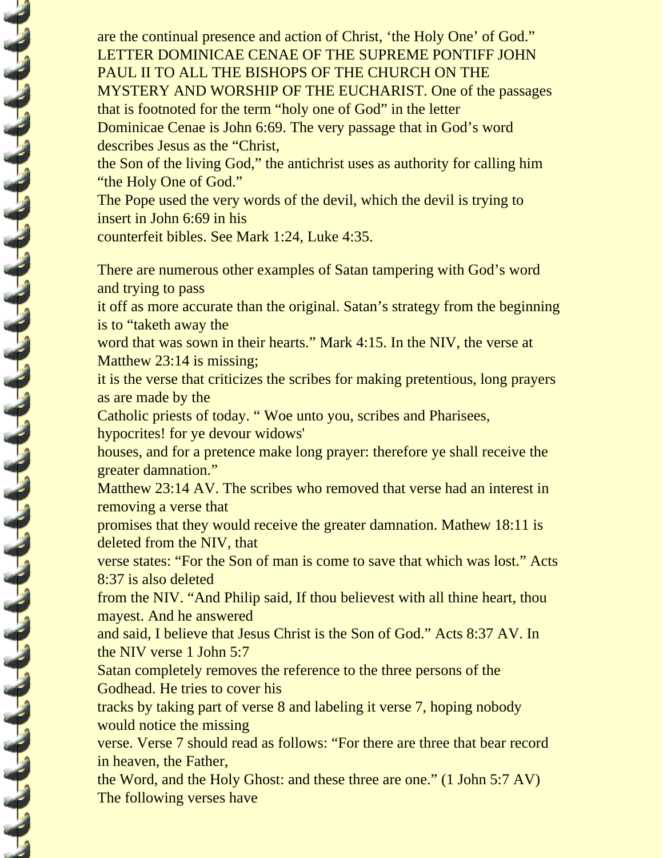are the continual presence and action of Christ, 'the Holy One' of God." LETTER DOMINICAE CENAE OF THE SUPREME PONTIFF JOHN PAUL II TO ALL THE BISHOPS OF THE CHURCH ON THE MYSTERY AND WORSHIP OF THE EUCHARIST. One of the passages that is footnoted for the term "holy one of God" in the letter Dominicae Cenae is John 6:69. The very passage that in God's word describes Jesus as the "Christ,

the Son of the living God," the antichrist uses as authority for calling him "the Holy One of God."

The Pope used the very words of the devil, which the devil is trying to insert in John 6:69 in his

counterfeit bibles. See Mark 1:24, Luke 4:35.

There are numerous other examples of Satan tampering with God's word and trying to pass

it off as more accurate than the original. Satan's strategy from the beginning is to "taketh away the

word that was sown in their hearts." Mark 4:15. In the NIV, the verse at Matthew 23:14 is missing;

it is the verse that criticizes the scribes for making pretentious, long prayers as are made by the

Catholic priests of today. " Woe unto you, scribes and Pharisees, hypocrites! for ye devour widows'

houses, and for a pretence make long prayer: therefore ye shall receive the greater damnation."

Matthew 23:14 AV. The scribes who removed that verse had an interest in removing a verse that

promises that they would receive the greater damnation. Mathew 18:11 is deleted from the NIV, that

verse states: "For the Son of man is come to save that which was lost." Acts 8:37 is also deleted

from the NIV. "And Philip said, If thou believest with all thine heart, thou mayest. And he answered

and said, I believe that Jesus Christ is the Son of God." Acts 8:37 AV. In the NIV verse 1 John 5:7

Satan completely removes the reference to the three persons of the Godhead. He tries to cover his

tracks by taking part of verse 8 and labeling it verse 7, hoping nobody would notice the missing

verse. Verse 7 should read as follows: "For there are three that bear record in heaven, the Father,

the Word, and the Holy Ghost: and these three are one." (1 John 5:7 AV) The following verses have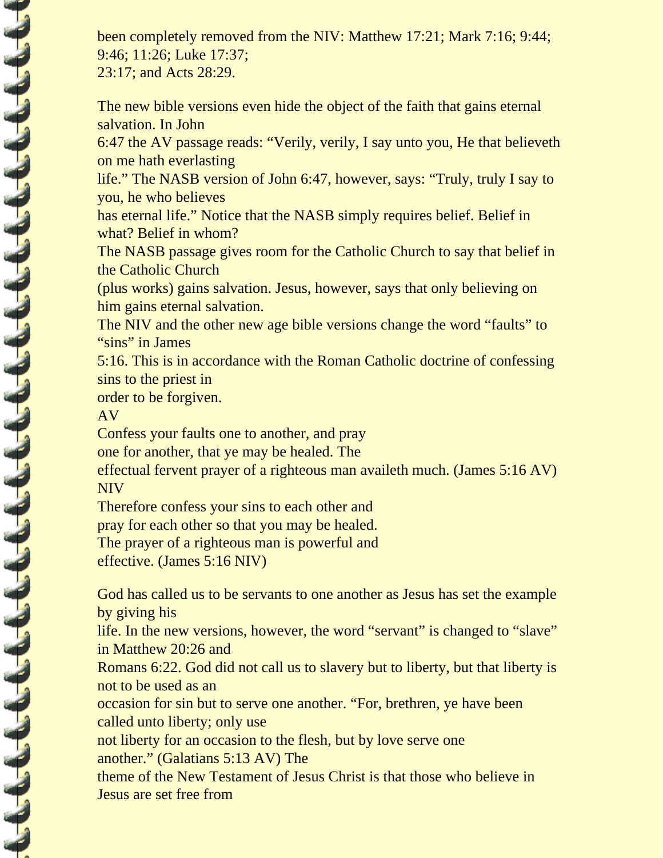been completely removed from the NIV: Matthew 17:21; Mark 7:16; 9:44; 9:46; 11:26; Luke 17:37; 23:17; and Acts 28:29.

The new bible versions even hide the object of the faith that gains eternal salvation. In John

6:47 the AV passage reads: "Verily, verily, I say unto you, He that believeth on me hath everlasting

life." The NASB version of John 6:47, however, says: "Truly, truly I say to you, he who believes

has eternal life." Notice that the NASB simply requires belief. Belief in what? Belief in whom?

The NASB passage gives room for the Catholic Church to say that belief in the Catholic Church

(plus works) gains salvation. Jesus, however, says that only believing on him gains eternal salvation.

The NIV and the other new age bible versions change the word "faults" to "sins" in James

5:16. This is in accordance with the Roman Catholic doctrine of confessing sins to the priest in

order to be forgiven.

### AV

Confess your faults one to another, and pray

one for another, that ye may be healed. The

effectual fervent prayer of a righteous man availeth much. (James 5:16 AV) NIV

Therefore confess your sins to each other and pray for each other so that you may be healed. The prayer of a righteous man is powerful and effective. (James 5:16 NIV)

God has called us to be servants to one another as Jesus has set the example by giving his

life. In the new versions, however, the word "servant" is changed to "slave" in Matthew 20:26 and

Romans 6:22. God did not call us to slavery but to liberty, but that liberty is not to be used as an

occasion for sin but to serve one another. "For, brethren, ye have been called unto liberty; only use

not liberty for an occasion to the flesh, but by love serve one another." (Galatians 5:13 AV) The

theme of the New Testament of Jesus Christ is that those who believe in Jesus are set free from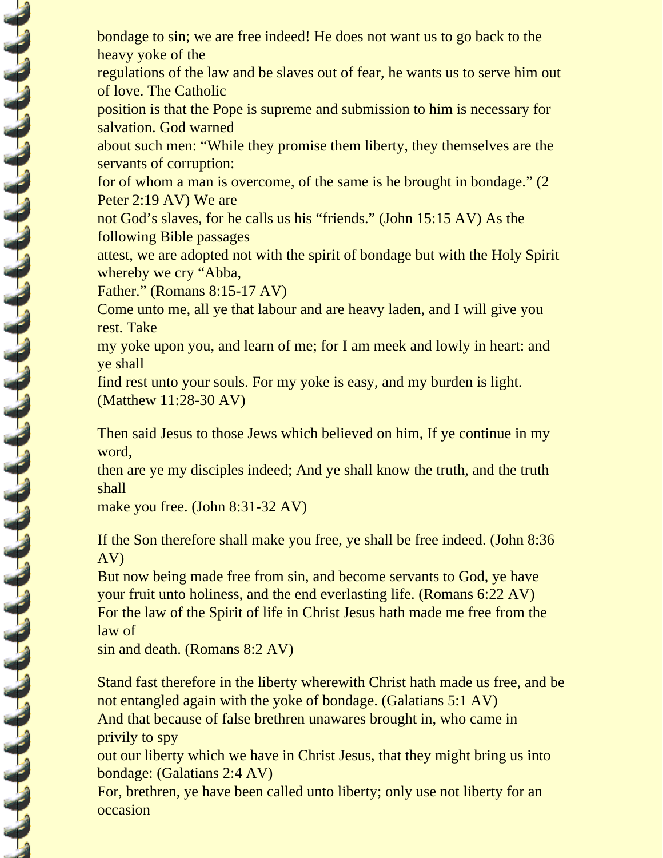bondage to sin; we are free indeed! He does not want us to go back to the heavy yoke of the

regulations of the law and be slaves out of fear, he wants us to serve him out of love. The Catholic

position is that the Pope is supreme and submission to him is necessary for salvation. God warned

about such men: "While they promise them liberty, they themselves are the servants of corruption:

for of whom a man is overcome, of the same is he brought in bondage." (2 Peter 2:19 AV) We are

not God's slaves, for he calls us his "friends." (John 15:15 AV) As the following Bible passages

attest, we are adopted not with the spirit of bondage but with the Holy Spirit whereby we cry "Abba,

Father." (Romans 8:15-17 AV)

Come unto me, all ye that labour and are heavy laden, and I will give you rest. Take

my yoke upon you, and learn of me; for I am meek and lowly in heart: and ye shall

find rest unto your souls. For my yoke is easy, and my burden is light. (Matthew 11:28-30 AV)

Then said Jesus to those Jews which believed on him, If ye continue in my word,

then are ye my disciples indeed; And ye shall know the truth, and the truth shall

make you free. (John 8:31-32 AV)

If the Son therefore shall make you free, ye shall be free indeed. (John 8:36 AV)

But now being made free from sin, and become servants to God, ye have your fruit unto holiness, and the end everlasting life. (Romans 6:22 AV) For the law of the Spirit of life in Christ Jesus hath made me free from the law of

sin and death. (Romans 8:2 AV)

Stand fast therefore in the liberty wherewith Christ hath made us free, and be not entangled again with the yoke of bondage. (Galatians 5:1 AV) And that because of false brethren unawares brought in, who came in privily to spy

out our liberty which we have in Christ Jesus, that they might bring us into bondage: (Galatians 2:4 AV)

For, brethren, ye have been called unto liberty; only use not liberty for an occasion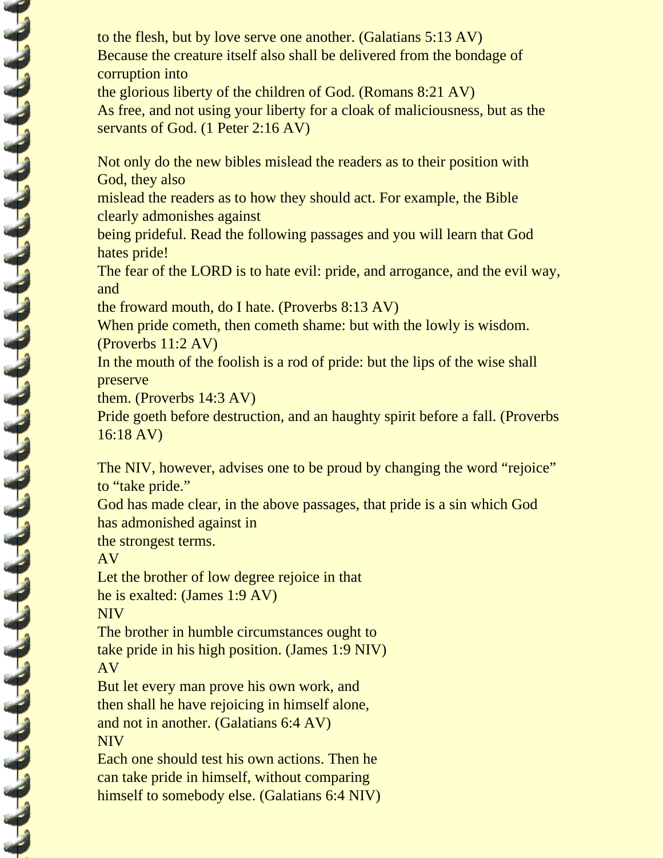to the flesh, but by love serve one another. (Galatians 5:13 AV) Because the creature itself also shall be delivered from the bondage of corruption into the glorious liberty of the children of God. (Romans 8:21 AV) As free, and not using your liberty for a cloak of maliciousness, but as the

servants of God. (1 Peter 2:16 AV)

Not only do the new bibles mislead the readers as to their position with God, they also

mislead the readers as to how they should act. For example, the Bible clearly admonishes against

being prideful. Read the following passages and you will learn that God hates pride!

The fear of the LORD is to hate evil: pride, and arrogance, and the evil way, and

the froward mouth, do I hate. (Proverbs 8:13 AV)

When pride cometh, then cometh shame: but with the lowly is wisdom. (Proverbs 11:2 AV)

In the mouth of the foolish is a rod of pride: but the lips of the wise shall preserve

them. (Proverbs 14:3 AV)

Pride goeth before destruction, and an haughty spirit before a fall. (Proverbs 16:18 AV)

The NIV, however, advises one to be proud by changing the word "rejoice" to "take pride."

God has made clear, in the above passages, that pride is a sin which God has admonished against in

the strongest terms.

AV

Let the brother of low degree rejoice in that

he is exalted: (James 1:9 AV)

NIV

The brother in humble circumstances ought to take pride in his high position. (James 1:9 NIV) AV

But let every man prove his own work, and then shall he have rejoicing in himself alone, and not in another. (Galatians 6:4 AV) NIV

Each one should test his own actions. Then he can take pride in himself, without comparing himself to somebody else. (Galatians 6:4 NIV)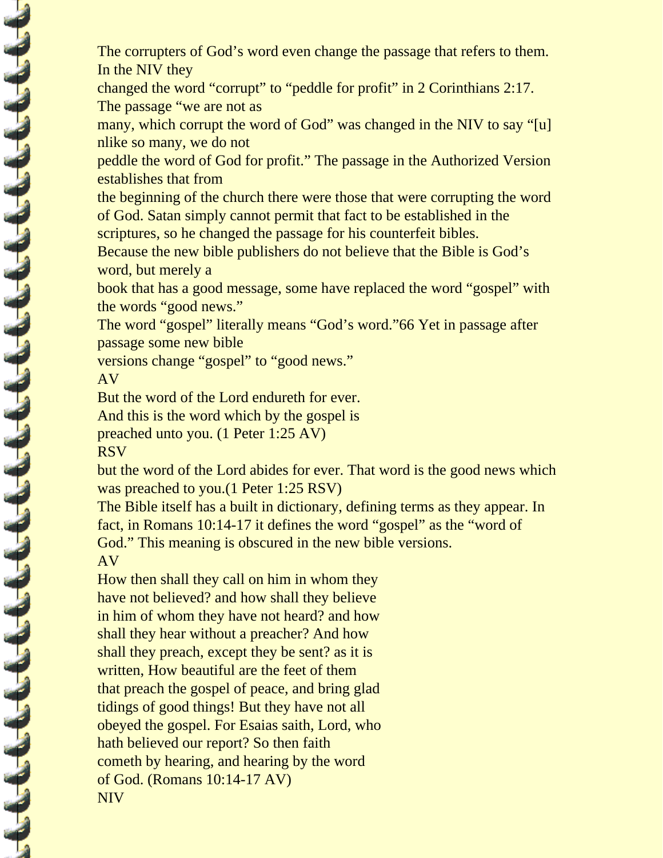The corrupters of God's word even change the passage that refers to them. In the NIV they

changed the word "corrupt" to "peddle for profit" in 2 Corinthians 2:17. The passage "we are not as

many, which corrupt the word of God" was changed in the NIV to say "[u] nlike so many, we do not

peddle the word of God for profit." The passage in the Authorized Version establishes that from

the beginning of the church there were those that were corrupting the word of God. Satan simply cannot permit that fact to be established in the scriptures, so he changed the passage for his counterfeit bibles.

Because the new bible publishers do not believe that the Bible is God's word, but merely a

book that has a good message, some have replaced the word "gospel" with the words "good news."

The word "gospel" literally means "God's word."66 Yet in passage after passage some new bible

versions change "gospel" to "good news."

AV

But the word of the Lord endureth for ever.

And this is the word which by the gospel is

preached unto you. (1 Peter 1:25 AV)

RSV

but the word of the Lord abides for ever. That word is the good news which was preached to you. (1 Peter 1:25 RSV)

The Bible itself has a built in dictionary, defining terms as they appear. In fact, in Romans 10:14-17 it defines the word "gospel" as the "word of God." This meaning is obscured in the new bible versions.

AV

How then shall they call on him in whom they have not believed? and how shall they believe in him of whom they have not heard? and how shall they hear without a preacher? And how shall they preach, except they be sent? as it is written, How beautiful are the feet of them that preach the gospel of peace, and bring glad tidings of good things! But they have not all obeyed the gospel. For Esaias saith, Lord, who hath believed our report? So then faith cometh by hearing, and hearing by the word of God. (Romans 10:14-17 AV) NIV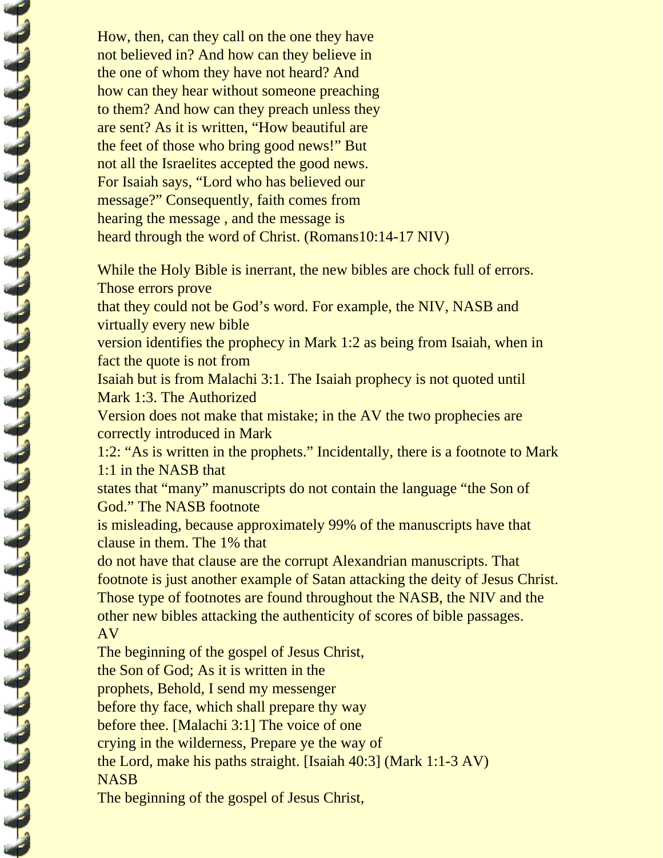How, then, can they call on the one they have not believed in? And how can they believe in the one of whom they have not heard? And how can they hear without someone preaching to them? And how can they preach unless they are sent? As it is written, "How beautiful are the feet of those who bring good news!" But not all the Israelites accepted the good news. For Isaiah says, "Lord who has believed our message?" Consequently, faith comes from hearing the message , and the message is heard through the word of Christ. (Romans10:14-17 NIV)

While the Holy Bible is inerrant, the new bibles are chock full of errors. Those errors prove that they could not be God's word. For example, the NIV, NASB and virtually every new bible version identifies the prophecy in Mark 1:2 as being from Isaiah, when in fact the quote is not from Isaiah but is from Malachi 3:1. The Isaiah prophecy is not quoted until Mark 1:3. The Authorized Version does not make that mistake; in the AV the two prophecies are correctly introduced in Mark 1:2: "As is written in the prophets." Incidentally, there is a footnote to Mark 1:1 in the NASB that states that "many" manuscripts do not contain the language "the Son of God." The NASB footnote is misleading, because approximately 99% of the manuscripts have that clause in them. The 1% that do not have that clause are the corrupt Alexandrian manuscripts. That footnote is just another example of Satan attacking the deity of Jesus Christ. Those type of footnotes are found throughout the NASB, the NIV and the other new bibles attacking the authenticity of scores of bible passages. AV The beginning of the gospel of Jesus Christ, the Son of God; As it is written in the prophets, Behold, I send my messenger before thy face, which shall prepare thy way

before thee. [Malachi 3:1] The voice of one

crying in the wilderness, Prepare ye the way of

the Lord, make his paths straight. [Isaiah 40:3] (Mark 1:1-3 AV)

NASB

The beginning of the gospel of Jesus Christ,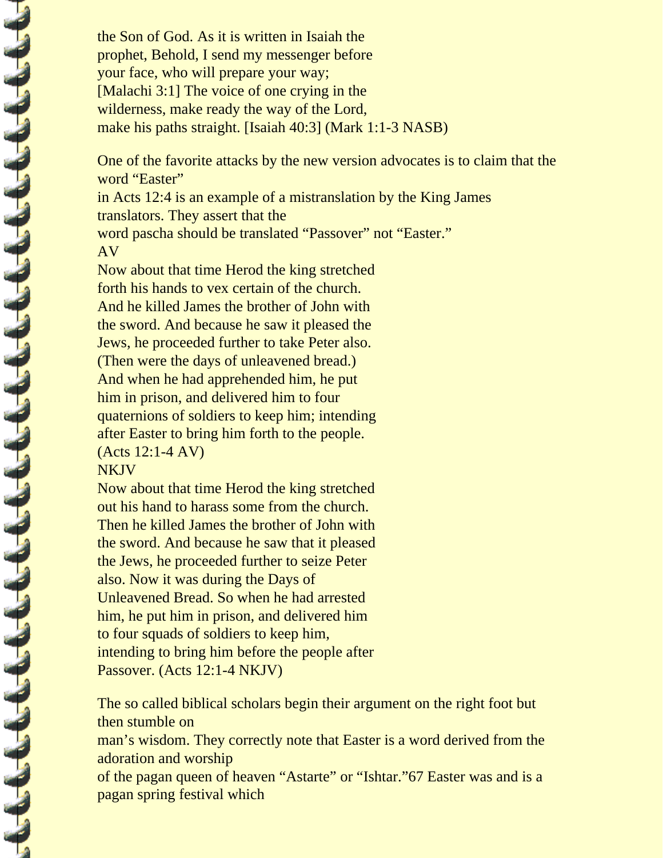the Son of God. As it is written in Isaiah the prophet, Behold, I send my messenger before your face, who will prepare your way; [Malachi 3:1] The voice of one crying in the wilderness, make ready the way of the Lord, make his paths straight. [Isaiah 40:3] (Mark 1:1-3 NASB)

One of the favorite attacks by the new version advocates is to claim that the word "Easter" in Acts 12:4 is an example of a mistranslation by the King James

translators. They assert that the

word pascha should be translated "Passover" not "Easter."

AV

Now about that time Herod the king stretched forth his hands to vex certain of the church. And he killed James the brother of John with the sword. And because he saw it pleased the Jews, he proceeded further to take Peter also. (Then were the days of unleavened bread.) And when he had apprehended him, he put him in prison, and delivered him to four quaternions of soldiers to keep him; intending after Easter to bring him forth to the people. (Acts 12:1-4 AV)

#### **NKJV**

Now about that time Herod the king stretched out his hand to harass some from the church. Then he killed James the brother of John with the sword. And because he saw that it pleased the Jews, he proceeded further to seize Peter also. Now it was during the Days of Unleavened Bread. So when he had arrested him, he put him in prison, and delivered him to four squads of soldiers to keep him, intending to bring him before the people after Passover. (Acts 12:1-4 NKJV)

The so called biblical scholars begin their argument on the right foot but then stumble on

man's wisdom. They correctly note that Easter is a word derived from the adoration and worship

of the pagan queen of heaven "Astarte" or "Ishtar."67 Easter was and is a pagan spring festival which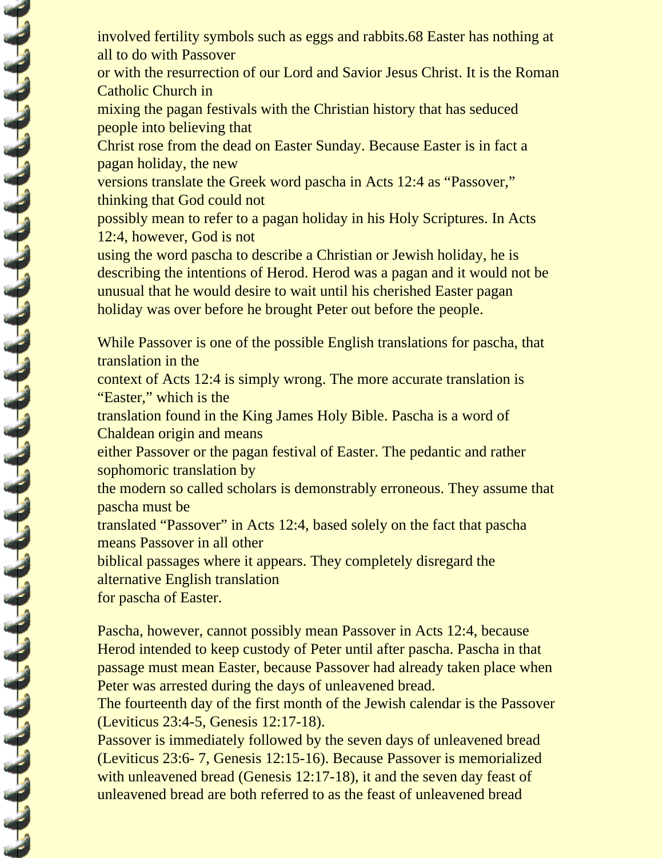involved fertility symbols such as eggs and rabbits.68 Easter has nothing at all to do with Passover

or with the resurrection of our Lord and Savior Jesus Christ. It is the Roman Catholic Church in

mixing the pagan festivals with the Christian history that has seduced people into believing that

Christ rose from the dead on Easter Sunday. Because Easter is in fact a pagan holiday, the new

versions translate the Greek word pascha in Acts 12:4 as "Passover," thinking that God could not

possibly mean to refer to a pagan holiday in his Holy Scriptures. In Acts 12:4, however, God is not

using the word pascha to describe a Christian or Jewish holiday, he is describing the intentions of Herod. Herod was a pagan and it would not be unusual that he would desire to wait until his cherished Easter pagan holiday was over before he brought Peter out before the people.

While Passover is one of the possible English translations for pascha, that translation in the

context of Acts 12:4 is simply wrong. The more accurate translation is "Easter," which is the

translation found in the King James Holy Bible. Pascha is a word of Chaldean origin and means

either Passover or the pagan festival of Easter. The pedantic and rather sophomoric translation by

the modern so called scholars is demonstrably erroneous. They assume that pascha must be

translated "Passover" in Acts 12:4, based solely on the fact that pascha means Passover in all other

biblical passages where it appears. They completely disregard the alternative English translation

for pascha of Easter.

Pascha, however, cannot possibly mean Passover in Acts 12:4, because Herod intended to keep custody of Peter until after pascha. Pascha in that passage must mean Easter, because Passover had already taken place when Peter was arrested during the days of unleavened bread.

The fourteenth day of the first month of the Jewish calendar is the Passover (Leviticus 23:4-5, Genesis 12:17-18).

Passover is immediately followed by the seven days of unleavened bread (Leviticus 23:6- 7, Genesis 12:15-16). Because Passover is memorialized with unleavened bread (Genesis 12:17-18), it and the seven day feast of unleavened bread are both referred to as the feast of unleavened bread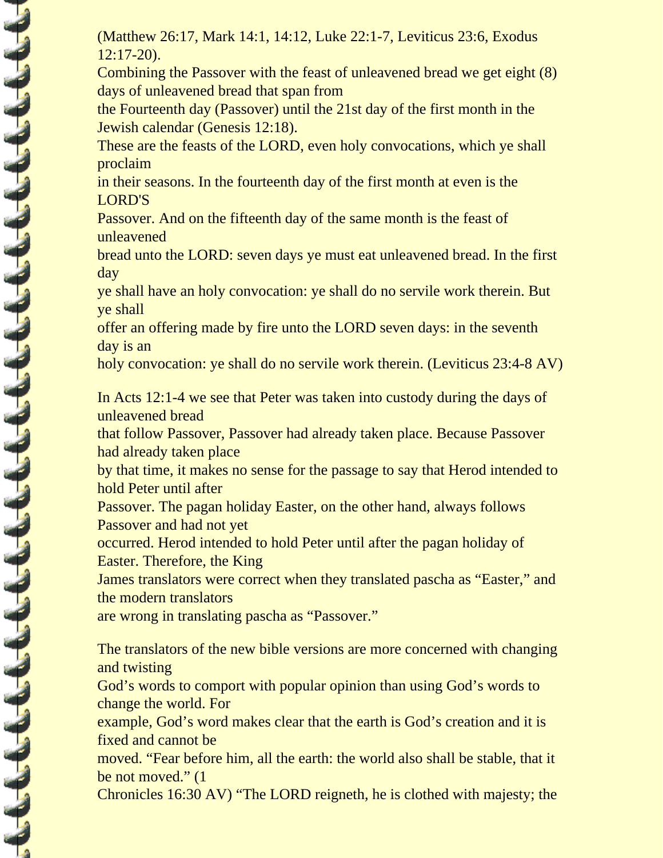(Matthew 26:17, Mark 14:1, 14:12, Luke 22:1-7, Leviticus 23:6, Exodus 12:17-20).

Combining the Passover with the feast of unleavened bread we get eight (8) days of unleavened bread that span from

the Fourteenth day (Passover) until the 21st day of the first month in the Jewish calendar (Genesis 12:18).

These are the feasts of the LORD, even holy convocations, which ye shall proclaim

in their seasons. In the fourteenth day of the first month at even is the LORD'S

Passover. And on the fifteenth day of the same month is the feast of unleavened

bread unto the LORD: seven days ye must eat unleavened bread. In the first day

ye shall have an holy convocation: ye shall do no servile work therein. But ye shall

offer an offering made by fire unto the LORD seven days: in the seventh day is an

holy convocation: ye shall do no servile work therein. (Leviticus 23:4-8 AV)

In Acts 12:1-4 we see that Peter was taken into custody during the days of unleavened bread

that follow Passover, Passover had already taken place. Because Passover had already taken place

by that time, it makes no sense for the passage to say that Herod intended to hold Peter until after

Passover. The pagan holiday Easter, on the other hand, always follows Passover and had not yet

occurred. Herod intended to hold Peter until after the pagan holiday of Easter. Therefore, the King

James translators were correct when they translated pascha as "Easter," and the modern translators

are wrong in translating pascha as "Passover."

The translators of the new bible versions are more concerned with changing and twisting

God's words to comport with popular opinion than using God's words to change the world. For

example, God's word makes clear that the earth is God's creation and it is fixed and cannot be

moved. "Fear before him, all the earth: the world also shall be stable, that it be not moved." (1)

Chronicles 16:30 AV) "The LORD reigneth, he is clothed with majesty; the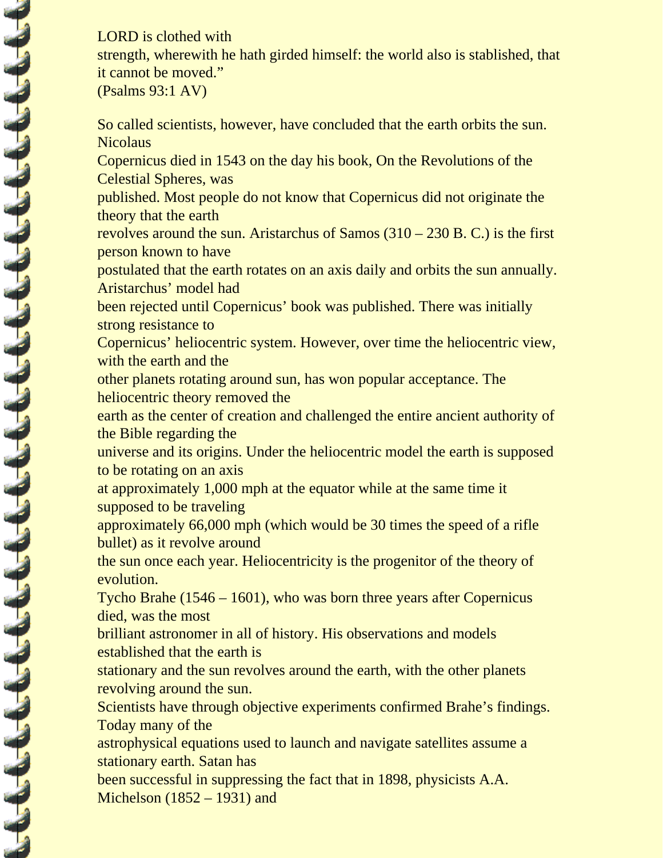LORD is clothed with strength, wherewith he hath girded himself: the world also is stablished, that it cannot be moved." (Psalms 93:1 AV)

So called scientists, however, have concluded that the earth orbits the sun. **Nicolaus** Copernicus died in 1543 on the day his book, On the Revolutions of the Celestial Spheres, was published. Most people do not know that Copernicus did not originate the theory that the earth revolves around the sun. Aristarchus of Samos (310 – 230 B. C.) is the first person known to have postulated that the earth rotates on an axis daily and orbits the sun annually. Aristarchus' model had been rejected until Copernicus' book was published. There was initially strong resistance to Copernicus' heliocentric system. However, over time the heliocentric view, with the earth and the other planets rotating around sun, has won popular acceptance. The heliocentric theory removed the earth as the center of creation and challenged the entire ancient authority of the Bible regarding the universe and its origins. Under the heliocentric model the earth is supposed to be rotating on an axis at approximately 1,000 mph at the equator while at the same time it supposed to be traveling approximately 66,000 mph (which would be 30 times the speed of a rifle bullet) as it revolve around the sun once each year. Heliocentricity is the progenitor of the theory of evolution. Tycho Brahe (1546 – 1601), who was born three years after Copernicus died, was the most brilliant astronomer in all of history. His observations and models established that the earth is stationary and the sun revolves around the earth, with the other planets revolving around the sun. Scientists have through objective experiments confirmed Brahe's findings. Today many of the astrophysical equations used to launch and navigate satellites assume a stationary earth. Satan has been successful in suppressing the fact that in 1898, physicists A.A.

Michelson (1852 – 1931) and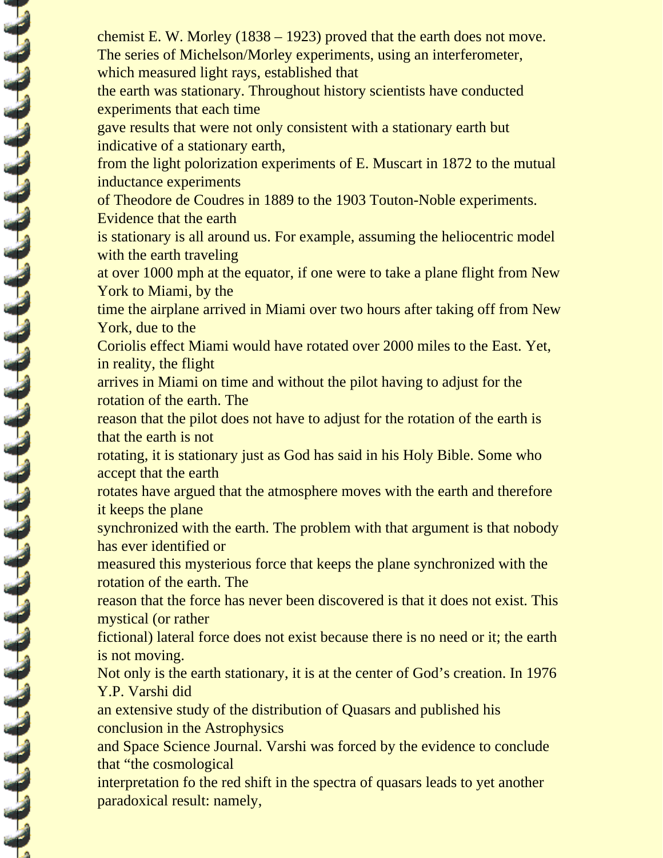chemist E. W. Morley (1838 – 1923) proved that the earth does not move. The series of Michelson/Morley experiments, using an interferometer, which measured light rays, established that the earth was stationary. Throughout history scientists have conducted experiments that each time gave results that were not only consistent with a stationary earth but indicative of a stationary earth, from the light polorization experiments of E. Muscart in 1872 to the mutual inductance experiments of Theodore de Coudres in 1889 to the 1903 Touton-Noble experiments. Evidence that the earth is stationary is all around us. For example, assuming the heliocentric model with the earth traveling at over 1000 mph at the equator, if one were to take a plane flight from New York to Miami, by the time the airplane arrived in Miami over two hours after taking off from New York, due to the Coriolis effect Miami would have rotated over 2000 miles to the East. Yet, in reality, the flight arrives in Miami on time and without the pilot having to adjust for the rotation of the earth. The reason that the pilot does not have to adjust for the rotation of the earth is that the earth is not rotating, it is stationary just as God has said in his Holy Bible. Some who accept that the earth rotates have argued that the atmosphere moves with the earth and therefore it keeps the plane synchronized with the earth. The problem with that argument is that nobody has ever identified or measured this mysterious force that keeps the plane synchronized with the rotation of the earth. The reason that the force has never been discovered is that it does not exist. This mystical (or rather fictional) lateral force does not exist because there is no need or it; the earth is not moving. Not only is the earth stationary, it is at the center of God's creation. In 1976 Y.P. Varshi did an extensive study of the distribution of Quasars and published his conclusion in the Astrophysics and Space Science Journal. Varshi was forced by the evidence to conclude that "the cosmological interpretation fo the red shift in the spectra of quasars leads to yet another paradoxical result: namely,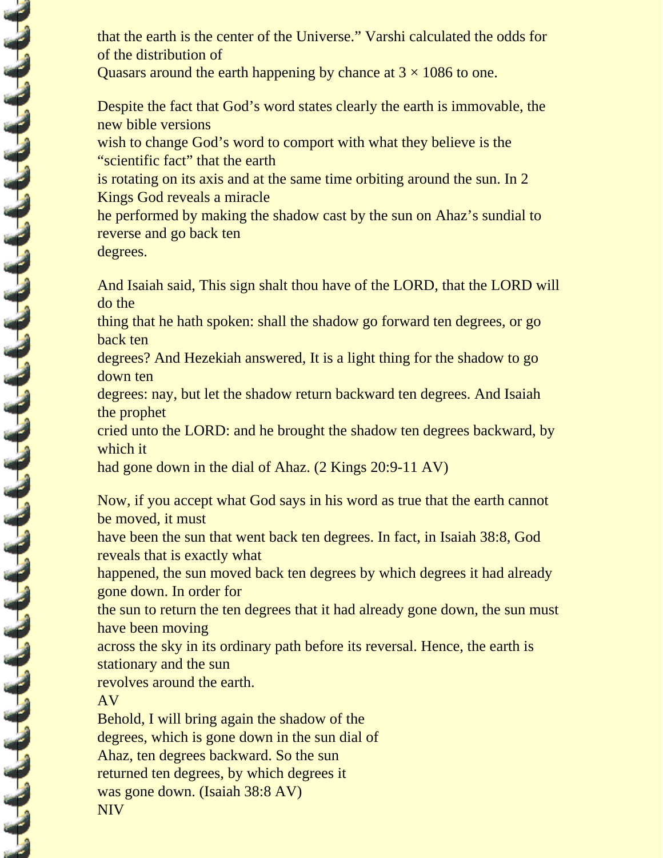that the earth is the center of the Universe." Varshi calculated the odds for of the distribution of

Quasars around the earth happening by chance at  $3 \times 1086$  to one.

Despite the fact that God's word states clearly the earth is immovable, the new bible versions

wish to change God's word to comport with what they believe is the "scientific fact" that the earth

is rotating on its axis and at the same time orbiting around the sun. In 2 Kings God reveals a miracle

he performed by making the shadow cast by the sun on Ahaz's sundial to reverse and go back ten

degrees.

And Isaiah said, This sign shalt thou have of the LORD, that the LORD will do the

thing that he hath spoken: shall the shadow go forward ten degrees, or go back ten

degrees? And Hezekiah answered, It is a light thing for the shadow to go down ten

degrees: nay, but let the shadow return backward ten degrees. And Isaiah the prophet

cried unto the LORD: and he brought the shadow ten degrees backward, by which it

had gone down in the dial of Ahaz. (2 Kings 20:9-11 AV)

Now, if you accept what God says in his word as true that the earth cannot be moved, it must have been the sun that went back ten degrees. In fact, in Isaiah 38:8, God reveals that is exactly what happened, the sun moved back ten degrees by which degrees it had already gone down. In order for the sun to return the ten degrees that it had already gone down, the sun must have been moving across the sky in its ordinary path before its reversal. Hence, the earth is stationary and the sun revolves around the earth. AV Behold, I will bring again the shadow of the degrees, which is gone down in the sun dial of Ahaz, ten degrees backward. So the sun returned ten degrees, by which degrees it

was gone down. (Isaiah 38:8 AV)

NIV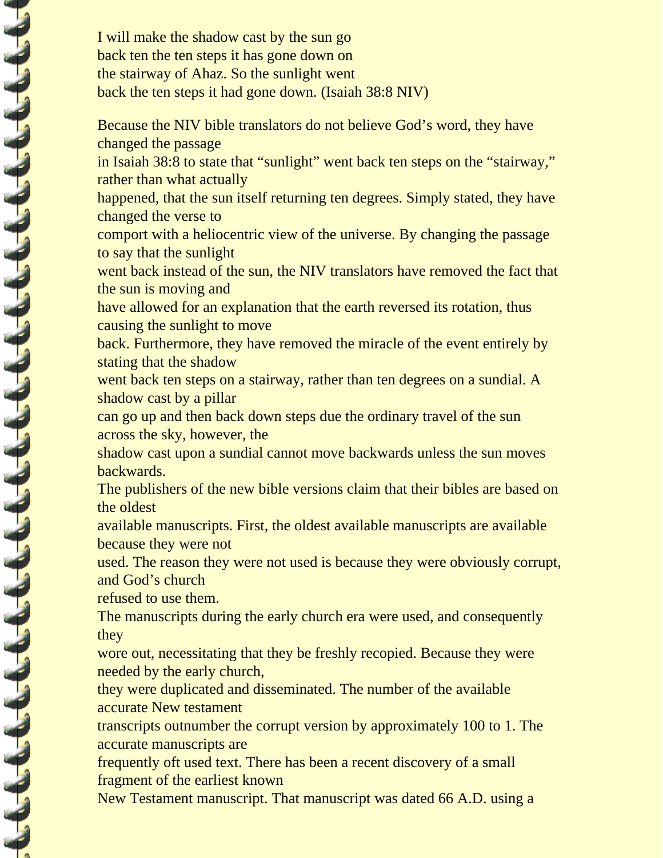I will make the shadow cast by the sun go back ten the ten steps it has gone down on the stairway of Ahaz. So the sunlight went back the ten steps it had gone down. (Isaiah 38:8 NIV)

Because the NIV bible translators do not believe God's word, they have changed the passage in Isaiah 38:8 to state that "sunlight" went back ten steps on the "stairway," rather than what actually happened, that the sun itself returning ten degrees. Simply stated, they have changed the verse to comport with a heliocentric view of the universe. By changing the passage to say that the sunlight went back instead of the sun, the NIV translators have removed the fact that the sun is moving and have allowed for an explanation that the earth reversed its rotation, thus causing the sunlight to move back. Furthermore, they have removed the miracle of the event entirely by stating that the shadow went back ten steps on a stairway, rather than ten degrees on a sundial. A shadow cast by a pillar can go up and then back down steps due the ordinary travel of the sun across the sky, however, the shadow cast upon a sundial cannot move backwards unless the sun moves backwards. The publishers of the new bible versions claim that their bibles are based on the oldest available manuscripts. First, the oldest available manuscripts are available because they were not used. The reason they were not used is because they were obviously corrupt, and God's church refused to use them. The manuscripts during the early church era were used, and consequently they wore out, necessitating that they be freshly recopied. Because they were needed by the early church, they were duplicated and disseminated. The number of the available accurate New testament transcripts outnumber the corrupt version by approximately 100 to 1. The accurate manuscripts are frequently oft used text. There has been a recent discovery of a small

fragment of the earliest known

New Testament manuscript. That manuscript was dated 66 A.D. using a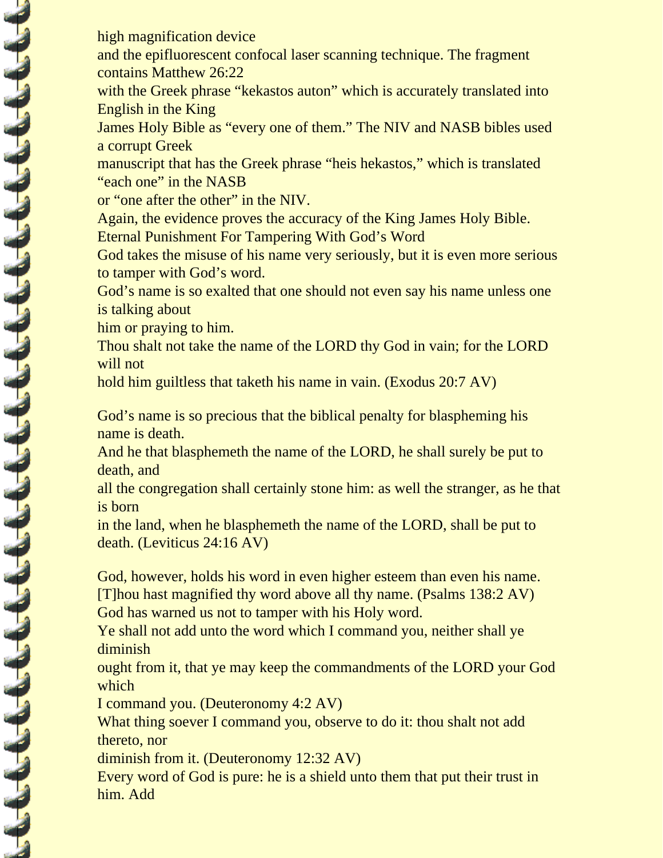high magnification device

and the epifluorescent confocal laser scanning technique. The fragment contains Matthew 26:22

with the Greek phrase "kekastos auton" which is accurately translated into English in the King

James Holy Bible as "every one of them." The NIV and NASB bibles used a corrupt Greek

manuscript that has the Greek phrase "heis hekastos," which is translated "each one" in the NASB

or "one after the other" in the NIV.

Again, the evidence proves the accuracy of the King James Holy Bible. Eternal Punishment For Tampering With God's Word

God takes the misuse of his name very seriously, but it is even more serious to tamper with God's word.

God's name is so exalted that one should not even say his name unless one is talking about

him or praying to him.

Thou shalt not take the name of the LORD thy God in vain; for the LORD will not

hold him guiltless that taketh his name in vain. (Exodus 20:7 AV)

God's name is so precious that the biblical penalty for blaspheming his name is death.

And he that blasphemeth the name of the LORD, he shall surely be put to death, and

all the congregation shall certainly stone him: as well the stranger, as he that is born

in the land, when he blasphemeth the name of the LORD, shall be put to death. (Leviticus 24:16 AV)

God, however, holds his word in even higher esteem than even his name. [T]hou hast magnified thy word above all thy name. (Psalms 138:2 AV) God has warned us not to tamper with his Holy word.

Ye shall not add unto the word which I command you, neither shall ye diminish

ought from it, that ye may keep the commandments of the LORD your God which

I command you. (Deuteronomy 4:2 AV)

What thing soever I command you, observe to do it: thou shalt not add thereto, nor

diminish from it. (Deuteronomy 12:32 AV)

Every word of God is pure: he is a shield unto them that put their trust in him. Add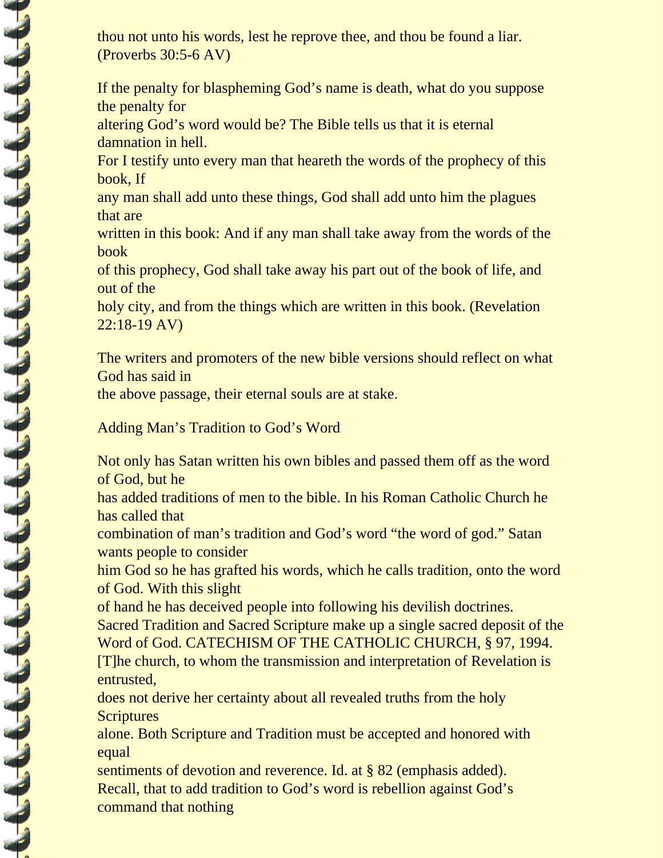thou not unto his words, lest he reprove thee, and thou be found a liar. (Proverbs 30:5-6 AV)

If the penalty for blaspheming God's name is death, what do you suppose the penalty for

altering God's word would be? The Bible tells us that it is eternal damnation in hell.

For I testify unto every man that heareth the words of the prophecy of this book, If

any man shall add unto these things, God shall add unto him the plagues that are

written in this book: And if any man shall take away from the words of the book

of this prophecy, God shall take away his part out of the book of life, and out of the

holy city, and from the things which are written in this book. (Revelation 22:18-19 AV)

The writers and promoters of the new bible versions should reflect on what God has said in

the above passage, their eternal souls are at stake.

Adding Man's Tradition to God's Word

Not only has Satan written his own bibles and passed them off as the word of God, but he

has added traditions of men to the bible. In his Roman Catholic Church he has called that

combination of man's tradition and God's word "the word of god." Satan wants people to consider

him God so he has grafted his words, which he calls tradition, onto the word of God. With this slight

of hand he has deceived people into following his devilish doctrines. Sacred Tradition and Sacred Scripture make up a single sacred deposit of the Word of God. CATECHISM OF THE CATHOLIC CHURCH, § 97, 1994.

[T]he church, to whom the transmission and interpretation of Revelation is entrusted,

does not derive her certainty about all revealed truths from the holy **Scriptures** 

alone. Both Scripture and Tradition must be accepted and honored with equal

sentiments of devotion and reverence. Id. at § 82 (emphasis added). Recall, that to add tradition to God's word is rebellion against God's command that nothing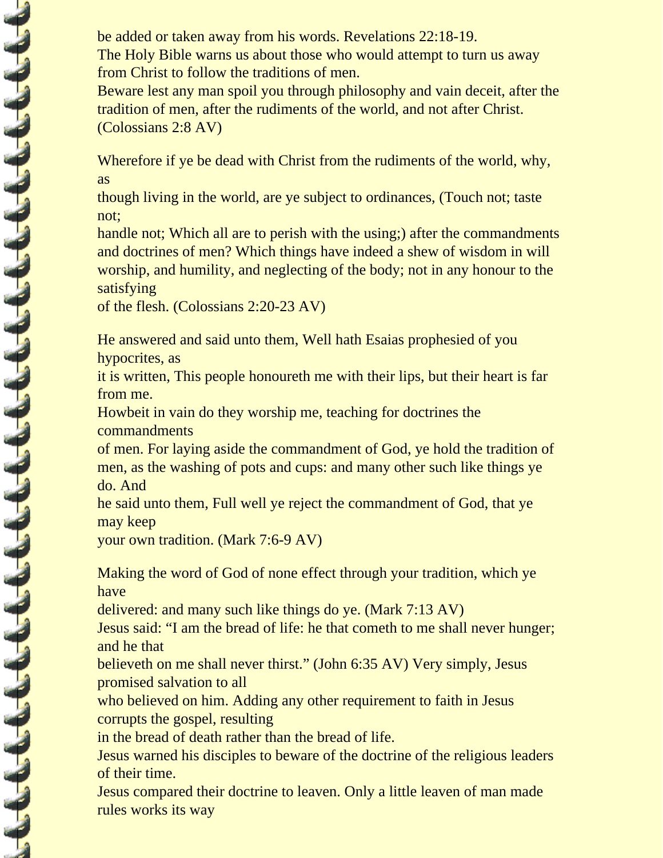be added or taken away from his words. Revelations 22:18-19. The Holy Bible warns us about those who would attempt to turn us away from Christ to follow the traditions of men.

Beware lest any man spoil you through philosophy and vain deceit, after the tradition of men, after the rudiments of the world, and not after Christ. (Colossians 2:8 AV)

Wherefore if ye be dead with Christ from the rudiments of the world, why, as

though living in the world, are ye subject to ordinances, (Touch not; taste not;

handle not; Which all are to perish with the using;) after the commandments and doctrines of men? Which things have indeed a shew of wisdom in will worship, and humility, and neglecting of the body; not in any honour to the satisfying

of the flesh. (Colossians 2:20-23 AV)

He answered and said unto them, Well hath Esaias prophesied of you hypocrites, as

it is written, This people honoureth me with their lips, but their heart is far from me.

Howbeit in vain do they worship me, teaching for doctrines the commandments

of men. For laying aside the commandment of God, ye hold the tradition of men, as the washing of pots and cups: and many other such like things ye do. And

he said unto them, Full well ye reject the commandment of God, that ye may keep

your own tradition. (Mark 7:6-9 AV)

Making the word of God of none effect through your tradition, which ye have

delivered: and many such like things do ye. (Mark 7:13 AV)

Jesus said: "I am the bread of life: he that cometh to me shall never hunger; and he that

believeth on me shall never thirst." (John 6:35 AV) Very simply, Jesus promised salvation to all

who believed on him. Adding any other requirement to faith in Jesus corrupts the gospel, resulting

in the bread of death rather than the bread of life.

Jesus warned his disciples to beware of the doctrine of the religious leaders of their time.

Jesus compared their doctrine to leaven. Only a little leaven of man made rules works its way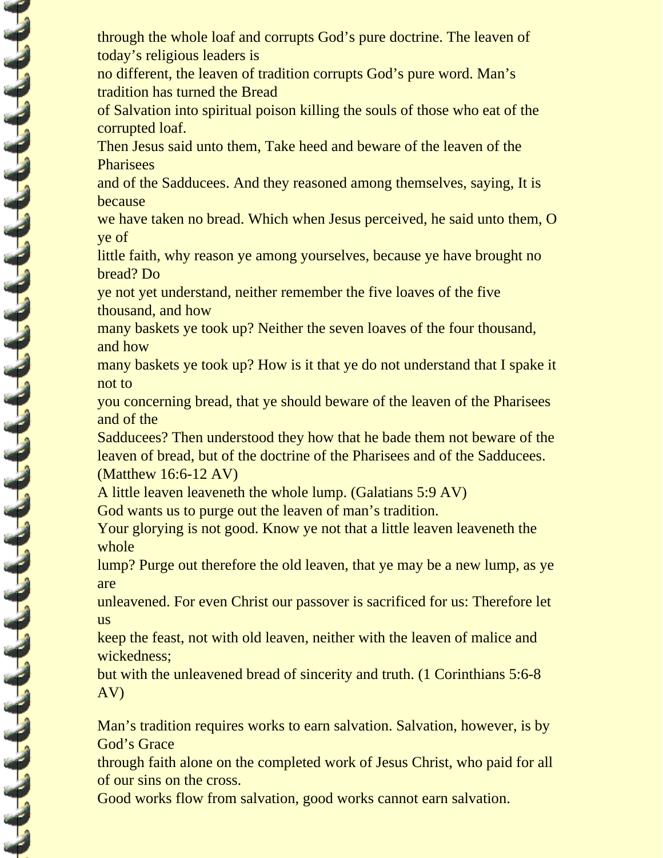through the whole loaf and corrupts God's pure doctrine. The leaven of today's religious leaders is

no different, the leaven of tradition corrupts God's pure word. Man's tradition has turned the Bread

of Salvation into spiritual poison killing the souls of those who eat of the corrupted loaf.

Then Jesus said unto them, Take heed and beware of the leaven of the **Pharisees** 

and of the Sadducees. And they reasoned among themselves, saying, It is because

we have taken no bread. Which when Jesus perceived, he said unto them, O ye of

little faith, why reason ye among yourselves, because ye have brought no bread? Do

ye not yet understand, neither remember the five loaves of the five thousand, and how

many baskets ye took up? Neither the seven loaves of the four thousand, and how

many baskets ye took up? How is it that ye do not understand that I spake it not to

you concerning bread, that ye should beware of the leaven of the Pharisees and of the

Sadducees? Then understood they how that he bade them not beware of the leaven of bread, but of the doctrine of the Pharisees and of the Sadducees. (Matthew 16:6-12 AV)

A little leaven leaveneth the whole lump. (Galatians 5:9 AV)

God wants us to purge out the leaven of man's tradition.

Your glorying is not good. Know ye not that a little leaven leaveneth the whole

lump? Purge out therefore the old leaven, that ye may be a new lump, as ye are

unleavened. For even Christ our passover is sacrificed for us: Therefore let us

keep the feast, not with old leaven, neither with the leaven of malice and wickedness;

but with the unleavened bread of sincerity and truth. (1 Corinthians 5:6-8 AV)

Man's tradition requires works to earn salvation. Salvation, however, is by God's Grace

through faith alone on the completed work of Jesus Christ, who paid for all of our sins on the cross.

Good works flow from salvation, good works cannot earn salvation.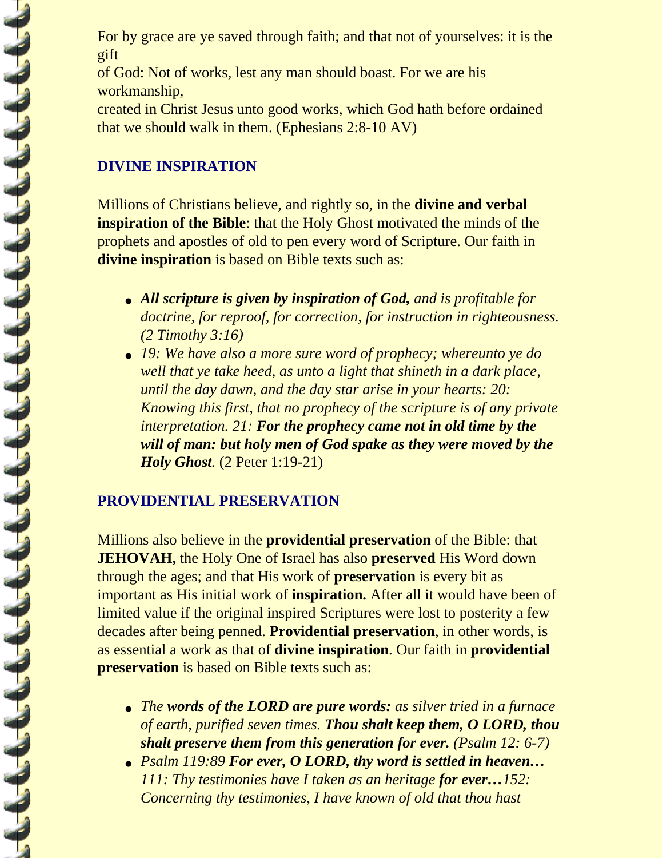For by grace are ye saved through faith; and that not of yourselves: it is the gift

of God: Not of works, lest any man should boast. For we are his workmanship,

created in Christ Jesus unto good works, which God hath before ordained that we should walk in them. (Ephesians 2:8-10 AV)

# **DIVINE INSPIRATION**

Millions of Christians believe, and rightly so, in the **divine and verbal inspiration of the Bible**: that the Holy Ghost motivated the minds of the prophets and apostles of old to pen every word of Scripture. Our faith in **divine inspiration** is based on Bible texts such as:

- *All scripture is given by inspiration of God, and is profitable for doctrine, for reproof, for correction, for instruction in righteousness. (2 Timothy 3:16)*
- *19: We have also a more sure word of prophecy; whereunto ye do well that ye take heed, as unto a light that shineth in a dark place, until the day dawn, and the day star arise in your hearts: 20: Knowing this first, that no prophecy of the scripture is of any private interpretation. 21: For the prophecy came not in old time by the will of man: but holy men of God spake as they were moved by the Holy Ghost.* (2 Peter 1:19-21)

# **PROVIDENTIAL PRESERVATION**

Millions also believe in the **providential preservation** of the Bible: that **JEHOVAH,** the Holy One of Israel has also **preserved** His Word down through the ages; and that His work of **preservation** is every bit as important as His initial work of **inspiration.** After all it would have been of limited value if the original inspired Scriptures were lost to posterity a few decades after being penned. **Providential preservation**, in other words, is as essential a work as that of **divine inspiration**. Our faith in **providential preservation** is based on Bible texts such as:

- *The words of the LORD are pure words: as silver tried in a furnace of earth, purified seven times. Thou shalt keep them, O LORD, thou shalt preserve them from this generation for ever. (Psalm 12: 6-7)*
- *Psalm 119:89 For ever, O LORD, thy word is settled in heaven… 111: Thy testimonies have I taken as an heritage for ever…152: Concerning thy testimonies, I have known of old that thou hast*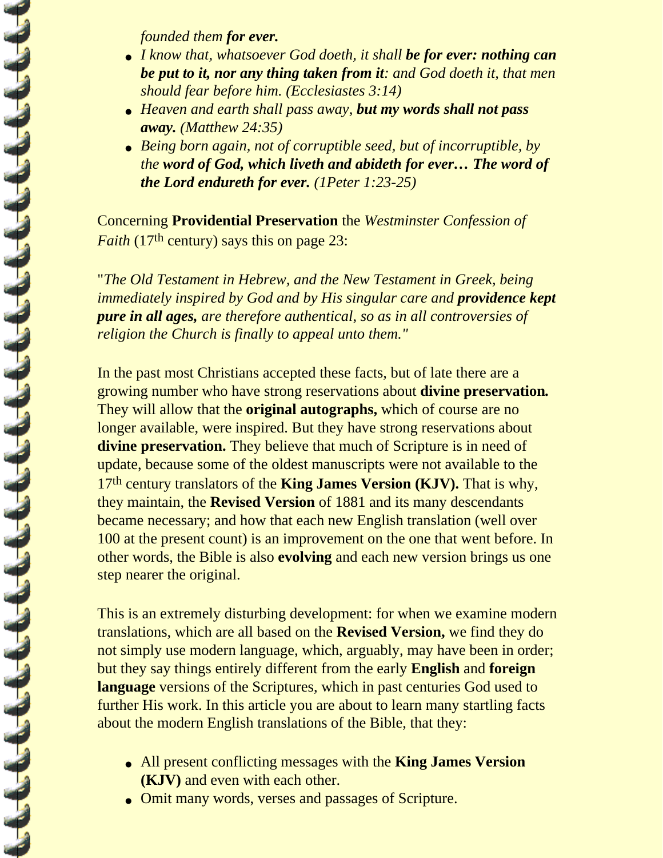*founded them for ever.*

- *I know that, whatsoever God doeth, it shall be for ever: nothing can be put to it, nor any thing taken from it: and God doeth it, that men should fear before him. (Ecclesiastes 3:14)*
- *Heaven and earth shall pass away, but my words shall not pass away. (Matthew 24:35)*
- *Being born again, not of corruptible seed, but of incorruptible, by the word of God, which liveth and abideth for ever… The word of the Lord endureth for ever. (1Peter 1:23-25)*

Concerning **Providential Preservation** the *Westminster Confession of Faith* (17<sup>th</sup> century) says this on page 23:

"*The Old Testament in Hebrew, and the New Testament in Greek, being immediately inspired by God and by His singular care and providence kept pure in all ages, are therefore authentical, so as in all controversies of religion the Church is finally to appeal unto them."* 

In the past most Christians accepted these facts, but of late there are a growing number who have strong reservations about **divine preservation***.* They will allow that the **original autographs,** which of course are no longer available, were inspired. But they have strong reservations about **divine preservation.** They believe that much of Scripture is in need of update, because some of the oldest manuscripts were not available to the 17th century translators of the **King James Version (KJV).** That is why, they maintain, the **Revised Version** of 1881 and its many descendants became necessary; and how that each new English translation (well over 100 at the present count) is an improvement on the one that went before. In other words, the Bible is also **evolving** and each new version brings us one step nearer the original.

This is an extremely disturbing development: for when we examine modern translations, which are all based on the **Revised Version,** we find they do not simply use modern language, which, arguably, may have been in order; but they say things entirely different from the early **English** and **foreign language** versions of the Scriptures, which in past centuries God used to further His work. In this article you are about to learn many startling facts about the modern English translations of the Bible, that they:

- All present conflicting messages with the **King James Version (KJV)** and even with each other.
- Omit many words, verses and passages of Scripture.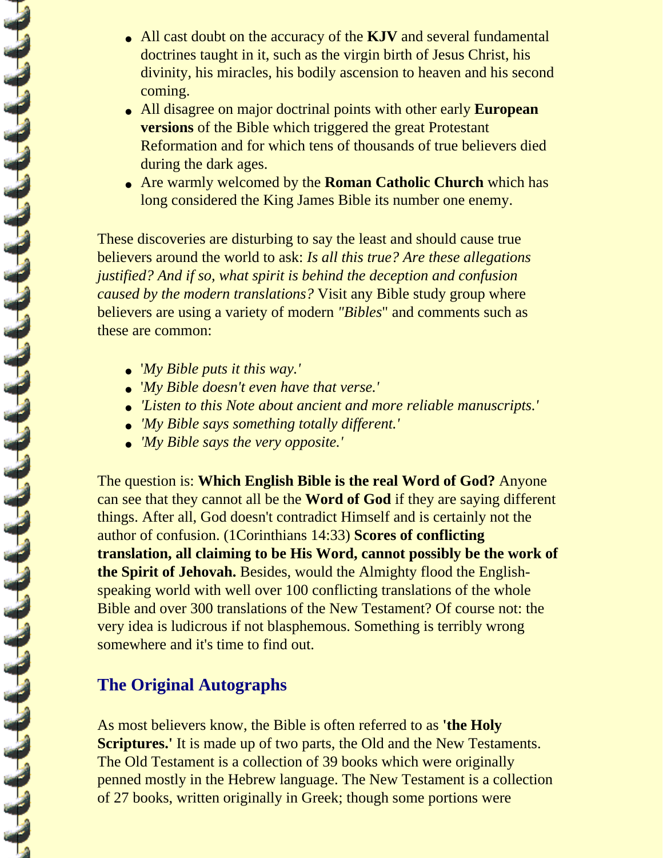- All cast doubt on the accuracy of the **KJV** and several fundamental doctrines taught in it, such as the virgin birth of Jesus Christ, his divinity, his miracles, his bodily ascension to heaven and his second coming.
- All disagree on major doctrinal points with other early **European versions** of the Bible which triggered the great Protestant Reformation and for which tens of thousands of true believers died during the dark ages.
- Are warmly welcomed by the **Roman Catholic Church** which has long considered the King James Bible its number one enemy.

These discoveries are disturbing to say the least and should cause true believers around the world to ask: *Is all this true? Are these allegations justified? And if so, what spirit is behind the deception and confusion caused by the modern translations?* Visit any Bible study group where believers are using a variety of modern *"Bibles*" and comments such as these are common:

● '*My Bible puts it this way.'* 

- '*My Bible doesn't even have that verse.'*
- *'Listen to this Note about ancient and more reliable manuscripts.'*
- *'My Bible says something totally different.'*
- *'My Bible says the very opposite.'*

The question is: **Which English Bible is the real Word of God?** Anyone can see that they cannot all be the **Word of God** if they are saying different things. After all, God doesn't contradict Himself and is certainly not the author of confusion. (1Corinthians 14:33) **Scores of conflicting translation, all claiming to be His Word, cannot possibly be the work of the Spirit of Jehovah.** Besides, would the Almighty flood the Englishspeaking world with well over 100 conflicting translations of the whole Bible and over 300 translations of the New Testament? Of course not: the very idea is ludicrous if not blasphemous. Something is terribly wrong somewhere and it's time to find out.

# **The Original Autographs**

As most believers know, the Bible is often referred to as **'the Holy Scriptures.'** It is made up of two parts, the Old and the New Testaments. The Old Testament is a collection of 39 books which were originally penned mostly in the Hebrew language. The New Testament is a collection of 27 books, written originally in Greek; though some portions were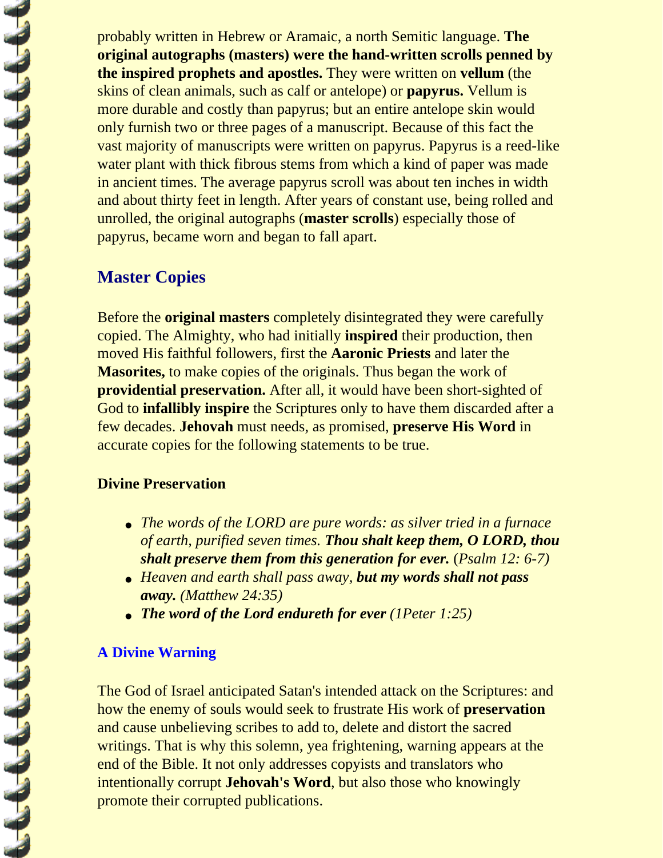probably written in Hebrew or Aramaic, a north Semitic language. **The original autographs (masters) were the hand-written scrolls penned by the inspired prophets and apostles.** They were written on **vellum** (the skins of clean animals, such as calf or antelope) or **papyrus.** Vellum is more durable and costly than papyrus; but an entire antelope skin would only furnish two or three pages of a manuscript. Because of this fact the vast majority of manuscripts were written on papyrus. Papyrus is a reed-like water plant with thick fibrous stems from which a kind of paper was made in ancient times. The average papyrus scroll was about ten inches in width and about thirty feet in length. After years of constant use, being rolled and unrolled, the original autographs (**master scrolls**) especially those of papyrus, became worn and began to fall apart.

## **Master Copies**

Before the **original masters** completely disintegrated they were carefully copied. The Almighty, who had initially **inspired** their production, then moved His faithful followers, first the **Aaronic Priests** and later the **Masorites,** to make copies of the originals. Thus began the work of **providential preservation.** After all, it would have been short-sighted of God to **infallibly inspire** the Scriptures only to have them discarded after a few decades. **Jehovah** must needs, as promised, **preserve His Word** in accurate copies for the following statements to be true.

#### **Divine Preservation**

- *The words of the LORD are pure words: as silver tried in a furnace of earth, purified seven times. Thou shalt keep them, O LORD, thou shalt preserve them from this generation for ever.* (*Psalm 12: 6-7)*
- *Heaven and earth shall pass away, but my words shall not pass away. (Matthew 24:35)*
- *The word of the Lord endureth for ever (1Peter 1:25)*

#### **A Divine Warning**

The God of Israel anticipated Satan's intended attack on the Scriptures: and how the enemy of souls would seek to frustrate His work of **preservation** and cause unbelieving scribes to add to, delete and distort the sacred writings. That is why this solemn, yea frightening, warning appears at the end of the Bible. It not only addresses copyists and translators who intentionally corrupt **Jehovah's Word**, but also those who knowingly promote their corrupted publications.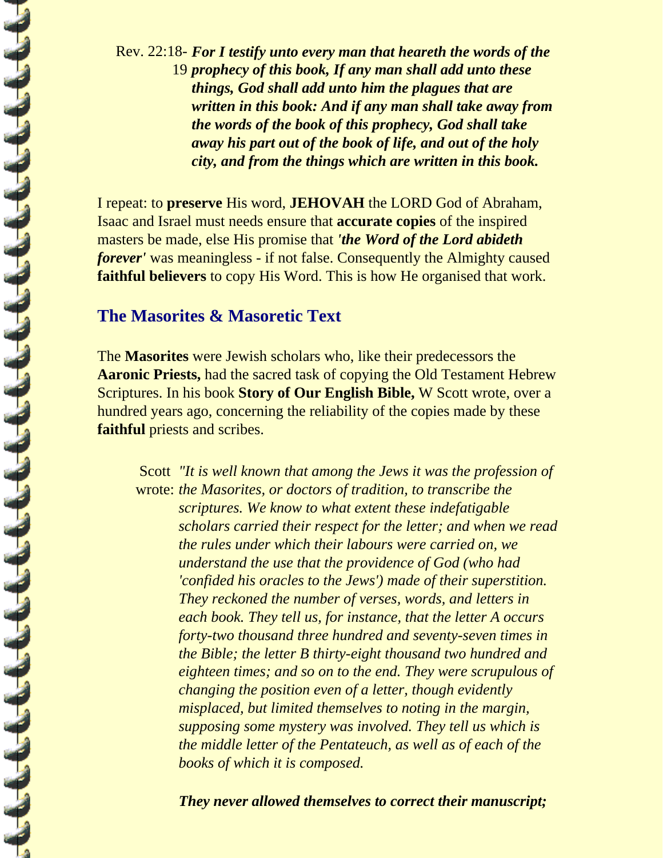Rev. 22:18- *For I testify unto every man that heareth the words of the*  19 *prophecy of this book, If any man shall add unto these things, God shall add unto him the plagues that are written in this book: And if any man shall take away from the words of the book of this prophecy, God shall take away his part out of the book of life, and out of the holy city, and from the things which are written in this book.*

I repeat: to **preserve** His word, **JEHOVAH** the LORD God of Abraham, Isaac and Israel must needs ensure that **accurate copies** of the inspired masters be made, else His promise that *'the Word of the Lord abideth forever'* was meaningless - if not false. Consequently the Almighty caused **faithful believers** to copy His Word. This is how He organised that work.

## **The Masorites & Masoretic Text**

The **Masorites** were Jewish scholars who, like their predecessors the **Aaronic Priests,** had the sacred task of copying the Old Testament Hebrew Scriptures. In his book **Story of Our English Bible,** W Scott wrote, over a hundred years ago, concerning the reliability of the copies made by these **faithful** priests and scribes.

Scott "It is well known that among the Jews it was the profession of wrote: *the Masorites, or doctors of tradition, to transcribe the scriptures. We know to what extent these indefatigable scholars carried their respect for the letter; and when we read the rules under which their labours were carried on, we understand the use that the providence of God (who had 'confided his oracles to the Jews') made of their superstition. They reckoned the number of verses, words, and letters in each book. They tell us, for instance, that the letter A occurs forty-two thousand three hundred and seventy-seven times in the Bible; the letter B thirty-eight thousand two hundred and eighteen times; and so on to the end. They were scrupulous of changing the position even of a letter, though evidently misplaced, but limited themselves to noting in the margin, supposing some mystery was involved. They tell us which is the middle letter of the Pentateuch, as well as of each of the books of which it is composed.* 

*They never allowed themselves to correct their manuscript;*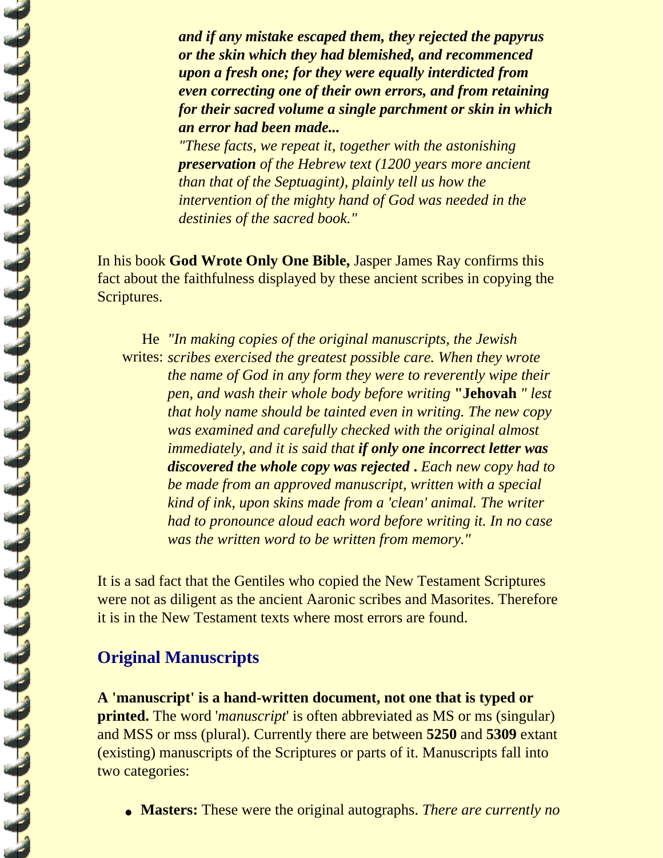*and if any mistake escaped them, they rejected the papyrus or the skin which they had blemished, and recommenced upon a fresh one; for they were equally interdicted from even correcting one of their own errors, and from retaining for their sacred volume a single parchment or skin in which an error had been made...* 

*"These facts, we repeat it, together with the astonishing preservation of the Hebrew text (1200 years more ancient than that of the Septuagint), plainly tell us how the intervention of the mighty hand of God was needed in the destinies of the sacred book."*

In his book **God Wrote Only One Bible,** Jasper James Ray confirms this fact about the faithfulness displayed by these ancient scribes in copying the Scriptures.

He *"In making copies of the original manuscripts, the Jewish*  writes: *scribes exercised the greatest possible care. When they wrote the name of God in any form they were to reverently wipe their pen, and wash their whole body before writing* **"Jehovah** *" lest that holy name should be tainted even in writing. The new copy was examined and carefully checked with the original almost immediately, and it is said that if only one incorrect letter was discovered the whole copy was rejected* **.** *Each new copy had to be made from an approved manuscript, written with a special kind of ink, upon skins made from a 'clean' animal. The writer had to pronounce aloud each word before writing it. In no case was the written word to be written from memory."* 

It is a sad fact that the Gentiles who copied the New Testament Scriptures were not as diligent as the ancient Aaronic scribes and Masorites. Therefore it is in the New Testament texts where most errors are found.

## **Original Manuscripts**

**A 'manuscript' is a hand-written document, not one that is typed or printed.** The word '*manuscript*' is often abbreviated as MS or ms (singular) and MSS or mss (plural). Currently there are between **5250** and **5309** extant (existing) manuscripts of the Scriptures or parts of it. Manuscripts fall into two categories:

● **Masters:** These were the original autographs. *There are currently no*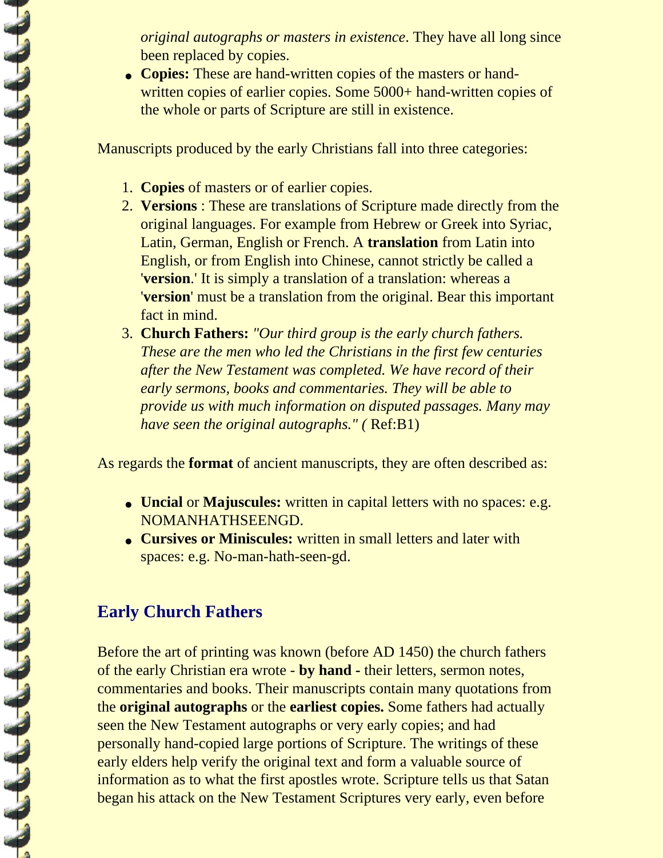*original autographs or masters in existence*. They have all long since been replaced by copies.

• **Copies:** These are hand-written copies of the masters or handwritten copies of earlier copies. Some 5000+ hand-written copies of the whole or parts of Scripture are still in existence.

Manuscripts produced by the early Christians fall into three categories:

- 1. **Copies** of masters or of earlier copies.
- 2. **Versions** : These are translations of Scripture made directly from the original languages. For example from Hebrew or Greek into Syriac, Latin, German, English or French. A **translation** from Latin into English, or from English into Chinese, cannot strictly be called a '**version**.' It is simply a translation of a translation: whereas a '**version**' must be a translation from the original. Bear this important fact in mind.
- 3. **Church Fathers:** *"Our third group is the early church fathers. These are the men who led the Christians in the first few centuries after the New Testament was completed. We have record of their early sermons, books and commentaries. They will be able to provide us with much information on disputed passages. Many may have seen the original autographs." (* Ref:B1)

As regards the **format** of ancient manuscripts, they are often described as:

- **Uncial** or **Majuscules:** written in capital letters with no spaces: e.g. NOMANHATHSEENGD.
- **Cursives or Miniscules:** written in small letters and later with spaces: e.g. No-man-hath-seen-gd.

## **Early Church Fathers**

Before the art of printing was known (before AD 1450) the church fathers of the early Christian era wrote - **by hand -** their letters, sermon notes, commentaries and books. Their manuscripts contain many quotations from the **original autographs** or the **earliest copies.** Some fathers had actually seen the New Testament autographs or very early copies; and had personally hand-copied large portions of Scripture. The writings of these early elders help verify the original text and form a valuable source of information as to what the first apostles wrote. Scripture tells us that Satan began his attack on the New Testament Scriptures very early, even before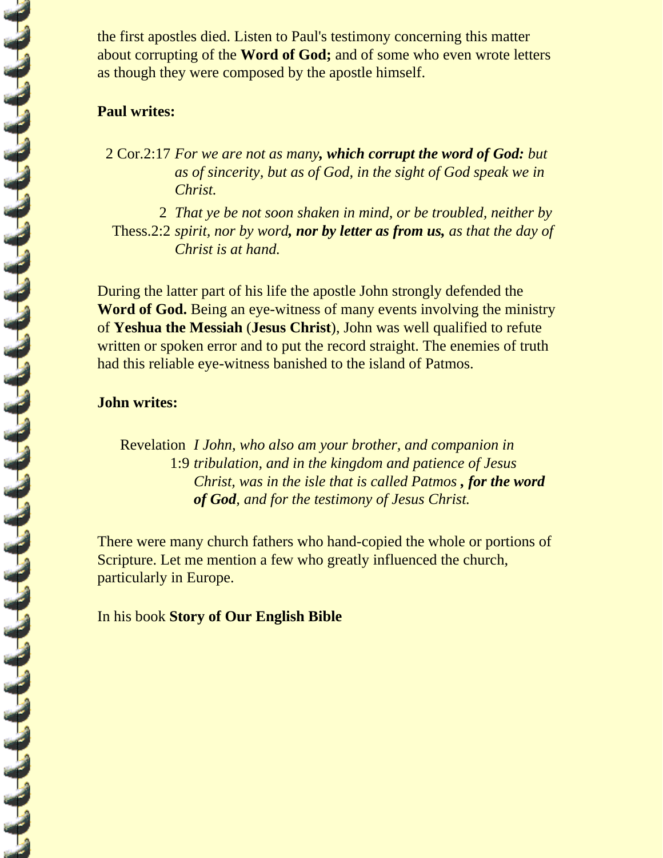the first apostles died. Listen to Paul's testimony concerning this matter about corrupting of the **Word of God;** and of some who even wrote letters as though they were composed by the apostle himself.

### **Paul writes:**

2 Cor.2:17 *For we are not as many, which corrupt the word of God: but as of sincerity, but as of God, in the sight of God speak we in Christ.* 

2 *That ye be not soon shaken in mind, or be troubled, neither by*  Thess.2:2 *spirit, nor by word, nor by letter as from us, as that the day of Christ is at hand.*

During the latter part of his life the apostle John strongly defended the **Word of God.** Being an eye-witness of many events involving the ministry of **Yeshua the Messiah** (**Jesus Christ**), John was well qualified to refute written or spoken error and to put the record straight. The enemies of truth had this reliable eye-witness banished to the island of Patmos.

## **John writes:**

Revelation *I John, who also am your brother, and companion in*  1:9 *tribulation, and in the kingdom and patience of Jesus Christ, was in the isle that is called Patmos , for the word of God, and for the testimony of Jesus Christ.* 

There were many church fathers who hand-copied the whole or portions of Scripture. Let me mention a few who greatly influenced the church, particularly in Europe.

In his book **Story of Our English Bible**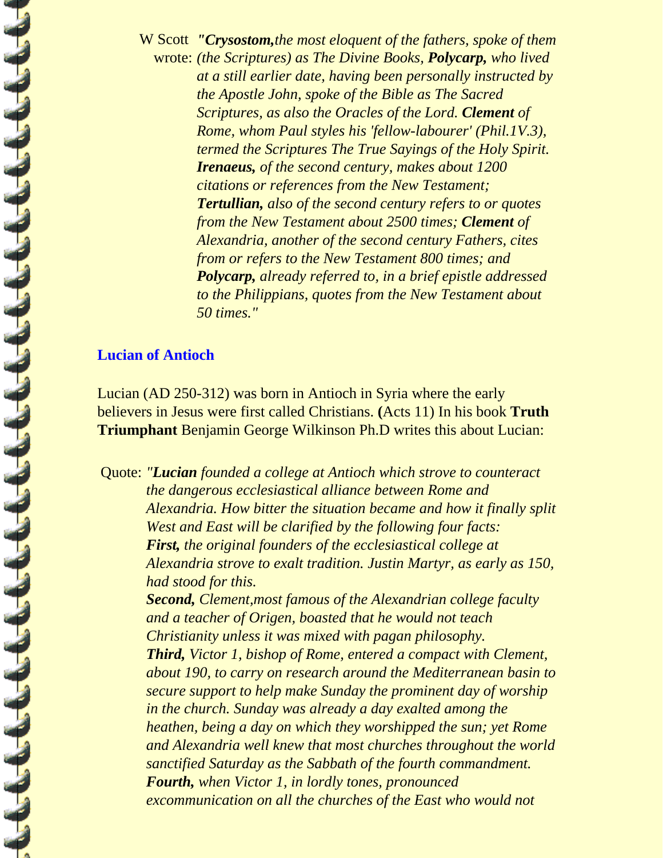W Scott *"Crysostom,the most eloquent of the fathers, spoke of them*  wrote: *(the Scriptures) as The Divine Books, Polycarp, who lived at a still earlier date, having been personally instructed by the Apostle John, spoke of the Bible as The Sacred Scriptures, as also the Oracles of the Lord. Clement of Rome, whom Paul styles his 'fellow-labourer' (Phil.1V.3), termed the Scriptures The True Sayings of the Holy Spirit. Irenaeus, of the second century, makes about 1200 citations or references from the New Testament; Tertullian, also of the second century refers to or quotes from the New Testament about 2500 times; Clement of Alexandria, another of the second century Fathers, cites from or refers to the New Testament 800 times; and Polycarp, already referred to, in a brief epistle addressed to the Philippians, quotes from the New Testament about 50 times."* 

## **Lucian of Antioch**

Lucian (AD 250-312) was born in Antioch in Syria where the early believers in Jesus were first called Christians. **(**Acts 11) In his book **Truth Triumphant** Benjamin George Wilkinson Ph.D writes this about Lucian:

Quote: *"Lucian founded a college at Antioch which strove to counteract the dangerous ecclesiastical alliance between Rome and Alexandria. How bitter the situation became and how it finally split West and East will be clarified by the following four facts: First, the original founders of the ecclesiastical college at Alexandria strove to exalt tradition. Justin Martyr, as early as 150, had stood for this.* 

*Second, Clement,most famous of the Alexandrian college faculty and a teacher of Origen, boasted that he would not teach Christianity unless it was mixed with pagan philosophy. Third, Victor 1, bishop of Rome, entered a compact with Clement, about 190, to carry on research around the Mediterranean basin to secure support to help make Sunday the prominent day of worship in the church. Sunday was already a day exalted among the heathen, being a day on which they worshipped the sun; yet Rome and Alexandria well knew that most churches throughout the world sanctified Saturday as the Sabbath of the fourth commandment. Fourth, when Victor 1, in lordly tones, pronounced excommunication on all the churches of the East who would not*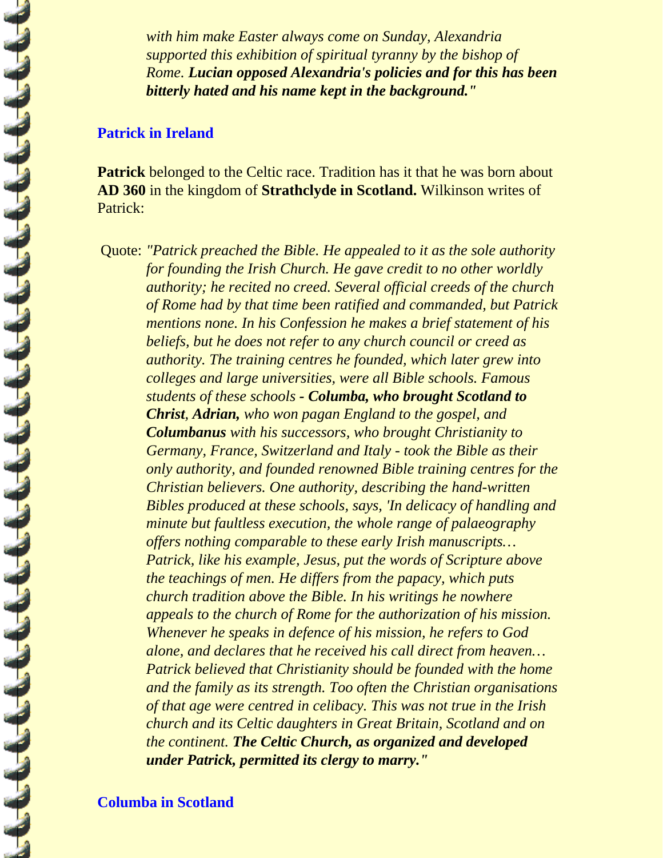*with him make Easter always come on Sunday, Alexandria supported this exhibition of spiritual tyranny by the bishop of Rome. Lucian opposed Alexandria's policies and for this has been bitterly hated and his name kept in the background."*

## **Patrick in Ireland**

**Patrick** belonged to the Celtic race. Tradition has it that he was born about **AD 360** in the kingdom of **Strathclyde in Scotland.** Wilkinson writes of Patrick:

Quote: *"Patrick preached the Bible. He appealed to it as the sole authority for founding the Irish Church. He gave credit to no other worldly authority; he recited no creed. Several official creeds of the church of Rome had by that time been ratified and commanded, but Patrick mentions none. In his Confession he makes a brief statement of his beliefs, but he does not refer to any church council or creed as authority. The training centres he founded, which later grew into colleges and large universities, were all Bible schools. Famous students of these schools - Columba, who brought Scotland to Christ, Adrian, who won pagan England to the gospel, and Columbanus with his successors, who brought Christianity to Germany, France, Switzerland and Italy - took the Bible as their only authority, and founded renowned Bible training centres for the Christian believers. One authority, describing the hand-written Bibles produced at these schools, says, 'In delicacy of handling and minute but faultless execution, the whole range of palaeography offers nothing comparable to these early Irish manuscripts… Patrick, like his example, Jesus, put the words of Scripture above the teachings of men. He differs from the papacy, which puts church tradition above the Bible. In his writings he nowhere appeals to the church of Rome for the authorization of his mission. Whenever he speaks in defence of his mission, he refers to God alone, and declares that he received his call direct from heaven… Patrick believed that Christianity should be founded with the home and the family as its strength. Too often the Christian organisations of that age were centred in celibacy. This was not true in the Irish church and its Celtic daughters in Great Britain, Scotland and on the continent. The Celtic Church, as organized and developed under Patrick, permitted its clergy to marry."*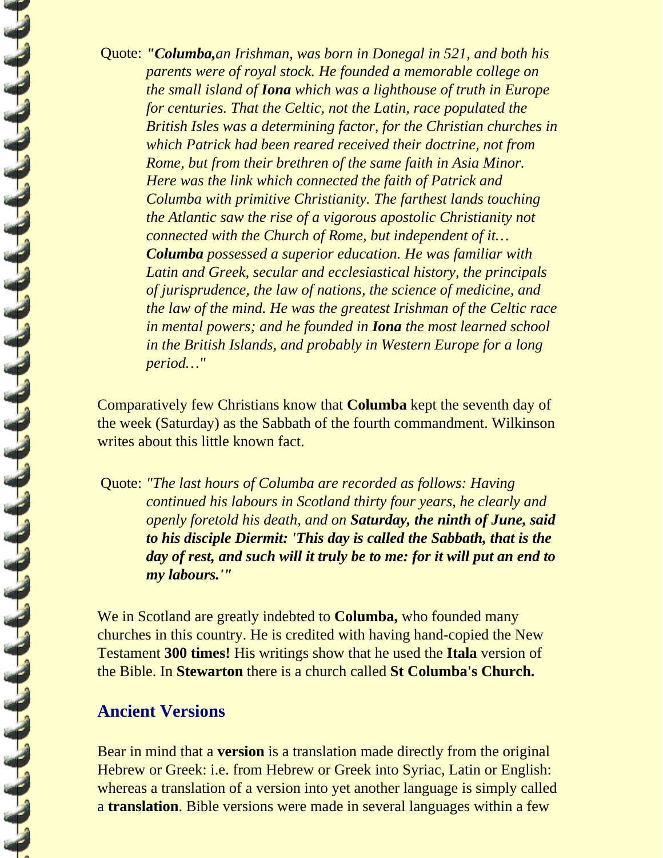Quote: *"Columba,an Irishman, was born in Donegal in 521, and both his parents were of royal stock. He founded a memorable college on the small island of Iona which was a lighthouse of truth in Europe for centuries. That the Celtic, not the Latin, race populated the British Isles was a determining factor, for the Christian churches in which Patrick had been reared received their doctrine, not from Rome, but from their brethren of the same faith in Asia Minor. Here was the link which connected the faith of Patrick and Columba with primitive Christianity. The farthest lands touching the Atlantic saw the rise of a vigorous apostolic Christianity not connected with the Church of Rome, but independent of it… Columba possessed a superior education. He was familiar with Latin and Greek, secular and ecclesiastical history, the principals of jurisprudence, the law of nations, the science of medicine, and the law of the mind. He was the greatest Irishman of the Celtic race in mental powers; and he founded in Iona the most learned school in the British Islands, and probably in Western Europe for a long period…"*

Comparatively few Christians know that **Columba** kept the seventh day of the week (Saturday) as the Sabbath of the fourth commandment. Wilkinson writes about this little known fact.

Quote: *"The last hours of Columba are recorded as follows: Having continued his labours in Scotland thirty four years, he clearly and openly foretold his death, and on Saturday, the ninth of June, said to his disciple Diermit: 'This day is called the Sabbath, that is the day of rest, and such will it truly be to me: for it will put an end to my labours.'"* 

We in Scotland are greatly indebted to **Columba,** who founded many churches in this country. He is credited with having hand-copied the New Testament **300 times!** His writings show that he used the **Itala** version of the Bible. In **Stewarton** there is a church called **St Columba's Church.** 

## **Ancient Versions**

Bear in mind that a **version** is a translation made directly from the original Hebrew or Greek: i.e. from Hebrew or Greek into Syriac, Latin or English: whereas a translation of a version into yet another language is simply called a **translation**. Bible versions were made in several languages within a few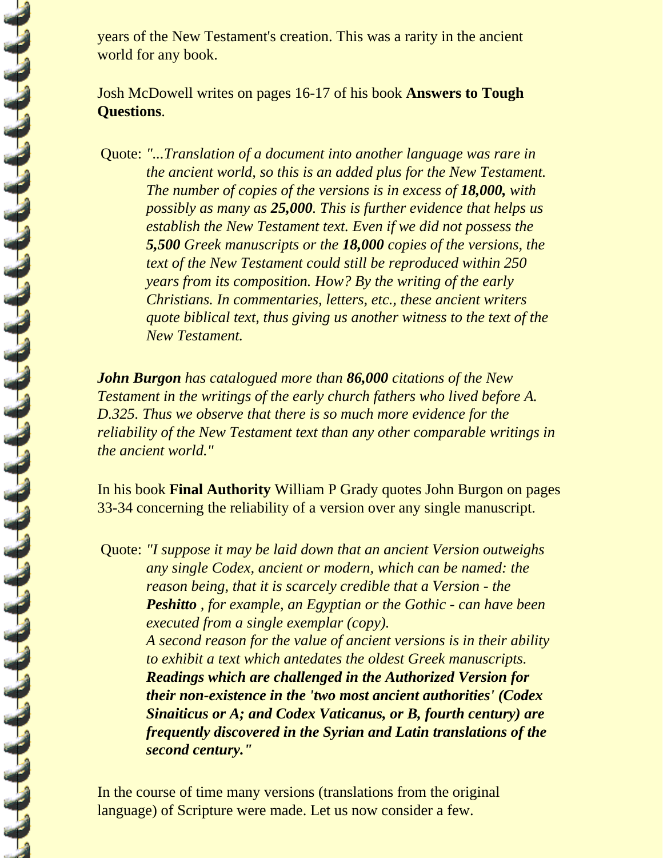years of the New Testament's creation. This was a rarity in the ancient world for any book.

Josh McDowell writes on pages 16-17 of his book **Answers to Tough Questions**.

Quote: *"...Translation of a document into another language was rare in the ancient world, so this is an added plus for the New Testament. The number of copies of the versions is in excess of 18,000, with possibly as many as 25,000. This is further evidence that helps us establish the New Testament text. Even if we did not possess the 5,500 Greek manuscripts or the 18,000 copies of the versions, the text of the New Testament could still be reproduced within 250 years from its composition. How? By the writing of the early Christians. In commentaries, letters, etc., these ancient writers quote biblical text, thus giving us another witness to the text of the New Testament.* 

*John Burgon has catalogued more than 86,000 citations of the New Testament in the writings of the early church fathers who lived before A. D.325. Thus we observe that there is so much more evidence for the reliability of the New Testament text than any other comparable writings in the ancient world."*

In his book **Final Authority** William P Grady quotes John Burgon on pages 33-34 concerning the reliability of a version over any single manuscript.

Quote: *"I suppose it may be laid down that an ancient Version outweighs any single Codex, ancient or modern, which can be named: the reason being, that it is scarcely credible that a Version - the Peshitto , for example, an Egyptian or the Gothic - can have been executed from a single exemplar (copy). A second reason for the value of ancient versions is in their ability to exhibit a text which antedates the oldest Greek manuscripts. Readings which are challenged in the Authorized Version for their non-existence in the 'two most ancient authorities' (Codex Sinaiticus or A; and Codex Vaticanus, or B, fourth century) are frequently discovered in the Syrian and Latin translations of the second century."* 

In the course of time many versions (translations from the original language) of Scripture were made. Let us now consider a few.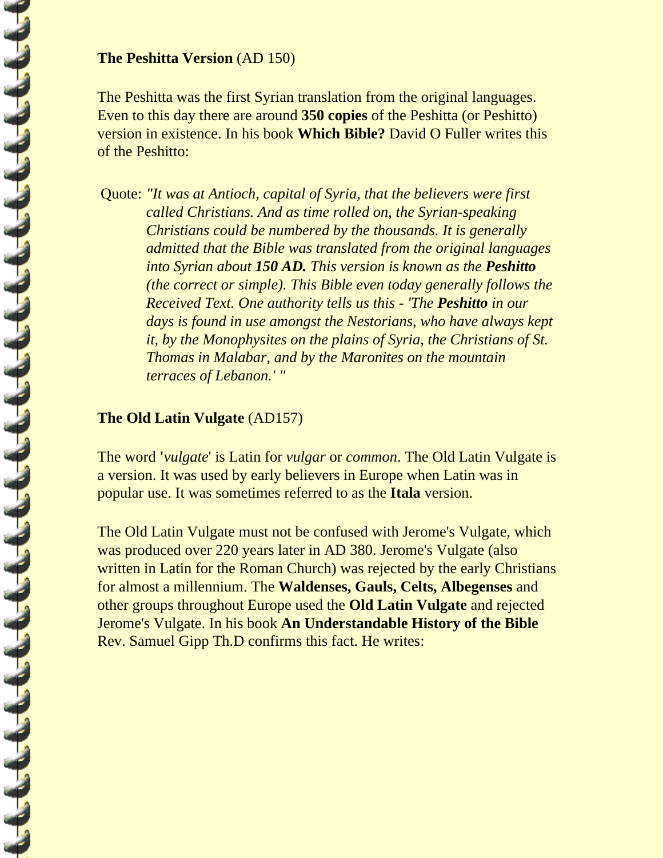#### **The Peshitta Version** (AD 150)

The Peshitta was the first Syrian translation from the original languages. Even to this day there are around **350 copies** of the Peshitta (or Peshitto) version in existence. In his book **Which Bible?** David O Fuller writes this of the Peshitto:

Quote: *"It was at Antioch, capital of Syria, that the believers were first called Christians. And as time rolled on, the Syrian-speaking Christians could be numbered by the thousands. It is generally admitted that the Bible was translated from the original languages into Syrian about 150 AD. This version is known as the Peshitto (the correct or simple). This Bible even today generally follows the Received Text. One authority tells us this - 'The Peshitto in our days is found in use amongst the Nestorians, who have always kept it, by the Monophysites on the plains of Syria, the Christians of St. Thomas in Malabar, and by the Maronites on the mountain terraces of Lebanon.' "*

#### **The Old Latin Vulgate** (AD157)

The word **'***vulgate*' is Latin for *vulgar* or *common*. The Old Latin Vulgate is a version. It was used by early believers in Europe when Latin was in popular use. It was sometimes referred to as the **Itala** version.

The Old Latin Vulgate must not be confused with Jerome's Vulgate, which was produced over 220 years later in AD 380. Jerome's Vulgate (also written in Latin for the Roman Church) was rejected by the early Christians for almost a millennium. The **Waldenses, Gauls, Celts, Albegenses** and other groups throughout Europe used the **Old Latin Vulgate** and rejected Jerome's Vulgate. In his book **An Understandable History of the Bible** Rev. Samuel Gipp Th.D confirms this fact. He writes: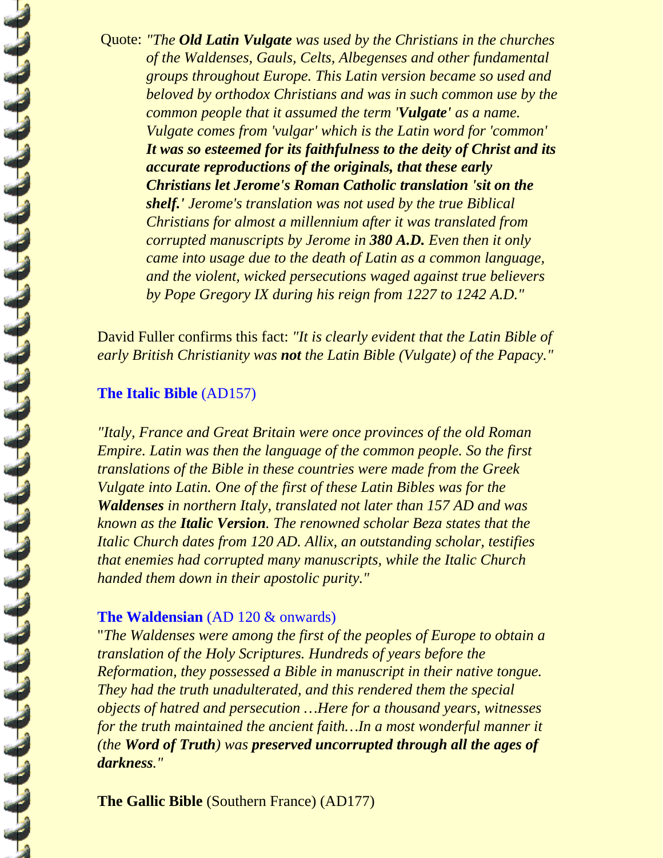Quote: *"The Old Latin Vulgate was used by the Christians in the churches of the Waldenses, Gauls, Celts, Albegenses and other fundamental groups throughout Europe. This Latin version became so used and beloved by orthodox Christians and was in such common use by the common people that it assumed the term 'Vulgate' as a name. Vulgate comes from 'vulgar' which is the Latin word for 'common' It was so esteemed for its faithfulness to the deity of Christ and its accurate reproductions of the originals, that these early Christians let Jerome's Roman Catholic translation 'sit on the shelf.' Jerome's translation was not used by the true Biblical Christians for almost a millennium after it was translated from corrupted manuscripts by Jerome in 380 A.D. Even then it only came into usage due to the death of Latin as a common language, and the violent, wicked persecutions waged against true believers by Pope Gregory IX during his reign from 1227 to 1242 A.D."* 

David Fuller confirms this fact: *"It is clearly evident that the Latin Bible of early British Christianity was not the Latin Bible (Vulgate) of the Papacy."*

### **The Italic Bible** (AD157)

*"Italy, France and Great Britain were once provinces of the old Roman Empire. Latin was then the language of the common people. So the first translations of the Bible in these countries were made from the Greek Vulgate into Latin. One of the first of these Latin Bibles was for the Waldenses in northern Italy, translated not later than 157 AD and was known as the Italic Version. The renowned scholar Beza states that the Italic Church dates from 120 AD. Allix, an outstanding scholar, testifies that enemies had corrupted many manuscripts, while the Italic Church handed them down in their apostolic purity."* 

#### **The Waldensian** (AD 120 & onwards)

"*The Waldenses were among the first of the peoples of Europe to obtain a translation of the Holy Scriptures. Hundreds of years before the Reformation, they possessed a Bible in manuscript in their native tongue. They had the truth unadulterated, and this rendered them the special objects of hatred and persecution …Here for a thousand years, witnesses for the truth maintained the ancient faith…In a most wonderful manner it (the Word of Truth) was preserved uncorrupted through all the ages of darkness."* 

**The Gallic Bible** (Southern France) (AD177)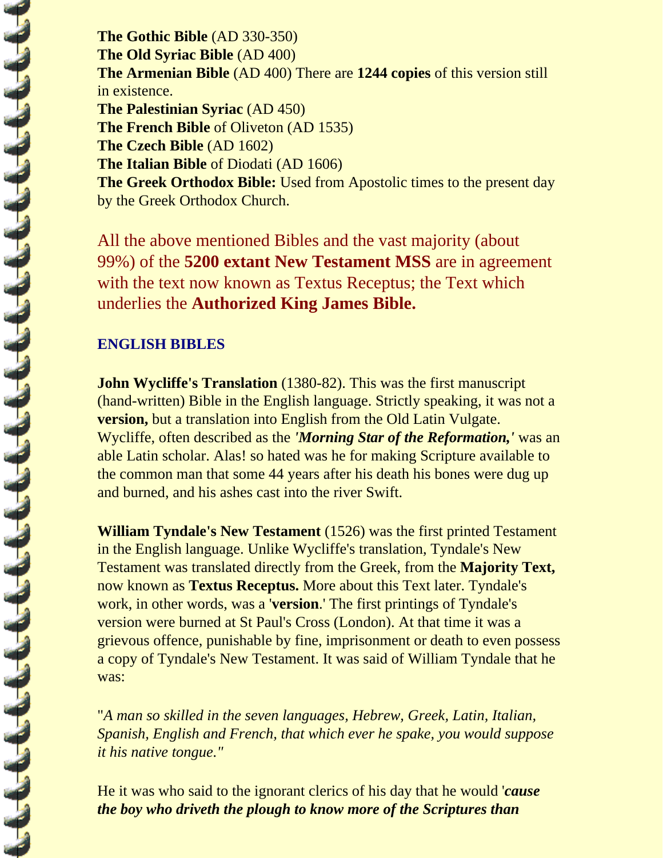**The Gothic Bible** (AD 330-350) **The Old Syriac Bible** (AD 400) **The Armenian Bible** (AD 400) There are **1244 copies** of this version still in existence. **The Palestinian Syriac** (AD 450) **The French Bible** of Oliveton (AD 1535) **The Czech Bible** (AD 1602) **The Italian Bible** of Diodati (AD 1606) **The Greek Orthodox Bible:** Used from Apostolic times to the present day by the Greek Orthodox Church.

All the above mentioned Bibles and the vast majority (about 99%) of the **5200 extant New Testament MSS** are in agreement with the text now known as Textus Receptus; the Text which underlies the **Authorized King James Bible.** 

#### **ENGLISH BIBLES**

**John Wycliffe's Translation** (1380-82). This was the first manuscript (hand-written) Bible in the English language. Strictly speaking, it was not a **version,** but a translation into English from the Old Latin Vulgate. Wycliffe, often described as the *'Morning Star of the Reformation,'* was an able Latin scholar. Alas! so hated was he for making Scripture available to the common man that some 44 years after his death his bones were dug up and burned, and his ashes cast into the river Swift.

**William Tyndale's New Testament** (1526) was the first printed Testament in the English language. Unlike Wycliffe's translation, Tyndale's New Testament was translated directly from the Greek, from the **Majority Text,**  now known as **Textus Receptus.** More about this Text later. Tyndale's work, in other words, was a '**version**.' The first printings of Tyndale's version were burned at St Paul's Cross (London). At that time it was a grievous offence, punishable by fine, imprisonment or death to even possess a copy of Tyndale's New Testament. It was said of William Tyndale that he was:

"*A man so skilled in the seven languages, Hebrew, Greek, Latin, Italian, Spanish, English and French, that which ever he spake, you would suppose it his native tongue."* 

He it was who said to the ignorant clerics of his day that he would '*cause the boy who driveth the plough to know more of the Scriptures than*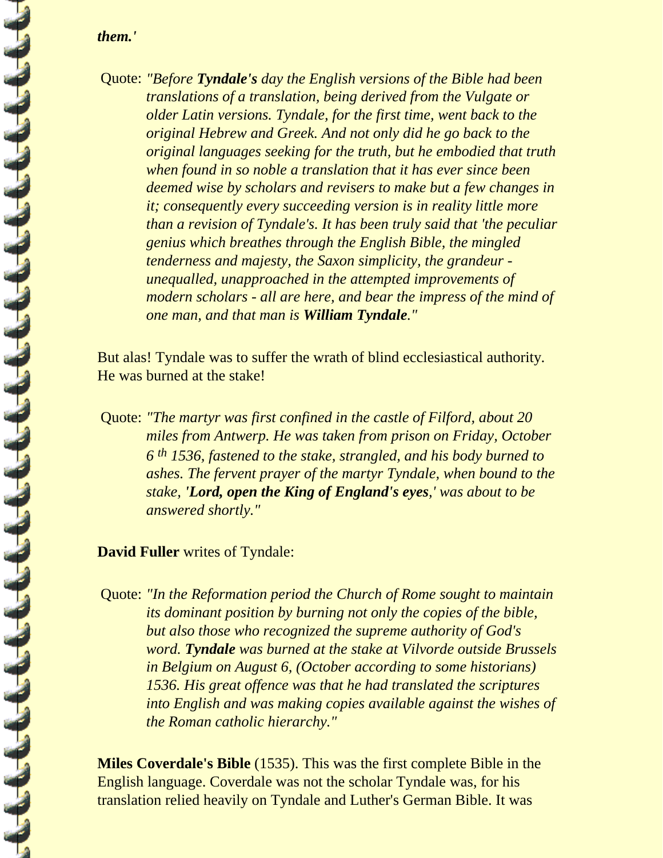#### *them.'*

Quote: *"Before Tyndale's day the English versions of the Bible had been translations of a translation, being derived from the Vulgate or older Latin versions. Tyndale, for the first time, went back to the original Hebrew and Greek. And not only did he go back to the original languages seeking for the truth, but he embodied that truth when found in so noble a translation that it has ever since been deemed wise by scholars and revisers to make but a few changes in it; consequently every succeeding version is in reality little more than a revision of Tyndale's. It has been truly said that 'the peculiar genius which breathes through the English Bible, the mingled tenderness and majesty, the Saxon simplicity, the grandeur unequalled, unapproached in the attempted improvements of modern scholars - all are here, and bear the impress of the mind of one man, and that man is William Tyndale."*

But alas! Tyndale was to suffer the wrath of blind ecclesiastical authority*.*  He was burned at the stake!

Quote: *"The martyr was first confined in the castle of Filford, about 20 miles from Antwerp. He was taken from prison on Friday, October 6 th 1536, fastened to the stake, strangled, and his body burned to ashes. The fervent prayer of the martyr Tyndale, when bound to the stake, 'Lord, open the King of England's eyes,' was about to be answered shortly."* 

**David Fuller** writes of Tyndale:

Quote: *"In the Reformation period the Church of Rome sought to maintain its dominant position by burning not only the copies of the bible, but also those who recognized the supreme authority of God's word. Tyndale was burned at the stake at Vilvorde outside Brussels in Belgium on August 6, (October according to some historians) 1536. His great offence was that he had translated the scriptures into English and was making copies available against the wishes of the Roman catholic hierarchy."*

**Miles Coverdale's Bible** (1535). This was the first complete Bible in the English language. Coverdale was not the scholar Tyndale was, for his translation relied heavily on Tyndale and Luther's German Bible. It was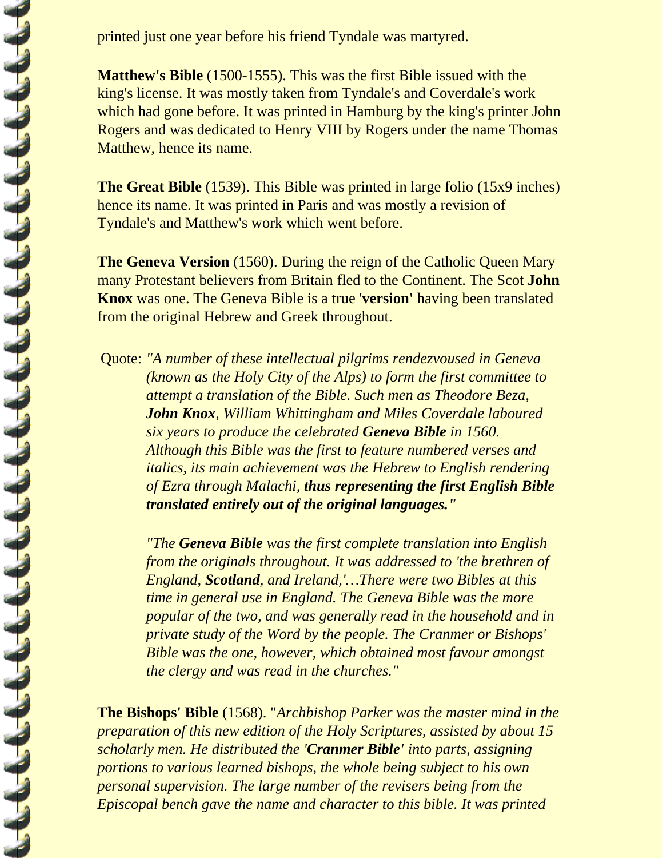printed just one year before his friend Tyndale was martyred.

**Matthew's Bible** (1500-1555). This was the first Bible issued with the king's license. It was mostly taken from Tyndale's and Coverdale's work which had gone before. It was printed in Hamburg by the king's printer John Rogers and was dedicated to Henry VIII by Rogers under the name Thomas Matthew, hence its name.

**The Great Bible** (1539). This Bible was printed in large folio (15x9 inches) hence its name. It was printed in Paris and was mostly a revision of Tyndale's and Matthew's work which went before.

**The Geneva Version** (1560). During the reign of the Catholic Queen Mary many Protestant believers from Britain fled to the Continent. The Scot **John Knox** was one. The Geneva Bible is a true '**version'** having been translated from the original Hebrew and Greek throughout.

Quote: *"A number of these intellectual pilgrims rendezvoused in Geneva (known as the Holy City of the Alps) to form the first committee to attempt a translation of the Bible. Such men as Theodore Beza, John Knox, William Whittingham and Miles Coverdale laboured six years to produce the celebrated Geneva Bible in 1560. Although this Bible was the first to feature numbered verses and italics, its main achievement was the Hebrew to English rendering of Ezra through Malachi, thus representing the first English Bible translated entirely out of the original languages."*

*"The Geneva Bible was the first complete translation into English from the originals throughout. It was addressed to 'the brethren of England, Scotland, and Ireland,'…There were two Bibles at this time in general use in England. The Geneva Bible was the more popular of the two, and was generally read in the household and in private study of the Word by the people. The Cranmer or Bishops' Bible was the one, however, which obtained most favour amongst the clergy and was read in the churches."* 

**The Bishops' Bible** (1568). "*Archbishop Parker was the master mind in the preparation of this new edition of the Holy Scriptures, assisted by about 15 scholarly men. He distributed the 'Cranmer Bible' into parts, assigning portions to various learned bishops, the whole being subject to his own personal supervision. The large number of the revisers being from the Episcopal bench gave the name and character to this bible. It was printed*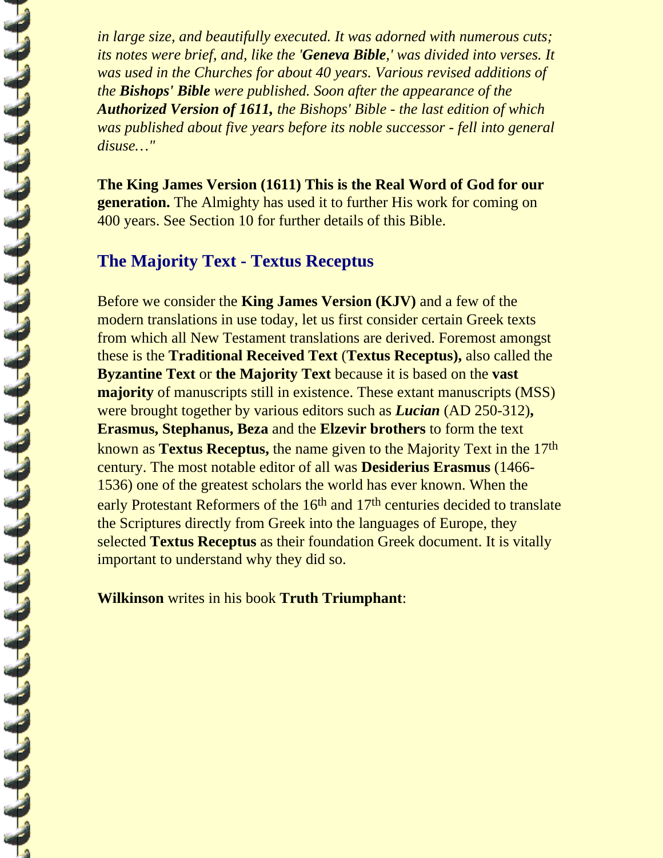*in large size, and beautifully executed. It was adorned with numerous cuts; its notes were brief, and, like the 'Geneva Bible,' was divided into verses. It was used in the Churches for about 40 years. Various revised additions of the Bishops' Bible were published. Soon after the appearance of the Authorized Version of 1611, the Bishops' Bible - the last edition of which was published about five years before its noble successor - fell into general disuse…"* 

**The King James Version (1611) This is the Real Word of God for our generation.** The Almighty has used it to further His work for coming on 400 years. See Section 10 for further details of this Bible.

## **The Majority Text - Textus Receptus**

Before we consider the **King James Version (KJV)** and a few of the modern translations in use today, let us first consider certain Greek texts from which all New Testament translations are derived. Foremost amongst these is the **Traditional Received Text** (**Textus Receptus),** also called the **Byzantine Text** or **the Majority Text** because it is based on the **vast majority** of manuscripts still in existence. These extant manuscripts (MSS) were brought together by various editors such as *Lucian* (AD 250-312)**, Erasmus, Stephanus, Beza** and the **Elzevir brothers** to form the text known as **Textus Receptus,** the name given to the Majority Text in the 17th century. The most notable editor of all was **Desiderius Erasmus** (1466- 1536) one of the greatest scholars the world has ever known. When the early Protestant Reformers of the 16<sup>th</sup> and 17<sup>th</sup> centuries decided to translate the Scriptures directly from Greek into the languages of Europe, they selected **Textus Receptus** as their foundation Greek document. It is vitally important to understand why they did so.

**Wilkinson** writes in his book **Truth Triumphant**: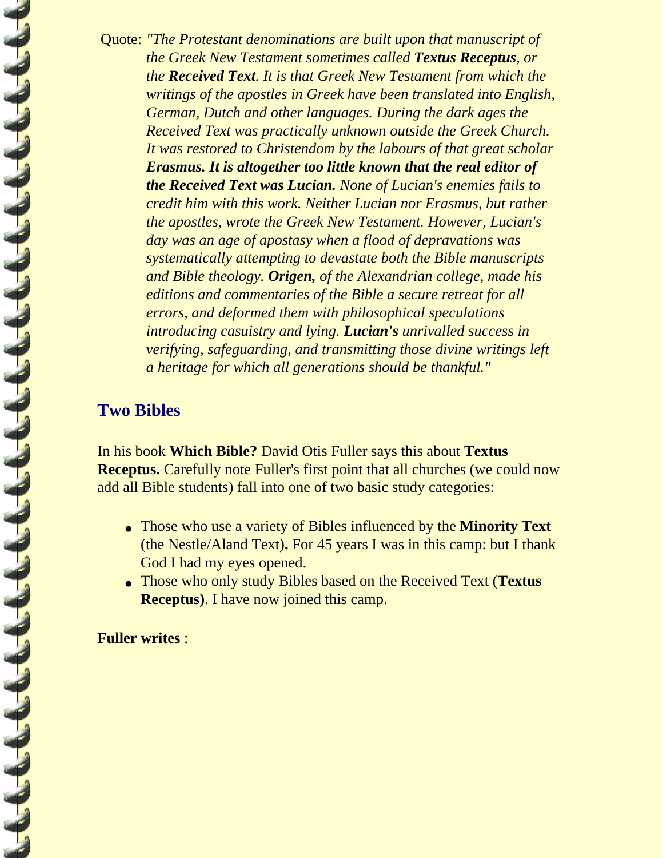Quote: *"The Protestant denominations are built upon that manuscript of the Greek New Testament sometimes called Textus Receptus, or the Received Text. It is that Greek New Testament from which the writings of the apostles in Greek have been translated into English, German, Dutch and other languages. During the dark ages the Received Text was practically unknown outside the Greek Church. It was restored to Christendom by the labours of that great scholar Erasmus. It is altogether too little known that the real editor of the Received Text was Lucian. None of Lucian's enemies fails to credit him with this work. Neither Lucian nor Erasmus, but rather the apostles, wrote the Greek New Testament. However, Lucian's day was an age of apostasy when a flood of depravations was systematically attempting to devastate both the Bible manuscripts and Bible theology. Origen, of the Alexandrian college, made his editions and commentaries of the Bible a secure retreat for all errors, and deformed them with philosophical speculations introducing casuistry and lying. Lucian's unrivalled success in verifying, safeguarding, and transmitting those divine writings left a heritage for which all generations should be thankful."* 

## **Two Bibles**

In his book **Which Bible?** David Otis Fuller says this about **Textus Receptus.** Carefully note Fuller's first point that all churches (we could now add all Bible students) fall into one of two basic study categories:

- Those who use a variety of Bibles influenced by the **Minority Text** (the Nestle/Aland Text)**.** For 45 years I was in this camp: but I thank God I had my eyes opened.
- Those who only study Bibles based on the Received Text (**Textus Receptus)**. I have now joined this camp.

**Fuller writes** :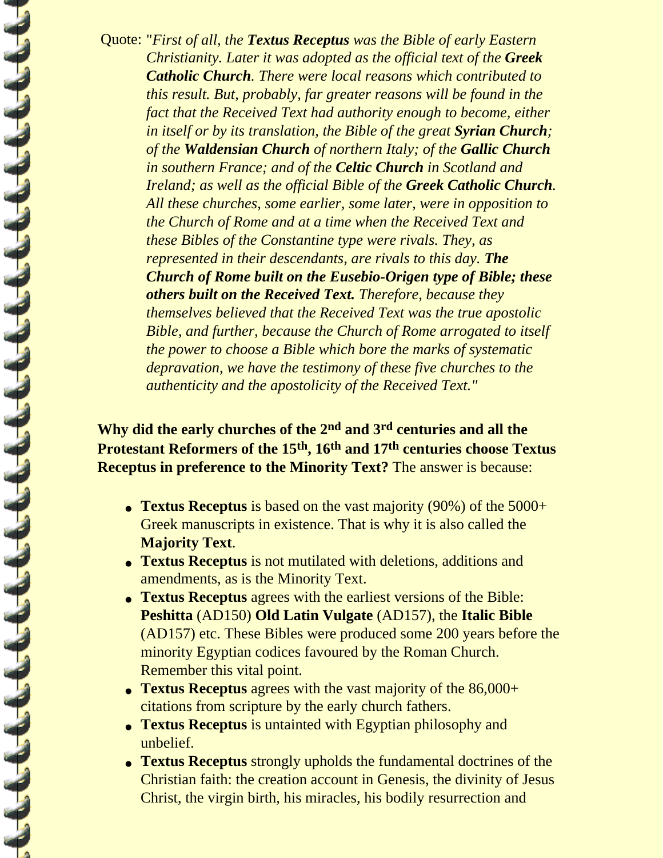Quote: "*First of all, the Textus Receptus was the Bible of early Eastern Christianity. Later it was adopted as the official text of the Greek Catholic Church. There were local reasons which contributed to this result. But, probably, far greater reasons will be found in the fact that the Received Text had authority enough to become, either in itself or by its translation, the Bible of the great Syrian Church; of the Waldensian Church of northern Italy; of the Gallic Church in southern France; and of the Celtic Church in Scotland and Ireland; as well as the official Bible of the Greek Catholic Church. All these churches, some earlier, some later, were in opposition to the Church of Rome and at a time when the Received Text and these Bibles of the Constantine type were rivals. They, as represented in their descendants, are rivals to this day. The Church of Rome built on the Eusebio-Origen type of Bible; these others built on the Received Text. Therefore, because they themselves believed that the Received Text was the true apostolic Bible, and further, because the Church of Rome arrogated to itself the power to choose a Bible which bore the marks of systematic depravation, we have the testimony of these five churches to the authenticity and the apostolicity of the Received Text."* 

## **Why did the early churches of the 2nd and 3rd centuries and all the Protestant Reformers of the 15th, 16th and 17th centuries choose Textus Receptus in preference to the Minority Text?** The answer is because:

- **Textus Receptus** is based on the vast majority (90%) of the 5000+ Greek manuscripts in existence. That is why it is also called the **Majority Text**.
- **Textus Receptus** is not mutilated with deletions, additions and amendments, as is the Minority Text.
- **Textus Receptus** agrees with the earliest versions of the Bible: **Peshitta** (AD150) **Old Latin Vulgate** (AD157), the **Italic Bible**  (AD157) etc. These Bibles were produced some 200 years before the minority Egyptian codices favoured by the Roman Church. Remember this vital point.
- **Textus Receptus** agrees with the vast majority of the 86,000+ citations from scripture by the early church fathers.
- **Textus Receptus** is untainted with Egyptian philosophy and unbelief.
- **Textus Receptus** strongly upholds the fundamental doctrines of the Christian faith: the creation account in Genesis, the divinity of Jesus Christ, the virgin birth, his miracles, his bodily resurrection and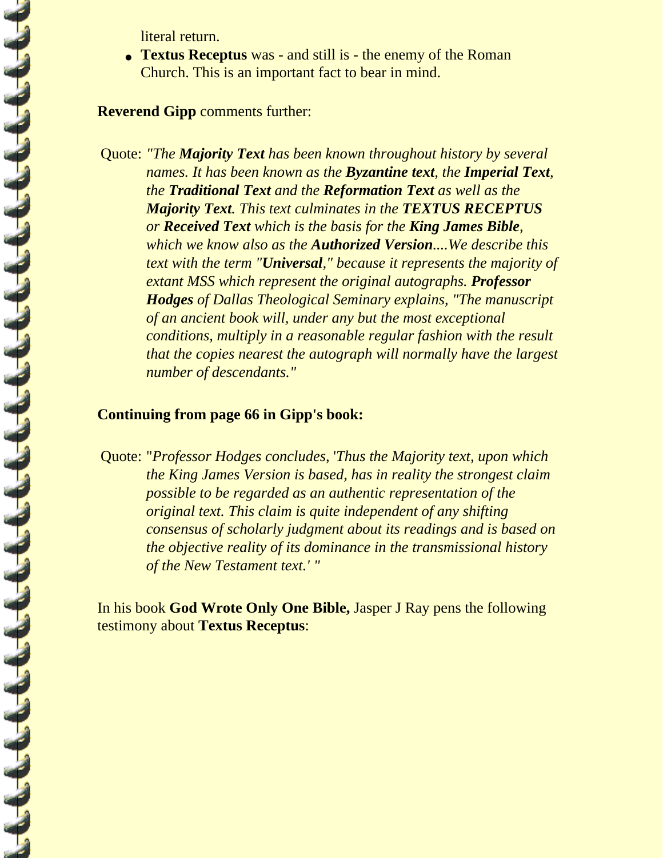literal return.

● **Textus Receptus** was - and still is - the enemy of the Roman Church. This is an important fact to bear in mind.

#### **Reverend Gipp** comments further:

Quote: *"The Majority Text has been known throughout history by several names. It has been known as the Byzantine text, the Imperial Text, the Traditional Text and the Reformation Text as well as the Majority Text. This text culminates in the TEXTUS RECEPTUS or Received Text which is the basis for the King James Bible, which we know also as the Authorized Version....We describe this text with the term "Universal," because it represents the majority of extant MSS which represent the original autographs. Professor Hodges of Dallas Theological Seminary explains, "The manuscript of an ancient book will, under any but the most exceptional conditions, multiply in a reasonable regular fashion with the result that the copies nearest the autograph will normally have the largest number of descendants."* 

#### **Continuing from page 66 in Gipp's book:**

Quote: "*Professor Hodges concludes,* '*Thus the Majority text, upon which the King James Version is based, has in reality the strongest claim possible to be regarded as an authentic representation of the original text. This claim is quite independent of any shifting consensus of scholarly judgment about its readings and is based on the objective reality of its dominance in the transmissional history of the New Testament text.' "* 

In his book **God Wrote Only One Bible,** Jasper J Ray pens the following testimony about **Textus Receptus**: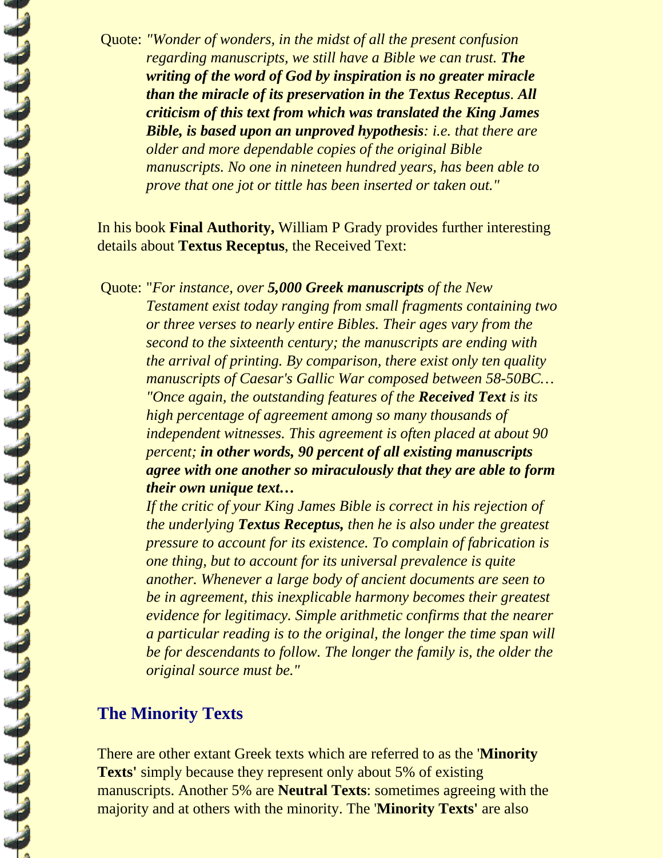Quote: *"Wonder of wonders, in the midst of all the present confusion regarding manuscripts, we still have a Bible we can trust. The writing of the word of God by inspiration is no greater miracle than the miracle of its preservation in the Textus Receptus. All criticism of this text from which was translated the King James Bible, is based upon an unproved hypothesis: i.e. that there are older and more dependable copies of the original Bible manuscripts. No one in nineteen hundred years, has been able to prove that one jot or tittle has been inserted or taken out."*

## In his book **Final Authority,** William P Grady provides further interesting details about **Textus Receptus**, the Received Text:

Quote: "*For instance, over 5,000 Greek manuscripts of the New Testament exist today ranging from small fragments containing two or three verses to nearly entire Bibles. Their ages vary from the second to the sixteenth century; the manuscripts are ending with the arrival of printing. By comparison, there exist only ten quality manuscripts of Caesar's Gallic War composed between 58-50BC… "Once again, the outstanding features of the Received Text is its high percentage of agreement among so many thousands of independent witnesses. This agreement is often placed at about 90 percent; in other words, 90 percent of all existing manuscripts agree with one another so miraculously that they are able to form their own unique text…*

*If the critic of your King James Bible is correct in his rejection of the underlying Textus Receptus, then he is also under the greatest pressure to account for its existence. To complain of fabrication is one thing, but to account for its universal prevalence is quite another. Whenever a large body of ancient documents are seen to be in agreement, this inexplicable harmony becomes their greatest evidence for legitimacy. Simple arithmetic confirms that the nearer a particular reading is to the original, the longer the time span will be for descendants to follow. The longer the family is, the older the original source must be."* 

## **The Minority Texts**

There are other extant Greek texts which are referred to as the '**Minority Texts'** simply because they represent only about 5% of existing manuscripts. Another 5% are **Neutral Texts**: sometimes agreeing with the majority and at others with the minority. The '**Minority Texts'** are also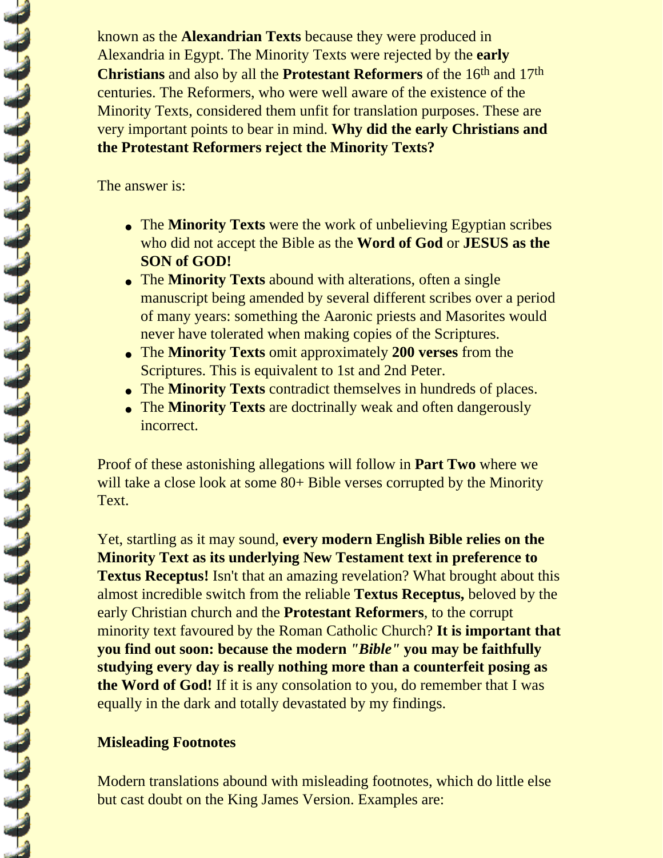known as the **Alexandrian Texts** because they were produced in Alexandria in Egypt. The Minority Texts were rejected by the **early Christians** and also by all the **Protestant Reformers** of the 16th and 17th centuries. The Reformers, who were well aware of the existence of the Minority Texts, considered them unfit for translation purposes. These are very important points to bear in mind. **Why did the early Christians and the Protestant Reformers reject the Minority Texts?** 

#### The answer is:

- The **Minority Texts** were the work of unbelieving Egyptian scribes who did not accept the Bible as the **Word of God** or **JESUS as the SON of GOD!**
- The **Minority Texts** abound with alterations, often a single manuscript being amended by several different scribes over a period of many years: something the Aaronic priests and Masorites would never have tolerated when making copies of the Scriptures.
- The **Minority Texts** omit approximately **200 verses** from the Scriptures. This is equivalent to 1st and 2nd Peter.
- The **Minority Texts** contradict themselves in hundreds of places.
- The **Minority Texts** are doctrinally weak and often dangerously incorrect.

Proof of these astonishing allegations will follow in **Part Two** where we will take a close look at some 80+ Bible verses corrupted by the Minority Text.

Yet, startling as it may sound, **every modern English Bible relies on the Minority Text as its underlying New Testament text in preference to Textus Receptus!** Isn't that an amazing revelation? What brought about this almost incredible switch from the reliable **Textus Receptus,** beloved by the early Christian church and the **Protestant Reformers**, to the corrupt minority text favoured by the Roman Catholic Church? **It is important that you find out soon: because the modern** *"Bible"* **you may be faithfully studying every day is really nothing more than a counterfeit posing as the Word of God!** If it is any consolation to you, do remember that I was equally in the dark and totally devastated by my findings.

## **Misleading Footnotes**

Modern translations abound with misleading footnotes, which do little else but cast doubt on the King James Version. Examples are: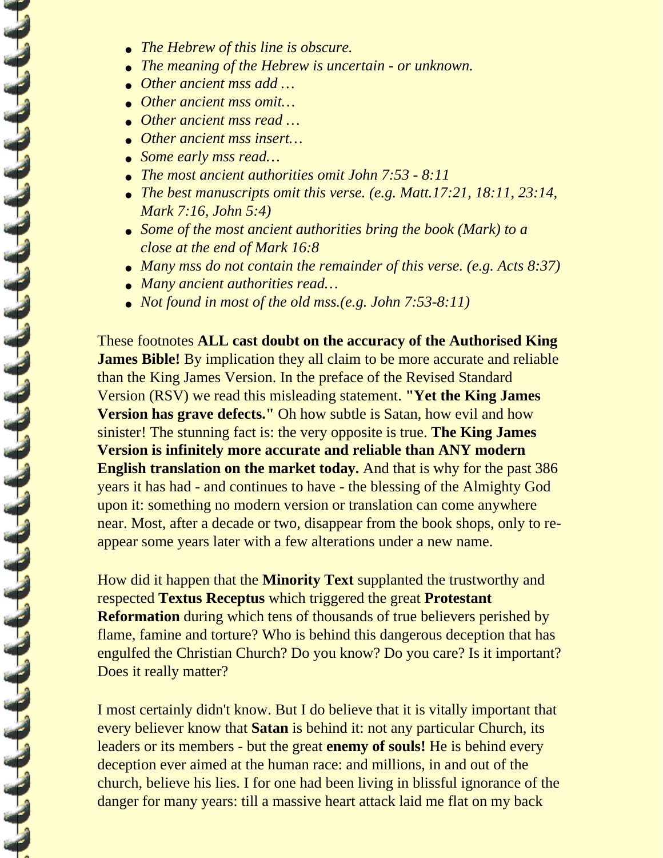- *The Hebrew of this line is obscure.*
- *The meaning of the Hebrew is uncertain or unknown.*
- *Other ancient mss add …*
- *Other ancient mss omit…*
- *Other ancient mss read …*
- *Other ancient mss insert…*
- *Some early mss read…*

- *The most ancient authorities omit John 7:53 8:11*
- *The best manuscripts omit this verse. (e.g. Matt.17:21, 18:11, 23:14, Mark 7:16, John 5:4)*
- *Some of the most ancient authorities bring the book (Mark) to a close at the end of Mark 16:8*
- Many mss do not contain the remainder of this verse. (e.g. Acts 8:37)
- *Many ancient authorities read…*
- *Not found in most of the old mss.(e.g. John 7:53-8:11)*

These footnotes **ALL cast doubt on the accuracy of the Authorised King James Bible!** By implication they all claim to be more accurate and reliable than the King James Version. In the preface of the Revised Standard Version (RSV) we read this misleading statement. **"Yet the King James Version has grave defects."** Oh how subtle is Satan, how evil and how sinister! The stunning fact is: the very opposite is true. **The King James Version is infinitely more accurate and reliable than ANY modern English translation on the market today.** And that is why for the past 386 years it has had - and continues to have - the blessing of the Almighty God upon it: something no modern version or translation can come anywhere near. Most, after a decade or two, disappear from the book shops, only to reappear some years later with a few alterations under a new name.

How did it happen that the **Minority Text** supplanted the trustworthy and respected **Textus Receptus** which triggered the great **Protestant Reformation** during which tens of thousands of true believers perished by flame, famine and torture? Who is behind this dangerous deception that has engulfed the Christian Church? Do you know? Do you care? Is it important? Does it really matter?

I most certainly didn't know. But I do believe that it is vitally important that every believer know that **Satan** is behind it: not any particular Church, its leaders or its members - but the great **enemy of souls!** He is behind every deception ever aimed at the human race: and millions, in and out of the church, believe his lies. I for one had been living in blissful ignorance of the danger for many years: till a massive heart attack laid me flat on my back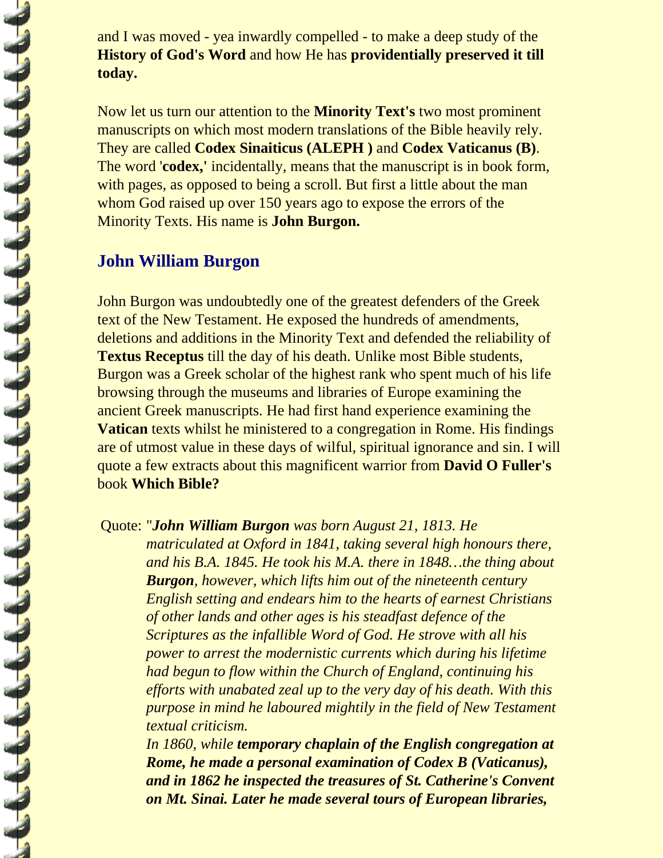and I was moved - yea inwardly compelled - to make a deep study of the **History of God's Word** and how He has **providentially preserved it till today.** 

Now let us turn our attention to the **Minority Text's** two most prominent manuscripts on which most modern translations of the Bible heavily rely. They are called **Codex Sinaiticus (ALEPH )** and **Codex Vaticanus (B)**. The word '**codex,'** incidentally, means that the manuscript is in book form, with pages, as opposed to being a scroll. But first a little about the man whom God raised up over 150 years ago to expose the errors of the Minority Texts. His name is **John Burgon.**

## **John William Burgon**

John Burgon was undoubtedly one of the greatest defenders of the Greek text of the New Testament. He exposed the hundreds of amendments, deletions and additions in the Minority Text and defended the reliability of **Textus Receptus** till the day of his death. Unlike most Bible students, Burgon was a Greek scholar of the highest rank who spent much of his life browsing through the museums and libraries of Europe examining the ancient Greek manuscripts. He had first hand experience examining the **Vatican** texts whilst he ministered to a congregation in Rome. His findings are of utmost value in these days of wilful, spiritual ignorance and sin. I will quote a few extracts about this magnificent warrior from **David O Fuller's** book **Which Bible?**

Quote: "*John William Burgon was born August 21, 1813. He* 

*matriculated at Oxford in 1841, taking several high honours there, and his B.A. 1845. He took his M.A. there in 1848…the thing about Burgon, however, which lifts him out of the nineteenth century English setting and endears him to the hearts of earnest Christians of other lands and other ages is his steadfast defence of the Scriptures as the infallible Word of God. He strove with all his power to arrest the modernistic currents which during his lifetime had begun to flow within the Church of England, continuing his efforts with unabated zeal up to the very day of his death. With this purpose in mind he laboured mightily in the field of New Testament textual criticism.* 

*In 1860, while temporary chaplain of the English congregation at Rome, he made a personal examination of Codex B (Vaticanus), and in 1862 he inspected the treasures of St. Catherine's Convent on Mt. Sinai. Later he made several tours of European libraries,*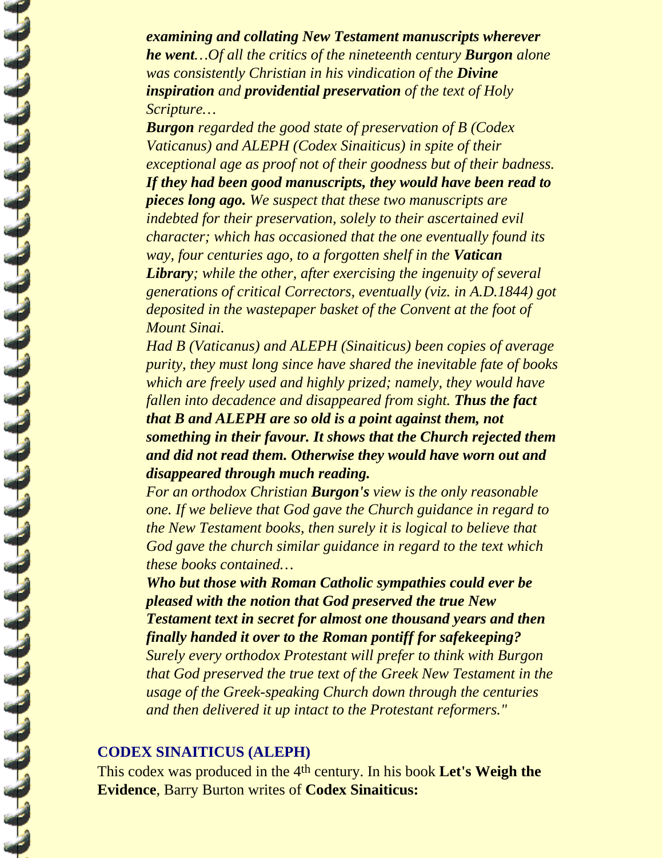*examining and collating New Testament manuscripts wherever he went…Of all the critics of the nineteenth century Burgon alone was consistently Christian in his vindication of the Divine inspiration and providential preservation of the text of Holy Scripture…* 

*Burgon regarded the good state of preservation of B (Codex Vaticanus) and ALEPH (Codex Sinaiticus) in spite of their exceptional age as proof not of their goodness but of their badness. If they had been good manuscripts, they would have been read to pieces long ago. We suspect that these two manuscripts are indebted for their preservation, solely to their ascertained evil character; which has occasioned that the one eventually found its way, four centuries ago, to a forgotten shelf in the Vatican Library; while the other, after exercising the ingenuity of several generations of critical Correctors, eventually (viz. in A.D.1844) got deposited in the wastepaper basket of the Convent at the foot of Mount Sinai.* 

*Had B (Vaticanus) and ALEPH (Sinaiticus) been copies of average purity, they must long since have shared the inevitable fate of books which are freely used and highly prized; namely, they would have fallen into decadence and disappeared from sight. Thus the fact that B and ALEPH are so old is a point against them, not something in their favour. It shows that the Church rejected them and did not read them. Otherwise they would have worn out and disappeared through much reading.*

*For an orthodox Christian Burgon's view is the only reasonable one. If we believe that God gave the Church guidance in regard to the New Testament books, then surely it is logical to believe that God gave the church similar guidance in regard to the text which these books contained…* 

*Who but those with Roman Catholic sympathies could ever be pleased with the notion that God preserved the true New Testament text in secret for almost one thousand years and then finally handed it over to the Roman pontiff for safekeeping?* 

*Surely every orthodox Protestant will prefer to think with Burgon that God preserved the true text of the Greek New Testament in the usage of the Greek-speaking Church down through the centuries and then delivered it up intact to the Protestant reformers."*

#### **CODEX SINAITICUS (ALEPH)**

This codex was produced in the 4th century. In his book **Let's Weigh the Evidence**, Barry Burton writes of **Codex Sinaiticus:**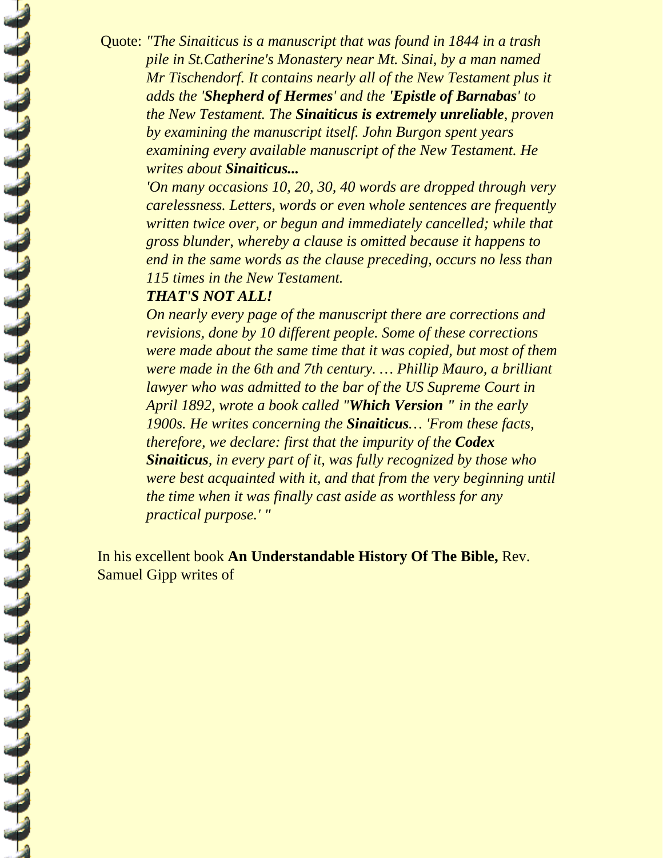Quote: *"The Sinaiticus is a manuscript that was found in 1844 in a trash pile in St.Catherine's Monastery near Mt. Sinai, by a man named Mr Tischendorf. It contains nearly all of the New Testament plus it adds the 'Shepherd of Hermes' and the 'Epistle of Barnabas' to the New Testament. The Sinaiticus is extremely unreliable, proven by examining the manuscript itself. John Burgon spent years examining every available manuscript of the New Testament. He writes about Sinaiticus...*

*'On many occasions 10, 20, 30, 40 words are dropped through very carelessness. Letters, words or even whole sentences are frequently written twice over, or begun and immediately cancelled; while that gross blunder, whereby a clause is omitted because it happens to end in the same words as the clause preceding, occurs no less than 115 times in the New Testament.* 

#### *THAT'S NOT ALL!*

*On nearly every page of the manuscript there are corrections and revisions, done by 10 different people. Some of these corrections were made about the same time that it was copied, but most of them were made in the 6th and 7th century. … Phillip Mauro, a brilliant lawyer who was admitted to the bar of the US Supreme Court in April 1892, wrote a book called "Which Version " in the early 1900s. He writes concerning the Sinaiticus… 'From these facts, therefore, we declare: first that the impurity of the Codex Sinaiticus, in every part of it, was fully recognized by those who were best acquainted with it, and that from the very beginning until the time when it was finally cast aside as worthless for any practical purpose.' "* 

In his excellent book **An Understandable History Of The Bible,** Rev. Samuel Gipp writes of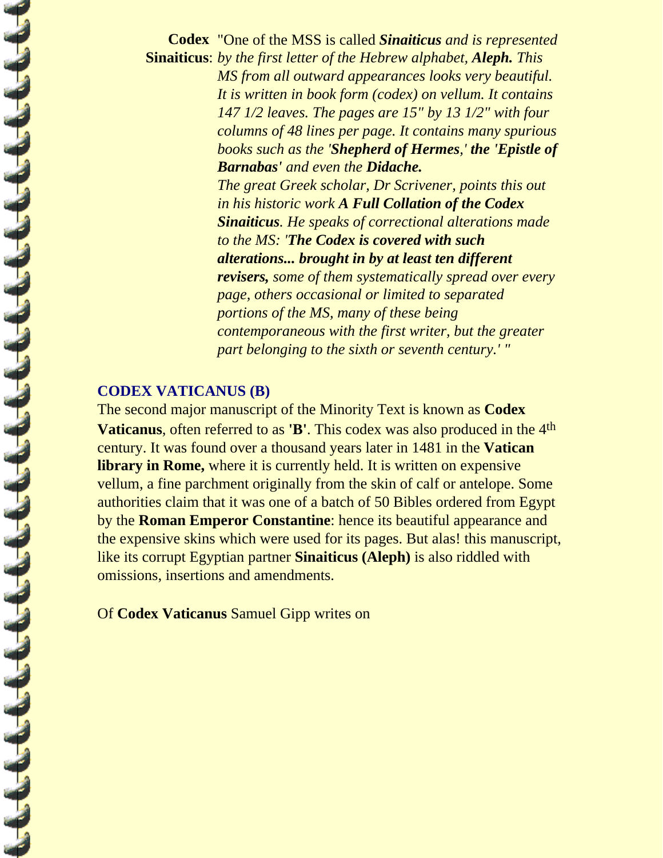**Codex**  "One of the MSS is called *Sinaiticus and is represented*  **Sinaiticus**: *by the first letter of the Hebrew alphabet, Aleph. This MS from all outward appearances looks very beautiful. It is written in book form (codex) on vellum. It contains 147 1/2 leaves. The pages are 15" by 13 1/2" with four columns of 48 lines per page. It contains many spurious books such as the 'Shepherd of Hermes,' the 'Epistle of Barnabas' and even the Didache. The great Greek scholar, Dr Scrivener, points this out in his historic work A Full Collation of the Codex Sinaiticus. He speaks of correctional alterations made to the MS: 'The Codex is covered with such alterations... brought in by at least ten different revisers, some of them systematically spread over every page, others occasional or limited to separated portions of the MS, many of these being contemporaneous with the first writer, but the greater part belonging to the sixth or seventh century.' "* 

## **CODEX VATICANUS (B)**

The second major manuscript of the Minority Text is known as **Codex Vaticanus**, often referred to as **'B'**. This codex was also produced in the 4th century. It was found over a thousand years later in 1481 in the **Vatican library in Rome,** where it is currently held. It is written on expensive vellum, a fine parchment originally from the skin of calf or antelope. Some authorities claim that it was one of a batch of 50 Bibles ordered from Egypt by the **Roman Emperor Constantine**: hence its beautiful appearance and the expensive skins which were used for its pages. But alas! this manuscript, like its corrupt Egyptian partner **Sinaiticus (Aleph)** is also riddled with omissions, insertions and amendments.

Of **Codex Vaticanus** Samuel Gipp writes on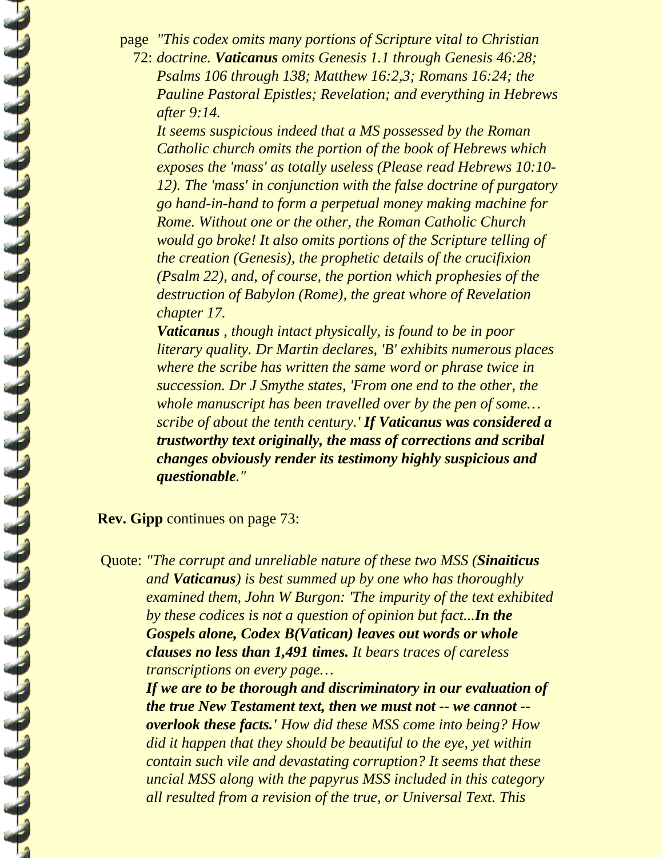page *"This codex omits many portions of Scripture vital to Christian* 

72: *doctrine. Vaticanus omits Genesis 1.1 through Genesis 46:28; Psalms 106 through 138; Matthew 16:2,3; Romans 16:24; the Pauline Pastoral Epistles; Revelation; and everything in Hebrews after 9:14.*

*It seems suspicious indeed that a MS possessed by the Roman Catholic church omits the portion of the book of Hebrews which exposes the 'mass' as totally useless (Please read Hebrews 10:10- 12). The 'mass' in conjunction with the false doctrine of purgatory go hand-in-hand to form a perpetual money making machine for Rome. Without one or the other, the Roman Catholic Church would go broke! It also omits portions of the Scripture telling of the creation (Genesis), the prophetic details of the crucifixion (Psalm 22), and, of course, the portion which prophesies of the destruction of Babylon (Rome), the great whore of Revelation chapter 17.* 

*Vaticanus , though intact physically, is found to be in poor literary quality. Dr Martin declares, 'B' exhibits numerous places where the scribe has written the same word or phrase twice in succession. Dr J Smythe states, 'From one end to the other, the whole manuscript has been travelled over by the pen of some… scribe of about the tenth century.' If Vaticanus was considered a trustworthy text originally, the mass of corrections and scribal changes obviously render its testimony highly suspicious and questionable."* 

**Rev. Gipp** continues on page 73:

Quote: *"The corrupt and unreliable nature of these two MSS (Sinaiticus and Vaticanus) is best summed up by one who has thoroughly examined them, John W Burgon: 'The impurity of the text exhibited by these codices is not a question of opinion but fact...In the Gospels alone, Codex B(Vatican) leaves out words or whole clauses no less than 1,491 times. It bears traces of careless transcriptions on every page…* 

*If we are to be thorough and discriminatory in our evaluation of the true New Testament text, then we must not -- we cannot - overlook these facts.' How did these MSS come into being? How did it happen that they should be beautiful to the eye, yet within contain such vile and devastating corruption? It seems that these uncial MSS along with the papyrus MSS included in this category all resulted from a revision of the true, or Universal Text. This*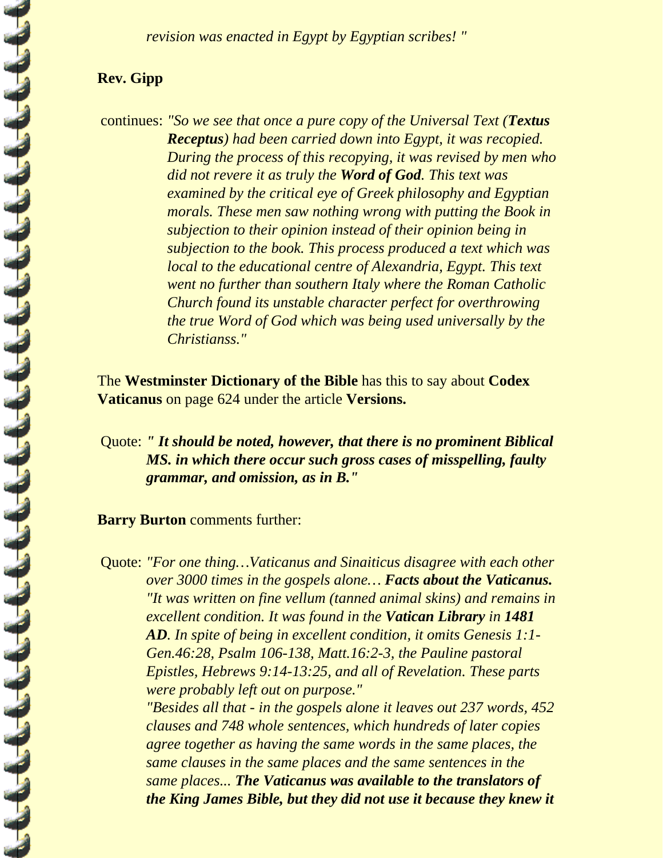*revision was enacted in Egypt by Egyptian scribes! "*

## **Rev. Gipp**

continues: *"So we see that once a pure copy of the Universal Text (Textus Receptus) had been carried down into Egypt, it was recopied. During the process of this recopying, it was revised by men who did not revere it as truly the Word of God. This text was examined by the critical eye of Greek philosophy and Egyptian morals. These men saw nothing wrong with putting the Book in subjection to their opinion instead of their opinion being in subjection to the book. This process produced a text which was local to the educational centre of Alexandria, Egypt. This text went no further than southern Italy where the Roman Catholic Church found its unstable character perfect for overthrowing the true Word of God which was being used universally by the Christianss."*

The **Westminster Dictionary of the Bible** has this to say about **Codex Vaticanus** on page 624 under the article **Versions.**

Quote: *" It should be noted, however, that there is no prominent Biblical MS. in which there occur such gross cases of misspelling, faulty grammar, and omission, as in B."*

**Barry Burton comments further:** 

Quote: *"For one thing…Vaticanus and Sinaiticus disagree with each other over 3000 times in the gospels alone… Facts about the Vaticanus. "It was written on fine vellum (tanned animal skins) and remains in excellent condition. It was found in the Vatican Library in 1481 AD. In spite of being in excellent condition, it omits Genesis 1:1- Gen.46:28, Psalm 106-138, Matt.16:2-3, the Pauline pastoral Epistles, Hebrews 9:14-13:25, and all of Revelation. These parts were probably left out on purpose."* 

*"Besides all that - in the gospels alone it leaves out 237 words, 452 clauses and 748 whole sentences, which hundreds of later copies agree together as having the same words in the same places, the same clauses in the same places and the same sentences in the same places... The Vaticanus was available to the translators of the King James Bible, but they did not use it because they knew it*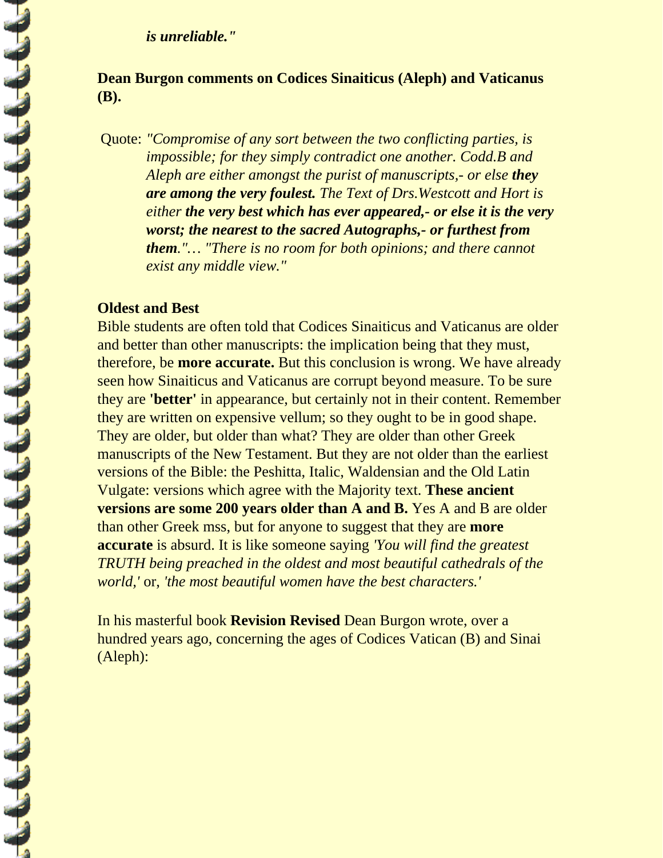*is unreliable."*

## **Dean Burgon comments on Codices Sinaiticus (Aleph) and Vaticanus (B).**

Quote: *"Compromise of any sort between the two conflicting parties, is impossible; for they simply contradict one another. Codd.B and Aleph are either amongst the purist of manuscripts,- or else they are among the very foulest. The Text of Drs.Westcott and Hort is either the very best which has ever appeared,- or else it is the very worst; the nearest to the sacred Autographs,- or furthest from them."… "There is no room for both opinions; and there cannot exist any middle view."*

#### **Oldest and Best**

Bible students are often told that Codices Sinaiticus and Vaticanus are older and better than other manuscripts: the implication being that they must, therefore, be **more accurate.** But this conclusion is wrong. We have already seen how Sinaiticus and Vaticanus are corrupt beyond measure. To be sure they are **'better'** in appearance, but certainly not in their content. Remember they are written on expensive vellum; so they ought to be in good shape. They are older, but older than what? They are older than other Greek manuscripts of the New Testament. But they are not older than the earliest versions of the Bible: the Peshitta, Italic, Waldensian and the Old Latin Vulgate: versions which agree with the Majority text. **These ancient versions are some 200 years older than A and B.** Yes A and B are older than other Greek mss, but for anyone to suggest that they are **more accurate** is absurd. It is like someone saying *'You will find the greatest TRUTH being preached in the oldest and most beautiful cathedrals of the world,'* or, *'the most beautiful women have the best characters.'* 

In his masterful book **Revision Revised** Dean Burgon wrote, over a hundred years ago, concerning the ages of Codices Vatican (B) and Sinai (Aleph):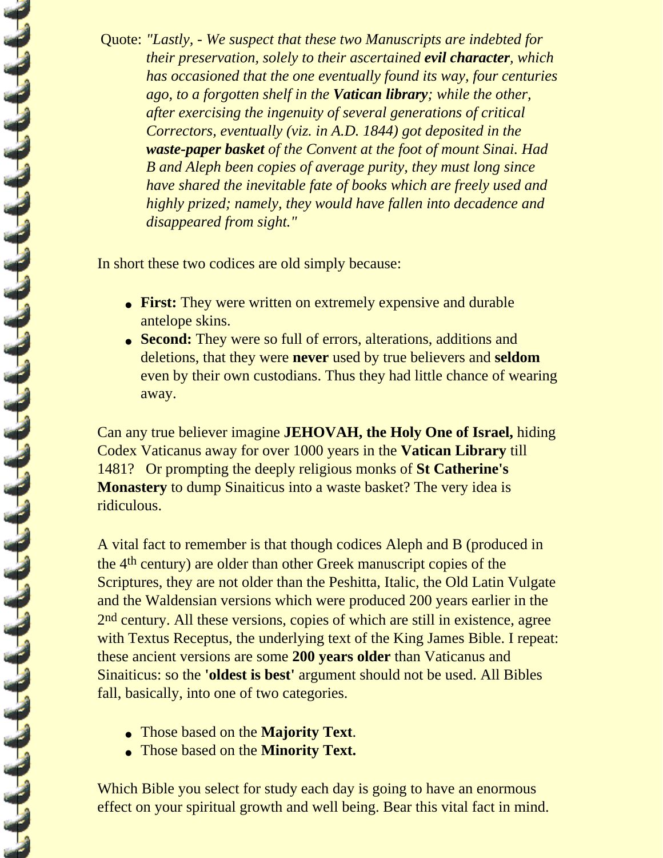Quote: *"Lastly, - We suspect that these two Manuscripts are indebted for their preservation, solely to their ascertained evil character, which has occasioned that the one eventually found its way, four centuries ago, to a forgotten shelf in the Vatican library; while the other, after exercising the ingenuity of several generations of critical Correctors, eventually (viz. in A.D. 1844) got deposited in the waste-paper basket of the Convent at the foot of mount Sinai. Had B and Aleph been copies of average purity, they must long since have shared the inevitable fate of books which are freely used and highly prized; namely, they would have fallen into decadence and disappeared from sight."*

In short these two codices are old simply because:

- **First:** They were written on extremely expensive and durable antelope skins.
- **Second:** They were so full of errors, alterations, additions and deletions, that they were **never** used by true believers and **seldom** even by their own custodians. Thus they had little chance of wearing away.

Can any true believer imagine **JEHOVAH, the Holy One of Israel,** hiding Codex Vaticanus away for over 1000 years in the **Vatican Library** till 1481? Or prompting the deeply religious monks of **St Catherine's Monastery** to dump Sinaiticus into a waste basket? The very idea is ridiculous.

A vital fact to remember is that though codices Aleph and B (produced in the 4th century) are older than other Greek manuscript copies of the Scriptures, they are not older than the Peshitta, Italic, the Old Latin Vulgate and the Waldensian versions which were produced 200 years earlier in the 2nd century. All these versions, copies of which are still in existence, agree with Textus Receptus, the underlying text of the King James Bible. I repeat: these ancient versions are some **200 years older** than Vaticanus and Sinaiticus: so the **'oldest is best'** argument should not be used. All Bibles fall, basically, into one of two categories.

- Those based on the **Majority Text**.
- Those based on the **Minority Text.**

Which Bible you select for study each day is going to have an enormous effect on your spiritual growth and well being. Bear this vital fact in mind.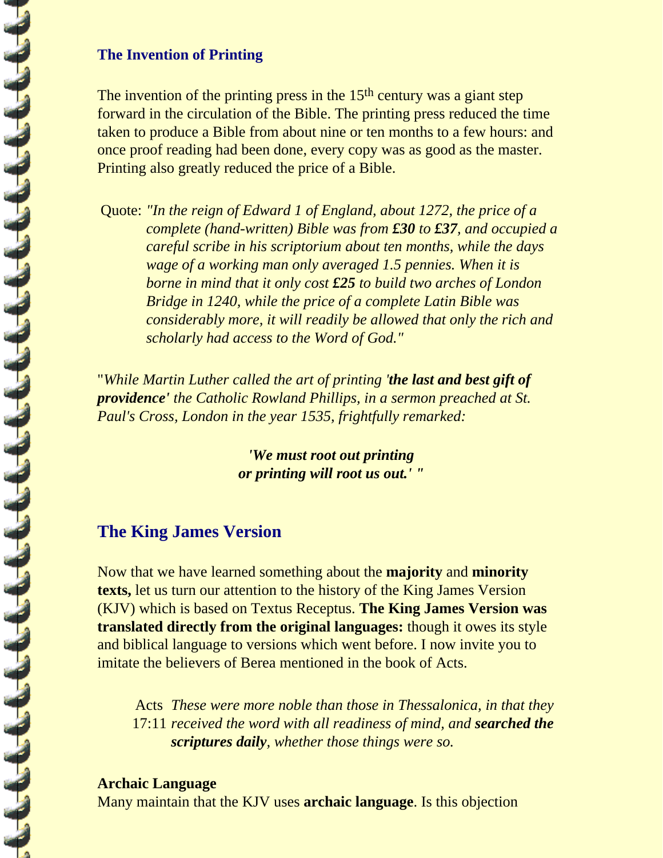## **The Invention of Printing**

The invention of the printing press in the  $15<sup>th</sup>$  century was a giant step forward in the circulation of the Bible. The printing press reduced the time taken to produce a Bible from about nine or ten months to a few hours: and once proof reading had been done, every copy was as good as the master. Printing also greatly reduced the price of a Bible.

Quote: *"In the reign of Edward 1 of England, about 1272, the price of a complete (hand-written) Bible was from £30 to £37, and occupied a careful scribe in his scriptorium about ten months, while the days wage of a working man only averaged 1.5 pennies. When it is borne in mind that it only cost £25 to build two arches of London Bridge in 1240, while the price of a complete Latin Bible was considerably more, it will readily be allowed that only the rich and scholarly had access to the Word of God."*

"*While Martin Luther called the art of printing 'the last and best gift of providence' the Catholic Rowland Phillips, in a sermon preached at St. Paul's Cross, London in the year 1535, frightfully remarked:* 

> *'We must root out printing or printing will root us out.' "*

## **The King James Version**

Now that we have learned something about the **majority** and **minority texts,** let us turn our attention to the history of the King James Version (KJV) which is based on Textus Receptus. **The King James Version was translated directly from the original languages:** though it owes its style and biblical language to versions which went before. I now invite you to imitate the believers of Berea mentioned in the book of Acts.

Acts *These were more noble than those in Thessalonica, in that they*  17:11 *received the word with all readiness of mind, and searched the scriptures daily, whether those things were so.*

#### **Archaic Language**

Many maintain that the KJV uses **archaic language**. Is this objection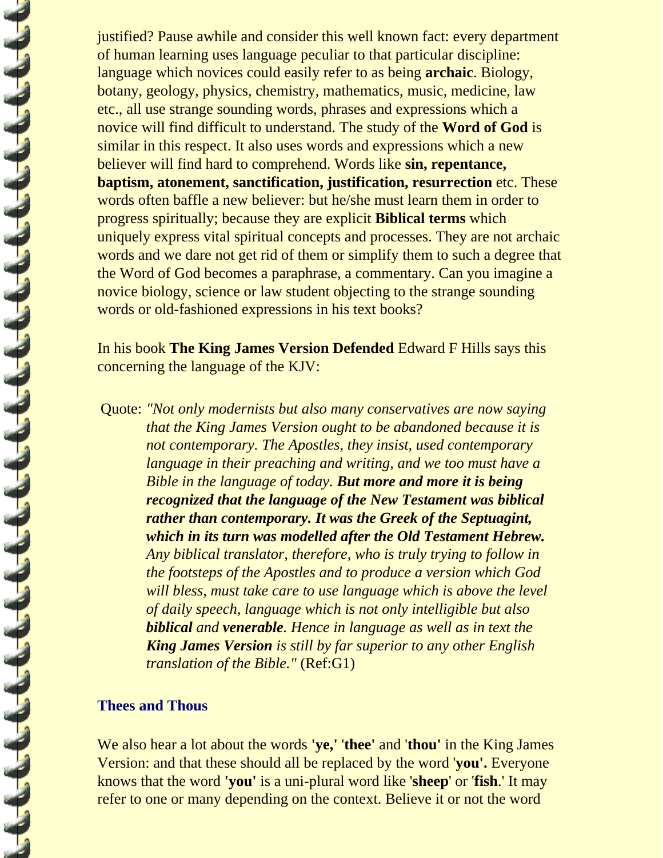justified? Pause awhile and consider this well known fact: every department of human learning uses language peculiar to that particular discipline: language which novices could easily refer to as being **archaic**. Biology, botany, geology, physics, chemistry, mathematics, music, medicine, law etc., all use strange sounding words, phrases and expressions which a novice will find difficult to understand. The study of the **Word of God** is similar in this respect. It also uses words and expressions which a new believer will find hard to comprehend. Words like **sin, repentance, baptism, atonement, sanctification, justification, resurrection** etc. These words often baffle a new believer: but he/she must learn them in order to progress spiritually; because they are explicit **Biblical terms** which uniquely express vital spiritual concepts and processes. They are not archaic words and we dare not get rid of them or simplify them to such a degree that the Word of God becomes a paraphrase, a commentary. Can you imagine a novice biology, science or law student objecting to the strange sounding words or old-fashioned expressions in his text books?

In his book **The King James Version Defended** Edward F Hills says this concerning the language of the KJV:

Quote: *"Not only modernists but also many conservatives are now saying that the King James Version ought to be abandoned because it is not contemporary. The Apostles, they insist, used contemporary language in their preaching and writing, and we too must have a Bible in the language of today. But more and more it is being recognized that the language of the New Testament was biblical rather than contemporary. It was the Greek of the Septuagint, which in its turn was modelled after the Old Testament Hebrew. Any biblical translator, therefore, who is truly trying to follow in the footsteps of the Apostles and to produce a version which God will bless, must take care to use language which is above the level of daily speech, language which is not only intelligible but also biblical and venerable. Hence in language as well as in text the King James Version is still by far superior to any other English translation of the Bible."* (Ref:G1)

## **Thees and Thous**

We also hear a lot about the words **'ye,'** '**thee'** and '**thou'** in the King James Version: and that these should all be replaced by the word '**you'.** Everyone knows that the word **'you'** is a uni-plural word like '**sheep**' or '**fish**.' It may refer to one or many depending on the context. Believe it or not the word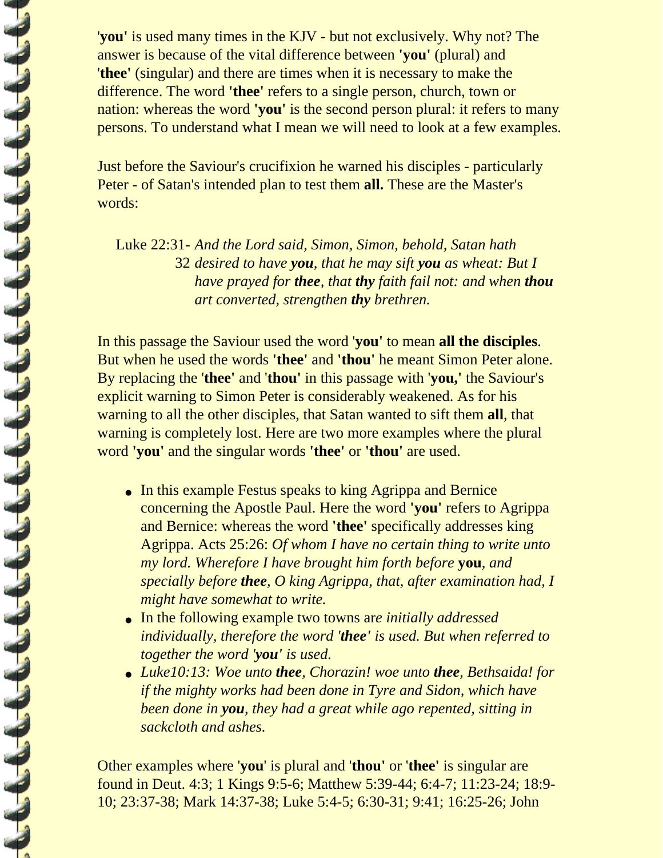'**you'** is used many times in the KJV - but not exclusively. Why not? The answer is because of the vital difference between **'you'** (plural) and '**thee'** (singular) and there are times when it is necessary to make the difference. The word **'thee'** refers to a single person, church, town or nation: whereas the word **'you'** is the second person plural: it refers to many persons. To understand what I mean we will need to look at a few examples.

Just before the Saviour's crucifixion he warned his disciples - particularly Peter - of Satan's intended plan to test them **all.** These are the Master's words:

Luke 22:31- *And the Lord said, Simon, Simon, behold, Satan hath*  32 *desired to have you, that he may sift you as wheat: But I have prayed for thee, that thy faith fail not: and when thou art converted, strengthen thy brethren.*

In this passage the Saviour used the word '**you'** to mean **all the disciples**. But when he used the words **'thee'** and **'thou'** he meant Simon Peter alone. By replacing the '**thee'** and '**thou'** in this passage with '**you,'** the Saviour's explicit warning to Simon Peter is considerably weakened. As for his warning to all the other disciples, that Satan wanted to sift them **all**, that warning is completely lost. Here are two more examples where the plural word **'you'** and the singular words **'thee'** or **'thou'** are used.

- In this example Festus speaks to king Agrippa and Bernice concerning the Apostle Paul. Here the word **'you'** refers to Agrippa and Bernice: whereas the word **'thee'** specifically addresses king Agrippa. Acts 25:26: *Of whom I have no certain thing to write unto my lord. Wherefore I have brought him forth before* **you***, and specially before thee, O king Agrippa, that, after examination had, I might have somewhat to write.*
- In the following example two towns ar*e initially addressed individually, therefore the word 'thee' is used. But when referred to together the word 'you' is used.*
- *Luke10:13: Woe unto thee, Chorazin! woe unto thee, Bethsaida! for if the mighty works had been done in Tyre and Sidon, which have been done in you, they had a great while ago repented, sitting in sackcloth and ashes.*

Other examples where '**you**' is plural and '**thou'** or '**thee'** is singular are found in Deut. 4:3; 1 Kings 9:5-6; Matthew 5:39-44; 6:4-7; 11:23-24; 18:9- 10; 23:37-38; Mark 14:37-38; Luke 5:4-5; 6:30-31; 9:41; 16:25-26; John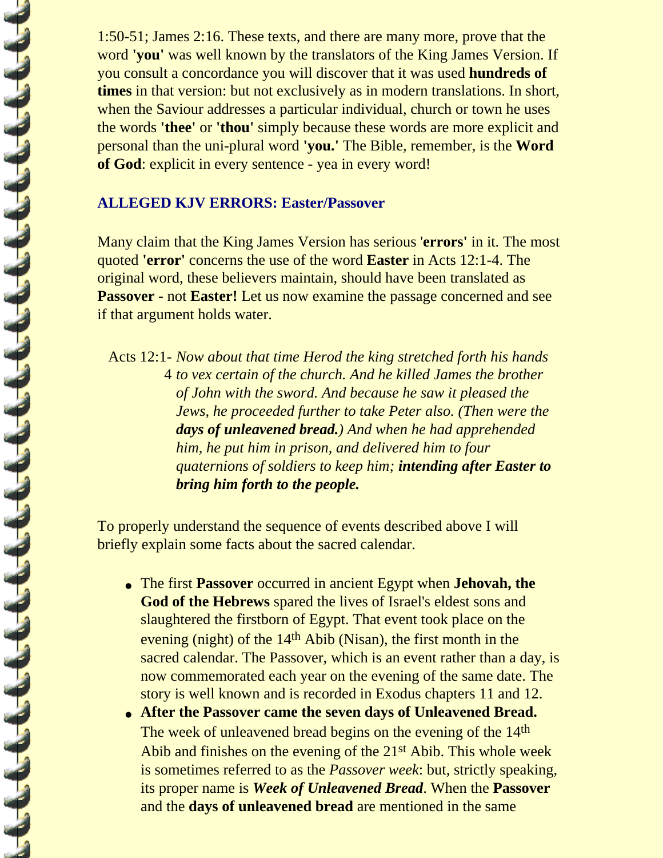1:50-51; James 2:16. These texts, and there are many more, prove that the word **'you'** was well known by the translators of the King James Version. If you consult a concordance you will discover that it was used **hundreds of times** in that version: but not exclusively as in modern translations. In short, when the Saviour addresses a particular individual, church or town he uses the words **'thee'** or **'thou'** simply because these words are more explicit and personal than the uni-plural word **'you.'** The Bible, remember, is the **Word of God**: explicit in every sentence - yea in every word!

### **ALLEGED KJV ERRORS: Easter/Passover**

Many claim that the King James Version has serious '**errors'** in it. The most quoted **'error'** concerns the use of the word **Easter** in Acts 12:1-4. The original word, these believers maintain, should have been translated as **Passover - not Easter!** Let us now examine the passage concerned and see if that argument holds water.

Acts 12:1- *Now about that time Herod the king stretched forth his hands*  4 *to vex certain of the church. And he killed James the brother of John with the sword. And because he saw it pleased the Jews, he proceeded further to take Peter also. (Then were the days of unleavened bread.) And when he had apprehended him, he put him in prison, and delivered him to four quaternions of soldiers to keep him; intending after Easter to bring him forth to the people.* 

To properly understand the sequence of events described above I will briefly explain some facts about the sacred calendar.

- The first **Passover** occurred in ancient Egypt when **Jehovah, the God of the Hebrews** spared the lives of Israel's eldest sons and slaughtered the firstborn of Egypt. That event took place on the evening (night) of the 14th Abib (Nisan), the first month in the sacred calendar. The Passover, which is an event rather than a day, is now commemorated each year on the evening of the same date. The story is well known and is recorded in Exodus chapters 11 and 12.
- **After the Passover came the seven days of Unleavened Bread.**  The week of unleavened bread begins on the evening of the 14<sup>th</sup> Abib and finishes on the evening of the 21st Abib. This whole week is sometimes referred to as the *Passover week*: but, strictly speaking, its proper name is *Week of Unleavened Bread*. When the **Passover**  and the **days of unleavened bread** are mentioned in the same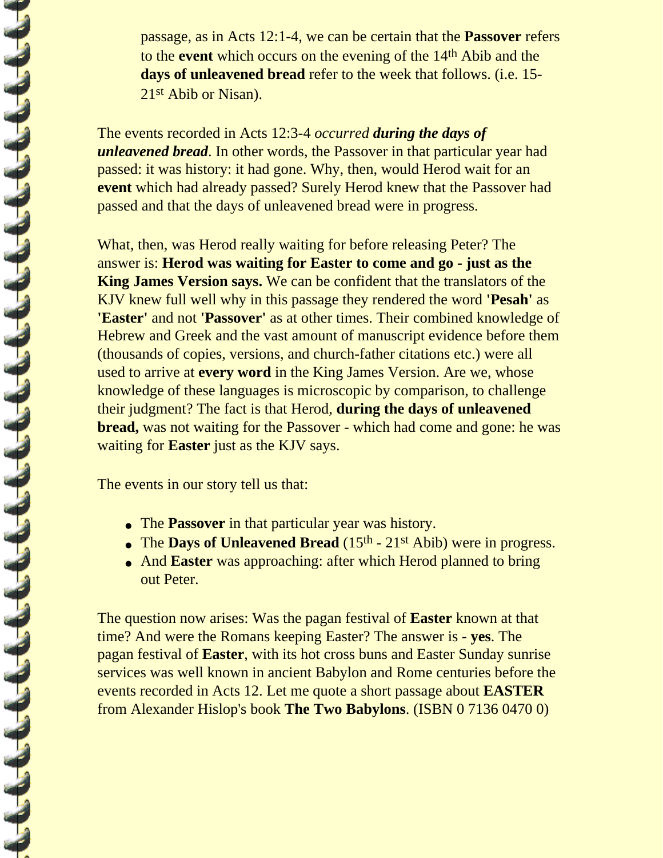passage, as in Acts 12:1-4, we can be certain that the **Passover** refers to the **event** which occurs on the evening of the 14th Abib and the **days of unleavened bread** refer to the week that follows. (i.e. 15- 21st Abib or Nisan).

The events recorded in Acts 12:3-4 *occurred during the days of unleavened bread*. In other words, the Passover in that particular year had passed: it was history: it had gone. Why, then, would Herod wait for an **event** which had already passed? Surely Herod knew that the Passover had passed and that the days of unleavened bread were in progress.

What, then, was Herod really waiting for before releasing Peter? The answer is: **Herod was waiting for Easter to come and go - just as the King James Version says.** We can be confident that the translators of the KJV knew full well why in this passage they rendered the word **'Pesah'** as **'Easter'** and not **'Passover'** as at other times. Their combined knowledge of Hebrew and Greek and the vast amount of manuscript evidence before them (thousands of copies, versions, and church-father citations etc.) were all used to arrive at **every word** in the King James Version. Are we, whose knowledge of these languages is microscopic by comparison, to challenge their judgment? The fact is that Herod, **during the days of unleavened bread,** was not waiting for the Passover - which had come and gone: he was waiting for **Easter** just as the KJV says.

The events in our story tell us that:

- The **Passover** in that particular year was history.
- The **Days of Unleavened Bread** (15<sup>th</sup> 21<sup>st</sup> Abib) were in progress.
- And **Easter** was approaching: after which Herod planned to bring out Peter.

The question now arises: Was the pagan festival of **Easter** known at that time? And were the Romans keeping Easter? The answer is - **yes**. The pagan festival of **Easter**, with its hot cross buns and Easter Sunday sunrise services was well known in ancient Babylon and Rome centuries before the events recorded in Acts 12. Let me quote a short passage about **EASTER** from Alexander Hislop's book **The Two Babylons**. (ISBN 0 7136 0470 0)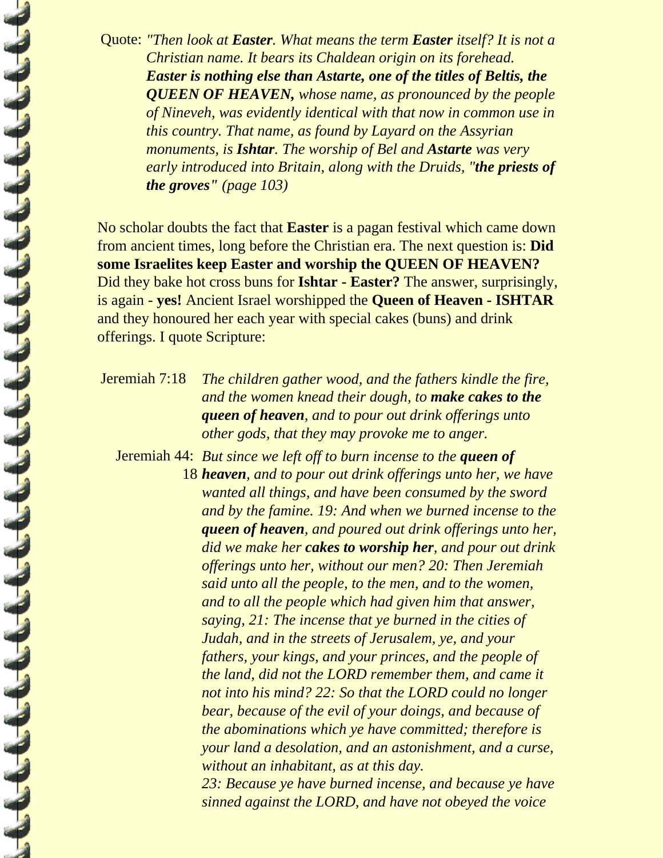Quote: *"Then look at Easter. What means the term Easter itself? It is not a Christian name. It bears its Chaldean origin on its forehead. Easter is nothing else than Astarte, one of the titles of Beltis, the QUEEN OF HEAVEN, whose name, as pronounced by the people of Nineveh, was evidently identical with that now in common use in this country. That name, as found by Layard on the Assyrian monuments, is Ishtar. The worship of Bel and Astarte was very early introduced into Britain, along with the Druids, "the priests of the groves" (page 103)*

No scholar doubts the fact that **Easter** is a pagan festival which came down from ancient times, long before the Christian era. The next question is: **Did some Israelites keep Easter and worship the QUEEN OF HEAVEN?**  Did they bake hot cross buns for **Ishtar - Easter?** The answer, surprisingly, is again - **yes!** Ancient Israel worshipped the **Queen of Heaven - ISHTAR**  and they honoured her each year with special cakes (buns) and drink offerings. I quote Scripture:

Jeremiah 7:18 *The children gather wood, and the fathers kindle the fire, and the women knead their dough, to make cakes to the queen of heaven, and to pour out drink offerings unto other gods, that they may provoke me to anger.* 

Jeremiah 44: *But since we left off to burn incense to the queen of*  18 *heaven, and to pour out drink offerings unto her, we have wanted all things, and have been consumed by the sword and by the famine. 19: And when we burned incense to the queen of heaven, and poured out drink offerings unto her, did we make her cakes to worship her, and pour out drink offerings unto her, without our men? 20: Then Jeremiah said unto all the people, to the men, and to the women, and to all the people which had given him that answer, saying, 21: The incense that ye burned in the cities of Judah, and in the streets of Jerusalem, ye, and your fathers, your kings, and your princes, and the people of the land, did not the LORD remember them, and came it not into his mind? 22: So that the LORD could no longer bear, because of the evil of your doings, and because of the abominations which ye have committed; therefore is your land a desolation, and an astonishment, and a curse, without an inhabitant, as at this day. 23: Because ye have burned incense, and because ye have sinned against the LORD, and have not obeyed the voice*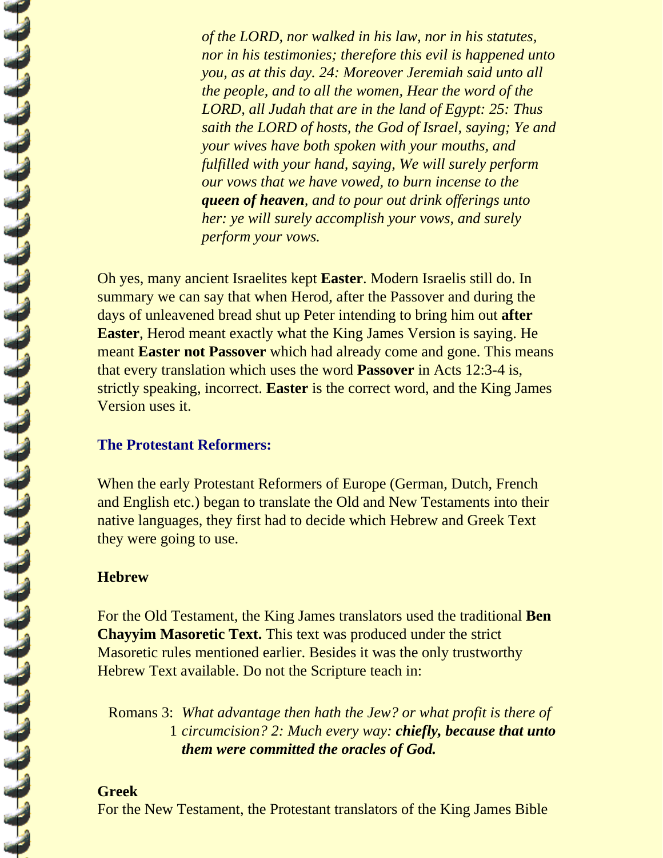*of the LORD, nor walked in his law, nor in his statutes, nor in his testimonies; therefore this evil is happened unto you, as at this day. 24: Moreover Jeremiah said unto all the people, and to all the women, Hear the word of the LORD, all Judah that are in the land of Egypt: 25: Thus saith the LORD of hosts, the God of Israel, saying; Ye and your wives have both spoken with your mouths, and fulfilled with your hand, saying, We will surely perform our vows that we have vowed, to burn incense to the queen of heaven, and to pour out drink offerings unto her: ye will surely accomplish your vows, and surely perform your vows.* 

Oh yes, many ancient Israelites kept **Easter**. Modern Israelis still do. In summary we can say that when Herod, after the Passover and during the days of unleavened bread shut up Peter intending to bring him out **after Easter**, Herod meant exactly what the King James Version is saying. He meant **Easter not Passover** which had already come and gone. This means that every translation which uses the word **Passover** in Acts 12:3-4 is, strictly speaking, incorrect. **Easter** is the correct word, and the King James Version uses it.

#### **The Protestant Reformers:**

When the early Protestant Reformers of Europe (German, Dutch, French and English etc.) began to translate the Old and New Testaments into their native languages, they first had to decide which Hebrew and Greek Text they were going to use.

#### **Hebrew**

For the Old Testament, the King James translators used the traditional **Ben Chayyim Masoretic Text.** This text was produced under the strict Masoretic rules mentioned earlier. Besides it was the only trustworthy Hebrew Text available. Do not the Scripture teach in:

Romans 3: *What advantage then hath the Jew? or what profit is there of*  1 *circumcision? 2: Much every way: chiefly, because that unto them were committed the oracles of God.*

#### **Greek**

For the New Testament, the Protestant translators of the King James Bible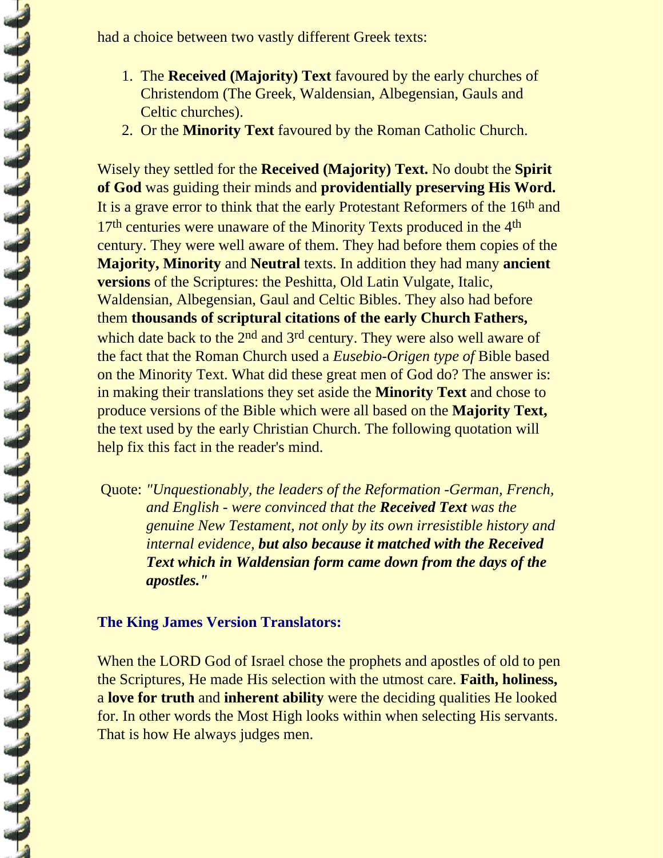had a choice between two vastly different Greek texts:

- 1. The **Received (Majority) Text** favoured by the early churches of Christendom (The Greek, Waldensian, Albegensian, Gauls and Celtic churches).
- 2. Or the **Minority Text** favoured by the Roman Catholic Church.

Wisely they settled for the **Received (Majority) Text.** No doubt the **Spirit of God** was guiding their minds and **providentially preserving His Word.** It is a grave error to think that the early Protestant Reformers of the 16<sup>th</sup> and 17<sup>th</sup> centuries were unaware of the Minority Texts produced in the 4<sup>th</sup> century. They were well aware of them. They had before them copies of the **Majority, Minority** and **Neutral** texts. In addition they had many **ancient versions** of the Scriptures: the Peshitta, Old Latin Vulgate, Italic, Waldensian, Albegensian, Gaul and Celtic Bibles. They also had before them **thousands of scriptural citations of the early Church Fathers,** which date back to the 2<sup>nd</sup> and 3<sup>rd</sup> century. They were also well aware of the fact that the Roman Church used a *Eusebio-Origen type of* Bible based on the Minority Text. What did these great men of God do? The answer is: in making their translations they set aside the **Minority Text** and chose to produce versions of the Bible which were all based on the **Majority Text,**  the text used by the early Christian Church. The following quotation will help fix this fact in the reader's mind.

Quote: *"Unquestionably, the leaders of the Reformation -German, French, and English - were convinced that the Received Text was the genuine New Testament, not only by its own irresistible history and internal evidence, but also because it matched with the Received Text which in Waldensian form came down from the days of the apostles."*

#### **The King James Version Translators:**

When the LORD God of Israel chose the prophets and apostles of old to pen the Scriptures, He made His selection with the utmost care. **Faith, holiness,**  a **love for truth** and **inherent ability** were the deciding qualities He looked for. In other words the Most High looks within when selecting His servants. That is how He always judges men.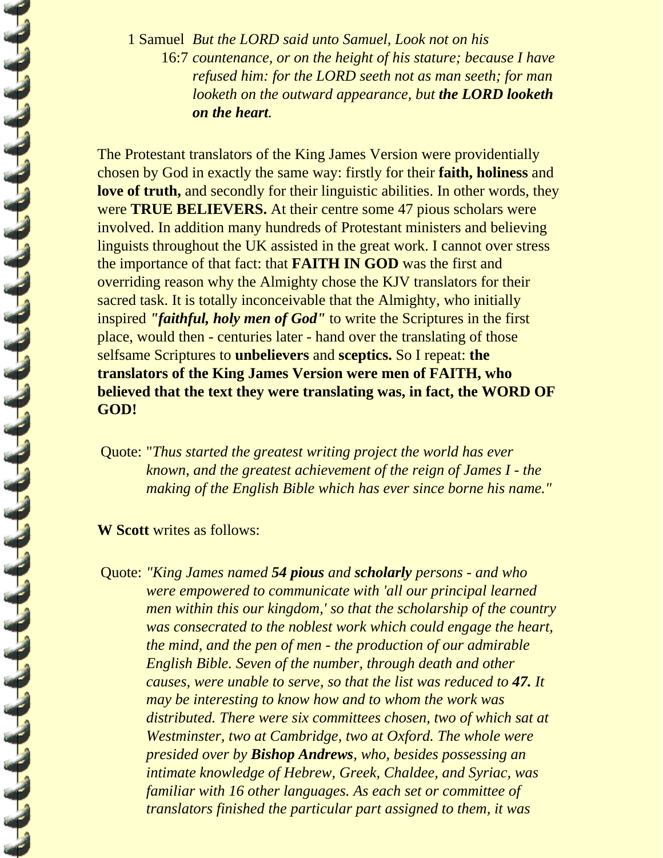1 Samuel *But the LORD said unto Samuel, Look not on his*  16:7 *countenance, or on the height of his stature; because I have refused him: for the LORD seeth not as man seeth; for man looketh on the outward appearance, but the LORD looketh on the heart.* 

The Protestant translators of the King James Version were providentially chosen by God in exactly the same way: firstly for their **faith, holiness** and **love of truth,** and secondly for their linguistic abilities. In other words, they were **TRUE BELIEVERS.** At their centre some 47 pious scholars were involved. In addition many hundreds of Protestant ministers and believing linguists throughout the UK assisted in the great work. I cannot over stress the importance of that fact: that **FAITH IN GOD** was the first and overriding reason why the Almighty chose the KJV translators for their sacred task. It is totally inconceivable that the Almighty, who initially inspired *"faithful, holy men of God"* to write the Scriptures in the first place, would then - centuries later - hand over the translating of those selfsame Scriptures to **unbelievers** and **sceptics.** So I repeat: **the translators of the King James Version were men of FAITH, who believed that the text they were translating was, in fact, the WORD OF GOD!** 

Quote: "*Thus started the greatest writing project the world has ever known, and the greatest achievement of the reign of James I - the making of the English Bible which has ever since borne his name."* 

**W Scott** writes as follows:

Quote: *"King James named 54 pious and scholarly persons - and who were empowered to communicate with 'all our principal learned men within this our kingdom,' so that the scholarship of the country was consecrated to the noblest work which could engage the heart, the mind, and the pen of men - the production of our admirable English Bible. Seven of the number, through death and other causes, were unable to serve, so that the list was reduced to 47. It may be interesting to know how and to whom the work was distributed. There were six committees chosen, two of which sat at Westminster, two at Cambridge, two at Oxford. The whole were presided over by Bishop Andrews, who, besides possessing an intimate knowledge of Hebrew, Greek, Chaldee, and Syriac, was familiar with 16 other languages. As each set or committee of translators finished the particular part assigned to them, it was*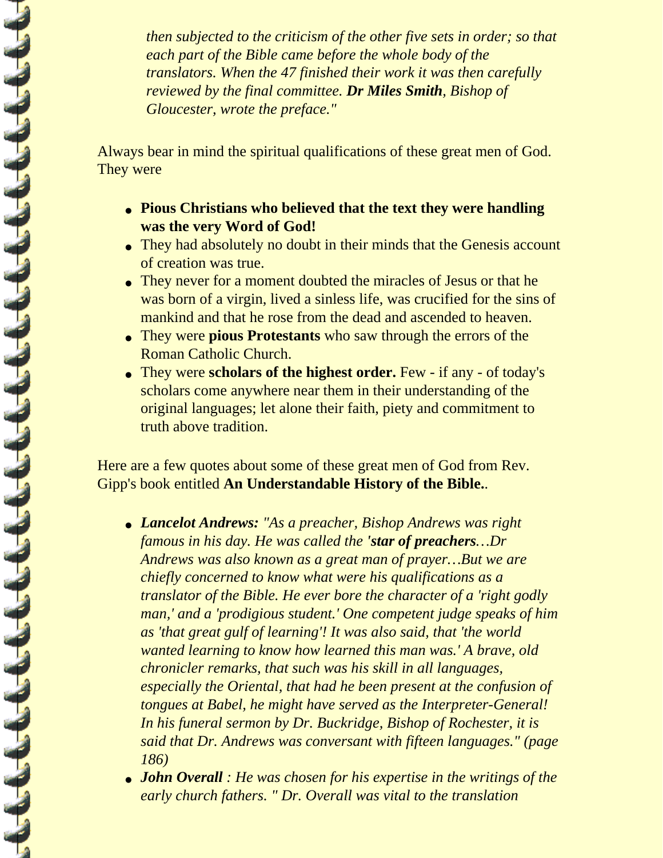*then subjected to the criticism of the other five sets in order; so that each part of the Bible came before the whole body of the translators. When the 47 finished their work it was then carefully reviewed by the final committee. Dr Miles Smith, Bishop of Gloucester, wrote the preface."*

Always bear in mind the spiritual qualifications of these great men of God. They were

- **Pious Christians who believed that the text they were handling was the very Word of God!**
- They had absolutely no doubt in their minds that the Genesis account of creation was true.
- They never for a moment doubted the miracles of Jesus or that he was born of a virgin, lived a sinless life, was crucified for the sins of mankind and that he rose from the dead and ascended to heaven.
- They were **pious Protestants** who saw through the errors of the Roman Catholic Church.
- They were **scholars of the highest order.** Few if any of today's scholars come anywhere near them in their understanding of the original languages; let alone their faith, piety and commitment to truth above tradition.

Here are a few quotes about some of these great men of God from Rev. Gipp's book entitled **An Understandable History of the Bible.**.

- *Lancelot Andrews: "As a preacher, Bishop Andrews was right famous in his day. He was called the 'star of preachers…Dr Andrews was also known as a great man of prayer…But we are chiefly concerned to know what were his qualifications as a translator of the Bible. He ever bore the character of a 'right godly man,' and a 'prodigious student.' One competent judge speaks of him as 'that great gulf of learning'! It was also said, that 'the world wanted learning to know how learned this man was.' A brave, old chronicler remarks, that such was his skill in all languages, especially the Oriental, that had he been present at the confusion of tongues at Babel, he might have served as the Interpreter-General! In his funeral sermon by Dr. Buckridge, Bishop of Rochester, it is said that Dr. Andrews was conversant with fifteen languages." (page 186)*
- *John Overall : He was chosen for his expertise in the writings of the early church fathers. " Dr. Overall was vital to the translation*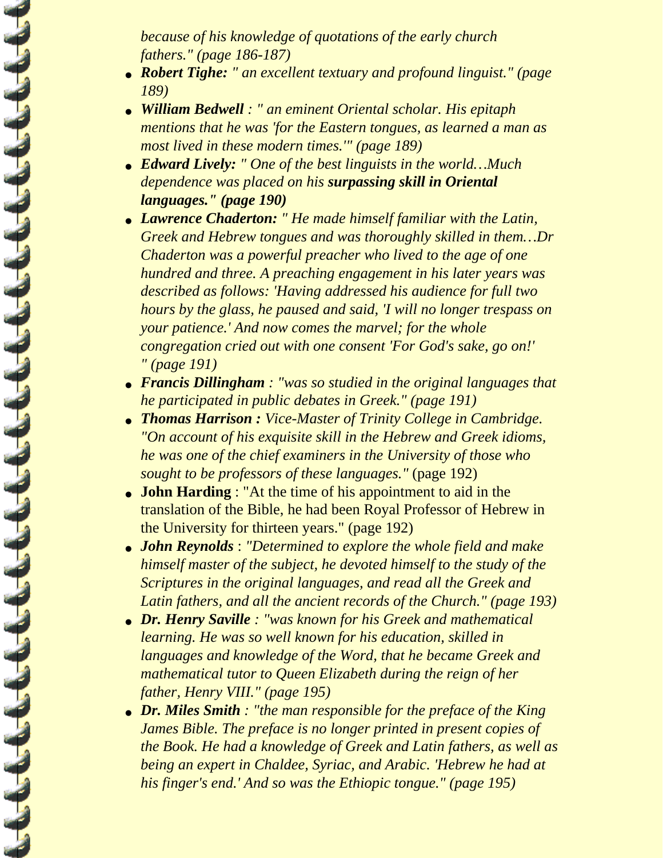*because of his knowledge of quotations of the early church fathers." (page 186-187)* 

- *Robert Tighe: " an excellent textuary and profound linguist." (page 189)*
- *William Bedwell : " an eminent Oriental scholar. His epitaph mentions that he was 'for the Eastern tongues, as learned a man as most lived in these modern times.'" (page 189)*
- *Edward Lively: " One of the best linguists in the world…Much dependence was placed on his surpassing skill in Oriental languages." (page 190)*
- *Lawrence Chaderton: " He made himself familiar with the Latin, Greek and Hebrew tongues and was thoroughly skilled in them…Dr Chaderton was a powerful preacher who lived to the age of one hundred and three. A preaching engagement in his later years was described as follows: 'Having addressed his audience for full two hours by the glass, he paused and said, 'I will no longer trespass on your patience.' And now comes the marvel; for the whole congregation cried out with one consent 'For God's sake, go on!' " (page 191)*
- *Francis Dillingham : "was so studied in the original languages that he participated in public debates in Greek." (page 191)*
- *Thomas Harrison : Vice-Master of Trinity College in Cambridge. "On account of his exquisite skill in the Hebrew and Greek idioms, he was one of the chief examiners in the University of those who sought to be professors of these languages."* (page 192)

- **John Harding** : "At the time of his appointment to aid in the translation of the Bible, he had been Royal Professor of Hebrew in the University for thirteen years." (page 192)
- *John Reynolds* : *"Determined to explore the whole field and make himself master of the subject, he devoted himself to the study of the Scriptures in the original languages, and read all the Greek and Latin fathers, and all the ancient records of the Church." (page 193)*
- *Dr. Henry Saville : "was known for his Greek and mathematical learning. He was so well known for his education, skilled in languages and knowledge of the Word, that he became Greek and mathematical tutor to Queen Elizabeth during the reign of her father, Henry VIII." (page 195)*
- *Dr. Miles Smith : "the man responsible for the preface of the King James Bible. The preface is no longer printed in present copies of the Book. He had a knowledge of Greek and Latin fathers, as well as being an expert in Chaldee, Syriac, and Arabic. 'Hebrew he had at his finger's end.' And so was the Ethiopic tongue." (page 195)*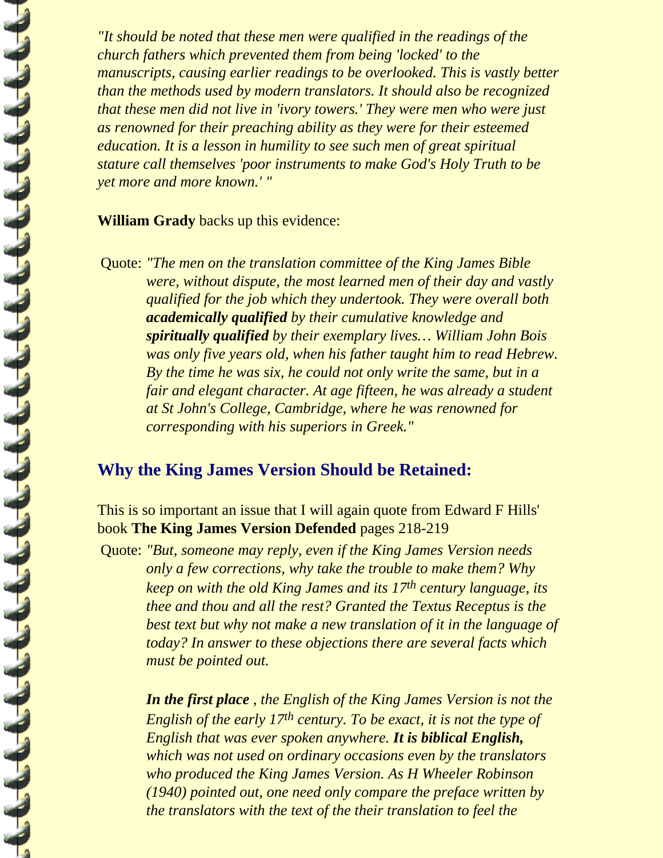*"It should be noted that these men were qualified in the readings of the church fathers which prevented them from being 'locked' to the manuscripts, causing earlier readings to be overlooked. This is vastly better than the methods used by modern translators. It should also be recognized that these men did not live in 'ivory towers.' They were men who were just as renowned for their preaching ability as they were for their esteemed education. It is a lesson in humility to see such men of great spiritual stature call themselves 'poor instruments to make God's Holy Truth to be yet more and more known.' "* 

**William Grady** backs up this evidence:

Quote: *"The men on the translation committee of the King James Bible were, without dispute, the most learned men of their day and vastly qualified for the job which they undertook. They were overall both academically qualified by their cumulative knowledge and spiritually qualified by their exemplary lives… William John Bois was only five years old, when his father taught him to read Hebrew. By the time he was six, he could not only write the same, but in a fair and elegant character. At age fifteen, he was already a student at St John's College, Cambridge, where he was renowned for corresponding with his superiors in Greek."*

### **Why the King James Version Should be Retained:**

This is so important an issue that I will again quote from Edward F Hills' book **The King James Version Defended** pages 218-219

Quote: *"But, someone may reply, even if the King James Version needs only a few corrections, why take the trouble to make them? Why keep on with the old King James and its 17th century language, its thee and thou and all the rest? Granted the Textus Receptus is the best text but why not make a new translation of it in the language of today? In answer to these objections there are several facts which must be pointed out.* 

*In the first place , the English of the King James Version is not the English of the early 17th century. To be exact, it is not the type of English that was ever spoken anywhere. It is biblical English, which was not used on ordinary occasions even by the translators who produced the King James Version. As H Wheeler Robinson (1940) pointed out, one need only compare the preface written by the translators with the text of the their translation to feel the*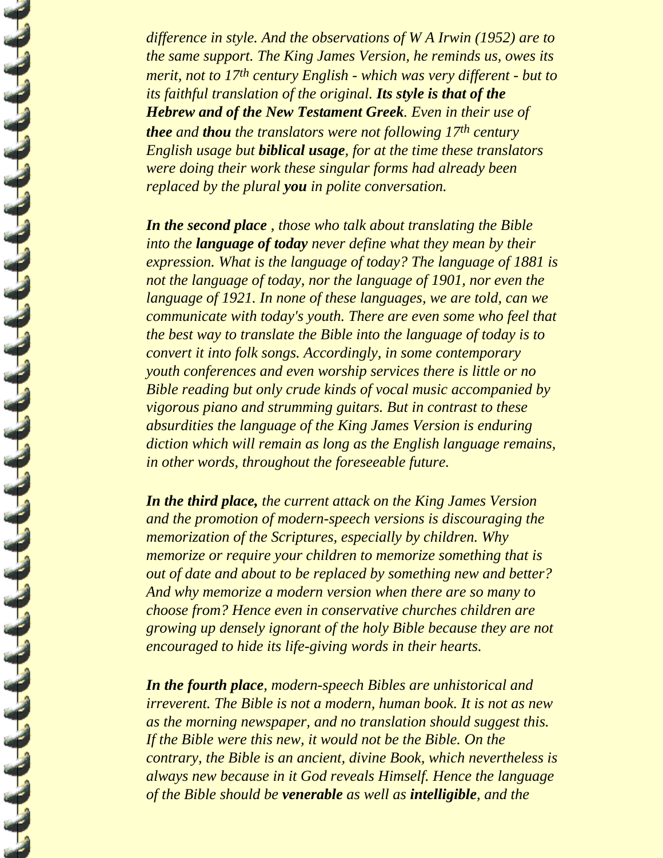*difference in style. And the observations of W A Irwin (1952) are to the same support. The King James Version, he reminds us, owes its merit, not to 17th century English - which was very different - but to its faithful translation of the original. Its style is that of the Hebrew and of the New Testament Greek. Even in their use of thee and thou the translators were not following 17th century English usage but biblical usage, for at the time these translators were doing their work these singular forms had already been replaced by the plural you in polite conversation.* 

*In the second place , those who talk about translating the Bible into the language of today never define what they mean by their expression. What is the language of today? The language of 1881 is not the language of today, nor the language of 1901, nor even the language of 1921. In none of these languages, we are told, can we communicate with today's youth. There are even some who feel that the best way to translate the Bible into the language of today is to convert it into folk songs. Accordingly, in some contemporary youth conferences and even worship services there is little or no Bible reading but only crude kinds of vocal music accompanied by vigorous piano and strumming guitars. But in contrast to these absurdities the language of the King James Version is enduring diction which will remain as long as the English language remains, in other words, throughout the foreseeable future.* 

*In the third place, the current attack on the King James Version and the promotion of modern-speech versions is discouraging the memorization of the Scriptures, especially by children. Why memorize or require your children to memorize something that is out of date and about to be replaced by something new and better? And why memorize a modern version when there are so many to choose from? Hence even in conservative churches children are growing up densely ignorant of the holy Bible because they are not encouraged to hide its life-giving words in their hearts.* 

*In the fourth place, modern-speech Bibles are unhistorical and irreverent. The Bible is not a modern, human book. It is not as new as the morning newspaper, and no translation should suggest this. If the Bible were this new, it would not be the Bible. On the contrary, the Bible is an ancient, divine Book, which nevertheless is always new because in it God reveals Himself. Hence the language of the Bible should be venerable as well as intelligible, and the*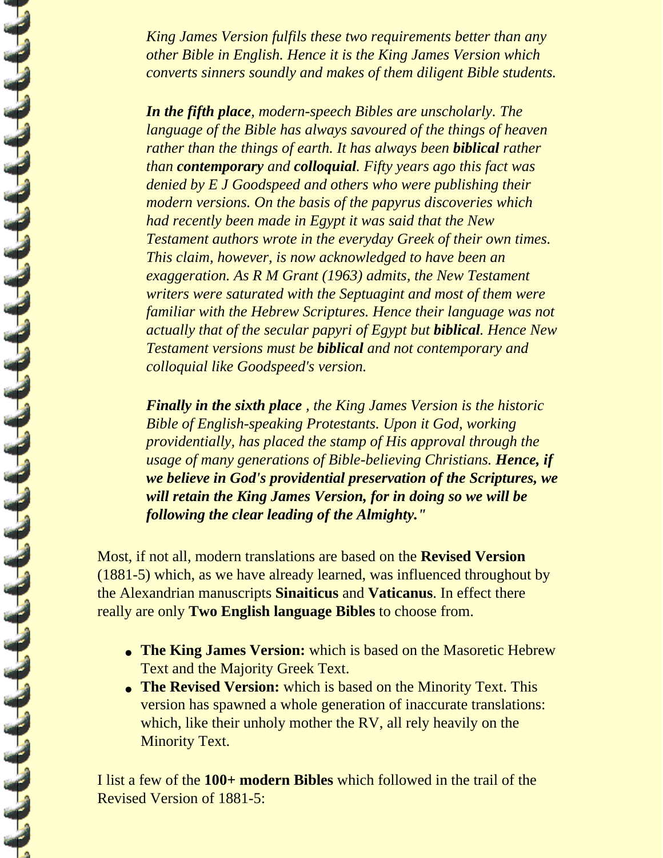*King James Version fulfils these two requirements better than any other Bible in English. Hence it is the King James Version which converts sinners soundly and makes of them diligent Bible students.* 

*In the fifth place, modern-speech Bibles are unscholarly. The language of the Bible has always savoured of the things of heaven rather than the things of earth. It has always been biblical rather than contemporary and colloquial. Fifty years ago this fact was denied by E J Goodspeed and others who were publishing their modern versions. On the basis of the papyrus discoveries which had recently been made in Egypt it was said that the New Testament authors wrote in the everyday Greek of their own times. This claim, however, is now acknowledged to have been an exaggeration. As R M Grant (1963) admits, the New Testament writers were saturated with the Septuagint and most of them were familiar with the Hebrew Scriptures. Hence their language was not actually that of the secular papyri of Egypt but biblical. Hence New Testament versions must be biblical and not contemporary and colloquial like Goodspeed's version.* 

*Finally in the sixth place , the King James Version is the historic Bible of English-speaking Protestants. Upon it God, working providentially, has placed the stamp of His approval through the usage of many generations of Bible-believing Christians. Hence, if we believe in God's providential preservation of the Scriptures, we will retain the King James Version, for in doing so we will be following the clear leading of the Almighty."*

Most, if not all, modern translations are based on the **Revised Version** (1881-5) which, as we have already learned, was influenced throughout by the Alexandrian manuscripts **Sinaiticus** and **Vaticanus**. In effect there really are only **Two English language Bibles** to choose from.

- **The King James Version:** which is based on the Masoretic Hebrew Text and the Majority Greek Text.
- **The Revised Version:** which is based on the Minority Text. This version has spawned a whole generation of inaccurate translations: which, like their unholy mother the RV, all rely heavily on the Minority Text.

I list a few of the **100+ modern Bibles** which followed in the trail of the Revised Version of 1881-5: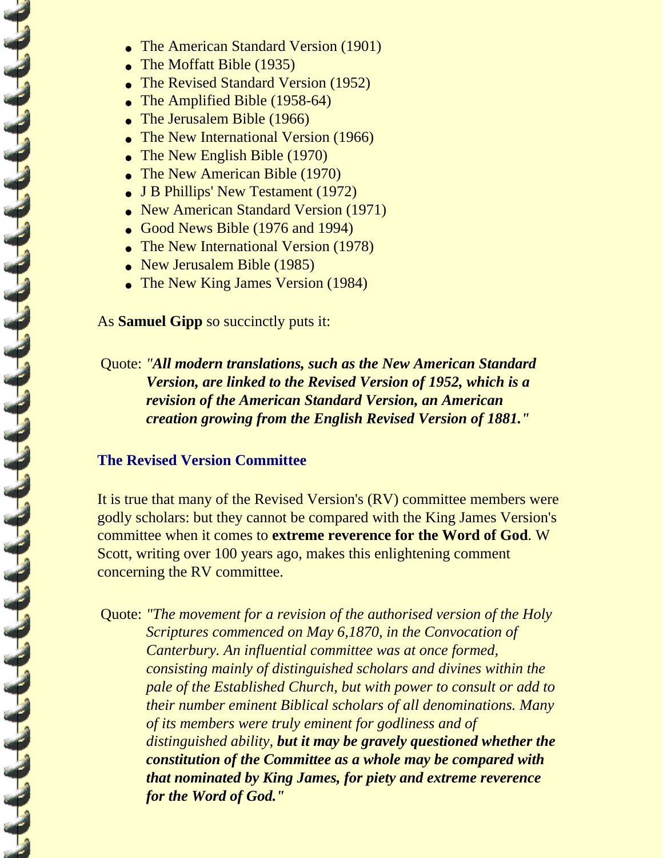- The American Standard Version (1901)
- The Moffatt Bible (1935)
- The Revised Standard Version (1952)
- The Amplified Bible (1958-64)
- The Jerusalem Bible (1966)
- The New International Version (1966)
- The New English Bible (1970)
- The New American Bible (1970)
- J B Phillips' New Testament (1972)
- New American Standard Version (1971)
- Good News Bible (1976 and 1994)
- The New International Version (1978)
- New Jerusalem Bible (1985)
- The New King James Version (1984)

As **Samuel Gipp** so succinctly puts it:

Quote: *"All modern translations, such as the New American Standard Version, are linked to the Revised Version of 1952, which is a revision of the American Standard Version, an American creation growing from the English Revised Version of 1881."*

### **The Revised Version Committee**

It is true that many of the Revised Version's (RV) committee members were godly scholars: but they cannot be compared with the King James Version's committee when it comes to **extreme reverence for the Word of God**. W Scott, writing over 100 years ago, makes this enlightening comment concerning the RV committee.

Quote: *"The movement for a revision of the authorised version of the Holy Scriptures commenced on May 6,1870, in the Convocation of Canterbury. An influential committee was at once formed, consisting mainly of distinguished scholars and divines within the pale of the Established Church, but with power to consult or add to their number eminent Biblical scholars of all denominations. Many of its members were truly eminent for godliness and of distinguished ability, but it may be gravely questioned whether the constitution of the Committee as a whole may be compared with that nominated by King James, for piety and extreme reverence for the Word of God."*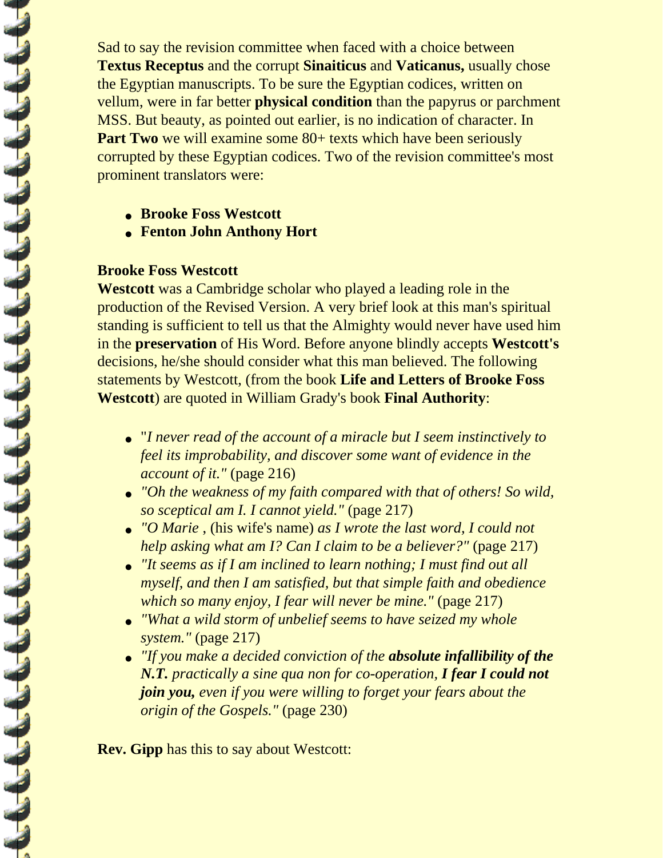Sad to say the revision committee when faced with a choice between **Textus Receptus** and the corrupt **Sinaiticus** and **Vaticanus,** usually chose the Egyptian manuscripts. To be sure the Egyptian codices, written on vellum, were in far better **physical condition** than the papyrus or parchment MSS. But beauty, as pointed out earlier, is no indication of character. In **Part Two** we will examine some 80+ texts which have been seriously corrupted by these Egyptian codices. Two of the revision committee's most prominent translators were:

- **Brooke Foss Westcott**
- **Fenton John Anthony Hort**

### **Brooke Foss Westcott**

**Westcott** was a Cambridge scholar who played a leading role in the production of the Revised Version. A very brief look at this man's spiritual standing is sufficient to tell us that the Almighty would never have used him in the **preservation** of His Word. Before anyone blindly accepts **Westcott's** decisions, he/she should consider what this man believed. The following statements by Westcott, (from the book **Life and Letters of Brooke Foss Westcott**) are quoted in William Grady's book **Final Authority**:

- "*I never read of the account of a miracle but I seem instinctively to feel its improbability, and discover some want of evidence in the account of it."* (page 216)
- *"Oh the weakness of my faith compared with that of others! So wild, so sceptical am I. I cannot yield."* (page 217)
- *"O Marie* , (his wife's name) *as I wrote the last word, I could not help asking what am I? Can I claim to be a believer?"* (page 217)
- *"It seems as if I am inclined to learn nothing; I must find out all myself, and then I am satisfied, but that simple faith and obedience which so many enjoy, I fear will never be mine."* (page 217)
- *"What a wild storm of unbelief seems to have seized my whole system."* (page 217)
- *"If you make a decided conviction of the absolute infallibility of the N.T. practically a sine qua non for co-operation, I fear I could not join you, even if you were willing to forget your fears about the origin of the Gospels."* (page 230)

**Rev. Gipp** has this to say about Westcott: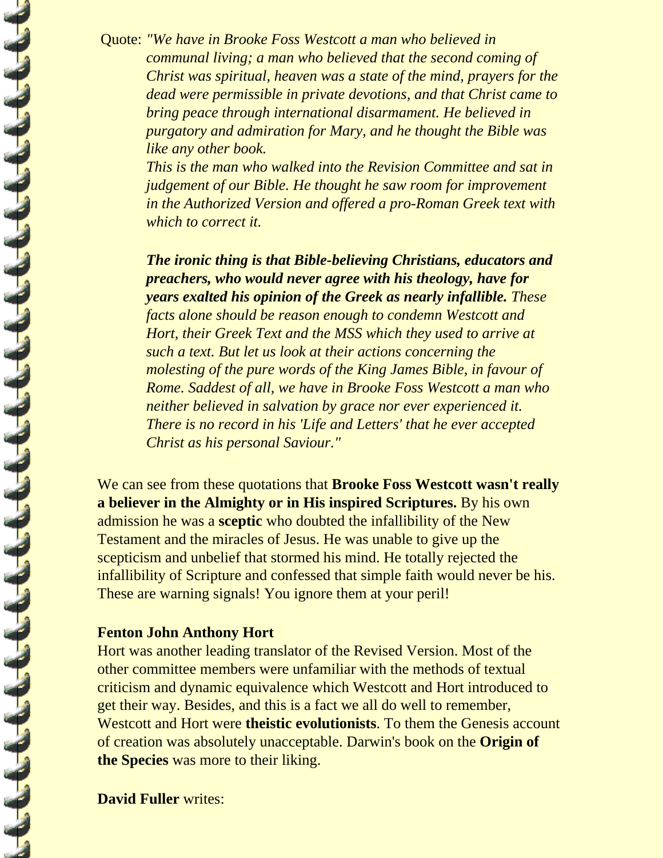Quote: *"We have in Brooke Foss Westcott a man who believed in communal living; a man who believed that the second coming of Christ was spiritual, heaven was a state of the mind, prayers for the dead were permissible in private devotions, and that Christ came to bring peace through international disarmament. He believed in purgatory and admiration for Mary, and he thought the Bible was like any other book.* 

*This is the man who walked into the Revision Committee and sat in judgement of our Bible. He thought he saw room for improvement in the Authorized Version and offered a pro-Roman Greek text with which to correct it.* 

*The ironic thing is that Bible-believing Christians, educators and preachers, who would never agree with his theology, have for years exalted his opinion of the Greek as nearly infallible. These facts alone should be reason enough to condemn Westcott and Hort, their Greek Text and the MSS which they used to arrive at such a text. But let us look at their actions concerning the molesting of the pure words of the King James Bible, in favour of Rome. Saddest of all, we have in Brooke Foss Westcott a man who neither believed in salvation by grace nor ever experienced it. There is no record in his 'Life and Letters' that he ever accepted Christ as his personal Saviour."*

We can see from these quotations that **Brooke Foss Westcott wasn't really a believer in the Almighty or in His inspired Scriptures.** By his own admission he was a **sceptic** who doubted the infallibility of the New Testament and the miracles of Jesus. He was unable to give up the scepticism and unbelief that stormed his mind. He totally rejected the infallibility of Scripture and confessed that simple faith would never be his. These are warning signals! You ignore them at your peril!

#### **Fenton John Anthony Hort**

Hort was another leading translator of the Revised Version. Most of the other committee members were unfamiliar with the methods of textual criticism and dynamic equivalence which Westcott and Hort introduced to get their way. Besides, and this is a fact we all do well to remember, Westcott and Hort were **theistic evolutionists**. To them the Genesis account of creation was absolutely unacceptable. Darwin's book on the **Origin of the Species** was more to their liking.

**David Fuller** writes: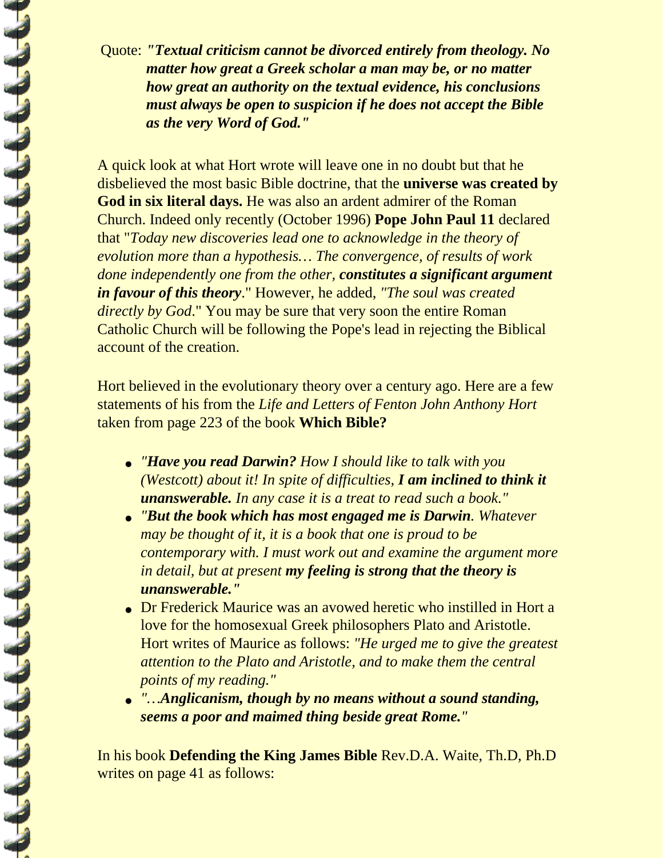Quote: *"Textual criticism cannot be divorced entirely from theology. No matter how great a Greek scholar a man may be, or no matter how great an authority on the textual evidence, his conclusions must always be open to suspicion if he does not accept the Bible as the very Word of God."*

A quick look at what Hort wrote will leave one in no doubt but that he disbelieved the most basic Bible doctrine, that the **universe was created by God in six literal days.** He was also an ardent admirer of the Roman Church. Indeed only recently (October 1996) **Pope John Paul 11** declared that "*Today new discoveries lead one to acknowledge in the theory of evolution more than a hypothesis… The convergence, of results of work done independently one from the other, constitutes a significant argument in favour of this theory*." However, he added, *"The soul was created directly by God*." You may be sure that very soon the entire Roman Catholic Church will be following the Pope's lead in rejecting the Biblical account of the creation.

Hort believed in the evolutionary theory over a century ago. Here are a few statements of his from the *Life and Letters of Fenton John Anthony Hort* taken from page 223 of the book **Which Bible?** 

- *"Have you read Darwin? How I should like to talk with you (Westcott) about it! In spite of difficulties, I am inclined to think it unanswerable. In any case it is a treat to read such a book."*
- *"But the book which has most engaged me is Darwin. Whatever may be thought of it, it is a book that one is proud to be contemporary with. I must work out and examine the argument more in detail, but at present my feeling is strong that the theory is unanswerable."*
- Dr Frederick Maurice was an avowed heretic who instilled in Hort a love for the homosexual Greek philosophers Plato and Aristotle. Hort writes of Maurice as follows: *"He urged me to give the greatest attention to the Plato and Aristotle, and to make them the central points of my reading."*
- *"…Anglicanism, though by no means without a sound standing, seems a poor and maimed thing beside great Rome."*

In his book **Defending the King James Bible** Rev.D.A. Waite, Th.D, Ph.D writes on page 41 as follows: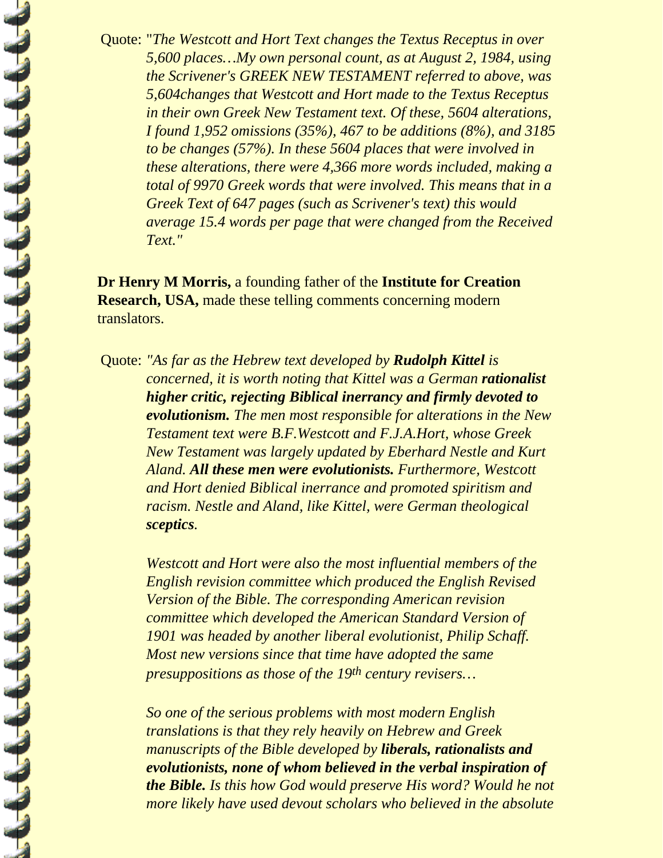Quote: "*The Westcott and Hort Text changes the Textus Receptus in over 5,600 places…My own personal count, as at August 2, 1984, using the Scrivener's GREEK NEW TESTAMENT referred to above, was 5,604changes that Westcott and Hort made to the Textus Receptus in their own Greek New Testament text. Of these, 5604 alterations, I found 1,952 omissions (35%), 467 to be additions (8%), and 3185 to be changes (57%). In these 5604 places that were involved in these alterations, there were 4,366 more words included, making a total of 9970 Greek words that were involved. This means that in a Greek Text of 647 pages (such as Scrivener's text) this would average 15.4 words per page that were changed from the Received Text."*

**Dr Henry M Morris,** a founding father of the **Institute for Creation Research, USA, made these telling comments concerning modern** translators.

Quote: *"As far as the Hebrew text developed by Rudolph Kittel is concerned, it is worth noting that Kittel was a German rationalist higher critic, rejecting Biblical inerrancy and firmly devoted to evolutionism. The men most responsible for alterations in the New Testament text were B.F.Westcott and F.J.A.Hort, whose Greek New Testament was largely updated by Eberhard Nestle and Kurt Aland. All these men were evolutionists. Furthermore, Westcott and Hort denied Biblical inerrance and promoted spiritism and racism. Nestle and Aland, like Kittel, were German theological sceptics.* 

*Westcott and Hort were also the most influential members of the English revision committee which produced the English Revised Version of the Bible. The corresponding American revision committee which developed the American Standard Version of 1901 was headed by another liberal evolutionist, Philip Schaff. Most new versions since that time have adopted the same presuppositions as those of the 19th century revisers…* 

*So one of the serious problems with most modern English translations is that they rely heavily on Hebrew and Greek manuscripts of the Bible developed by liberals, rationalists and evolutionists, none of whom believed in the verbal inspiration of the Bible. Is this how God would preserve His word? Would he not more likely have used devout scholars who believed in the absolute*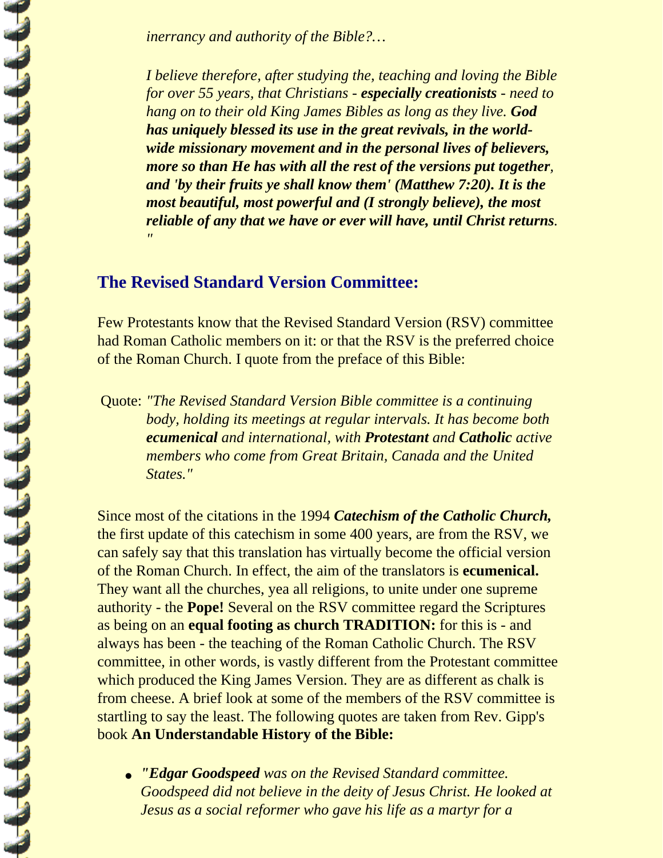*inerrancy and authority of the Bible?…* 

*I believe therefore, after studying the, teaching and loving the Bible for over 55 years, that Christians - especially creationists - need to hang on to their old King James Bibles as long as they live. God has uniquely blessed its use in the great revivals, in the worldwide missionary movement and in the personal lives of believers, more so than He has with all the rest of the versions put together, and 'by their fruits ye shall know them' (Matthew 7:20). It is the most beautiful, most powerful and (I strongly believe), the most reliable of any that we have or ever will have, until Christ returns. "* 

## **The Revised Standard Version Committee:**

Few Protestants know that the Revised Standard Version (RSV) committee had Roman Catholic members on it: or that the RSV is the preferred choice of the Roman Church. I quote from the preface of this Bible:

Quote: *"The Revised Standard Version Bible committee is a continuing body, holding its meetings at regular intervals. It has become both ecumenical and international, with Protestant and Catholic active members who come from Great Britain, Canada and the United States."*

Since most of the citations in the 1994 *Catechism of the Catholic Church,* the first update of this catechism in some 400 years, are from the RSV, we can safely say that this translation has virtually become the official version of the Roman Church. In effect, the aim of the translators is **ecumenical.**  They want all the churches, yea all religions, to unite under one supreme authority - the **Pope!** Several on the RSV committee regard the Scriptures as being on an **equal footing as church TRADITION:** for this is - and always has been - the teaching of the Roman Catholic Church. The RSV committee, in other words, is vastly different from the Protestant committee which produced the King James Version. They are as different as chalk is from cheese. A brief look at some of the members of the RSV committee is startling to say the least. The following quotes are taken from Rev. Gipp's book **An Understandable History of the Bible:**

● *"Edgar Goodspeed was on the Revised Standard committee. Goodspeed did not believe in the deity of Jesus Christ. He looked at Jesus as a social reformer who gave his life as a martyr for a*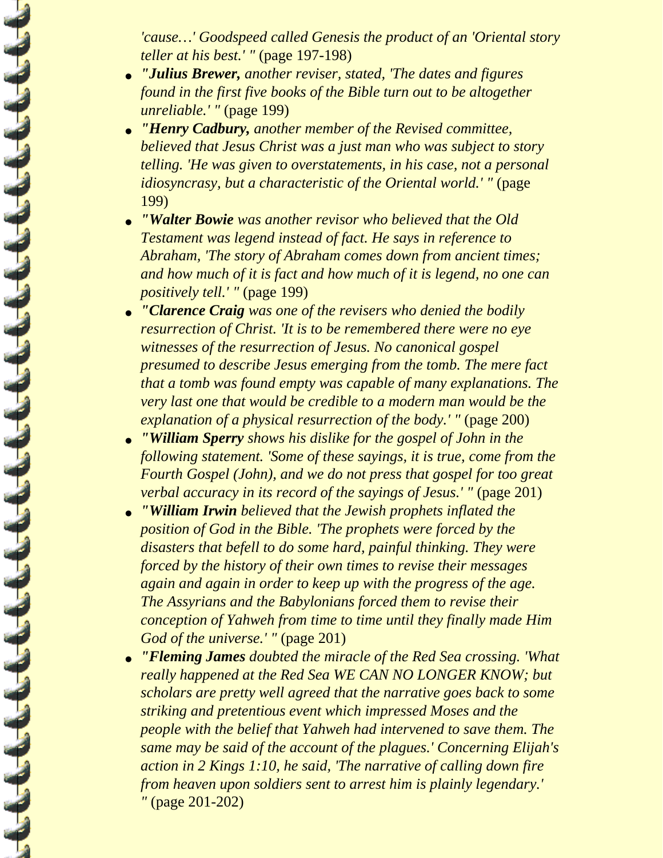*'cause…' Goodspeed called Genesis the product of an 'Oriental story teller at his best.' "* (page 197-198)

- *"Julius Brewer, another reviser, stated, 'The dates and figures found in the first five books of the Bible turn out to be altogether unreliable.' "* (page 199)
- *"Henry Cadbury, another member of the Revised committee, believed that Jesus Christ was a just man who was subject to story telling. 'He was given to overstatements, in his case, not a personal idiosyncrasy, but a characteristic of the Oriental world.' " (page* 199)
- *"Walter Bowie was another revisor who believed that the Old Testament was legend instead of fact. He says in reference to Abraham, 'The story of Abraham comes down from ancient times; and how much of it is fact and how much of it is legend, no one can positively tell.' "* (page 199)
- *"Clarence Craig was one of the revisers who denied the bodily resurrection of Christ. 'It is to be remembered there were no eye witnesses of the resurrection of Jesus. No canonical gospel presumed to describe Jesus emerging from the tomb. The mere fact that a tomb was found empty was capable of many explanations. The very last one that would be credible to a modern man would be the explanation of a physical resurrection of the body.' " (page 200)*
- *"William Sperry shows his dislike for the gospel of John in the following statement. 'Some of these sayings, it is true, come from the Fourth Gospel (John), and we do not press that gospel for too great verbal accuracy in its record of the sayings of Jesus.' "* (page 201)

- *"William Irwin believed that the Jewish prophets inflated the position of God in the Bible. 'The prophets were forced by the disasters that befell to do some hard, painful thinking. They were forced by the history of their own times to revise their messages again and again in order to keep up with the progress of the age. The Assyrians and the Babylonians forced them to revise their conception of Yahweh from time to time until they finally made Him God of the universe.' "* (page 201)
- *"Fleming James doubted the miracle of the Red Sea crossing. 'What really happened at the Red Sea WE CAN NO LONGER KNOW; but scholars are pretty well agreed that the narrative goes back to some striking and pretentious event which impressed Moses and the people with the belief that Yahweh had intervened to save them. The same may be said of the account of the plagues.' Concerning Elijah's action in 2 Kings 1:10, he said, 'The narrative of calling down fire from heaven upon soldiers sent to arrest him is plainly legendary.' "* (page 201-202)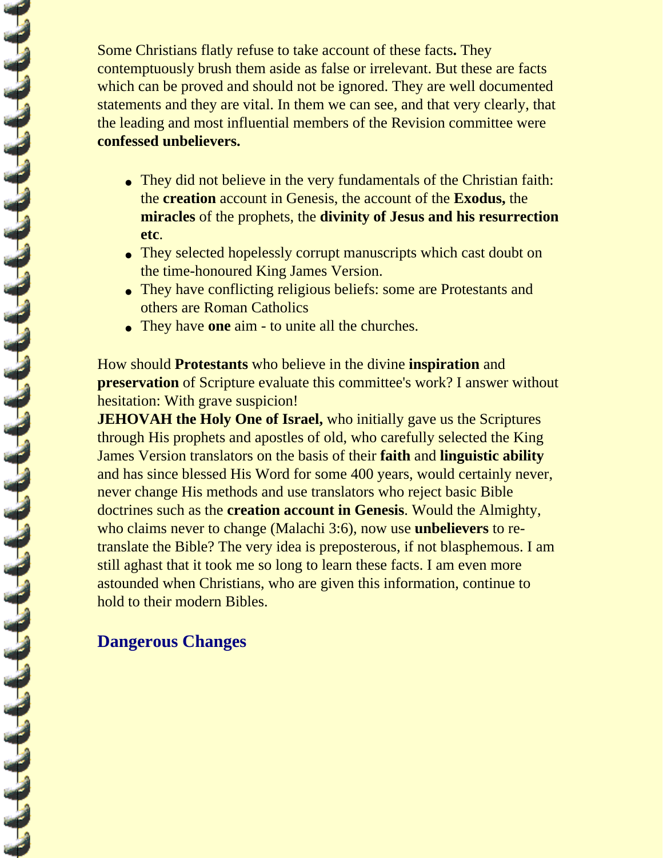Some Christians flatly refuse to take account of these facts**.** They contemptuously brush them aside as false or irrelevant. But these are facts which can be proved and should not be ignored. They are well documented statements and they are vital. In them we can see, and that very clearly, that the leading and most influential members of the Revision committee were **confessed unbelievers.**

- They did not believe in the very fundamentals of the Christian faith: the **creation** account in Genesis, the account of the **Exodus,** the **miracles** of the prophets, the **divinity of Jesus and his resurrection etc**.
- They selected hopelessly corrupt manuscripts which cast doubt on the time-honoured King James Version.
- They have conflicting religious beliefs: some are Protestants and others are Roman Catholics
- They have **one** aim to unite all the churches.

How should **Protestants** who believe in the divine **inspiration** and **preservation** of Scripture evaluate this committee's work? I answer without hesitation: With grave suspicion!

**JEHOVAH the Holy One of Israel,** who initially gave us the Scriptures through His prophets and apostles of old, who carefully selected the King James Version translators on the basis of their **faith** and **linguistic ability** and has since blessed His Word for some 400 years, would certainly never, never change His methods and use translators who reject basic Bible doctrines such as the **creation account in Genesis**. Would the Almighty, who claims never to change (Malachi 3:6), now use **unbelievers** to retranslate the Bible? The very idea is preposterous, if not blasphemous. I am still aghast that it took me so long to learn these facts. I am even more astounded when Christians, who are given this information, continue to hold to their modern Bibles.

## **Dangerous Changes**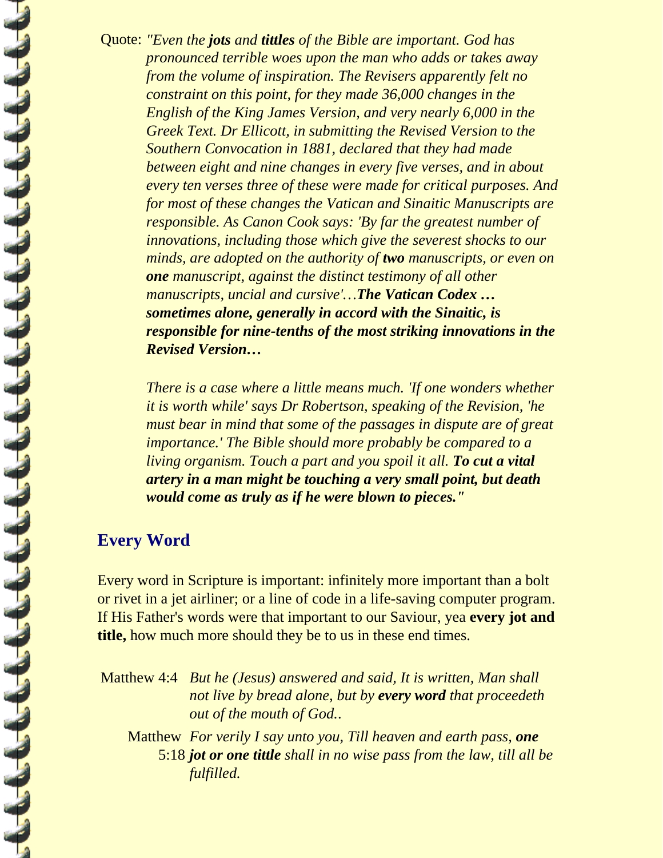Quote: *"Even the jots and tittles of the Bible are important. God has pronounced terrible woes upon the man who adds or takes away from the volume of inspiration. The Revisers apparently felt no constraint on this point, for they made 36,000 changes in the English of the King James Version, and very nearly 6,000 in the Greek Text. Dr Ellicott, in submitting the Revised Version to the Southern Convocation in 1881, declared that they had made between eight and nine changes in every five verses, and in about every ten verses three of these were made for critical purposes. And for most of these changes the Vatican and Sinaitic Manuscripts are responsible. As Canon Cook says: 'By far the greatest number of innovations, including those which give the severest shocks to our minds, are adopted on the authority of two manuscripts, or even on one manuscript, against the distinct testimony of all other manuscripts, uncial and cursive'…The Vatican Codex … sometimes alone, generally in accord with the Sinaitic, is responsible for nine-tenths of the most striking innovations in the Revised Version…*

*There is a case where a little means much. 'If one wonders whether it is worth while' says Dr Robertson, speaking of the Revision, 'he must bear in mind that some of the passages in dispute are of great importance.' The Bible should more probably be compared to a living organism. Touch a part and you spoil it all. To cut a vital artery in a man might be touching a very small point, but death would come as truly as if he were blown to pieces."*

## **Every Word**

Every word in Scripture is important: infinitely more important than a bolt or rivet in a jet airliner; or a line of code in a life-saving computer program. If His Father's words were that important to our Saviour, yea **every jot and title,** how much more should they be to us in these end times.

| Matthew 4:4 But he (Jesus) answered and said, It is written, Man shall |
|------------------------------------------------------------------------|
| not live by bread alone, but by <b>every word</b> that proceedeth      |
| out of the mouth of God                                                |

Matthew *For verily I say unto you, Till heaven and earth pass, one*  5:18 *jot or one tittle shall in no wise pass from the law, till all be fulfilled.*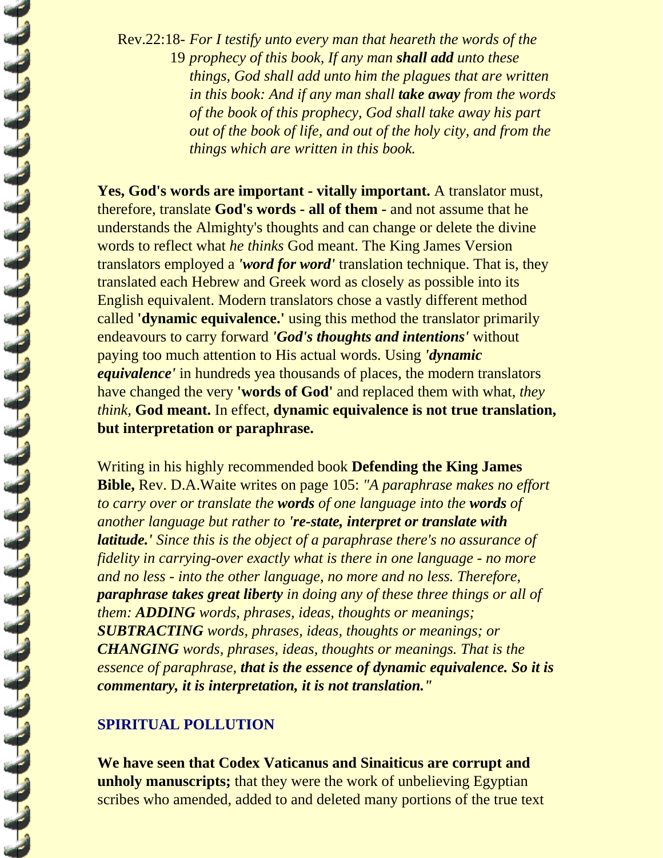Rev.22:18- *For I testify unto every man that heareth the words of the*  19 *prophecy of this book, If any man shall add unto these things, God shall add unto him the plagues that are written in this book: And if any man shall take away from the words of the book of this prophecy, God shall take away his part out of the book of life, and out of the holy city, and from the things which are written in this book.* 

**Yes, God's words are important - vitally important.** A translator must, therefore, translate **God's words - all of them -** and not assume that he understands the Almighty's thoughts and can change or delete the divine words to reflect what *he thinks* God meant. The King James Version translators employed a *'word for word'* translation technique. That is, they translated each Hebrew and Greek word as closely as possible into its English equivalent. Modern translators chose a vastly different method called **'dynamic equivalence.'** using this method the translator primarily endeavours to carry forward *'God's thoughts and intentions'* without paying too much attention to His actual words. Using *'dynamic equivalence'* in hundreds yea thousands of places, the modern translators have changed the very **'words of God'** and replaced them with what, *they think,* **God meant.** In effect, **dynamic equivalence is not true translation, but interpretation or paraphrase.** 

Writing in his highly recommended book **Defending the King James Bible,** Rev. D.A.Waite writes on page 105: *"A paraphrase makes no effort to carry over or translate the words of one language into the words of another language but rather to 're-state, interpret or translate with latitude.' Since this is the object of a paraphrase there's no assurance of fidelity in carrying-over exactly what is there in one language - no more and no less - into the other language, no more and no less. Therefore, paraphrase takes great liberty in doing any of these three things or all of them: ADDING words, phrases, ideas, thoughts or meanings; SUBTRACTING words, phrases, ideas, thoughts or meanings; or CHANGING words, phrases, ideas, thoughts or meanings. That is the essence of paraphrase, that is the essence of dynamic equivalence. So it is commentary, it is interpretation, it is not translation."*

#### **SPIRITUAL POLLUTION**

**We have seen that Codex Vaticanus and Sinaiticus are corrupt and unholy manuscripts;** that they were the work of unbelieving Egyptian scribes who amended, added to and deleted many portions of the true text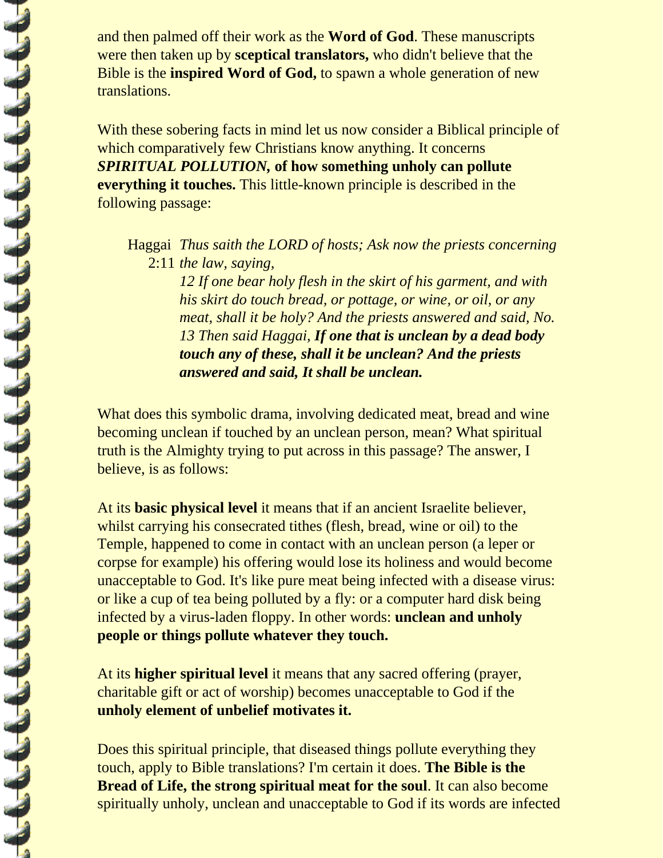and then palmed off their work as the **Word of God**. These manuscripts were then taken up by **sceptical translators,** who didn't believe that the Bible is the **inspired Word of God,** to spawn a whole generation of new translations.

With these sobering facts in mind let us now consider a Biblical principle of which comparatively few Christians know anything. It concerns *SPIRITUAL POLLUTION,* **of how something unholy can pollute everything it touches.** This little-known principle is described in the following passage:

Haggai *Thus saith the LORD of hosts; Ask now the priests concerning*  2:11 *the law, saying,* 

> *12 If one bear holy flesh in the skirt of his garment, and with his skirt do touch bread, or pottage, or wine, or oil, or any meat, shall it be holy? And the priests answered and said, No. 13 Then said Haggai, If one that is unclean by a dead body touch any of these, shall it be unclean? And the priests answered and said, It shall be unclean.*

What does this symbolic drama, involving dedicated meat, bread and wine becoming unclean if touched by an unclean person, mean? What spiritual truth is the Almighty trying to put across in this passage? The answer, I believe, is as follows:

At its **basic physical level** it means that if an ancient Israelite believer, whilst carrying his consecrated tithes (flesh, bread, wine or oil) to the Temple, happened to come in contact with an unclean person (a leper or corpse for example) his offering would lose its holiness and would become unacceptable to God. It's like pure meat being infected with a disease virus: or like a cup of tea being polluted by a fly: or a computer hard disk being infected by a virus-laden floppy. In other words: **unclean and unholy people or things pollute whatever they touch.** 

At its **higher spiritual level** it means that any sacred offering (prayer, charitable gift or act of worship) becomes unacceptable to God if the **unholy element of unbelief motivates it.** 

Does this spiritual principle, that diseased things pollute everything they touch, apply to Bible translations? I'm certain it does. **The Bible is the Bread of Life, the strong spiritual meat for the soul**. It can also become spiritually unholy, unclean and unacceptable to God if its words are infected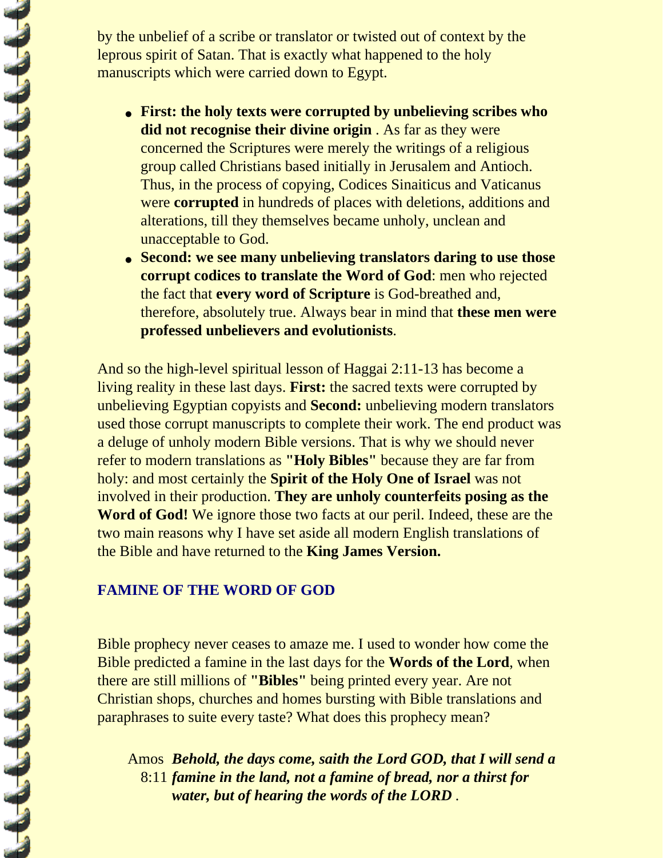by the unbelief of a scribe or translator or twisted out of context by the leprous spirit of Satan. That is exactly what happened to the holy manuscripts which were carried down to Egypt.

- **First: the holy texts were corrupted by unbelieving scribes who did not recognise their divine origin** . As far as they were concerned the Scriptures were merely the writings of a religious group called Christians based initially in Jerusalem and Antioch. Thus, in the process of copying, Codices Sinaiticus and Vaticanus were **corrupted** in hundreds of places with deletions, additions and alterations, till they themselves became unholy, unclean and unacceptable to God.
- **Second: we see many unbelieving translators daring to use those corrupt codices to translate the Word of God**: men who rejected the fact that **every word of Scripture** is God-breathed and, therefore, absolutely true. Always bear in mind that **these men were professed unbelievers and evolutionists**.

And so the high-level spiritual lesson of Haggai 2:11-13 has become a living reality in these last days. **First:** the sacred texts were corrupted by unbelieving Egyptian copyists and **Second:** unbelieving modern translators used those corrupt manuscripts to complete their work. The end product was a deluge of unholy modern Bible versions. That is why we should never refer to modern translations as **"Holy Bibles"** because they are far from holy: and most certainly the **Spirit of the Holy One of Israel** was not involved in their production. **They are unholy counterfeits posing as the Word of God!** We ignore those two facts at our peril. Indeed, these are the two main reasons why I have set aside all modern English translations of the Bible and have returned to the **King James Version.**

#### **FAMINE OF THE WORD OF GOD**

POLICE COLLEGE AND LODGE AND LODGE

Bible prophecy never ceases to amaze me. I used to wonder how come the Bible predicted a famine in the last days for the **Words of the Lord**, when there are still millions of **"Bibles"** being printed every year. Are not Christian shops, churches and homes bursting with Bible translations and paraphrases to suite every taste? What does this prophecy mean?

Amos *Behold, the days come, saith the Lord GOD, that I will send a*  8:11 *famine in the land, not a famine of bread, nor a thirst for water, but of hearing the words of the LORD .*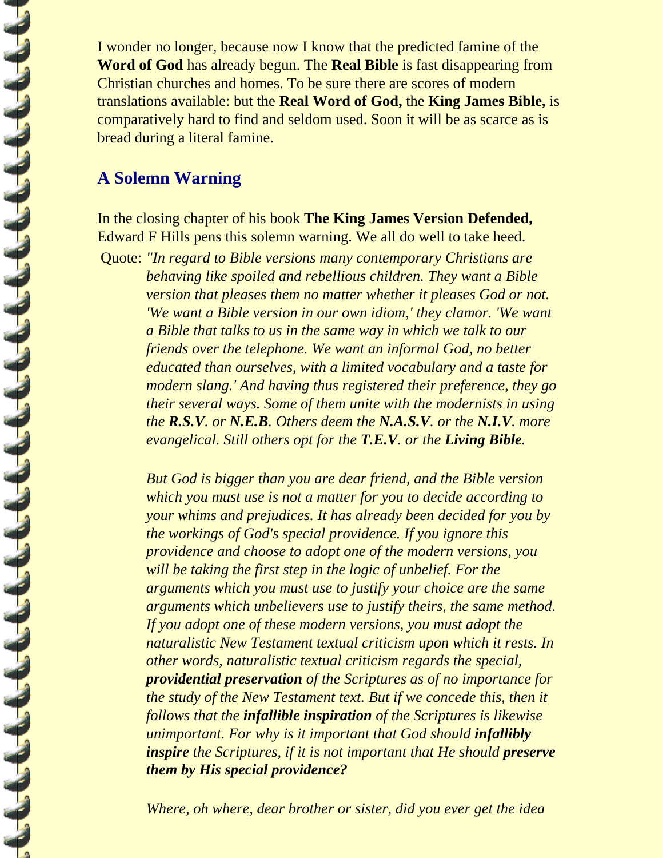I wonder no longer, because now I know that the predicted famine of the **Word of God** has already begun. The **Real Bible** is fast disappearing from Christian churches and homes. To be sure there are scores of modern translations available: but the **Real Word of God,** the **King James Bible,** is comparatively hard to find and seldom used. Soon it will be as scarce as is bread during a literal famine.

## **A Solemn Warning**

In the closing chapter of his book **The King James Version Defended,**  Edward F Hills pens this solemn warning. We all do well to take heed.

Quote: *"In regard to Bible versions many contemporary Christians are behaving like spoiled and rebellious children. They want a Bible version that pleases them no matter whether it pleases God or not. 'We want a Bible version in our own idiom,' they clamor. 'We want a Bible that talks to us in the same way in which we talk to our friends over the telephone. We want an informal God, no better educated than ourselves, with a limited vocabulary and a taste for modern slang.' And having thus registered their preference, they go their several ways. Some of them unite with the modernists in using the R.S.V. or N.E.B. Others deem the N.A.S.V. or the N.I.V. more evangelical. Still others opt for the T.E.V. or the Living Bible.* 

*But God is bigger than you are dear friend, and the Bible version which you must use is not a matter for you to decide according to your whims and prejudices. It has already been decided for you by the workings of God's special providence. If you ignore this providence and choose to adopt one of the modern versions, you will be taking the first step in the logic of unbelief. For the arguments which you must use to justify your choice are the same arguments which unbelievers use to justify theirs, the same method. If you adopt one of these modern versions, you must adopt the naturalistic New Testament textual criticism upon which it rests. In other words, naturalistic textual criticism regards the special, providential preservation of the Scriptures as of no importance for the study of the New Testament text. But if we concede this, then it follows that the infallible inspiration of the Scriptures is likewise unimportant. For why is it important that God should infallibly inspire* the Scriptures, if it is not important that He should preserve *them by His special providence?* 

*Where, oh where, dear brother or sister, did you ever get the idea*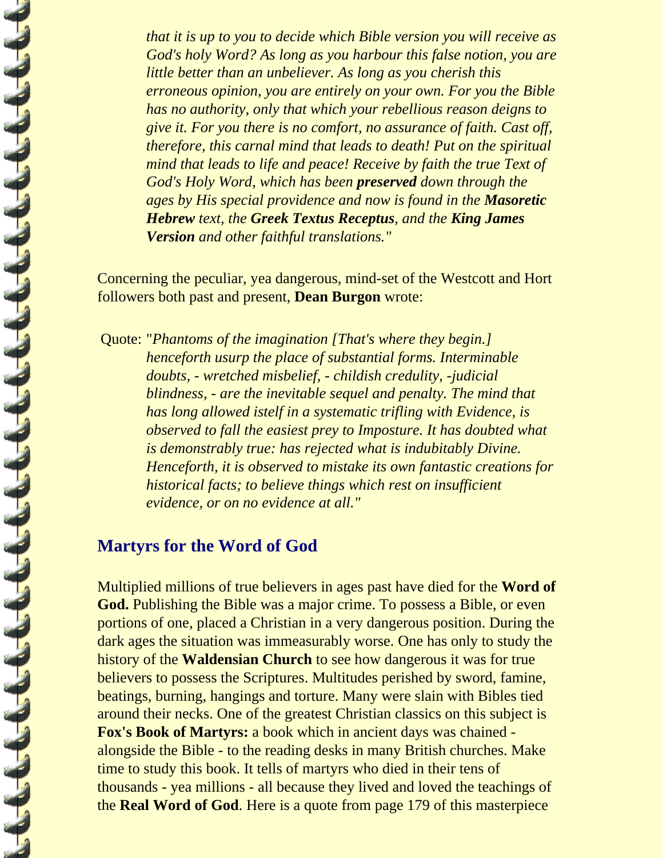*that it is up to you to decide which Bible version you will receive as God's holy Word? As long as you harbour this false notion, you are little better than an unbeliever. As long as you cherish this erroneous opinion, you are entirely on your own. For you the Bible has no authority, only that which your rebellious reason deigns to give it. For you there is no comfort, no assurance of faith. Cast off, therefore, this carnal mind that leads to death! Put on the spiritual mind that leads to life and peace! Receive by faith the true Text of God's Holy Word, which has been preserved down through the ages by His special providence and now is found in the Masoretic Hebrew text, the Greek Textus Receptus, and the King James Version and other faithful translations."* 

Concerning the peculiar, yea dangerous, mind-set of the Westcott and Hort followers both past and present, **Dean Burgon** wrote:

Quote: "*Phantoms of the imagination [That's where they begin.] henceforth usurp the place of substantial forms. Interminable doubts, - wretched misbelief, - childish credulity, -judicial blindness, - are the inevitable sequel and penalty. The mind that has long allowed istelf in a systematic trifling with Evidence, is observed to fall the easiest prey to Imposture. It has doubted what is demonstrably true: has rejected what is indubitably Divine. Henceforth, it is observed to mistake its own fantastic creations for historical facts; to believe things which rest on insufficient evidence, or on no evidence at all."*

## **Martyrs for the Word of God**

Multiplied millions of true believers in ages past have died for the **Word of God.** Publishing the Bible was a major crime. To possess a Bible, or even portions of one, placed a Christian in a very dangerous position. During the dark ages the situation was immeasurably worse. One has only to study the history of the **Waldensian Church** to see how dangerous it was for true believers to possess the Scriptures. Multitudes perished by sword, famine, beatings, burning, hangings and torture. Many were slain with Bibles tied around their necks. One of the greatest Christian classics on this subject is **Fox's Book of Martyrs:** a book which in ancient days was chained alongside the Bible - to the reading desks in many British churches. Make time to study this book. It tells of martyrs who died in their tens of thousands - yea millions - all because they lived and loved the teachings of the **Real Word of God**. Here is a quote from page 179 of this masterpiece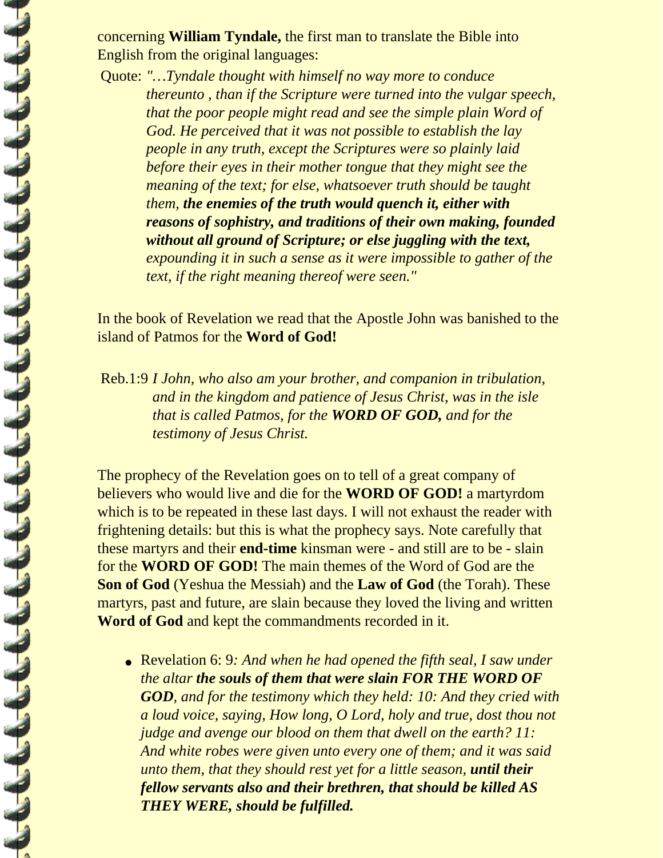concerning **William Tyndale,** the first man to translate the Bible into English from the original languages:

Quote: *"…Tyndale thought with himself no way more to conduce thereunto , than if the Scripture were turned into the vulgar speech, that the poor people might read and see the simple plain Word of God. He perceived that it was not possible to establish the lay people in any truth, except the Scriptures were so plainly laid before their eyes in their mother tongue that they might see the meaning of the text; for else, whatsoever truth should be taught them, the enemies of the truth would quench it, either with reasons of sophistry, and traditions of their own making, founded without all ground of Scripture; or else juggling with the text, expounding it in such a sense as it were impossible to gather of the text, if the right meaning thereof were seen."* 

In the book of Revelation we read that the Apostle John was banished to the island of Patmos for the **Word of God!** 

Reb.1:9 *I John, who also am your brother, and companion in tribulation, and in the kingdom and patience of Jesus Christ, was in the isle that is called Patmos, for the WORD OF GOD, and for the testimony of Jesus Christ.*

The prophecy of the Revelation goes on to tell of a great company of believers who would live and die for the **WORD OF GOD!** a martyrdom which is to be repeated in these last days. I will not exhaust the reader with frightening details: but this is what the prophecy says. Note carefully that these martyrs and their **end-time** kinsman were - and still are to be - slain for the **WORD OF GOD!** The main themes of the Word of God are the **Son of God** (Yeshua the Messiah) and the **Law of God** (the Torah). These martyrs, past and future, are slain because they loved the living and written **Word of God** and kept the commandments recorded in it.

● Revelation 6: 9*: And when he had opened the fifth seal, I saw under the altar the souls of them that were slain FOR THE WORD OF GOD, and for the testimony which they held: 10: And they cried with a loud voice, saying, How long, O Lord, holy and true, dost thou not judge and avenge our blood on them that dwell on the earth? 11: And white robes were given unto every one of them; and it was said unto them, that they should rest yet for a little season, until their fellow servants also and their brethren, that should be killed AS THEY WERE, should be fulfilled.*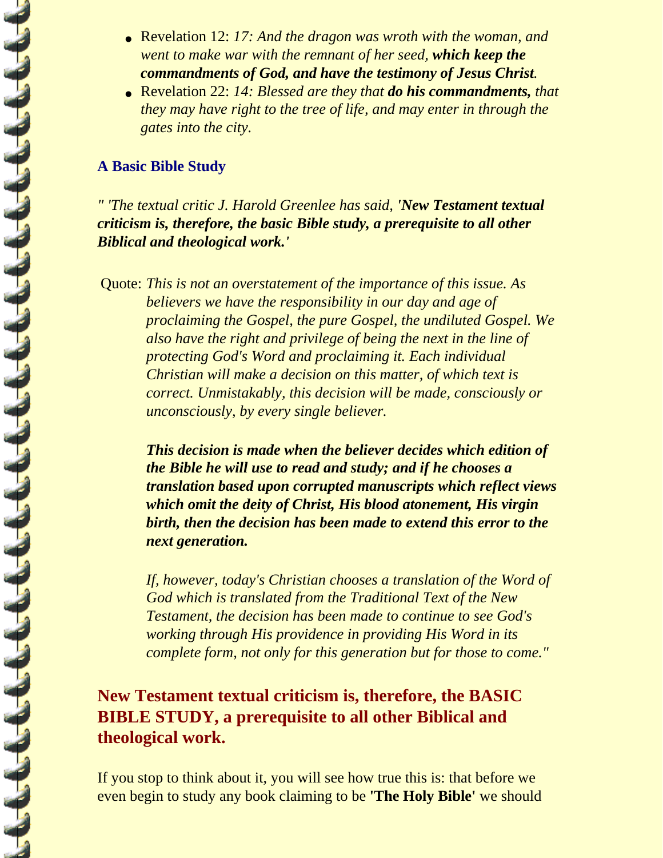- Revelation 12: *17: And the dragon was wroth with the woman, and went to make war with the remnant of her seed, which keep the commandments of God, and have the testimony of Jesus Christ.*
- Revelation 22: *14: Blessed are they that do his commandments, that they may have right to the tree of life, and may enter in through the gates into the city.*

#### **A Basic Bible Study**

*" 'The textual critic J. Harold Greenlee has said, 'New Testament textual criticism is, therefore, the basic Bible study, a prerequisite to all other Biblical and theological work.'*

Quote: *This is not an overstatement of the importance of this issue. As believers we have the responsibility in our day and age of proclaiming the Gospel, the pure Gospel, the undiluted Gospel. We also have the right and privilege of being the next in the line of protecting God's Word and proclaiming it. Each individual Christian will make a decision on this matter, of which text is correct. Unmistakably, this decision will be made, consciously or unconsciously, by every single believer.* 

*This decision is made when the believer decides which edition of the Bible he will use to read and study; and if he chooses a translation based upon corrupted manuscripts which reflect views which omit the deity of Christ, His blood atonement, His virgin birth, then the decision has been made to extend this error to the next generation.* 

If, however, today's Christian chooses a translation of the Word of *God which is translated from the Traditional Text of the New Testament, the decision has been made to continue to see God's working through His providence in providing His Word in its complete form, not only for this generation but for those to come."*

# **New Testament textual criticism is, therefore, the BASIC BIBLE STUDY, a prerequisite to all other Biblical and theological work.**

If you stop to think about it, you will see how true this is: that before we even begin to study any book claiming to be **'The Holy Bible'** we should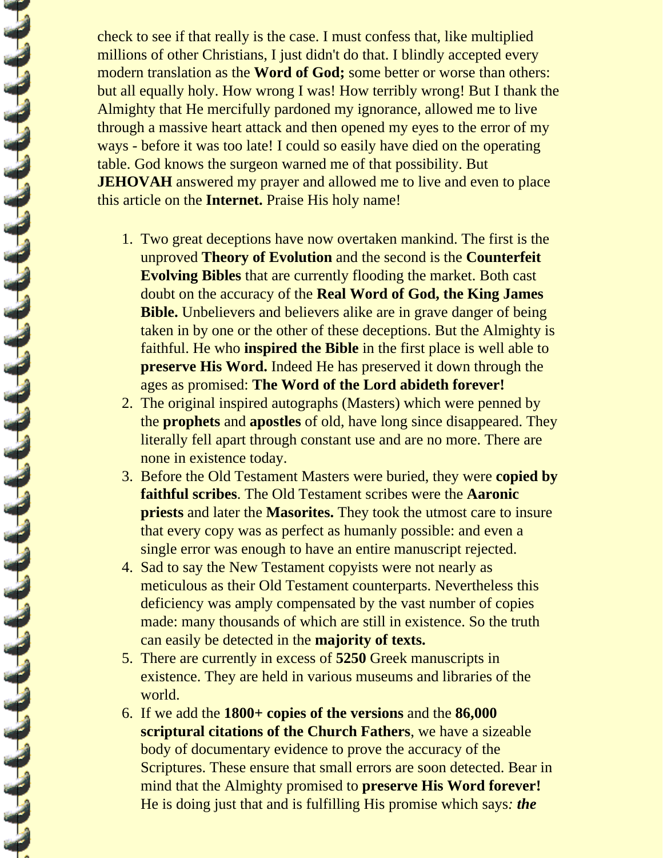check to see if that really is the case. I must confess that, like multiplied millions of other Christians, I just didn't do that. I blindly accepted every modern translation as the **Word of God;** some better or worse than others: but all equally holy. How wrong I was! How terribly wrong! But I thank the Almighty that He mercifully pardoned my ignorance, allowed me to live through a massive heart attack and then opened my eyes to the error of my ways - before it was too late! I could so easily have died on the operating table. God knows the surgeon warned me of that possibility. But **JEHOVAH** answered my prayer and allowed me to live and even to place this article on the **Internet.** Praise His holy name!

- 1. Two great deceptions have now overtaken mankind. The first is the unproved **Theory of Evolution** and the second is the **Counterfeit Evolving Bibles** that are currently flooding the market. Both cast doubt on the accuracy of the **Real Word of God, the King James Bible.** Unbelievers and believers alike are in grave danger of being taken in by one or the other of these deceptions. But the Almighty is faithful. He who **inspired the Bible** in the first place is well able to **preserve His Word.** Indeed He has preserved it down through the ages as promised: **The Word of the Lord abideth forever!**
- 2. The original inspired autographs (Masters) which were penned by the **prophets** and **apostles** of old, have long since disappeared. They literally fell apart through constant use and are no more. There are none in existence today.

- 3. Before the Old Testament Masters were buried, they were **copied by faithful scribes**. The Old Testament scribes were the **Aaronic priests** and later the **Masorites.** They took the utmost care to insure that every copy was as perfect as humanly possible: and even a single error was enough to have an entire manuscript rejected.
- 4. Sad to say the New Testament copyists were not nearly as meticulous as their Old Testament counterparts. Nevertheless this deficiency was amply compensated by the vast number of copies made: many thousands of which are still in existence. So the truth can easily be detected in the **majority of texts.**
- 5. There are currently in excess of **5250** Greek manuscripts in existence. They are held in various museums and libraries of the world.
- 6. If we add the **1800+ copies of the versions** and the **86,000 scriptural citations of the Church Fathers**, we have a sizeable body of documentary evidence to prove the accuracy of the Scriptures. These ensure that small errors are soon detected. Bear in mind that the Almighty promised to **preserve His Word forever!** He is doing just that and is fulfilling His promise which says*: the*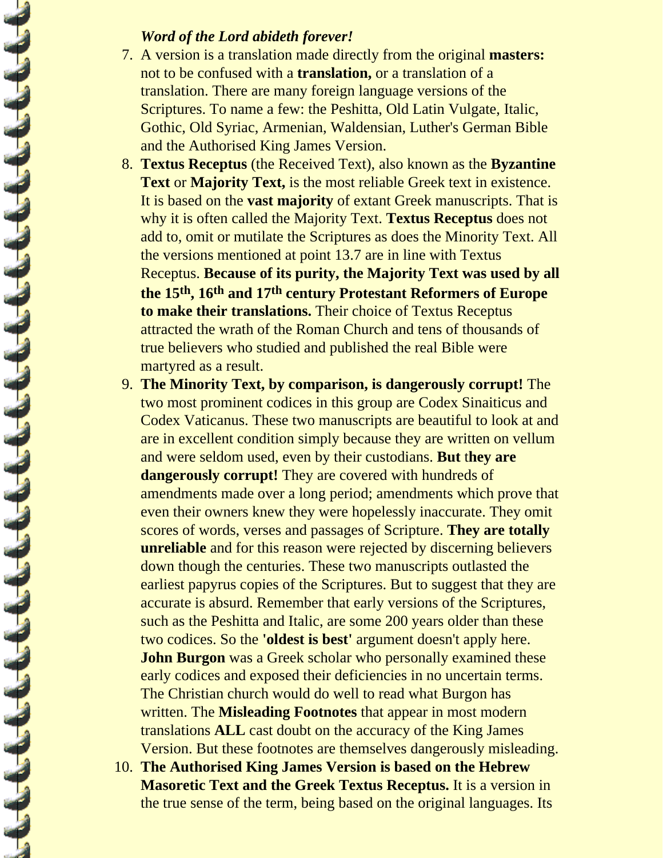#### *Word of the Lord abideth forever!*

- 7. A version is a translation made directly from the original **masters:** not to be confused with a **translation,** or a translation of a translation. There are many foreign language versions of the Scriptures. To name a few: the Peshitta, Old Latin Vulgate, Italic, Gothic, Old Syriac, Armenian, Waldensian, Luther's German Bible and the Authorised King James Version.
- 8. **Textus Receptus** (the Received Text), also known as the **Byzantine Text or Majority Text, is the most reliable Greek text in existence.** It is based on the **vast majority** of extant Greek manuscripts. That is why it is often called the Majority Text. **Textus Receptus** does not add to, omit or mutilate the Scriptures as does the Minority Text. All the versions mentioned at point 13.7 are in line with Textus Receptus. **Because of its purity, the Majority Text was used by all the 15th, 16th and 17th century Protestant Reformers of Europe to make their translations.** Their choice of Textus Receptus attracted the wrath of the Roman Church and tens of thousands of true believers who studied and published the real Bible were martyred as a result.
- 9. **The Minority Text, by comparison, is dangerously corrupt!** The two most prominent codices in this group are Codex Sinaiticus and Codex Vaticanus. These two manuscripts are beautiful to look at and are in excellent condition simply because they are written on vellum and were seldom used, even by their custodians. **But** t**hey are dangerously corrupt!** They are covered with hundreds of amendments made over a long period; amendments which prove that even their owners knew they were hopelessly inaccurate. They omit scores of words, verses and passages of Scripture. **They are totally unreliable** and for this reason were rejected by discerning believers down though the centuries. These two manuscripts outlasted the earliest papyrus copies of the Scriptures. But to suggest that they are accurate is absurd. Remember that early versions of the Scriptures, such as the Peshitta and Italic, are some 200 years older than these two codices. So the **'oldest is best'** argument doesn't apply here. **John Burgon** was a Greek scholar who personally examined these early codices and exposed their deficiencies in no uncertain terms. The Christian church would do well to read what Burgon has written. The **Misleading Footnotes** that appear in most modern translations **ALL** cast doubt on the accuracy of the King James Version. But these footnotes are themselves dangerously misleading.
- 10. **The Authorised King James Version is based on the Hebrew Masoretic Text and the Greek Textus Receptus.** It is a version in the true sense of the term, being based on the original languages. Its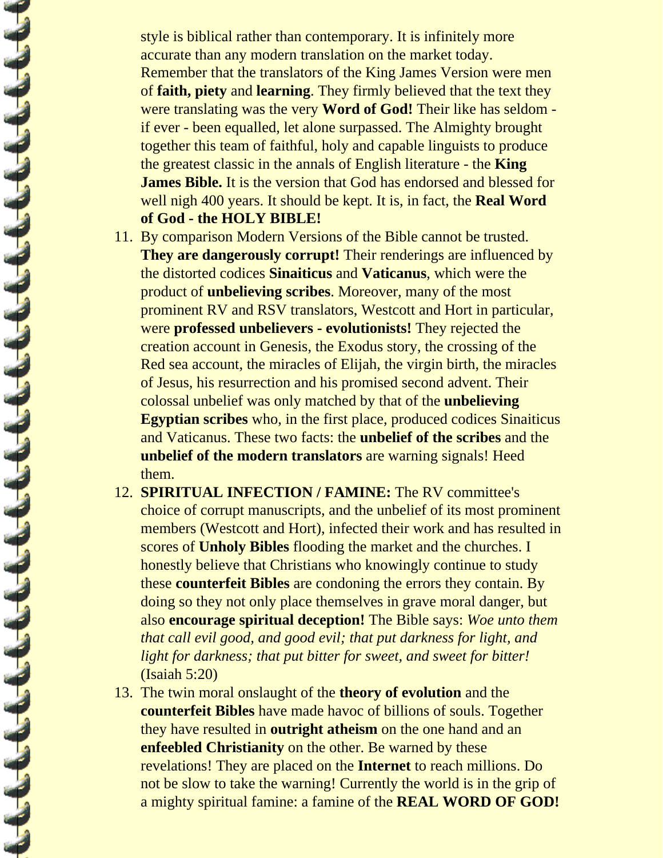style is biblical rather than contemporary. It is infinitely more accurate than any modern translation on the market today. Remember that the translators of the King James Version were men of **faith, piety** and **learning**. They firmly believed that the text they were translating was the very **Word of God!** Their like has seldom if ever - been equalled, let alone surpassed. The Almighty brought together this team of faithful, holy and capable linguists to produce the greatest classic in the annals of English literature - the **King James Bible.** It is the version that God has endorsed and blessed for well nigh 400 years. It should be kept. It is, in fact, the **Real Word of God - the HOLY BIBLE!**

11. By comparison Modern Versions of the Bible cannot be trusted. **They are dangerously corrupt!** Their renderings are influenced by the distorted codices **Sinaiticus** and **Vaticanus**, which were the product of **unbelieving scribes**. Moreover, many of the most prominent RV and RSV translators, Westcott and Hort in particular, were **professed unbelievers - evolutionists!** They rejected the creation account in Genesis, the Exodus story, the crossing of the Red sea account, the miracles of Elijah, the virgin birth, the miracles of Jesus, his resurrection and his promised second advent. Their colossal unbelief was only matched by that of the **unbelieving Egyptian scribes** who, in the first place, produced codices Sinaiticus and Vaticanus. These two facts: the **unbelief of the scribes** and the **unbelief of the modern translators** are warning signals! Heed them.

- 12. **SPIRITUAL INFECTION / FAMINE:** The RV committee's choice of corrupt manuscripts, and the unbelief of its most prominent members (Westcott and Hort), infected their work and has resulted in scores of **Unholy Bibles** flooding the market and the churches. I honestly believe that Christians who knowingly continue to study these **counterfeit Bibles** are condoning the errors they contain. By doing so they not only place themselves in grave moral danger, but also **encourage spiritual deception!** The Bible says: *Woe unto them that call evil good, and good evil; that put darkness for light, and light for darkness; that put bitter for sweet, and sweet for bitter!*  (Isaiah 5:20)
- 13. The twin moral onslaught of the **theory of evolution** and the **counterfeit Bibles** have made havoc of billions of souls. Together they have resulted in **outright atheism** on the one hand and an **enfeebled Christianity** on the other. Be warned by these revelations! They are placed on the **Internet** to reach millions. Do not be slow to take the warning! Currently the world is in the grip of a mighty spiritual famine: a famine of the **REAL WORD OF GOD!**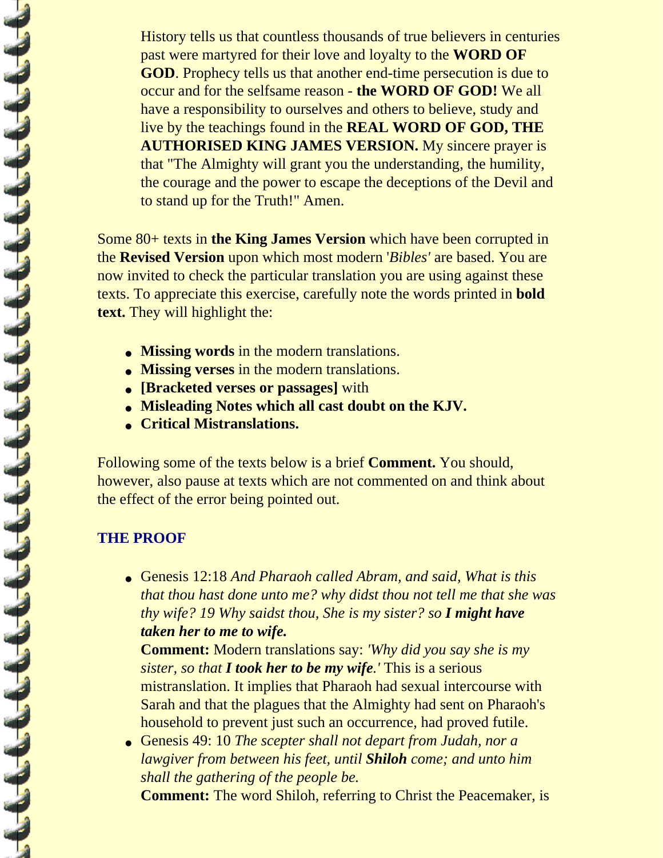History tells us that countless thousands of true believers in centuries past were martyred for their love and loyalty to the **WORD OF GOD**. Prophecy tells us that another end-time persecution is due to occur and for the selfsame reason - **the WORD OF GOD!** We all have a responsibility to ourselves and others to believe, study and live by the teachings found in the **REAL WORD OF GOD, THE AUTHORISED KING JAMES VERSION.** My sincere prayer is that "The Almighty will grant you the understanding, the humility, the courage and the power to escape the deceptions of the Devil and to stand up for the Truth!" Amen.

Some 80+ texts in **the King James Version** which have been corrupted in the **Revised Version** upon which most modern '*Bibles'* are based. You are now invited to check the particular translation you are using against these texts. To appreciate this exercise, carefully note the words printed in **bold text.** They will highlight the:

- **Missing words** in the modern translations.
- **Missing verses** in the modern translations.
- **[Bracketed verses or passages]** with
- **Misleading Notes which all cast doubt on the KJV.**
- **Critical Mistranslations.**

Following some of the texts below is a brief **Comment.** You should, however, also pause at texts which are not commented on and think about the effect of the error being pointed out.

### **THE PROOF**

● Genesis 12:18 *And Pharaoh called Abram, and said, What is this that thou hast done unto me? why didst thou not tell me that she was thy wife? 19 Why saidst thou, She is my sister? so I might have taken her to me to wife.*

**Comment:** Modern translations say: *'Why did you say she is my sister, so that I took her to be my wife.'* This is a serious mistranslation. It implies that Pharaoh had sexual intercourse with Sarah and that the plagues that the Almighty had sent on Pharaoh's household to prevent just such an occurrence, had proved futile.

● Genesis 49: 10 *The scepter shall not depart from Judah, nor a lawgiver from between his feet, until Shiloh come; and unto him shall the gathering of the people be.*

**Comment:** The word Shiloh, referring to Christ the Peacemaker, is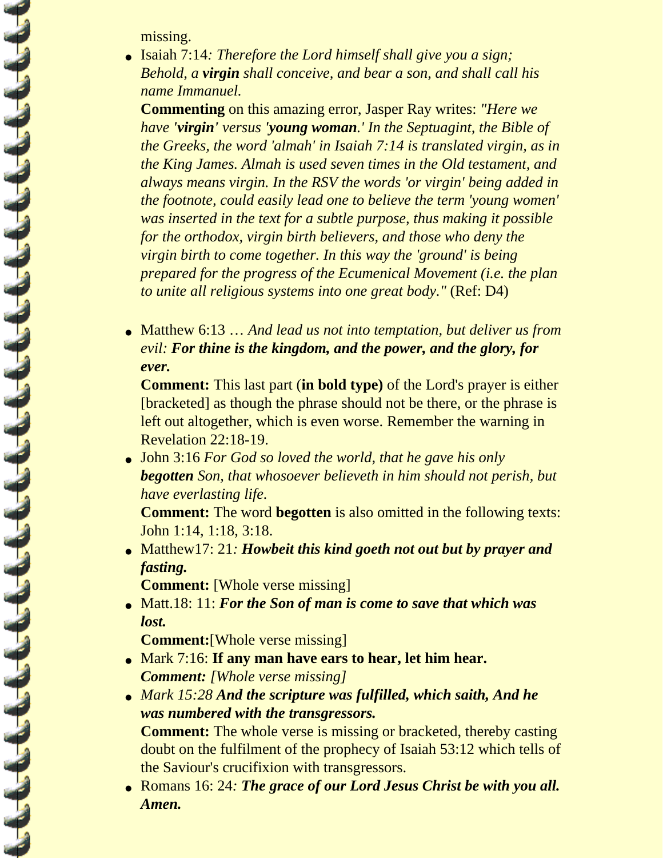missing.

● Isaiah 7:14*: Therefore the Lord himself shall give you a sign; Behold, a virgin shall conceive, and bear a son, and shall call his name Immanuel.* 

**Commenting** on this amazing error, Jasper Ray writes: *"Here we have 'virgin' versus 'young woman.' In the Septuagint, the Bible of the Greeks, the word 'almah' in Isaiah 7:14 is translated virgin, as in the King James. Almah is used seven times in the Old testament, and always means virgin. In the RSV the words 'or virgin' being added in the footnote, could easily lead one to believe the term 'young women' was inserted in the text for a subtle purpose, thus making it possible for the orthodox, virgin birth believers, and those who deny the virgin birth to come together. In this way the 'ground' is being prepared for the progress of the Ecumenical Movement (i.e. the plan to unite all religious systems into one great body."* (Ref: D4)

• Matthew 6:13 ... And lead us not into temptation, but deliver us from *evil: For thine is the kingdom, and the power, and the glory, for ever.*

**Comment:** This last part (**in bold type)** of the Lord's prayer is either [bracketed] as though the phrase should not be there, or the phrase is left out altogether, which is even worse. Remember the warning in Revelation 22:18-19.

● John 3:16 *For God so loved the world, that he gave his only begotten Son, that whosoever believeth in him should not perish, but have everlasting life.* 

**Comment:** The word **begotten** is also omitted in the following texts: John 1:14, 1:18, 3:18.

● Matthew17: 21*: Howbeit this kind goeth not out but by prayer and fasting.* 

**Comment:** [Whole verse missing]

● Matt.18: 11: *For the Son of man is come to save that which was lost.*

**Comment:**[Whole verse missing]

- Mark 7:16: **If any man have ears to hear, let him hear.**  *Comment: [Whole verse missing]*
- *Mark 15:28 And the scripture was fulfilled, which saith, And he was numbered with the transgressors.* **Comment:** The whole verse is missing or bracketed, thereby casting

doubt on the fulfilment of the prophecy of Isaiah 53:12 which tells of the Saviour's crucifixion with transgressors.

● Romans 16: 24*: The grace of our Lord Jesus Christ be with you all. Amen.*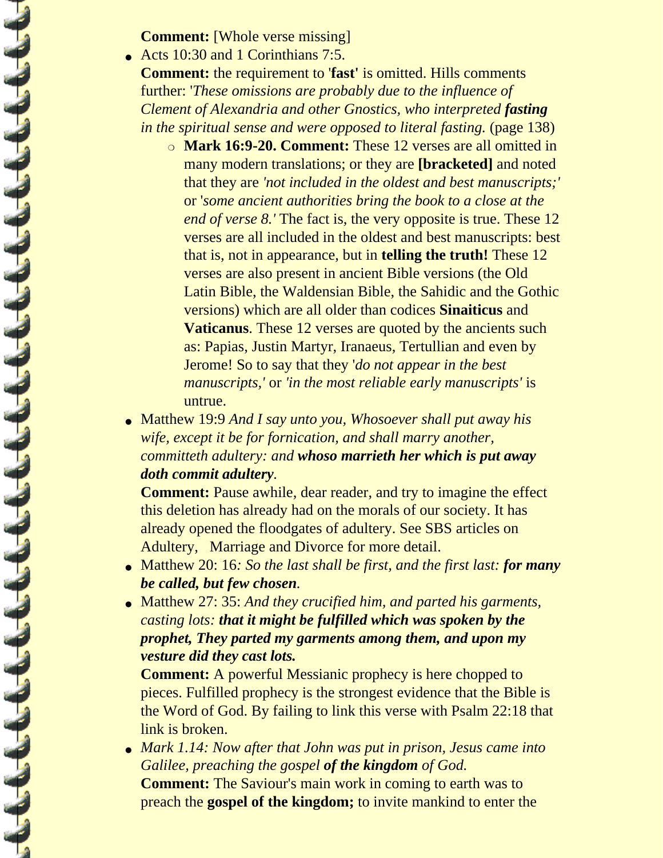**Comment:** [Whole verse missing]

• Acts 10:30 and 1 Corinthians 7:5.

**Comment:** the requirement to '**fast'** is omitted. Hills comments further: '*These omissions are probably due to the influence of Clement of Alexandria and other Gnostics, who interpreted fasting in the spiritual sense and were opposed to literal fasting.* (page 138)

- ❍ **Mark 16:9-20. Comment:** These 12 verses are all omitted in many modern translations; or they are **[bracketed]** and noted that they are *'not included in the oldest and best manuscripts;'*  or '*some ancient authorities bring the book to a close at the end of verse 8.'* The fact is, the very opposite is true. These 12 verses are all included in the oldest and best manuscripts: best that is, not in appearance, but in **telling the truth!** These 12 verses are also present in ancient Bible versions (the Old Latin Bible, the Waldensian Bible, the Sahidic and the Gothic versions) which are all older than codices **Sinaiticus** and **Vaticanus**. These 12 verses are quoted by the ancients such as: Papias, Justin Martyr, Iranaeus, Tertullian and even by Jerome! So to say that they '*do not appear in the best manuscripts,'* or *'in the most reliable early manuscripts'* is untrue.
- Matthew 19:9 *And I say unto you, Whosoever shall put away his wife, except it be for fornication, and shall marry another, committeth adultery: and whoso marrieth her which is put away doth commit adultery.*

**Comment:** Pause awhile, dear reader, and try to imagine the effect this deletion has already had on the morals of our society. It has already opened the floodgates of adultery. See SBS articles on Adultery, Marriage and Divorce for more detail.

- Matthew 20: 16*: So the last shall be first, and the first last: for many be called, but few chosen.*
- Matthew 27: 35: And they crucified him, and parted his garments, *casting lots: that it might be fulfilled which was spoken by the prophet, They parted my garments among them, and upon my vesture did they cast lots.*

**Comment:** A powerful Messianic prophecy is here chopped to pieces. Fulfilled prophecy is the strongest evidence that the Bible is the Word of God. By failing to link this verse with Psalm 22:18 that link is broken.

● *Mark 1.14: Now after that John was put in prison, Jesus came into Galilee, preaching the gospel of the kingdom of God.* 

**Comment:** The Saviour's main work in coming to earth was to preach the **gospel of the kingdom;** to invite mankind to enter the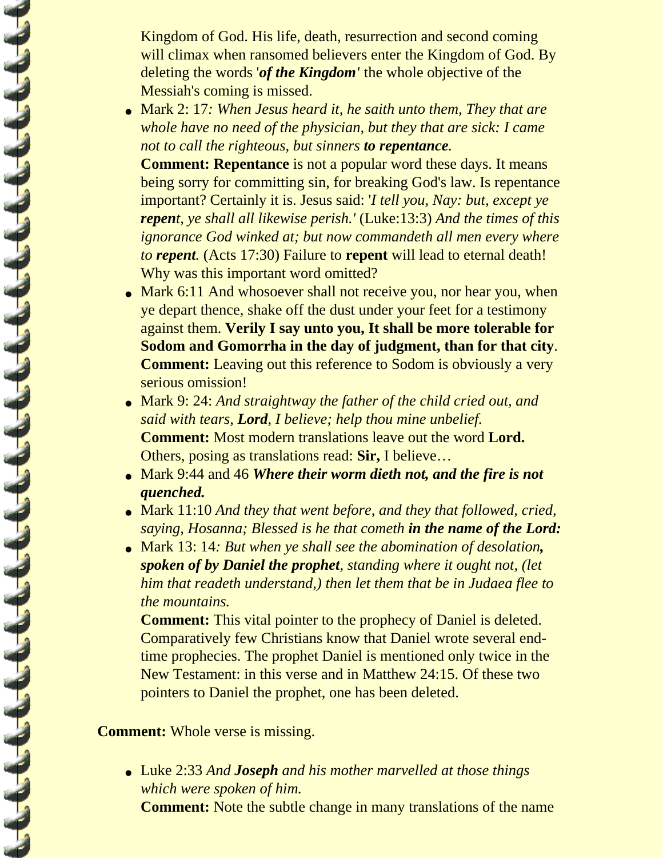Kingdom of God. His life, death, resurrection and second coming will climax when ransomed believers enter the Kingdom of God. By deleting the words '*of the Kingdom'* the whole objective of the Messiah's coming is missed.

● Mark 2: 17*: When Jesus heard it, he saith unto them, They that are whole have no need of the physician, but they that are sick: I came not to call the righteous, but sinners to repentance.* 

**Comment: Repentance** is not a popular word these days. It means being sorry for committing sin, for breaking God's law. Is repentance important? Certainly it is. Jesus said: '*I tell you, Nay: but, except ye repent, ye shall all likewise perish.'* (Luke:13:3) *And the times of this ignorance God winked at; but now commandeth all men every where to repent.* (Acts 17:30) Failure to **repent** will lead to eternal death! Why was this important word omitted?

- Mark 6:11 And whosoever shall not receive you, nor hear you, when ye depart thence, shake off the dust under your feet for a testimony against them. **Verily I say unto you, It shall be more tolerable for Sodom and Gomorrha in the day of judgment, than for that city**. **Comment:** Leaving out this reference to Sodom is obviously a very serious omission!
- Mark 9: 24: *And straightway the father of the child cried out, and said with tears, Lord, I believe; help thou mine unbelief.* **Comment:** Most modern translations leave out the word **Lord.**  Others, posing as translations read: **Sir,** I believe…
- Mark 9:44 and 46 *Where their worm dieth not, and the fire is not quenched.*
- Mark 11:10 *And they that went before, and they that followed, cried, saying, Hosanna; Blessed is he that cometh in the name of the Lord:*
- Mark 13: 14*: But when ye shall see the abomination of desolation, spoken of by Daniel the prophet, standing where it ought not, (let him that readeth understand,) then let them that be in Judaea flee to the mountains.*

**Comment:** This vital pointer to the prophecy of Daniel is deleted. Comparatively few Christians know that Daniel wrote several endtime prophecies. The prophet Daniel is mentioned only twice in the New Testament: in this verse and in Matthew 24:15. Of these two pointers to Daniel the prophet, one has been deleted.

### **Comment:** Whole verse is missing.

● Luke 2:33 *And Joseph and his mother marvelled at those things which were spoken of him.* 

**Comment:** Note the subtle change in many translations of the name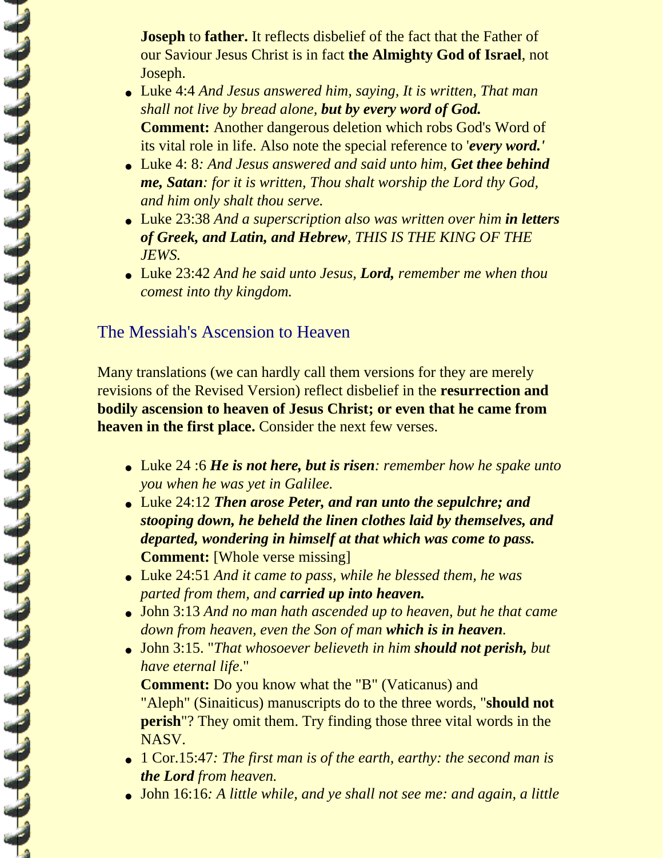**Joseph** to **father.** It reflects disbelief of the fact that the Father of our Saviour Jesus Christ is in fact **the Almighty God of Israel**, not Joseph.

- Luke 4:4 *And Jesus answered him, saying, It is written, That man shall not live by bread alone, but by every word of God.*  **Comment:** Another dangerous deletion which robs God's Word of its vital role in life. Also note the special reference to '*every word.'*
- Luke 4: 8*: And Jesus answered and said unto him, Get thee behind me, Satan: for it is written, Thou shalt worship the Lord thy God, and him only shalt thou serve.*
- Luke 23:38 *And a superscription also was written over him in letters of Greek, and Latin, and Hebrew, THIS IS THE KING OF THE JEWS.*
- Luke 23:42 *And he said unto Jesus, Lord, remember me when thou comest into thy kingdom.*

# The Messiah's Ascension to Heaven

Many translations (we can hardly call them versions for they are merely revisions of the Revised Version) reflect disbelief in the **resurrection and bodily ascension to heaven of Jesus Christ; or even that he came from heaven in the first place.** Consider the next few verses.

- Luke 24 :6 *He is not here, but is risen: remember how he spake unto you when he was yet in Galilee.*
- Luke 24:12 *Then arose Peter, and ran unto the sepulchre; and stooping down, he beheld the linen clothes laid by themselves, and departed, wondering in himself at that which was come to pass.*  **Comment:** [Whole verse missing]
- Luke 24:51 *And it came to pass, while he blessed them, he was parted from them, and carried up into heaven.*
- John 3:13 *And no man hath ascended up to heaven, but he that came down from heaven, even the Son of man which is in heaven.*
- John 3:15. "*That whosoever believeth in him should not perish, but have eternal life*."

**Comment:** Do you know what the "B" (Vaticanus) and "Aleph" (Sinaiticus) manuscripts do to the three words, "**should not perish**"? They omit them. Try finding those three vital words in the NASV.

- 1 Cor.15:47*: The first man is of the earth, earthy: the second man is the Lord from heaven.*
- John 16:16*: A little while, and ye shall not see me: and again, a little*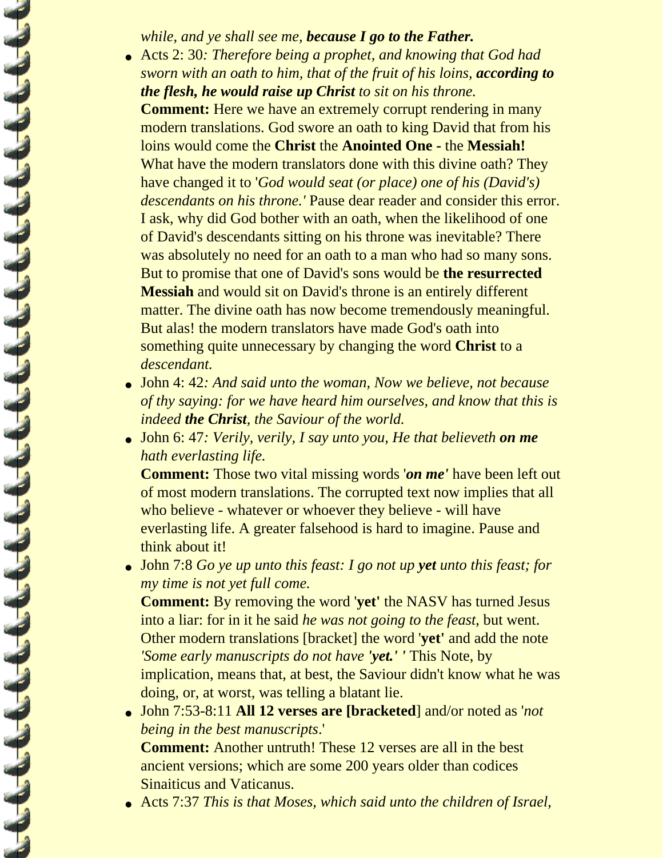*while, and ye shall see me, because I go to the Father.*

● Acts 2: 30*: Therefore being a prophet, and knowing that God had sworn with an oath to him, that of the fruit of his loins, according to the flesh, he would raise up Christ to sit on his throne.* 

**Comment:** Here we have an extremely corrupt rendering in many modern translations. God swore an oath to king David that from his loins would come the **Christ** the **Anointed One -** the **Messiah!** What have the modern translators done with this divine oath? They have changed it to '*God would seat (or place) one of his (David's) descendants on his throne.'* Pause dear reader and consider this error. I ask, why did God bother with an oath, when the likelihood of one of David's descendants sitting on his throne was inevitable? There was absolutely no need for an oath to a man who had so many sons. But to promise that one of David's sons would be **the resurrected Messiah** and would sit on David's throne is an entirely different matter. The divine oath has now become tremendously meaningful. But alas! the modern translators have made God's oath into something quite unnecessary by changing the word **Christ** to a *descendant.*

- John 4: 42*: And said unto the woman, Now we believe, not because of thy saying: for we have heard him ourselves, and know that this is indeed the Christ, the Saviour of the world.*
- John 6: 47*: Verily, verily, I say unto you, He that believeth on me hath everlasting life.*

**Comment:** Those two vital missing words '*on me'* have been left out of most modern translations. The corrupted text now implies that all who believe - whatever or whoever they believe - will have everlasting life. A greater falsehood is hard to imagine. Pause and think about it!

● John 7:8 *Go ye up unto this feast: I go not up yet unto this feast; for my time is not yet full come.* 

**Comment:** By removing the word '**yet'** the NASV has turned Jesus into a liar: for in it he said *he was not going to the feast*, but went. Other modern translations [bracket] the word '**yet'** and add the note *'Some early manuscripts do not have 'yet.' '* This Note, by implication, means that, at best, the Saviour didn't know what he was doing, or, at worst, was telling a blatant lie.

● John 7:53-8:11 **All 12 verses are [bracketed**] and/or noted as '*not being in the best manuscripts*.' **Comment:** Another untruth! These 12 verses are all in the best

ancient versions; which are some 200 years older than codices Sinaiticus and Vaticanus.

● Acts 7:37 *This is that Moses, which said unto the children of Israel,*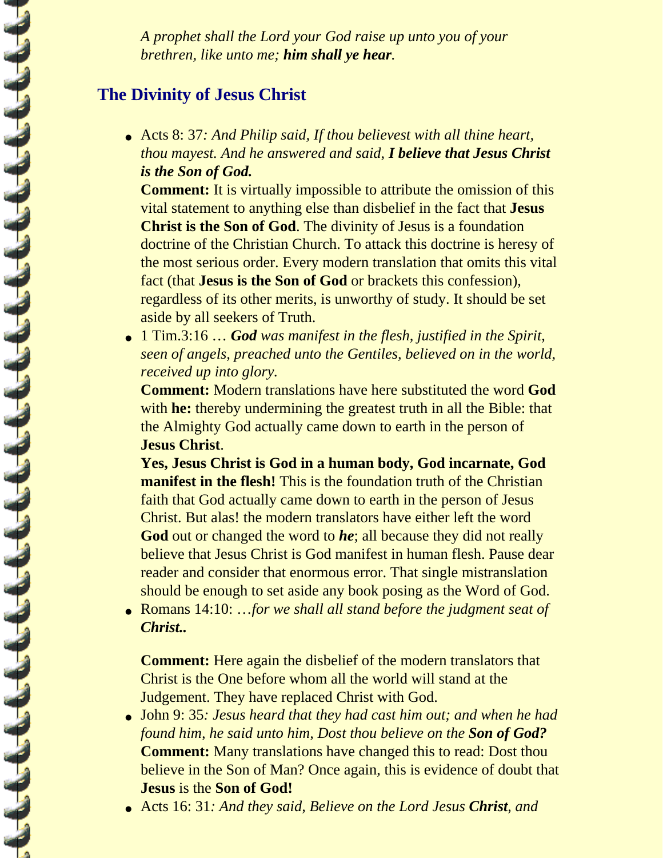*A prophet shall the Lord your God raise up unto you of your brethren, like unto me; him shall ye hear.*

## **The Divinity of Jesus Christ**

● Acts 8: 37*: And Philip said, If thou believest with all thine heart, thou mayest. And he answered and said, I believe that Jesus Christ is the Son of God.* 

**Comment:** It is virtually impossible to attribute the omission of this vital statement to anything else than disbelief in the fact that **Jesus Christ is the Son of God**. The divinity of Jesus is a foundation doctrine of the Christian Church. To attack this doctrine is heresy of the most serious order. Every modern translation that omits this vital fact (that **Jesus is the Son of God** or brackets this confession), regardless of its other merits, is unworthy of study. It should be set aside by all seekers of Truth.

● 1 Tim.3:16 … *God was manifest in the flesh, justified in the Spirit, seen of angels, preached unto the Gentiles, believed on in the world, received up into glory.* 

**Comment:** Modern translations have here substituted the word **God**  with **he:** thereby undermining the greatest truth in all the Bible: that the Almighty God actually came down to earth in the person of **Jesus Christ**.

**Yes, Jesus Christ is God in a human body, God incarnate, God manifest in the flesh!** This is the foundation truth of the Christian faith that God actually came down to earth in the person of Jesus Christ. But alas! the modern translators have either left the word **God** out or changed the word to *he*; all because they did not really believe that Jesus Christ is God manifest in human flesh. Pause dear reader and consider that enormous error. That single mistranslation should be enough to set aside any book posing as the Word of God.

● Romans 14:10: …*for we shall all stand before the judgment seat of Christ..* 

**Comment:** Here again the disbelief of the modern translators that Christ is the One before whom all the world will stand at the Judgement. They have replaced Christ with God.

- John 9: 35*: Jesus heard that they had cast him out; and when he had found him, he said unto him, Dost thou believe on the Son of God?* **Comment:** Many translations have changed this to read: Dost thou believe in the Son of Man? Once again, this is evidence of doubt that **Jesus** is the **Son of God!**
- Acts 16: 31*: And they said, Believe on the Lord Jesus Christ, and*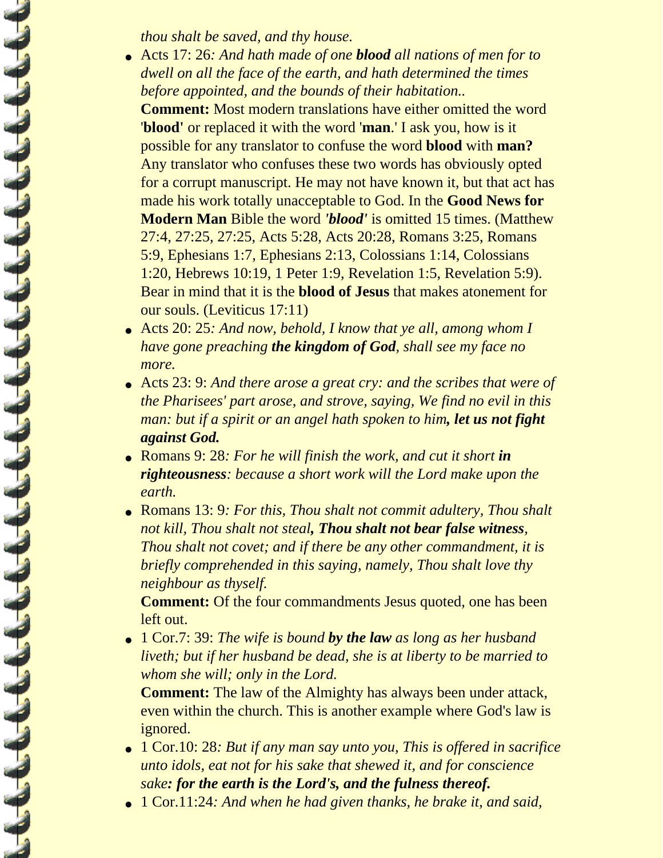*thou shalt be saved, and thy house.*

● Acts 17: 26*: And hath made of one blood all nations of men for to dwell on all the face of the earth, and hath determined the times before appointed, and the bounds of their habitation..* 

**Comment:** Most modern translations have either omitted the word '**blood'** or replaced it with the word '**man**.' I ask you, how is it possible for any translator to confuse the word **blood** with **man?**  Any translator who confuses these two words has obviously opted for a corrupt manuscript. He may not have known it, but that act has made his work totally unacceptable to God. In the **Good News for Modern Man** Bible the word *'blood'* is omitted 15 times. (Matthew 27:4, 27:25, 27:25, Acts 5:28, Acts 20:28, Romans 3:25, Romans 5:9, Ephesians 1:7, Ephesians 2:13, Colossians 1:14, Colossians 1:20, Hebrews 10:19, 1 Peter 1:9, Revelation 1:5, Revelation 5:9). Bear in mind that it is the **blood of Jesus** that makes atonement for our souls. (Leviticus 17:11)

- Acts 20: 25*: And now, behold, I know that ye all, among whom I have gone preaching the kingdom of God, shall see my face no more.*
- Acts 23: 9: *And there arose a great cry: and the scribes that were of the Pharisees' part arose, and strove, saying, We find no evil in this man: but if a spirit or an angel hath spoken to him, let us not fight against God.*
- Romans 9: 28*: For he will finish the work, and cut it short in righteousness: because a short work will the Lord make upon the earth.*
- Romans 13: 9*: For this, Thou shalt not commit adultery, Thou shalt not kill, Thou shalt not steal, Thou shalt not bear false witness, Thou shalt not covet; and if there be any other commandment, it is briefly comprehended in this saying, namely, Thou shalt love thy neighbour as thyself.*

**Comment:** Of the four commandments Jesus quoted, one has been left out.

● 1 Cor.7: 39: *The wife is bound by the law as long as her husband liveth; but if her husband be dead, she is at liberty to be married to whom she will; only in the Lord.* 

**Comment:** The law of the Almighty has always been under attack, even within the church. This is another example where God's law is ignored.

- 1 Cor.10: 28*: But if any man say unto you, This is offered in sacrifice unto idols, eat not for his sake that shewed it, and for conscience sake: for the earth is the Lord's, and the fulness thereof.*
- 1 Cor.11:24*: And when he had given thanks, he brake it, and said,*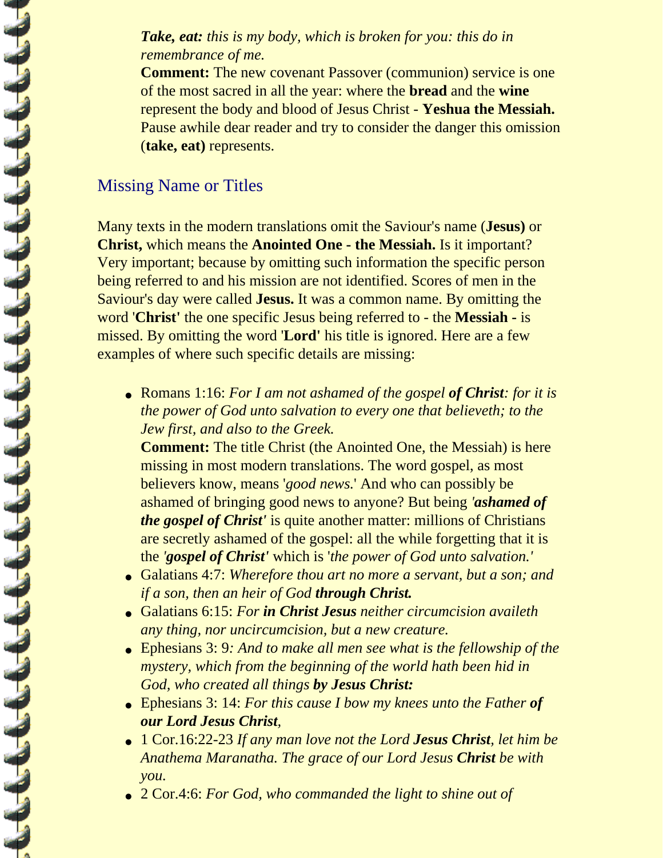#### *Take, eat: this is my body, which is broken for you: this do in remembrance of me.*

**Comment:** The new covenant Passover (communion) service is one of the most sacred in all the year: where the **bread** and the **wine**  represent the body and blood of Jesus Christ - **Yeshua the Messiah.** Pause awhile dear reader and try to consider the danger this omission (**take, eat)** represents.

### Missing Name or Titles

Many texts in the modern translations omit the Saviour's name (**Jesus)** or **Christ,** which means the **Anointed One - the Messiah.** Is it important? Very important; because by omitting such information the specific person being referred to and his mission are not identified. Scores of men in the Saviour's day were called **Jesus.** It was a common name. By omitting the word '**Christ'** the one specific Jesus being referred to - the **Messiah -** is missed. By omitting the word '**Lord'** his title is ignored. Here are a few examples of where such specific details are missing:

● Romans 1:16: *For I am not ashamed of the gospel of Christ: for it is the power of God unto salvation to every one that believeth; to the Jew first, and also to the Greek.* 

**Comment:** The title Christ (the Anointed One, the Messiah) is here missing in most modern translations. The word gospel, as most believers know, means '*good news.*' And who can possibly be ashamed of bringing good news to anyone? But being *'ashamed of the gospel of Christ'* is quite another matter: millions of Christians are secretly ashamed of the gospel: all the while forgetting that it is the *'gospel of Christ'* which is '*the power of God unto salvation.'*

- Galatians 4:7: *Wherefore thou art no more a servant, but a son; and if a son, then an heir of God through Christ.*
- Galatians 6:15: *For in Christ Jesus neither circumcision availeth any thing, nor uncircumcision, but a new creature.*
- Ephesians 3: 9*: And to make all men see what is the fellowship of the mystery, which from the beginning of the world hath been hid in God, who created all things by Jesus Christ:*
- Ephesians 3: 14: *For this cause I bow my knees unto the Father of our Lord Jesus Christ,*
- 1 Cor.16:22-23 *If any man love not the Lord Jesus Christ, let him be Anathema Maranatha. The grace of our Lord Jesus Christ be with you.*
- 2 Cor.4:6: *For God, who commanded the light to shine out of*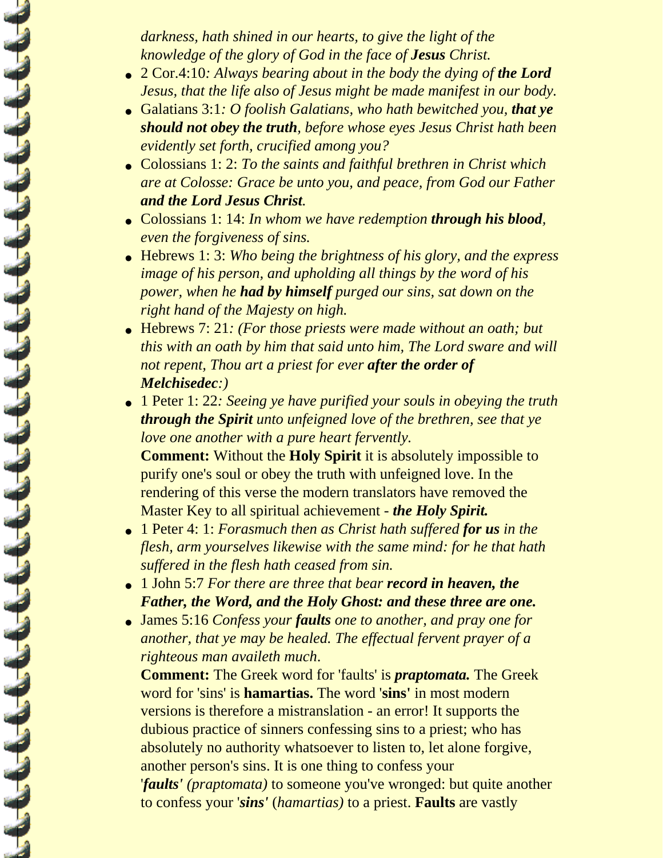*darkness, hath shined in our hearts, to give the light of the knowledge of the glory of God in the face of Jesus Christ.*

- 2 Cor.4:10*: Always bearing about in the body the dying of the Lord Jesus, that the life also of Jesus might be made manifest in our body.*
- Galatians 3:1*: O foolish Galatians, who hath bewitched you, that ye should not obey the truth, before whose eyes Jesus Christ hath been evidently set forth, crucified among you?*
- Colossians 1: 2: *To the saints and faithful brethren in Christ which are at Colosse: Grace be unto you, and peace, from God our Father and the Lord Jesus Christ.*
- Colossians 1: 14: *In whom we have redemption through his blood, even the forgiveness of sins.*
- Hebrews 1: 3: *Who being the brightness of his glory, and the express image of his person, and upholding all things by the word of his power, when he had by himself purged our sins, sat down on the right hand of the Majesty on high.*
- Hebrews 7: 21*: (For those priests were made without an oath; but this with an oath by him that said unto him, The Lord sware and will not repent, Thou art a priest for ever after the order of Melchisedec:)*
- 1 Peter 1: 22*: Seeing ye have purified your souls in obeying the truth through the Spirit unto unfeigned love of the brethren, see that ye love one another with a pure heart fervently.*

**Comment:** Without the **Holy Spirit** it is absolutely impossible to purify one's soul or obey the truth with unfeigned love. In the rendering of this verse the modern translators have removed the Master Key to all spiritual achievement - *the Holy Spirit.*

- 1 Peter 4: 1: *Forasmuch then as Christ hath suffered for us in the flesh, arm yourselves likewise with the same mind: for he that hath suffered in the flesh hath ceased from sin.*
- 1 John 5:7 *For there are three that bear record in heaven, the Father, the Word, and the Holy Ghost: and these three are one.*
- James 5:16 *Confess your faults one to another, and pray one for another, that ye may be healed. The effectual fervent prayer of a righteous man availeth much*.

**Comment:** The Greek word for 'faults' is *praptomata.* The Greek word for 'sins' is **hamartias.** The word '**sins'** in most modern versions is therefore a mistranslation - an error! It supports the dubious practice of sinners confessing sins to a priest; who has absolutely no authority whatsoever to listen to, let alone forgive, another person's sins. It is one thing to confess your '*faults' (praptomata)* to someone you've wronged: but quite another to confess your '*sins'* (*hamartias)* to a priest. **Faults** are vastly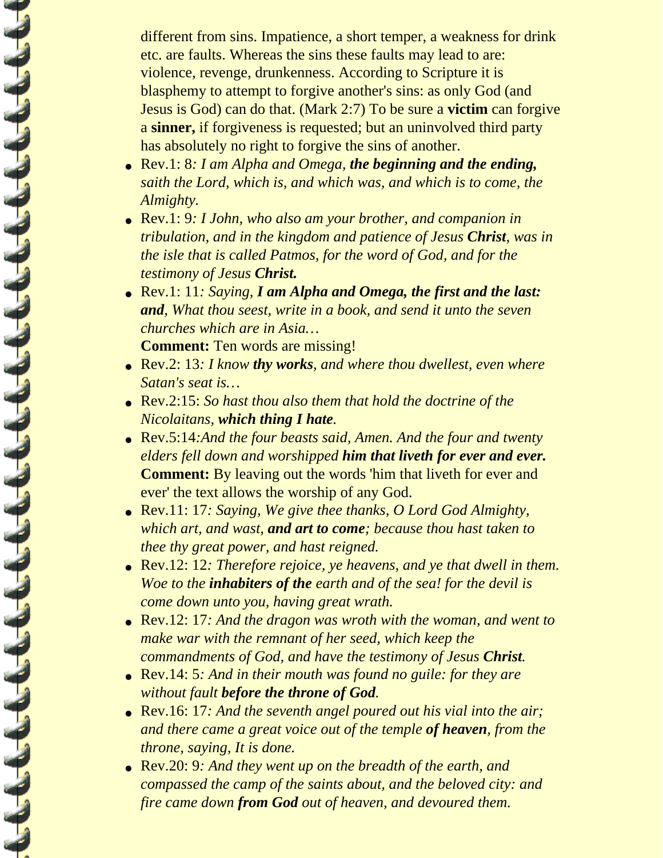different from sins. Impatience, a short temper, a weakness for drink etc. are faults. Whereas the sins these faults may lead to are: violence, revenge, drunkenness. According to Scripture it is blasphemy to attempt to forgive another's sins: as only God (and Jesus is God) can do that. (Mark 2:7) To be sure a **victim** can forgive a **sinner,** if forgiveness is requested; but an uninvolved third party has absolutely no right to forgive the sins of another.

- Rev.1: 8*: I am Alpha and Omega, the beginning and the ending, saith the Lord, which is, and which was, and which is to come, the Almighty.*
- Rev.1: 9*: I John, who also am your brother, and companion in tribulation, and in the kingdom and patience of Jesus Christ, was in the isle that is called Patmos, for the word of God, and for the testimony of Jesus Christ.*
- Rev.1: 11*: Saying, I am Alpha and Omega, the first and the last: and, What thou seest, write in a book, and send it unto the seven churches which are in Asia…*

**Comment:** Ten words are missing!

- Rev.2: 13*: I know thy works, and where thou dwellest, even where Satan's seat is…*
- Rev.2:15: *So hast thou also them that hold the doctrine of the Nicolaitans, which thing I hate.*
- Rev.5:14*:And the four beasts said, Amen. And the four and twenty elders fell down and worshipped him that liveth for ever and ever.*  **Comment:** By leaving out the words 'him that liveth for ever and ever' the text allows the worship of any God.
- Rev.11: 17*: Saying, We give thee thanks, O Lord God Almighty, which art, and wast, and art to come; because thou hast taken to thee thy great power, and hast reigned.*
- Rev.12: 12*: Therefore rejoice, ye heavens, and ye that dwell in them. Woe to the inhabiters of the earth and of the sea! for the devil is come down unto you, having great wrath.*
- Rev.12: 17*: And the dragon was wroth with the woman, and went to make war with the remnant of her seed, which keep the commandments of God, and have the testimony of Jesus Christ.*
- Rev.14: 5*: And in their mouth was found no guile: for they are without fault before the throne of God.*
- Rev.16: 17*: And the seventh angel poured out his vial into the air; and there came a great voice out of the temple of heaven, from the throne, saying, It is done.*
- Rev.20: 9*: And they went up on the breadth of the earth, and compassed the camp of the saints about, and the beloved city: and fire came down from God out of heaven, and devoured them.*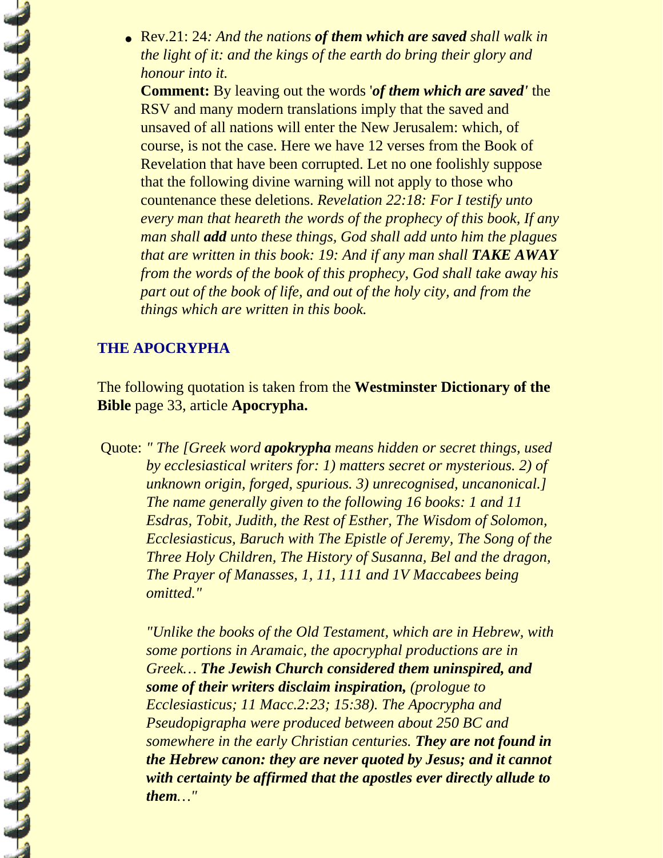● Rev.21: 24*: And the nations of them which are saved shall walk in the light of it: and the kings of the earth do bring their glory and honour into it.* 

**Comment:** By leaving out the words '*of them which are saved'* the RSV and many modern translations imply that the saved and unsaved of all nations will enter the New Jerusalem: which, of course, is not the case. Here we have 12 verses from the Book of Revelation that have been corrupted. Let no one foolishly suppose that the following divine warning will not apply to those who countenance these deletions. *Revelation 22:18: For I testify unto every man that heareth the words of the prophecy of this book, If any man shall add unto these things, God shall add unto him the plagues that are written in this book: 19: And if any man shall TAKE AWAY from the words of the book of this prophecy, God shall take away his part out of the book of life, and out of the holy city, and from the things which are written in this book.*

#### **THE APOCRYPHA**

The following quotation is taken from the **Westminster Dictionary of the Bible** page 33, article **Apocrypha.**

Quote: *" The [Greek word apokrypha means hidden or secret things, used by ecclesiastical writers for: 1) matters secret or mysterious. 2) of unknown origin, forged, spurious. 3) unrecognised, uncanonical.] The name generally given to the following 16 books: 1 and 11 Esdras, Tobit, Judith, the Rest of Esther, The Wisdom of Solomon, Ecclesiasticus, Baruch with The Epistle of Jeremy, The Song of the Three Holy Children, The History of Susanna, Bel and the dragon, The Prayer of Manasses, 1, 11, 111 and 1V Maccabees being omitted."* 

> *"Unlike the books of the Old Testament, which are in Hebrew, with some portions in Aramaic, the apocryphal productions are in Greek… The Jewish Church considered them uninspired, and some of their writers disclaim inspiration, (prologue to Ecclesiasticus; 11 Macc.2:23; 15:38). The Apocrypha and Pseudopigrapha were produced between about 250 BC and somewhere in the early Christian centuries. They are not found in the Hebrew canon: they are never quoted by Jesus; and it cannot with certainty be affirmed that the apostles ever directly allude to them…"*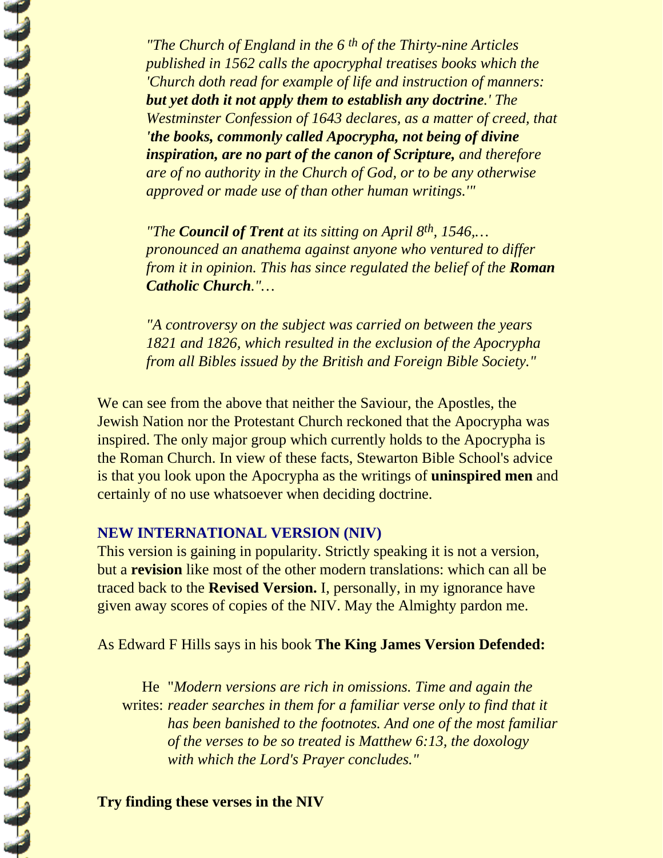*"The Church of England in the 6 th of the Thirty-nine Articles published in 1562 calls the apocryphal treatises books which the 'Church doth read for example of life and instruction of manners: but yet doth it not apply them to establish any doctrine.' The Westminster Confession of 1643 declares, as a matter of creed, that 'the books, commonly called Apocrypha, not being of divine inspiration, are no part of the canon of Scripture, and therefore are of no authority in the Church of God, or to be any otherwise approved or made use of than other human writings.'"* 

*"The Council of Trent at its sitting on April 8th, 1546,… pronounced an anathema against anyone who ventured to differ from it in opinion. This has since regulated the belief of the Roman Catholic Church."…* 

*"A controversy on the subject was carried on between the years 1821 and 1826, which resulted in the exclusion of the Apocrypha from all Bibles issued by the British and Foreign Bible Society."*

We can see from the above that neither the Saviour, the Apostles, the Jewish Nation nor the Protestant Church reckoned that the Apocrypha was inspired. The only major group which currently holds to the Apocrypha is the Roman Church. In view of these facts, Stewarton Bible School's advice is that you look upon the Apocrypha as the writings of **uninspired men** and certainly of no use whatsoever when deciding doctrine.

#### **NEW INTERNATIONAL VERSION (NIV)**

This version is gaining in popularity. Strictly speaking it is not a version, but a **revision** like most of the other modern translations: which can all be traced back to the **Revised Version.** I, personally, in my ignorance have given away scores of copies of the NIV. May the Almighty pardon me.

As Edward F Hills says in his book **The King James Version Defended:**

He "*Modern versions are rich in omissions. Time and again the*  writes: *reader searches in them for a familiar verse only to find that it has been banished to the footnotes. And one of the most familiar of the verses to be so treated is Matthew 6:13, the doxology with which the Lord's Prayer concludes."*

**Try finding these verses in the NIV**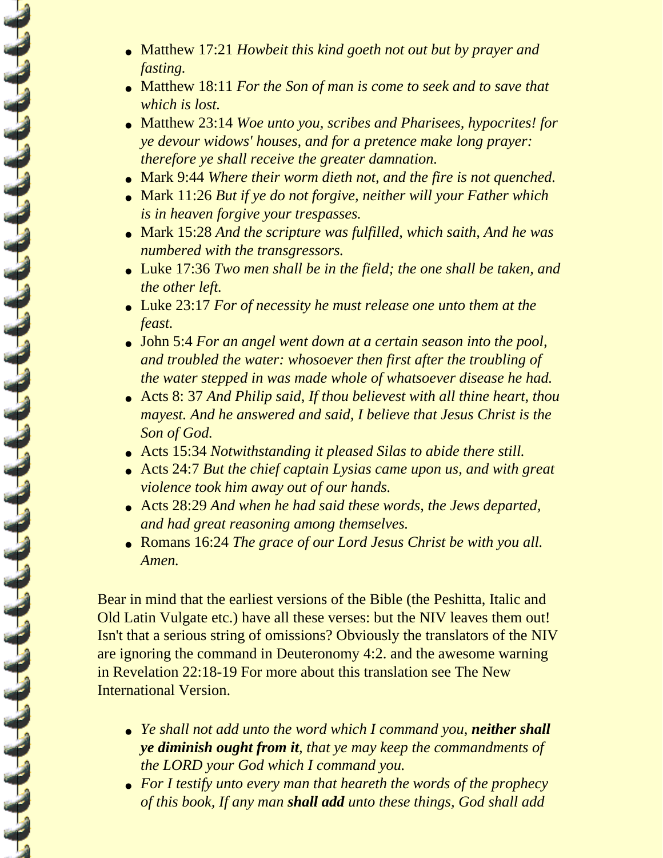- Matthew 17:21 *Howbeit this kind goeth not out but by prayer and fasting.*
- Matthew 18:11 *For the Son of man is come to seek and to save that which is lost.*
- Matthew 23:14 *Woe unto you, scribes and Pharisees, hypocrites! for ye devour widows' houses, and for a pretence make long prayer: therefore ye shall receive the greater damnation.*
- Mark 9:44 Where their worm dieth not, and the fire is not quenched.
- Mark 11:26 *But if ye do not forgive, neither will your Father which is in heaven forgive your trespasses.*
- Mark 15:28 *And the scripture was fulfilled, which saith, And he was numbered with the transgressors.*
- Luke 17:36 *Two men shall be in the field; the one shall be taken, and the other left.*
- Luke 23:17 For of necessity he must release one unto them at the *feast.*
- John 5:4 *For an angel went down at a certain season into the pool, and troubled the water: whosoever then first after the troubling of the water stepped in was made whole of whatsoever disease he had.*
- Acts 8: 37 *And Philip said, If thou believest with all thine heart, thou mayest. And he answered and said, I believe that Jesus Christ is the Son of God.*
- Acts 15:34 *Notwithstanding it pleased Silas to abide there still.*

- Acts 24:7 *But the chief captain Lysias came upon us, and with great violence took him away out of our hands.*
- Acts 28:29 *And when he had said these words, the Jews departed, and had great reasoning among themselves.*
- Romans 16:24 *The grace of our Lord Jesus Christ be with you all. Amen.*

Bear in mind that the earliest versions of the Bible (the Peshitta, Italic and Old Latin Vulgate etc.) have all these verses: but the NIV leaves them out! Isn't that a serious string of omissions? Obviously the translators of the NIV are ignoring the command in Deuteronomy 4:2. and the awesome warning in Revelation 22:18-19 For more about this translation see The New International Version.

- *Ye shall not add unto the word which I command you, neither shall ye diminish ought from it, that ye may keep the commandments of the LORD your God which I command you.*
- *For I testify unto every man that heareth the words of the prophecy of this book, If any man shall add unto these things, God shall add*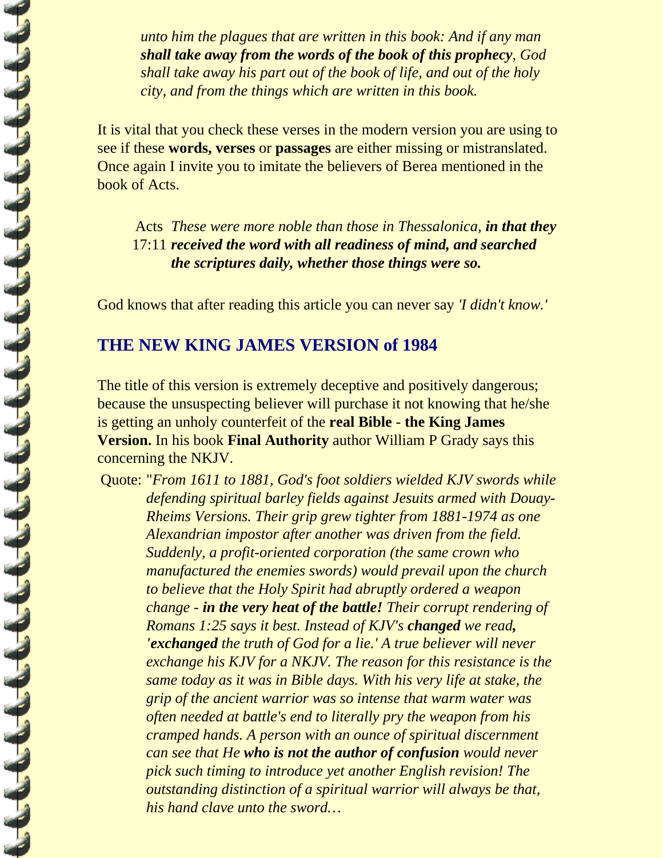*unto him the plagues that are written in this book: And if any man shall take away from the words of the book of this prophecy, God shall take away his part out of the book of life, and out of the holy city, and from the things which are written in this book.* 

It is vital that you check these verses in the modern version you are using to see if these **words, verses** or **passages** are either missing or mistranslated. Once again I invite you to imitate the believers of Berea mentioned in the book of Acts.

Acts *These were more noble than those in Thessalonica, in that they*  17:11 *received the word with all readiness of mind, and searched the scriptures daily, whether those things were so.*

God knows that after reading this article you can never say *'I didn't know.'*

#### **THE NEW KING JAMES VERSION of 1984**

The title of this version is extremely deceptive and positively dangerous; because the unsuspecting believer will purchase it not knowing that he/she is getting an unholy counterfeit of the **real Bible** - **the King James Version.** In his book **Final Authority** author William P Grady says this concerning the NKJV.

Quote: "*From 1611 to 1881, God's foot soldiers wielded KJV swords while defending spiritual barley fields against Jesuits armed with Douay-Rheims Versions. Their grip grew tighter from 1881-1974 as one Alexandrian impostor after another was driven from the field. Suddenly, a profit-oriented corporation (the same crown who manufactured the enemies swords) would prevail upon the church to believe that the Holy Spirit had abruptly ordered a weapon change - in the very heat of the battle! Their corrupt rendering of Romans 1:25 says it best. Instead of KJV's changed we read, 'exchanged the truth of God for a lie.' A true believer will never exchange his KJV for a NKJV. The reason for this resistance is the same today as it was in Bible days. With his very life at stake, the grip of the ancient warrior was so intense that warm water was often needed at battle's end to literally pry the weapon from his cramped hands. A person with an ounce of spiritual discernment can see that He who is not the author of confusion would never pick such timing to introduce yet another English revision! The outstanding distinction of a spiritual warrior will always be that, his hand clave unto the sword…*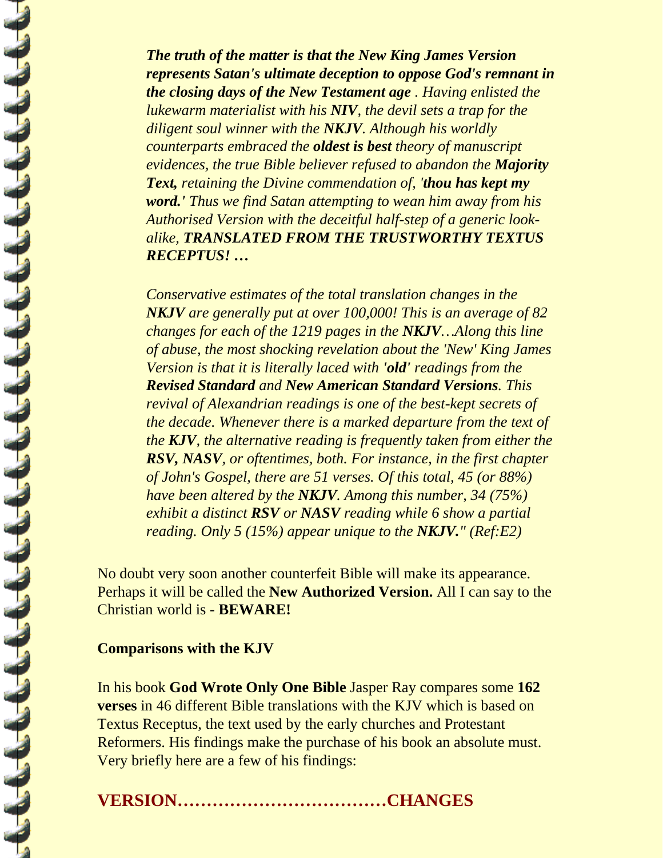*The truth of the matter is that the New King James Version represents Satan's ultimate deception to oppose God's remnant in the closing days of the New Testament age . Having enlisted the lukewarm materialist with his NIV, the devil sets a trap for the diligent soul winner with the NKJV. Although his worldly counterparts embraced the oldest is best theory of manuscript evidences, the true Bible believer refused to abandon the Majority Text, retaining the Divine commendation of, 'thou has kept my word.' Thus we find Satan attempting to wean him away from his Authorised Version with the deceitful half-step of a generic lookalike, TRANSLATED FROM THE TRUSTWORTHY TEXTUS RECEPTUS! …* 

*Conservative estimates of the total translation changes in the NKJV are generally put at over 100,000! This is an average of 82 changes for each of the 1219 pages in the NKJV…Along this line of abuse, the most shocking revelation about the 'New' King James Version is that it is literally laced with 'old' readings from the Revised Standard and New American Standard Versions. This revival of Alexandrian readings is one of the best-kept secrets of the decade. Whenever there is a marked departure from the text of the KJV, the alternative reading is frequently taken from either the RSV, NASV, or oftentimes, both. For instance, in the first chapter of John's Gospel, there are 51 verses. Of this total, 45 (or 88%) have been altered by the NKJV. Among this number, 34 (75%) exhibit a distinct RSV or NASV reading while 6 show a partial reading. Only 5 (15%) appear unique to the NKJV." (Ref:E2)* 

No doubt very soon another counterfeit Bible will make its appearance. Perhaps it will be called the **New Authorized Version.** All I can say to the Christian world is - **BEWARE!** 

#### **Comparisons with the KJV**

In his book **God Wrote Only One Bible** Jasper Ray compares some **162 verses** in 46 different Bible translations with the KJV which is based on Textus Receptus, the text used by the early churches and Protestant Reformers. His findings make the purchase of his book an absolute must. Very briefly here are a few of his findings:

**VERSION………………………………CHANGES**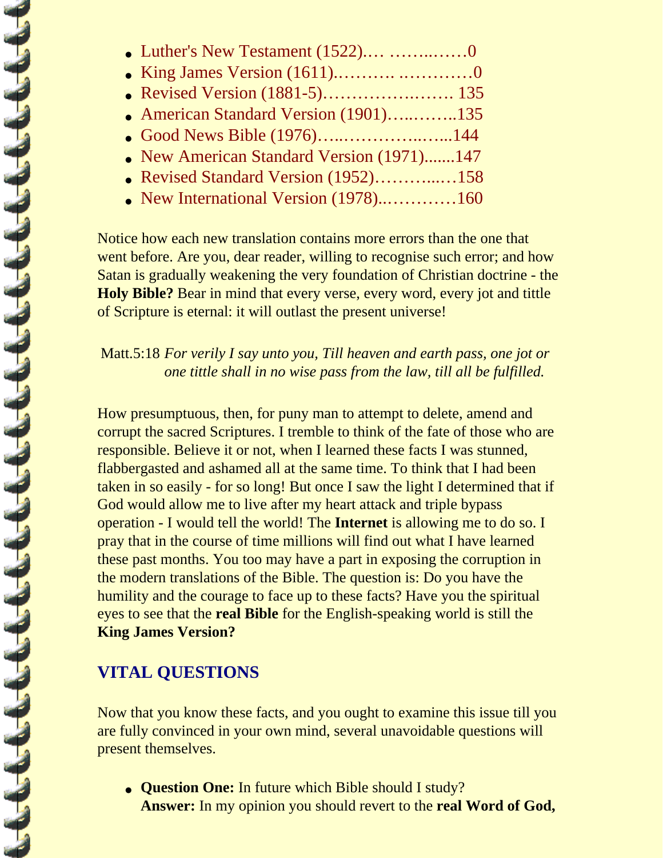- Luther's New Testament (1522).... .................0 ● King James Version (1611).………. .…………0 • Revised Version (1881-5)…………………… 135 • American Standard Version (1901)…..........135 • Good News Bible (1976)...............................144 • New American Standard Version (1971).......147 • Revised Standard Version (1952)…………..158
- New International Version (1978)...............160

Notice how each new translation contains more errors than the one that went before. Are you, dear reader, willing to recognise such error; and how Satan is gradually weakening the very foundation of Christian doctrine - the **Holy Bible?** Bear in mind that every verse, every word, every jot and tittle of Scripture is eternal: it will outlast the present universe!

#### Matt.5:18 *For verily I say unto you, Till heaven and earth pass, one jot or one tittle shall in no wise pass from the law, till all be fulfilled.*

How presumptuous, then, for puny man to attempt to delete, amend and corrupt the sacred Scriptures. I tremble to think of the fate of those who are responsible. Believe it or not, when I learned these facts I was stunned, flabbergasted and ashamed all at the same time. To think that I had been taken in so easily - for so long! But once I saw the light I determined that if God would allow me to live after my heart attack and triple bypass operation - I would tell the world! The **Internet** is allowing me to do so. I pray that in the course of time millions will find out what I have learned these past months. You too may have a part in exposing the corruption in the modern translations of the Bible. The question is: Do you have the humility and the courage to face up to these facts? Have you the spiritual eyes to see that the **real Bible** for the English-speaking world is still the **King James Version?** 

### **VITAL QUESTIONS**

Now that you know these facts, and you ought to examine this issue till you are fully convinced in your own mind, several unavoidable questions will present themselves.

• **Question One:** In future which Bible should I study? **Answer:** In my opinion you should revert to the **real Word of God,**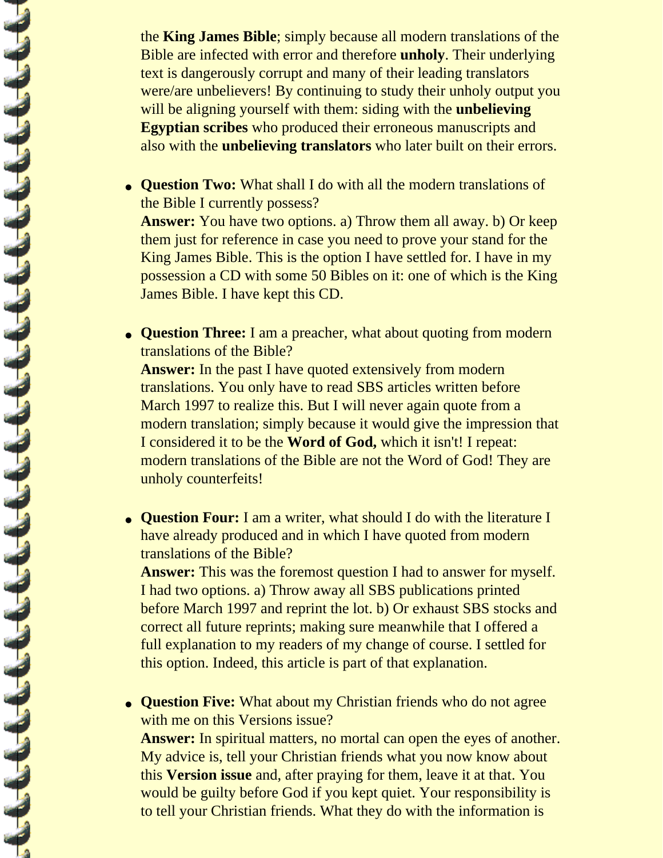the **King James Bible**; simply because all modern translations of the Bible are infected with error and therefore **unholy**. Their underlying text is dangerously corrupt and many of their leading translators were/are unbelievers! By continuing to study their unholy output you will be aligning yourself with them: siding with the **unbelieving Egyptian scribes** who produced their erroneous manuscripts and also with the **unbelieving translators** who later built on their errors.

• **Question Two:** What shall I do with all the modern translations of the Bible I currently possess?

**Answer:** You have two options. a) Throw them all away. b) Or keep them just for reference in case you need to prove your stand for the King James Bible. This is the option I have settled for. I have in my possession a CD with some 50 Bibles on it: one of which is the King James Bible. I have kept this CD.

• **Question Three:** I am a preacher, what about quoting from modern translations of the Bible?

**Answer:** In the past I have quoted extensively from modern translations. You only have to read SBS articles written before March 1997 to realize this. But I will never again quote from a modern translation; simply because it would give the impression that I considered it to be the **Word of God,** which it isn't! I repeat: modern translations of the Bible are not the Word of God! They are unholy counterfeits!

● **Question Four:** I am a writer, what should I do with the literature I have already produced and in which I have quoted from modern translations of the Bible?

**Answer:** This was the foremost question I had to answer for myself. I had two options. a) Throw away all SBS publications printed before March 1997 and reprint the lot. b) Or exhaust SBS stocks and correct all future reprints; making sure meanwhile that I offered a full explanation to my readers of my change of course. I settled for this option. Indeed, this article is part of that explanation.

• **Question Five:** What about my Christian friends who do not agree with me on this Versions issue?

**Answer:** In spiritual matters, no mortal can open the eyes of another. My advice is, tell your Christian friends what you now know about this **Version issue** and, after praying for them, leave it at that. You would be guilty before God if you kept quiet. Your responsibility is to tell your Christian friends. What they do with the information is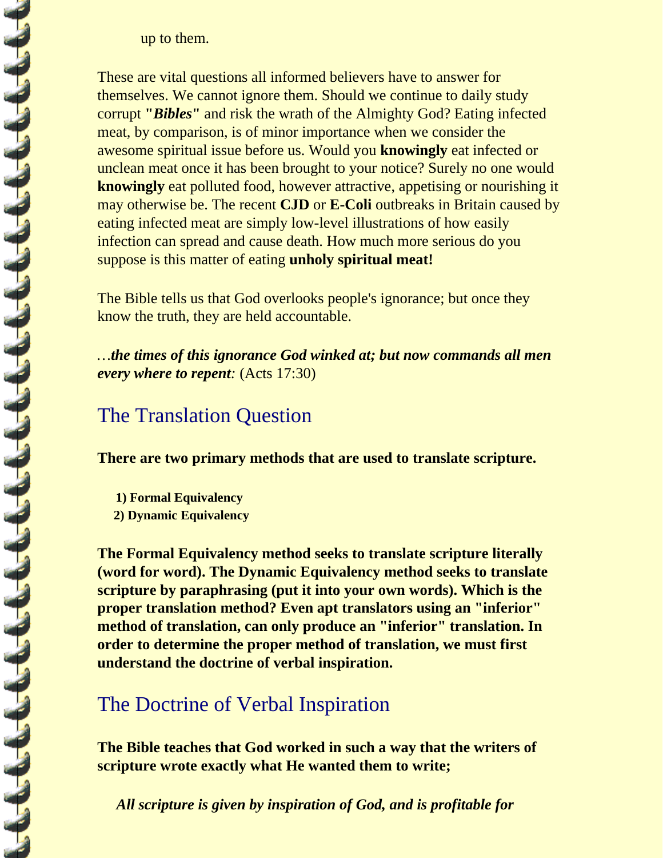up to them.

These are vital questions all informed believers have to answer for themselves. We cannot ignore them. Should we continue to daily study corrupt **"***Bibles***"** and risk the wrath of the Almighty God? Eating infected meat, by comparison, is of minor importance when we consider the awesome spiritual issue before us. Would you **knowingly** eat infected or unclean meat once it has been brought to your notice? Surely no one would **knowingly** eat polluted food, however attractive, appetising or nourishing it may otherwise be. The recent **CJD** or **E-Coli** outbreaks in Britain caused by eating infected meat are simply low-level illustrations of how easily infection can spread and cause death. How much more serious do you suppose is this matter of eating **unholy spiritual meat!** 

The Bible tells us that God overlooks people's ignorance; but once they know the truth, they are held accountable.

*…the times of this ignorance God winked at; but now commands all men every where to repent:* (Acts 17:30)

## The Translation Question

**There are two primary methods that are used to translate scripture.**

 **1) Formal Equivalency** 

 **2) Dynamic Equivalency**

**The Formal Equivalency method seeks to translate scripture literally (word for word). The Dynamic Equivalency method seeks to translate scripture by paraphrasing (put it into your own words). Which is the proper translation method? Even apt translators using an "inferior" method of translation, can only produce an "inferior" translation. In order to determine the proper method of translation, we must first understand the doctrine of verbal inspiration.**

# The Doctrine of Verbal Inspiration

**The Bible teaches that God worked in such a way that the writers of scripture wrote exactly what He wanted them to write;**

*All scripture is given by inspiration of God, and is profitable for*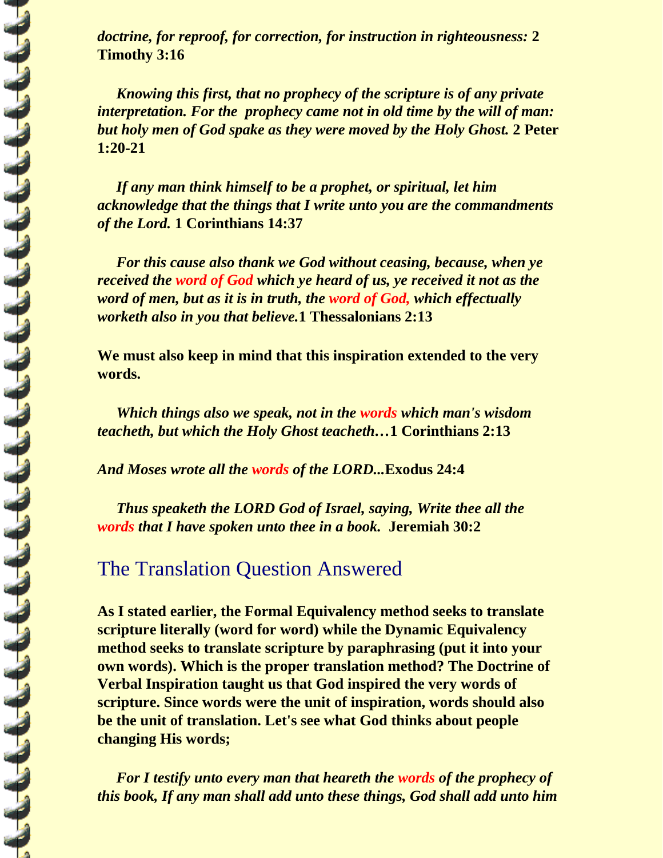*doctrine, for reproof, for correction, for instruction in righteousness:* **2 Timothy 3:16**

*Knowing this first, that no prophecy of the scripture is of any private interpretation. For the prophecy came not in old time by the will of man: but holy men of God spake as they were moved by the Holy Ghost.* **2 Peter 1:20-21**

*If any man think himself to be a prophet, or spiritual, let him acknowledge that the things that I write unto you are the commandments of the Lord.* **1 Corinthians 14:37**

*For this cause also thank we God without ceasing, because, when ye received the word of God which ye heard of us, ye received it not as the word of men, but as it is in truth, the word of God, which effectually worketh also in you that believe.***1 Thessalonians 2:13**

**We must also keep in mind that this inspiration extended to the very words.**

*Which things also we speak, not in the words which man's wisdom teacheth, but which the Holy Ghost teacheth…***1 Corinthians 2:13**

*And Moses wrote all the words of the LORD...***Exodus 24:4**

*Thus speaketh the LORD God of Israel, saying, Write thee all the words that I have spoken unto thee in a book.* **Jeremiah 30:2**

The Translation Question Answered

**As I stated earlier, the Formal Equivalency method seeks to translate scripture literally (word for word) while the Dynamic Equivalency method seeks to translate scripture by paraphrasing (put it into your own words). Which is the proper translation method? The Doctrine of Verbal Inspiration taught us that God inspired the very words of scripture. Since words were the unit of inspiration, words should also be the unit of translation. Let's see what God thinks about people changing His words;**

*For I testify unto every man that heareth the words of the prophecy of this book, If any man shall add unto these things, God shall add unto him*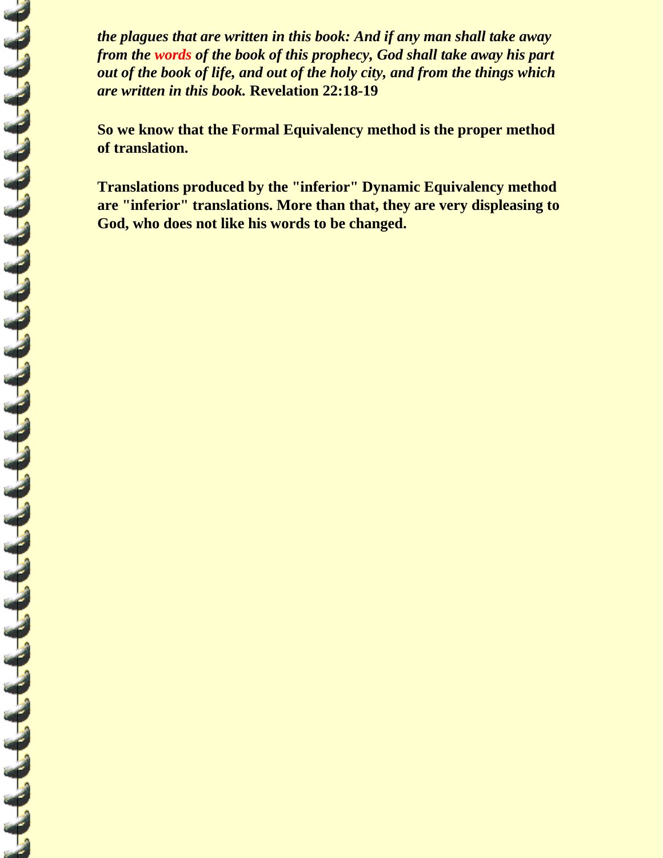*the plagues that are written in this book: And if any man shall take away from the words of the book of this prophecy, God shall take away his part out of the book of life, and out of the holy city, and from the things which are written in this book.* **Revelation 22:18-19**

**So we know that the Formal Equivalency method is the proper method of translation.**

**Translations produced by the "inferior" Dynamic Equivalency method are "inferior" translations. More than that, they are very displeasing to God, who does not like his words to be changed.**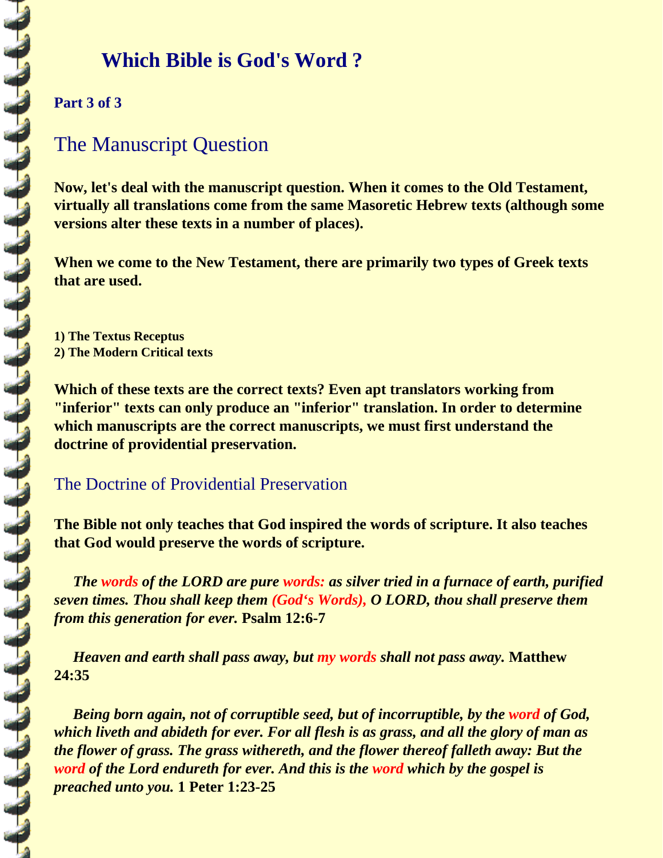# **Which Bible is God's Word ?**

**Part 3 of 3**

# The Manuscript Question

**Now, let's deal with the manuscript question. When it comes to the Old Testament, virtually all translations come from the same Masoretic Hebrew texts (although some versions alter these texts in a number of places).**

**When we come to the New Testament, there are primarily two types of Greek texts that are used.**

**1) The Textus Receptus 2) The Modern Critical texts**

**Which of these texts are the correct texts? Even apt translators working from "inferior" texts can only produce an "inferior" translation. In order to determine which manuscripts are the correct manuscripts, we must first understand the doctrine of providential preservation.**

## The Doctrine of Providential Preservation

**The Bible not only teaches that God inspired the words of scripture. It also teaches that God would preserve the words of scripture.**

*The words of the LORD are pure words: as silver tried in a furnace of earth, purified seven times. Thou shall keep them (God's Words), O LORD, thou shall preserve them from this generation for ever.* **Psalm 12:6-7**

*Heaven and earth shall pass away, but my words shall not pass away.* **Matthew 24:35**

*Being born again, not of corruptible seed, but of incorruptible, by the word of God, which liveth and abideth for ever. For all flesh is as grass, and all the glory of man as the flower of grass. The grass withereth, and the flower thereof falleth away: But the word of the Lord endureth for ever. And this is the word which by the gospel is preached unto you.* **1 Peter 1:23-25**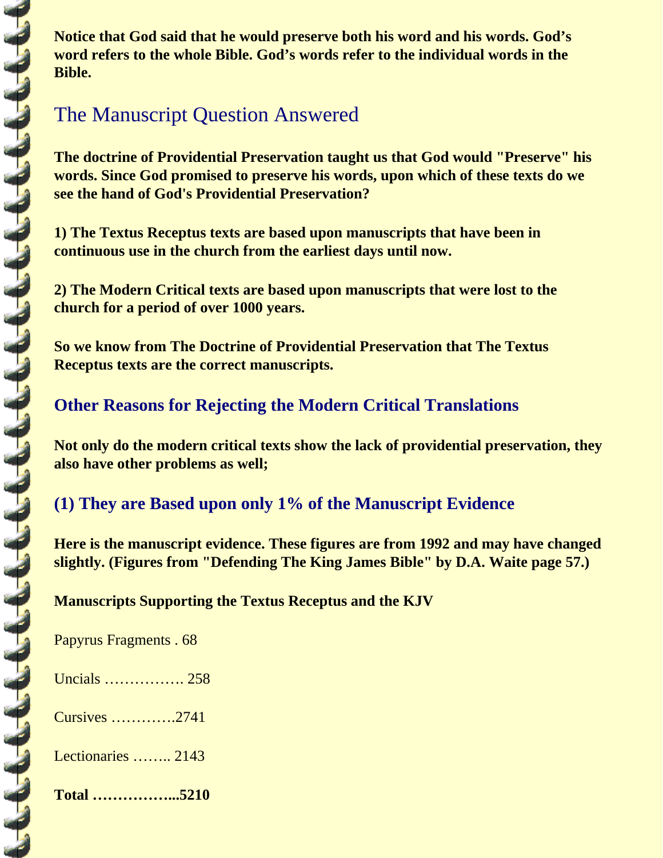**Notice that God said that he would preserve both his word and his words. God's word refers to the whole Bible. God's words refer to the individual words in the Bible.**

# The Manuscript Question Answered

**The doctrine of Providential Preservation taught us that God would "Preserve" his words. Since God promised to preserve his words, upon which of these texts do we see the hand of God's Providential Preservation?**

**1) The Textus Receptus texts are based upon manuscripts that have been in continuous use in the church from the earliest days until now.**

**2) The Modern Critical texts are based upon manuscripts that were lost to the church for a period of over 1000 years.**

**So we know from The Doctrine of Providential Preservation that The Textus Receptus texts are the correct manuscripts.**

## **Other Reasons for Rejecting the Modern Critical Translations**

**Not only do the modern critical texts show the lack of providential preservation, they also have other problems as well;**

## **(1) They are Based upon only 1% of the Manuscript Evidence**

**Here is the manuscript evidence. These figures are from 1992 and may have changed slightly. (Figures from "Defending The King James Bible" by D.A. Waite page 57.)**

### **Manuscripts Supporting the Textus Receptus and the KJV**

Papyrus Fragments . 68

Uncials ……………. 258

Cursives ………….2741

Lectionaries …….. 2143

**Total ……………...5210**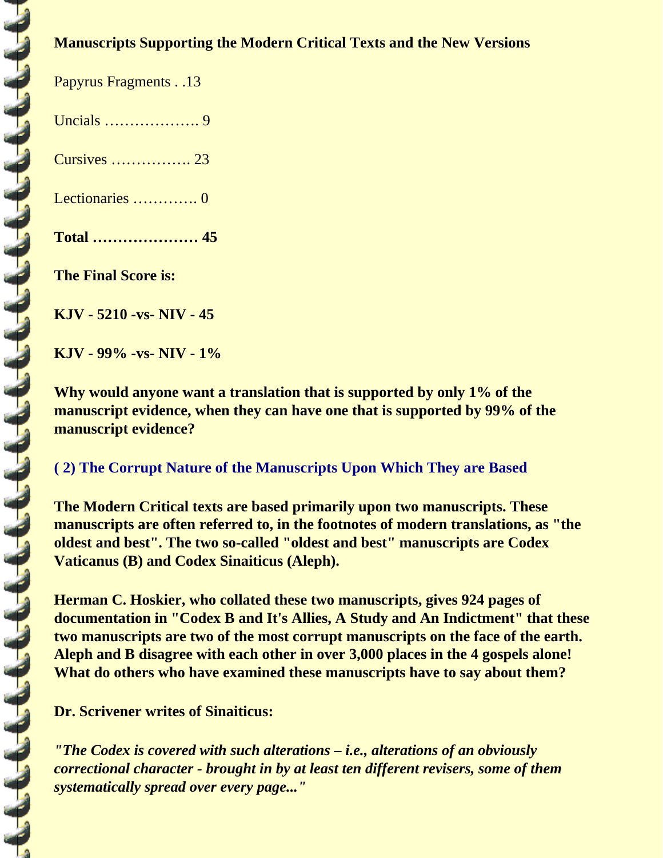

### **Manuscripts Supporting the Modern Critical Texts and the New Versions**

Papyrus Fragments . .13

Uncials ………………. 9

Cursives ……………. 23

Lectionaries …………. 0

**Total ………………… 45**

**The Final Score is:**

**KJV - 5210 -vs- NIV - 45**

**KJV - 99% -vs- NIV - 1%**

**Why would anyone want a translation that is supported by only 1% of the manuscript evidence, when they can have one that is supported by 99% of the manuscript evidence?**

**( 2) The Corrupt Nature of the Manuscripts Upon Which They are Based**

**The Modern Critical texts are based primarily upon two manuscripts. These manuscripts are often referred to, in the footnotes of modern translations, as "the oldest and best". The two so-called "oldest and best" manuscripts are Codex Vaticanus (B) and Codex Sinaiticus (Aleph).**

**Herman C. Hoskier, who collated these two manuscripts, gives 924 pages of documentation in "Codex B and It's Allies, A Study and An Indictment" that these two manuscripts are two of the most corrupt manuscripts on the face of the earth. Aleph and B disagree with each other in over 3,000 places in the 4 gospels alone! What do others who have examined these manuscripts have to say about them?**

**Dr. Scrivener writes of Sinaiticus:**

*"The Codex is covered with such alterations – i.e., alterations of an obviously correctional character - brought in by at least ten different revisers, some of them systematically spread over every page..."*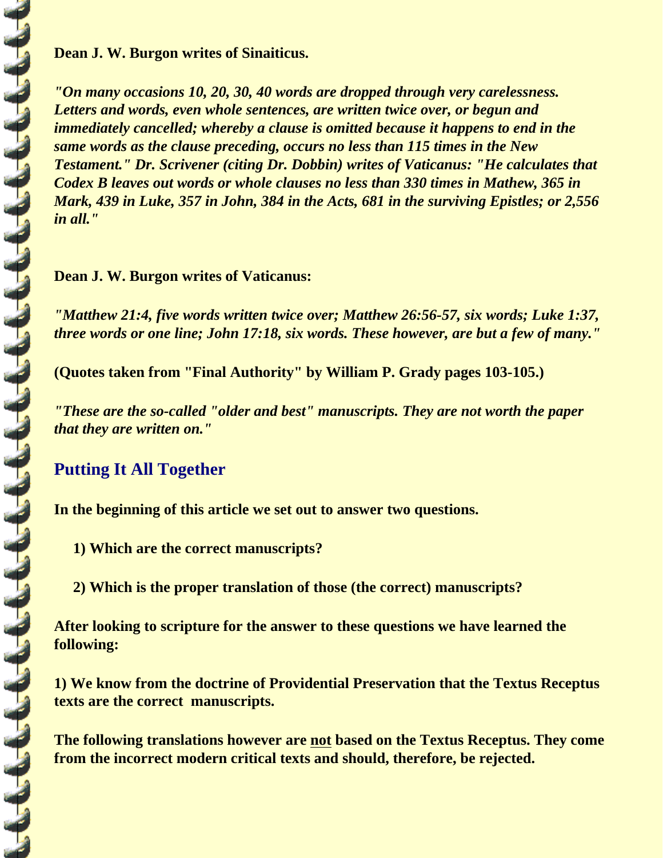**Dean J. W. Burgon writes of Sinaiticus.**

*"On many occasions 10, 20, 30, 40 words are dropped through very carelessness. Letters and words, even whole sentences, are written twice over, or begun and immediately cancelled; whereby a clause is omitted because it happens to end in the same words as the clause preceding, occurs no less than 115 times in the New Testament." Dr. Scrivener (citing Dr. Dobbin) writes of Vaticanus: "He calculates that Codex B leaves out words or whole clauses no less than 330 times in Mathew, 365 in Mark, 439 in Luke, 357 in John, 384 in the Acts, 681 in the surviving Epistles; or 2,556 in all."*

**Dean J. W. Burgon writes of Vaticanus:**

*"Matthew 21:4, five words written twice over; Matthew 26:56-57, six words; Luke 1:37, three words or one line; John 17:18, six words. These however, are but a few of many."*

**(Quotes taken from "Final Authority" by William P. Grady pages 103-105.)**

*"These are the so-called "older and best" manuscripts. They are not worth the paper that they are written on."*

**Putting It All Together**

**In the beginning of this article we set out to answer two questions.**

- **1) Which are the correct manuscripts?**
- **2) Which is the proper translation of those (the correct) manuscripts?**

**After looking to scripture for the answer to these questions we have learned the following:**

**1) We know from the doctrine of Providential Preservation that the Textus Receptus texts are the correct manuscripts.**

**The following translations however are not based on the Textus Receptus. They come from the incorrect modern critical texts and should, therefore, be rejected.**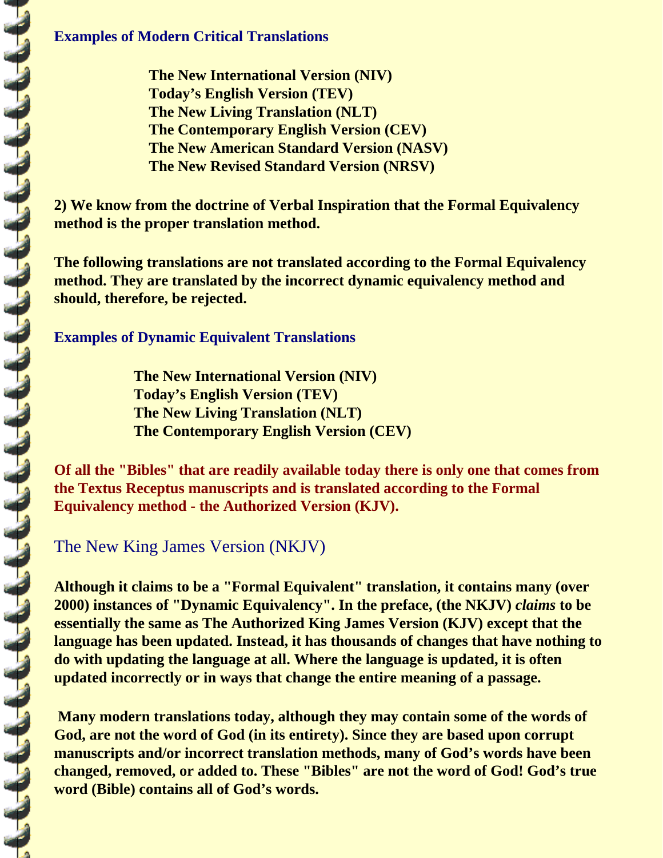### **Examples of Modern Critical Translations**

 **The New International Version (NIV) Today's English Version (TEV) The New Living Translation (NLT) The Contemporary English Version (CEV) The New American Standard Version (NASV) The New Revised Standard Version (NRSV)**

**2) We know from the doctrine of Verbal Inspiration that the Formal Equivalency method is the proper translation method.**

**The following translations are not translated according to the Formal Equivalency method. They are translated by the incorrect dynamic equivalency method and should, therefore, be rejected.**

**Examples of Dynamic Equivalent Translations**

 **The New International Version (NIV) Today's English Version (TEV) The New Living Translation (NLT) The Contemporary English Version (CEV)**

**Of all the "Bibles" that are readily available today there is only one that comes from the Textus Receptus manuscripts and is translated according to the Formal Equivalency method - the Authorized Version (KJV).** 

The New King James Version (NKJV)

**Although it claims to be a "Formal Equivalent" translation, it contains many (over 2000) instances of "Dynamic Equivalency". In the preface, (the NKJV)** *claims* **to be essentially the same as The Authorized King James Version (KJV) except that the language has been updated. Instead, it has thousands of changes that have nothing to do with updating the language at all. Where the language is updated, it is often updated incorrectly or in ways that change the entire meaning of a passage.**

**Many modern translations today, although they may contain some of the words of God, are not the word of God (in its entirety). Since they are based upon corrupt manuscripts and/or incorrect translation methods, many of God's words have been changed, removed, or added to. These "Bibles" are not the word of God! God's true word (Bible) contains all of God's words.**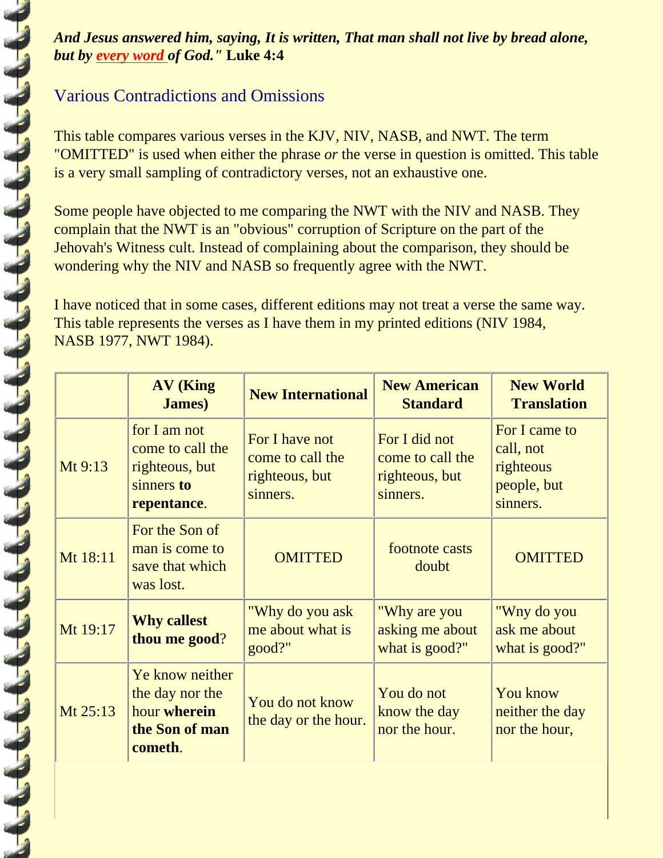*And Jesus answered him, saying, It is written, That man shall not live by bread alone, but by every word of God."* **Luke 4:4**

### Various Contradictions and Omissions

This table compares various verses in the KJV, NIV, NASB, and NWT. The term "OMITTED" is used when either the phrase *or* the verse in question is omitted. This table is a very small sampling of contradictory verses, not an exhaustive one.

Some people have objected to me comparing the NWT with the NIV and NASB. They complain that the NWT is an "obvious" corruption of Scripture on the part of the Jehovah's Witness cult. Instead of complaining about the comparison, they should be wondering why the NIV and NASB so frequently agree with the NWT.

I have noticed that in some cases, different editions may not treat a verse the same way. This table represents the verses as I have them in my printed editions (NIV 1984, NASB 1977, NWT 1984).

|          | <b>AV</b> (King<br><b>James</b> )                                               | <b>New International</b>                                         | <b>New American</b><br><b>Standard</b>                          | <b>New World</b><br><b>Translation</b>                             |
|----------|---------------------------------------------------------------------------------|------------------------------------------------------------------|-----------------------------------------------------------------|--------------------------------------------------------------------|
| Mt 9:13  | for I am not<br>come to call the<br>righteous, but<br>sinners to<br>repentance. | For I have not<br>come to call the<br>righteous, but<br>sinners. | For I did not<br>come to call the<br>righteous, but<br>sinners. | For I came to<br>call, not<br>righteous<br>people, but<br>sinners. |
| Mt 18:11 | For the Son of<br>man is come to<br>save that which<br>was lost.                | <b>OMITTED</b>                                                   | footnote casts<br>doubt                                         | <b>OMITTED</b>                                                     |
| Mt 19:17 | <b>Why callest</b><br>thou me good?                                             | "Why do you ask<br>me about what is<br>good?"                    | "Why are you<br>asking me about<br>what is good?"               | "Wny do you<br>ask me about<br>what is good?"                      |
| Mt 25:13 | Ye know neither<br>the day nor the<br>hour wherein<br>the Son of man<br>cometh. | You do not know<br>the day or the hour.                          | You do not<br>know the day<br>nor the hour.                     | <b>You know</b><br>neither the day<br>nor the hour,                |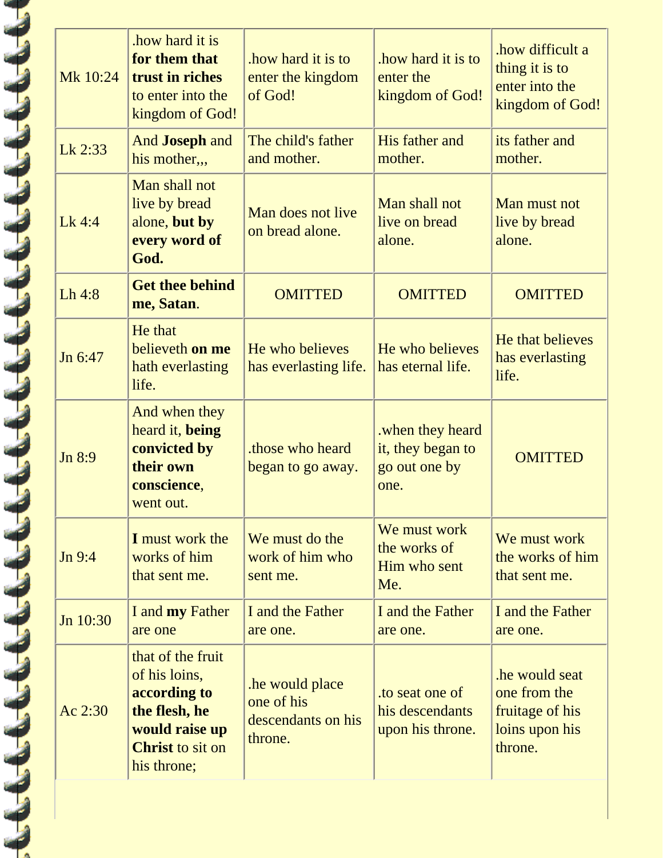| Mk 10:24 | how hard it is<br>for them that<br>trust in riches<br>to enter into the<br>kingdom of God!                                      | how hard it is to<br>enter the kingdom<br>of God!              | how hard it is to<br>enter the<br>kingdom of God!              | how difficult a<br>thing it is to<br>enter into the<br>kingdom of God!        |
|----------|---------------------------------------------------------------------------------------------------------------------------------|----------------------------------------------------------------|----------------------------------------------------------------|-------------------------------------------------------------------------------|
| Lk 2:33  | And <b>Joseph</b> and<br>his mother,,,                                                                                          | The child's father<br>and mother.                              | His father and<br>mother.                                      | its father and<br>mother.                                                     |
| $Lk$ 4:4 | Man shall not<br>live by bread<br>alone, but by<br>every word of<br>God.                                                        | Man does not live<br>on bread alone.                           | Man shall not<br>live on bread<br>alone.                       | Man must not<br>live by bread<br>alone.                                       |
| $Lh$ 4:8 | <b>Get thee behind</b><br>me, Satan.                                                                                            | <b>OMITTED</b>                                                 | <b>OMITTED</b>                                                 | <b>OMITTED</b>                                                                |
| Jn 6:47  | He that<br>believeth on me<br>hath everlasting<br>life.                                                                         | He who believes<br>has everlasting life.                       | He who believes<br>has eternal life.                           | He that believes<br>has everlasting<br>life.                                  |
| Jn 8:9   | And when they<br>heard it, being<br>convicted by<br>their own<br>conscience,<br>went out.                                       | those who heard.<br>began to go away.                          | when they heard.<br>it, they began to<br>go out one by<br>one. | <b>OMITTED</b>                                                                |
| Jn9:4    | I must work the<br>works of him<br>that sent me.                                                                                | We must do the<br>work of him who<br>sent me.                  | We must work<br>the works of<br>Him who sent<br>Me.            | We must work<br>the works of him<br>that sent me.                             |
| Jn 10:30 | I and <b>my</b> Father<br>are one                                                                                               | I and the Father<br>are one.                                   | I and the Father<br>are one.                                   | I and the Father<br>are one.                                                  |
| Ac 2:30  | that of the fruit<br>of his loins,<br>according to<br>the flesh, he<br>would raise up<br><b>Christ</b> to sit on<br>his throne; | he would place.<br>one of his<br>descendants on his<br>throne. | to seat one of<br>his descendants<br>upon his throne.          | he would seat<br>one from the<br>fruitage of his<br>loins upon his<br>throne. |

A REACTEMENT AND LEASE AND LEASE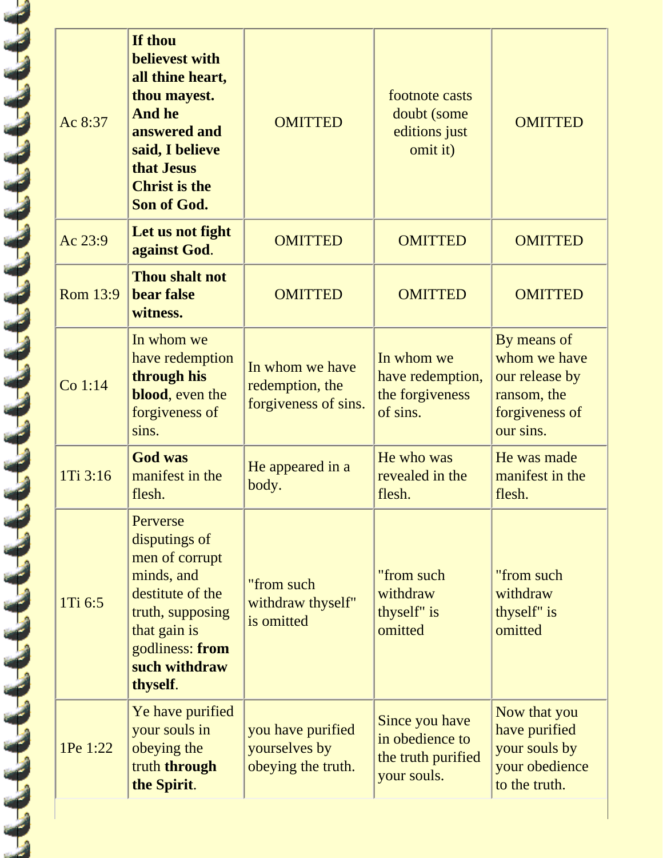| Ac 8:37         | <b>If thou</b><br>believest with<br>all thine heart,<br>thou mayest.<br><b>And he</b><br>answered and<br>said, I believe<br>that Jesus<br><b>Christ is the</b><br>Son of God. | <b>OMITTED</b>                                             | footnote casts<br>doubt (some<br>editions just<br>omit it)             | <b>OMITTED</b>                                                                              |
|-----------------|-------------------------------------------------------------------------------------------------------------------------------------------------------------------------------|------------------------------------------------------------|------------------------------------------------------------------------|---------------------------------------------------------------------------------------------|
| Ac 23:9         | Let us not fight<br>against God.                                                                                                                                              | <b>OMITTED</b>                                             | <b>OMITTED</b>                                                         | <b>OMITTED</b>                                                                              |
| <b>Rom 13:9</b> | <b>Thou shalt not</b><br><b>bear false</b><br>witness.                                                                                                                        | <b>OMITTED</b>                                             | <b>OMITTED</b>                                                         | <b>OMITTED</b>                                                                              |
| Co 1:14         | In whom we<br>have redemption<br>through his<br>blood, even the<br>forgiveness of<br>sins.                                                                                    | In whom we have<br>redemption, the<br>forgiveness of sins. | In whom we<br>have redemption,<br>the forgiveness<br>of sins.          | By means of<br>whom we have<br>our release by<br>ransom, the<br>forgiveness of<br>our sins. |
| 1Ti 3:16        | <b>God was</b><br>manifest in the<br>flesh.                                                                                                                                   | He appeared in a<br>body.                                  | He who was<br>revealed in the<br>flesh.                                | He was made<br>manifest in the<br>flesh.                                                    |
| 1Ti 6:5         | Perverse<br>disputings of<br>men of corrupt<br>minds, and<br>destitute of the<br>truth, supposing<br>that gain is<br>godliness: from<br>such withdraw<br>thyself.             | "from such<br>withdraw thyself"<br>is omitted              | "from such<br>withdraw<br>thyself" is<br>omitted                       | "from such<br>withdraw<br>thyself" is<br>omitted                                            |
| 1Pe 1:22        | Ye have purified<br>your souls in<br>obeying the<br>truth through<br>the Spirit.                                                                                              | you have purified<br>yourselves by<br>obeying the truth.   | Since you have<br>in obedience to<br>the truth purified<br>your souls. | Now that you<br>have purified<br>your souls by<br>your obedience<br>to the truth.           |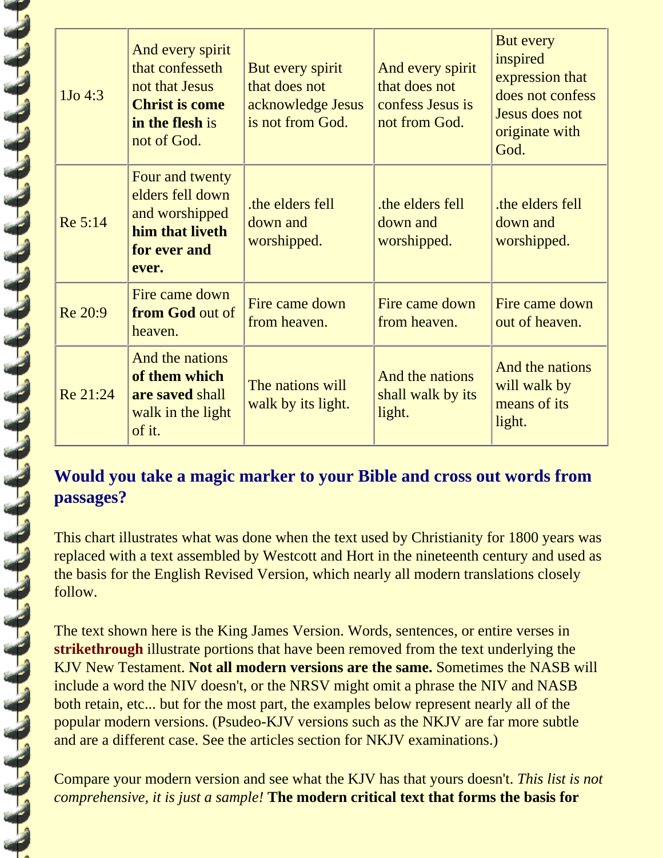| $1J_0 4:3$ | And every spirit<br>that confesseth<br>not that Jesus<br><b>Christ is come</b><br>in the flesh is<br>not of God. | But every spirit<br>that does not<br>acknowledge Jesus<br>is not from God. | And every spirit<br>that does not<br>confess Jesus is<br>not from God. | <b>But every</b><br>inspired<br>expression that<br>does not confess<br>Jesus does not<br>originate with<br>God. |
|------------|------------------------------------------------------------------------------------------------------------------|----------------------------------------------------------------------------|------------------------------------------------------------------------|-----------------------------------------------------------------------------------------------------------------|
| Re 5:14    | Four and twenty<br>elders fell down<br>and worshipped<br>him that liveth<br>for ever and<br>ever.                | the elders fell.<br>down and<br>worshipped.                                | the elders fell.<br>down and<br>worshipped.                            | the elders fell.<br>down and<br>worshipped.                                                                     |
| Re 20:9    | Fire came down<br>from God out of<br>heaven.                                                                     | Fire came down<br>from heaven.                                             | Fire came down<br>from heaven.                                         | Fire came down<br>out of heaven.                                                                                |
| Re 21:24   | And the nations<br>of them which<br>are saved shall<br>walk in the light<br>of it.                               | The nations will<br>walk by its light.                                     | And the nations<br>shall walk by its<br>light.                         | And the nations<br>will walk by<br>means of its<br>light.                                                       |

## **Would you take a magic marker to your Bible and cross out words from passages?**

This chart illustrates what was done when the text used by Christianity for 1800 years was replaced with a text assembled by Westcott and Hort in the nineteenth century and used as the basis for the English Revised Version, which nearly all modern translations closely follow.

The text shown here is the King James Version. Words, sentences, or entire verses in **strikethrough** illustrate portions that have been removed from the text underlying the KJV New Testament. **Not all modern versions are the same.** Sometimes the NASB will include a word the NIV doesn't, or the NRSV might omit a phrase the NIV and NASB both retain, etc... but for the most part, the examples below represent nearly all of the popular modern versions. (Psudeo-KJV versions such as the NKJV are far more subtle and are a different case. See the articles section for NKJV examinations.)

Compare your modern version and see what the KJV has that yours doesn't. *This list is not comprehensive, it is just a sample!* **The modern critical text that forms the basis for**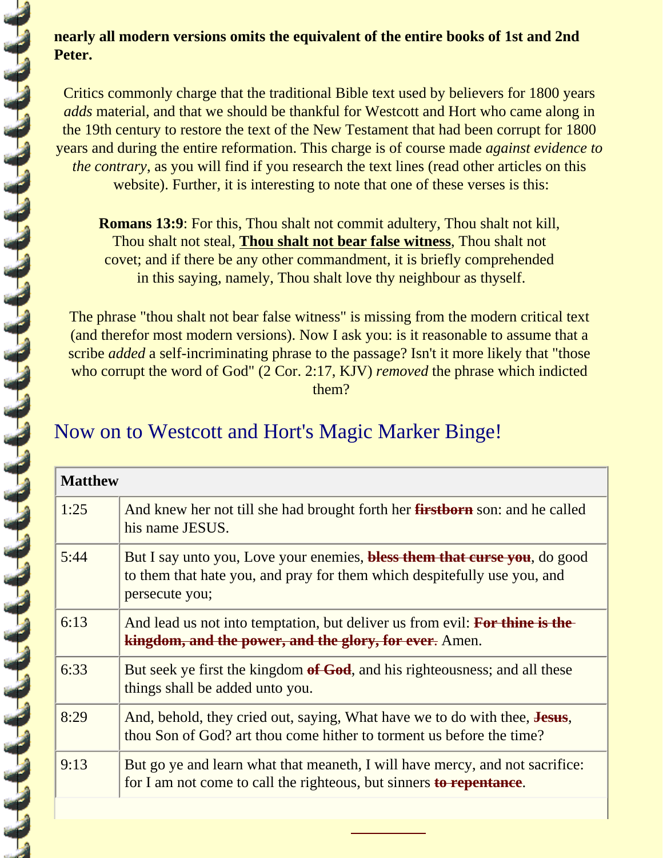#### **nearly all modern versions omits the equivalent of the entire books of 1st and 2nd Peter.**

Critics commonly charge that the traditional Bible text used by believers for 1800 years *adds* material, and that we should be thankful for Westcott and Hort who came along in the 19th century to restore the text of the New Testament that had been corrupt for 1800 years and during the entire reformation. This charge is of course made *against evidence to the contrary*, as you will find if you research the text lines (read other articles on this website). Further, it is interesting to note that one of these verses is this:

**Romans 13:9**: For this, Thou shalt not commit adultery, Thou shalt not kill, Thou shalt not steal, **Thou shalt not bear false witness**, Thou shalt not covet; and if there be any other commandment, it is briefly comprehended in this saying, namely, Thou shalt love thy neighbour as thyself.

The phrase "thou shalt not bear false witness" is missing from the modern critical text (and therefor most modern versions). Now I ask you: is it reasonable to assume that a scribe *added* a self-incriminating phrase to the passage? Isn't it more likely that "those who corrupt the word of God" (2 Cor. 2:17, KJV) *removed* the phrase which indicted them?

# Now on to Westcott and Hort's Magic Marker Binge!

| <b>Matthew</b> |                                                                                                                                                                          |
|----------------|--------------------------------------------------------------------------------------------------------------------------------------------------------------------------|
| 1:25           | And knew her not till she had brought forth her <b>firstborn</b> son: and he called<br>his name JESUS.                                                                   |
| 5:44           | But I say unto you, Love your enemies, bless them that curse you, do good<br>to them that hate you, and pray for them which despite fully use you, and<br>persecute you; |
| 6:13           | And lead us not into temptation, but deliver us from evil: For thine is the<br>kingdom, and the power, and the glory, for ever. Amen.                                    |
| 6:33           | But seek ye first the kingdom of God, and his righteousness; and all these<br>things shall be added unto you.                                                            |
| 8:29           | And, behold, they cried out, saying, What have we to do with thee, <b>Jesus</b> ,<br>thou Son of God? art thou come hither to torment us before the time?                |
| 9:13           | But go ye and learn what that meaneth, I will have mercy, and not sacrifice:<br>for I am not come to call the righteous, but sinners to repentance.                      |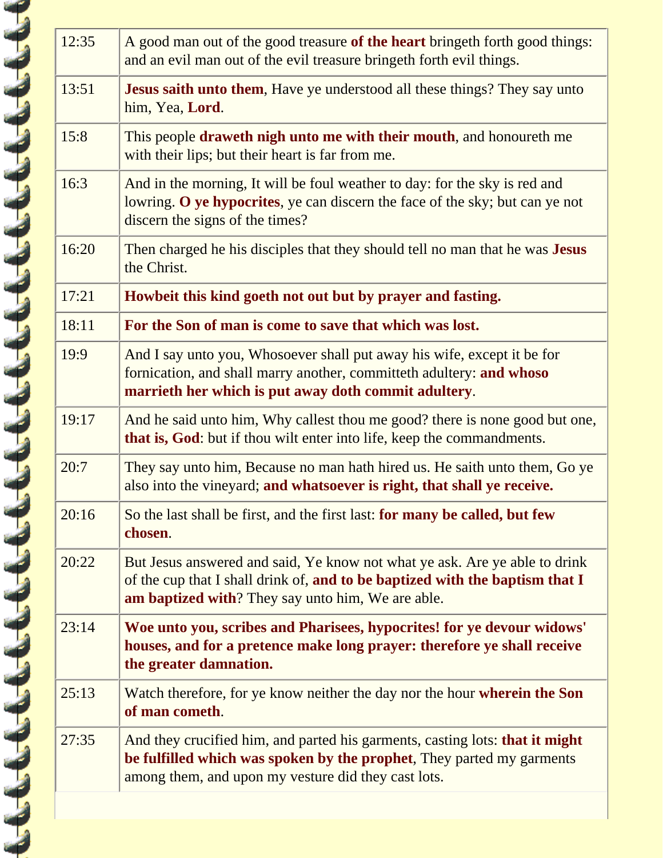| 12:35 | A good man out of the good treasure of the heart bringeth forth good things:<br>and an evil man out of the evil treasure bringeth forth evil things.                                                            |
|-------|-----------------------------------------------------------------------------------------------------------------------------------------------------------------------------------------------------------------|
| 13:51 | <b>Jesus saith unto them,</b> Have ye understood all these things? They say unto<br>him, Yea, Lord.                                                                                                             |
| 15:8  | This people <b>draweth nigh unto me with their mouth</b> , and honoureth me<br>with their lips; but their heart is far from me.                                                                                 |
| 16:3  | And in the morning, It will be foul weather to day: for the sky is red and<br>lowring. O ye hypocrites, ye can discern the face of the sky; but can ye not<br>discern the signs of the times?                   |
| 16:20 | Then charged he his disciples that they should tell no man that he was <b>Jesus</b><br>the Christ.                                                                                                              |
| 17:21 | Howbeit this kind goeth not out but by prayer and fasting.                                                                                                                                                      |
| 18:11 | For the Son of man is come to save that which was lost.                                                                                                                                                         |
| 19:9  | And I say unto you, Whosoever shall put away his wife, except it be for<br>fornication, and shall marry another, committeth adultery: and whoso<br>marrieth her which is put away doth commit adultery.         |
| 19:17 | And he said unto him, Why callest thou me good? there is none good but one,<br>that is, God: but if thou wilt enter into life, keep the commandments.                                                           |
| 20:7  | They say unto him, Because no man hath hired us. He saith unto them, Go ye<br>also into the vineyard; and whatsoever is right, that shall ye receive.                                                           |
| 20:16 | So the last shall be first, and the first last: for many be called, but few<br>chosen.                                                                                                                          |
| 20:22 | But Jesus answered and said, Ye know not what ye ask. Are ye able to drink<br>of the cup that I shall drink of, and to be baptized with the baptism that I<br>am baptized with? They say unto him, We are able. |
| 23:14 | Woe unto you, scribes and Pharisees, hypocrites! for ye devour widows'<br>houses, and for a pretence make long prayer: therefore ye shall receive<br>the greater damnation.                                     |
| 25:13 | Watch therefore, for ye know neither the day nor the hour wherein the Son<br>of man cometh.                                                                                                                     |
| 27:35 | And they crucified him, and parted his garments, casting lots: that it might<br>be fulfilled which was spoken by the prophet, They parted my garments<br>among them, and upon my vesture did they cast lots.    |
|       |                                                                                                                                                                                                                 |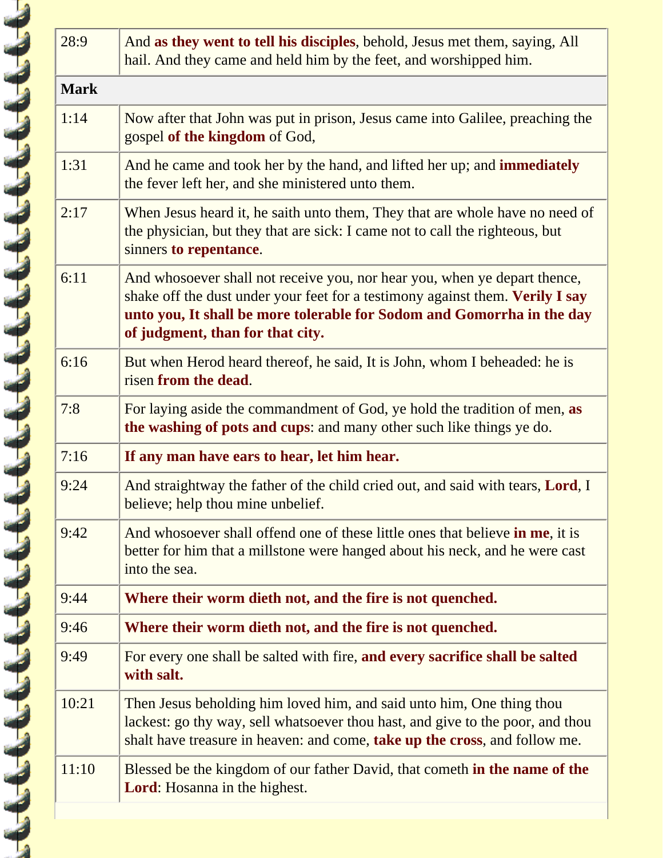| 28:9        | And as they went to tell his disciples, behold, Jesus met them, saying, All<br>hail. And they came and held him by the feet, and worshipped him.                                                                                                                         |
|-------------|--------------------------------------------------------------------------------------------------------------------------------------------------------------------------------------------------------------------------------------------------------------------------|
| <b>Mark</b> |                                                                                                                                                                                                                                                                          |
| 1:14        | Now after that John was put in prison, Jesus came into Galilee, preaching the<br>gospel of the kingdom of God,                                                                                                                                                           |
| 1:31        | And he came and took her by the hand, and lifted her up; and <b>immediately</b><br>the fever left her, and she ministered unto them.                                                                                                                                     |
| 2:17        | When Jesus heard it, he saith unto them, They that are whole have no need of<br>the physician, but they that are sick: I came not to call the righteous, but<br>sinners to repentance.                                                                                   |
| 6:11        | And whosoever shall not receive you, nor hear you, when ye depart thence,<br>shake off the dust under your feet for a testimony against them. Verily I say<br>unto you, It shall be more tolerable for Sodom and Gomorrha in the day<br>of judgment, than for that city. |
| 6:16        | But when Herod heard thereof, he said, It is John, whom I beheaded: he is<br>risen from the dead.                                                                                                                                                                        |
| 7:8         | For laying aside the commandment of God, ye hold the tradition of men, as<br>the washing of pots and cups: and many other such like things ye do.                                                                                                                        |
| 7:16        | If any man have ears to hear, let him hear.                                                                                                                                                                                                                              |
| 9:24        | And straightway the father of the child cried out, and said with tears, Lord, I<br>believe; help thou mine unbelief.                                                                                                                                                     |
| 9:42        | And whosoever shall offend one of these little ones that believe in me, it is<br>better for him that a millstone were hanged about his neck, and he were cast<br>into the sea.                                                                                           |
| 9:44        | Where their worm dieth not, and the fire is not quenched.                                                                                                                                                                                                                |
| 9:46        | Where their worm dieth not, and the fire is not quenched.                                                                                                                                                                                                                |
| 9:49        | For every one shall be salted with fire, and every sacrifice shall be salted<br>with salt.                                                                                                                                                                               |
| 10:21       | Then Jesus beholding him loved him, and said unto him, One thing thou<br>lackest: go thy way, sell whatsoever thou hast, and give to the poor, and thou<br>shalt have treasure in heaven: and come, take up the cross, and follow me.                                    |
| 11:10       | Blessed be the kingdom of our father David, that cometh in the name of the<br>Lord: Hosanna in the highest.                                                                                                                                                              |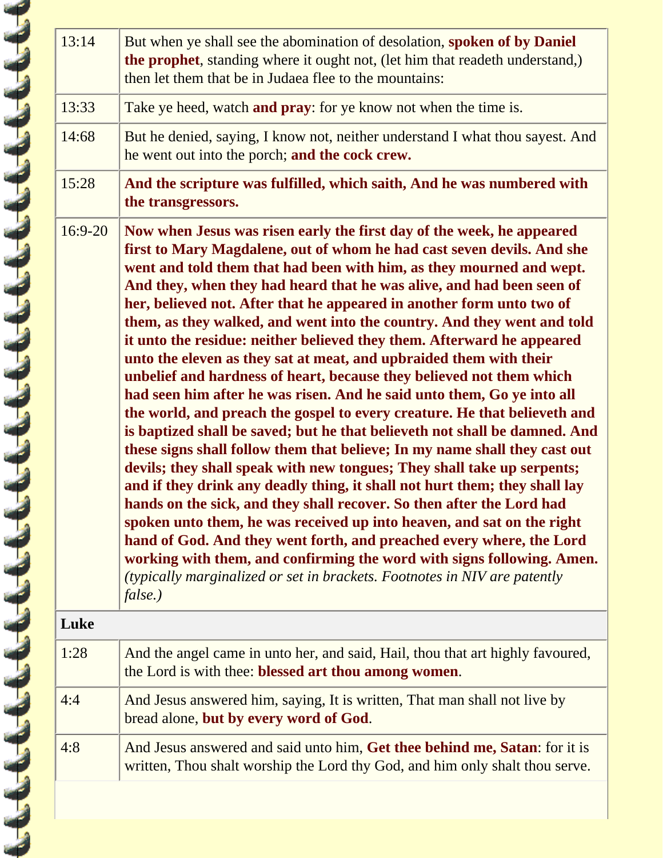| 13:14     | But when ye shall see the abomination of desolation, spoken of by Daniel<br>the prophet, standing where it ought not, (let him that readeth understand,)<br>then let them that be in Judaea flee to the mountains:                                                                                                                                                                                                                                                                                                                                                                                                                                                                                                                                                                                                                                                                                                                                                                                                                                                                                                                                                                                                                                                                                                                                                                                                                                                                                                                                    |
|-----------|-------------------------------------------------------------------------------------------------------------------------------------------------------------------------------------------------------------------------------------------------------------------------------------------------------------------------------------------------------------------------------------------------------------------------------------------------------------------------------------------------------------------------------------------------------------------------------------------------------------------------------------------------------------------------------------------------------------------------------------------------------------------------------------------------------------------------------------------------------------------------------------------------------------------------------------------------------------------------------------------------------------------------------------------------------------------------------------------------------------------------------------------------------------------------------------------------------------------------------------------------------------------------------------------------------------------------------------------------------------------------------------------------------------------------------------------------------------------------------------------------------------------------------------------------------|
| 13:33     | Take ye heed, watch <b>and pray</b> : for ye know not when the time is.                                                                                                                                                                                                                                                                                                                                                                                                                                                                                                                                                                                                                                                                                                                                                                                                                                                                                                                                                                                                                                                                                                                                                                                                                                                                                                                                                                                                                                                                               |
| 14:68     | But he denied, saying, I know not, neither understand I what thou sayest. And<br>he went out into the porch; and the cock crew.                                                                                                                                                                                                                                                                                                                                                                                                                                                                                                                                                                                                                                                                                                                                                                                                                                                                                                                                                                                                                                                                                                                                                                                                                                                                                                                                                                                                                       |
| 15:28     | And the scripture was fulfilled, which saith, And he was numbered with<br>the transgressors.                                                                                                                                                                                                                                                                                                                                                                                                                                                                                                                                                                                                                                                                                                                                                                                                                                                                                                                                                                                                                                                                                                                                                                                                                                                                                                                                                                                                                                                          |
| $16:9-20$ | Now when Jesus was risen early the first day of the week, he appeared<br>first to Mary Magdalene, out of whom he had cast seven devils. And she<br>went and told them that had been with him, as they mourned and wept.<br>And they, when they had heard that he was alive, and had been seen of<br>her, believed not. After that he appeared in another form unto two of<br>them, as they walked, and went into the country. And they went and told<br>it unto the residue: neither believed they them. Afterward he appeared<br>unto the eleven as they sat at meat, and upbraided them with their<br>unbelief and hardness of heart, because they believed not them which<br>had seen him after he was risen. And he said unto them, Go ye into all<br>the world, and preach the gospel to every creature. He that believeth and<br>is baptized shall be saved; but he that believeth not shall be damned. And<br>these signs shall follow them that believe; In my name shall they cast out<br>devils; they shall speak with new tongues; They shall take up serpents;<br>and if they drink any deadly thing, it shall not hurt them; they shall lay<br>hands on the sick, and they shall recover. So then after the Lord had<br>spoken unto them, he was received up into heaven, and sat on the right<br>hand of God. And they went forth, and preached every where, the Lord<br>working with them, and confirming the word with signs following. Amen.<br>(typically marginalized or set in brackets. Footnotes in NIV are patently<br>false.) |
| Luke      |                                                                                                                                                                                                                                                                                                                                                                                                                                                                                                                                                                                                                                                                                                                                                                                                                                                                                                                                                                                                                                                                                                                                                                                                                                                                                                                                                                                                                                                                                                                                                       |
| 1:28      | And the angel came in unto her, and said, Hail, thou that art highly favoured,<br>the Lord is with thee: blessed art thou among women.                                                                                                                                                                                                                                                                                                                                                                                                                                                                                                                                                                                                                                                                                                                                                                                                                                                                                                                                                                                                                                                                                                                                                                                                                                                                                                                                                                                                                |
| 4:4       | And Jesus answered him, saying, It is written, That man shall not live by<br>bread alone, but by every word of God.                                                                                                                                                                                                                                                                                                                                                                                                                                                                                                                                                                                                                                                                                                                                                                                                                                                                                                                                                                                                                                                                                                                                                                                                                                                                                                                                                                                                                                   |
| 4:8       | And Jesus answered and said unto him, Get thee behind me, Satan: for it is<br>written, Thou shalt worship the Lord thy God, and him only shalt thou serve.                                                                                                                                                                                                                                                                                                                                                                                                                                                                                                                                                                                                                                                                                                                                                                                                                                                                                                                                                                                                                                                                                                                                                                                                                                                                                                                                                                                            |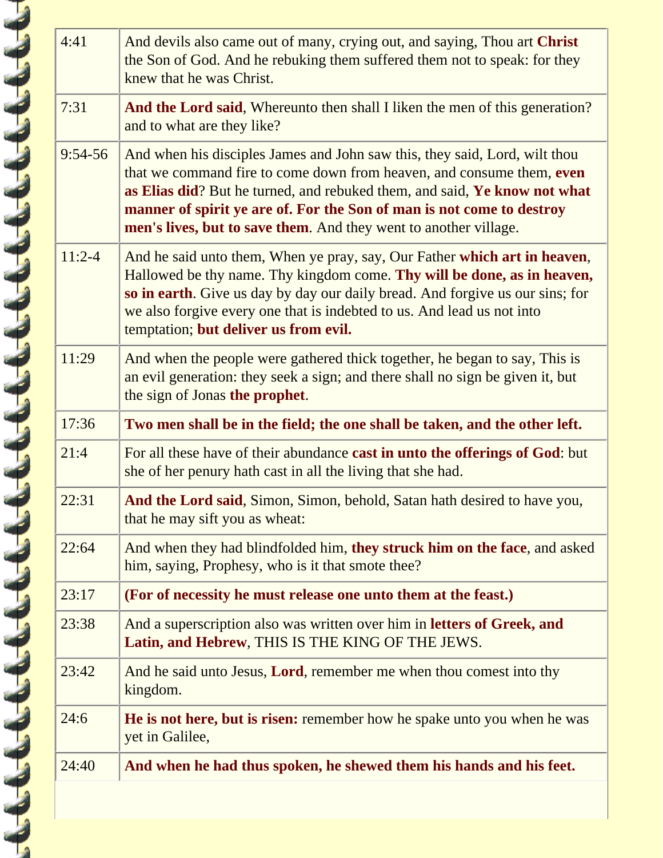| 4:41     | And devils also came out of many, crying out, and saying, Thou art Christ<br>the Son of God. And he rebuking them suffered them not to speak: for they<br>knew that he was Christ.                                                                                                                                                                                            |
|----------|-------------------------------------------------------------------------------------------------------------------------------------------------------------------------------------------------------------------------------------------------------------------------------------------------------------------------------------------------------------------------------|
| 7:31     | And the Lord said, Whereunto then shall I liken the men of this generation?<br>and to what are they like?                                                                                                                                                                                                                                                                     |
| 9:54-56  | And when his disciples James and John saw this, they said, Lord, wilt thou<br>that we command fire to come down from heaven, and consume them, even<br>as Elias did? But he turned, and rebuked them, and said, Ye know not what<br>manner of spirit ye are of. For the Son of man is not come to destroy<br>men's lives, but to save them. And they went to another village. |
| $11:2-4$ | And he said unto them, When ye pray, say, Our Father which art in heaven,<br>Hallowed be thy name. Thy kingdom come. Thy will be done, as in heaven,<br>so in earth. Give us day by day our daily bread. And forgive us our sins; for<br>we also forgive every one that is indebted to us. And lead us not into<br>temptation; but deliver us from evil.                      |
| 11:29    | And when the people were gathered thick together, he began to say, This is<br>an evil generation: they seek a sign; and there shall no sign be given it, but<br>the sign of Jonas the prophet.                                                                                                                                                                                |
| 17:36    | Two men shall be in the field; the one shall be taken, and the other left.                                                                                                                                                                                                                                                                                                    |
| 21:4     | For all these have of their abundance <b>cast in unto the offerings of God</b> : but<br>she of her penury hath cast in all the living that she had.                                                                                                                                                                                                                           |
| 22:31    | And the Lord said, Simon, Simon, behold, Satan hath desired to have you,<br>that he may sift you as wheat:                                                                                                                                                                                                                                                                    |
| 22:64    | And when they had blindfolded him, they struck him on the face, and asked<br>him, saying, Prophesy, who is it that smote thee?                                                                                                                                                                                                                                                |
| 23:17    | (For of necessity he must release one unto them at the feast.)                                                                                                                                                                                                                                                                                                                |
| 23:38    | And a superscription also was written over him in letters of Greek, and<br>Latin, and Hebrew, THIS IS THE KING OF THE JEWS.                                                                                                                                                                                                                                                   |
| 23:42    | And he said unto Jesus, Lord, remember me when thou comest into thy<br>kingdom.                                                                                                                                                                                                                                                                                               |
| 24:6     | He is not here, but is risen: remember how he spake unto you when he was<br>yet in Galilee,                                                                                                                                                                                                                                                                                   |
| 24:40    | And when he had thus spoken, he shewed them his hands and his feet.                                                                                                                                                                                                                                                                                                           |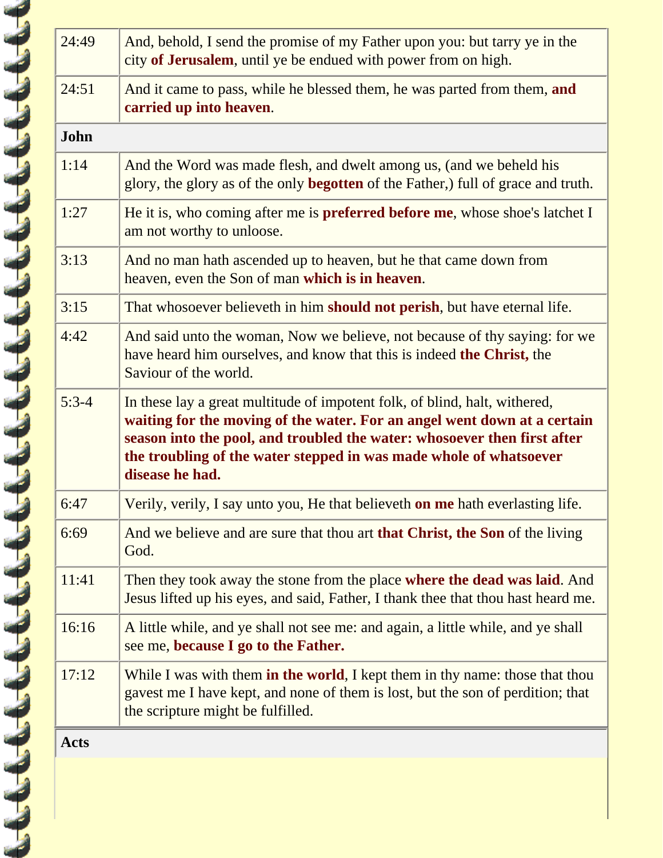| 24:49       | And, behold, I send the promise of my Father upon you: but tarry ye in the<br>city of Jerusalem, until ye be endued with power from on high.                                                                                                                                                                                |
|-------------|-----------------------------------------------------------------------------------------------------------------------------------------------------------------------------------------------------------------------------------------------------------------------------------------------------------------------------|
| 24:51       | And it came to pass, while he blessed them, he was parted from them, and<br>carried up into heaven.                                                                                                                                                                                                                         |
| John        |                                                                                                                                                                                                                                                                                                                             |
| 1:14        | And the Word was made flesh, and dwelt among us, (and we beheld his<br>glory, the glory as of the only <b>begotten</b> of the Father,) full of grace and truth.                                                                                                                                                             |
| 1:27        | He it is, who coming after me is <b>preferred before me</b> , whose shoe's latchet I<br>am not worthy to unloose.                                                                                                                                                                                                           |
| 3:13        | And no man hath ascended up to heaven, but he that came down from<br>heaven, even the Son of man which is in heaven.                                                                                                                                                                                                        |
| 3:15        | That whosoever believeth in him should not perish, but have eternal life.                                                                                                                                                                                                                                                   |
| 4:42        | And said unto the woman, Now we believe, not because of thy saying: for we<br>have heard him ourselves, and know that this is indeed the Christ, the<br>Saviour of the world.                                                                                                                                               |
| $5:3-4$     | In these lay a great multitude of impotent folk, of blind, halt, withered,<br>waiting for the moving of the water. For an angel went down at a certain<br>season into the pool, and troubled the water: whosoever then first after<br>the troubling of the water stepped in was made whole of whatsoever<br>disease he had. |
| 6:47        | Verily, verily, I say unto you, He that believeth on me hath everlasting life.                                                                                                                                                                                                                                              |
| 6:69        | And we believe and are sure that thou art <b>that Christ</b> , the Son of the living<br>God.                                                                                                                                                                                                                                |
| 11:41       | Then they took away the stone from the place where the dead was laid. And<br>Jesus lifted up his eyes, and said, Father, I thank thee that thou hast heard me.                                                                                                                                                              |
| 16:16       | A little while, and ye shall not see me: and again, a little while, and ye shall<br>see me, because I go to the Father.                                                                                                                                                                                                     |
| 17:12       | While I was with them in the world, I kept them in thy name: those that thou<br>gavest me I have kept, and none of them is lost, but the son of perdition; that<br>the scripture might be fulfilled.                                                                                                                        |
| <b>Acts</b> |                                                                                                                                                                                                                                                                                                                             |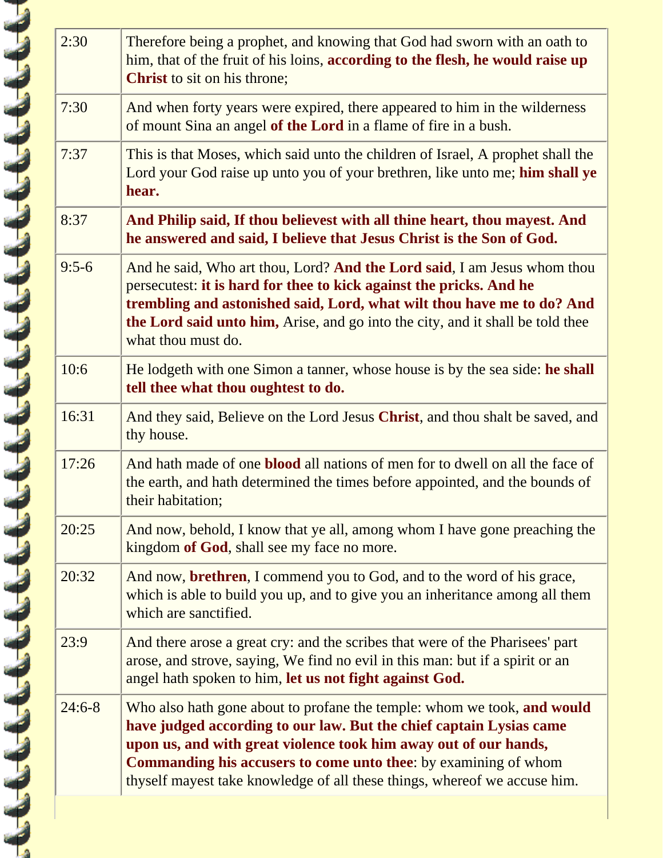| 2:30<br><b>Christ</b> to sit on his throne;<br>7:30<br>of mount Sina an angel of the Lord in a flame of fire in a bush.<br>7:37<br>hear.<br>8:37<br>he answered and said, I believe that Jesus Christ is the Son of God.<br>$9:5-6$<br>persecutest: it is hard for thee to kick against the pricks. And he<br>what thou must do.<br>10:6<br>tell thee what thou oughtest to do.<br>16:31<br>thy house.<br>17:26<br>their habitation;<br>20:25<br>kingdom of God, shall see my face no more.<br>20:32<br>And now, brethren, I commend you to God, and to the word of his grace,<br>which are sanctified.<br>23:9<br>And there arose a great cry: and the scribes that were of the Pharisees' part<br>arose, and strove, saying, We find no evil in this man: but if a spirit or an<br>angel hath spoken to him, let us not fight against God.<br>$24:6-8$<br>have judged according to our law. But the chief captain Lysias came<br>upon us, and with great violence took him away out of our hands,<br><b>Commanding his accusers to come unto thee:</b> by examining of whom<br>thyself mayest take knowledge of all these things, whereof we accuse him. |                                                                                                                                                                                                                                      |
|------------------------------------------------------------------------------------------------------------------------------------------------------------------------------------------------------------------------------------------------------------------------------------------------------------------------------------------------------------------------------------------------------------------------------------------------------------------------------------------------------------------------------------------------------------------------------------------------------------------------------------------------------------------------------------------------------------------------------------------------------------------------------------------------------------------------------------------------------------------------------------------------------------------------------------------------------------------------------------------------------------------------------------------------------------------------------------------------------------------------------------------------------------|--------------------------------------------------------------------------------------------------------------------------------------------------------------------------------------------------------------------------------------|
|                                                                                                                                                                                                                                                                                                                                                                                                                                                                                                                                                                                                                                                                                                                                                                                                                                                                                                                                                                                                                                                                                                                                                            | Therefore being a prophet, and knowing that God had sworn with an oath to<br>him, that of the fruit of his loins, according to the flesh, he would raise up                                                                          |
|                                                                                                                                                                                                                                                                                                                                                                                                                                                                                                                                                                                                                                                                                                                                                                                                                                                                                                                                                                                                                                                                                                                                                            | And when forty years were expired, there appeared to him in the wilderness                                                                                                                                                           |
|                                                                                                                                                                                                                                                                                                                                                                                                                                                                                                                                                                                                                                                                                                                                                                                                                                                                                                                                                                                                                                                                                                                                                            | This is that Moses, which said unto the children of Israel, A prophet shall the<br>Lord your God raise up unto you of your brethren, like unto me; him shall ye                                                                      |
|                                                                                                                                                                                                                                                                                                                                                                                                                                                                                                                                                                                                                                                                                                                                                                                                                                                                                                                                                                                                                                                                                                                                                            | And Philip said, If thou believest with all thine heart, thou mayest. And                                                                                                                                                            |
|                                                                                                                                                                                                                                                                                                                                                                                                                                                                                                                                                                                                                                                                                                                                                                                                                                                                                                                                                                                                                                                                                                                                                            | And he said, Who art thou, Lord? And the Lord said, I am Jesus whom thou<br>trembling and astonished said, Lord, what wilt thou have me to do? And<br>the Lord said unto him, Arise, and go into the city, and it shall be told thee |
|                                                                                                                                                                                                                                                                                                                                                                                                                                                                                                                                                                                                                                                                                                                                                                                                                                                                                                                                                                                                                                                                                                                                                            | He lodgeth with one Simon a tanner, whose house is by the sea side: he shall                                                                                                                                                         |
|                                                                                                                                                                                                                                                                                                                                                                                                                                                                                                                                                                                                                                                                                                                                                                                                                                                                                                                                                                                                                                                                                                                                                            | And they said, Believe on the Lord Jesus Christ, and thou shalt be saved, and                                                                                                                                                        |
|                                                                                                                                                                                                                                                                                                                                                                                                                                                                                                                                                                                                                                                                                                                                                                                                                                                                                                                                                                                                                                                                                                                                                            | And hath made of one <b>blood</b> all nations of men for to dwell on all the face of<br>the earth, and hath determined the times before appointed, and the bounds of                                                                 |
|                                                                                                                                                                                                                                                                                                                                                                                                                                                                                                                                                                                                                                                                                                                                                                                                                                                                                                                                                                                                                                                                                                                                                            | And now, behold, I know that ye all, among whom I have gone preaching the                                                                                                                                                            |
|                                                                                                                                                                                                                                                                                                                                                                                                                                                                                                                                                                                                                                                                                                                                                                                                                                                                                                                                                                                                                                                                                                                                                            | which is able to build you up, and to give you an inheritance among all them                                                                                                                                                         |
|                                                                                                                                                                                                                                                                                                                                                                                                                                                                                                                                                                                                                                                                                                                                                                                                                                                                                                                                                                                                                                                                                                                                                            |                                                                                                                                                                                                                                      |
|                                                                                                                                                                                                                                                                                                                                                                                                                                                                                                                                                                                                                                                                                                                                                                                                                                                                                                                                                                                                                                                                                                                                                            | Who also hath gone about to profane the temple: whom we took, and would                                                                                                                                                              |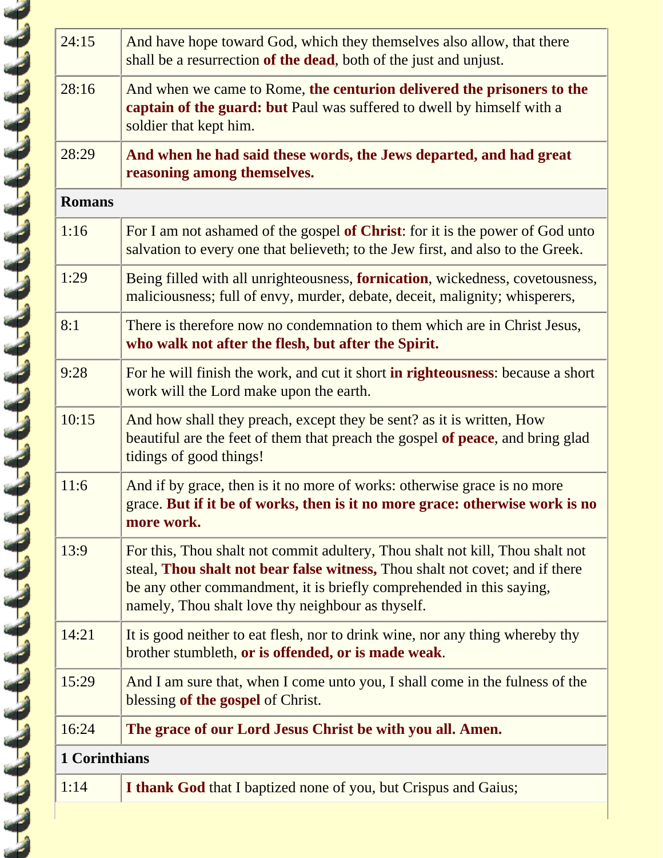| 24:15         | And have hope toward God, which they themselves also allow, that there<br>shall be a resurrection of the dead, both of the just and unjust.                                                                                                                                                |
|---------------|--------------------------------------------------------------------------------------------------------------------------------------------------------------------------------------------------------------------------------------------------------------------------------------------|
| 28:16         | And when we came to Rome, the centurion delivered the prisoners to the<br>captain of the guard: but Paul was suffered to dwell by himself with a<br>soldier that kept him.                                                                                                                 |
| 28:29         | And when he had said these words, the Jews departed, and had great<br>reasoning among themselves.                                                                                                                                                                                          |
| <b>Romans</b> |                                                                                                                                                                                                                                                                                            |
| 1:16          | For I am not ashamed of the gospel of Christ: for it is the power of God unto<br>salvation to every one that believeth; to the Jew first, and also to the Greek.                                                                                                                           |
| 1:29          | Being filled with all unrighteousness, fornication, wickedness, covetousness,<br>maliciousness; full of envy, murder, debate, deceit, malignity; whisperers,                                                                                                                               |
| 8:1           | There is therefore now no condemnation to them which are in Christ Jesus,<br>who walk not after the flesh, but after the Spirit.                                                                                                                                                           |
| 9:28          | For he will finish the work, and cut it short in righteousness: because a short<br>work will the Lord make upon the earth.                                                                                                                                                                 |
| 10:15         | And how shall they preach, except they be sent? as it is written, How<br>beautiful are the feet of them that preach the gospel of peace, and bring glad<br>tidings of good things!                                                                                                         |
| 11:6          | And if by grace, then is it no more of works: otherwise grace is no more<br>grace. But if it be of works, then is it no more grace: otherwise work is no<br>more work.                                                                                                                     |
| 13:9          | For this, Thou shalt not commit adultery, Thou shalt not kill, Thou shalt not<br>steal, Thou shalt not bear false witness, Thou shalt not covet; and if there<br>be any other commandment, it is briefly comprehended in this saying,<br>namely, Thou shalt love thy neighbour as thyself. |
| 14:21         | It is good neither to eat flesh, nor to drink wine, nor any thing whereby thy<br>brother stumbleth, or is offended, or is made weak.                                                                                                                                                       |
| 15:29         | And I am sure that, when I come unto you, I shall come in the fulness of the<br>blessing of the gospel of Christ.                                                                                                                                                                          |
| 16:24         | The grace of our Lord Jesus Christ be with you all. Amen.                                                                                                                                                                                                                                  |
| 1 Corinthians |                                                                                                                                                                                                                                                                                            |
| 1:14          | I thank God that I baptized none of you, but Crispus and Gaius;                                                                                                                                                                                                                            |
|               |                                                                                                                                                                                                                                                                                            |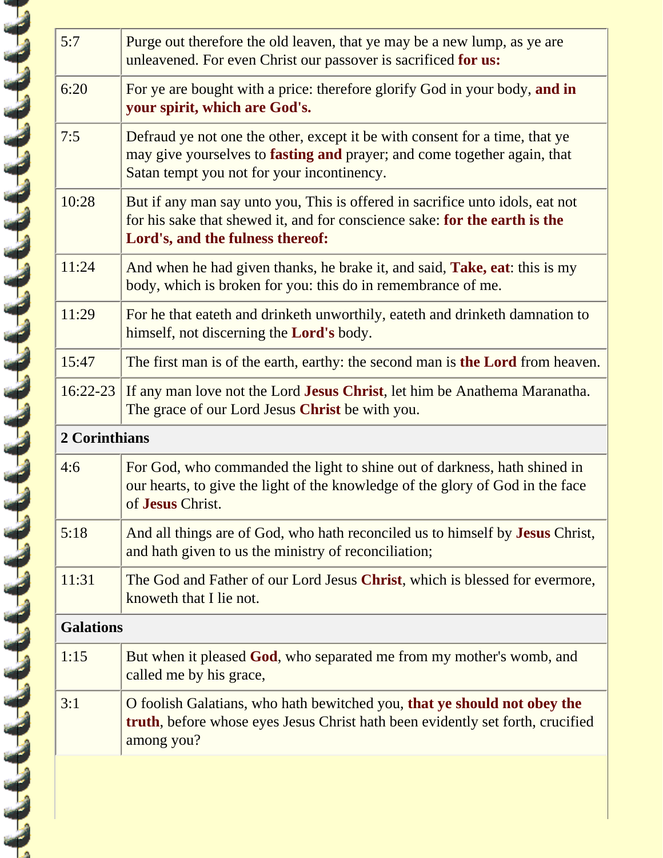| 5:7              | Purge out therefore the old leaven, that ye may be a new lump, as ye are<br>unleavened. For even Christ our passover is sacrificed for us:                                                                   |
|------------------|--------------------------------------------------------------------------------------------------------------------------------------------------------------------------------------------------------------|
| 6:20             | For ye are bought with a price: therefore glorify God in your body, and in<br>your spirit, which are God's.                                                                                                  |
| 7:5              | Defraud ye not one the other, except it be with consent for a time, that ye<br>may give yourselves to <b>fasting and</b> prayer; and come together again, that<br>Satan tempt you not for your incontinency. |
| 10:28            | But if any man say unto you, This is offered in sacrifice unto idols, eat not<br>for his sake that shewed it, and for conscience sake: for the earth is the<br>Lord's, and the fulness thereof:              |
| 11:24            | And when he had given thanks, he brake it, and said, Take, eat: this is my<br>body, which is broken for you: this do in remembrance of me.                                                                   |
| 11:29            | For he that eateth and drinketh unworthily, eateth and drinketh damnation to<br>himself, not discerning the Lord's body.                                                                                     |
| 15:47            | The first man is of the earth, earthy: the second man is <b>the Lord</b> from heaven.                                                                                                                        |
| $16:22 - 23$     | If any man love not the Lord Jesus Christ, let him be Anathema Maranatha.<br>The grace of our Lord Jesus Christ be with you.                                                                                 |
| 2 Corinthians    |                                                                                                                                                                                                              |
| 4:6              | For God, who commanded the light to shine out of darkness, hath shined in<br>our hearts, to give the light of the knowledge of the glory of God in the face<br>of Jesus Christ.                              |
| 5:18             | And all things are of God, who hath reconciled us to himself by <b>Jesus</b> Christ,<br>and hath given to us the ministry of reconciliation;                                                                 |
| 11:31            | The God and Father of our Lord Jesus Christ, which is blessed for evermore,<br>knoweth that I lie not.                                                                                                       |
| <b>Galations</b> |                                                                                                                                                                                                              |
| 1:15             | But when it pleased God, who separated me from my mother's womb, and<br>called me by his grace,                                                                                                              |
| 3:1              | O foolish Galatians, who hath bewitched you, that ye should not obey the<br><b>truth</b> , before whose eyes Jesus Christ hath been evidently set forth, crucified<br>among you?                             |
|                  |                                                                                                                                                                                                              |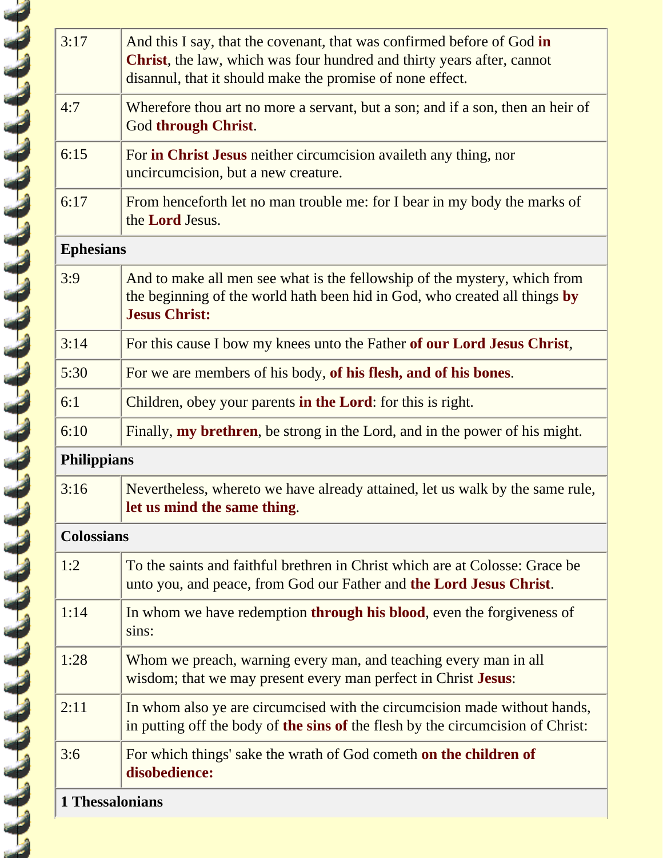| 3:17               | And this I say, that the covenant, that was confirmed before of God in<br><b>Christ</b> , the law, which was four hundred and thirty years after, cannot<br>disannul, that it should make the promise of none effect. |
|--------------------|-----------------------------------------------------------------------------------------------------------------------------------------------------------------------------------------------------------------------|
| 4:7                | Wherefore thou art no more a servant, but a son; and if a son, then an heir of<br><b>God through Christ.</b>                                                                                                          |
| 6:15               | For <b>in Christ Jesus</b> neither circumcision availeth any thing, nor<br>uncircumcision, but a new creature.                                                                                                        |
| 6:17               | From henceforth let no man trouble me: for I bear in my body the marks of<br>the Lord Jesus.                                                                                                                          |
| <b>Ephesians</b>   |                                                                                                                                                                                                                       |
| 3:9                | And to make all men see what is the fellowship of the mystery, which from<br>the beginning of the world hath been hid in God, who created all things by<br><b>Jesus Christ:</b>                                       |
| 3:14               | For this cause I bow my knees unto the Father of our Lord Jesus Christ,                                                                                                                                               |
| 5:30               | For we are members of his body, of his flesh, and of his bones.                                                                                                                                                       |
| 6:1                | Children, obey your parents in the Lord: for this is right.                                                                                                                                                           |
| 6:10               | Finally, <b>my brethren</b> , be strong in the Lord, and in the power of his might.                                                                                                                                   |
| <b>Philippians</b> |                                                                                                                                                                                                                       |
| 3:16               | Nevertheless, whereto we have already attained, let us walk by the same rule,<br>let us mind the same thing.                                                                                                          |
| <b>Colossians</b>  |                                                                                                                                                                                                                       |
| 1:2                | To the saints and faithful brethren in Christ which are at Colosse: Grace be<br>unto you, and peace, from God our Father and the Lord Jesus Christ.                                                                   |
| 1:14               | In whom we have redemption <b>through his blood</b> , even the forgiveness of<br>sins:                                                                                                                                |
| 1:28               | Whom we preach, warning every man, and teaching every man in all<br>wisdom; that we may present every man perfect in Christ Jesus:                                                                                    |
| 2:11               | In whom also ye are circumcised with the circumcision made without hands,<br>in putting off the body of the sins of the flesh by the circumcision of Christ:                                                          |
| 3:6                | For which things' sake the wrath of God cometh on the children of<br>disobedience:                                                                                                                                    |
|                    | 1 Thessalonians                                                                                                                                                                                                       |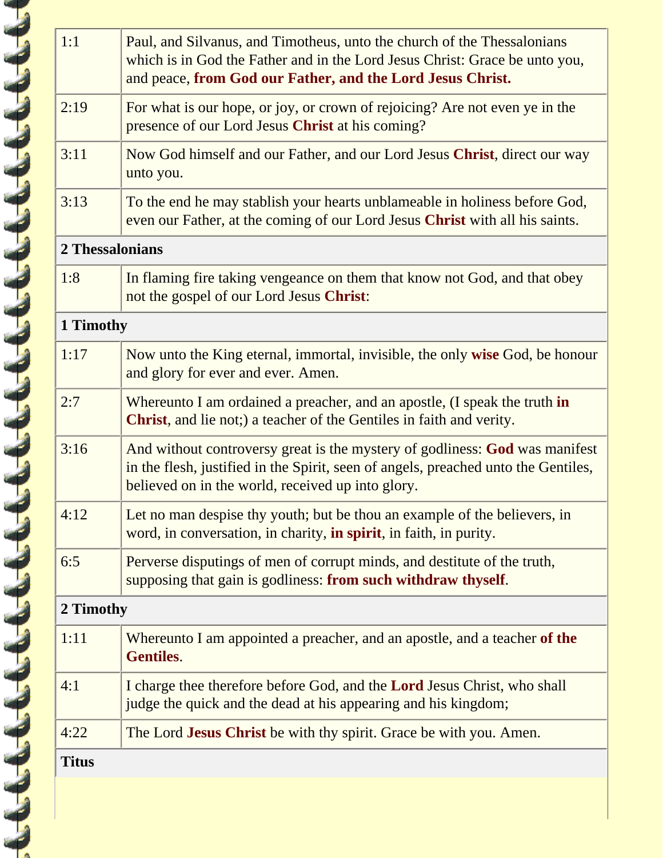| 1:1             | Paul, and Silvanus, and Timotheus, unto the church of the Thessalonians<br>which is in God the Father and in the Lord Jesus Christ: Grace be unto you,<br>and peace, from God our Father, and the Lord Jesus Christ.   |
|-----------------|------------------------------------------------------------------------------------------------------------------------------------------------------------------------------------------------------------------------|
| 2:19            | For what is our hope, or joy, or crown of rejoicing? Are not even ye in the<br>presence of our Lord Jesus Christ at his coming?                                                                                        |
| 3:11            | Now God himself and our Father, and our Lord Jesus Christ, direct our way<br>unto you.                                                                                                                                 |
| 3:13            | To the end he may stablish your hearts unblameable in holiness before God,<br>even our Father, at the coming of our Lord Jesus Christ with all his saints.                                                             |
| 2 Thessalonians |                                                                                                                                                                                                                        |
| 1:8             | In flaming fire taking vengeance on them that know not God, and that obey<br>not the gospel of our Lord Jesus Christ:                                                                                                  |
| 1 Timothy       |                                                                                                                                                                                                                        |
| 1:17            | Now unto the King eternal, immortal, invisible, the only wise God, be honour<br>and glory for ever and ever. Amen.                                                                                                     |
| 2:7             | Whereunto I am ordained a preacher, and an apostle, (I speak the truth in<br><b>Christ</b> , and lie not;) a teacher of the Gentiles in faith and verity.                                                              |
| 3:16            | And without controversy great is the mystery of godliness: God was manifest<br>in the flesh, justified in the Spirit, seen of angels, preached unto the Gentiles,<br>believed on in the world, received up into glory. |
| 4:12            | Let no man despise thy youth; but be thou an example of the believers, in<br>word, in conversation, in charity, in spirit, in faith, in purity.                                                                        |
| 6:5             | Perverse disputings of men of corrupt minds, and destitute of the truth,<br>supposing that gain is godliness: from such withdraw thyself.                                                                              |
| 2 Timothy       |                                                                                                                                                                                                                        |
| 1:11            | Whereunto I am appointed a preacher, and an apostle, and a teacher of the<br><b>Gentiles.</b>                                                                                                                          |
| 4:1             | I charge thee therefore before God, and the <b>Lord</b> Jesus Christ, who shall<br>judge the quick and the dead at his appearing and his kingdom;                                                                      |
| 4:22            | The Lord Jesus Christ be with thy spirit. Grace be with you. Amen.                                                                                                                                                     |
| <b>Titus</b>    |                                                                                                                                                                                                                        |

A REACTEMENT AND LEASE AND LEASE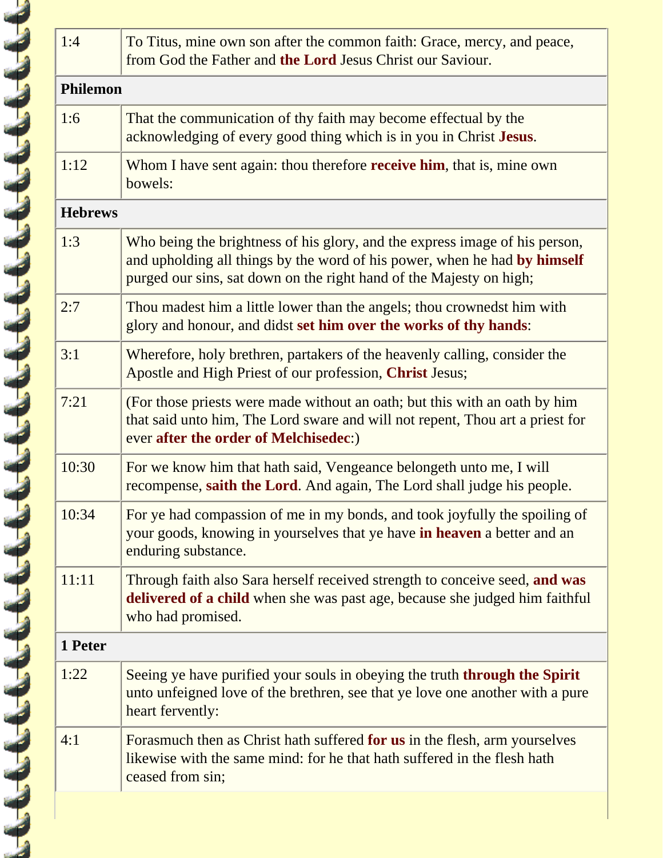| 1:4            | To Titus, mine own son after the common faith: Grace, mercy, and peace,<br>from God the Father and the Lord Jesus Christ our Saviour.                                                                                           |  |  |
|----------------|---------------------------------------------------------------------------------------------------------------------------------------------------------------------------------------------------------------------------------|--|--|
|                | Philemon                                                                                                                                                                                                                        |  |  |
| 1:6            | That the communication of thy faith may become effectual by the<br>acknowledging of every good thing which is in you in Christ Jesus.                                                                                           |  |  |
| 1:12           | Whom I have sent again: thou therefore <b>receive him</b> , that is, mine own<br>bowels:                                                                                                                                        |  |  |
| <b>Hebrews</b> |                                                                                                                                                                                                                                 |  |  |
| 1:3            | Who being the brightness of his glory, and the express image of his person,<br>and upholding all things by the word of his power, when he had by himself<br>purged our sins, sat down on the right hand of the Majesty on high; |  |  |
| 2:7            | Thou madest him a little lower than the angels; thou crownedst him with<br>glory and honour, and didst set him over the works of thy hands:                                                                                     |  |  |
| 3:1            | Wherefore, holy brethren, partakers of the heavenly calling, consider the<br>Apostle and High Priest of our profession, Christ Jesus;                                                                                           |  |  |
| 7:21           | (For those priests were made without an oath; but this with an oath by him<br>that said unto him, The Lord sware and will not repent, Thou art a priest for<br>ever after the order of Melchisedec:)                            |  |  |
| 10:30          | For we know him that hath said, Vengeance belongeth unto me, I will<br>recompense, saith the Lord. And again, The Lord shall judge his people.                                                                                  |  |  |
| 10:34          | For ye had compassion of me in my bonds, and took joyfully the spoiling of<br>your goods, knowing in yourselves that ye have in heaven a better and an<br>enduring substance.                                                   |  |  |
| 11:11          | Through faith also Sara herself received strength to conceive seed, and was<br>delivered of a child when she was past age, because she judged him faithful<br>who had promised.                                                 |  |  |
| 1 Peter        |                                                                                                                                                                                                                                 |  |  |
| 1:22           | Seeing ye have purified your souls in obeying the truth <b>through the Spirit</b><br>unto unfeigned love of the brethren, see that ye love one another with a pure<br>heart fervently:                                          |  |  |
| 4:1            | Forasmuch then as Christ hath suffered for us in the flesh, arm yourselves<br>likewise with the same mind: for he that hath suffered in the flesh hath<br>ceased from sin;                                                      |  |  |
|                |                                                                                                                                                                                                                                 |  |  |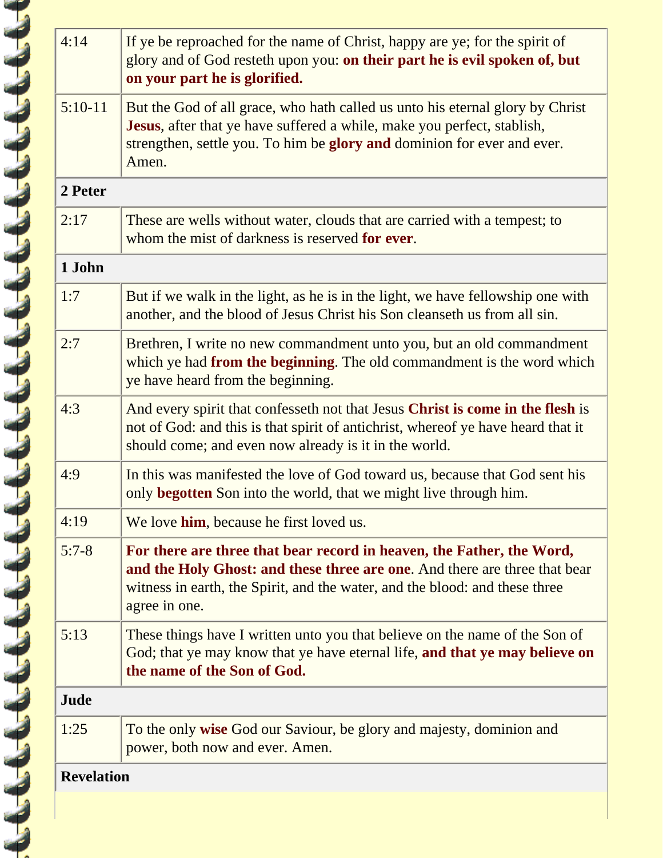| 4:14              | If ye be reproached for the name of Christ, happy are ye; for the spirit of<br>glory and of God resteth upon you: on their part he is evil spoken of, but<br>on your part he is glorified.                                                           |
|-------------------|------------------------------------------------------------------------------------------------------------------------------------------------------------------------------------------------------------------------------------------------------|
| $5:10-11$         | But the God of all grace, who hath called us unto his eternal glory by Christ<br><b>Jesus</b> , after that ye have suffered a while, make you perfect, stablish,<br>strengthen, settle you. To him be glory and dominion for ever and ever.<br>Amen. |
| 2 Peter           |                                                                                                                                                                                                                                                      |
| 2:17              | These are wells without water, clouds that are carried with a tempest; to<br>whom the mist of darkness is reserved for ever.                                                                                                                         |
| 1 John            |                                                                                                                                                                                                                                                      |
| 1:7               | But if we walk in the light, as he is in the light, we have fellowship one with<br>another, and the blood of Jesus Christ his Son cleanseth us from all sin.                                                                                         |
| 2:7               | Brethren, I write no new commandment unto you, but an old commandment<br>which ye had from the beginning. The old commandment is the word which<br>ye have heard from the beginning.                                                                 |
| 4:3               | And every spirit that confesseth not that Jesus Christ is come in the flesh is<br>not of God: and this is that spirit of antichrist, whereof ye have heard that it<br>should come; and even now already is it in the world.                          |
| 4:9               | In this was manifested the love of God toward us, because that God sent his<br>only <b>begotten</b> Son into the world, that we might live through him.                                                                                              |
| 4:19              | We love <b>him</b> , because he first loved us.                                                                                                                                                                                                      |
| $5:7-8$           | For there are three that bear record in heaven, the Father, the Word,<br>and the Holy Ghost: and these three are one. And there are three that bear<br>witness in earth, the Spirit, and the water, and the blood: and these three<br>agree in one.  |
| 5:13              | These things have I written unto you that believe on the name of the Son of<br>God; that ye may know that ye have eternal life, and that ye may believe on<br>the name of the Son of God.                                                            |
| Jude              |                                                                                                                                                                                                                                                      |
| 1:25              | To the only <b>wise</b> God our Saviour, be glory and majesty, dominion and<br>power, both now and ever. Amen.                                                                                                                                       |
| <b>Revelation</b> |                                                                                                                                                                                                                                                      |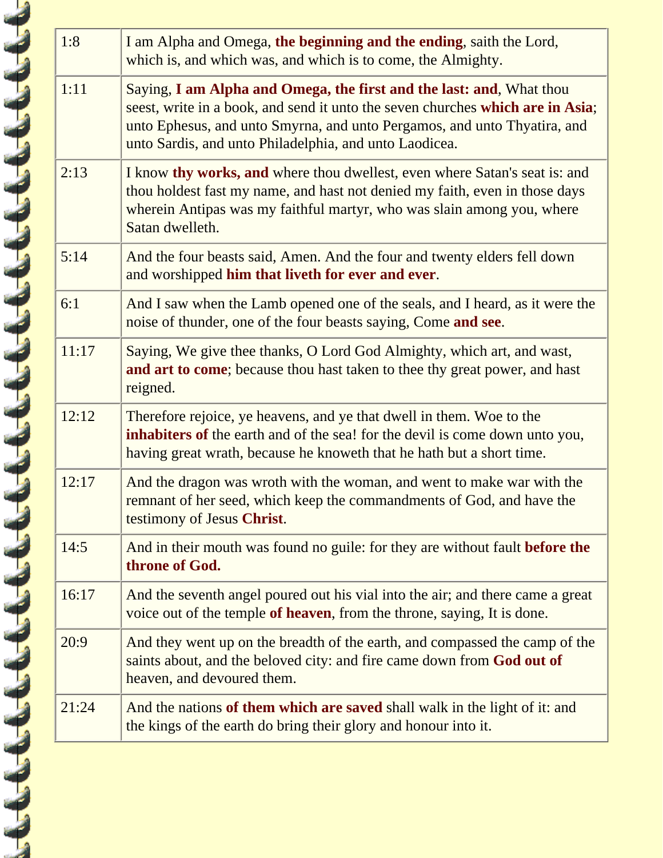| 1:8   | I am Alpha and Omega, the beginning and the ending, saith the Lord,<br>which is, and which was, and which is to come, the Almighty.                                                                                                                                                          |
|-------|----------------------------------------------------------------------------------------------------------------------------------------------------------------------------------------------------------------------------------------------------------------------------------------------|
| 1:11  | Saying, I am Alpha and Omega, the first and the last: and, What thou<br>seest, write in a book, and send it unto the seven churches which are in Asia;<br>unto Ephesus, and unto Smyrna, and unto Pergamos, and unto Thyatira, and<br>unto Sardis, and unto Philadelphia, and unto Laodicea. |
| 2:13  | I know thy works, and where thou dwellest, even where Satan's seat is: and<br>thou holdest fast my name, and hast not denied my faith, even in those days<br>wherein Antipas was my faithful martyr, who was slain among you, where<br>Satan dwelleth.                                       |
| 5:14  | And the four beasts said, Amen. And the four and twenty elders fell down<br>and worshipped him that liveth for ever and ever.                                                                                                                                                                |
| 6:1   | And I saw when the Lamb opened one of the seals, and I heard, as it were the<br>noise of thunder, one of the four beasts saying, Come and see.                                                                                                                                               |
| 11:17 | Saying, We give thee thanks, O Lord God Almighty, which art, and wast,<br>and art to come; because thou hast taken to thee thy great power, and hast<br>reigned.                                                                                                                             |
| 12:12 | Therefore rejoice, ye heavens, and ye that dwell in them. Woe to the<br>inhabiters of the earth and of the sea! for the devil is come down unto you,<br>having great wrath, because he knoweth that he hath but a short time.                                                                |
| 12:17 | And the dragon was wroth with the woman, and went to make war with the<br>remnant of her seed, which keep the commandments of God, and have the<br>testimony of Jesus Christ.                                                                                                                |
| 14:5  | And in their mouth was found no guile: for they are without fault before the<br>throne of God.                                                                                                                                                                                               |
| 16:17 | And the seventh angel poured out his vial into the air; and there came a great<br>voice out of the temple of heaven, from the throne, saying, It is done.                                                                                                                                    |
| 20:9  | And they went up on the breadth of the earth, and compassed the camp of the<br>saints about, and the beloved city: and fire came down from God out of<br>heaven, and devoured them.                                                                                                          |
| 21:24 | And the nations of them which are saved shall walk in the light of it: and<br>the kings of the earth do bring their glory and honour into it.                                                                                                                                                |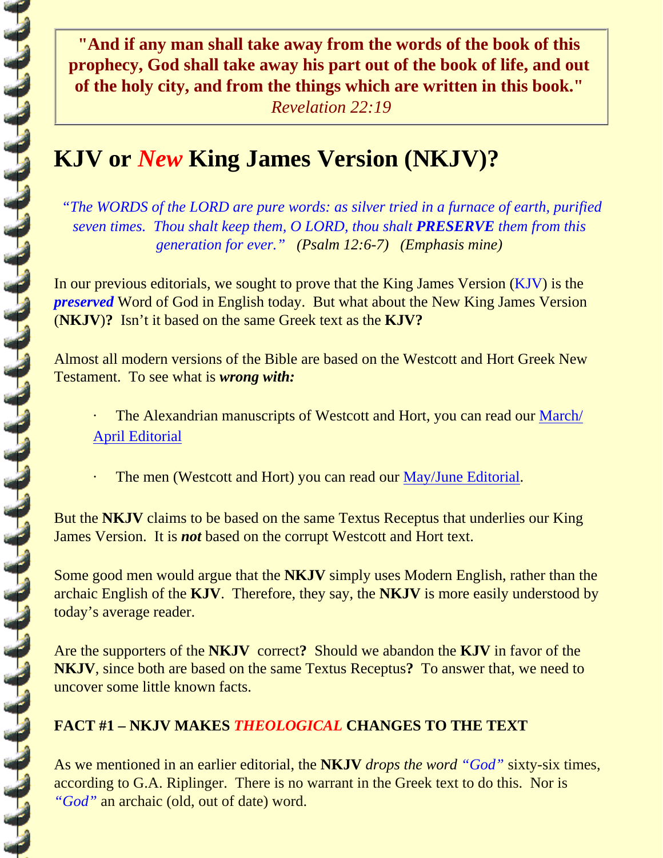**"And if any man shall take away from the words of the book of this prophecy, God shall take away his part out of the book of life, and out of the holy city, and from the things which are written in this book."**  *Revelation 22:19*

# **KJV or** *New* **King James Version (NKJV)?**

*"The WORDS of the LORD are pure words: as silver tried in a furnace of earth, purified seven times. Thou shalt keep them, O LORD, thou shalt PRESERVE them from this generation for ever." (Psalm 12:6-7) (Emphasis mine)* 

In our previous editorials, we sought to prove that the King James Version (KJV) is the *preserved* Word of God in English today. But what about the New King James Version (**NKJV**)**?** Isn't it based on the same Greek text as the **KJV?**

Almost all modern versions of the Bible are based on the Westcott and Hort Greek New Testament. To see what is *wrong with:*

The Alexandrian manuscripts of Westcott and Hort, you can read our [March/](http://www.tulipgems.com/editorialmar-april2004.htm) [April Editorial](http://www.tulipgems.com/editorialmar-april2004.htm)

The men (Westcott and Hort) you can read our [May/June Editorial](http://www.tulipgems.com/Theiss%20Articles%20for%20Tulip%20Gems/editorialMay-June2004.htm).

But the **NKJV** claims to be based on the same Textus Receptus that underlies our King James Version. It is *not* based on the corrupt Westcott and Hort text.

Some good men would argue that the **NKJV** simply uses Modern English, rather than the archaic English of the **KJV**. Therefore, they say, the **NKJV** is more easily understood by today's average reader.

Are the supporters of the **NKJV** correct**?** Should we abandon the **KJV** in favor of the **NKJV**, since both are based on the same Textus Receptus**?** To answer that, we need to uncover some little known facts.

# **FACT #1 – NKJV MAKES** *THEOLOGICAL* **CHANGES TO THE TEXT**

As we mentioned in an earlier editorial, the **NKJV** *drops the word "God"* sixty-six times, according to G.A. Riplinger. There is no warrant in the Greek text to do this. Nor is *"God"* an archaic (old, out of date) word.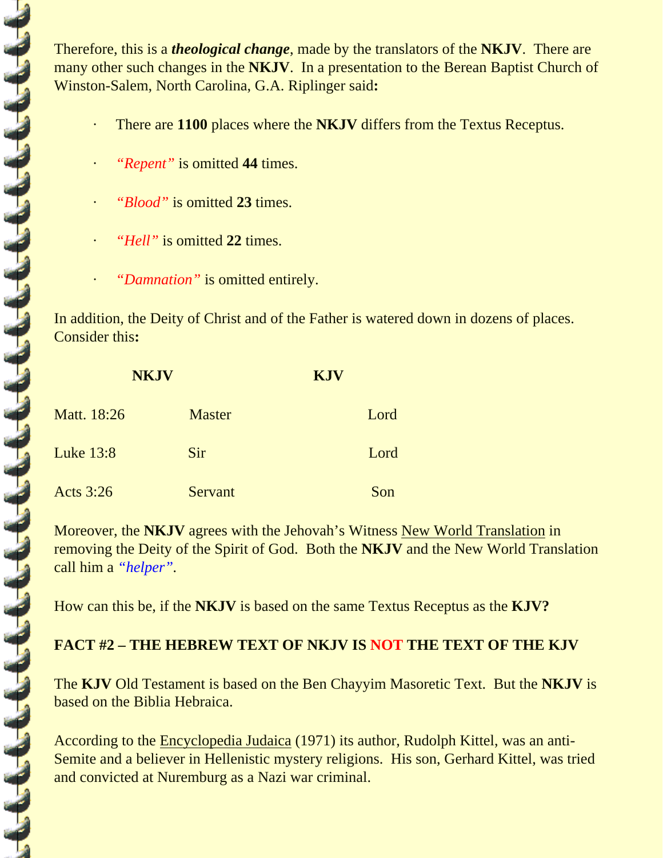Therefore, this is a *theological change*, made by the translators of the **NKJV**. There are many other such changes in the **NKJV**. In a presentation to the Berean Baptist Church of Winston-Salem, North Carolina, G.A. Riplinger said**:**

- · There are **1100** places where the **NKJV** differs from the Textus Receptus.
- · *"Repent"* is omitted **44** times.
- · *"Blood"* is omitted **23** times.
- · *"Hell"* is omitted **22** times.

· *"Damnation"* is omitted entirely.

In addition, the Deity of Christ and of the Father is watered down in dozens of places. Consider this**:**

| <b>NKJV</b>      |               | <b>KJV</b> |  |
|------------------|---------------|------------|--|
| Matt. 18:26      | <b>Master</b> | Lord       |  |
| Luke 13:8        | Sir           | Lord       |  |
| <b>Acts 3:26</b> | Servant       | Son        |  |

Moreover, the **NKJV** agrees with the Jehovah's Witness New World Translation in removing the Deity of the Spirit of God. Both the **NKJV** and the New World Translation call him a *"helper".*

How can this be, if the **NKJV** is based on the same Textus Receptus as the **KJV?**

# **FACT #2 – THE HEBREW TEXT OF NKJV IS NOT THE TEXT OF THE KJV**

The **KJV** Old Testament is based on the Ben Chayyim Masoretic Text. But the **NKJV** is based on the Biblia Hebraica.

According to the Encyclopedia Judaica (1971) its author, Rudolph Kittel, was an anti-Semite and a believer in Hellenistic mystery religions. His son, Gerhard Kittel, was tried and convicted at Nuremburg as a Nazi war criminal.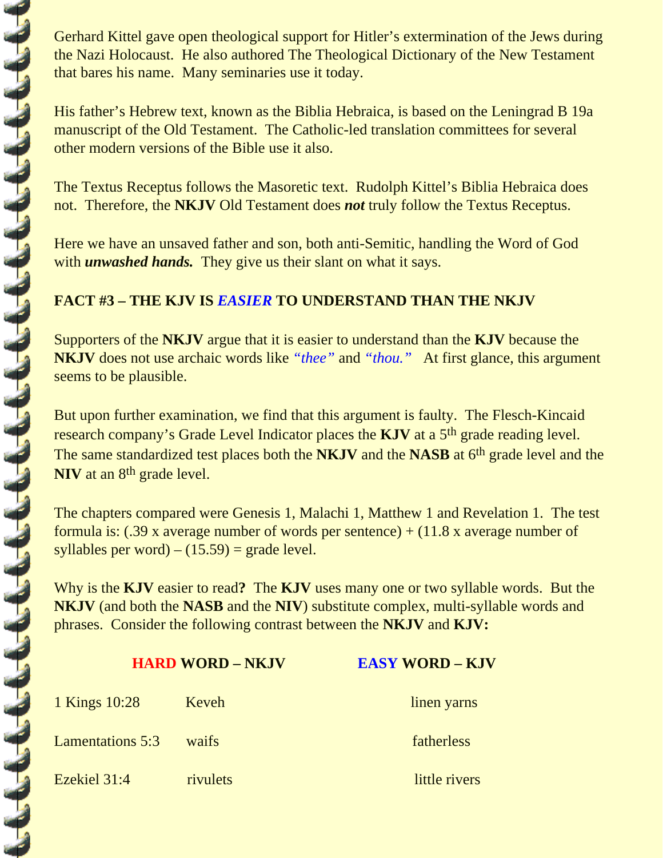His father's Hebrew text, known as the Biblia Hebraica, is based on the Leningrad B 19a manuscript of the Old Testament. The Catholic-led translation committees for several other modern versions of the Bible use it also.

The Textus Receptus follows the Masoretic text. Rudolph Kittel's Biblia Hebraica does not. Therefore, the **NKJV** Old Testament does *not* truly follow the Textus Receptus.

Here we have an unsaved father and son, both anti-Semitic, handling the Word of God with *unwashed hands*. They give us their slant on what it says.

# **FACT #3 – THE KJV IS** *EASIER* **TO UNDERSTAND THAN THE NKJV**

Supporters of the **NKJV** argue that it is easier to understand than the **KJV** because the **NKJV** does not use archaic words like *"thee"* and *"thou."* At first glance, this argument seems to be plausible.

But upon further examination, we find that this argument is faulty. The Flesch-Kincaid research company's Grade Level Indicator places the **KJV** at a 5th grade reading level. The same standardized test places both the **NKJV** and the **NASB** at 6th grade level and the **NIV** at an 8<sup>th</sup> grade level.

The chapters compared were Genesis 1, Malachi 1, Matthew 1 and Revelation 1. The test formula is: (.39 x average number of words per sentence)  $+$  (11.8 x average number of syllables per word) –  $(15.59)$  = grade level.

Why is the **KJV** easier to read**?** The **KJV** uses many one or two syllable words. But the **NKJV** (and both the **NASB** and the **NIV**) substitute complex, multi-syllable words and phrases. Consider the following contrast between the **NKJV** and **KJV:**

| <b>HARD WORD - NKJV</b> |          | <b>EASY WORD - KJV</b> |
|-------------------------|----------|------------------------|
| 1 Kings 10:28           | Keveh    | linen yarns            |
| <b>Lamentations 5:3</b> | waifs    | fatherless             |
| Ezekiel 31:4            | rivulets | little rivers          |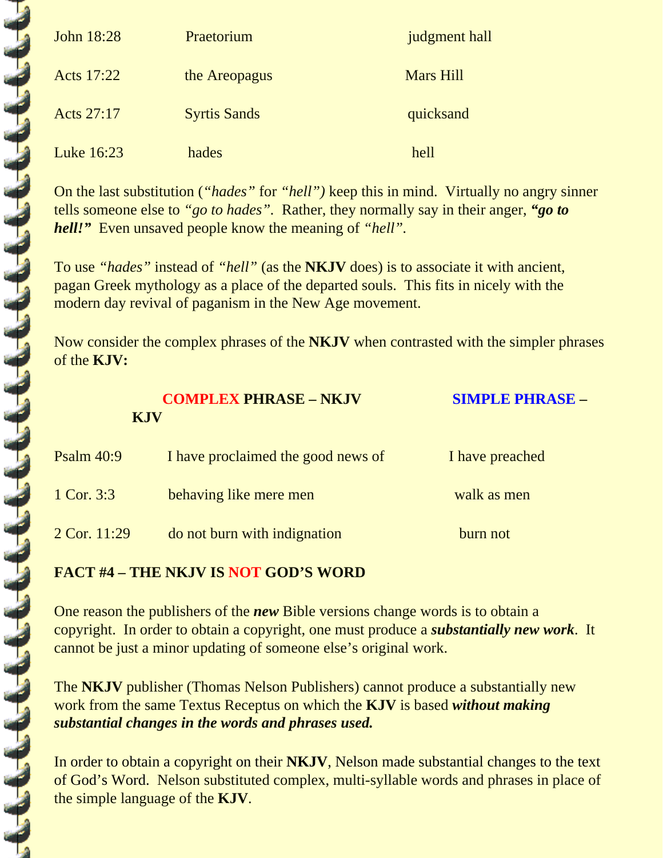| John 18:28 | Praetorium          | judgment hall    |
|------------|---------------------|------------------|
| Acts 17:22 | the Areopagus       | <b>Mars Hill</b> |
| Acts 27:17 | <b>Syrtis Sands</b> | quicksand        |
| Luke 16:23 | hades               | hell             |

On the last substitution (*"hades"* for *"hell")* keep this in mind. Virtually no angry sinner tells someone else to *"go to hades".* Rather, they normally say in their anger, *"go to hell!"* Even unsaved people know the meaning of *"hell".*

To use *"hades"* instead of *"hell"* (as the **NKJV** does) is to associate it with ancient, pagan Greek mythology as a place of the departed souls. This fits in nicely with the modern day revival of paganism in the New Age movement.

Now consider the complex phrases of the **NKJV** when contrasted with the simpler phrases of the **KJV:**

| <b>KJV</b>   | <b>COMPLEX PHRASE - NKJV</b>       | <b>SIMPLE PHRASE -</b> |
|--------------|------------------------------------|------------------------|
| Psalm $40:9$ | I have proclaimed the good news of | I have preached        |
| 1 Cor. 3:3   | behaving like mere men             | walk as men            |
| 2 Cor. 11:29 | do not burn with indignation       | burn not               |

# **FACT #4 – THE NKJV IS NOT GOD'S WORD**

One reason the publishers of the *new* Bible versions change words is to obtain a copyright. In order to obtain a copyright, one must produce a *substantially new work*. It cannot be just a minor updating of someone else's original work.

The **NKJV** publisher (Thomas Nelson Publishers) cannot produce a substantially new work from the same Textus Receptus on which the **KJV** is based *without making substantial changes in the words and phrases used.*

In order to obtain a copyright on their **NKJV**, Nelson made substantial changes to the text of God's Word. Nelson substituted complex, multi-syllable words and phrases in place of the simple language of the **KJV**.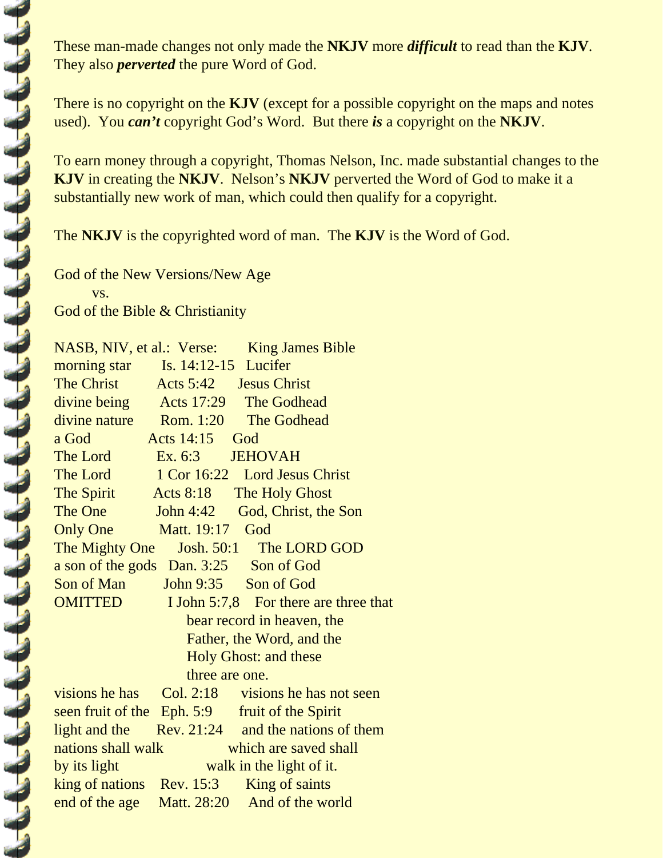These man-made changes not only made the **NKJV** more *difficult* to read than the **KJV**. They also *perverted* the pure Word of God.

There is no copyright on the **KJV** (except for a possible copyright on the maps and notes used). You *can't* copyright God's Word. But there *is* a copyright on the **NKJV**.

To earn money through a copyright, Thomas Nelson, Inc. made substantial changes to the **KJV** in creating the **NKJV**. Nelson's **NKJV** perverted the Word of God to make it a substantially new work of man, which could then qualify for a copyright.

The **NKJV** is the copyrighted word of man. The **KJV** is the Word of God.

God of the New Versions/New Age vs. God of the Bible & Christianity

|                                                                                                                |                  | NASB, NIV, et al.: Verse: King James Bible                         |
|----------------------------------------------------------------------------------------------------------------|------------------|--------------------------------------------------------------------|
| morning star Is. 14:12-15 Lucifer                                                                              |                  |                                                                    |
| The Christ Acts 5:42 Jesus Christ                                                                              |                  |                                                                    |
| divine being Acts 17:29 The Godhead                                                                            |                  |                                                                    |
|                                                                                                                |                  | divine nature Rom. 1:20 The Godhead                                |
| a Goden and a set of the set of the set of the set of the set of the set of the set of the set of the set of t | Acts $14:15$ God |                                                                    |
| The Lord Ex. 6:3 JEHOVAH                                                                                       |                  |                                                                    |
|                                                                                                                |                  | The Lord 1 Cor 16:22 Lord Jesus Christ                             |
|                                                                                                                |                  | The Spirit Acts 8:18 The Holy Ghost                                |
|                                                                                                                |                  | The One John 4:42 God, Christ, the Son                             |
| Only One Matt. 19:17 God                                                                                       |                  |                                                                    |
|                                                                                                                |                  | The Mighty One Josh. 50:1 The LORD GOD                             |
| a son of the gods Dan. 3:25 Son of God                                                                         |                  |                                                                    |
| Son of Man John 9:35 Son of God                                                                                |                  |                                                                    |
|                                                                                                                |                  | <b>OMITTED</b> I John 5:7,8 For there are three that               |
|                                                                                                                |                  | bear record in heaven, the                                         |
|                                                                                                                |                  | Father, the Word, and the                                          |
|                                                                                                                |                  | <b>Holy Ghost: and these</b>                                       |
|                                                                                                                | three are one.   |                                                                    |
|                                                                                                                |                  | visions he has $\qquad$ Col. 2:18 $\qquad$ visions he has not seen |
|                                                                                                                |                  | seen fruit of the Eph. 5:9 fruit of the Spirit                     |
|                                                                                                                |                  | light and the Rev. 21:24 and the nations of them                   |
| nations shall walk                                                                                             |                  | which are saved shall                                              |
| by its light                                                                                                   |                  | walk in the light of it.                                           |
|                                                                                                                |                  | king of nations Rev. 15:3 King of saints                           |
| end of the age                                                                                                 |                  | Matt. 28:20 And of the world                                       |
|                                                                                                                |                  |                                                                    |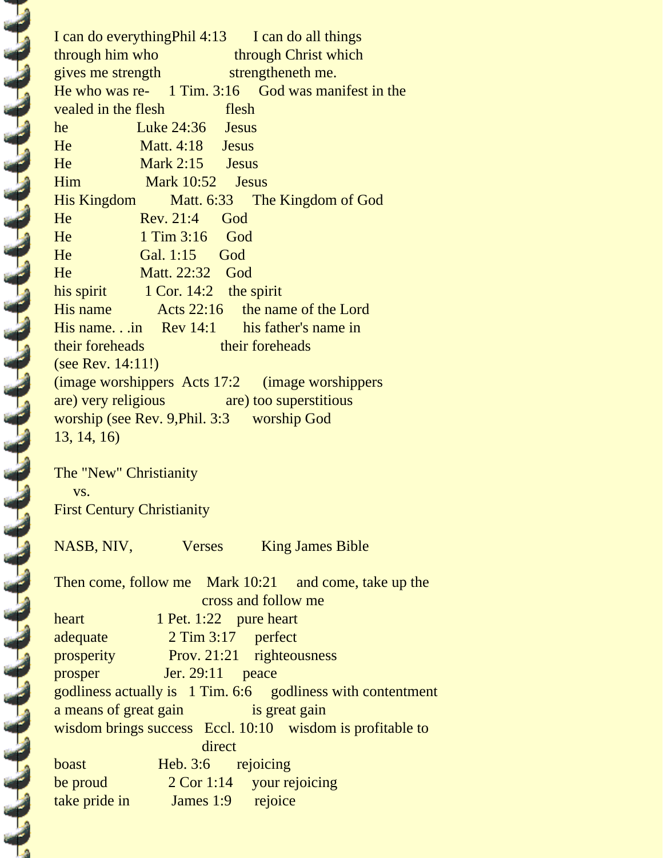I can do everything Phil 4:13 I can do all things through him who through Christ which gives me strength strengtheneth me. He who was re- 1 Tim. 3:16 God was manifest in the vealed in the flesh flesh he Luke 24:36 Jesus He Matt. 4:18 Jesus He Mark 2:15 Jesus Him Mark 10:52 Jesus His Kingdom Matt. 6:33 The Kingdom of God He Rev. 21:4 God He 1 Tim 3:16 God He Gal. 1:15 God He Matt. 22:32 God his spirit  $1$  Cor. 14:2 the spirit His name Acts 22:16 the name of the Lord His name... in Rev 14:1 his father's name in their foreheads their foreheads (see Rev. 14:11!) (image worshippers Acts 17:2 (image worshippers are) very religious are) too superstitious worship (see Rev. 9,Phil. 3:3 worship God 13, 14, 16) The "New" Christianity

 vs. First Century Christianity

NASB, NIV, Verses King James Bible

Then come, follow me Mark 10:21 and come, take up the cross and follow me heart 1 Pet. 1:22 pure heart adequate 2 Tim 3:17 perfect prosperity Prov. 21:21 righteousness prosper Jer. 29:11 peace godliness actually is 1 Tim. 6:6 godliness with contentment a means of great gain is great gain wisdom brings success Eccl. 10:10 wisdom is profitable to direct boast Heb. 3:6 rejoicing be proud 2 Cor 1:14 your rejoicing take pride in James 1:9 rejoice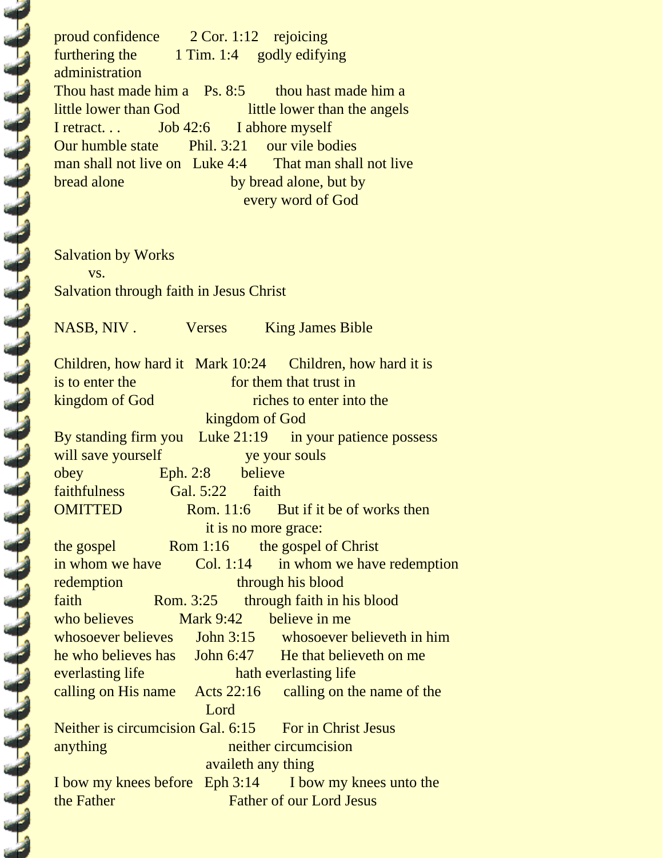proud confidence 2 Cor. 1:12 rejoicing furthering the 1 Tim. 1:4 godly edifying administration Thou hast made him a  $\overline{Ps}$ . 8:5 thou hast made him a little lower than God little lower than the angels I retract... Job 42:6 I abhore myself Our humble state Phil. 3:21 our vile bodies man shall not live on Luke 4:4 That man shall not live bread alone by bread alone, but by every word of God

Salvation by Works vs. Salvation through faith in Jesus Christ

NASB, NIV . Verses King James Bible

Children, how hard it Mark 10:24 Children, how hard it is is to enter the for them that trust in kingdom of God riches to enter into the kingdom of God By standing firm you Luke 21:19 in your patience possess will save yourself ye your souls obey Eph. 2:8 believe faithfulness Gal. 5:22 faith OMITTED Rom. 11:6 But if it be of works then it is no more grace: the gospel  $\sim$  Rom 1:16 the gospel of Christ in whom we have Col. 1:14 in whom we have redemption redemption through his blood faith Rom. 3:25 through faith in his blood who believes Mark 9:42 believe in me whosoever believes John 3:15 whosoever believeth in him he who believes has John 6:47 He that believeth on me everlasting life hath everlasting life calling on His name Acts  $22:16$  calling on the name of the Lord Neither is circumcision Gal.  $6:15$  For in Christ Jesus anything neither circumcision availeth any thing I bow my knees before Eph 3:14 I bow my knees unto the the Father Father Father of our Lord Jesus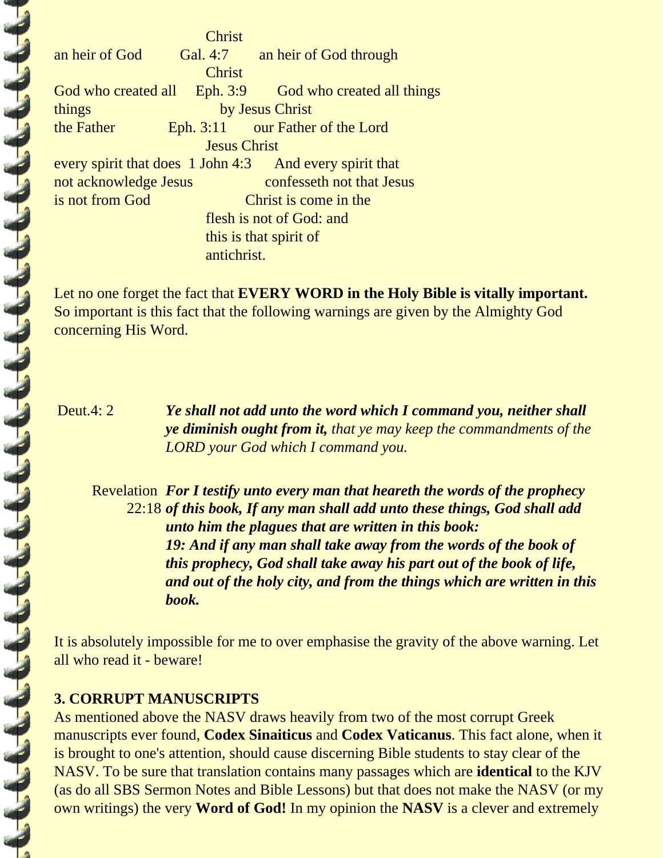|                       | <b>Christ</b>       |                                                         |
|-----------------------|---------------------|---------------------------------------------------------|
| an heir of God        |                     | Gal. 4:7 an heir of God through                         |
|                       | <b>Christ</b>       |                                                         |
| God who created all   | Eph. $3:9$          | God who created all things                              |
| things                |                     | by Jesus Christ                                         |
| the Father            |                     | Eph. 3:11 our Father of the Lord                        |
|                       | <b>Jesus Christ</b> |                                                         |
|                       |                     | every spirit that does 1 John 4:3 And every spirit that |
| not acknowledge Jesus |                     | confesseth not that Jesus                               |
| is not from God       |                     | Christ is come in the                                   |
|                       |                     | flesh is not of God: and                                |
|                       |                     | this is that spirit of                                  |
|                       | antichrist.         |                                                         |
|                       |                     |                                                         |

Let no one forget the fact that **EVERY WORD in the Holy Bible is vitally important.** So important is this fact that the following warnings are given by the Almighty God concerning His Word.

Deut.4: 2 *Ye shall not add unto the word which I command you, neither shall ye diminish ought from it, that ye may keep the commandments of the LORD your God which I command you.*

Revelation *For I testify unto every man that heareth the words of the prophecy*  22:18 *of this book, If any man shall add unto these things, God shall add unto him the plagues that are written in this book: 19: And if any man shall take away from the words of the book of this prophecy, God shall take away his part out of the book of life, and out of the holy city, and from the things which are written in this book.*

It is absolutely impossible for me to over emphasise the gravity of the above warning. Let all who read it - beware!

#### **3. CORRUPT MANUSCRIPTS**

As mentioned above the NASV draws heavily from two of the most corrupt Greek manuscripts ever found, **Codex Sinaiticus** and **Codex Vaticanus**. This fact alone, when it is brought to one's attention, should cause discerning Bible students to stay clear of the NASV. To be sure that translation contains many passages which are **identical** to the KJV (as do all SBS Sermon Notes and Bible Lessons) but that does not make the NASV (or my own writings) the very **Word of God!** In my opinion the **NASV** is a clever and extremely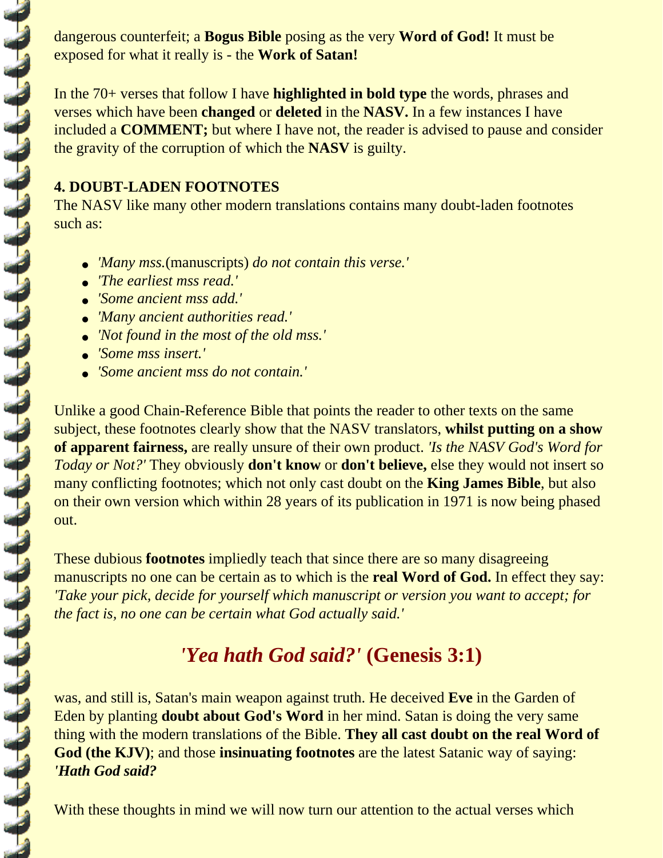dangerous counterfeit; a **Bogus Bible** posing as the very **Word of God!** It must be exposed for what it really is - the **Work of Satan!**

In the 70+ verses that follow I have **highlighted in bold type** the words, phrases and verses which have been **changed** or **deleted** in the **NASV.** In a few instances I have included a **COMMENT;** but where I have not, the reader is advised to pause and consider the gravity of the corruption of which the **NASV** is guilty.

# **4. DOUBT-LADEN FOOTNOTES**

The NASV like many other modern translations contains many doubt-laden footnotes such as:

- *'Many mss.*(manuscripts) *do not contain this verse.'*
- *'The earliest mss read.'*
- *'Some ancient mss add.'*
- *'Many ancient authorities read.'*
- *'Not found in the most of the old mss.'*
- *'Some mss insert.'*

● *'Some ancient mss do not contain.'*

Unlike a good Chain-Reference Bible that points the reader to other texts on the same subject, these footnotes clearly show that the NASV translators, **whilst putting on a show of apparent fairness,** are really unsure of their own product. *'Is the NASV God's Word for Today or Not?'* They obviously **don't know** or **don't believe,** else they would not insert so many conflicting footnotes; which not only cast doubt on the **King James Bible**, but also on their own version which within 28 years of its publication in 1971 is now being phased out.

These dubious **footnotes** impliedly teach that since there are so many disagreeing manuscripts no one can be certain as to which is the **real Word of God.** In effect they say: *'Take your pick, decide for yourself which manuscript or version you want to accept; for the fact is, no one can be certain what God actually said.'*

# *'Yea hath God said?'* **(Genesis 3:1)**

was, and still is, Satan's main weapon against truth. He deceived **Eve** in the Garden of Eden by planting **doubt about God's Word** in her mind. Satan is doing the very same thing with the modern translations of the Bible. **They all cast doubt on the real Word of God (the KJV)**; and those **insinuating footnotes** are the latest Satanic way of saying: *'Hath God said?*

With these thoughts in mind we will now turn our attention to the actual verses which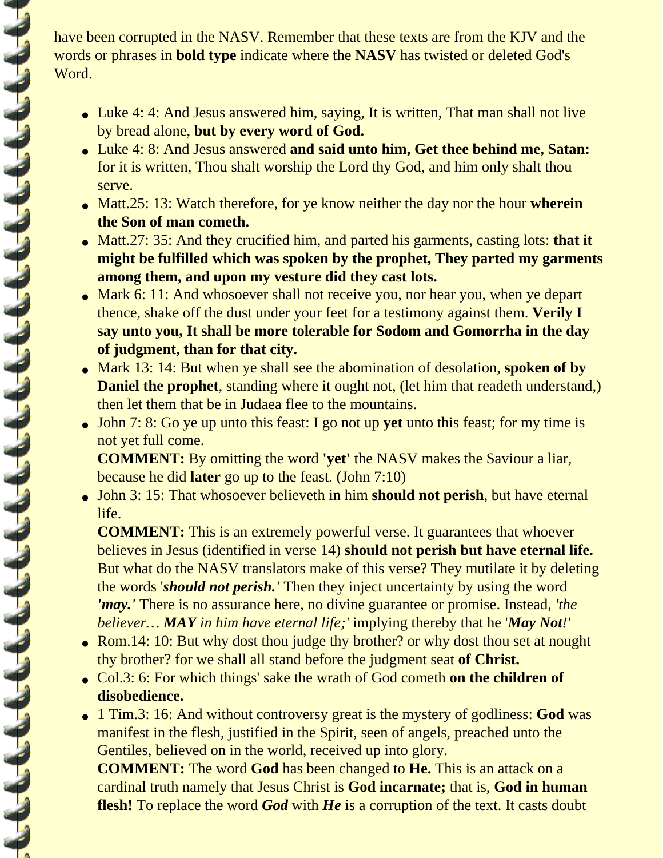have been corrupted in the NASV. Remember that these texts are from the KJV and the words or phrases in **bold type** indicate where the **NASV** has twisted or deleted God's Word.

- Luke 4: 4: And Jesus answered him, saying, It is written, That man shall not live by bread alone, **but by every word of God.**
- Luke 4: 8: And Jesus answered **and said unto him, Get thee behind me, Satan:**  for it is written, Thou shalt worship the Lord thy God, and him only shalt thou serve.
- Matt.25: 13: Watch therefore, for ye know neither the day nor the hour **wherein the Son of man cometh.**
- Matt. 27: 35: And they crucified him, and parted his garments, casting lots: **that it might be fulfilled which was spoken by the prophet, They parted my garments among them, and upon my vesture did they cast lots.**
- Mark 6: 11: And whosoever shall not receive you, nor hear you, when ye depart thence, shake off the dust under your feet for a testimony against them. **Verily I say unto you, It shall be more tolerable for Sodom and Gomorrha in the day of judgment, than for that city.**
- Mark 13: 14: But when ye shall see the abomination of desolation, **spoken of by Daniel the prophet**, standing where it ought not, (let him that readeth understand,) then let them that be in Judaea flee to the mountains.
- John 7: 8: Go ye up unto this feast: I go not up **yet** unto this feast; for my time is not yet full come.

**COMMENT:** By omitting the word **'yet'** the NASV makes the Saviour a liar, because he did **later** go up to the feast. (John 7:10)

● John 3: 15: That whosoever believeth in him **should not perish**, but have eternal life.

**COMMENT:** This is an extremely powerful verse. It guarantees that whoever believes in Jesus (identified in verse 14) **should not perish but have eternal life.**  But what do the NASV translators make of this verse? They mutilate it by deleting the words '*should not perish.'* Then they inject uncertainty by using the word *'may.'* There is no assurance here, no divine guarantee or promise. Instead, *'the believer… MAY in him have eternal life;'* implying thereby that he '*May Not!'* 

- Rom. 14: 10: But why dost thou judge thy brother? or why dost thou set at nought thy brother? for we shall all stand before the judgment seat **of Christ.**
- Col.3: 6: For which things' sake the wrath of God cometh on the children of **disobedience.**
- 1 Tim.3: 16: And without controversy great is the mystery of godliness: **God** was manifest in the flesh, justified in the Spirit, seen of angels, preached unto the Gentiles, believed on in the world, received up into glory.

**COMMENT:** The word **God** has been changed to **He.** This is an attack on a cardinal truth namely that Jesus Christ is **God incarnate;** that is, **God in human flesh!** To replace the word *God* with *He* is a corruption of the text. It casts doubt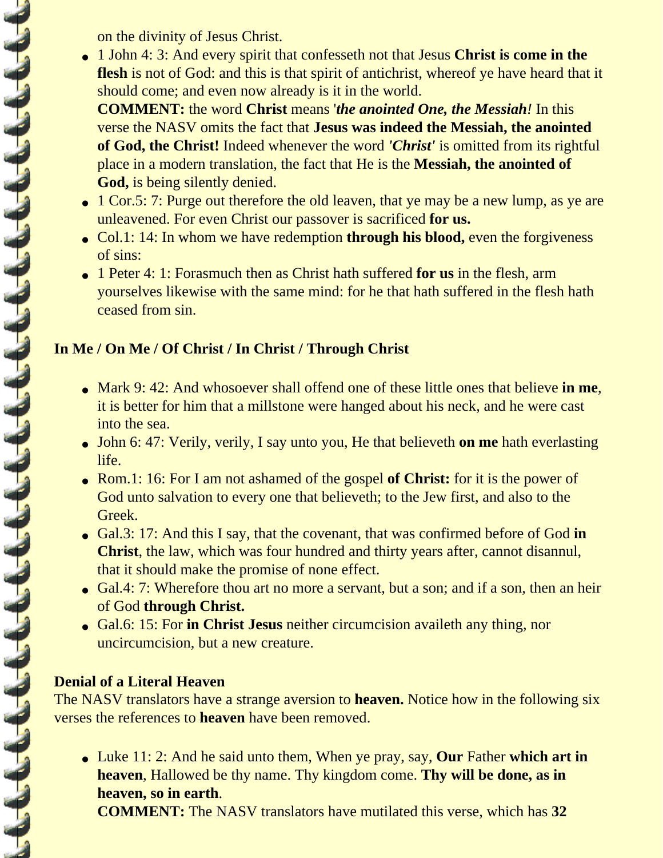on the divinity of Jesus Christ.

- 1 John 4: 3: And every spirit that confesseth not that Jesus **Christ is come in the flesh** is not of God: and this is that spirit of antichrist, whereof ye have heard that it should come; and even now already is it in the world.
	- **COMMENT:** the word **Christ** means '*the anointed One, the Messiah!* In this verse the NASV omits the fact that **Jesus was indeed the Messiah, the anointed of God, the Christ!** Indeed whenever the word *'Christ'* is omitted from its rightful place in a modern translation, the fact that He is the **Messiah, the anointed of God,** is being silently denied.
- $\bullet$  1 Cor.5: 7: Purge out therefore the old leaven, that ye may be a new lump, as ye are unleavened. For even Christ our passover is sacrificed **for us.**
- Col.1: 14: In whom we have redemption **through his blood,** even the forgiveness of sins:
- 1 Peter 4: 1: Forasmuch then as Christ hath suffered **for us** in the flesh, arm yourselves likewise with the same mind: for he that hath suffered in the flesh hath ceased from sin.

# **In Me / On Me / Of Christ / In Christ / Through Christ**

- Mark 9: 42: And whosoever shall offend one of these little ones that believe **in me**, it is better for him that a millstone were hanged about his neck, and he were cast into the sea.
- John 6: 47: Verily, verily, I say unto you, He that believeth **on me** hath everlasting life.
- Rom.1: 16: For I am not ashamed of the gospel **of Christ:** for it is the power of God unto salvation to every one that believeth; to the Jew first, and also to the Greek.
- Gal.3: 17: And this I say, that the covenant, that was confirmed before of God **in Christ**, the law, which was four hundred and thirty years after, cannot disannul, that it should make the promise of none effect.
- Gal.4: 7: Wherefore thou art no more a servant, but a son; and if a son, then an heir of God **through Christ.**
- Gal.6: 15: For **in Christ Jesus** neither circumcision availeth any thing, nor uncircumcision, but a new creature.

# **Denial of a Literal Heaven**

The NASV translators have a strange aversion to **heaven.** Notice how in the following six verses the references to **heaven** have been removed.

● Luke 11: 2: And he said unto them, When ye pray, say, **Our** Father **which art in heaven**, Hallowed be thy name. Thy kingdom come. **Thy will be done, as in heaven, so in earth**.

**COMMENT:** The NASV translators have mutilated this verse, which has **32**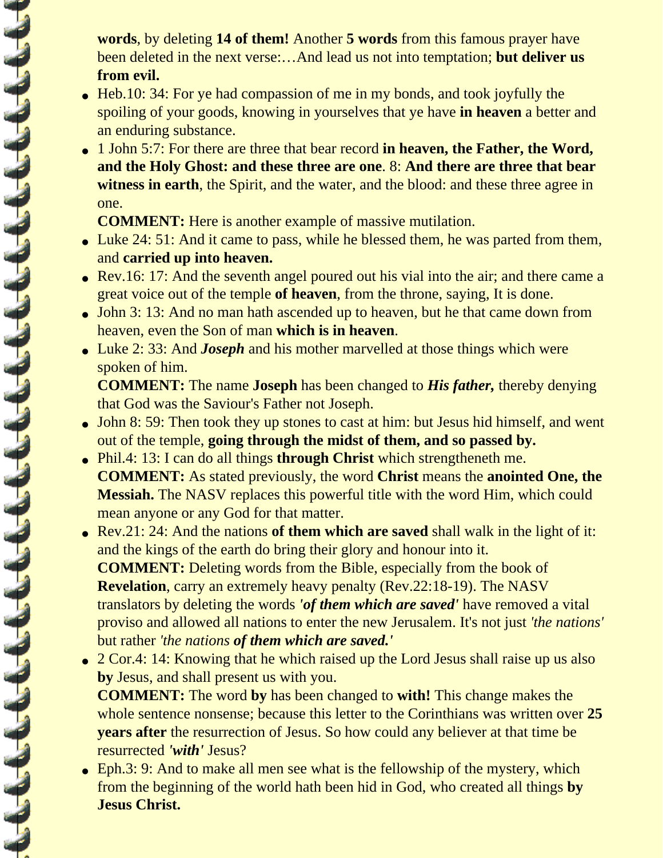**words**, by deleting **14 of them!** Another **5 words** from this famous prayer have been deleted in the next verse:…And lead us not into temptation; **but deliver us from evil.** 

- Heb.10: 34: For ye had compassion of me in my bonds, and took joyfully the spoiling of your goods, knowing in yourselves that ye have **in heaven** a better and an enduring substance.
- 1 John 5:7: For there are three that bear record in heaven, the Father, the Word, **and the Holy Ghost: and these three are one**. 8: **And there are three that bear witness in earth**, the Spirit, and the water, and the blood: and these three agree in one.

**COMMENT:** Here is another example of massive mutilation.

- Luke 24: 51: And it came to pass, while he blessed them, he was parted from them, and **carried up into heaven.**
- Rev.16: 17: And the seventh angel poured out his vial into the air; and there came a great voice out of the temple **of heaven**, from the throne, saying, It is done.
- John 3: 13: And no man hath ascended up to heaven, but he that came down from heaven, even the Son of man **which is in heaven**.
- Luke 2: 33: And *Joseph* and his mother marvelled at those things which were spoken of him.

**COMMENT:** The name **Joseph** has been changed to *His father,* thereby denying that God was the Saviour's Father not Joseph.

- John 8: 59: Then took they up stones to cast at him: but Jesus hid himself, and went out of the temple, **going through the midst of them, and so passed by.**
- Phil.4: 13: I can do all things **through Christ** which strengtheneth me. **COMMENT:** As stated previously, the word **Christ** means the **anointed One, the Messiah.** The NASV replaces this powerful title with the word Him, which could mean anyone or any God for that matter.
- Rev.21: 24: And the nations **of them which are saved** shall walk in the light of it: and the kings of the earth do bring their glory and honour into it. **COMMENT:** Deleting words from the Bible, especially from the book of **Revelation**, carry an extremely heavy penalty (Rev.22:18-19). The NASV translators by deleting the words *'of them which are saved'* have removed a vital proviso and allowed all nations to enter the new Jerusalem. It's not just *'the nations'*  but rather *'the nations of them which are saved.'*
- 2 Cor.4: 14: Knowing that he which raised up the Lord Jesus shall raise up us also **by** Jesus, and shall present us with you. **COMMENT:** The word **by** has been changed to **with!** This change makes the

whole sentence nonsense; because this letter to the Corinthians was written over **25 years after** the resurrection of Jesus. So how could any believer at that time be resurrected *'with'* Jesus?

 $\bullet$  Eph.3: 9: And to make all men see what is the fellowship of the mystery, which from the beginning of the world hath been hid in God, who created all things **by Jesus Christ.**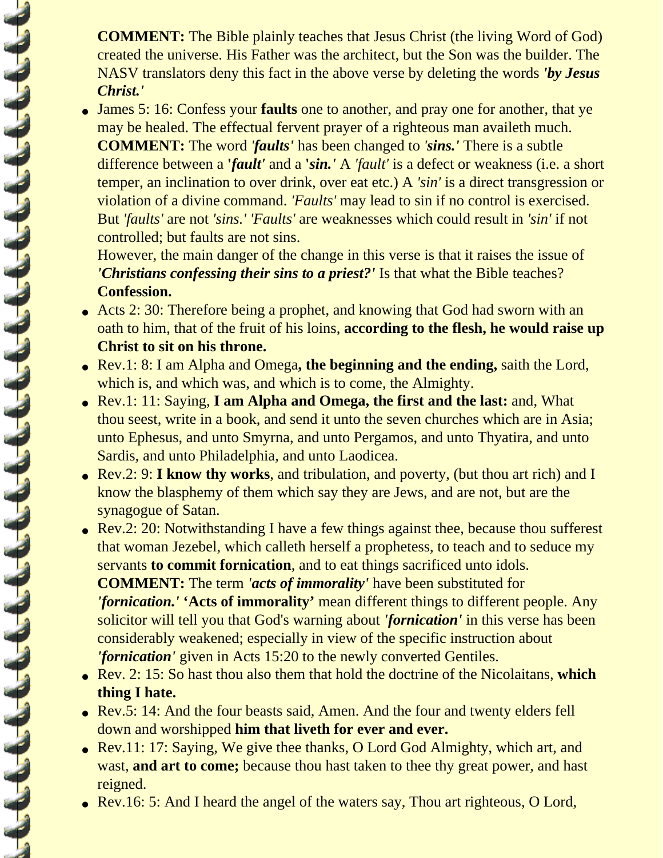**COMMENT:** The Bible plainly teaches that Jesus Christ (the living Word of God) created the universe. His Father was the architect, but the Son was the builder. The NASV translators deny this fact in the above verse by deleting the words *'by Jesus Christ.'*

● James 5: 16: Confess your **faults** one to another, and pray one for another, that ye may be healed. The effectual fervent prayer of a righteous man availeth much. **COMMENT:** The word *'faults'* has been changed to *'sins.'* There is a subtle difference between a **'***fault'* and a **'***sin.'* A *'fault'* is a defect or weakness (i.e. a short temper, an inclination to over drink, over eat etc.) A *'sin'* is a direct transgression or violation of a divine command. *'Faults'* may lead to sin if no control is exercised. But *'faults'* are not *'sins.' 'Faults'* are weaknesses which could result in *'sin'* if not controlled; but faults are not sins.

However, the main danger of the change in this verse is that it raises the issue of *'Christians confessing their sins to a priest?'* Is that what the Bible teaches? **Confession.**

- Acts 2: 30: Therefore being a prophet, and knowing that God had sworn with an oath to him, that of the fruit of his loins, **according to the flesh, he would raise up Christ to sit on his throne.**
- Rev.1: 8: I am Alpha and Omega**, the beginning and the ending,** saith the Lord, which is, and which was, and which is to come, the Almighty.
- Rev.1: 11: Saying, **I am Alpha and Omega, the first and the last:** and, What thou seest, write in a book, and send it unto the seven churches which are in Asia; unto Ephesus, and unto Smyrna, and unto Pergamos, and unto Thyatira, and unto Sardis, and unto Philadelphia, and unto Laodicea.

- Rev.2: 9: **I know thy works**, and tribulation, and poverty, (but thou art rich) and I know the blasphemy of them which say they are Jews, and are not, but are the synagogue of Satan.
- Rev.2: 20: Notwithstanding I have a few things against thee, because thou sufferest that woman Jezebel, which calleth herself a prophetess, to teach and to seduce my servants **to commit fornication**, and to eat things sacrificed unto idols. **COMMENT:** The term *'acts of immorality'* have been substituted for *'fornication.'* **'Acts of immorality'** mean different things to different people. Any solicitor will tell you that God's warning about *'fornication'* in this verse has been considerably weakened; especially in view of the specific instruction about *'fornication'* given in Acts 15:20 to the newly converted Gentiles.
- Rev. 2: 15: So hast thou also them that hold the doctrine of the Nicolaitans, **which thing I hate.**
- Rev.5: 14: And the four beasts said, Amen. And the four and twenty elders fell down and worshipped **him that liveth for ever and ever.**
- Rev.11: 17: Saying, We give thee thanks, O Lord God Almighty, which art, and wast, **and art to come;** because thou hast taken to thee thy great power, and hast reigned.
- Rev.16: 5: And I heard the angel of the waters say, Thou art righteous, O Lord,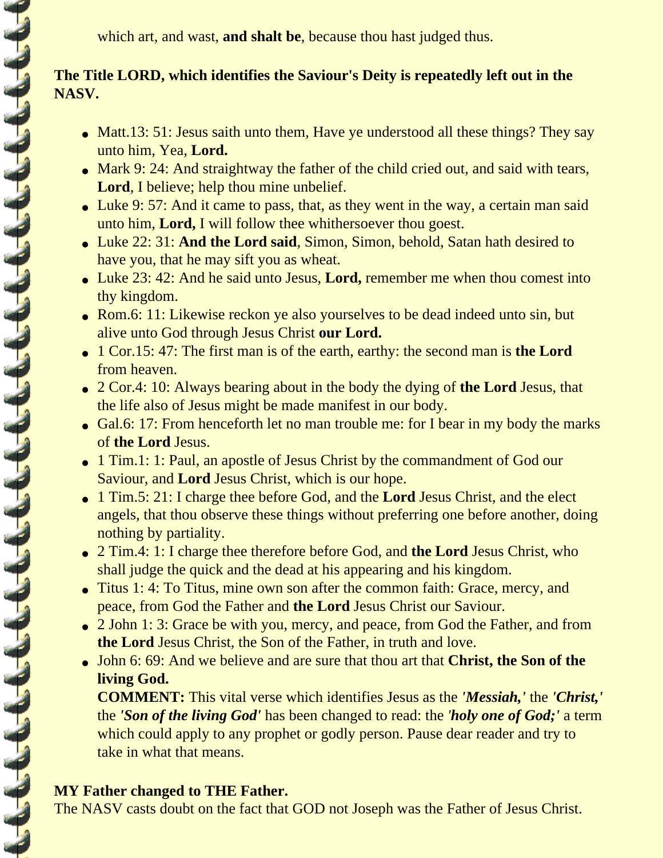which art, and wast, **and shalt be**, because thou hast judged thus.

### **The Title LORD, which identifies the Saviour's Deity is repeatedly left out in the NASV.**

- Matt.13: 51: Jesus saith unto them, Have ye understood all these things? They say unto him, Yea, **Lord.**
- Mark 9: 24: And straightway the father of the child cried out, and said with tears, Lord, I believe; help thou mine unbelief.
- Luke 9: 57: And it came to pass, that, as they went in the way, a certain man said unto him, **Lord,** I will follow thee whithersoever thou goest.
- Luke 22: 31: **And the Lord said**, Simon, Simon, behold, Satan hath desired to have you, that he may sift you as wheat.
- Luke 23: 42: And he said unto Jesus, **Lord**, remember me when thou comest into thy kingdom.
- Rom.6: 11: Likewise reckon ye also yourselves to be dead indeed unto sin, but alive unto God through Jesus Christ **our Lord.**
- 1 Cor.15: 47: The first man is of the earth, earthy: the second man is **the Lord** from heaven.
- 2 Cor.4: 10: Always bearing about in the body the dying of **the Lord** Jesus, that the life also of Jesus might be made manifest in our body.
- Gal.6: 17: From henceforth let no man trouble me: for I bear in my body the marks of **the Lord** Jesus.
- 1 Tim.1: 1: Paul, an apostle of Jesus Christ by the commandment of God our Saviour, and **Lord** Jesus Christ, which is our hope.
- 1 Tim.5: 21: I charge thee before God, and the **Lord** Jesus Christ, and the elect angels, that thou observe these things without preferring one before another, doing nothing by partiality.
- 2 Tim.4: 1: I charge thee therefore before God, and **the Lord** Jesus Christ, who shall judge the quick and the dead at his appearing and his kingdom.
- Titus 1: 4: To Titus, mine own son after the common faith: Grace, mercy, and peace, from God the Father and **the Lord** Jesus Christ our Saviour.
- 2 John 1: 3: Grace be with you, mercy, and peace, from God the Father, and from **the Lord** Jesus Christ, the Son of the Father, in truth and love.
- John 6: 69: And we believe and are sure that thou art that **Christ, the Son of the living God.**

**COMMENT:** This vital verse which identifies Jesus as the *'Messiah,'* the *'Christ,'*  the *'Son of the living God'* has been changed to read: the *'holy one of God;'* a term which could apply to any prophet or godly person. Pause dear reader and try to take in what that means.

# **MY Father changed to THE Father.**

The NASV casts doubt on the fact that GOD not Joseph was the Father of Jesus Christ.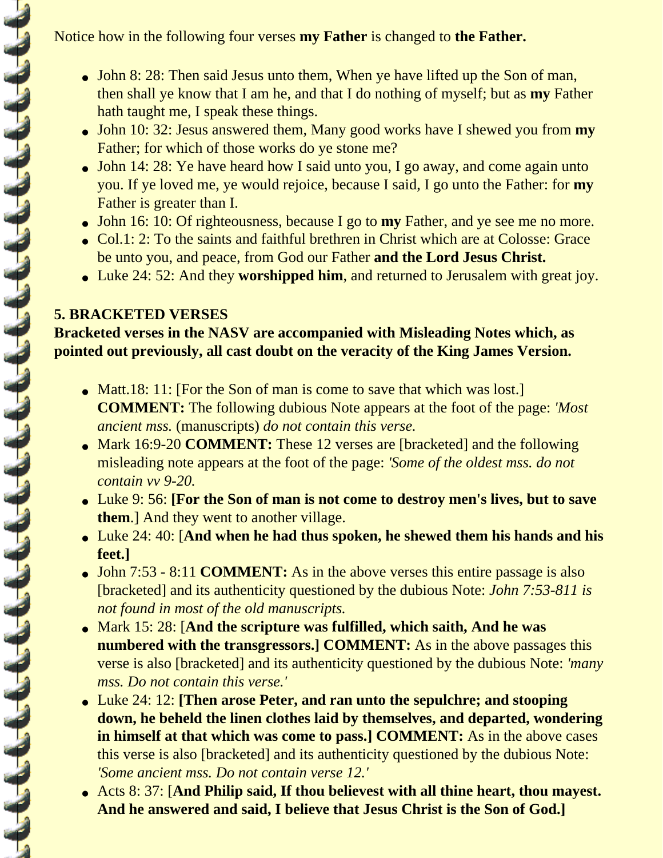Notice how in the following four verses **my Father** is changed to **the Father.** 

- John 8: 28: Then said Jesus unto them, When ye have lifted up the Son of man, then shall ye know that I am he, and that I do nothing of myself; but as **my** Father hath taught me, I speak these things.
- John 10: 32: Jesus answered them, Many good works have I shewed you from my Father; for which of those works do ye stone me?
- John 14: 28: Ye have heard how I said unto you, I go away, and come again unto you. If ye loved me, ye would rejoice, because I said, I go unto the Father: for **my** Father is greater than I.
- John 16: 10: Of righteousness, because I go to **my** Father, and ye see me no more.
- Col.1: 2: To the saints and faithful brethren in Christ which are at Colosse: Grace be unto you, and peace, from God our Father **and the Lord Jesus Christ.**
- Luke 24: 52: And they **worshipped him**, and returned to Jerusalem with great joy.

# **5. BRACKETED VERSES**

**Bracketed verses in the NASV are accompanied with Misleading Notes which, as pointed out previously, all cast doubt on the veracity of the King James Version.** 

- Matt.18: 11: [For the Son of man is come to save that which was lost.] **COMMENT:** The following dubious Note appears at the foot of the page: *'Most ancient mss.* (manuscripts) *do not contain this verse.*
- Mark 16:9-20 **COMMENT:** These 12 verses are [bracketed] and the following misleading note appears at the foot of the page: *'Some of the oldest mss. do not contain vv 9-20.*
- Luke 9: 56: **[For the Son of man is not come to destroy men's lives, but to save them**.] And they went to another village.
- Luke 24: 40: [**And when he had thus spoken, he shewed them his hands and his feet.]**
- John 7:53 8:11 **COMMENT:** As in the above verses this entire passage is also [bracketed] and its authenticity questioned by the dubious Note: *John 7:53-811 is not found in most of the old manuscripts.*
- Mark 15: 28: [**And the scripture was fulfilled, which saith, And he was numbered with the transgressors.] COMMENT:** As in the above passages this verse is also [bracketed] and its authenticity questioned by the dubious Note: *'many mss. Do not contain this verse.'*
- Luke 24: 12: **[Then arose Peter, and ran unto the sepulchre; and stooping down, he beheld the linen clothes laid by themselves, and departed, wondering in himself at that which was come to pass.] COMMENT:** As in the above cases this verse is also [bracketed] and its authenticity questioned by the dubious Note: *'Some ancient mss. Do not contain verse 12.'*
- Acts 8: 37: [**And Philip said, If thou believest with all thine heart, thou mayest. And he answered and said, I believe that Jesus Christ is the Son of God.]**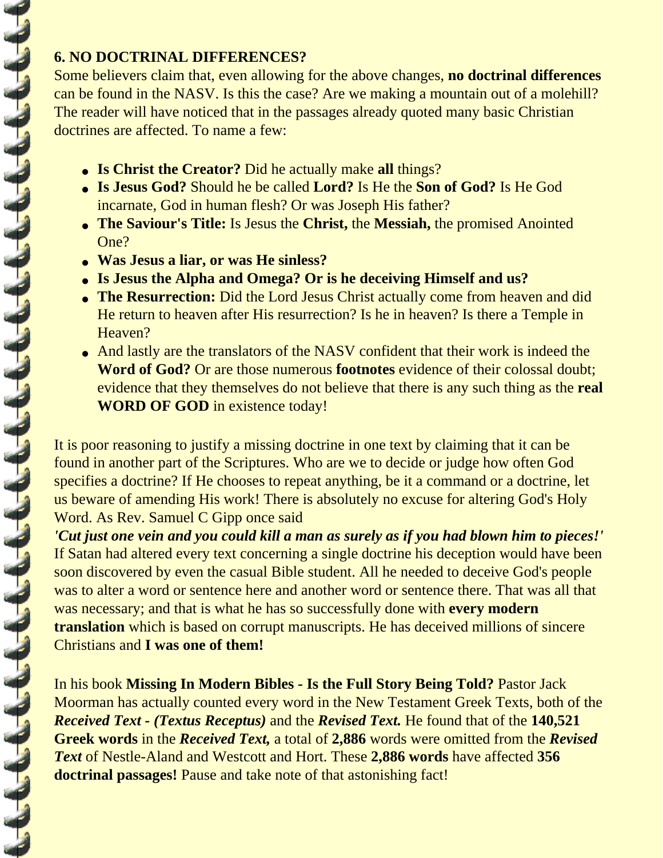# **6. NO DOCTRINAL DIFFERENCES?**

Some believers claim that, even allowing for the above changes, **no doctrinal differences**  can be found in the NASV. Is this the case? Are we making a mountain out of a molehill? The reader will have noticed that in the passages already quoted many basic Christian doctrines are affected. To name a few:

- **Is Christ the Creator?** Did he actually make **all** things?
- **Is Jesus God?** Should he be called **Lord?** Is He the **Son of God?** Is He God incarnate, God in human flesh? Or was Joseph His father?
- **The Saviour's Title:** Is Jesus the **Christ,** the **Messiah,** the promised Anointed One?
- **Was Jesus a liar, or was He sinless?**

- **Is Jesus the Alpha and Omega? Or is he deceiving Himself and us?**
- **The Resurrection:** Did the Lord Jesus Christ actually come from heaven and did He return to heaven after His resurrection? Is he in heaven? Is there a Temple in Heaven?
- And lastly are the translators of the NASV confident that their work is indeed the **Word of God?** Or are those numerous **footnotes** evidence of their colossal doubt; evidence that they themselves do not believe that there is any such thing as the **real WORD OF GOD** in existence today!

It is poor reasoning to justify a missing doctrine in one text by claiming that it can be found in another part of the Scriptures. Who are we to decide or judge how often God specifies a doctrine? If He chooses to repeat anything, be it a command or a doctrine, let us beware of amending His work! There is absolutely no excuse for altering God's Holy Word. As Rev. Samuel C Gipp once said

*'Cut just one vein and you could kill a man as surely as if you had blown him to pieces!'*  If Satan had altered every text concerning a single doctrine his deception would have been soon discovered by even the casual Bible student. All he needed to deceive God's people was to alter a word or sentence here and another word or sentence there. That was all that was necessary; and that is what he has so successfully done with **every modern translation** which is based on corrupt manuscripts. He has deceived millions of sincere Christians and **I was one of them!** 

In his book **Missing In Modern Bibles - Is the Full Story Being Told?** Pastor Jack Moorman has actually counted every word in the New Testament Greek Texts, both of the *Received Text - (Textus Receptus)* and the *Revised Text.* He found that of the **140,521 Greek words** in the *Received Text,* a total of **2,886** words were omitted from the *Revised Text* of Nestle-Aland and Westcott and Hort. These **2,886 words** have affected **356 doctrinal passages!** Pause and take note of that astonishing fact!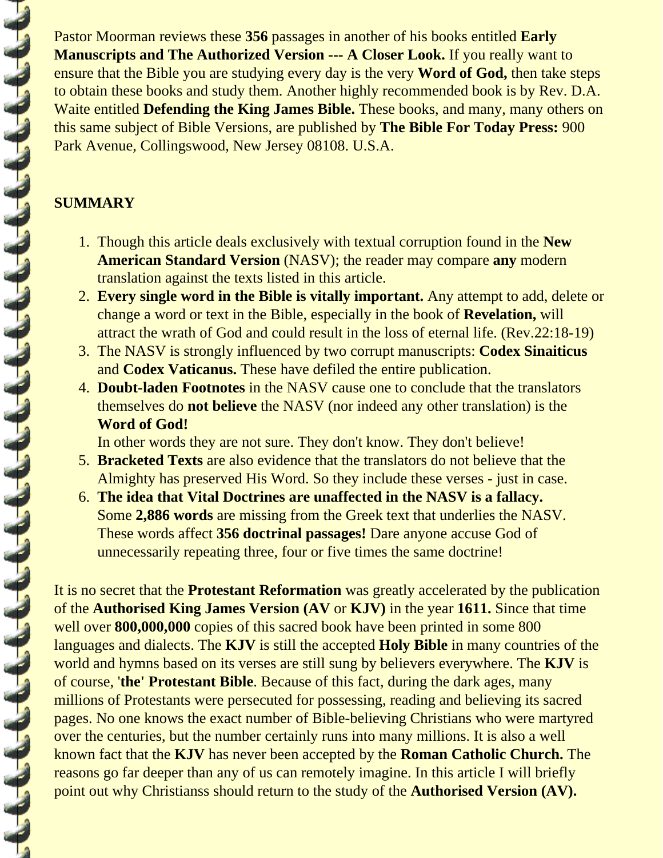Pastor Moorman reviews these **356** passages in another of his books entitled **Early Manuscripts and The Authorized Version --- A Closer Look.** If you really want to ensure that the Bible you are studying every day is the very **Word of God,** then take steps to obtain these books and study them. Another highly recommended book is by Rev. D.A. Waite entitled **Defending the King James Bible.** These books, and many, many others on this same subject of Bible Versions, are published by **The Bible For Today Press:** 900 Park Avenue, Collingswood, New Jersey 08108. U.S.A.

# **SUMMARY**

- 1. Though this article deals exclusively with textual corruption found in the **New American Standard Version** (NASV); the reader may compare **any** modern translation against the texts listed in this article.
- 2. **Every single word in the Bible is vitally important.** Any attempt to add, delete or change a word or text in the Bible, especially in the book of **Revelation,** will attract the wrath of God and could result in the loss of eternal life. (Rev.22:18-19)
- 3. The NASV is strongly influenced by two corrupt manuscripts: **Codex Sinaiticus**  and **Codex Vaticanus.** These have defiled the entire publication.
- 4. **Doubt-laden Footnotes** in the NASV cause one to conclude that the translators themselves do **not believe** the NASV (nor indeed any other translation) is the **Word of God!**

In other words they are not sure. They don't know. They don't believe!

- 5. **Bracketed Texts** are also evidence that the translators do not believe that the Almighty has preserved His Word. So they include these verses - just in case.
- 6. **The idea that Vital Doctrines are unaffected in the NASV is a fallacy.** Some **2,886 words** are missing from the Greek text that underlies the NASV. These words affect **356 doctrinal passages!** Dare anyone accuse God of unnecessarily repeating three, four or five times the same doctrine!

It is no secret that the **Protestant Reformation** was greatly accelerated by the publication of the **Authorised King James Version (AV** or **KJV)** in the year **1611.** Since that time well over **800,000,000** copies of this sacred book have been printed in some 800 languages and dialects. The **KJV** is still the accepted **Holy Bible** in many countries of the world and hymns based on its verses are still sung by believers everywhere. The **KJV** is of course, '**the' Protestant Bible**. Because of this fact, during the dark ages, many millions of Protestants were persecuted for possessing, reading and believing its sacred pages. No one knows the exact number of Bible-believing Christians who were martyred over the centuries, but the number certainly runs into many millions. It is also a well known fact that the **KJV** has never been accepted by the **Roman Catholic Church.** The reasons go far deeper than any of us can remotely imagine. In this article I will briefly point out why Christianss should return to the study of the **Authorised Version (AV).**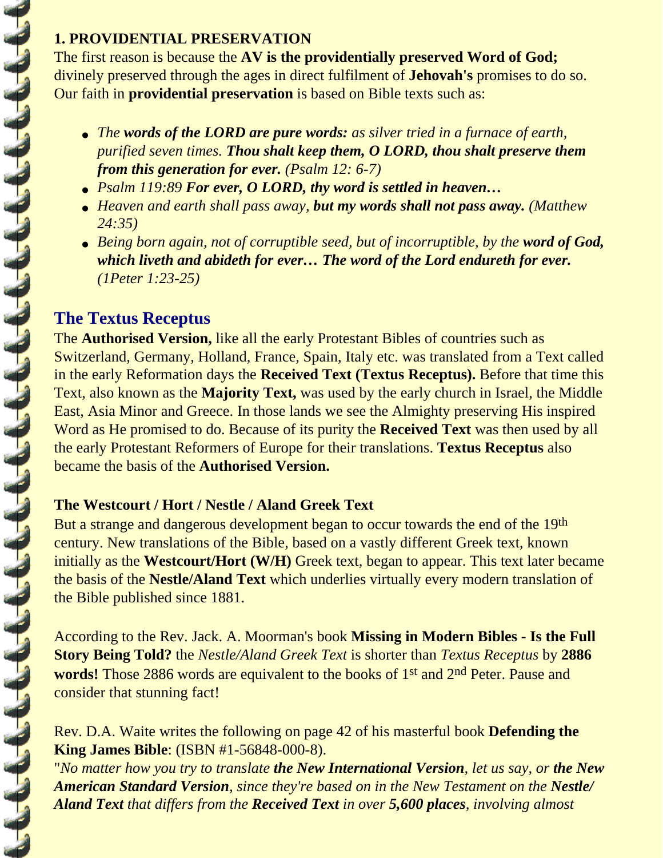## **1. PROVIDENTIAL PRESERVATION**

The first reason is because the **AV is the providentially preserved Word of God;**  divinely preserved through the ages in direct fulfilment of **Jehovah's** promises to do so. Our faith in **providential preservation** is based on Bible texts such as:

- *The words of the LORD are pure words: as silver tried in a furnace of earth, purified seven times. Thou shalt keep them, O LORD, thou shalt preserve them from this generation for ever. (Psalm 12: 6-7)*
- *Psalm 119:89 For ever, O LORD, thy word is settled in heaven…*
- *Heaven and earth shall pass away, but my words shall not pass away. (Matthew 24:35)*
- Being born again, not of corruptible seed, but of incorruptible, by the **word of God,** *which liveth and abideth for ever… The word of the Lord endureth for ever. (1Peter 1:23-25)*

# **The Textus Receptus**

The **Authorised Version,** like all the early Protestant Bibles of countries such as Switzerland, Germany, Holland, France, Spain, Italy etc. was translated from a Text called in the early Reformation days the **Received Text (Textus Receptus).** Before that time this Text, also known as the **Majority Text,** was used by the early church in Israel, the Middle East, Asia Minor and Greece. In those lands we see the Almighty preserving His inspired Word as He promised to do. Because of its purity the **Received Text** was then used by all the early Protestant Reformers of Europe for their translations. **Textus Receptus** also became the basis of the **Authorised Version.**

# **The Westcourt / Hort / Nestle / Aland Greek Text**

But a strange and dangerous development began to occur towards the end of the 19th century. New translations of the Bible, based on a vastly different Greek text, known initially as the **Westcourt/Hort (W/H)** Greek text, began to appear. This text later became the basis of the **Nestle/Aland Text** which underlies virtually every modern translation of the Bible published since 1881.

According to the Rev. Jack. A. Moorman's book **Missing in Modern Bibles - Is the Full Story Being Told?** the *Nestle/Aland Greek Text* is shorter than *Textus Receptus* by **2886 words!** Those 2886 words are equivalent to the books of 1st and 2nd Peter. Pause and consider that stunning fact!

Rev. D.A. Waite writes the following on page 42 of his masterful book **Defending the King James Bible**: (ISBN #1-56848-000-8).

"*No matter how you try to translate the New International Version, let us say, or the New American Standard Version, since they're based on in the New Testament on the Nestle/ Aland Text that differs from the Received Text in over 5,600 places, involving almost*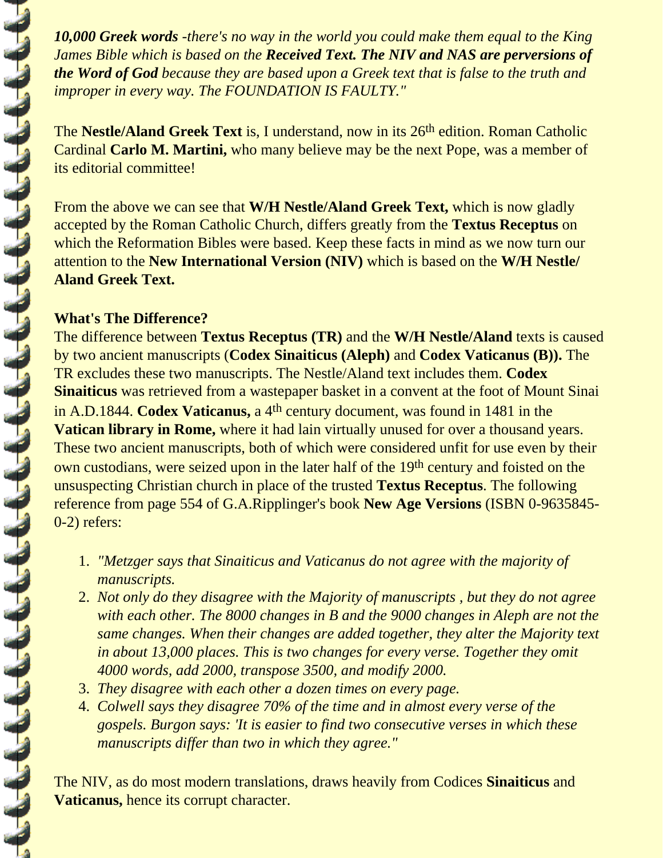*10,000 Greek words -there's no way in the world you could make them equal to the King James Bible which is based on the Received Text. The NIV and NAS are perversions of the Word of God because they are based upon a Greek text that is false to the truth and improper in every way. The FOUNDATION IS FAULTY."*

The **Nestle/Aland Greek Text** is, I understand, now in its 26th edition. Roman Catholic Cardinal **Carlo M. Martini,** who many believe may be the next Pope, was a member of its editorial committee!

From the above we can see that **W/H Nestle/Aland Greek Text,** which is now gladly accepted by the Roman Catholic Church, differs greatly from the **Textus Receptus** on which the Reformation Bibles were based. Keep these facts in mind as we now turn our attention to the **New International Version (NIV)** which is based on the **W/H Nestle/ Aland Greek Text.** 

#### **What's The Difference?**

The difference between **Textus Receptus (TR)** and the **W/H Nestle/Aland** texts is caused by two ancient manuscripts (**Codex Sinaiticus (Aleph)** and **Codex Vaticanus (B)).** The TR excludes these two manuscripts. The Nestle/Aland text includes them. **Codex Sinaiticus** was retrieved from a wastepaper basket in a convent at the foot of Mount Sinai in A.D.1844. **Codex Vaticanus,** a 4th century document, was found in 1481 in the **Vatican library in Rome,** where it had lain virtually unused for over a thousand years. These two ancient manuscripts, both of which were considered unfit for use even by their own custodians, were seized upon in the later half of the 19th century and foisted on the unsuspecting Christian church in place of the trusted **Textus Receptus**. The following reference from page 554 of G.A.Ripplinger's book **New Age Versions** (ISBN 0-9635845- 0-2) refers:

- 1. *"Metzger says that Sinaiticus and Vaticanus do not agree with the majority of manuscripts.*
- 2. *Not only do they disagree with the Majority of manuscripts , but they do not agree with each other. The 8000 changes in B and the 9000 changes in Aleph are not the same changes. When their changes are added together, they alter the Majority text in about 13,000 places. This is two changes for every verse. Together they omit 4000 words, add 2000, transpose 3500, and modify 2000.*
- 3. *They disagree with each other a dozen times on every page.*
- 4. *Colwell says they disagree 70% of the time and in almost every verse of the gospels. Burgon says: 'It is easier to find two consecutive verses in which these manuscripts differ than two in which they agree."*

The NIV, as do most modern translations, draws heavily from Codices **Sinaiticus** and **Vaticanus,** hence its corrupt character.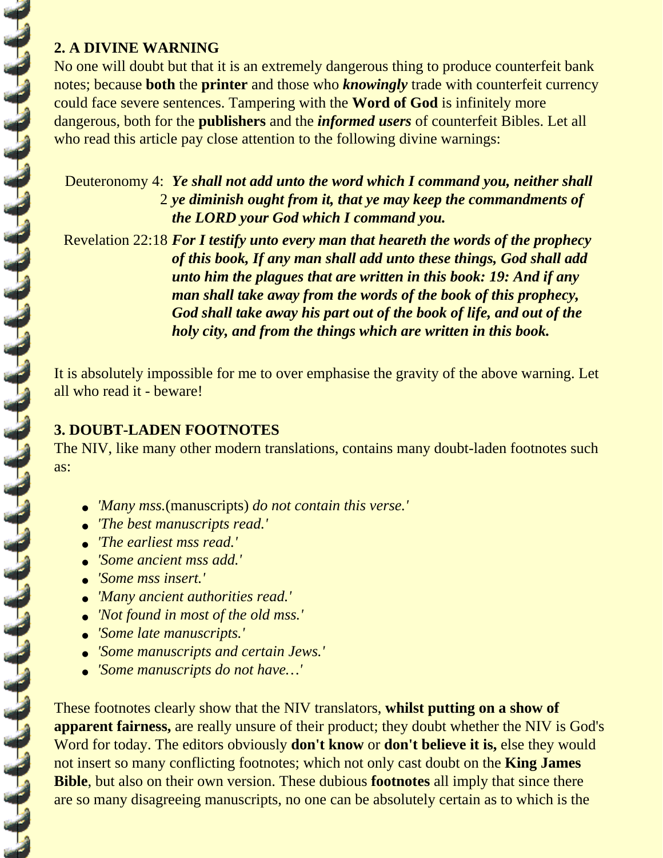#### **2. A DIVINE WARNING**

No one will doubt but that it is an extremely dangerous thing to produce counterfeit bank notes; because **both** the **printer** and those who *knowingly* trade with counterfeit currency could face severe sentences. Tampering with the **Word of God** is infinitely more dangerous, both for the **publishers** and the *informed users* of counterfeit Bibles. Let all who read this article pay close attention to the following divine warnings:

| Deuteronomy 4: Ye shall not add unto the word which I command you, neither shall |
|----------------------------------------------------------------------------------|
| 2 ye diminish ought from it, that ye may keep the commandments of                |
| <i>the LORD your God which I command you.</i>                                    |

Revelation 22:18 *For I testify unto every man that heareth the words of the prophecy of this book, If any man shall add unto these things, God shall add unto him the plagues that are written in this book: 19: And if any man shall take away from the words of the book of this prophecy, God shall take away his part out of the book of life, and out of the holy city, and from the things which are written in this book.*

It is absolutely impossible for me to over emphasise the gravity of the above warning. Let all who read it - beware!

# **3. DOUBT-LADEN FOOTNOTES**

The NIV, like many other modern translations, contains many doubt-laden footnotes such as:

- *'Many mss.*(manuscripts) *do not contain this verse.'*
- *'The best manuscripts read.'*
- *'The earliest mss read.'*
- *'Some ancient mss add.'*
- *'Some mss insert.'*
- *'Many ancient authorities read.'*
- *'Not found in most of the old mss.'*
- *'Some late manuscripts.'*
- *'Some manuscripts and certain Jews.'*
- *'Some manuscripts do not have…'*

These footnotes clearly show that the NIV translators, **whilst putting on a show of apparent fairness,** are really unsure of their product; they doubt whether the NIV is God's Word for today. The editors obviously **don't know** or **don't believe it is,** else they would not insert so many conflicting footnotes; which not only cast doubt on the **King James Bible**, but also on their own version. These dubious **footnotes** all imply that since there are so many disagreeing manuscripts, no one can be absolutely certain as to which is the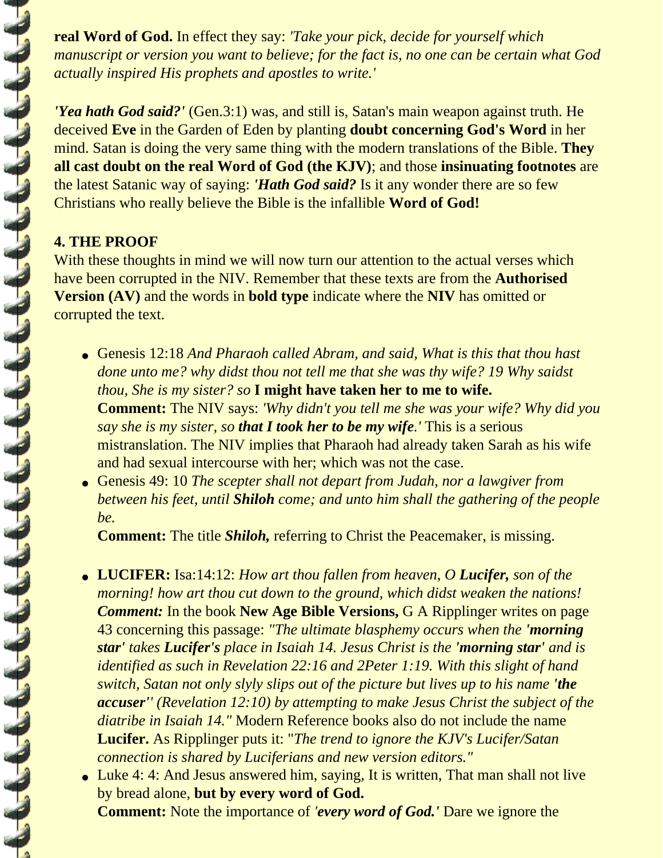**real Word of God.** In effect they say: *'Take your pick, decide for yourself which manuscript or version you want to believe; for the fact is, no one can be certain what God actually inspired His prophets and apostles to write.'*

*'Yea hath God said?'* (Gen.3:1) was, and still is, Satan's main weapon against truth. He deceived **Eve** in the Garden of Eden by planting **doubt concerning God's Word** in her mind. Satan is doing the very same thing with the modern translations of the Bible. **They all cast doubt on the real Word of God (the KJV)**; and those **insinuating footnotes** are the latest Satanic way of saying: *'Hath God said?* Is it any wonder there are so few Christians who really believe the Bible is the infallible **Word of God!**

# **4. THE PROOF**

With these thoughts in mind we will now turn our attention to the actual verses which have been corrupted in the NIV. Remember that these texts are from the **Authorised Version (AV)** and the words in **bold type** indicate where the **NIV** has omitted or corrupted the text.

- Genesis 12:18 *And Pharaoh called Abram, and said, What is this that thou hast done unto me? why didst thou not tell me that she was thy wife? 19 Why saidst thou, She is my sister? so* **I might have taken her to me to wife. Comment:** The NIV says: *'Why didn't you tell me she was your wife? Why did you say she is my sister, so that I took her to be my wife.'* This is a serious mistranslation. The NIV implies that Pharaoh had already taken Sarah as his wife and had sexual intercourse with her; which was not the case.
- Genesis 49: 10 *The scepter shall not depart from Judah, nor a lawgiver from between his feet, until Shiloh come; and unto him shall the gathering of the people be.*

**Comment:** The title *Shiloh,* referring to Christ the Peacemaker, is missing.

- **LUCIFER:** Isa:14:12: *How art thou fallen from heaven, O Lucifer, son of the morning! how art thou cut down to the ground, which didst weaken the nations! Comment:* In the book **New Age Bible Versions,** G A Ripplinger writes on page 43 concerning this passage: *"The ultimate blasphemy occurs when the 'morning star' takes Lucifer's place in Isaiah 14. Jesus Christ is the 'morning star' and is identified as such in Revelation 22:16 and 2Peter 1:19. With this slight of hand switch, Satan not only slyly slips out of the picture but lives up to his name 'the accuser'' (Revelation 12:10) by attempting to make Jesus Christ the subject of the diatribe in Isaiah 14."* Modern Reference books also do not include the name **Lucifer.** As Ripplinger puts it: "*The trend to ignore the KJV's Lucifer/Satan connection is shared by Luciferians and new version editors."*
- Luke 4: 4: And Jesus answered him, saying, It is written, That man shall not live by bread alone, **but by every word of God. Comment:** Note the importance of *'every word of God.'* Dare we ignore the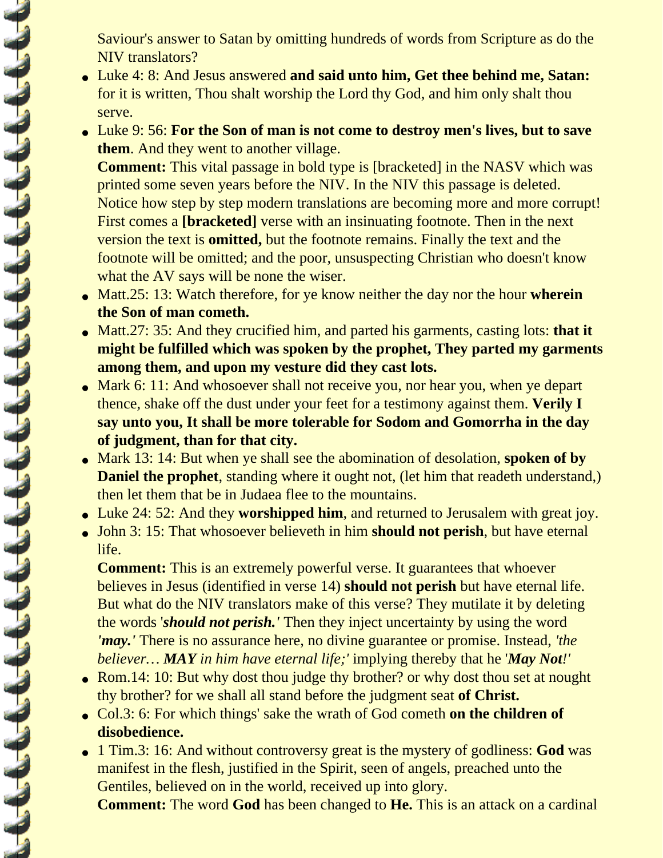Saviour's answer to Satan by omitting hundreds of words from Scripture as do the NIV translators?

- Luke 4: 8: And Jesus answered **and said unto him, Get thee behind me, Satan:**  for it is written, Thou shalt worship the Lord thy God, and him only shalt thou serve.
- Luke 9: 56: **For the Son of man is not come to destroy men's lives, but to save them**. And they went to another village.

**Comment:** This vital passage in bold type is [bracketed] in the NASV which was printed some seven years before the NIV. In the NIV this passage is deleted. Notice how step by step modern translations are becoming more and more corrupt! First comes a **[bracketed]** verse with an insinuating footnote. Then in the next version the text is **omitted,** but the footnote remains. Finally the text and the footnote will be omitted; and the poor, unsuspecting Christian who doesn't know what the AV says will be none the wiser.

- Matt.25: 13: Watch therefore, for ye know neither the day nor the hour **wherein the Son of man cometh.**
- Matt.27: 35: And they crucified him, and parted his garments, casting lots: **that it might be fulfilled which was spoken by the prophet, They parted my garments among them, and upon my vesture did they cast lots.**
- Mark 6: 11: And whosoever shall not receive you, nor hear you, when ye depart thence, shake off the dust under your feet for a testimony against them. **Verily I say unto you, It shall be more tolerable for Sodom and Gomorrha in the day of judgment, than for that city.**

- Mark 13: 14: But when ye shall see the abomination of desolation, **spoken of by Daniel the prophet**, standing where it ought not, (let him that readeth understand,) then let them that be in Judaea flee to the mountains.
- Luke 24: 52: And they **worshipped him**, and returned to Jerusalem with great joy.
- John 3: 15: That whosoever believeth in him **should not perish**, but have eternal life.

**Comment:** This is an extremely powerful verse. It guarantees that whoever believes in Jesus (identified in verse 14) **should not perish** but have eternal life. But what do the NIV translators make of this verse? They mutilate it by deleting the words '*should not perish.'* Then they inject uncertainty by using the word *'may.'* There is no assurance here, no divine guarantee or promise. Instead, *'the believer… MAY in him have eternal life;'* implying thereby that he '*May Not!'*

- Rom.14: 10: But why dost thou judge thy brother? or why dost thou set at nought thy brother? for we shall all stand before the judgment seat **of Christ.**
- Col.3: 6: For which things' sake the wrath of God cometh on the children of **disobedience.**
- 1 Tim.3: 16: And without controversy great is the mystery of godliness: **God** was manifest in the flesh, justified in the Spirit, seen of angels, preached unto the Gentiles, believed on in the world, received up into glory.

**Comment:** The word **God** has been changed to **He.** This is an attack on a cardinal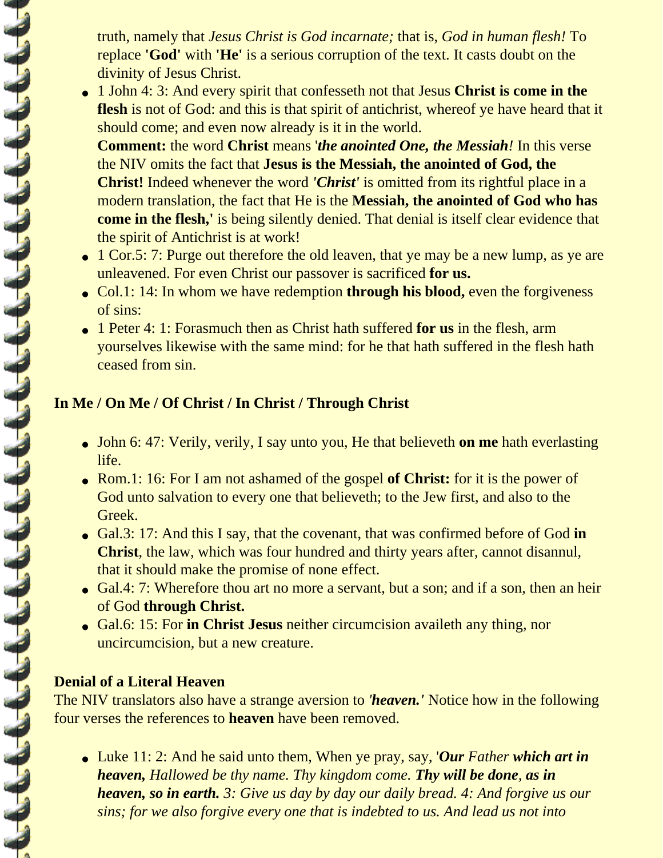truth, namely that *Jesus Christ is God incarnate;* that is, *God in human flesh!* To replace **'God'** with **'He'** is a serious corruption of the text. It casts doubt on the divinity of Jesus Christ.

- 1 John 4: 3: And every spirit that confesseth not that Jesus **Christ is come in the flesh** is not of God: and this is that spirit of antichrist, whereof ye have heard that it should come; and even now already is it in the world.
- **Comment:** the word **Christ** means '*the anointed One, the Messiah!* In this verse the NIV omits the fact that **Jesus is the Messiah, the anointed of God, the Christ!** Indeed whenever the word *'Christ'* is omitted from its rightful place in a modern translation, the fact that He is the **Messiah, the anointed of God who has come in the flesh,'** is being silently denied. That denial is itself clear evidence that the spirit of Antichrist is at work!
- $\bullet$  1 Cor.5: 7: Purge out therefore the old leaven, that ye may be a new lump, as ye are unleavened. For even Christ our passover is sacrificed **for us.**
- Col.1: 14: In whom we have redemption **through his blood,** even the forgiveness of sins:
- 1 Peter 4: 1: Forasmuch then as Christ hath suffered **for us** in the flesh, arm yourselves likewise with the same mind: for he that hath suffered in the flesh hath ceased from sin.

# **In Me / On Me / Of Christ / In Christ / Through Christ**

- John 6: 47: Verily, verily, I say unto you, He that believeth **on me** hath everlasting life.
- Rom.1: 16: For I am not ashamed of the gospel **of Christ:** for it is the power of God unto salvation to every one that believeth; to the Jew first, and also to the Greek.
- Gal.3: 17: And this I say, that the covenant, that was confirmed before of God **in Christ**, the law, which was four hundred and thirty years after, cannot disannul, that it should make the promise of none effect.
- Gal.4: 7: Wherefore thou art no more a servant, but a son; and if a son, then an heir of God **through Christ.**
- Gal.6: 15: For **in Christ Jesus** neither circumcision availeth any thing, nor uncircumcision, but a new creature.

# **Denial of a Literal Heaven**

The NIV translators also have a strange aversion to *'heaven.'* Notice how in the following four verses the references to **heaven** have been removed.

● Luke 11: 2: And he said unto them, When ye pray, say, '*Our Father which art in heaven, Hallowed be thy name. Thy kingdom come. Thy will be done, as in heaven, so in earth. 3: Give us day by day our daily bread. 4: And forgive us our sins; for we also forgive every one that is indebted to us. And lead us not into*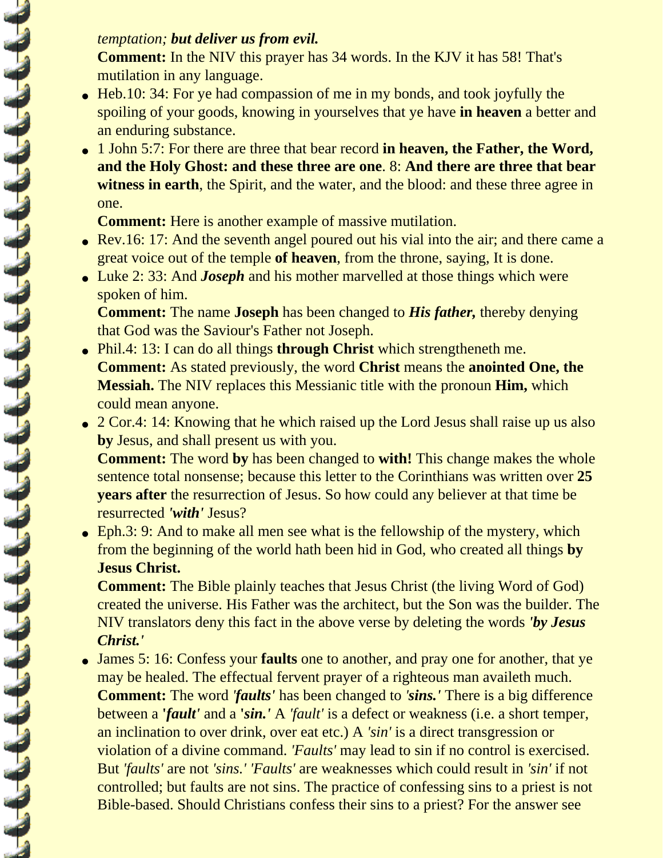#### *temptation; but deliver us from evil.*

**Comment:** In the NIV this prayer has 34 words. In the KJV it has 58! That's mutilation in any language.

- Heb.10: 34: For ye had compassion of me in my bonds, and took joyfully the spoiling of your goods, knowing in yourselves that ye have **in heaven** a better and an enduring substance.
- 1 John 5:7: For there are three that bear record in heaven, the Father, the Word, **and the Holy Ghost: and these three are one**. 8: **And there are three that bear witness in earth**, the Spirit, and the water, and the blood: and these three agree in one.

**Comment:** Here is another example of massive mutilation.

- Rev.16: 17: And the seventh angel poured out his vial into the air; and there came a great voice out of the temple **of heaven**, from the throne, saying, It is done.
- Luke 2: 33: And *Joseph* and his mother marvelled at those things which were spoken of him.

**Comment:** The name **Joseph** has been changed to *His father,* thereby denying that God was the Saviour's Father not Joseph.

- Phil.4: 13: I can do all things **through Christ** which strengtheneth me. **Comment:** As stated previously, the word **Christ** means the **anointed One, the Messiah.** The NIV replaces this Messianic title with the pronoun **Him,** which could mean anyone.
- 2 Cor.4: 14: Knowing that he which raised up the Lord Jesus shall raise up us also **by** Jesus, and shall present us with you. **Comment:** The word **by** has been changed to **with!** This change makes the whole

sentence total nonsense; because this letter to the Corinthians was written over **25 years after** the resurrection of Jesus. So how could any believer at that time be resurrected *'with'* Jesus?

 $\bullet$  Eph.3: 9: And to make all men see what is the fellowship of the mystery, which from the beginning of the world hath been hid in God, who created all things **by Jesus Christ.** 

**Comment:** The Bible plainly teaches that Jesus Christ (the living Word of God) created the universe. His Father was the architect, but the Son was the builder. The NIV translators deny this fact in the above verse by deleting the words *'by Jesus Christ.'*

● James 5: 16: Confess your **faults** one to another, and pray one for another, that ye may be healed. The effectual fervent prayer of a righteous man availeth much. **Comment:** The word *'faults'* has been changed to *'sins.'* There is a big difference between a **'***fault'* and a **'***sin.'* A *'fault'* is a defect or weakness (i.e. a short temper, an inclination to over drink, over eat etc.) A *'sin'* is a direct transgression or violation of a divine command. *'Faults'* may lead to sin if no control is exercised. But *'faults'* are not *'sins.' 'Faults'* are weaknesses which could result in *'sin'* if not controlled; but faults are not sins. The practice of confessing sins to a priest is not Bible-based. Should Christians confess their sins to a priest? For the answer see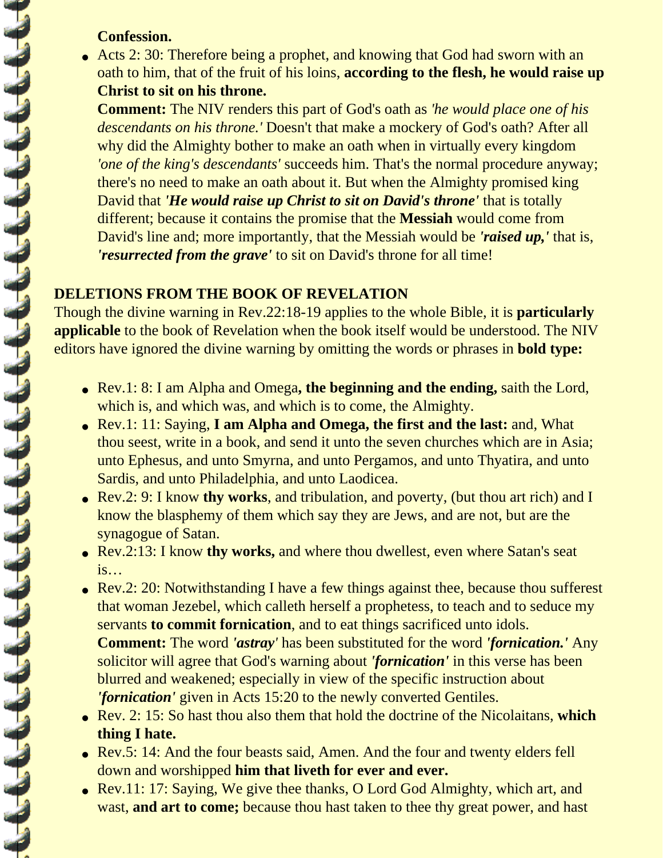#### **Confession.**

• Acts 2: 30: Therefore being a prophet, and knowing that God had sworn with an oath to him, that of the fruit of his loins, **according to the flesh, he would raise up Christ to sit on his throne.** 

**Comment:** The NIV renders this part of God's oath as *'he would place one of his descendants on his throne.'* Doesn't that make a mockery of God's oath? After all why did the Almighty bother to make an oath when in virtually every kingdom *'one of the king's descendants'* succeeds him. That's the normal procedure anyway; there's no need to make an oath about it. But when the Almighty promised king David that *'He would raise up Christ to sit on David's throne'* that is totally different; because it contains the promise that the **Messiah** would come from David's line and; more importantly, that the Messiah would be *'raised up,'* that is, *'resurrected from the grave'* to sit on David's throne for all time!

# **DELETIONS FROM THE BOOK OF REVELATION**

Though the divine warning in Rev.22:18-19 applies to the whole Bible, it is **particularly applicable** to the book of Revelation when the book itself would be understood. The NIV editors have ignored the divine warning by omitting the words or phrases in **bold type:**

- Rev.1: 8: I am Alpha and Omega**, the beginning and the ending,** saith the Lord, which is, and which was, and which is to come, the Almighty.
- Rev.1: 11: Saying, **I am Alpha and Omega, the first and the last:** and, What thou seest, write in a book, and send it unto the seven churches which are in Asia; unto Ephesus, and unto Smyrna, and unto Pergamos, and unto Thyatira, and unto Sardis, and unto Philadelphia, and unto Laodicea.
- Rev.2: 9: I know **thy works**, and tribulation, and poverty, (but thou art rich) and I know the blasphemy of them which say they are Jews, and are not, but are the synagogue of Satan.
- Rev.2:13: I know **thy works,** and where thou dwellest, even where Satan's seat is…
- Rev.2: 20: Notwithstanding I have a few things against thee, because thou sufferest that woman Jezebel, which calleth herself a prophetess, to teach and to seduce my servants **to commit fornication**, and to eat things sacrificed unto idols. **Comment:** The word *'astray'* has been substituted for the word *'fornication.'* Any solicitor will agree that God's warning about *'fornication'* in this verse has been blurred and weakened; especially in view of the specific instruction about *'fornication'* given in Acts 15:20 to the newly converted Gentiles.
- Rev. 2: 15: So hast thou also them that hold the doctrine of the Nicolaitans, **which thing I hate.**
- Rev.5: 14: And the four beasts said, Amen. And the four and twenty elders fell down and worshipped **him that liveth for ever and ever.**
- Rev.11: 17: Saying, We give thee thanks, O Lord God Almighty, which art, and wast, **and art to come;** because thou hast taken to thee thy great power, and hast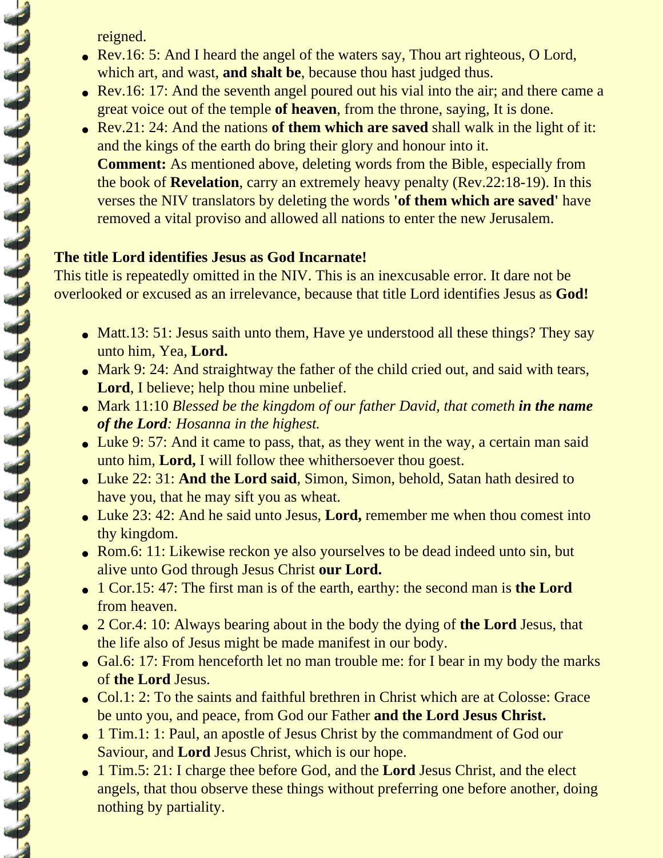reigned.

- Rev.16: 5: And I heard the angel of the waters say, Thou art righteous, O Lord, which art, and wast, **and shalt be**, because thou hast judged thus.
- Rev.16: 17: And the seventh angel poured out his vial into the air; and there came a great voice out of the temple **of heaven**, from the throne, saying, It is done.
- Rev.21: 24: And the nations **of them which are saved** shall walk in the light of it: and the kings of the earth do bring their glory and honour into it. **Comment:** As mentioned above, deleting words from the Bible, especially from the book of **Revelation**, carry an extremely heavy penalty (Rev.22:18-19). In this verses the NIV translators by deleting the words **'of them which are saved'** have removed a vital proviso and allowed all nations to enter the new Jerusalem.

# **The title Lord identifies Jesus as God Incarnate!**

This title is repeatedly omitted in the NIV. This is an inexcusable error. It dare not be overlooked or excused as an irrelevance, because that title Lord identifies Jesus as **God!**

- Matt.13: 51: Jesus saith unto them, Have ye understood all these things? They say unto him, Yea, **Lord.**
- Mark 9: 24: And straightway the father of the child cried out, and said with tears, Lord, I believe; help thou mine unbelief.
- Mark 11:10 *Blessed be the kingdom of our father David, that cometh in the name of the Lord: Hosanna in the highest.*
- Luke 9: 57: And it came to pass, that, as they went in the way, a certain man said unto him, **Lord,** I will follow thee whithersoever thou goest.
- Luke 22: 31: **And the Lord said**, Simon, Simon, behold, Satan hath desired to have you, that he may sift you as wheat.
- Luke 23: 42: And he said unto Jesus, **Lord**, remember me when thou comest into thy kingdom.
- Rom.6: 11: Likewise reckon ye also yourselves to be dead indeed unto sin, but alive unto God through Jesus Christ **our Lord.**
- 1 Cor.15: 47: The first man is of the earth, earthy: the second man is **the Lord** from heaven.
- 2 Cor.4: 10: Always bearing about in the body the dying of **the Lord** Jesus, that the life also of Jesus might be made manifest in our body.
- Gal.6: 17: From henceforth let no man trouble me: for I bear in my body the marks of **the Lord** Jesus.
- Col.1: 2: To the saints and faithful brethren in Christ which are at Colosse: Grace be unto you, and peace, from God our Father **and the Lord Jesus Christ.**
- 1 Tim.1: 1: Paul, an apostle of Jesus Christ by the commandment of God our Saviour, and **Lord** Jesus Christ, which is our hope.
- 1 Tim.5: 21: I charge thee before God, and the **Lord** Jesus Christ, and the elect angels, that thou observe these things without preferring one before another, doing nothing by partiality.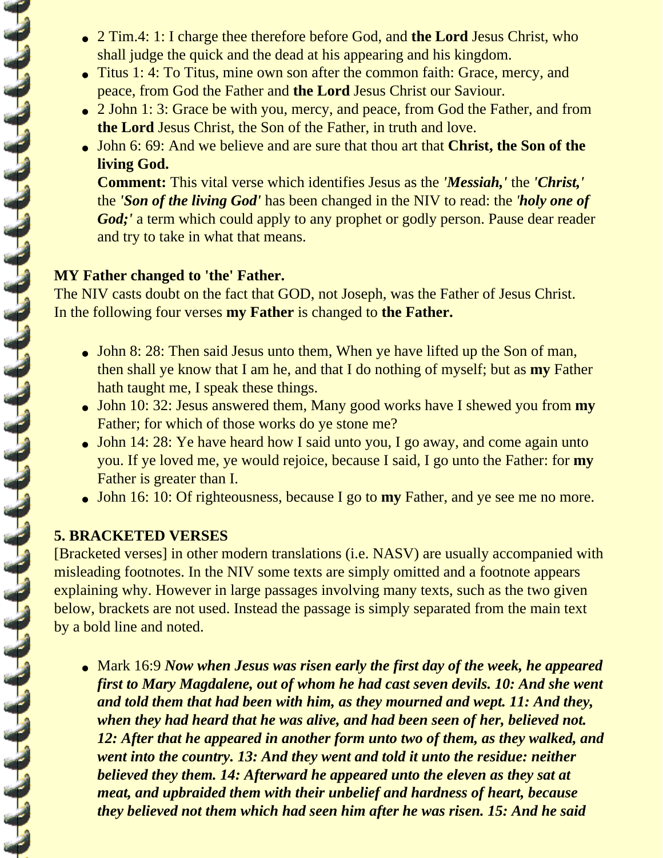- 2 Tim.4: 1: I charge thee therefore before God, and **the Lord** Jesus Christ, who shall judge the quick and the dead at his appearing and his kingdom.
- Titus 1: 4: To Titus, mine own son after the common faith: Grace, mercy, and peace, from God the Father and **the Lord** Jesus Christ our Saviour.
- 2 John 1: 3: Grace be with you, mercy, and peace, from God the Father, and from **the Lord** Jesus Christ, the Son of the Father, in truth and love.
- John 6: 69: And we believe and are sure that thou art that **Christ, the Son of the living God.**

**Comment:** This vital verse which identifies Jesus as the *'Messiah,'* the *'Christ,'*  the *'Son of the living God'* has been changed in the NIV to read: the *'holy one of God;'* a term which could apply to any prophet or godly person. Pause dear reader and try to take in what that means.

#### **MY Father changed to 'the' Father.**

The NIV casts doubt on the fact that GOD, not Joseph, was the Father of Jesus Christ. In the following four verses **my Father** is changed to **the Father.** 

- John 8: 28: Then said Jesus unto them, When ye have lifted up the Son of man, then shall ye know that I am he, and that I do nothing of myself; but as **my** Father hath taught me, I speak these things.
- John 10: 32: Jesus answered them, Many good works have I shewed you from **my**  Father; for which of those works do ye stone me?
- John 14: 28: Ye have heard how I said unto you, I go away, and come again unto you. If ye loved me, ye would rejoice, because I said, I go unto the Father: for **my** Father is greater than I.
- John 16: 10: Of righteousness, because I go to **my** Father, and ye see me no more.

# **5. BRACKETED VERSES**

[Bracketed verses] in other modern translations (i.e. NASV) are usually accompanied with misleading footnotes. In the NIV some texts are simply omitted and a footnote appears explaining why. However in large passages involving many texts, such as the two given below, brackets are not used. Instead the passage is simply separated from the main text by a bold line and noted.

● Mark 16:9 *Now when Jesus was risen early the first day of the week, he appeared first to Mary Magdalene, out of whom he had cast seven devils. 10: And she went and told them that had been with him, as they mourned and wept. 11: And they, when they had heard that he was alive, and had been seen of her, believed not. 12: After that he appeared in another form unto two of them, as they walked, and went into the country. 13: And they went and told it unto the residue: neither believed they them. 14: Afterward he appeared unto the eleven as they sat at meat, and upbraided them with their unbelief and hardness of heart, because they believed not them which had seen him after he was risen. 15: And he said*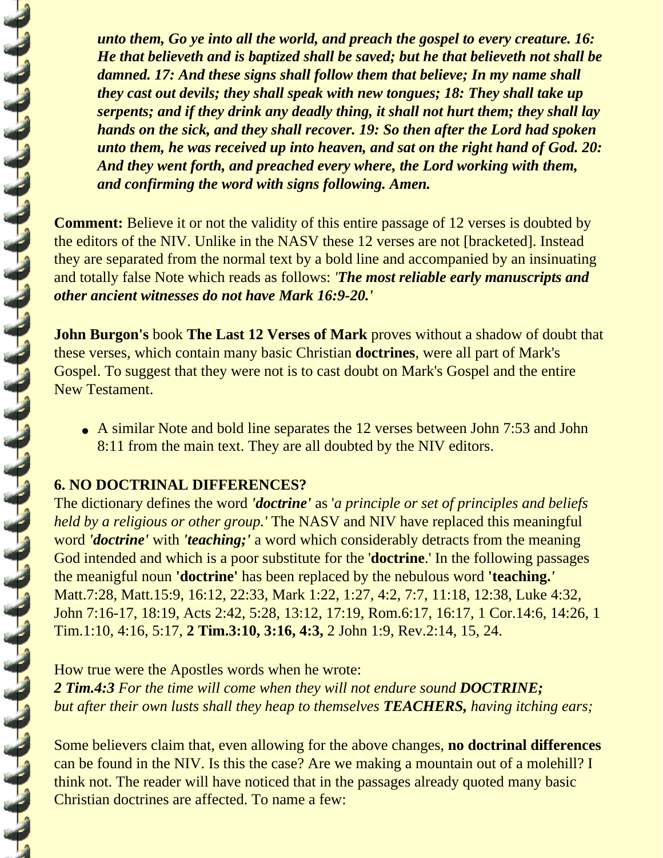*unto them, Go ye into all the world, and preach the gospel to every creature. 16: He that believeth and is baptized shall be saved; but he that believeth not shall be damned. 17: And these signs shall follow them that believe; In my name shall they cast out devils; they shall speak with new tongues; 18: They shall take up serpents; and if they drink any deadly thing, it shall not hurt them; they shall lay hands on the sick, and they shall recover. 19: So then after the Lord had spoken unto them, he was received up into heaven, and sat on the right hand of God. 20: And they went forth, and preached every where, the Lord working with them, and confirming the word with signs following. Amen.* 

**Comment:** Believe it or not the validity of this entire passage of 12 verses is doubted by the editors of the NIV. Unlike in the NASV these 12 verses are not [bracketed]. Instead they are separated from the normal text by a bold line and accompanied by an insinuating and totally false Note which reads as follows: *'The most reliable early manuscripts and other ancient witnesses do not have Mark 16:9-20.'*

**John Burgon's** book **The Last 12 Verses of Mark** proves without a shadow of doubt that these verses, which contain many basic Christian **doctrines**, were all part of Mark's Gospel. To suggest that they were not is to cast doubt on Mark's Gospel and the entire New Testament.

• A similar Note and bold line separates the 12 verses between John 7:53 and John 8:11 from the main text. They are all doubted by the NIV editors.

# **6. NO DOCTRINAL DIFFERENCES?**

The dictionary defines the word *'doctrine'* as '*a principle or set of principles and beliefs held by a religious or other group.'* The NASV and NIV have replaced this meaningful word *'doctrine'* with *'teaching;'* a word which considerably detracts from the meaning God intended and which is a poor substitute for the '**doctrine**.' In the following passages the meanigful noun **'doctrine'** has been replaced by the nebulous word **'teaching.***'*  Matt.7:28, Matt.15:9, 16:12, 22:33, Mark 1:22, 1:27, 4:2, 7:7, 11:18, 12:38, Luke 4:32, John 7:16-17, 18:19, Acts 2:42, 5:28, 13:12, 17:19, Rom.6:17, 16:17, 1 Cor.14:6, 14:26, 1 Tim.1:10, 4:16, 5:17, **2 Tim.3:10, 3:16, 4:3,** 2 John 1:9, Rev.2:14, 15, 24.

How true were the Apostles words when he wrote: *2 Tim.4:3 For the time will come when they will not endure sound DOCTRINE; but after their own lusts shall they heap to themselves TEACHERS, having itching ears;* 

Some believers claim that, even allowing for the above changes, **no doctrinal differences**  can be found in the NIV. Is this the case? Are we making a mountain out of a molehill? I think not. The reader will have noticed that in the passages already quoted many basic Christian doctrines are affected. To name a few: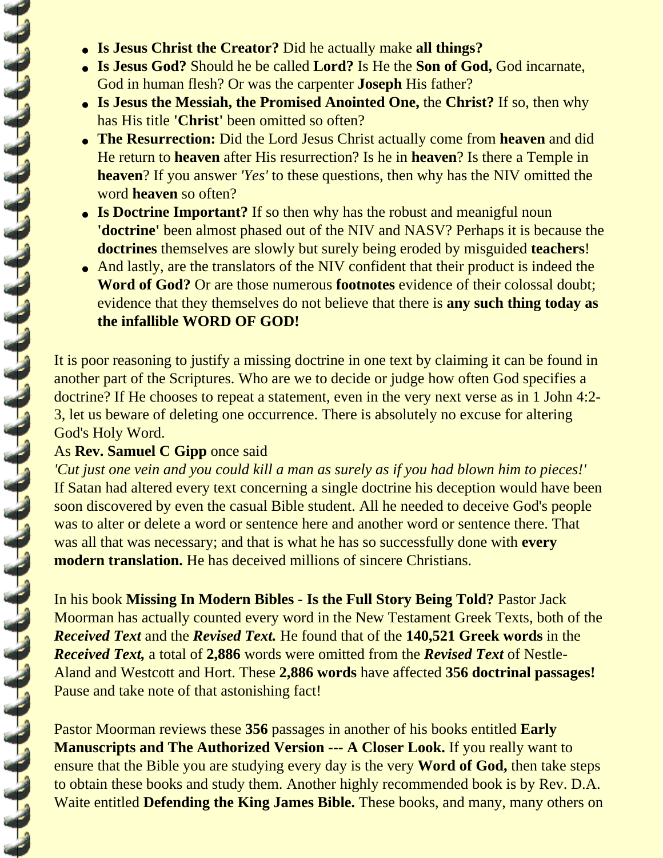- **Is Jesus Christ the Creator?** Did he actually make **all things?**
- **Is Jesus God?** Should he be called **Lord?** Is He the **Son of God,** God incarnate, God in human flesh? Or was the carpenter **Joseph** His father?
- **Is Jesus the Messiah, the Promised Anointed One,** the **Christ?** If so, then why has His title **'Christ'** been omitted so often?
- **The Resurrection:** Did the Lord Jesus Christ actually come from **heaven** and did He return to **heaven** after His resurrection? Is he in **heaven**? Is there a Temple in **heaven**? If you answer *'Yes'* to these questions, then why has the NIV omitted the word **heaven** so often?
- Is Doctrine Important? If so then why has the robust and meanigful noun **'doctrine'** been almost phased out of the NIV and NASV? Perhaps it is because the **doctrines** themselves are slowly but surely being eroded by misguided **teachers**!
- And lastly, are the translators of the NIV confident that their product is indeed the **Word of God?** Or are those numerous **footnotes** evidence of their colossal doubt; evidence that they themselves do not believe that there is **any such thing today as the infallible WORD OF GOD!**

It is poor reasoning to justify a missing doctrine in one text by claiming it can be found in another part of the Scriptures. Who are we to decide or judge how often God specifies a doctrine? If He chooses to repeat a statement, even in the very next verse as in 1 John 4:2- 3, let us beware of deleting one occurrence. There is absolutely no excuse for altering God's Holy Word.

# As **Rev. Samuel C Gipp** once said

*'Cut just one vein and you could kill a man as surely as if you had blown him to pieces!'*  If Satan had altered every text concerning a single doctrine his deception would have been soon discovered by even the casual Bible student. All he needed to deceive God's people was to alter or delete a word or sentence here and another word or sentence there. That was all that was necessary; and that is what he has so successfully done with **every modern translation.** He has deceived millions of sincere Christians.

In his book **Missing In Modern Bibles - Is the Full Story Being Told?** Pastor Jack Moorman has actually counted every word in the New Testament Greek Texts, both of the *Received Text* and the *Revised Text.* He found that of the **140,521 Greek words** in the *Received Text,* a total of **2,886** words were omitted from the *Revised Text* of Nestle-Aland and Westcott and Hort. These **2,886 words** have affected **356 doctrinal passages!**  Pause and take note of that astonishing fact!

Pastor Moorman reviews these **356** passages in another of his books entitled **Early Manuscripts and The Authorized Version --- A Closer Look.** If you really want to ensure that the Bible you are studying every day is the very **Word of God,** then take steps to obtain these books and study them. Another highly recommended book is by Rev. D.A. Waite entitled **Defending the King James Bible.** These books, and many, many others on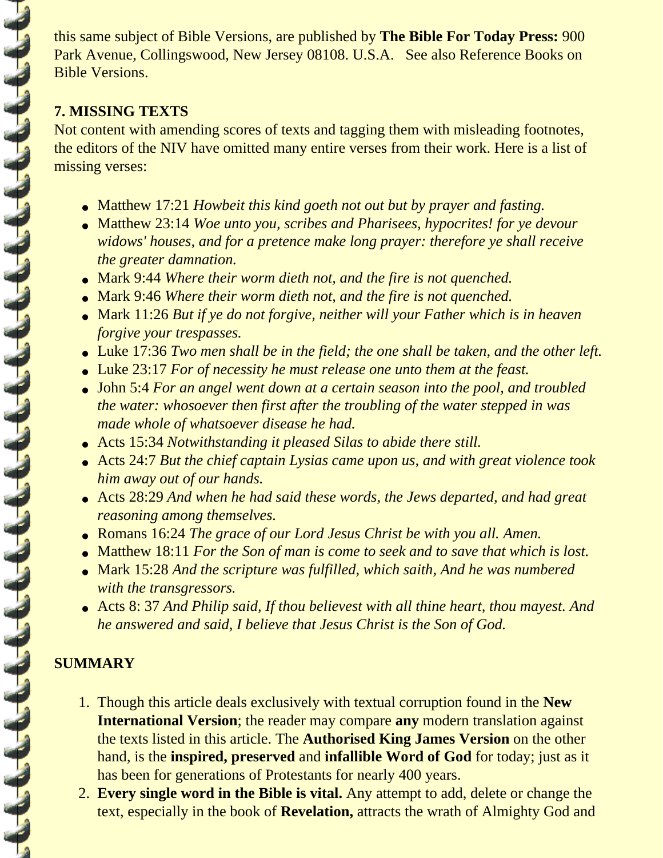this same subject of Bible Versions, are published by **The Bible For Today Press:** 900 Park Avenue, Collingswood, New Jersey 08108. U.S.A. See also Reference Books on Bible Versions.

# **7. MISSING TEXTS**

Not content with amending scores of texts and tagging them with misleading footnotes, the editors of the NIV have omitted many entire verses from their work. Here is a list of missing verses:

- Matthew 17:21 *Howbeit this kind goeth not out but by prayer and fasting.*
- Matthew 23:14 *Woe unto you, scribes and Pharisees, hypocrites! for ye devour widows' houses, and for a pretence make long prayer: therefore ye shall receive the greater damnation.*
- Mark 9:44 Where their worm dieth not, and the fire is not quenched.
- Mark 9:46 Where their worm dieth not, and the fire is not quenched.
- Mark 11:26 *But if ye do not forgive, neither will your Father which is in heaven forgive your trespasses.*
- Luke 17:36 *Two men shall be in the field; the one shall be taken, and the other left.*
- Luke 23:17 *For of necessity he must release one unto them at the feast.*
- John 5:4 *For an angel went down at a certain season into the pool, and troubled the water: whosoever then first after the troubling of the water stepped in was made whole of whatsoever disease he had.*
- Acts 15:34 *Notwithstanding it pleased Silas to abide there still.*
- Acts 24:7 *But the chief captain Lysias came upon us, and with great violence took him away out of our hands.*
- Acts 28:29 *And when he had said these words, the Jews departed, and had great reasoning among themselves.*
- Romans 16:24 *The grace of our Lord Jesus Christ be with you all. Amen.*
- Matthew 18:11 *For the Son of man is come to seek and to save that which is lost.*
- Mark 15:28 *And the scripture was fulfilled, which saith, And he was numbered with the transgressors.*
- Acts 8: 37 *And Philip said, If thou believest with all thine heart, thou mayest. And he answered and said, I believe that Jesus Christ is the Son of God.*

# **SUMMARY**

- 1. Though this article deals exclusively with textual corruption found in the **New International Version**; the reader may compare **any** modern translation against the texts listed in this article. The **Authorised King James Version** on the other hand, is the **inspired, preserved** and **infallible Word of God** for today; just as it has been for generations of Protestants for nearly 400 years.
- 2. **Every single word in the Bible is vital.** Any attempt to add, delete or change the text, especially in the book of **Revelation,** attracts the wrath of Almighty God and